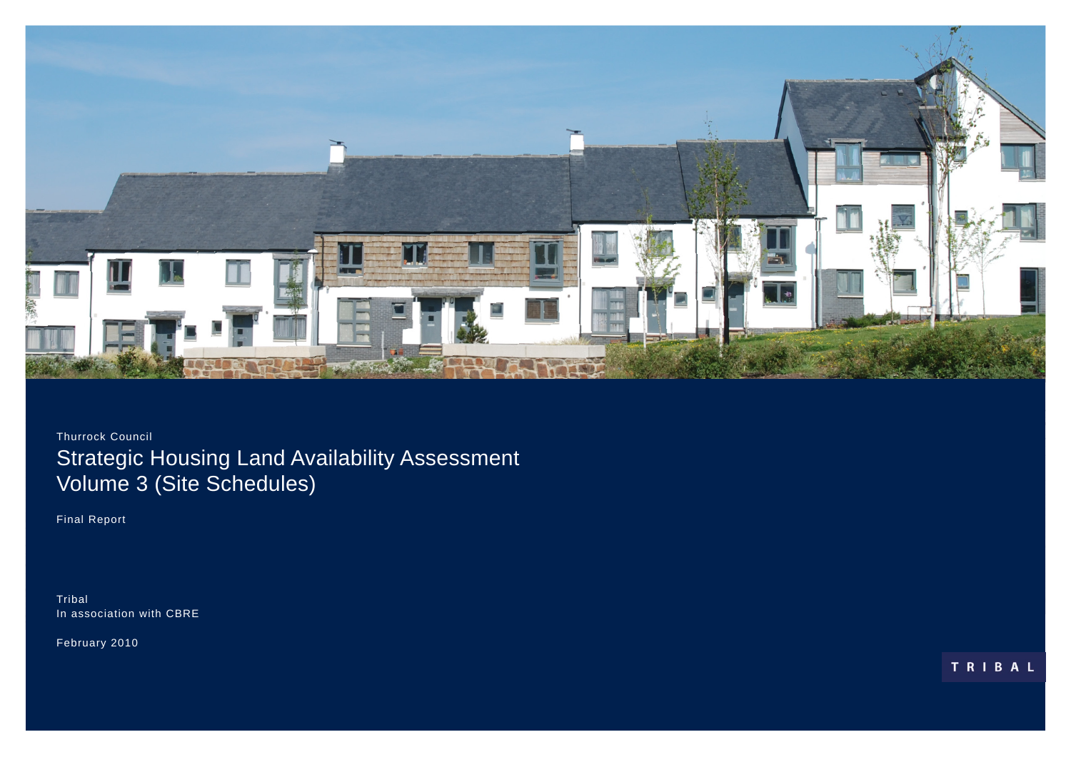

Strategic Housing Land Availability Assessment Volume 3 (Site Schedules)

Final Report

Tribal In association with CBRE

February 2010

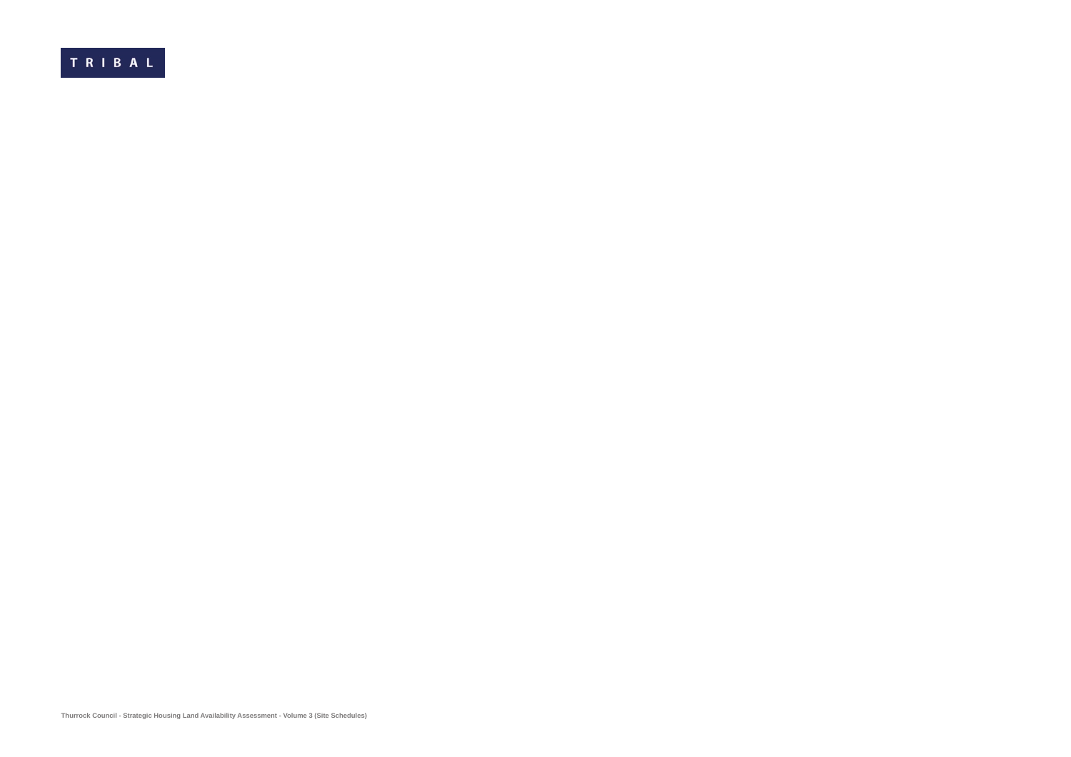TRIBAL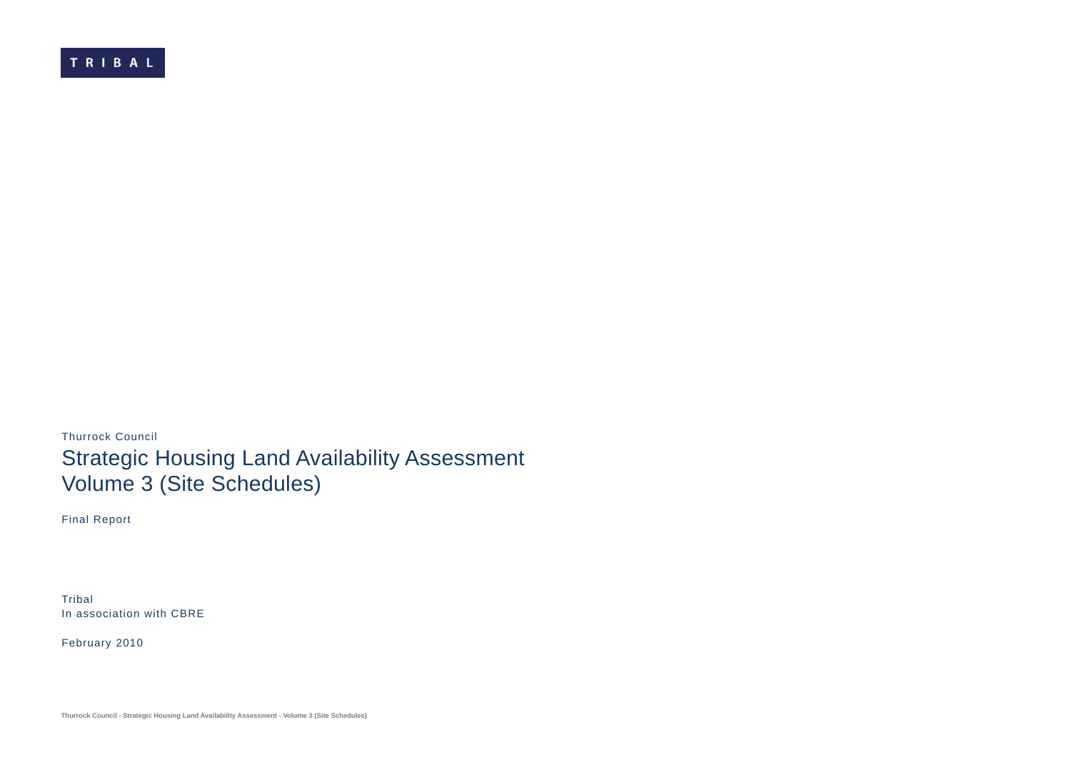**Tribal** In association with CBRE

Thurrock Council Strategic Housing Land Availability Assessment Volume 3 (Site Schedules)

Final Report

February 2010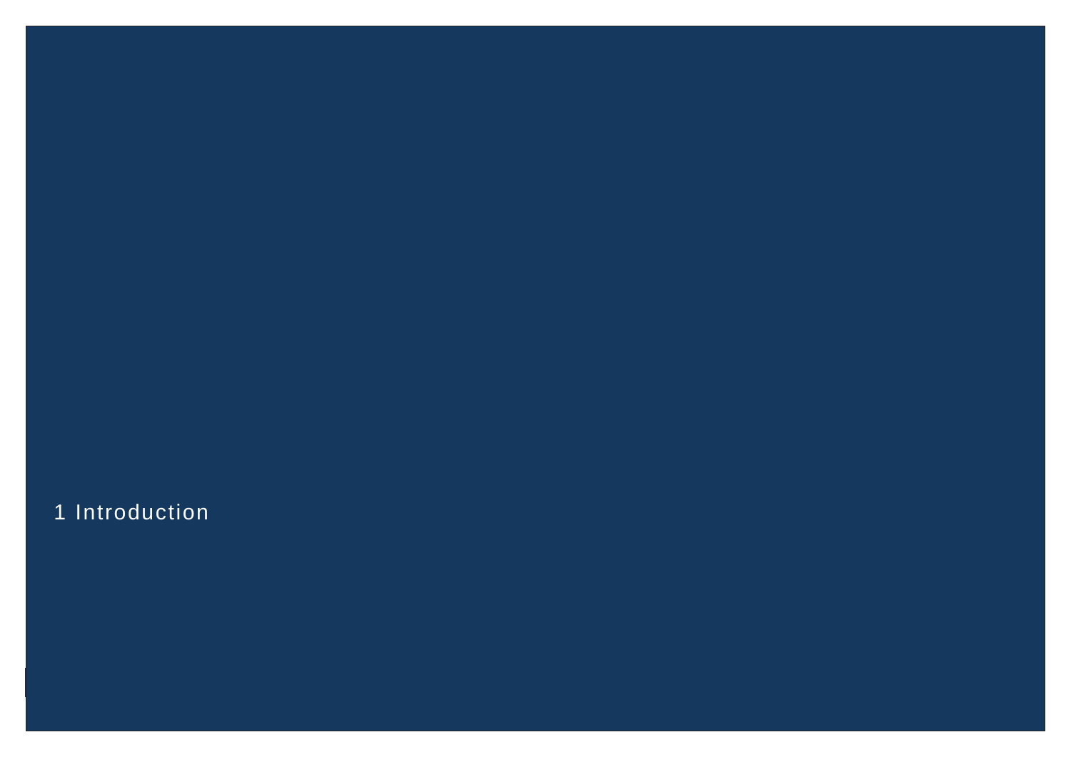#### 1 Introduction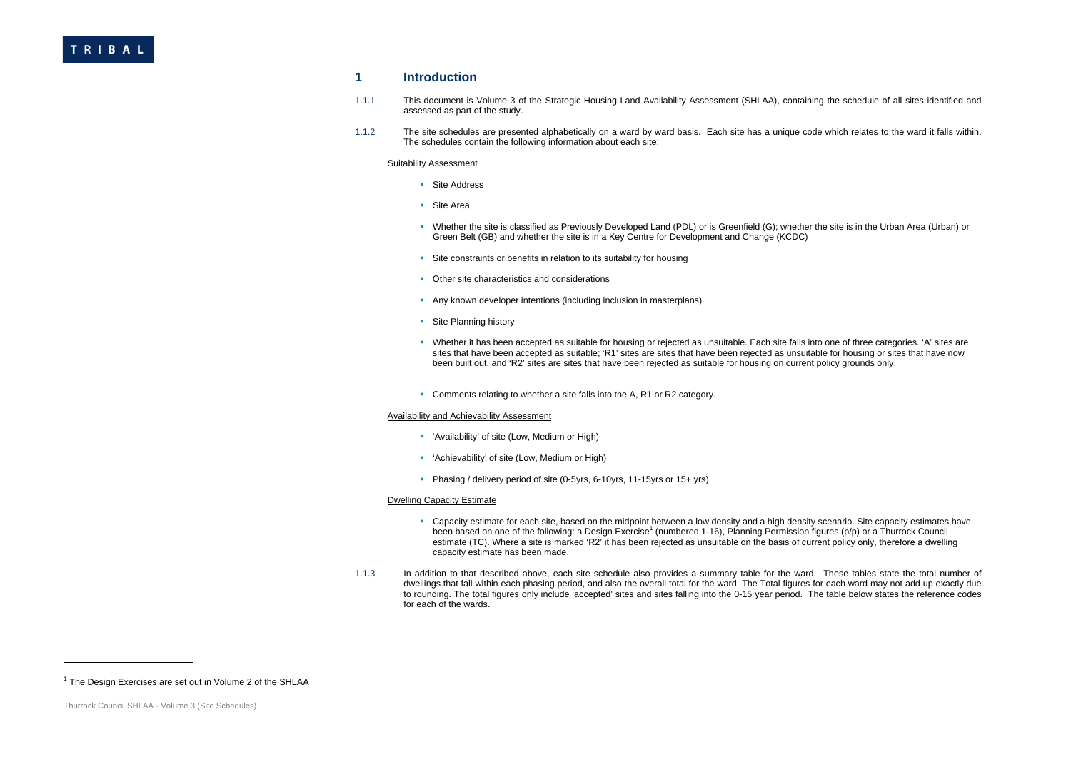#### **1 Introduction**

- 1.1.1 This document is Volume 3 of the Strategic Housing Land Availability Assessment (SHLAA), containing the schedule of all sites identified and assessed as part of the study.
- 1.1.2 The site schedules are presented alphabetically on a ward by ward basis. Each site has a unique code which relates to the ward it falls within. The schedules contain the following information about each site:

#### Suitability Assessment

- Site Address
- Site Area
- Whether the site is classified as Previously Developed Land (PDL) or is Greenfield (G); whether the site is in the Urban Area (Urban) or Green Belt (GB) and whether the site is in a Key Centre for Development and Change (KCDC)
- Site constraints or benefits in relation to its suitability for housing
- **Diffuller** Other site characteristics and considerations
- Any known developer intentions (including inclusion in masterplans)
- **Site Planning history**
- Whether it has been accepted as suitable for housing or rejected as unsuitable. Each site falls into one of three categories. 'A' sites are sites that have been accepted as suitable; 'R1' sites are sites that have been rejected as unsuitable for housing or sites that have now been built out, and 'R2' sites are sites that have been rejected as suitable for housing on current policy grounds only.
- Comments relating to whether a site falls into the A, R1 or R2 category.

#### Availability and Achievability Assessment

- 'Availability' of site (Low, Medium or High)
- **•** 'Achievability' of site (Low, Medium or High)
- Phasing / delivery period of site (0-5yrs, 6-10yrs, 11-15yrs or 15+ yrs)

#### Dwelling Capacity Estimate

- Capacity estimate for each site, based on the midpoint between a low density and a high density scenario. Site capacity estimates have been based on one of the following: a Design Exercise<sup>1</sup> (numbered 1-16), Planning Permission figures (p/p) or a Thurrock Council estimate (TC). Where a site is marked 'R2' it has been rejected as unsuitable on the basis of current policy only, therefore a dwelling capacity estimate has been made.
- 1.1.3 In addition to that described above, each site schedule also provides a summary table for the ward. These tables state the total number of dwellings that fall within each phasing period, and also the overall total for the ward. The Total figures for each ward may not add up exactly due to rounding. The total figures only include 'accepted' sites and sites falling into the 0-15 year period. The table below states the reference codes for each of the wards.

 $1$  The Design Exercises are set out in Volume 2 of the SHLAA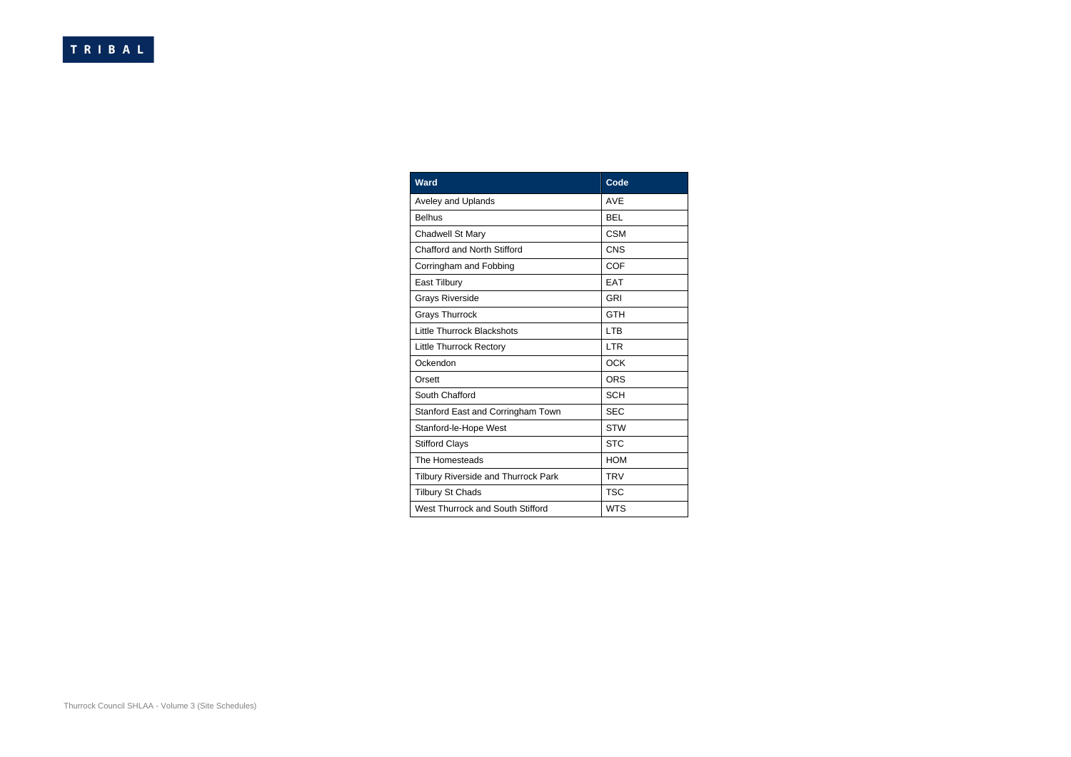| <b>Ward</b>                         | Code       |  |  |  |
|-------------------------------------|------------|--|--|--|
| Aveley and Uplands                  | <b>AVE</b> |  |  |  |
| Belhus                              | BEL        |  |  |  |
| Chadwell St Mary                    | <b>CSM</b> |  |  |  |
| <b>Chafford and North Stifford</b>  | <b>CNS</b> |  |  |  |
| Corringham and Fobbing              | <b>COF</b> |  |  |  |
| East Tilbury                        | <b>EAT</b> |  |  |  |
| Grays Riverside                     | <b>GRI</b> |  |  |  |
| <b>Grays Thurrock</b>               | <b>GTH</b> |  |  |  |
| <b>Little Thurrock Blackshots</b>   | <b>LTB</b> |  |  |  |
| <b>Little Thurrock Rectory</b>      | <b>LTR</b> |  |  |  |
| Ockendon                            | <b>OCK</b> |  |  |  |
| Orsett                              | <b>ORS</b> |  |  |  |
| South Chafford                      | <b>SCH</b> |  |  |  |
| Stanford East and Corringham Town   | <b>SEC</b> |  |  |  |
| Stanford-le-Hope West               | <b>STW</b> |  |  |  |
| <b>Stifford Clays</b>               | <b>STC</b> |  |  |  |
| The Homesteads                      | <b>HOM</b> |  |  |  |
| Tilbury Riverside and Thurrock Park | <b>TRV</b> |  |  |  |
| Tilbury St Chads                    | <b>TSC</b> |  |  |  |
| West Thurrock and South Stifford    | <b>WTS</b> |  |  |  |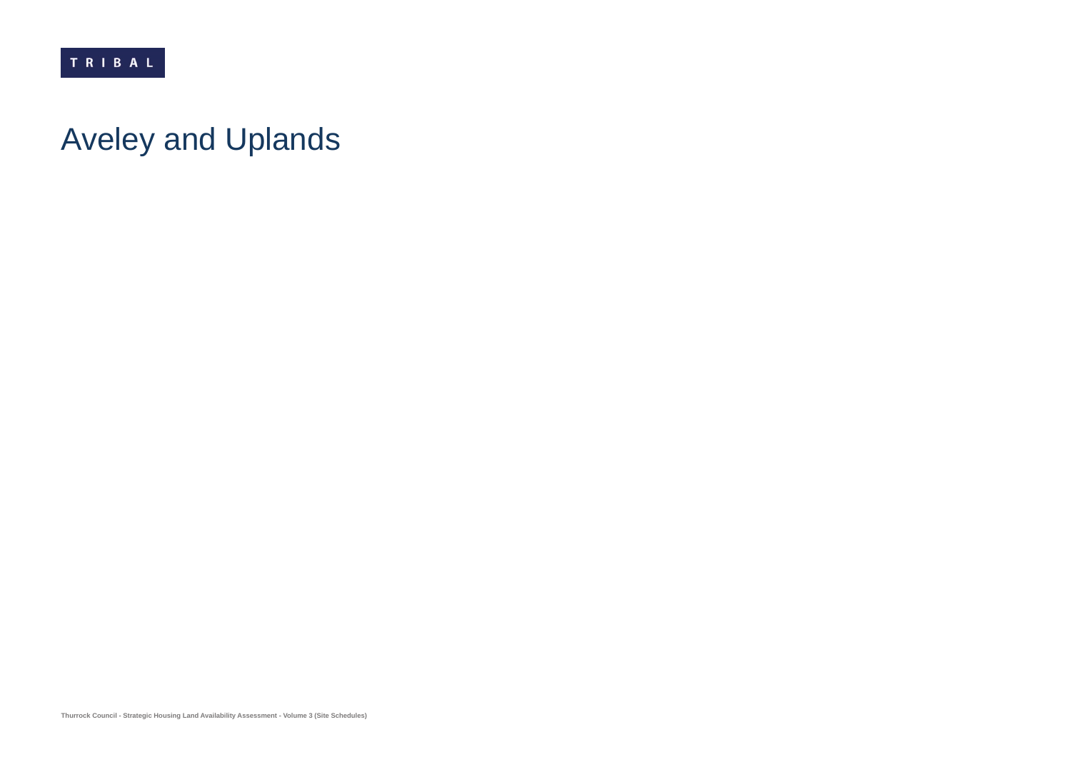# Aveley and Uplands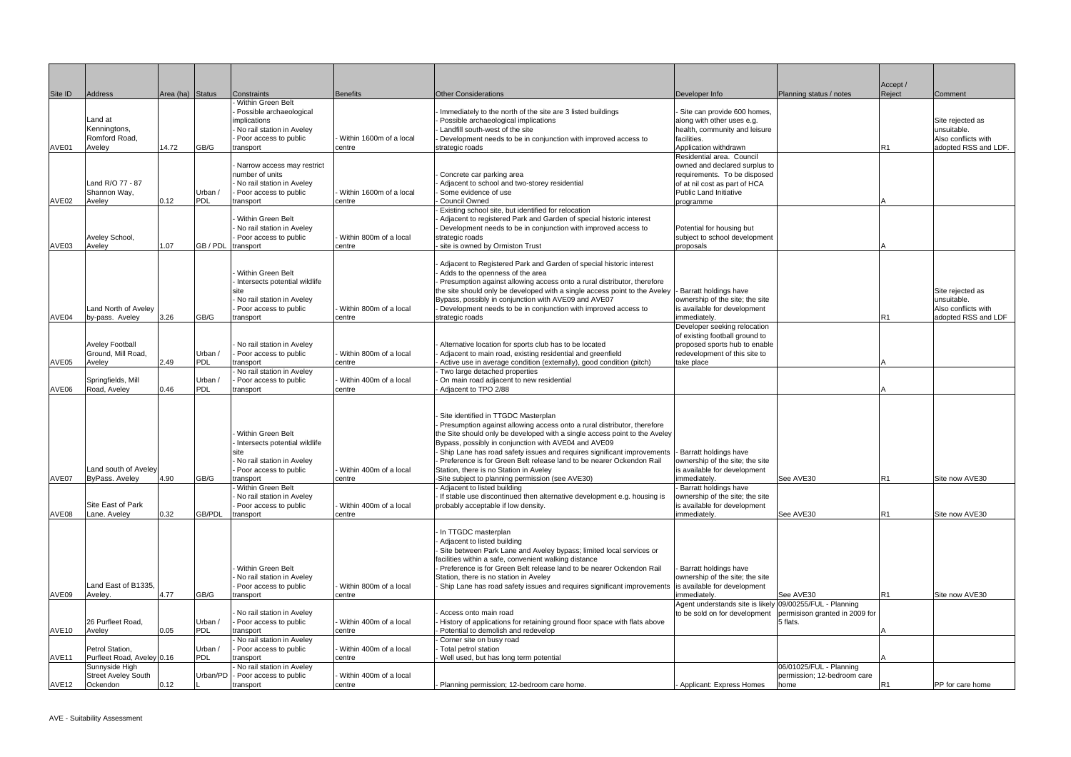| Site ID           | Address                                                                | Area (ha) Status |                            | Constraints                                                                                                                                                                                              | <b>Benefits</b>                                                       | <b>Other Considerations</b>                                                                                                                                                                                                                                                                                                                                                                                                                                                                          | Developer Info                                                                                                                                                                                                                                | Planning status / notes                    | Accept /<br>Reject | Comment                                                |
|-------------------|------------------------------------------------------------------------|------------------|----------------------------|----------------------------------------------------------------------------------------------------------------------------------------------------------------------------------------------------------|-----------------------------------------------------------------------|------------------------------------------------------------------------------------------------------------------------------------------------------------------------------------------------------------------------------------------------------------------------------------------------------------------------------------------------------------------------------------------------------------------------------------------------------------------------------------------------------|-----------------------------------------------------------------------------------------------------------------------------------------------------------------------------------------------------------------------------------------------|--------------------------------------------|--------------------|--------------------------------------------------------|
|                   | Land at<br>Kenningtons,<br>Romford Road,                               |                  |                            | Within Green Belt<br>Possible archaeological<br>implications<br>No rail station in Aveley<br>Poor access to public                                                                                       | Within 1600m of a local                                               | Immediately to the north of the site are 3 listed buildings<br>Possible archaeological implications<br>Landfill south-west of the site<br>Development needs to be in conjunction with improved access to                                                                                                                                                                                                                                                                                             | Site can provide 600 homes,<br>along with other uses e.g.<br>health, community and leisure<br>facilities.                                                                                                                                     |                                            |                    | Site rejected as<br>unsuitable.<br>Also conflicts with |
| AVE01             | Aveley                                                                 | 14.72            | GB/G                       | transport                                                                                                                                                                                                | centre                                                                | strategic roads                                                                                                                                                                                                                                                                                                                                                                                                                                                                                      | Application withdrawn                                                                                                                                                                                                                         |                                            | R1                 | adopted RSS and LDF.                                   |
| AVE02<br>AVE03    | Land R/O 77 - 87<br>Shannon Way,<br>Aveley<br>Aveley School,<br>Aveley | 0.12<br>1.07     | Urban /<br>PDL<br>GB / PDL | Narrow access may restrict<br>number of units<br>No rail station in Aveley<br>Poor access to public<br>transport<br>Within Green Belt<br>No rail station in Aveley<br>Poor access to public<br>transport | Within 1600m of a local<br>centre<br>Within 800m of a local<br>centre | Concrete car parking area<br>Adjacent to school and two-storey residential<br>Some evidence of use<br><b>Council Owned</b><br>Existing school site, but identified for relocation<br>Adjacent to registered Park and Garden of special historic interest<br>Development needs to be in conjunction with improved access to<br>strategic roads<br>site is owned by Ormiston Trust                                                                                                                     | Residential area. Council<br>owned and declared surplus to<br>requirements. To be disposed<br>of at nil cost as part of HCA<br>Public Land Initiative<br>programme<br>Potential for housing but<br>subject to school development<br>proposals |                                            |                    |                                                        |
|                   | Land North of Aveley                                                   |                  |                            | Within Green Belt<br>Intersects potential wildlife<br>site<br>No rail station in Aveley<br>Poor access to public                                                                                         | Within 800m of a local                                                | Adjacent to Registered Park and Garden of special historic interest<br>Adds to the openness of the area<br>Presumption against allowing access onto a rural distributor, therefore<br>the site should only be developed with a single access point to the Aveley<br>Bypass, possibly in conjunction with AVE09 and AVE07<br>Development needs to be in conjunction with improved access to                                                                                                           | Barratt holdings have<br>ownership of the site; the site<br>is available for development                                                                                                                                                      |                                            |                    | Site rejected as<br>unsuitable.<br>Also conflicts with |
| AVE04             | by-pass. Aveley                                                        | 3.26             | GB/G                       | transport                                                                                                                                                                                                | centre                                                                | strategic roads                                                                                                                                                                                                                                                                                                                                                                                                                                                                                      | immediately.                                                                                                                                                                                                                                  |                                            | R1                 | adopted RSS and LDF                                    |
| AVE05             | <b>Aveley Football</b><br>Ground, Mill Road,<br>Aveley                 | 2.49             | Urban /<br>PDL             | No rail station in Aveley<br>Poor access to public<br>transport                                                                                                                                          | Within 800m of a local<br>centre                                      | Alternative location for sports club has to be located<br>Adjacent to main road, existing residential and greenfield<br>Active use in average condition (externally), good condition (pitch)                                                                                                                                                                                                                                                                                                         | Developer seeking relocation<br>of existing football ground to<br>proposed sports hub to enable<br>redevelopment of this site to<br>take place                                                                                                |                                            |                    |                                                        |
| AVE06             | Springfields, Mill<br>Road, Aveley                                     | 0.46             | Urban /<br>PDL             | No rail station in Aveley<br>Poor access to public<br>transport                                                                                                                                          | Within 400m of a local<br>centre                                      | Two large detached properties<br>On main road adjacent to new residential<br>- Adiacent to TPO 2/88                                                                                                                                                                                                                                                                                                                                                                                                  |                                                                                                                                                                                                                                               |                                            |                    |                                                        |
| AVE07             | Land south of Aveley<br>ByPass. Aveley                                 | 4.90             | GB/G                       | Within Green Belt<br>Intersects potential wildlife<br>site<br>No rail station in Aveley<br>Poor access to public<br>transport                                                                            | Within 400m of a local<br>centre                                      | Site identified in TTGDC Masterplan<br>Presumption against allowing access onto a rural distributor, therefore<br>the Site should only be developed with a single access point to the Aveley<br>Bypass, possibly in conjunction with AVE04 and AVE09<br>Ship Lane has road safety issues and requires significant improvements<br>Preference is for Green Belt release land to be nearer Ockendon Rail<br>Station, there is no Station in Aveley<br>-Site subject to planning permission (see AVE30) | - Barratt holdings have<br>ownership of the site; the site<br>is available for development<br>immediately.                                                                                                                                    | See AVE30                                  | R <sub>1</sub>     | Site now AVE30                                         |
|                   |                                                                        |                  |                            | Within Green Belt<br>No rail station in Aveley                                                                                                                                                           |                                                                       | Adjacent to listed building<br>- If stable use discontinued then alternative development e.g. housing is                                                                                                                                                                                                                                                                                                                                                                                             | Barratt holdings have<br>ownership of the site; the site                                                                                                                                                                                      |                                            |                    |                                                        |
|                   | Site East of Park                                                      |                  |                            | Poor access to public                                                                                                                                                                                    | Within 400m of a local                                                | probably acceptable if low density.                                                                                                                                                                                                                                                                                                                                                                                                                                                                  | is available for development                                                                                                                                                                                                                  |                                            |                    |                                                        |
| AVE08             | Lane. Aveley                                                           | 0.32             | <b>GB/PDL</b>              | transport                                                                                                                                                                                                | centre                                                                |                                                                                                                                                                                                                                                                                                                                                                                                                                                                                                      | immediately.                                                                                                                                                                                                                                  | See AVE30                                  | R1                 | Site now AVE30                                         |
|                   | Land East of B1335,                                                    |                  | GB/G                       | <b>Within Green Belt</b><br>No rail station in Aveley<br>Poor access to public                                                                                                                           | Within 800m of a local                                                | In TTGDC masterplan<br>Adjacent to listed building<br>Site between Park Lane and Aveley bypass; limited local services or<br>facilities within a safe, convenient walking distance<br>Preference is for Green Belt release land to be nearer Ockendon Rail<br>Station, there is no station in Aveley<br>Ship Lane has road safety issues and requires significant improvements                                                                                                                       | Barratt holdings have<br>ownership of the site; the site<br>is available for development<br>immediately.                                                                                                                                      |                                            | R1                 | Site now AVE30                                         |
| AVE09             | Aveley.                                                                | 4.77             |                            | transport                                                                                                                                                                                                | centre                                                                |                                                                                                                                                                                                                                                                                                                                                                                                                                                                                                      | Agent understands site is likely 09/00255/FUL - Planning                                                                                                                                                                                      | See AVE30                                  |                    |                                                        |
| AVE10             | 26 Purfleet Road,<br>Aveley                                            | 0.05             | Urban /<br>PDL             | No rail station in Aveley<br>Poor access to public<br>transport                                                                                                                                          | Within 400m of a local<br>centre                                      | Access onto main road<br>History of applications for retaining ground floor space with flats above<br>Potential to demolish and redevelop                                                                                                                                                                                                                                                                                                                                                            | to be sold on for development                                                                                                                                                                                                                 | permisison granted in 2009 for<br>5 flats. |                    |                                                        |
|                   |                                                                        |                  |                            | No rail station in Aveley                                                                                                                                                                                |                                                                       | Corner site on busy road                                                                                                                                                                                                                                                                                                                                                                                                                                                                             |                                                                                                                                                                                                                                               |                                            |                    |                                                        |
| AVE <sub>11</sub> | Petrol Station,<br>Purfleet Road, Aveley 0.16                          |                  | Urban /<br><b>PDL</b>      | Poor access to public<br>transport                                                                                                                                                                       | Within 400m of a local<br>centre                                      | Total petrol station<br>Well used, but has long term potential                                                                                                                                                                                                                                                                                                                                                                                                                                       |                                                                                                                                                                                                                                               |                                            |                    |                                                        |
|                   | Sunnyside High                                                         |                  |                            | No rail station in Aveley                                                                                                                                                                                |                                                                       |                                                                                                                                                                                                                                                                                                                                                                                                                                                                                                      |                                                                                                                                                                                                                                               | 06/01025/FUL - Planning                    |                    |                                                        |
|                   | <b>Street Aveley South</b>                                             |                  | Urban/PD                   | - Poor access to public                                                                                                                                                                                  | Within 400m of a local                                                |                                                                                                                                                                                                                                                                                                                                                                                                                                                                                                      |                                                                                                                                                                                                                                               | permission; 12-bedroom care                |                    |                                                        |
| AVE <sub>12</sub> | Ockendon                                                               | 0.12             |                            | transport                                                                                                                                                                                                | centre                                                                | Planning permission; 12-bedroom care home.                                                                                                                                                                                                                                                                                                                                                                                                                                                           | Applicant: Express Homes                                                                                                                                                                                                                      | home                                       | R <sub>1</sub>     | PP for care home                                       |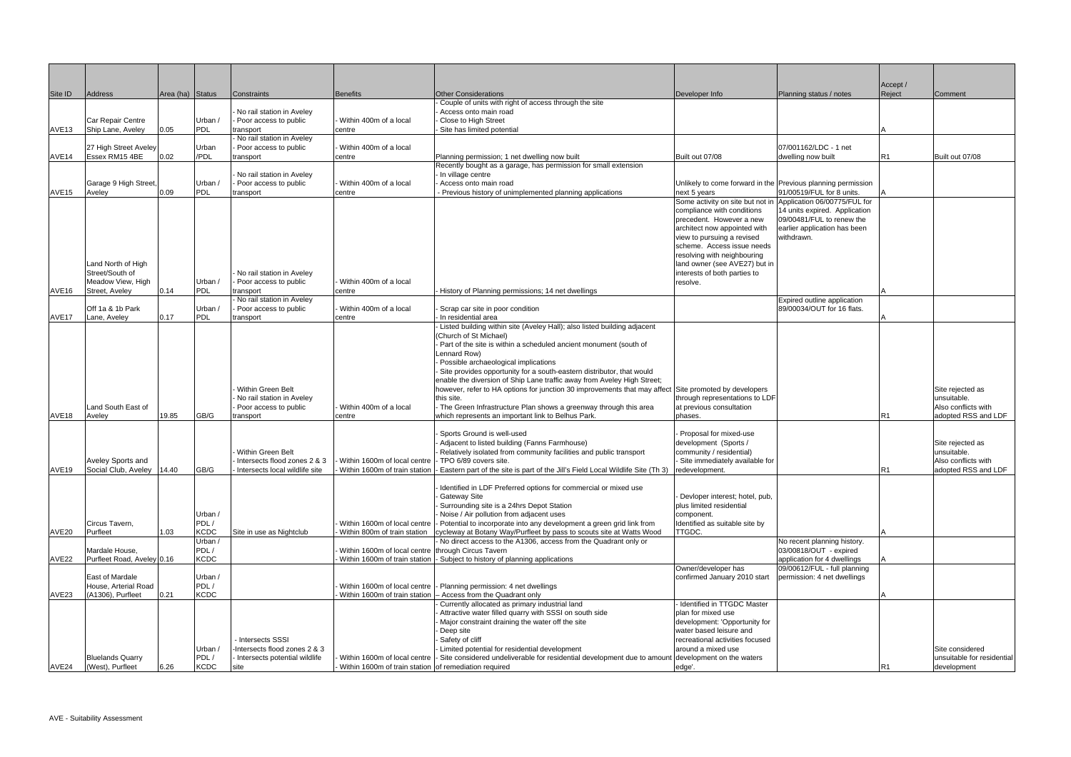|                   |                                         |                  |               |                                                |                                                        |                                                                                                                                |                                                                   |                                                               | Accept /       |                                 |
|-------------------|-----------------------------------------|------------------|---------------|------------------------------------------------|--------------------------------------------------------|--------------------------------------------------------------------------------------------------------------------------------|-------------------------------------------------------------------|---------------------------------------------------------------|----------------|---------------------------------|
| Site ID           | <b>Address</b>                          | Area (ha) Status |               | Constraints                                    | <b>Benefits</b>                                        | <b>Other Considerations</b><br>Couple of units with right of access through the site                                           | Developer Info                                                    | Planning status / notes                                       | Reject         | Comment                         |
|                   |                                         |                  |               | No rail station in Aveley                      |                                                        | Access onto main road                                                                                                          |                                                                   |                                                               |                |                                 |
|                   | Car Repair Centre                       |                  | Urban /       | Poor access to public                          | Within 400m of a local                                 | Close to High Street                                                                                                           |                                                                   |                                                               |                |                                 |
| AVE <sub>13</sub> | Ship Lane, Aveley                       | 0.05             | PDL           | transport                                      | centre                                                 | Site has limited potential                                                                                                     |                                                                   |                                                               |                |                                 |
|                   |                                         |                  |               | No rail station in Aveley                      |                                                        |                                                                                                                                |                                                                   |                                                               |                |                                 |
| AVE <sub>14</sub> | 27 High Street Aveley<br>Essex RM15 4BE | 0.02             | Urban<br>/PDL | Poor access to public<br>transport             | Within 400m of a local<br>centre                       | Planning permission; 1 net dwelling now built                                                                                  | Built out 07/08                                                   | 07/001162/LDC - 1 net<br>dwelling now built                   | R <sub>1</sub> | Built out 07/08                 |
|                   |                                         |                  |               |                                                |                                                        | Recently bought as a garage, has permission for small extension                                                                |                                                                   |                                                               |                |                                 |
|                   |                                         |                  |               | No rail station in Aveley                      |                                                        | In village centre                                                                                                              |                                                                   |                                                               |                |                                 |
|                   | Garage 9 High Street,                   |                  | Urban /       | Poor access to public                          | Within 400m of a local                                 | Access onto main road                                                                                                          | Unlikely to come forward in the Previous planning permission      |                                                               |                |                                 |
| AVE <sub>15</sub> | Aveley                                  | 0.09             | PDL           | transport                                      | centre                                                 | - Previous history of unimplemented planning applications                                                                      | next 5 years                                                      | 91/00519/FUL for 8 units.                                     |                |                                 |
|                   |                                         |                  |               |                                                |                                                        |                                                                                                                                | Some activity on site but not in<br>compliance with conditions    | Application 06/00775/FUL for<br>14 units expired. Application |                |                                 |
|                   |                                         |                  |               |                                                |                                                        |                                                                                                                                | precedent. However a new                                          | 09/00481/FUL to renew the                                     |                |                                 |
|                   |                                         |                  |               |                                                |                                                        |                                                                                                                                | architect now appointed with                                      | earlier application has been                                  |                |                                 |
|                   |                                         |                  |               |                                                |                                                        |                                                                                                                                | view to pursuing a revised                                        | withdrawn.                                                    |                |                                 |
|                   |                                         |                  |               |                                                |                                                        |                                                                                                                                | scheme. Access issue needs                                        |                                                               |                |                                 |
|                   |                                         |                  |               |                                                |                                                        |                                                                                                                                | resolving with neighbouring                                       |                                                               |                |                                 |
|                   | Land North of High<br>Street/South of   |                  |               | No rail station in Aveley                      |                                                        |                                                                                                                                | land owner (see AVE27) but in<br>interests of both parties to     |                                                               |                |                                 |
|                   | Meadow View, High                       |                  | Urban /       | Poor access to public                          | Within 400m of a local                                 |                                                                                                                                | resolve.                                                          |                                                               |                |                                 |
| AVE16             | Street, Aveley                          | 0.14             | PDL           | ransport                                       | centre                                                 | History of Planning permissions; 14 net dwellings                                                                              |                                                                   |                                                               |                |                                 |
|                   |                                         |                  |               | No rail station in Aveley                      |                                                        |                                                                                                                                |                                                                   | Expired outline application                                   |                |                                 |
|                   | Off 1a & 1b Park                        |                  | Urban /       | Poor access to public                          | Within 400m of a local                                 | Scrap car site in poor condition                                                                                               |                                                                   | 89/00034/OUT for 16 flats.                                    |                |                                 |
| AVE <sub>17</sub> | Lane, Aveley                            | 0.17             | PDL           | transport                                      | centre                                                 | In residential area                                                                                                            |                                                                   |                                                               |                |                                 |
|                   |                                         |                  |               |                                                |                                                        | Listed building within site (Aveley Hall); also listed building adjacent<br>(Church of St Michael)                             |                                                                   |                                                               |                |                                 |
|                   |                                         |                  |               |                                                |                                                        | Part of the site is within a scheduled ancient monument (south of                                                              |                                                                   |                                                               |                |                                 |
|                   |                                         |                  |               |                                                |                                                        | Lennard Row)                                                                                                                   |                                                                   |                                                               |                |                                 |
|                   |                                         |                  |               |                                                |                                                        | Possible archaeological implications                                                                                           |                                                                   |                                                               |                |                                 |
|                   |                                         |                  |               |                                                |                                                        | Site provides opportunity for a south-eastern distributor, that would                                                          |                                                                   |                                                               |                |                                 |
|                   |                                         |                  |               |                                                |                                                        | enable the diversion of Ship Lane traffic away from Aveley High Street;                                                        |                                                                   |                                                               |                |                                 |
|                   |                                         |                  |               | Within Green Belt<br>No rail station in Aveley |                                                        | however, refer to HA options for junction 30 improvements that may affect Site promoted by developers<br>this site.            | through representations to LDF                                    |                                                               |                | Site rejected as<br>unsuitable. |
|                   | Land South East of                      |                  |               | Poor access to public                          | Within 400m of a local                                 | The Green Infrastructure Plan shows a greenway through this area                                                               | at previous consultation                                          |                                                               |                | Also conflicts with             |
| AVE <sub>18</sub> | Aveley                                  | 19.85            | GB/G          | transport                                      | centre                                                 | which represents an important link to Belhus Park.                                                                             | phases.                                                           |                                                               | R <sub>1</sub> | adopted RSS and LDF             |
|                   |                                         |                  |               |                                                |                                                        |                                                                                                                                |                                                                   |                                                               |                |                                 |
|                   |                                         |                  |               |                                                |                                                        | Sports Ground is well-used                                                                                                     | Proposal for mixed-use                                            |                                                               |                |                                 |
|                   |                                         |                  |               | <b>Within Green Belt</b>                       |                                                        | Adjacent to listed building (Fanns Farmhouse)<br>Relatively isolated from community facilities and public transport            | development (Sports /<br>community / residential)                 |                                                               |                | Site rejected as<br>unsuitable. |
|                   | Aveley Sports and                       |                  |               | Intersects flood zones 2 & 3                   | - Within 1600m of local centre - TPO 6/89 covers site. |                                                                                                                                | Site immediately available for                                    |                                                               |                | Also conflicts with             |
| AVE <sub>19</sub> | Social Club, Aveley   14.40             |                  | GB/G          | Intersects local wildlife site                 |                                                        | Within 1600m of train station - Eastern part of the site is part of the Jill's Field Local Wildlife Site (Th 3) redevelopment. |                                                                   |                                                               | R1             | adopted RSS and LDF             |
|                   |                                         |                  |               |                                                |                                                        |                                                                                                                                |                                                                   |                                                               |                |                                 |
|                   |                                         |                  |               |                                                |                                                        | Identified in LDF Preferred options for commercial or mixed use                                                                |                                                                   |                                                               |                |                                 |
|                   |                                         |                  |               |                                                |                                                        | <b>Gateway Site</b>                                                                                                            | Devloper interest; hotel, pub,<br><b>plus limited residential</b> |                                                               |                |                                 |
|                   |                                         |                  | Urban /       |                                                |                                                        | Surrounding site is a 24hrs Depot Station<br>Noise / Air pollution from adjacent uses                                          | component.                                                        |                                                               |                |                                 |
|                   | Circus Tavern,                          |                  | PDL/          |                                                | Within 1600m of local centre                           | Potential to incorporate into any development a green grid link from                                                           | Identified as suitable site by                                    |                                                               |                |                                 |
| AVE20             | Purfleet                                | 1.03             | <b>KCDC</b>   | Site in use as Nightclub                       | Within 800m of train station                           | cycleway at Botany Way/Purfleet by pass to scouts site at Watts Wood                                                           | TTGDC.                                                            |                                                               |                |                                 |
|                   |                                         |                  | Urban /       |                                                |                                                        | No direct access to the A1306, access from the Quadrant only or                                                                |                                                                   | No recent planning history.                                   |                |                                 |
|                   | Mardale House,                          |                  | PDL/          |                                                | Within 1600m of local centre through Circus Tavern     |                                                                                                                                |                                                                   | 03/00818/OUT - expired                                        |                |                                 |
| AVE22             | Purfleet Road, Aveley 0.16              |                  | <b>KCDC</b>   |                                                | Within 1600m of train station  -                       | - Subject to history of planning applications                                                                                  |                                                                   | application for 4 dwellings                                   |                |                                 |
|                   | East of Mardale                         |                  | Urban /       |                                                |                                                        |                                                                                                                                | Owner/developer has<br>confirmed January 2010 start               | 09/00612/FUL - full planning<br>permission: 4 net dwellings   |                |                                 |
|                   | House, Arterial Road                    |                  | PDL/          |                                                | Within 1600m of local centre                           | Planning permission: 4 net dwellings                                                                                           |                                                                   |                                                               |                |                                 |
| AVE <sub>23</sub> | (A1306), Purfleet                       | 0.21             | <b>KCDC</b>   |                                                | Within 1600m of train station                          | - Access from the Quadrant only                                                                                                |                                                                   |                                                               |                |                                 |
|                   |                                         |                  |               |                                                |                                                        | Currently allocated as primary industrial land                                                                                 | Identified in TTGDC Master                                        |                                                               |                |                                 |
|                   |                                         |                  |               |                                                |                                                        | Attractive water filled quarry with SSSI on south side                                                                         | plan for mixed use                                                |                                                               |                |                                 |
|                   |                                         |                  |               |                                                |                                                        | Major constraint draining the water off the site                                                                               | development: 'Opportunity for                                     |                                                               |                |                                 |
|                   |                                         |                  |               | <b>Intersects SSSI</b>                         |                                                        | Deep site<br>Safety of cliff                                                                                                   | water based leisure and<br>recreational activities focused        |                                                               |                |                                 |
|                   |                                         |                  | Urban         | -Intersects flood zones 2 & 3                  |                                                        | Limited potential for residential development                                                                                  | around a mixed use                                                |                                                               |                | Site considered                 |
|                   | <b>Bluelands Quarry</b>                 |                  | PDL/          | Intersects potential wildlife                  | Within 1600m of local centre                           | Site considered undeliverable for residential development due to amount                                                        | development on the waters                                         |                                                               |                | unsuitable for residential      |
| AVE24             | (West), Purfleet                        | 6.26             | <b>KCDC</b>   | site                                           | Within 1600m of train station of remediation required  |                                                                                                                                | edge'.                                                            |                                                               | R1             | development                     |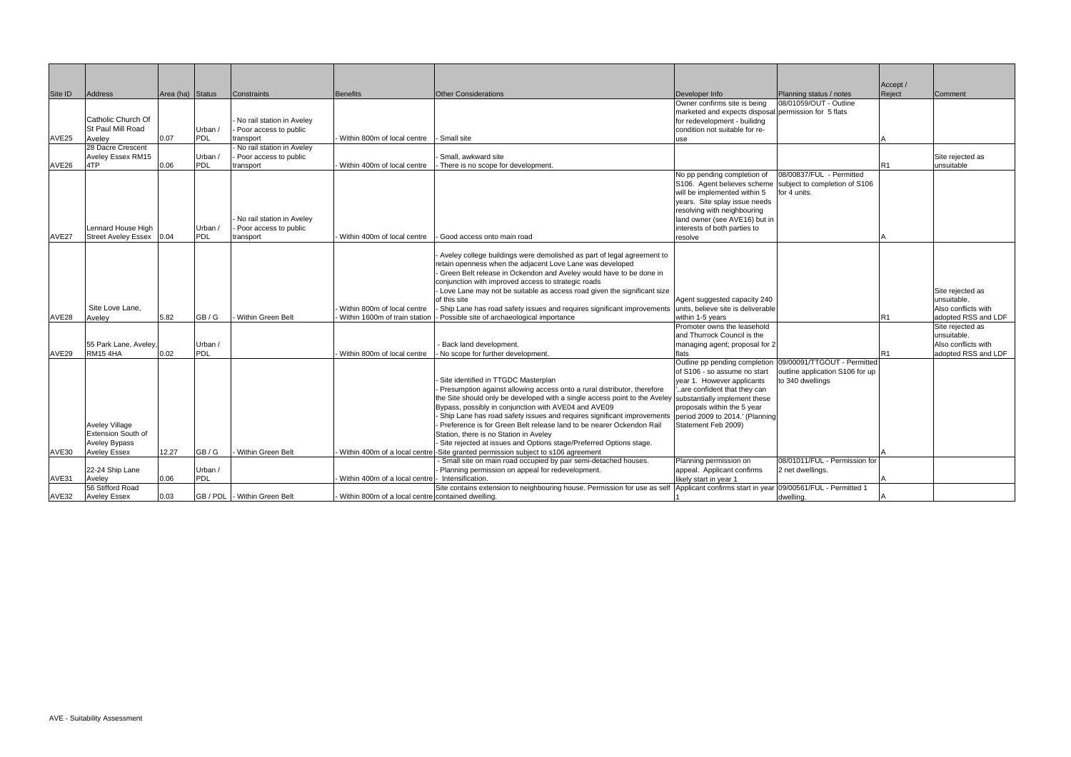|                   |                            |                  |            |                           |                                                   |                                                                                                          |                                                      |                                 | Accept / |                     |
|-------------------|----------------------------|------------------|------------|---------------------------|---------------------------------------------------|----------------------------------------------------------------------------------------------------------|------------------------------------------------------|---------------------------------|----------|---------------------|
| Site ID           | Address                    | Area (ha) Status |            | Constraints               | <b>Benefits</b>                                   | <b>Other Considerations</b>                                                                              | Developer Info                                       | Planning status / notes         | Reject   | Comment             |
|                   |                            |                  |            |                           |                                                   |                                                                                                          | Owner confirms site is being                         | 08/01059/OUT - Outline          |          |                     |
|                   |                            |                  |            |                           |                                                   |                                                                                                          | marketed and expects disposal permission for 5 flats |                                 |          |                     |
|                   | Catholic Church Of         |                  |            | No rail station in Aveley |                                                   |                                                                                                          | for redevelopment - builidng                         |                                 |          |                     |
|                   | <b>St Paul Mill Road</b>   |                  | Urban /    | Poor access to public     |                                                   |                                                                                                          | condition not suitable for re-                       |                                 |          |                     |
| AVE <sub>25</sub> | Aveley                     | 0.07             | PDL        | transport                 | Within 800m of local centre                       | Small site                                                                                               | use                                                  |                                 |          |                     |
|                   | 28 Dacre Crescent          |                  |            | No rail station in Aveley |                                                   |                                                                                                          |                                                      |                                 |          |                     |
|                   | Aveley Essex RM15          |                  | Urban /    | Poor access to public     |                                                   | Small, awkward site                                                                                      |                                                      |                                 |          | Site rejected as    |
| AVE26             | 4TP                        | 0.06             | PDL        | transport                 | Within 400m of local centre                       | There is no scope for development.                                                                       |                                                      |                                 | R1       | unsuitable          |
|                   |                            |                  |            |                           |                                                   |                                                                                                          | No pp pending completion of                          | 08/00837/FUL - Permitted        |          |                     |
|                   |                            |                  |            |                           |                                                   |                                                                                                          | S106. Agent believes scheme                          | subject to completion of S106   |          |                     |
|                   |                            |                  |            |                           |                                                   |                                                                                                          | will be implemented within 5                         | for 4 units.                    |          |                     |
|                   |                            |                  |            |                           |                                                   |                                                                                                          | years. Site splay issue needs                        |                                 |          |                     |
|                   |                            |                  |            |                           |                                                   |                                                                                                          | resolving with neighbouring                          |                                 |          |                     |
|                   |                            |                  |            | No rail station in Aveley |                                                   |                                                                                                          | land owner (see AVE16) but in                        |                                 |          |                     |
|                   | Lennard House High         |                  | Urban /    | Poor access to public     |                                                   |                                                                                                          | interests of both parties to                         |                                 |          |                     |
| AVE27             | <b>Street Aveley Essex</b> | 0.04             | PDL        | transport                 | Within 400m of local centre                       | Good access onto main road                                                                               | resolve                                              |                                 |          |                     |
|                   |                            |                  |            |                           |                                                   |                                                                                                          |                                                      |                                 |          |                     |
|                   |                            |                  |            |                           |                                                   | Aveley college buildings were demolished as part of legal agreement to                                   |                                                      |                                 |          |                     |
|                   |                            |                  |            |                           |                                                   | retain openness when the adjacent Love Lane was developed                                                |                                                      |                                 |          |                     |
|                   |                            |                  |            |                           |                                                   | Green Belt release in Ockendon and Aveley would have to be done in                                       |                                                      |                                 |          |                     |
|                   |                            |                  |            |                           |                                                   | conjunction with improved access to strategic roads                                                      |                                                      |                                 |          |                     |
|                   |                            |                  |            |                           |                                                   | Love Lane may not be suitable as access road given the significant size                                  |                                                      |                                 |          | Site rejected as    |
|                   |                            |                  |            |                           |                                                   | of this site                                                                                             | Agent suggested capacity 240                         |                                 |          | unsuitable.         |
|                   | Site Love Lane.            |                  |            |                           | Within 800m of local centre                       | Ship Lane has road safety issues and requires significant improvements                                   | units, believe site is deliverable                   |                                 |          | Also conflicts with |
| AVE <sub>28</sub> | Aveley                     | 5.82             | GB/G       | <b>Within Green Belt</b>  | Within 1600m of train station                     | Possible site of archaeological importance                                                               | within 1-5 years                                     |                                 |          | adopted RSS and LDF |
|                   |                            |                  |            |                           |                                                   |                                                                                                          | Promoter owns the leasehold                          |                                 |          | Site rejected as    |
|                   |                            |                  |            |                           |                                                   |                                                                                                          | and Thurrock Council is the                          |                                 |          | unsuitable.         |
|                   | 55 Park Lane, Aveley.      |                  | Urban /    |                           |                                                   | Back land development.                                                                                   | managing agent; proposal for 2                       |                                 |          | Also conflicts with |
| AVE29             | <b>RM15 4HA</b>            | 0.02             | <b>PDL</b> |                           | Within 800m of local centre                       | No scope for further development.                                                                        | ilats.                                               |                                 | R1       | adopted RSS and LDF |
|                   |                            |                  |            |                           |                                                   |                                                                                                          | Outline pp pending completion                        | 09/00091/TTGOUT - Permitted     |          |                     |
|                   |                            |                  |            |                           |                                                   |                                                                                                          | of S106 - so assume no start                         | outline application S106 for up |          |                     |
|                   |                            |                  |            |                           |                                                   | Site identified in TTGDC Masterplan                                                                      | year 1. However applicants                           | to 340 dwellings                |          |                     |
|                   |                            |                  |            |                           |                                                   | Presumption against allowing access onto a rural distributor, therefore                                  | are confident that they can                          |                                 |          |                     |
|                   |                            |                  |            |                           |                                                   | the Site should only be developed with a single access point to the Aveley substantially implement these |                                                      |                                 |          |                     |
|                   |                            |                  |            |                           |                                                   | Bypass, possibly in conjunction with AVE04 and AVE09                                                     | proposals within the 5 year                          |                                 |          |                     |
|                   |                            |                  |            |                           |                                                   | - Ship Lane has road safety issues and requires significant improvements                                 | period 2009 to 2014.' (Planning                      |                                 |          |                     |
|                   | <b>Aveley Village</b>      |                  |            |                           |                                                   | Preference is for Green Belt release land to be nearer Ockendon Rail                                     | Statement Feb 2009)                                  |                                 |          |                     |
|                   | <b>Extension South of</b>  |                  |            |                           |                                                   | Station, there is no Station in Aveley                                                                   |                                                      |                                 |          |                     |
|                   | <b>Aveley Bypass</b>       |                  |            |                           |                                                   | Site rejected at issues and Options stage/Preferred Options stage.                                       |                                                      |                                 |          |                     |
| AVE30             | <b>Aveley Essex</b>        | 12.27            | GB/G       | Within Green Belt         |                                                   | Within 400m of a local centre -Site granted permission subject to s106 agreement                         |                                                      |                                 |          |                     |
|                   |                            |                  |            |                           |                                                   | - Small site on main road occupied by pair semi-detached houses.                                         | Planning permission on                               | 08/01011/FUL - Permission for   |          |                     |
|                   | 22-24 Ship Lane            |                  | Urban /    |                           |                                                   | Planning permission on appeal for redevelopment.                                                         | appeal. Applicant confirms                           | 2 net dwellings.                |          |                     |
| AVE31             | Aveley                     | 0.06             | PDL        |                           | Within 400m of a local centre -                   | Intensification.                                                                                         | likely start in year 1                               |                                 |          |                     |
|                   | 56 Stifford Road           |                  |            |                           |                                                   | Site contains extension to neighbouring house. Permission for use as self                                | Applicant confirms start in year                     | 09/00561/FUL - Permitted 1      |          |                     |
| AVE32             | <b>Aveley Essex</b>        | 0.03             | GB/PDL     | - Within Green Belt       | Within 800m of a local centre contained dwelling. |                                                                                                          |                                                      | dwelling.                       |          |                     |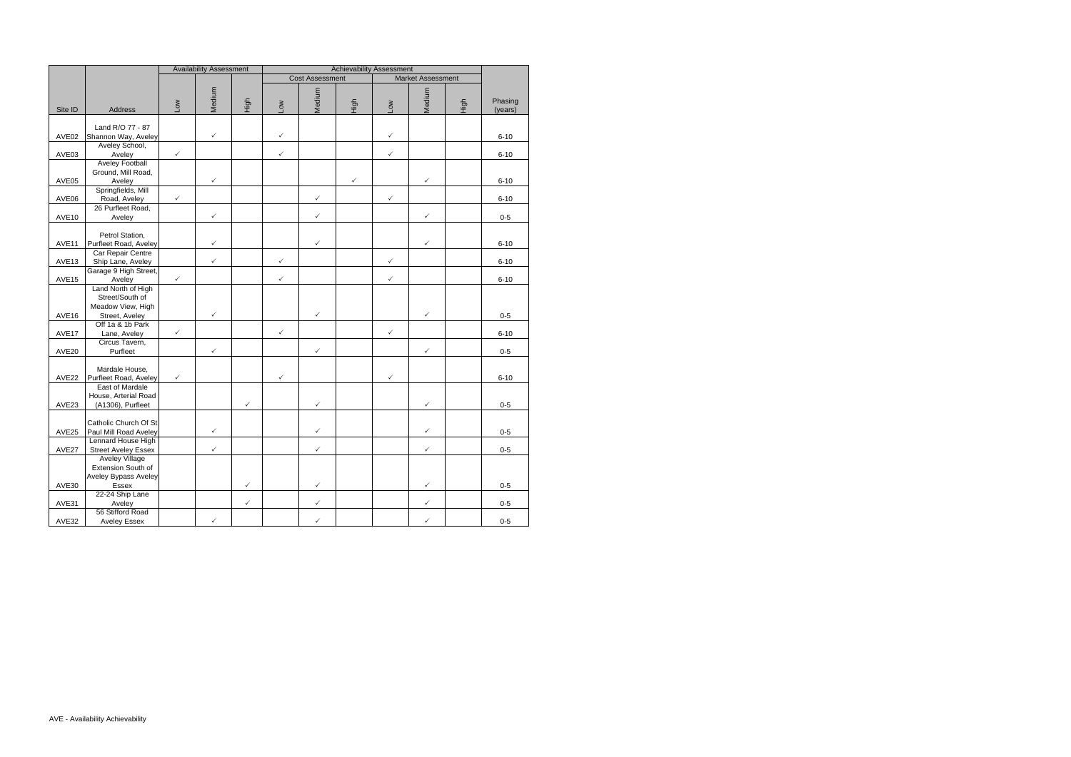|                   |                                                |              | <b>Availability Assessment</b> |              | <b>Achievability Assessment</b> |                        |      |                       |                          |      |                    |
|-------------------|------------------------------------------------|--------------|--------------------------------|--------------|---------------------------------|------------------------|------|-----------------------|--------------------------|------|--------------------|
|                   |                                                |              |                                |              |                                 | <b>Cost Assessment</b> |      |                       | <b>Market Assessment</b> |      |                    |
| Site ID           | <b>Address</b>                                 | Mo7          | Medium                         | High         | <b>NOT</b>                      | Medium                 | High | $\sum_{i=1}^{\infty}$ | Medium                   | High | Phasing<br>(years) |
|                   | Land R/O 77 - 87                               |              |                                |              |                                 |                        |      |                       |                          |      |                    |
| AVE02             | Shannon Way, Aveley                            |              | $\checkmark$                   |              | $\checkmark$                    |                        |      | $\checkmark$          |                          |      | $6 - 10$           |
|                   | Aveley School,                                 |              |                                |              |                                 |                        |      |                       |                          |      |                    |
| AVE03             | Aveley                                         | $\checkmark$ |                                |              | $\checkmark$                    |                        |      | $\checkmark$          |                          |      | $6 - 10$           |
|                   | <b>Aveley Football</b>                         |              |                                |              |                                 |                        |      |                       |                          |      |                    |
| AVE05             | Ground, Mill Road,                             |              | ✓                              |              |                                 |                        | ✓    |                       | ✓                        |      | $6 - 10$           |
|                   | Aveley<br>Springfields, Mill                   |              |                                |              |                                 |                        |      |                       |                          |      |                    |
| AVE06             | Road, Aveley                                   | ✓            |                                |              |                                 | $\checkmark$           |      | $\checkmark$          |                          |      | $6 - 10$           |
|                   | 26 Purfleet Road,                              |              |                                |              |                                 |                        |      |                       |                          |      |                    |
| AVE <sub>10</sub> | Aveley                                         |              | $\checkmark$                   |              |                                 | $\checkmark$           |      |                       | ✓                        |      | $0-5$              |
|                   |                                                |              |                                |              |                                 |                        |      |                       |                          |      |                    |
| AVE11             | Petrol Station,<br>Purfleet Road, Aveley       |              | $\checkmark$                   |              |                                 | $\checkmark$           |      |                       | ✓                        |      | $6 - 10$           |
|                   | Car Repair Centre                              |              |                                |              |                                 |                        |      |                       |                          |      |                    |
| AVE13             | Ship Lane, Aveley                              |              | $\checkmark$                   |              | $\checkmark$                    |                        |      | $\checkmark$          |                          |      | $6 - 10$           |
|                   | Garage 9 High Street,                          |              |                                |              |                                 |                        |      |                       |                          |      |                    |
| AVE <sub>15</sub> | Aveley                                         | $\checkmark$ |                                |              | $\checkmark$                    |                        |      | $\checkmark$          |                          |      | $6 - 10$           |
|                   | Land North of High                             |              |                                |              |                                 |                        |      |                       |                          |      |                    |
|                   | Street/South of<br>Meadow View, High           |              |                                |              |                                 |                        |      |                       |                          |      |                    |
| AVE16             | Street, Aveley                                 |              | $\checkmark$                   |              |                                 | $\checkmark$           |      |                       | ✓                        |      | $0-5$              |
|                   | Off 1a & 1b Park                               |              |                                |              |                                 |                        |      |                       |                          |      |                    |
| AVE17             | Lane, Aveley                                   | $\checkmark$ |                                |              | $\checkmark$                    |                        |      | $\checkmark$          |                          |      | $6 - 10$           |
|                   | Circus Tavern,                                 |              |                                |              |                                 |                        |      |                       |                          |      |                    |
| AVE20             | Purfleet                                       |              | $\checkmark$                   |              |                                 | $\checkmark$           |      |                       | $\checkmark$             |      | $0-5$              |
|                   | Mardale House,                                 |              |                                |              |                                 |                        |      |                       |                          |      |                    |
| AVE22             | Purfleet Road, Aveley                          | $\checkmark$ |                                |              | $\checkmark$                    |                        |      | $\checkmark$          |                          |      | $6 - 10$           |
|                   | East of Mardale                                |              |                                |              |                                 |                        |      |                       |                          |      |                    |
|                   | House, Arterial Road                           |              |                                |              |                                 |                        |      |                       |                          |      |                    |
| AVE23             | (A1306), Purfleet                              |              |                                | $\checkmark$ |                                 | $\checkmark$           |      |                       | $\checkmark$             |      | $0-5$              |
|                   |                                                |              |                                |              |                                 |                        |      |                       |                          |      |                    |
| AVE25             | Catholic Church Of St<br>Paul Mill Road Aveley |              | ✓                              |              |                                 | $\checkmark$           |      |                       | ✓                        |      | $0 - 5$            |
|                   | Lennard House High                             |              |                                |              |                                 |                        |      |                       |                          |      |                    |
| AVE27             | <b>Street Aveley Essex</b>                     |              | $\checkmark$                   |              |                                 | $\checkmark$           |      |                       | ✓                        |      | $0-5$              |
|                   | <b>Aveley Village</b>                          |              |                                |              |                                 |                        |      |                       |                          |      |                    |
|                   | <b>Extension South of</b>                      |              |                                |              |                                 |                        |      |                       |                          |      |                    |
|                   | Aveley Bypass Aveley                           |              |                                |              |                                 |                        |      |                       |                          |      |                    |
| AVE30             | Essex<br>22-24 Ship Lane                       |              |                                | $\checkmark$ |                                 | $\checkmark$           |      |                       | ✓                        |      | $0-5$              |
| AVE31             | Aveley                                         |              |                                | $\checkmark$ |                                 | $\checkmark$           |      |                       | ✓                        |      | $0-5$              |
|                   | 56 Stifford Road                               |              |                                |              |                                 |                        |      |                       |                          |      |                    |
| AVE32             | <b>Aveley Essex</b>                            |              | $\checkmark$                   |              |                                 | $\checkmark$           |      |                       | $\checkmark$             |      | $0-5$              |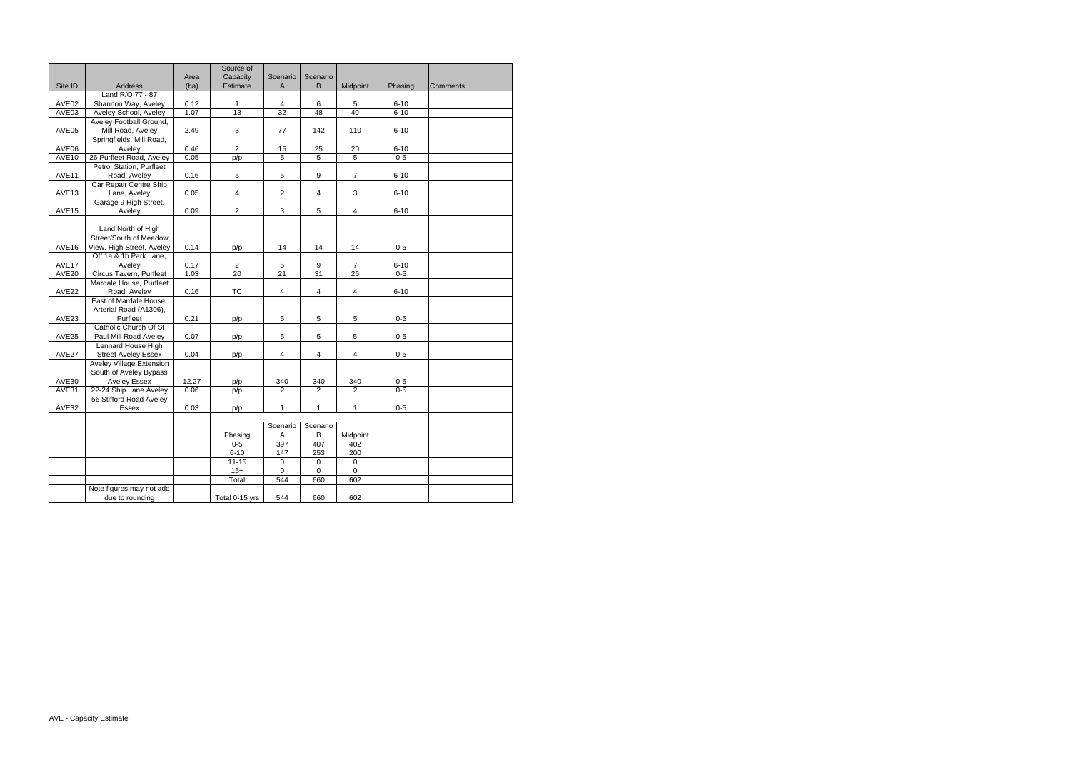|                   |                                 |       | Source of               |                         |                         |                       |          |          |
|-------------------|---------------------------------|-------|-------------------------|-------------------------|-------------------------|-----------------------|----------|----------|
|                   |                                 | Area  | Capacity                | Scenario                | Scenario                |                       |          |          |
| Site ID           | Address                         | (ha)  | Estimate                | Α                       | B                       | Midpoint              | Phasing  | Comments |
|                   | Land R/O 77 - 87                |       |                         |                         |                         |                       |          |          |
| AVE02             | Shannon Way, Aveley             | 0.12  | $\mathbf{1}$            | 4                       | 6                       | 5                     | $6 - 10$ |          |
| AVE <sub>03</sub> | Aveley School, Aveley           | 1.07  | 13                      | 32                      | $\overline{48}$         | $\overline{40}$       | $6 - 10$ |          |
|                   | Aveley Football Ground,         |       |                         |                         |                         |                       |          |          |
| AVE05             | Mill Road, Aveley               | 2.49  | 3                       | $77 \,$                 | 142                     | 110                   | $6 - 10$ |          |
|                   | Springfields, Mill Road,        |       |                         |                         |                         |                       |          |          |
| AVE06             | Aveley                          | 0.46  | $\overline{2}$          | 15                      | 25                      | 20                    | $6 - 10$ |          |
| AVE10             | 26 Purfleet Road, Aveley        | 0.05  | p/p                     | 5                       | 5                       | $\overline{5}$        | $0 - 5$  |          |
|                   | Petrol Station, Purfleet        |       |                         |                         |                         |                       |          |          |
| AVE11             | Road, Aveley                    | 0.16  | 5                       | 5                       | 9                       | $\overline{7}$        | $6 - 10$ |          |
|                   | Car Repair Centre Ship          |       |                         |                         |                         |                       |          |          |
| AVE <sub>13</sub> | Lane, Aveley                    | 0.05  | $\overline{\mathbf{4}}$ | $\overline{\mathbf{c}}$ | $\overline{\mathbf{4}}$ | $\mathbf{3}$          | $6 - 10$ |          |
|                   | Garage 9 High Street,           |       |                         |                         |                         |                       |          |          |
| AVE <sub>15</sub> | Aveley                          | 0.09  | $\overline{c}$          | 3                       | 5                       | 4                     | $6 - 10$ |          |
|                   |                                 |       |                         |                         |                         |                       |          |          |
|                   | Land North of High              |       |                         |                         |                         |                       |          |          |
|                   | Street/South of Meadow          |       |                         |                         |                         |                       |          |          |
| AVE16             | View, High Street, Aveley       | 0.14  | p/p                     | 14                      | 14                      | 14                    | $0-5$    |          |
|                   | Off 1a & 1b Park Lane,          |       |                         |                         |                         |                       |          |          |
| AVE17             | Aveley                          | 0.17  | $\overline{2}$          | $\sqrt{5}$              | 9                       | $\overline{7}$        | $6 - 10$ |          |
| AVE20             | Circus Tavern, Purfleet         | 1.03  | $\overline{20}$         | 21                      | 31                      | 26                    | $0 - 5$  |          |
|                   | Mardale House, Purfleet         |       |                         |                         |                         |                       |          |          |
| AVE22             | Road, Aveley                    | 0.16  | <b>TC</b>               | 4                       | $\overline{4}$          | $\overline{4}$        | $6 - 10$ |          |
|                   | East of Mardale House,          |       |                         |                         |                         |                       |          |          |
|                   | Arterial Road (A1306),          |       |                         |                         |                         |                       |          |          |
| AVE23             | Purfleet                        | 0.21  | p/p                     | 5                       | $\overline{5}$          | 5                     | $0 - 5$  |          |
|                   | Catholic Church Of St           |       |                         |                         |                         |                       |          |          |
| AVE25             | Paul Mill Road Aveley           | 0.07  | p/p                     | 5                       | 5                       | $\overline{5}$        | $0 - 5$  |          |
|                   | Lennard House High              |       |                         |                         |                         |                       |          |          |
| AVE27             | <b>Street Aveley Essex</b>      | 0.04  | p/p                     | 4                       | 4                       | 4                     | $0 - 5$  |          |
|                   | <b>Aveley Village Extension</b> |       |                         |                         |                         |                       |          |          |
|                   | South of Aveley Bypass          |       |                         |                         |                         |                       |          |          |
| AVE30             | <b>Aveley Essex</b>             | 12.27 | p/p                     | 340                     | 340                     | 340                   | $0 - 5$  |          |
| AVE31             | 22-24 Ship Lane Aveley          | 0.06  | p/p                     | $\overline{2}$          | $\overline{2}$          | $\overline{2}$        | $0 - 5$  |          |
|                   | 56 Stifford Road Aveley         |       |                         |                         |                         |                       |          |          |
| AVE32             | Essex                           | 0.03  | p/p                     | 1                       | $\mathbf{1}$            | $\mathbf{1}$          | $0 - 5$  |          |
|                   |                                 |       |                         |                         |                         |                       |          |          |
|                   |                                 |       |                         | Scenario                | Scenario                |                       |          |          |
|                   |                                 |       | Phasing                 | Α                       | B                       | Midpoint              |          |          |
|                   |                                 |       | $0 - 5$                 | 397                     | 407                     | 402                   |          |          |
|                   |                                 |       | $6 - 10$                | 147                     | 253                     | 200                   |          |          |
|                   |                                 |       | $11 - 15$               | 0                       | 0                       | 0                     |          |          |
|                   |                                 |       | $15+$<br>Total          | $\mathbf 0$<br>544      | $\pmb{0}$<br>660        | $\overline{0}$<br>602 |          |          |
|                   |                                 |       |                         |                         |                         |                       |          |          |
|                   | Note figures may not add        |       |                         | 544                     | 660                     | 602                   |          |          |
|                   | due to rounding                 |       | Total 0-15 yrs          |                         |                         |                       |          |          |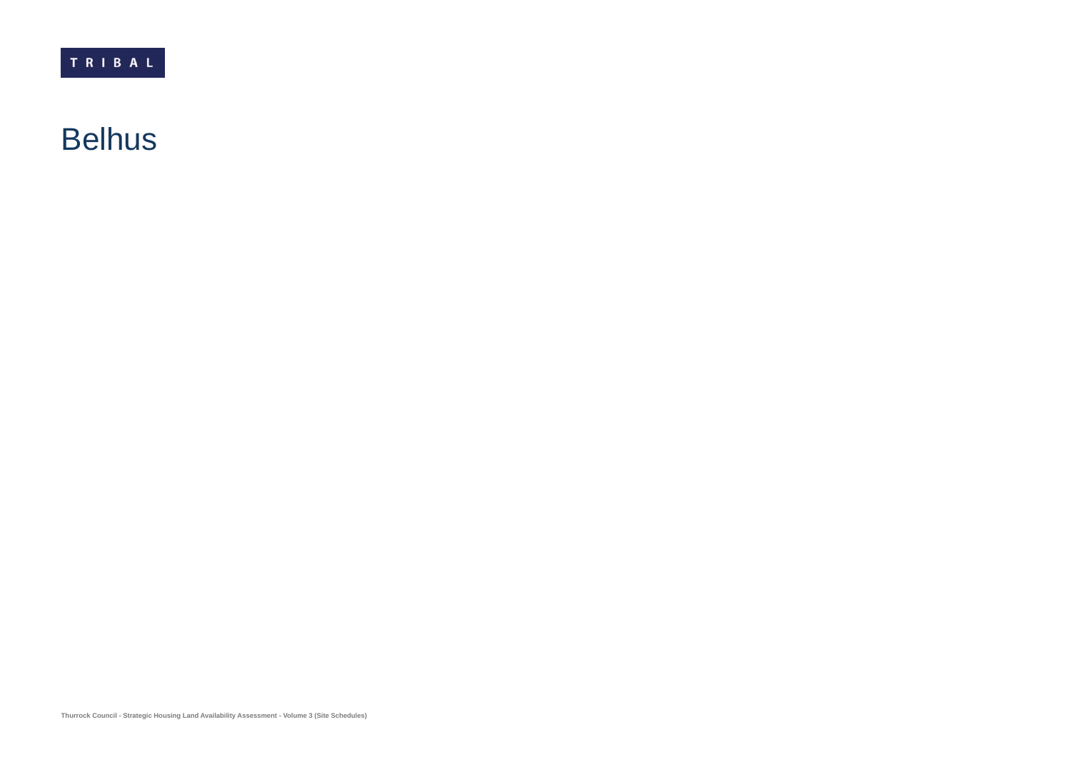TRIBAL

### Belhus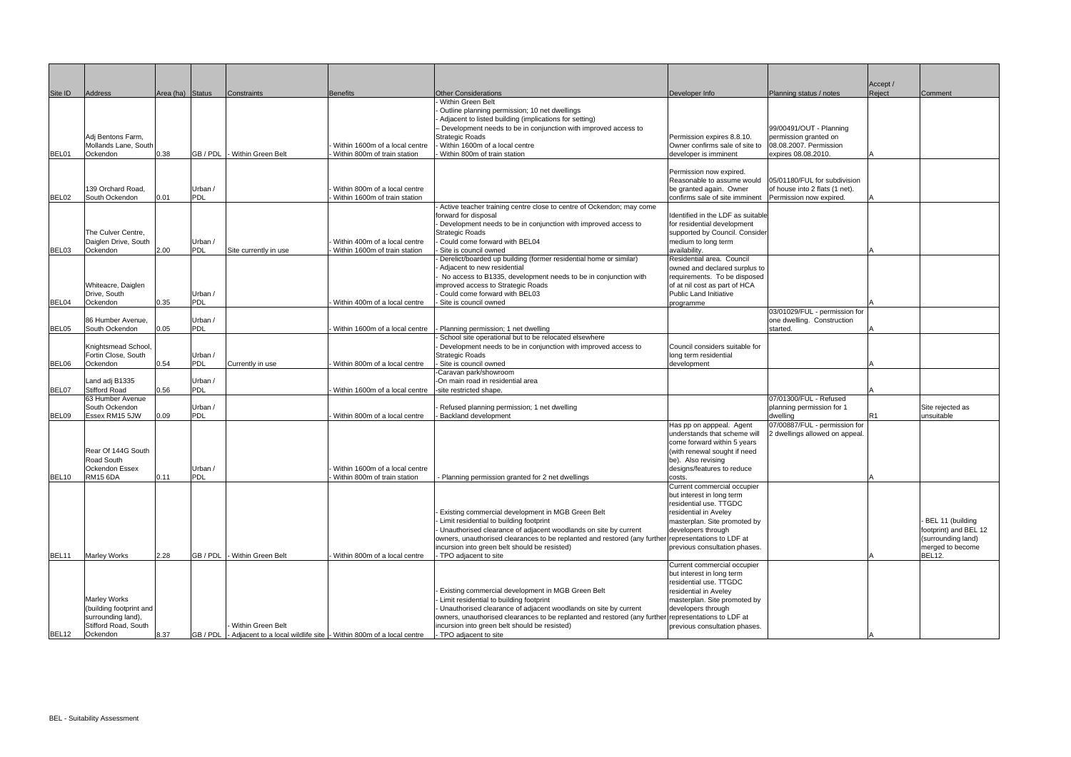| Site ID        | Address                                                                                                  | Area (ha) Status |                       | Constraints                                                                                         | <b>Benefits</b>                                                  | <b>Other Considerations</b>                                                                                                                                                                                                                                                                                                                         | Developer Info                                                                                                                                                                                                                  | Planning status / notes                                                                           |  |
|----------------|----------------------------------------------------------------------------------------------------------|------------------|-----------------------|-----------------------------------------------------------------------------------------------------|------------------------------------------------------------------|-----------------------------------------------------------------------------------------------------------------------------------------------------------------------------------------------------------------------------------------------------------------------------------------------------------------------------------------------------|---------------------------------------------------------------------------------------------------------------------------------------------------------------------------------------------------------------------------------|---------------------------------------------------------------------------------------------------|--|
| BEL01          | Adj Bentons Farm,<br>Mollands Lane, South<br>Ockendon                                                    | 0.38             | GB / PDL              | - Within Green Belt                                                                                 | Within 1600m of a local centre<br>Within 800m of train station   | Within Green Belt<br>Outline planning permission; 10 net dwellings<br>Adjacent to listed building (implications for setting)<br>- Development needs to be in conjunction with improved access to<br><b>Strategic Roads</b><br>Within 1600m of a local centre<br>Within 800m of train station                                                        | Permission expires 8.8.10.<br>Owner confirms sale of site to<br>developer is imminent                                                                                                                                           | 99/00491/OUT - Planning<br>permission granted on<br>08.08.2007. Permission<br>expires 08.08.2010. |  |
|                | 139 Orchard Road,                                                                                        |                  | Urban /               |                                                                                                     | Within 800m of a local centre                                    |                                                                                                                                                                                                                                                                                                                                                     | Permission now expired.<br>Reasonable to assume would<br>be granted again. Owner                                                                                                                                                | 05/01180/FUL for subdivision<br>of house into 2 flats (1 net).                                    |  |
| BEL02          | South Ockendon<br>The Culver Centre,<br>Daiglen Drive, South                                             | 0.01             | <b>PDL</b><br>Urban / |                                                                                                     | Within 1600m of train station<br>Within 400m of a local centre   | Active teacher training centre close to centre of Ockendon; may come<br>forward for disposal<br>- Development needs to be in conjunction with improved access to<br><b>Strategic Roads</b><br>Could come forward with BEL04                                                                                                                         | confirms sale of site imminent<br>Identified in the LDF as suitable<br>for residential development<br>supported by Council. Consider<br>medium to long term                                                                     | Permission now expired.                                                                           |  |
| BEL03<br>BEL04 | Ockendon<br>Whiteacre, Daiglen<br>Drive, South<br>Ockendon                                               | 2.00<br>0.35     | PDL<br>Urban /<br>PDL | Site currently in use                                                                               | Within 1600m of train station<br>Within 400m of a local centre   | Site is council owned<br>Derelict/boarded up building (former residential home or similar)<br>Adjacent to new residential<br>No access to B1335, development needs to be in conjunction with<br>improved access to Strategic Roads<br>Could come forward with BEL03<br>Site is council owned                                                        | availability.<br>Residential area. Council<br>owned and declared surplus to<br>requirements. To be disposed<br>of at nil cost as part of HCA<br>Public Land Initiative<br>programme                                             |                                                                                                   |  |
|                |                                                                                                          |                  |                       |                                                                                                     |                                                                  |                                                                                                                                                                                                                                                                                                                                                     |                                                                                                                                                                                                                                 | 03/01029/FUL - permission for                                                                     |  |
| BEL05          | 86 Humber Avenue.<br>South Ockendon                                                                      | 0.05             | Urban /<br><b>PDL</b> |                                                                                                     | Within 1600m of a local centre                                   | Planning permission; 1 net dwelling                                                                                                                                                                                                                                                                                                                 |                                                                                                                                                                                                                                 | one dwelling. Construction<br>started.                                                            |  |
| BEL06          | Knightsmead School,<br>Fortin Close, South<br>Ockendon                                                   | 0.54             | Urban /<br>PDL        | Currently in use                                                                                    | Within 800m of a local centre                                    | School site operational but to be relocated elsewhere<br>- Development needs to be in conjunction with improved access to<br><b>Strategic Roads</b><br>Site is council owned                                                                                                                                                                        | Council considers suitable for<br>long term residential<br>development                                                                                                                                                          |                                                                                                   |  |
| BEL07          | Land adj B1335<br><b>Stifford Road</b><br>63 Humber Avenue                                               | 0.56             | Urban /<br><b>PDL</b> |                                                                                                     | Within 1600m of a local centre                                   | -Caravan park/showroom<br>-On main road in residential area<br>-site restricted shape.                                                                                                                                                                                                                                                              |                                                                                                                                                                                                                                 | 07/01300/FUL - Refused                                                                            |  |
| BEL09          | South Ockendon<br>Essex RM15 5JW                                                                         | 0.09             | Urban /<br>PDL        |                                                                                                     | Within 800m of a local centre                                    | Refused planning permission; 1 net dwelling<br>Backland development                                                                                                                                                                                                                                                                                 |                                                                                                                                                                                                                                 | planning permission for 1<br>dwelling                                                             |  |
| BEL10          | Rear Of 144G South<br>Road South<br>Ockendon Essex<br><b>RM15 6DA</b>                                    | 0.11             | Urban /<br>PDL        |                                                                                                     | - Within 1600m of a local centre<br>Within 800m of train station | - Planning permission granted for 2 net dwellings                                                                                                                                                                                                                                                                                                   | Has pp on apppeal. Agent<br>understands that scheme will<br>come forward within 5 years<br>(with renewal sought if need<br>be). Also revising<br>designs/features to reduce<br>costs.                                           | 07/00887/FUL - permission for<br>2 dwellings allowed on appeal.                                   |  |
| BEL11          | <b>Marley Works</b>                                                                                      | 2.28             | GB / PDL              | - Within Green Belt                                                                                 | Within 800m of a local centre                                    | Existing commercial development in MGB Green Belt<br>Limit residential to building footprint<br>- Unauthorised clearance of adjacent woodlands on site by current<br>owners, unauthorised clearances to be replanted and restored (any further representations to LDF at<br>incursion into green belt should be resisted)<br>- TPO adjacent to site | Current commercial occupier<br>but interest in long term<br>residential use. TTGDC<br>residential in Aveley<br>masterplan. Site promoted by<br>developers through<br>previous consultation phases.                              |                                                                                                   |  |
| BEL12          | <b>Marley Works</b><br>(building footprint and<br>surrounding land),<br>Stifford Road, South<br>Ockendon | 8.37             |                       | Within Green Belt<br>GB / PDL  - Adjacent to a local wildlife site  - Within 800m of a local centre |                                                                  | Existing commercial development in MGB Green Belt<br>- Limit residential to building footprint<br>- Unauthorised clearance of adjacent woodlands on site by current<br>owners, unauthorised clearances to be replanted and restored (any further<br>incursion into green belt should be resisted)<br>- TPO adjacent to site                         | Current commercial occupier<br>but interest in long term<br>residential use. TTGDC<br>residential in Aveley<br>masterplan. Site promoted by<br>developers through<br>representations to LDF at<br>previous consultation phases. |                                                                                                   |  |

|                                                                                           | Accept /       |                                                                                                        |
|-------------------------------------------------------------------------------------------|----------------|--------------------------------------------------------------------------------------------------------|
| Planning status / notes                                                                   | Reject         | Comment                                                                                                |
|                                                                                           |                |                                                                                                        |
| 99/00491/OUT - Planning<br>permission granted on<br>08.08.2007. Permission                |                |                                                                                                        |
| expires 08.08.2010.                                                                       | Α              |                                                                                                        |
| 05/01180/FUL for subdivision<br>of house into 2 flats (1 net).<br>Permission now expired. | Α              |                                                                                                        |
|                                                                                           |                |                                                                                                        |
|                                                                                           | А              |                                                                                                        |
|                                                                                           | Α              |                                                                                                        |
| 03/01029/FUL - permission for<br>one dwelling. Construction<br>started.                   | Α              |                                                                                                        |
|                                                                                           | Α              |                                                                                                        |
|                                                                                           | Α              |                                                                                                        |
| 07/01300/FUL - Refused<br>planning permission for 1<br>dwelling                           | R <sub>1</sub> | Site rejected as<br>unsuitable                                                                         |
| 07/00887/FUL - permission for<br>2 dwellings allowed on appeal.                           |                |                                                                                                        |
|                                                                                           | А              |                                                                                                        |
|                                                                                           | Α              | - BEL 11 (building<br>footprint) and BEL 12<br>(surrounding land)<br>merged to become<br><b>BEL12.</b> |
|                                                                                           |                |                                                                                                        |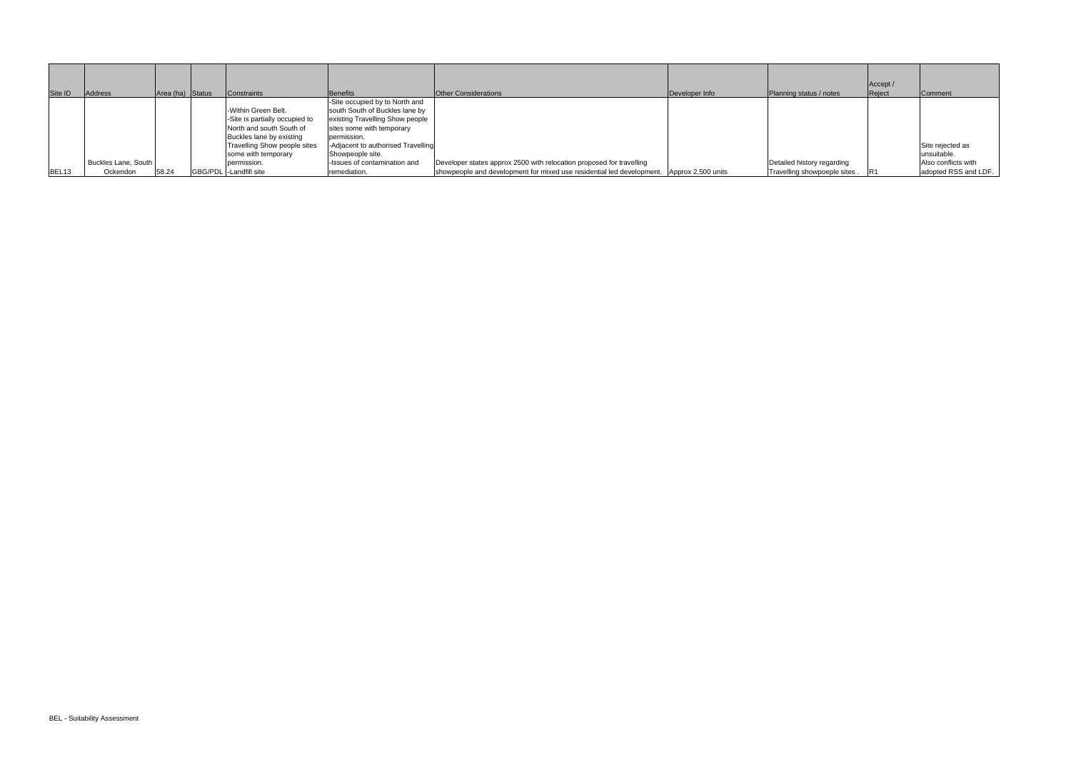|                   |                     |                  |                                |                                    |                                                                                          |                |                              | Accept / |                      |
|-------------------|---------------------|------------------|--------------------------------|------------------------------------|------------------------------------------------------------------------------------------|----------------|------------------------------|----------|----------------------|
| Site ID           | Address             | Area (ha) Status | Constraints                    | Benefits                           | <b>Other Considerations</b>                                                              | Developer Info | Planning status / notes      | Reject   | Comment              |
|                   |                     |                  |                                | -Site occupied by to North and     |                                                                                          |                |                              |          |                      |
|                   |                     |                  | -Within Green Belt.            | south South of Buckles lane by     |                                                                                          |                |                              |          |                      |
|                   |                     |                  | -Site is partially occupied to | existing Travelling Show people    |                                                                                          |                |                              |          |                      |
|                   |                     |                  | North and south South of       | sites some with temporary          |                                                                                          |                |                              |          |                      |
|                   |                     |                  | Buckles lane by existing       | permission.                        |                                                                                          |                |                              |          |                      |
|                   |                     |                  | Travelling Show people sites   | -Adjacent to authorised Travelling |                                                                                          |                |                              |          | Site rejected as     |
|                   |                     |                  | some with temporary            | Showpeople site.                   |                                                                                          |                |                              |          | unsuitable.          |
|                   | Buckles Lane, South |                  | permission.                    | -Issues of contamination and       | Developer states approx 2500 with relocation proposed for travelling                     |                | Detailed history regarding   |          | Also conflicts with  |
| BEL <sub>13</sub> | Ockendon            | 58.24            | GBG/PDL -Landfill site         | remediation.                       | showpeople and development for mixed use residential led development. Approx 2,500 units |                | Travelling showpoeple sites. |          | adopted RSS and LDF. |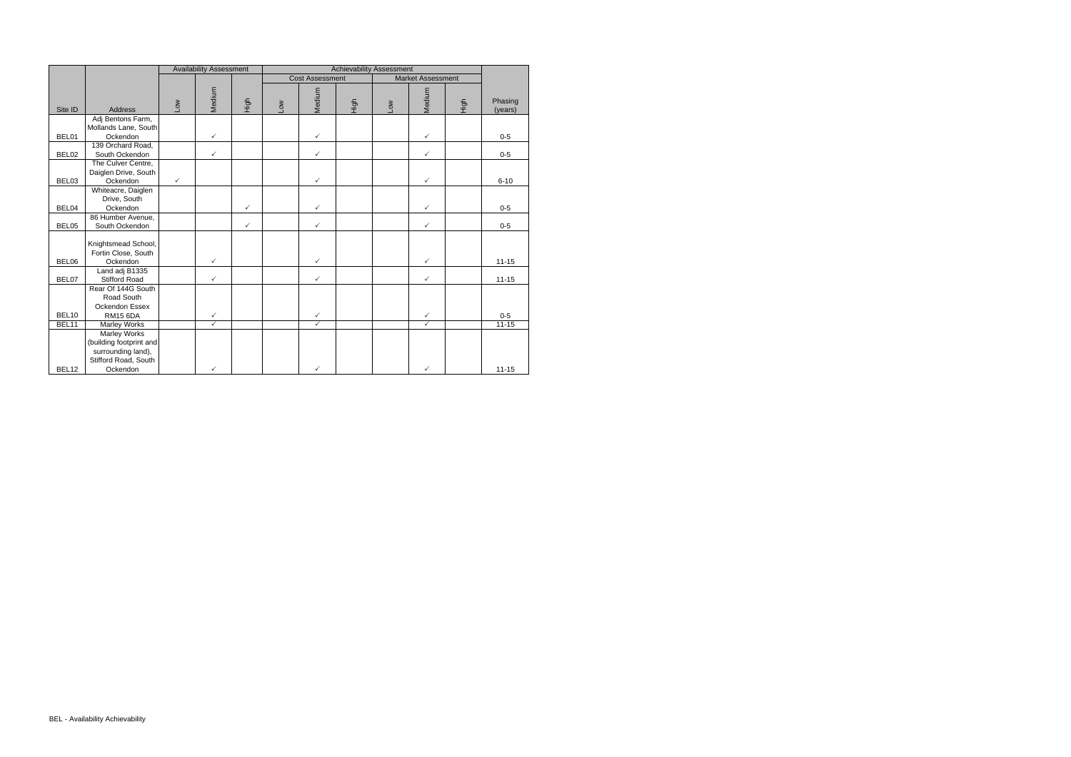|         |                                                                                   | <b>Achievability Assessment</b><br><b>Availability Assessment</b> |              |              |            |                        |      |     |                          |      |                    |
|---------|-----------------------------------------------------------------------------------|-------------------------------------------------------------------|--------------|--------------|------------|------------------------|------|-----|--------------------------|------|--------------------|
|         |                                                                                   |                                                                   |              |              |            | <b>Cost Assessment</b> |      |     | <b>Market Assessment</b> |      |                    |
| Site ID | <b>Address</b>                                                                    | ×ە∟                                                               | Medium       | High         | <b>Nor</b> | Medium                 | High | ΜΟΠ | Medium                   | High | Phasing<br>(years) |
|         | Adj Bentons Farm,                                                                 |                                                                   |              |              |            |                        |      |     |                          |      |                    |
|         | Mollands Lane, South                                                              |                                                                   |              |              |            |                        |      |     |                          |      |                    |
| BEL01   | Ockendon                                                                          |                                                                   | ✓            |              |            | $\checkmark$           |      |     | ✓                        |      | $0 - 5$            |
|         | 139 Orchard Road,                                                                 |                                                                   |              |              |            |                        |      |     |                          |      |                    |
| BEL02   | South Ockendon                                                                    |                                                                   | $\checkmark$ |              |            | $\checkmark$           |      |     | ✓                        |      | $0-5$              |
|         | The Culver Centre,                                                                |                                                                   |              |              |            |                        |      |     |                          |      |                    |
|         | Daiglen Drive, South                                                              |                                                                   |              |              |            |                        |      |     |                          |      |                    |
| BEL03   | Ockendon                                                                          | $\checkmark$                                                      |              |              |            | $\checkmark$           |      |     | $\checkmark$             |      | $6 - 10$           |
|         | Whiteacre, Daiglen                                                                |                                                                   |              |              |            |                        |      |     |                          |      |                    |
|         | Drive, South                                                                      |                                                                   |              |              |            |                        |      |     |                          |      |                    |
| BEL04   | Ockendon                                                                          |                                                                   |              | $\checkmark$ |            | $\checkmark$           |      |     | $\checkmark$             |      | $0 - 5$            |
|         | 86 Humber Avenue,                                                                 |                                                                   |              |              |            |                        |      |     |                          |      |                    |
| BEL05   | South Ockendon                                                                    |                                                                   |              | $\checkmark$ |            | $\checkmark$           |      |     | $\checkmark$             |      | $0 - 5$            |
| BEL06   | Knightsmead School,<br>Fortin Close, South<br>Ockendon                            |                                                                   | $\checkmark$ |              |            | $\checkmark$           |      |     | $\checkmark$             |      | $11 - 15$          |
|         | Land adj B1335                                                                    |                                                                   |              |              |            |                        |      |     |                          |      |                    |
| BEL07   | <b>Stifford Road</b>                                                              |                                                                   | $\checkmark$ |              |            | $\checkmark$           |      |     | $\checkmark$             |      | $11 - 15$          |
| BEL10   | Rear Of 144G South<br>Road South<br>Ockendon Essex<br><b>RM15 6DA</b>             |                                                                   | $\checkmark$ |              |            | $\checkmark$           |      |     | $\checkmark$             |      | $0-5$              |
| BEL11   | Marley Works                                                                      |                                                                   | $\checkmark$ |              |            | $\checkmark$           |      |     | $\checkmark$             |      | $11 - 15$          |
|         | Marley Works                                                                      |                                                                   |              |              |            |                        |      |     |                          |      |                    |
| BEL12   | (building footprint and<br>surrounding land),<br>Stifford Road, South<br>Ockendon |                                                                   | ✓            |              |            | ✓                      |      |     | ✓                        |      | $11 - 15$          |
|         |                                                                                   |                                                                   |              |              |            |                        |      |     |                          |      |                    |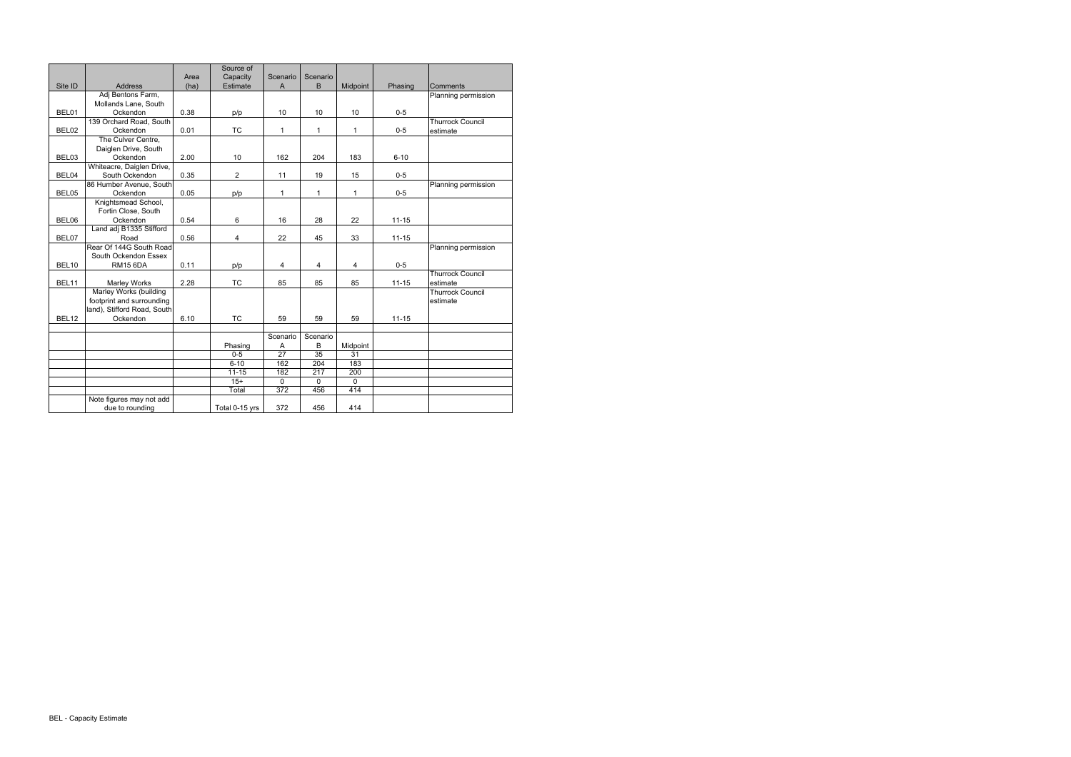|                   |                             |      | Source of               |                  |              |                   |           |                         |
|-------------------|-----------------------------|------|-------------------------|------------------|--------------|-------------------|-----------|-------------------------|
|                   |                             | Area | Capacity                | Scenario         | Scenario     |                   |           |                         |
| Site ID           | <b>Address</b>              | (ha) | Estimate                | A                | B            | Midpoint          | Phasing   | Comments                |
|                   | Adj Bentons Farm,           |      |                         |                  |              |                   |           | Planning permission     |
|                   | Mollands Lane, South        |      |                         |                  |              |                   |           |                         |
| BEL01             | Ockendon                    | 0.38 | p/p                     | 10               | 10           | 10                | $0-5$     |                         |
|                   | 139 Orchard Road, South     |      |                         |                  |              |                   |           | <b>Thurrock Council</b> |
| BEL02             | Ockendon                    | 0.01 | <b>TC</b>               | $\mathbf{1}$     | $\mathbf{1}$ | 1                 | $0 - 5$   | estimate                |
|                   | The Culver Centre,          |      |                         |                  |              |                   |           |                         |
|                   | Daiglen Drive, South        |      |                         |                  |              |                   |           |                         |
| BEL03             | Ockendon                    | 2.00 | 10                      | 162              | 204          | 183               | $6 - 10$  |                         |
|                   | Whiteacre, Daiglen Drive,   |      |                         |                  |              |                   |           |                         |
| BEL04             | South Ockendon              | 0.35 | $\overline{\mathbf{c}}$ | 11               | 19           | 15                | $0 - 5$   |                         |
|                   | 86 Humber Avenue, South     |      |                         |                  |              |                   |           | Planning permission     |
| BEL05             | Ockendon                    | 0.05 | p/p                     | $\mathbf{1}$     | $\mathbf{1}$ | $\mathbf{1}$      | $0-5$     |                         |
|                   | Knightsmead School,         |      |                         |                  |              |                   |           |                         |
|                   | Fortin Close, South         |      |                         |                  |              |                   |           |                         |
| BEL06             | Ockendon                    | 0.54 | 6                       | 16               | 28           | 22                | $11 - 15$ |                         |
|                   | Land adj B1335 Stifford     |      |                         |                  |              |                   |           |                         |
| BEL07             | Road                        | 0.56 | 4                       | 22               | 45           | 33                | $11 - 15$ |                         |
|                   | Rear Of 144G South Road     |      |                         |                  |              |                   |           | Planning permission     |
|                   | South Ockendon Essex        |      |                         |                  |              |                   |           |                         |
| BEL <sub>10</sub> | <b>RM15 6DA</b>             | 0.11 | p/p                     | 4                | 4            | 4                 | $0-5$     |                         |
|                   |                             |      |                         |                  |              |                   |           | <b>Thurrock Council</b> |
| BEL11             | <b>Marley Works</b>         | 2.28 | <b>TC</b>               | 85               | 85           | 85                | $11 - 15$ | estimate                |
|                   | Marley Works (building      |      |                         |                  |              |                   |           | <b>Thurrock Council</b> |
|                   | footprint and surrounding   |      |                         |                  |              |                   |           | estimate                |
|                   | land), Stifford Road, South |      |                         |                  |              |                   |           |                         |
| BEL <sub>12</sub> | Ockendon                    | 6.10 | <b>TC</b>               | 59               | 59           | 59                | $11 - 15$ |                         |
|                   |                             |      |                         |                  |              |                   |           |                         |
|                   |                             |      |                         | Scenario         | Scenario     |                   |           |                         |
|                   |                             |      | Phasing                 | Α                | B            | Midpoint          |           |                         |
|                   |                             |      | $0-5$                   | 27               | 35           | $\overline{31}$   |           |                         |
|                   |                             |      | $6 - 10$                | 162              | 204          | 183               |           |                         |
|                   |                             |      | $11 - 15$               | 182              | 217          | $\frac{200}{200}$ |           |                         |
|                   |                             |      | $15+$                   | 0                | 0            | 0                 |           |                         |
|                   |                             |      | Total                   | $\overline{372}$ | 456          | 414               |           |                         |
|                   | Note figures may not add    |      |                         |                  |              |                   |           |                         |
|                   | due to rounding             |      | Total 0-15 yrs          | 372              | 456          | 414               |           |                         |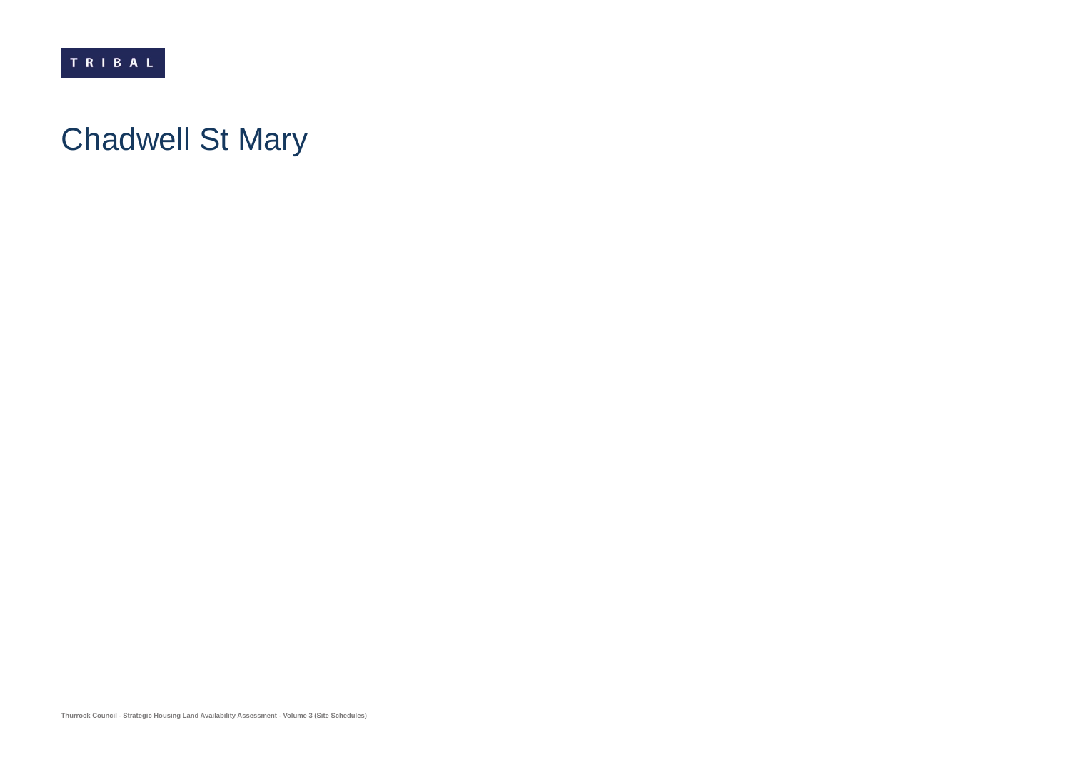### Chadwell St Mary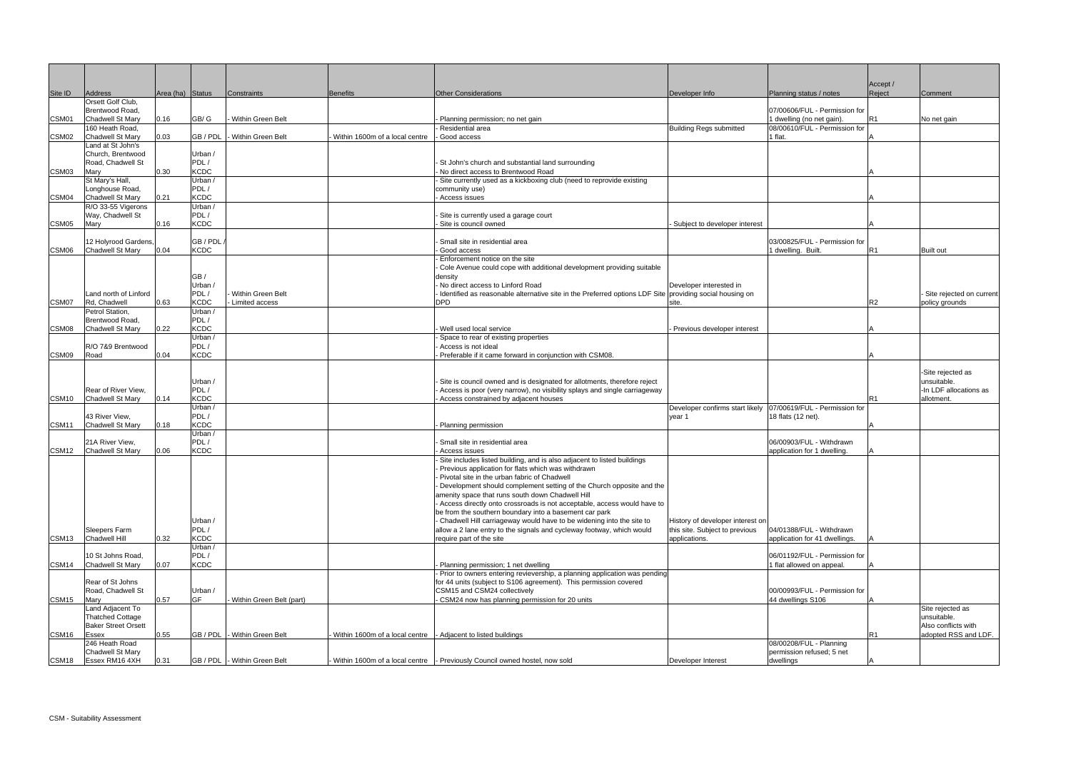|            | Planning status / notes                                    | Accept /<br>Reject | Comment                                                    |
|------------|------------------------------------------------------------|--------------------|------------------------------------------------------------|
|            |                                                            |                    |                                                            |
|            | 07/00606/FUL - Permission for<br>1 dwelling (no net gain). | R <sub>1</sub>     | No net gain                                                |
|            | 08/00610/FUL - Permission for                              |                    |                                                            |
|            | 1 flat.                                                    | Α                  |                                                            |
|            |                                                            |                    |                                                            |
|            |                                                            | Α                  |                                                            |
|            |                                                            |                    |                                                            |
|            |                                                            | Α                  |                                                            |
|            |                                                            |                    |                                                            |
| est        |                                                            | Α                  |                                                            |
|            |                                                            |                    |                                                            |
|            | 03/00825/FUL - Permission for<br>1 dwelling. Built.        | R <sub>1</sub>     | <b>Built out</b>                                           |
|            |                                                            |                    |                                                            |
|            |                                                            |                    |                                                            |
|            |                                                            |                    | - Site rejected on current                                 |
|            |                                                            | R <sub>2</sub>     | policy grounds                                             |
|            |                                                            |                    |                                                            |
| st         |                                                            | Α                  |                                                            |
|            |                                                            |                    |                                                            |
|            |                                                            | Α                  |                                                            |
|            |                                                            |                    | -Site rejected as<br>unsuitable.<br>-In LDF allocations as |
|            |                                                            | R <sub>1</sub>     | allotment.                                                 |
| ely        | 07/00619/FUL - Permission for<br>18 flats (12 net).        |                    |                                                            |
|            |                                                            | А                  |                                                            |
|            | 06/00903/FUL - Withdrawn<br>application for 1 dwelling.    | Α                  |                                                            |
|            |                                                            |                    |                                                            |
|            |                                                            |                    |                                                            |
|            |                                                            |                    |                                                            |
|            |                                                            |                    |                                                            |
|            |                                                            |                    |                                                            |
| st on<br>s | 04/01388/FUL - Withdrawn                                   |                    |                                                            |
|            | application for 41 dwellings.                              | Α                  |                                                            |
|            | 06/01192/FUL - Permission for                              |                    |                                                            |
|            | 1 flat allowed on appeal.                                  | Α                  |                                                            |
|            |                                                            |                    |                                                            |
|            | 00/00993/FUL - Permission for                              |                    |                                                            |
|            | 44 dwellings S106                                          | Α                  | Site rejected as                                           |
|            |                                                            |                    | unsuitable.                                                |
|            |                                                            | R <sub>1</sub>     | Also conflicts with<br>adopted RSS and LDF.                |
|            | 08/00208/FUL - Planning                                    |                    |                                                            |
|            | permission refused; 5 net<br>dwellings                     | Α                  |                                                            |

|                   |                                                       |                  |                                |                              |                                |                                                                                                                                                                                                                                                                                                                  |                                                                    |                                                           | <b>Ac</b>      |
|-------------------|-------------------------------------------------------|------------------|--------------------------------|------------------------------|--------------------------------|------------------------------------------------------------------------------------------------------------------------------------------------------------------------------------------------------------------------------------------------------------------------------------------------------------------|--------------------------------------------------------------------|-----------------------------------------------------------|----------------|
| Site ID           | Address<br>Orsett Golf Club,                          | Area (ha) Status |                                | Constraints                  | <b>Benefits</b>                | <b>Other Considerations</b>                                                                                                                                                                                                                                                                                      | Developer Info                                                     | Planning status / notes                                   | Re             |
|                   | Brentwood Road,                                       |                  |                                |                              |                                |                                                                                                                                                                                                                                                                                                                  |                                                                    | 07/00606/FUL - Permission for                             |                |
| CSM01             | <b>Chadwell St Mary</b>                               | 0.16             | GB/G                           | Within Green Belt            |                                | Planning permission; no net gain                                                                                                                                                                                                                                                                                 |                                                                    | 1 dwelling (no net gain).                                 | R <sub>1</sub> |
|                   | 160 Heath Road,                                       |                  |                                |                              |                                | Residential area                                                                                                                                                                                                                                                                                                 | <b>Building Regs submitted</b>                                     | 08/00610/FUL - Permission for                             |                |
| CSM02             | <b>Chadwell St Mary</b>                               | 0.03             | GB / PDL                       | - Within Green Belt          | Within 1600m of a local centre | Good access                                                                                                                                                                                                                                                                                                      |                                                                    | 1 flat.                                                   |                |
|                   | Land at St John's<br>Church, Brentwood                |                  | Urban /                        |                              |                                |                                                                                                                                                                                                                                                                                                                  |                                                                    |                                                           |                |
|                   | Road, Chadwell St                                     |                  | PDL/                           |                              |                                | - St John's church and substantial land surrounding                                                                                                                                                                                                                                                              |                                                                    |                                                           |                |
| CSM03             | Mary                                                  | 0.30             | <b>KCDC</b>                    |                              |                                | No direct access to Brentwood Road                                                                                                                                                                                                                                                                               |                                                                    |                                                           |                |
|                   | St Mary's Hall,                                       |                  | Urban /                        |                              |                                | Site currently used as a kickboxing club (need to reprovide existing                                                                                                                                                                                                                                             |                                                                    |                                                           |                |
|                   | Longhouse Road,                                       |                  | PDL/                           |                              |                                | community use)                                                                                                                                                                                                                                                                                                   |                                                                    |                                                           |                |
| CSM04             | Chadwell St Mary<br>R/O 33-55 Vigerons                | 0.21             | <b>KCDC</b><br>Urban /         |                              |                                | Access issues                                                                                                                                                                                                                                                                                                    |                                                                    |                                                           |                |
|                   | Way, Chadwell St                                      |                  | PDL/                           |                              |                                | Site is currently used a garage court                                                                                                                                                                                                                                                                            |                                                                    |                                                           |                |
| CSM05             | Mary                                                  | 0.16             | <b>KCDC</b>                    |                              |                                | Site is council owned                                                                                                                                                                                                                                                                                            | Subject to developer interest                                      |                                                           |                |
|                   |                                                       |                  |                                |                              |                                |                                                                                                                                                                                                                                                                                                                  |                                                                    |                                                           |                |
|                   | 12 Holyrood Gardens,                                  |                  | GB / PDL                       |                              |                                | Small site in residential area                                                                                                                                                                                                                                                                                   |                                                                    | 03/00825/FUL - Permission for                             |                |
| CSM06             | Chadwell St Mary                                      | 0.04             | <b>KCDC</b>                    |                              |                                | Good access                                                                                                                                                                                                                                                                                                      |                                                                    | 1 dwelling. Built.                                        | R <sub>1</sub> |
|                   |                                                       |                  |                                |                              |                                | Enforcement notice on the site                                                                                                                                                                                                                                                                                   |                                                                    |                                                           |                |
|                   |                                                       |                  | GB/                            |                              |                                | Cole Avenue could cope with additional development providing suitable<br>density                                                                                                                                                                                                                                 |                                                                    |                                                           |                |
|                   |                                                       |                  | Urban /                        |                              |                                | No direct access to Linford Road                                                                                                                                                                                                                                                                                 | Developer interested in                                            |                                                           |                |
|                   | Land north of Linford                                 |                  | PDL/                           | <b>Within Green Belt</b>     |                                | Identified as reasonable alternative site in the Preferred options LDF Site providing social housing on                                                                                                                                                                                                          |                                                                    |                                                           |                |
| CSM07             | Rd, Chadwell                                          | 0.63             | <b>KCDC</b>                    | Limited access               |                                | <b>DPD</b>                                                                                                                                                                                                                                                                                                       | site.                                                              |                                                           | R2             |
|                   | Petrol Station,                                       |                  | Urban /                        |                              |                                |                                                                                                                                                                                                                                                                                                                  |                                                                    |                                                           |                |
| CSM08             | Brentwood Road,<br><b>Chadwell St Mary</b>            | 0.22             | PDL/<br><b>KCDC</b>            |                              |                                |                                                                                                                                                                                                                                                                                                                  |                                                                    |                                                           |                |
|                   |                                                       |                  | Urban /                        |                              |                                | Well used local service<br>Space to rear of existing properties                                                                                                                                                                                                                                                  | Previous developer interest                                        |                                                           |                |
|                   | R/O 7&9 Brentwood                                     |                  | PDL/                           |                              |                                | - Access is not ideal                                                                                                                                                                                                                                                                                            |                                                                    |                                                           |                |
| CSM09             | Road                                                  | 0.04             | <b>KCDC</b>                    |                              |                                | Preferable if it came forward in conjunction with CSM08.                                                                                                                                                                                                                                                         |                                                                    |                                                           |                |
| CSM10             | Rear of River View,<br><b>Chadwell St Mary</b>        | 0.14             | Urban /<br>PDL/<br><b>KCDC</b> |                              |                                | Site is council owned and is designated for allotments, therefore reject<br>Access is poor (very narrow), no visibility splays and single carriageway<br>Access constrained by adjacent houses                                                                                                                   |                                                                    |                                                           | R <sub>1</sub> |
|                   | 43 River View.                                        |                  | Urban /<br>PDL/                |                              |                                |                                                                                                                                                                                                                                                                                                                  | Developer confirms start likely                                    | 07/00619/FUL - Permission for                             |                |
| CSM11             | <b>Chadwell St Mary</b>                               | 0.18             | <b>KCDC</b>                    |                              |                                | Planning permission                                                                                                                                                                                                                                                                                              | year 1                                                             | 18 flats (12 net).                                        |                |
|                   |                                                       |                  | Urban /                        |                              |                                |                                                                                                                                                                                                                                                                                                                  |                                                                    |                                                           |                |
|                   | 21A River View,                                       |                  | PDL/                           |                              |                                | Small site in residential area                                                                                                                                                                                                                                                                                   |                                                                    | 06/00903/FUL - Withdrawn                                  |                |
| CSM12             | <b>Chadwell St Mary</b>                               | 0.06             | <b>KCDC</b>                    |                              |                                | Access issues                                                                                                                                                                                                                                                                                                    |                                                                    | application for 1 dwelling.                               |                |
|                   |                                                       |                  |                                |                              |                                | Site includes listed building, and is also adjacent to listed buildings<br>Previous application for flats which was withdrawn<br>Pivotal site in the urban fabric of Chadwell<br>- Development should complement setting of the Church opposite and the<br>amenity space that runs south down Chadwell Hill      |                                                                    |                                                           |                |
|                   | <b>Sleepers Farm</b><br>Chadwell Hill                 |                  | Urban /<br>PDL/<br><b>KCDC</b> |                              |                                | - Access directly onto crossroads is not acceptable, access would have to<br>be from the southern boundary into a basement car park<br>Chadwell Hill carriageway would have to be widening into the site to<br>allow a 2 lane entry to the signals and cycleway footway, which would<br>require part of the site | History of developer interest on<br>this site. Subject to previous | 04/01388/FUL - Withdrawn<br>application for 41 dwellings. |                |
| CSM <sub>13</sub> |                                                       | 0.32             | Urban /                        |                              |                                |                                                                                                                                                                                                                                                                                                                  | applications.                                                      |                                                           |                |
|                   | 10 St Johns Road,                                     |                  | PDL/                           |                              |                                |                                                                                                                                                                                                                                                                                                                  |                                                                    | 06/01192/FUL - Permission for                             |                |
| CSM14             | <b>Chadwell St Mary</b>                               | 0.07             | <b>KCDC</b>                    |                              |                                | Planning permission; 1 net dwelling                                                                                                                                                                                                                                                                              |                                                                    | 1 flat allowed on appeal.                                 |                |
|                   |                                                       |                  |                                |                              |                                | - Prior to owners entering revievership, a planning application was pending                                                                                                                                                                                                                                      |                                                                    |                                                           |                |
|                   | Rear of St Johns                                      |                  |                                |                              |                                | for 44 units (subject to S106 agreement). This permission covered                                                                                                                                                                                                                                                |                                                                    |                                                           |                |
|                   | Road, Chadwell St                                     |                  | Urban /                        |                              |                                | CSM15 and CSM24 collectively                                                                                                                                                                                                                                                                                     |                                                                    | 00/00993/FUL - Permission for                             |                |
| CSM15             | Mary<br>Land Adjacent To                              | 0.57             | GF                             | - Within Green Belt (part)   |                                | CSM24 now has planning permission for 20 units                                                                                                                                                                                                                                                                   |                                                                    | 44 dwellings S106                                         |                |
|                   | <b>Thatched Cottage</b><br><b>Baker Street Orsett</b> |                  |                                |                              |                                |                                                                                                                                                                                                                                                                                                                  |                                                                    |                                                           |                |
| CSM16             | <b>Essex</b>                                          | 0.55             |                                | GB / PDL - Within Green Belt | Within 1600m of a local centre | - Adjacent to listed buildings                                                                                                                                                                                                                                                                                   |                                                                    |                                                           | R <sub>1</sub> |
|                   | 246 Heath Road                                        |                  |                                |                              |                                |                                                                                                                                                                                                                                                                                                                  |                                                                    | 08/00208/FUL - Planning                                   |                |
|                   | Chadwell St Mary                                      |                  |                                |                              |                                |                                                                                                                                                                                                                                                                                                                  |                                                                    | permission refused; 5 net                                 |                |
| CSM18             | Essex RM16 4XH                                        | 0.31             |                                | GB / PDL - Within Green Belt |                                | Within 1600m of a local centre  - Previously Council owned hostel, now sold                                                                                                                                                                                                                                      | Developer Interest                                                 | dwellings                                                 |                |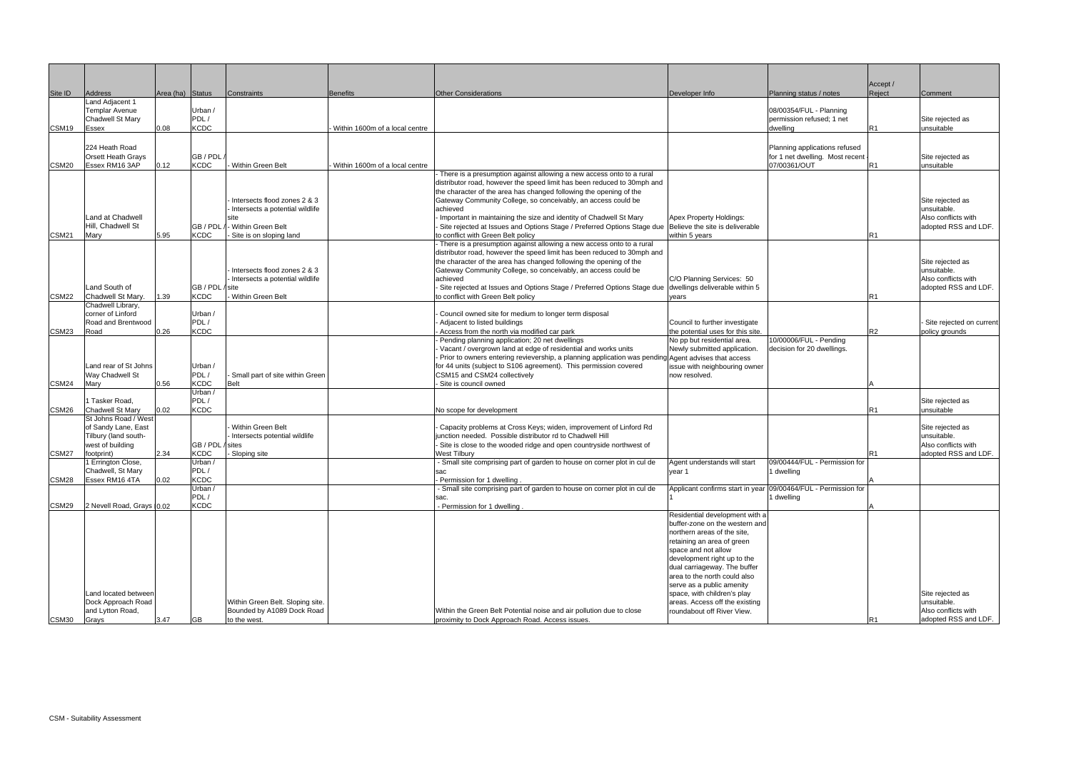| Site ID           | Address                   | Area (ha) Status |                  | Constraints                       | <b>Benefits</b>                | <b>Other Considerations</b>                                                                             | Developer Info                                 | Planning status / notes                                        | Accept /<br>Reject | Comment                    |
|-------------------|---------------------------|------------------|------------------|-----------------------------------|--------------------------------|---------------------------------------------------------------------------------------------------------|------------------------------------------------|----------------------------------------------------------------|--------------------|----------------------------|
|                   | Land Adjacent 1           |                  |                  |                                   |                                |                                                                                                         |                                                |                                                                |                    |                            |
|                   | <b>Templar Avenue</b>     |                  | Urban /          |                                   |                                |                                                                                                         |                                                | 08/00354/FUL - Planning                                        |                    |                            |
|                   | <b>Chadwell St Mary</b>   |                  | PDL/             |                                   |                                |                                                                                                         |                                                | permission refused; 1 net                                      |                    | Site rejected as           |
| CSM <sub>19</sub> | Essex                     | 0.08             | <b>KCDC</b>      |                                   | Within 1600m of a local centre |                                                                                                         |                                                | dwelling                                                       | R1                 | unsuitable                 |
|                   |                           |                  |                  |                                   |                                |                                                                                                         |                                                |                                                                |                    |                            |
|                   | 224 Heath Road            |                  |                  |                                   |                                |                                                                                                         |                                                | Planning applications refused                                  |                    |                            |
|                   | <b>Orsett Heath Grays</b> |                  | GB / PDL         |                                   |                                |                                                                                                         |                                                | for 1 net dwelling. Most recent                                |                    | Site rejected as           |
| CSM <sub>20</sub> | Essex RM16 3AP            | 0.12             | <b>KCDC</b>      | <b>Within Green Belt</b>          | Within 1600m of a local centre |                                                                                                         |                                                | 07/00361/OUT                                                   | R <sub>1</sub>     | unsuitable                 |
|                   |                           |                  |                  |                                   |                                | There is a presumption against allowing a new access onto to a rural                                    |                                                |                                                                |                    |                            |
|                   |                           |                  |                  |                                   |                                | distributor road, however the speed limit has been reduced to 30mph and                                 |                                                |                                                                |                    |                            |
|                   |                           |                  |                  |                                   |                                | the character of the area has changed following the opening of the                                      |                                                |                                                                |                    |                            |
|                   |                           |                  |                  | Intersects flood zones 2 & 3      |                                | Gateway Community College, so conceivably, an access could be                                           |                                                |                                                                |                    | Site rejected as           |
|                   |                           |                  |                  | Intersects a potential wildlife   |                                | achieved                                                                                                |                                                |                                                                |                    | unsuitable.                |
|                   | Land at Chadwell          |                  |                  |                                   |                                | Important in maintaining the size and identity of Chadwell St Mary                                      | <b>Apex Property Holdings:</b>                 |                                                                |                    | Also conflicts with        |
|                   | Hill, Chadwell St         |                  | GB/PDL           | - Within Green Belt               |                                | Site rejected at Issues and Options Stage / Preferred Options Stage due Believe the site is deliverable |                                                |                                                                |                    | adopted RSS and LDF.       |
| <b>CSM21</b>      | Mary                      | 5.95             | <b>KCDC</b>      | Site is on sloping land           |                                | to conflict with Green Belt policy                                                                      | within 5 years                                 |                                                                | R1                 |                            |
|                   |                           |                  |                  |                                   |                                | There is a presumption against allowing a new access onto to a rural                                    |                                                |                                                                |                    |                            |
|                   |                           |                  |                  |                                   |                                | distributor road, however the speed limit has been reduced to 30mph and                                 |                                                |                                                                |                    |                            |
|                   |                           |                  |                  |                                   |                                | the character of the area has changed following the opening of the                                      |                                                |                                                                |                    | Site rejected as           |
|                   |                           |                  |                  | Intersects flood zones 2 & 3      |                                | Gateway Community College, so conceivably, an access could be                                           |                                                |                                                                |                    | unsuitable.                |
|                   |                           |                  |                  | - Intersects a potential wildlife |                                | achieved                                                                                                | C/O Planning Services: 50                      |                                                                |                    | Also conflicts with        |
|                   | Land South of             |                  | GB / PDL / site  |                                   |                                | Site rejected at Issues and Options Stage / Preferred Options Stage due dwellings deliverable within 5  |                                                |                                                                |                    | adopted RSS and LDF.       |
| CSM22             | Chadwell St Mary.         | 1.39             | <b>KCDC</b>      | - Within Green Belt               |                                | to conflict with Green Belt policy                                                                      | years                                          |                                                                | R <sub>1</sub>     |                            |
|                   | Chadwell Library,         |                  |                  |                                   |                                |                                                                                                         |                                                |                                                                |                    |                            |
|                   | corner of Linford         |                  | Urban /          |                                   |                                | Council owned site for medium to longer term disposal                                                   |                                                |                                                                |                    |                            |
|                   | Road and Brentwood        |                  | PDL/             |                                   |                                | Adjacent to listed buildings                                                                            | Council to further investigate                 |                                                                |                    | - Site rejected on current |
| CSM23             | Road                      | 0.26             | <b>KCDC</b>      |                                   |                                | Access from the north via modified car park                                                             | the potential uses for this site.              |                                                                | R2                 | policy grounds             |
|                   |                           |                  |                  |                                   |                                | Pending planning application; 20 net dwellings                                                          | No pp but residential area.                    | 10/00006/FUL - Pending                                         |                    |                            |
|                   |                           |                  |                  |                                   |                                | Vacant / overgrown land at edge of residential and works units                                          | Newly submitted application.                   | decision for 20 dwellings.                                     |                    |                            |
|                   | Land rear of St Johns     |                  |                  |                                   |                                | Prior to owners entering revievership, a planning application was pending Agent advises that access     |                                                |                                                                |                    |                            |
|                   | Way Chadwell St           |                  | Urban /<br>PDL/  | Small part of site within Green   |                                | for 44 units (subject to S106 agreement). This permission covered<br>CSM15 and CSM24 collectively       | issue with neighbouring owner<br>now resolved. |                                                                |                    |                            |
| CSM24             | Mary                      | 0.56             | <b>KCDC</b>      | <b>Belt</b>                       |                                | Site is council owned                                                                                   |                                                |                                                                |                    |                            |
|                   |                           |                  | Urban /          |                                   |                                |                                                                                                         |                                                |                                                                |                    |                            |
|                   | 1 Tasker Road.            |                  | PDL/             |                                   |                                |                                                                                                         |                                                |                                                                |                    | Site rejected as           |
| CSM26             | <b>Chadwell St Mary</b>   | 0.02             | <b>KCDC</b>      |                                   |                                | No scope for development                                                                                |                                                |                                                                | R <sub>1</sub>     | unsuitable                 |
|                   | St Johns Road / West      |                  |                  |                                   |                                |                                                                                                         |                                                |                                                                |                    |                            |
|                   | of Sandy Lane, East       |                  |                  | <b>Within Green Belt</b>          |                                | Capacity problems at Cross Keys; widen, improvement of Linford Rd                                       |                                                |                                                                |                    | Site rejected as           |
|                   | Tilbury (land south-      |                  |                  | Intersects potential wildlife     |                                | iunction needed. Possible distributor rd to Chadwell Hill                                               |                                                |                                                                |                    | unsuitable.                |
|                   | west of building          |                  | GB / PDL / sites |                                   |                                | Site is close to the wooded ridge and open countryside northwest of                                     |                                                |                                                                |                    | Also conflicts with        |
| CSM <sub>27</sub> | footprint)                | 2.34             | KCDC             | - Sloping site                    |                                | West Tilbury                                                                                            |                                                |                                                                | R1                 | adopted RSS and LDF.       |
|                   | 1 Errington Close.        |                  | Urban /          |                                   |                                | - Small site comprising part of garden to house on corner plot in cul de                                | Agent understands will start                   | 09/00444/FUL - Permission for                                  |                    |                            |
|                   | Chadwell, St Mary         |                  | PDL/             |                                   |                                | sac                                                                                                     | year 1                                         | 1 dwelling                                                     |                    |                            |
| CSM28             | Essex RM16 4TA            | 0.02             | <b>KCDC</b>      |                                   |                                | Permission for 1 dwelling                                                                               |                                                |                                                                |                    |                            |
|                   |                           |                  | Urban /          |                                   |                                | - Small site comprising part of garden to house on corner plot in cul de                                |                                                | Applicant confirms start in year 09/00464/FUL - Permission for |                    |                            |
|                   |                           |                  | PDL/             |                                   |                                | sac.                                                                                                    |                                                | 1 dwelling                                                     |                    |                            |
| CSM29             | 2 Nevell Road, Grays 0.02 |                  | <b>KCDC</b>      |                                   |                                | - Permission for 1 dwelling.                                                                            |                                                |                                                                |                    |                            |
|                   |                           |                  |                  |                                   |                                |                                                                                                         | Residential development with a                 |                                                                |                    |                            |
|                   |                           |                  |                  |                                   |                                |                                                                                                         | buffer-zone on the western and                 |                                                                |                    |                            |
|                   |                           |                  |                  |                                   |                                |                                                                                                         | northern areas of the site.                    |                                                                |                    |                            |
|                   |                           |                  |                  |                                   |                                |                                                                                                         | retaining an area of green                     |                                                                |                    |                            |
|                   |                           |                  |                  |                                   |                                |                                                                                                         | space and not allow                            |                                                                |                    |                            |
|                   |                           |                  |                  |                                   |                                |                                                                                                         | development right up to the                    |                                                                |                    |                            |
|                   |                           |                  |                  |                                   |                                |                                                                                                         | dual carriageway. The buffer                   |                                                                |                    |                            |
|                   |                           |                  |                  |                                   |                                |                                                                                                         | area to the north could also                   |                                                                |                    |                            |
|                   |                           |                  |                  |                                   |                                |                                                                                                         | serve as a public amenity                      |                                                                |                    |                            |
|                   | Land located between      |                  |                  |                                   |                                |                                                                                                         | space, with children's play                    |                                                                |                    | Site rejected as           |
|                   | Dock Approach Road        |                  |                  | Within Green Belt. Sloping site.  |                                |                                                                                                         | areas. Access off the existing                 |                                                                |                    | unsuitable.                |
|                   | and Lytton Road,          |                  |                  | Bounded by A1089 Dock Road        |                                | Within the Green Belt Potential noise and air pollution due to close                                    | roundabout off River View.                     |                                                                |                    | Also conflicts with        |
| CSM30             | Grays                     | 3.47             | GB               | to the west.                      |                                | proximity to Dock Approach Road. Access issues.                                                         |                                                |                                                                |                    | adopted RSS and LDF.       |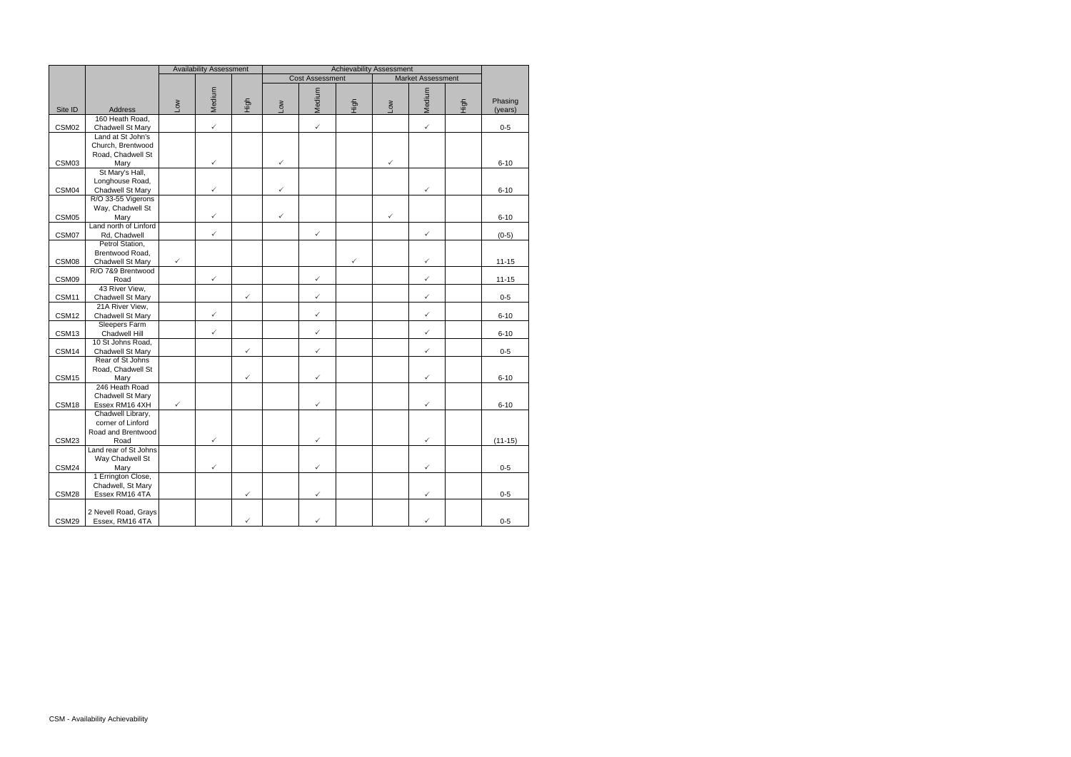|                   |                                                                     |              | <b>Availability Assessment</b> |              | <b>Achievability Assessment</b> |                        |      |              |                          |      |                    |
|-------------------|---------------------------------------------------------------------|--------------|--------------------------------|--------------|---------------------------------|------------------------|------|--------------|--------------------------|------|--------------------|
|                   |                                                                     |              |                                |              |                                 | <b>Cost Assessment</b> |      |              | <b>Market Assessment</b> |      |                    |
| Site ID           | Address                                                             | <b>No7</b>   | Medium                         | High         | ιοw                             | Medium                 | High | ΜΟ           | Medium                   | High | Phasing<br>(years) |
|                   | 160 Heath Road,                                                     |              |                                |              |                                 |                        |      |              |                          |      |                    |
| CSM <sub>02</sub> | Chadwell St Mary                                                    |              | $\checkmark$                   |              |                                 | $\checkmark$           |      |              | $\checkmark$             |      | $0-5$              |
| CSM03             | Land at St John's<br>Church, Brentwood<br>Road, Chadwell St<br>Mary |              | $\checkmark$                   |              | $\checkmark$                    |                        |      | $\checkmark$ |                          |      | $6 - 10$           |
|                   | St Mary's Hall,                                                     |              |                                |              |                                 |                        |      |              |                          |      |                    |
| CSM04             | Longhouse Road,<br>Chadwell St Mary                                 |              | ✓                              |              | $\checkmark$                    |                        |      |              | $\checkmark$             |      | $6 - 10$           |
| CSM05             | R/O 33-55 Vigerons<br>Way, Chadwell St<br>Mary                      |              | $\checkmark$                   |              | $\checkmark$                    |                        |      | $\checkmark$ |                          |      | $6 - 10$           |
| CSM07             | Land north of Linford<br>Rd, Chadwell                               |              | $\checkmark$                   |              |                                 | $\checkmark$           |      |              | $\checkmark$             |      | $(0-5)$            |
|                   | Petrol Station,                                                     |              |                                |              |                                 |                        |      |              |                          |      |                    |
|                   | Brentwood Road,                                                     |              |                                |              |                                 |                        |      |              |                          |      |                    |
| CSM08             | Chadwell St Mary                                                    | ✓            |                                |              |                                 |                        |      |              | ✓                        |      | $11 - 15$          |
|                   | R/O 7&9 Brentwood                                                   |              |                                |              |                                 |                        |      |              |                          |      |                    |
| CSM09             | Road                                                                |              | $\checkmark$                   |              |                                 | $\checkmark$           |      |              | $\checkmark$             |      | $11 - 15$          |
| CSM11             | 43 River View,<br>Chadwell St Mary                                  |              |                                | $\checkmark$ |                                 | $\checkmark$           |      |              | $\checkmark$             |      | $0-5$              |
|                   | 21A River View,                                                     |              |                                |              |                                 |                        |      |              |                          |      |                    |
| CSM12             | Chadwell St Mary                                                    |              | $\checkmark$                   |              |                                 | $\checkmark$           |      |              | $\checkmark$             |      | $6 - 10$           |
|                   | <b>Sleepers Farm</b>                                                |              |                                |              |                                 |                        |      |              | $\checkmark$             |      |                    |
| CSM13             | Chadwell Hill<br>10 St Johns Road,                                  |              | $\checkmark$                   |              |                                 | $\checkmark$           |      |              |                          |      | $6 - 10$           |
| CSM14             | Chadwell St Mary                                                    |              |                                | $\checkmark$ |                                 | $\checkmark$           |      |              | $\checkmark$             |      | $0 - 5$            |
|                   | Rear of St Johns                                                    |              |                                |              |                                 |                        |      |              |                          |      |                    |
|                   | Road, Chadwell St                                                   |              |                                |              |                                 |                        |      |              |                          |      |                    |
| CSM15             | Mary                                                                |              |                                | $\checkmark$ |                                 | $\checkmark$           |      |              | $\checkmark$             |      | $6 - 10$           |
|                   | 246 Heath Road<br>Chadwell St Mary                                  |              |                                |              |                                 |                        |      |              |                          |      |                    |
| CSM18             | Essex RM16 4XH                                                      | $\checkmark$ |                                |              |                                 | $\checkmark$           |      |              | $\checkmark$             |      | $6 - 10$           |
|                   | Chadwell Library,                                                   |              |                                |              |                                 |                        |      |              |                          |      |                    |
|                   | corner of Linford                                                   |              |                                |              |                                 |                        |      |              |                          |      |                    |
| CSM23             | Road and Brentwood<br>Road                                          |              | $\checkmark$                   |              |                                 | $\checkmark$           |      |              | $\checkmark$             |      |                    |
|                   | Land rear of St Johns                                               |              |                                |              |                                 |                        |      |              |                          |      | $(11-15)$          |
|                   | Way Chadwell St                                                     |              |                                |              |                                 |                        |      |              |                          |      |                    |
| CSM24             | Mary                                                                |              | $\checkmark$                   |              |                                 | $\checkmark$           |      |              | $\checkmark$             |      | $0 - 5$            |
| CSM28             | 1 Errington Close,<br>Chadwell, St Mary<br>Essex RM16 4TA           |              |                                | ✓            |                                 | ✓                      |      |              | $\checkmark$             |      | $0 - 5$            |
| CSM29             | 2 Nevell Road, Grays<br>Essex, RM16 4TA                             |              |                                | $\checkmark$ |                                 | ✓                      |      |              | $\checkmark$             |      | $0 - 5$            |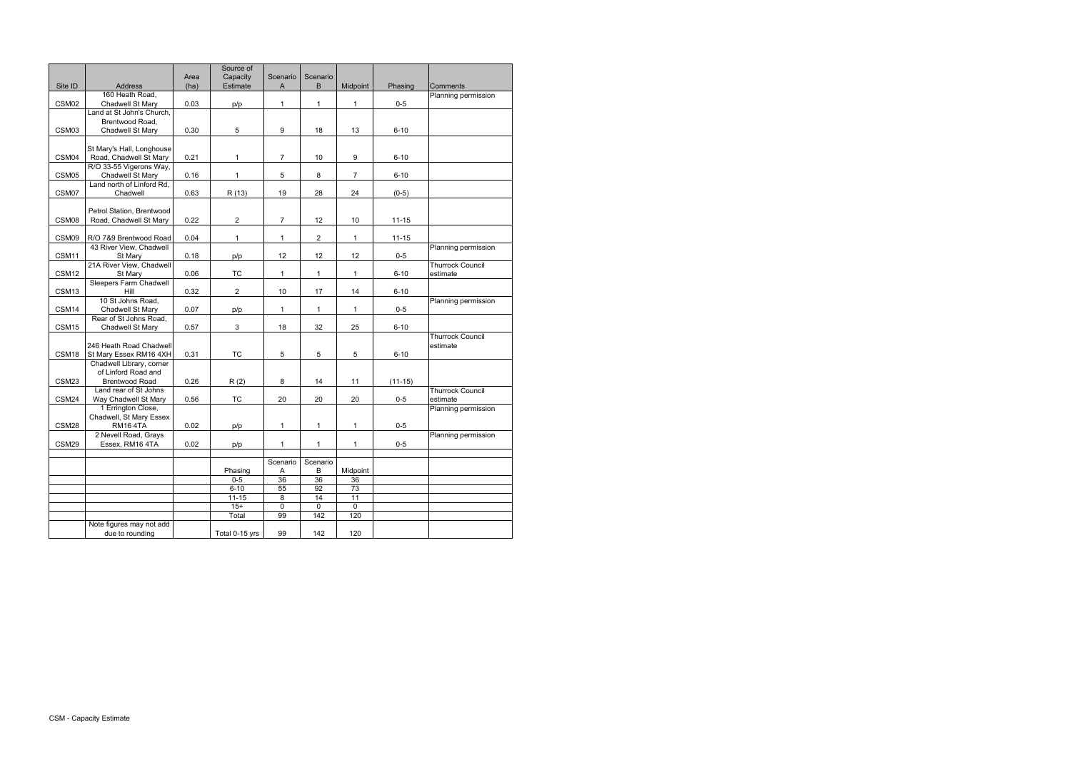|         |                                                 | Area | Source of<br>Capacity | Scenario       | Scenario       |                       |           |                         |
|---------|-------------------------------------------------|------|-----------------------|----------------|----------------|-----------------------|-----------|-------------------------|
| Site ID | <b>Address</b>                                  | (ha) | Estimate              | A              | В              | Midpoint              | Phasing   | Comments                |
|         | 160 Heath Road,                                 |      |                       |                |                |                       |           | Planning permission     |
| CSM02   | Chadwell St Mary                                | 0.03 | p/p                   | 1              | $\mathbf{1}$   | $\mathbf{1}$          | $0-5$     |                         |
|         | Land at St John's Church,                       |      |                       |                |                |                       |           |                         |
|         | Brentwood Road,                                 |      |                       |                |                |                       |           |                         |
| CSM03   | Chadwell St Mary                                | 0.30 | 5                     | 9              | 18             | 13                    | $6 - 10$  |                         |
|         |                                                 |      |                       |                |                |                       |           |                         |
|         | St Mary's Hall, Longhouse                       |      |                       |                |                |                       |           |                         |
| CSM04   | Road, Chadwell St Mary                          | 0.21 | 1                     | $\overline{7}$ | 10             | 9                     | $6 - 10$  |                         |
|         | R/O 33-55 Vigerons Way,                         |      |                       |                |                |                       |           |                         |
| CSM05   | Chadwell St Mary                                | 0.16 | $\mathbf{1}$          | 5              | 8              | $\overline{7}$        | $6 - 10$  |                         |
|         | Land north of Linford Rd,                       |      |                       |                |                |                       |           |                         |
| CSM07   | Chadwell                                        | 0.63 | R(13)                 | 19             | 28             | 24                    | $(0-5)$   |                         |
|         | Petrol Station, Brentwood                       |      |                       |                |                |                       |           |                         |
| CSM08   |                                                 | 0.22 | 2                     | $\overline{7}$ | 12             | 10                    | $11 - 15$ |                         |
|         | Road, Chadwell St Mary                          |      |                       |                |                |                       |           |                         |
| CSM09   | R/O 7&9 Brentwood Road                          | 0.04 | $\mathbf{1}$          | $\mathbf{1}$   | $\overline{2}$ | $\mathbf{1}$          | $11 - 15$ |                         |
|         | 43 River View, Chadwell                         |      |                       |                |                |                       |           | Planning permission     |
| CSM11   | St Mary                                         | 0.18 | p/p                   | 12             | 12             | 12                    | $0-5$     |                         |
|         | 21A River View, Chadwell                        |      |                       |                |                |                       |           | <b>Thurrock Council</b> |
| CSM12   | St Mary                                         | 0.06 | <b>TC</b>             | $\mathbf{1}$   | $\mathbf{1}$   | $\mathbf{1}$          | $6 - 10$  | estimate                |
|         | <b>Sleepers Farm Chadwell</b>                   |      |                       |                |                |                       |           |                         |
| CSM13   | Hill                                            | 0.32 | $\overline{2}$        | 10             | 17             | 14                    | $6 - 10$  |                         |
|         | 10 St Johns Road,                               |      |                       |                |                |                       |           | Planning permission     |
| CSM14   | Chadwell St Mary                                | 0.07 | p/p                   | 1              | $\mathbf{1}$   | $\mathbf{1}$          | $0-5$     |                         |
|         | Rear of St Johns Road,                          |      |                       |                |                |                       |           |                         |
| CSM15   | Chadwell St Mary                                | 0.57 | $\mathsf 3$           | 18             | 32             | 25                    | $6 - 10$  |                         |
|         |                                                 |      |                       |                |                |                       |           | <b>Thurrock Council</b> |
|         | 246 Heath Road Chadwell                         |      |                       |                |                |                       |           | estimate                |
| CSM18   | St Mary Essex RM16 4XH                          | 0.31 | <b>TC</b>             | 5              | 5              | 5                     | $6 - 10$  |                         |
|         | Chadwell Library, corner<br>of Linford Road and |      |                       |                |                |                       |           |                         |
| CSM23   | <b>Brentwood Road</b>                           | 0.26 | R(2)                  | 8              | 14             | 11                    | $(11-15)$ |                         |
|         | Land rear of St Johns                           |      |                       |                |                |                       |           | <b>Thurrock Council</b> |
| CSM24   | Way Chadwell St Mary                            | 0.56 | TC                    | 20             | 20             | 20                    | $0-5$     | estimate                |
|         | 1 Errington Close,                              |      |                       |                |                |                       |           | Planning permission     |
|         | Chadwell, St Mary Essex                         |      |                       |                |                |                       |           |                         |
| CSM28   | <b>RM164TA</b>                                  | 0.02 | p/p                   | $\mathbf{1}$   | $\mathbf{1}$   | 1                     | $0-5$     |                         |
|         | 2 Nevell Road, Grays                            |      |                       |                |                |                       |           | Planning permission     |
| CSM29   | Essex, RM16 4TA                                 | 0.02 | p/p                   | $\mathbf{1}$   | $\mathbf{1}$   | $\mathbf{1}$          | $0-5$     |                         |
|         |                                                 |      |                       |                |                |                       |           |                         |
|         |                                                 |      |                       | Scenario       | Scenario       |                       |           |                         |
|         |                                                 |      | Phasing               | Α              | $\sf B$        | Midpoint              |           |                         |
|         |                                                 |      | $0-5$                 | 36             | 36             | 36                    |           |                         |
|         |                                                 |      | $6 - 10$              | 55             | 92             | 73                    |           |                         |
|         |                                                 |      | $11 - 15$             | $\overline{8}$ | 14             | $\overline{11}$       |           |                         |
|         |                                                 |      | $15+$                 | 0<br>99        | 0              | $\overline{0}$<br>120 |           |                         |
|         | Note figures may not add                        |      | Total                 |                | 142            |                       |           |                         |
|         |                                                 |      |                       |                |                |                       |           |                         |
|         | due to rounding                                 |      | Total 0-15 yrs        | 99             | 142            | 120                   |           |                         |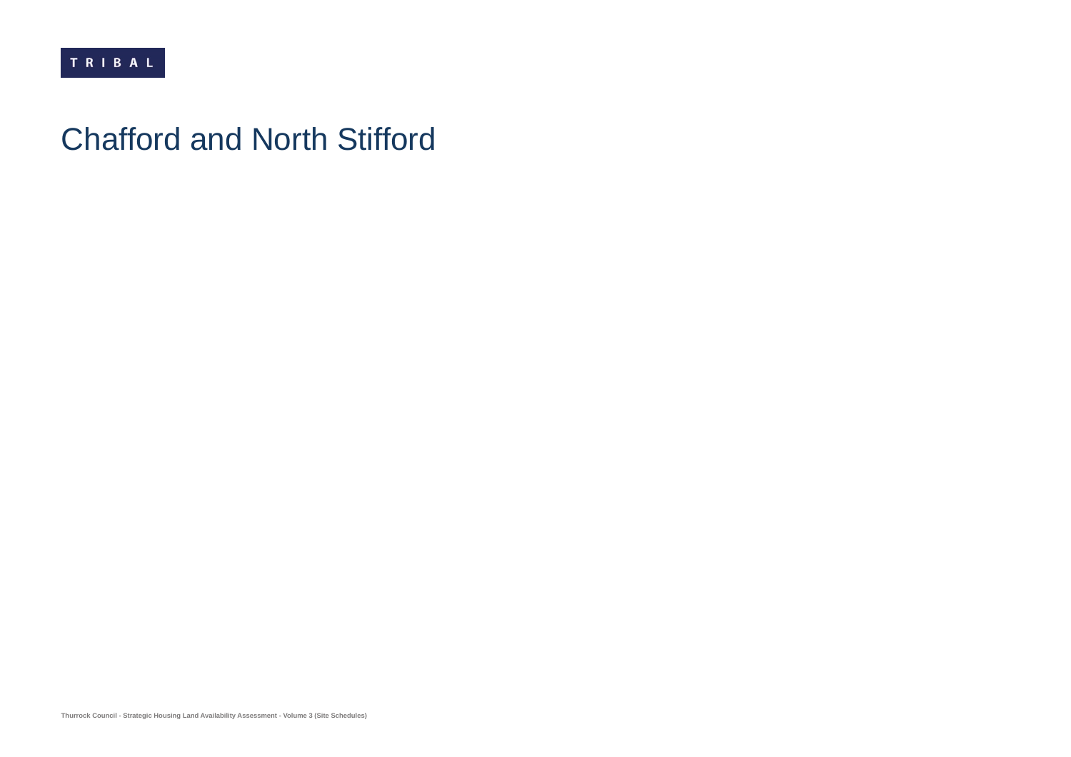### Chafford and North Stifford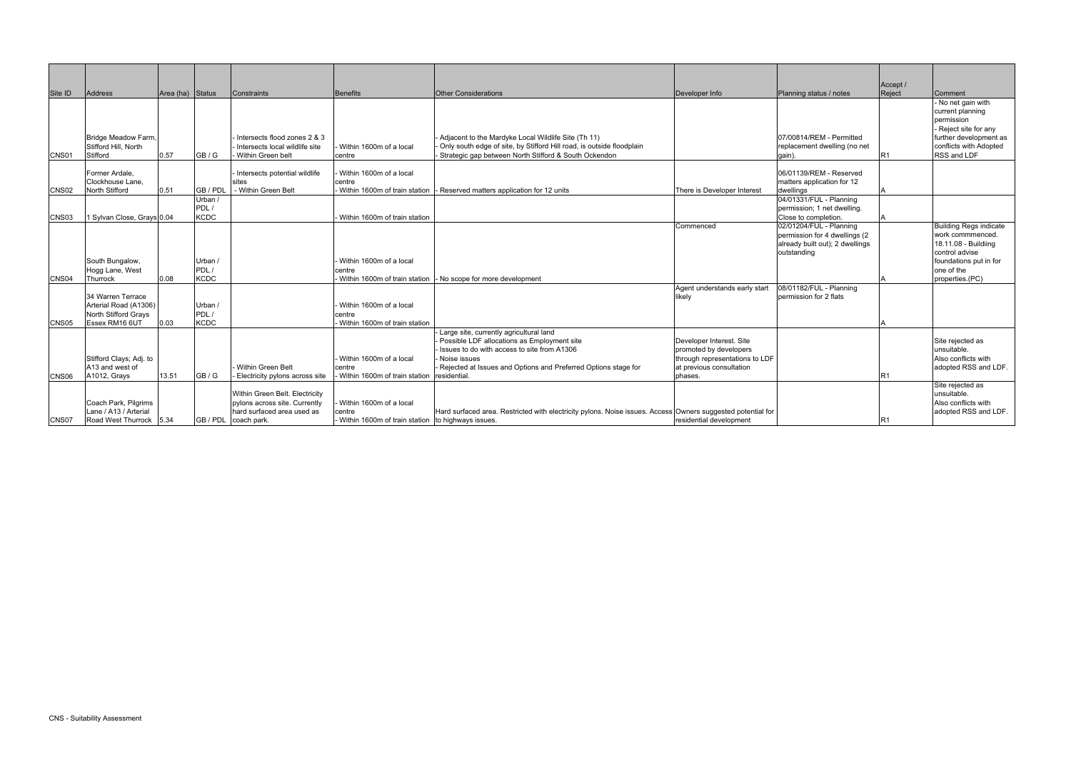|                   |                                                  |                  |             |                                |                                                   |                                                                                                             |                                |                                 | Accept /       |                                          |
|-------------------|--------------------------------------------------|------------------|-------------|--------------------------------|---------------------------------------------------|-------------------------------------------------------------------------------------------------------------|--------------------------------|---------------------------------|----------------|------------------------------------------|
| Site ID           | <b>Address</b>                                   | Area (ha) Status |             | Constraints                    | <b>Benefits</b>                                   | <b>Other Considerations</b>                                                                                 | Developer Info                 | Planning status / notes         | Reject         | Comment<br>No net gain with              |
|                   |                                                  |                  |             |                                |                                                   |                                                                                                             |                                |                                 |                | current planning                         |
|                   |                                                  |                  |             |                                |                                                   |                                                                                                             |                                |                                 |                | permission                               |
|                   |                                                  |                  |             |                                |                                                   |                                                                                                             |                                |                                 |                | Reject site for any                      |
|                   | Bridge Meadow Farm,                              |                  |             | Intersects flood zones 2 & 3   |                                                   | Adjacent to the Mardyke Local Wildlife Site (Th 11)                                                         |                                | 07/00814/REM - Permitted        |                | further development as                   |
|                   | Stifford Hill, North                             |                  |             | Intersects local wildlife site | Within 1600m of a local                           | Only south edge of site, by Stifford Hill road, is outside floodplain                                       |                                | replacement dwelling (no net    |                | conflicts with Adopted                   |
| CNS01             | Stifford                                         | 0.57             | GB/G        | Within Green belt              | centre                                            | Strategic gap between North Stifford & South Ockendon                                                       |                                | aain).                          | R <sub>1</sub> | <b>RSS and LDF</b>                       |
|                   | Former Ardale.                                   |                  |             | Intersects potential wildlife  | Within 1600m of a local                           |                                                                                                             |                                | 06/01139/REM - Reserved         |                |                                          |
|                   | Clockhouse Lane.                                 |                  |             | sites                          | centre                                            |                                                                                                             |                                | matters application for 12      |                |                                          |
| CNS <sub>02</sub> | North Stifford                                   | 0.51             | GB / PDL    | - Within Green Belt            | Within 1600m of train station                     | Reserved matters application for 12 units                                                                   | There is Developer Interest    | dwellings                       |                |                                          |
|                   |                                                  |                  | Urban /     |                                |                                                   |                                                                                                             |                                | 04/01331/FUL - Planning         |                |                                          |
|                   |                                                  |                  | PDL/        |                                |                                                   |                                                                                                             |                                | permission; 1 net dwelling.     |                |                                          |
| CNS <sub>03</sub> | 1 Sylvan Close, Grays 0.04                       |                  | <b>KCDC</b> |                                | Within 1600m of train station                     |                                                                                                             |                                | Close to completion.            |                |                                          |
|                   |                                                  |                  |             |                                |                                                   |                                                                                                             | Commenced                      | 02/01204/FUL - Planning         |                | <b>Building Regs indicate</b>            |
|                   |                                                  |                  |             |                                |                                                   |                                                                                                             |                                | permission for 4 dwellings (2)  |                | work commmenced.                         |
|                   |                                                  |                  |             |                                |                                                   |                                                                                                             |                                | already built out); 2 dwellings |                | 18.11.08 - Buildiing                     |
|                   | South Bungalow,                                  |                  | Urban /     |                                | Within 1600m of a local                           |                                                                                                             |                                | outstanding                     |                | control advise<br>foundations put in for |
|                   | Hogg Lane, West                                  |                  | PDL/        |                                | centre                                            |                                                                                                             |                                |                                 |                | one of the                               |
| CNS <sub>04</sub> | Thurrock                                         | 0.08             | <b>KCDC</b> |                                | Within 1600m of train station                     | - No scope for more development                                                                             |                                |                                 |                | properties.(PC)                          |
|                   |                                                  |                  |             |                                |                                                   |                                                                                                             | Agent understands early start  | 08/01182/FUL - Planning         |                |                                          |
|                   | 34 Warren Terrace                                |                  |             |                                |                                                   |                                                                                                             | likely                         | permission for 2 flats          |                |                                          |
|                   | Arterial Road (A1306)                            |                  | Urban /     |                                | Within 1600m of a local                           |                                                                                                             |                                |                                 |                |                                          |
|                   | North Stifford Grays                             |                  | PDL/        |                                | centre                                            |                                                                                                             |                                |                                 |                |                                          |
| CNS <sub>05</sub> | Essex RM16 6UT                                   | 0.03             | <b>KCDC</b> |                                | Within 1600m of train station                     |                                                                                                             |                                |                                 |                |                                          |
|                   |                                                  |                  |             |                                |                                                   | Large site, currently agricultural land<br>Possible LDF allocations as Employment site                      | Developer Interest. Site       |                                 |                | Site rejected as                         |
|                   |                                                  |                  |             |                                |                                                   | Issues to do with access to site from A1306                                                                 | promoted by developers         |                                 |                | unsuitable.                              |
|                   | Stifford Clays; Adj. to                          |                  |             |                                | Within 1600m of a local                           | Noise issues                                                                                                | through representations to LDF |                                 |                | Also conflicts with                      |
|                   | A13 and west of                                  |                  |             | Within Green Belt              | centre                                            | Rejected at Issues and Options and Preferred Options stage for                                              | at previous consultation       |                                 |                | adopted RSS and LDF.                     |
| CNS <sub>06</sub> | A1012, Grays                                     | 13.51            | GB/G        | Electricity pylons across site | Within 1600m of train station                     | residential                                                                                                 | phases.                        |                                 | R <sub>1</sub> |                                          |
|                   |                                                  |                  |             |                                |                                                   |                                                                                                             |                                |                                 |                | Site rejected as                         |
|                   |                                                  |                  |             | Within Green Belt. Electricity |                                                   |                                                                                                             |                                |                                 |                | unsuitable.                              |
|                   | Coach Park, Pilgrims                             |                  |             | pylons across site. Currently  | Within 1600m of a local                           |                                                                                                             |                                |                                 |                | Also conflicts with                      |
|                   | Lane / A13 / Arterial<br>Road West Thurrock 5.34 |                  |             | hard surfaced area used as     | centre                                            | Hard surfaced area. Restricted with electricity pylons. Noise issues. Access Owners suggested potential for | residential development        |                                 |                | adopted RSS and LDF.                     |
| CNS07             |                                                  |                  |             | GB / PDL coach park.           | Within 1600m of train station to highways issues. |                                                                                                             |                                |                                 | IR1            |                                          |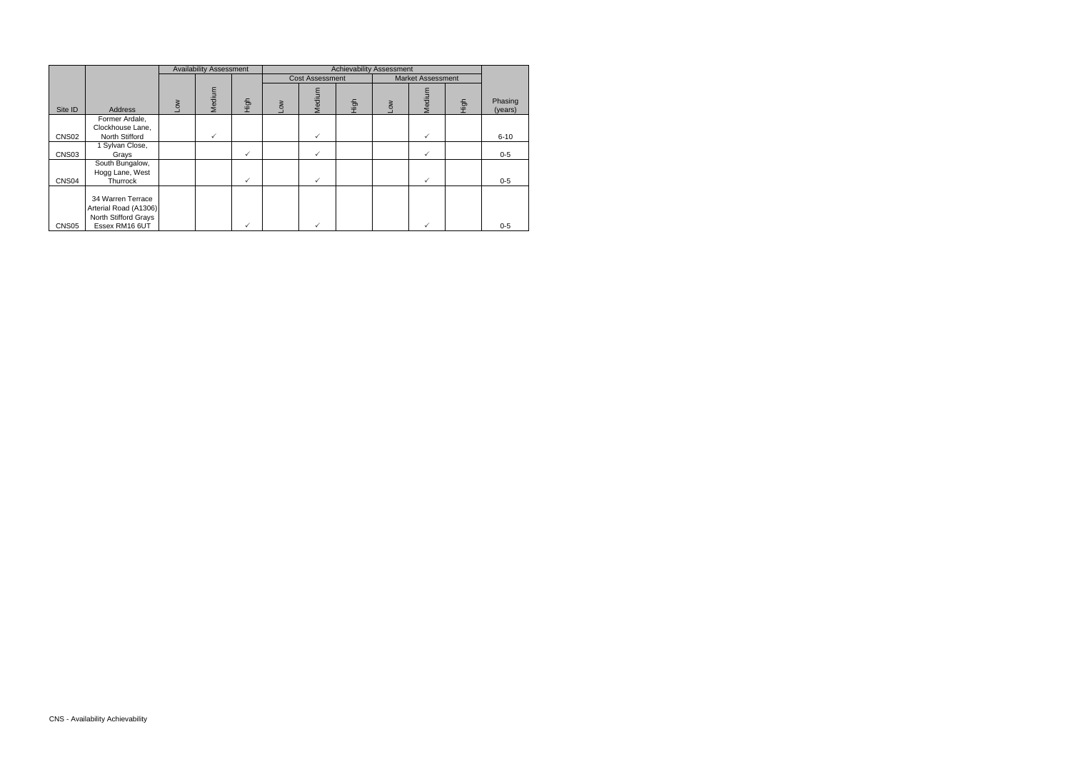|                   |                                                                    | <b>Availability Assessment</b><br><b>Achievability Assessment</b> |              |      |    |                        |      |                       |                          |      |                    |
|-------------------|--------------------------------------------------------------------|-------------------------------------------------------------------|--------------|------|----|------------------------|------|-----------------------|--------------------------|------|--------------------|
|                   |                                                                    |                                                                   |              |      |    | <b>Cost Assessment</b> |      |                       | <b>Market Assessment</b> |      |                    |
| Site ID           | <b>Address</b>                                                     | ΜΟΤ                                                               | Medium       | High | ŠΡ | Medium                 | abir | $\sum_{i=1}^{\infty}$ | Medium                   | High | Phasing<br>(years) |
|                   | Former Ardale,                                                     |                                                                   |              |      |    |                        |      |                       |                          |      |                    |
| CNS <sub>02</sub> | Clockhouse Lane,<br>North Stifford                                 |                                                                   | $\checkmark$ |      |    | ✓                      |      |                       | ✓                        |      | $6 - 10$           |
| CNS <sub>03</sub> | 1 Sylvan Close,<br>Grays                                           |                                                                   |              | ✓    |    |                        |      |                       | ✓                        |      | $0-5$              |
|                   | South Bungalow,<br>Hogg Lane, West                                 |                                                                   |              |      |    |                        |      |                       |                          |      |                    |
| CNS <sub>04</sub> | Thurrock                                                           |                                                                   |              | ✓    |    | ✓                      |      |                       | ✓                        |      | $0 - 5$            |
|                   | 34 Warren Terrace<br>Arterial Road (A1306)<br>North Stifford Grays |                                                                   |              |      |    |                        |      |                       |                          |      |                    |
| CNS <sub>05</sub> | Essex RM16 6UT                                                     |                                                                   |              | ✓    |    |                        |      |                       |                          |      | $0-5$              |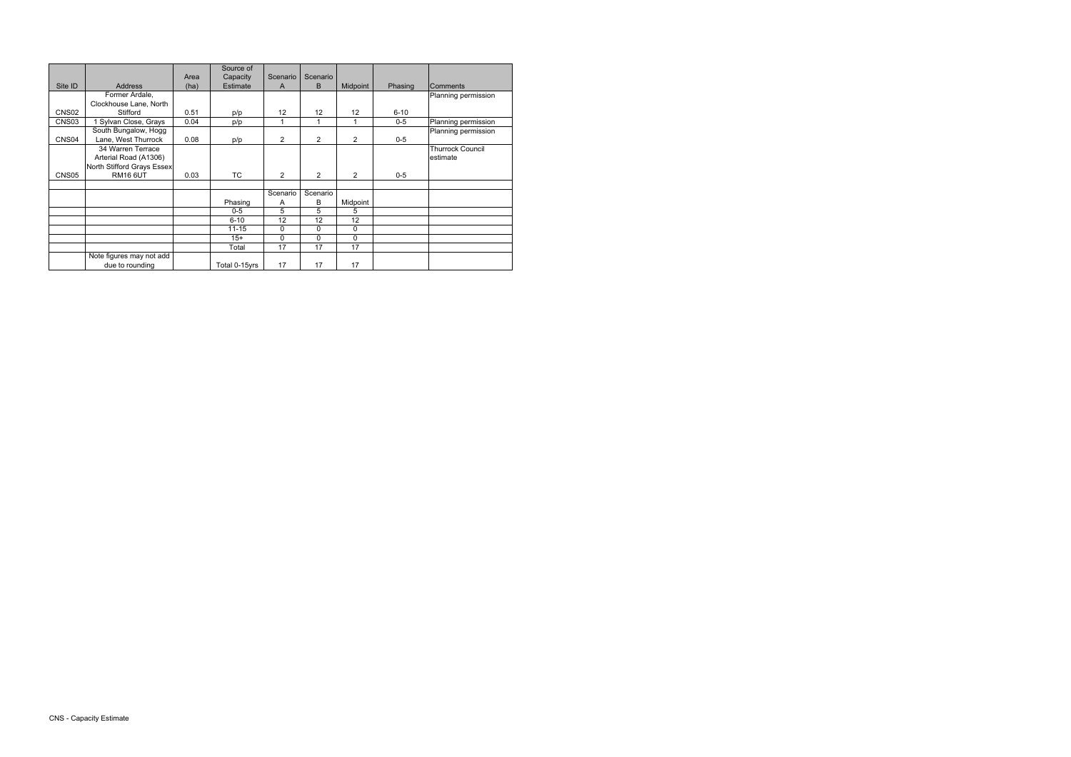|                   |                            |      | Source of     |                |                |          |          |                         |
|-------------------|----------------------------|------|---------------|----------------|----------------|----------|----------|-------------------------|
|                   |                            | Area | Capacity      | Scenario       | Scenario       |          |          |                         |
| Site ID           | Address                    | (ha) | Estimate      | A              | B              | Midpoint | Phasing  | Comments                |
|                   | Former Ardale,             |      |               |                |                |          |          | Planning permission     |
|                   | Clockhouse Lane, North     |      |               |                |                |          |          |                         |
| CNS <sub>02</sub> | Stifford                   | 0.51 | p/p           | 12             | 12             | 12       | $6 - 10$ |                         |
| CNS <sub>03</sub> | 1 Sylvan Close, Grays      | 0.04 | p/p           |                | 1              |          | $0 - 5$  | Planning permission     |
|                   | South Bungalow, Hogg       |      |               |                |                |          |          | Planning permission     |
| CNS <sub>04</sub> | Lane, West Thurrock        | 0.08 | p/p           | $\overline{2}$ | 2              | 2        | $0-5$    |                         |
|                   | 34 Warren Terrace          |      |               |                |                |          |          | <b>Thurrock Council</b> |
|                   | Arterial Road (A1306)      |      |               |                |                |          |          | estimate                |
|                   | North Stifford Grays Essex |      |               |                |                |          |          |                         |
| CNS <sub>05</sub> | <b>RM16 6UT</b>            | 0.03 | TC.           | $\overline{2}$ | $\overline{2}$ | 2        | $0 - 5$  |                         |
|                   |                            |      |               |                |                |          |          |                         |
|                   |                            |      |               | Scenario       | Scenario       |          |          |                         |
|                   |                            |      | Phasing       | Α              | В              | Midpoint |          |                         |
|                   |                            |      | $0-5$         | 5              | 5              | 5        |          |                         |
|                   |                            |      | $6 - 10$      | 12             | 12             | 12       |          |                         |
|                   |                            |      | $11 - 15$     | $\Omega$       | $\Omega$       | 0        |          |                         |
|                   |                            |      | $15+$         | $\Omega$       | $\Omega$       | 0        |          |                         |
|                   |                            |      | Total         | 17             | 17             | 17       |          |                         |
|                   | Note figures may not add   |      |               |                |                |          |          |                         |
|                   | due to rounding            |      | Total 0-15yrs | 17             | 17             | 17       |          |                         |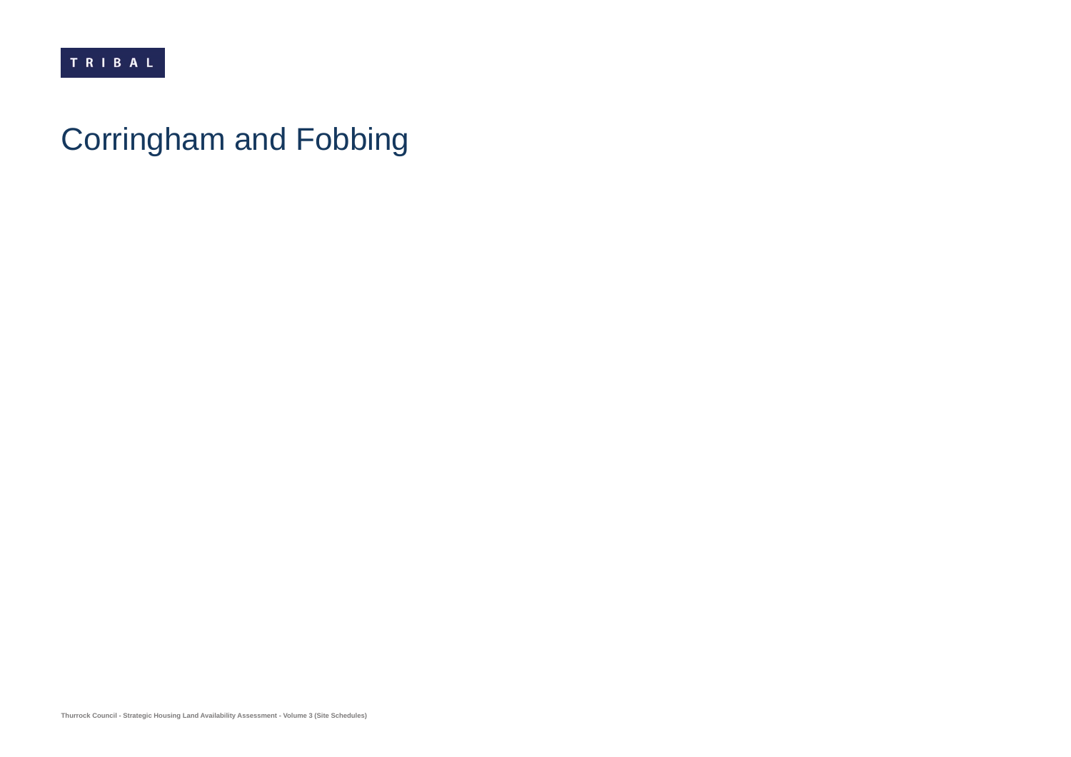# Corringham and Fobbing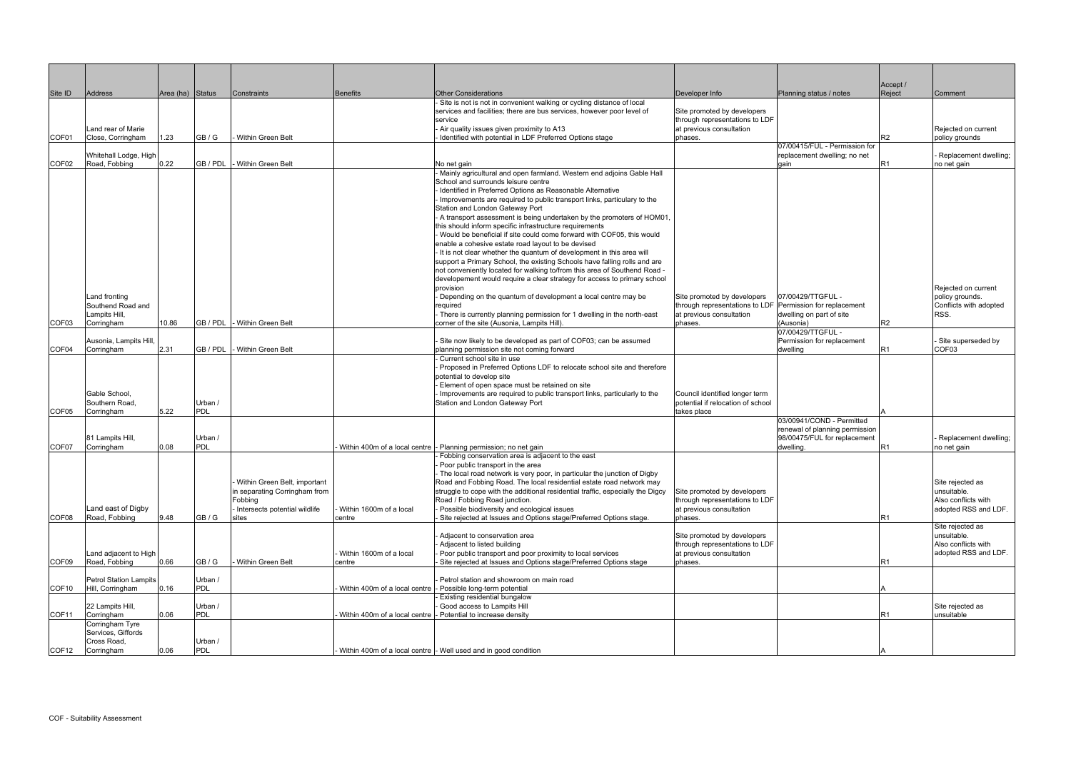| Site ID           | Address                                                              | Area (ha) Status |                       | <b>Constraints</b>                                                                                                 | Benefits                          | <b>Other Considerations</b>                                                                                                                                                                                                                                                                                                                                                                                                                                                                                                                                                                                                                                                                                                                                                                                                                                                                                                                                                                                                                                                                                   | Developer Info                                                                                                                  | Planning status / notes                                                                                  | Accept /<br>Reject | Comment                                                                                 |
|-------------------|----------------------------------------------------------------------|------------------|-----------------------|--------------------------------------------------------------------------------------------------------------------|-----------------------------------|---------------------------------------------------------------------------------------------------------------------------------------------------------------------------------------------------------------------------------------------------------------------------------------------------------------------------------------------------------------------------------------------------------------------------------------------------------------------------------------------------------------------------------------------------------------------------------------------------------------------------------------------------------------------------------------------------------------------------------------------------------------------------------------------------------------------------------------------------------------------------------------------------------------------------------------------------------------------------------------------------------------------------------------------------------------------------------------------------------------|---------------------------------------------------------------------------------------------------------------------------------|----------------------------------------------------------------------------------------------------------|--------------------|-----------------------------------------------------------------------------------------|
| COF01             | Land rear of Marie<br>Close, Corringham                              | 1.23             | GB/G                  | Within Green Belt                                                                                                  |                                   | Site is not is not in convenient walking or cycling distance of local<br>services and facilities; there are bus services, however poor level of<br>service<br>Air quality issues given proximity to A13<br>Identified with potential in LDF Preferred Options stage                                                                                                                                                                                                                                                                                                                                                                                                                                                                                                                                                                                                                                                                                                                                                                                                                                           | Site promoted by developers<br>through representations to LDF<br>at previous consultation<br>phases.                            |                                                                                                          | R2                 | Rejected on current<br>policy grounds                                                   |
|                   | Whitehall Lodge, High                                                |                  |                       |                                                                                                                    |                                   |                                                                                                                                                                                                                                                                                                                                                                                                                                                                                                                                                                                                                                                                                                                                                                                                                                                                                                                                                                                                                                                                                                               |                                                                                                                                 | 07/00415/FUL - Permission for<br>replacement dwelling; no net                                            |                    | Replacement dwelling:                                                                   |
| COF02             | Road, Fobbing<br>Land fronting<br>Southend Road and<br>Lampits Hill, | 0.22             |                       | GB / PDL - Within Green Belt                                                                                       |                                   | No net gain<br>Mainly agricultural and open farmland. Western end adjoins Gable Hall<br>School and surrounds leisure centre<br>Identified in Preferred Options as Reasonable Alternative<br>Improvements are required to public transport links, particulary to the<br>Station and London Gateway Port<br>A transport assessment is being undertaken by the promoters of HOM01.<br>this should inform specific infrastructure requirements<br>Would be beneficial if site could come forward with COF05, this would<br>enable a cohesive estate road layout to be devised<br>- It is not clear whether the quantum of development in this area will<br>support a Primary School, the existing Schools have falling rolls and are<br>not conveniently located for walking to/from this area of Southend Road -<br>developement would require a clear strategy for access to primary school<br>provision<br>Depending on the quantum of development a local centre may be<br>required<br>There is currently planning permission for 1 dwelling in the north-east<br>corner of the site (Ausonia, Lampits Hill). | Site promoted by developers<br>through representations to LDF Permission for replacement<br>at previous consultation<br>phases. | qain<br>07/00429/TTGFUL -<br>dwelling on part of site<br>(Ausonia)                                       | R1<br>R2           | no net gain<br>Rejected on current<br>policy grounds.<br>Conflicts with adopted<br>RSS. |
| COF03<br>COF04    | Corringham<br>Ausonia, Lampits Hill,                                 | 10.86            | GB / PDL              | GB / PDL - Within Green Belt<br>Within Green Belt                                                                  |                                   | Site now likely to be developed as part of COF03; can be assumed<br>planning permission site not coming forward                                                                                                                                                                                                                                                                                                                                                                                                                                                                                                                                                                                                                                                                                                                                                                                                                                                                                                                                                                                               |                                                                                                                                 | 07/00429/TTGFUL -<br>Permission for replacement                                                          |                    | Site superseded by<br>COF <sub>03</sub>                                                 |
| COF05             | Corringham<br>Gable School,<br>Southern Road,<br>Corringham          | 2.31<br>5.22     | Urban /<br>PDL        |                                                                                                                    |                                   | Current school site in use<br>Proposed in Preferred Options LDF to relocate school site and therefore<br>potential to develop site<br>Element of open space must be retained on site<br>Improvements are required to public transport links, particularly to the<br>Station and London Gateway Port                                                                                                                                                                                                                                                                                                                                                                                                                                                                                                                                                                                                                                                                                                                                                                                                           | Council identified longer term<br>potential if relocation of school<br>takes place                                              | dwelling                                                                                                 | R1                 |                                                                                         |
| COF07             | 81 Lampits Hill,<br>Corringham                                       | 0.08             | Urban /<br><b>PDL</b> |                                                                                                                    |                                   | Within 400m of a local centre - Planning permission; no net gain                                                                                                                                                                                                                                                                                                                                                                                                                                                                                                                                                                                                                                                                                                                                                                                                                                                                                                                                                                                                                                              |                                                                                                                                 | 03/00941/COND - Permitted<br>renewal of planning permission<br>98/00475/FUL for replacement<br>dwelling. | R <sub>1</sub>     | - Replacement dwelling;<br>no net gain                                                  |
| COF08             | Land east of Digby<br>Road, Fobbing                                  | 9.48             | GB / G                | Within Green Belt, important<br>in separating Corringham from<br>Fobbing<br>Intersects potential wildlife<br>sites | Within 1600m of a local<br>centre | Fobbing conservation area is adjacent to the east<br>Poor public transport in the area<br>The local road network is very poor, in particular the junction of Digby<br>Road and Fobbing Road. The local residential estate road network may<br>struggle to cope with the additional residential traffic, especially the Digcy<br>Road / Fobbing Road junction.<br>Possible biodiversity and ecological issues<br>Site rejected at Issues and Options stage/Preferred Options stage.                                                                                                                                                                                                                                                                                                                                                                                                                                                                                                                                                                                                                            | Site promoted by developers<br>through representations to LDF<br>at previous consultation<br>phases.                            |                                                                                                          | R1                 | Site rejected as<br>unsuitable.<br>Also conflicts with<br>adopted RSS and LDF.          |
| COF09             | Land adjacent to High<br>Road, Fobbing                               | 0.66             | GB/G                  | Within Green Belt                                                                                                  | Within 1600m of a local<br>centre | Adjacent to conservation area<br>Adjacent to listed building<br>Poor public transport and poor proximity to local services<br>Site rejected at Issues and Options stage/Preferred Options stage                                                                                                                                                                                                                                                                                                                                                                                                                                                                                                                                                                                                                                                                                                                                                                                                                                                                                                               | Site promoted by developers<br>through representations to LDF<br>at previous consultation<br>phases.                            |                                                                                                          | R <sub>1</sub>     | Site rejected as<br>unsuitable.<br>Also conflicts with<br>adopted RSS and LDF.          |
| COF10             | <b>Petrol Station Lampits</b><br>Hill, Corringham                    | 0.16             | Urban /<br>PDL        |                                                                                                                    | Within 400m of a local centre     | Petrol station and showroom on main road<br>Possible long-term potential                                                                                                                                                                                                                                                                                                                                                                                                                                                                                                                                                                                                                                                                                                                                                                                                                                                                                                                                                                                                                                      |                                                                                                                                 |                                                                                                          |                    |                                                                                         |
| COF11             | 22 Lampits Hill,<br>Corringham                                       | 0.06             | Urban /<br>PDL        |                                                                                                                    | Within 400m of a local centre     | <b>Existing residential bungalow</b><br>Good access to Lampits Hill<br>Potential to increase density                                                                                                                                                                                                                                                                                                                                                                                                                                                                                                                                                                                                                                                                                                                                                                                                                                                                                                                                                                                                          |                                                                                                                                 |                                                                                                          | R1                 | Site rejected as<br>unsuitable                                                          |
| COF <sub>12</sub> | Corringham Tyre<br>Services, Giffords<br>Cross Road,<br>Corringham   | 0.06             | Urban /<br>PDL        |                                                                                                                    |                                   | Within 400m of a local centre  - Well used and in good condition                                                                                                                                                                                                                                                                                                                                                                                                                                                                                                                                                                                                                                                                                                                                                                                                                                                                                                                                                                                                                                              |                                                                                                                                 |                                                                                                          |                    |                                                                                         |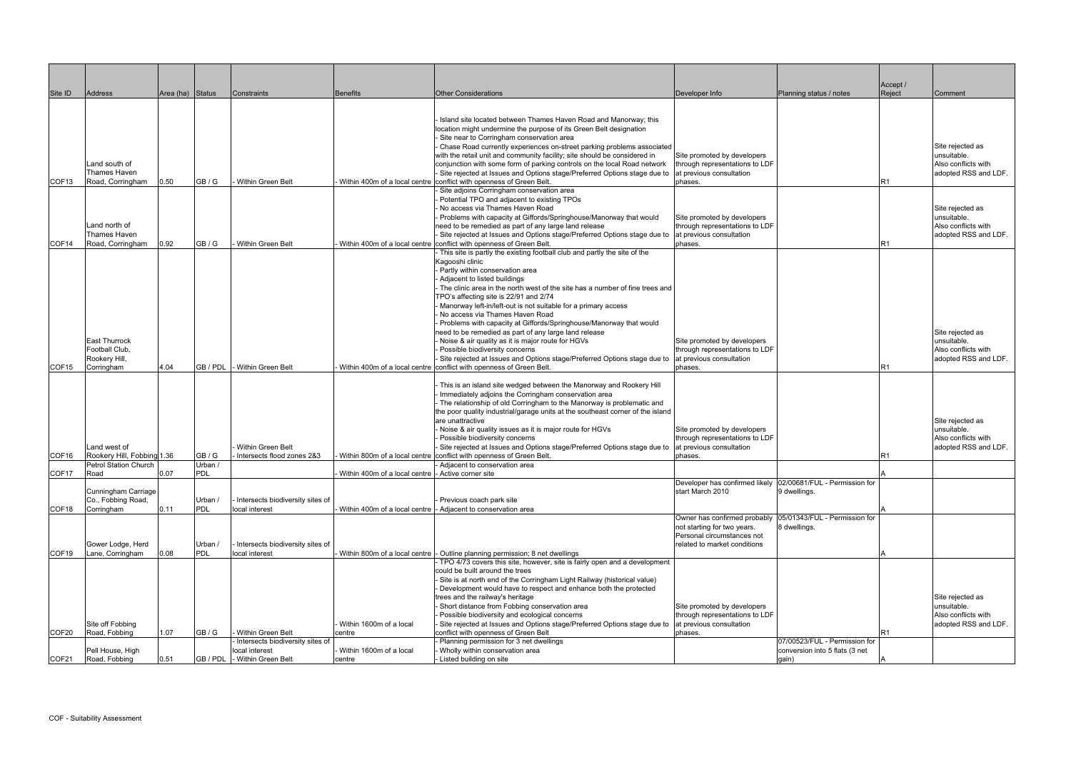|                   |                                                     |                  |          |                                                        |                                                    |                                                                                                                                                       |                                                               |                                               | Accept /       |                                    |
|-------------------|-----------------------------------------------------|------------------|----------|--------------------------------------------------------|----------------------------------------------------|-------------------------------------------------------------------------------------------------------------------------------------------------------|---------------------------------------------------------------|-----------------------------------------------|----------------|------------------------------------|
| Site ID           | Address                                             | Area (ha) Status |          | <b>Constraints</b>                                     | <b>Benefits</b>                                    | <b>Other Considerations</b>                                                                                                                           | Developer Info                                                | Planning status / notes                       | Reject         | Comment                            |
|                   |                                                     |                  |          |                                                        |                                                    |                                                                                                                                                       |                                                               |                                               |                |                                    |
|                   |                                                     |                  |          |                                                        |                                                    | Island site located between Thames Haven Road and Manorway; this<br>location might undermine the purpose of its Green Belt designation                |                                                               |                                               |                |                                    |
|                   |                                                     |                  |          |                                                        |                                                    | Site near to Corringham conservation area                                                                                                             |                                                               |                                               |                |                                    |
|                   |                                                     |                  |          |                                                        |                                                    | Chase Road currently experiences on-street parking problems associated                                                                                |                                                               |                                               |                | Site rejected as                   |
|                   | Land south of                                       |                  |          |                                                        |                                                    | with the retail unit and community facility; site should be considered in<br>conjunction with some form of parking controls on the local Road network | Site promoted by developers<br>through representations to LDF |                                               |                | unsuitable.<br>Also conflicts with |
|                   | <b>Thames Haven</b>                                 |                  |          |                                                        |                                                    | Site rejected at Issues and Options stage/Preferred Options stage due to                                                                              | at previous consultation                                      |                                               |                | adopted RSS and LDF.               |
| COF <sub>13</sub> | Road, Corringham                                    | 0.50             | GB/G     | Within Green Belt                                      |                                                    | Within 400m of a local centre conflict with openness of Green Belt.                                                                                   | phases.                                                       |                                               |                |                                    |
|                   |                                                     |                  |          |                                                        |                                                    | Site adjoins Corringham conservation area<br>Potential TPO and adjacent to existing TPOs                                                              |                                                               |                                               |                |                                    |
|                   |                                                     |                  |          |                                                        |                                                    | No access via Thames Haven Road                                                                                                                       |                                                               |                                               |                | Site rejected as                   |
|                   |                                                     |                  |          |                                                        |                                                    | Problems with capacity at Giffords/Springhouse/Manorway that would                                                                                    | Site promoted by developers                                   |                                               |                | unsuitable.                        |
|                   | Land north of                                       |                  |          |                                                        |                                                    | need to be remedied as part of any large land release                                                                                                 | through representations to LDF                                |                                               |                | Also conflicts with                |
| COF14             | Thames Haven<br>Road, Corringham                    | 0.92             | GB / G   | Within Green Belt                                      |                                                    | Site rejected at Issues and Options stage/Preferred Options stage due to<br>Within 400m of a local centre conflict with openness of Green Belt.       | at previous consultation<br>phases.                           |                                               | R1             | adopted RSS and LDF.               |
|                   |                                                     |                  |          |                                                        |                                                    | This site is partly the existing football club and partly the site of the                                                                             |                                                               |                                               |                |                                    |
|                   |                                                     |                  |          |                                                        |                                                    | Kagooshi clinic                                                                                                                                       |                                                               |                                               |                |                                    |
|                   |                                                     |                  |          |                                                        |                                                    | Partly within conservation area<br>Adjacent to listed buildings                                                                                       |                                                               |                                               |                |                                    |
|                   |                                                     |                  |          |                                                        |                                                    | The clinic area in the north west of the site has a number of fine trees and                                                                          |                                                               |                                               |                |                                    |
|                   |                                                     |                  |          |                                                        |                                                    | TPO's affecting site is 22/91 and 2/74                                                                                                                |                                                               |                                               |                |                                    |
|                   |                                                     |                  |          |                                                        |                                                    | Manorway left-in/left-out is not suitable for a primary access<br>No access via Thames Haven Road                                                     |                                                               |                                               |                |                                    |
|                   |                                                     |                  |          |                                                        |                                                    | Problems with capacity at Giffords/Springhouse/Manorway that would                                                                                    |                                                               |                                               |                |                                    |
|                   |                                                     |                  |          |                                                        |                                                    | need to be remedied as part of any large land release                                                                                                 |                                                               |                                               |                | Site rejected as                   |
|                   | <b>East Thurrock</b><br>Football Club,              |                  |          |                                                        |                                                    | Noise & air quality as it is major route for HGVs<br>Possible biodiversity concerns                                                                   | Site promoted by developers<br>through representations to LDF |                                               |                | unsuitable.<br>Also conflicts with |
|                   | Rookery Hill,                                       |                  |          |                                                        |                                                    | Site rejected at Issues and Options stage/Preferred Options stage due to                                                                              | at previous consultation                                      |                                               |                | adopted RSS and LDF.               |
| COF <sub>15</sub> | Corringham                                          | 4.04             | GB / PDL | Within Green Belt                                      |                                                    | Within 400m of a local centre conflict with openness of Green Belt.                                                                                   | phases                                                        |                                               | R <sub>1</sub> |                                    |
|                   |                                                     |                  |          |                                                        |                                                    | This is an island site wedged between the Manorway and Rookery Hill                                                                                   |                                                               |                                               |                |                                    |
|                   |                                                     |                  |          |                                                        |                                                    | Immediately adjoins the Corringham conservation area                                                                                                  |                                                               |                                               |                |                                    |
|                   |                                                     |                  |          |                                                        |                                                    | The relationship of old Corringham to the Manorway is problematic and                                                                                 |                                                               |                                               |                |                                    |
|                   |                                                     |                  |          |                                                        |                                                    | the poor quality industrial/garage units at the southeast corner of the island<br>are unattractive                                                    |                                                               |                                               |                | Site rejected as                   |
|                   |                                                     |                  |          |                                                        |                                                    | Noise & air quality issues as it is major route for HGVs                                                                                              | Site promoted by developers                                   |                                               |                | unsuitable.                        |
|                   |                                                     |                  |          |                                                        |                                                    | Possible biodiversity concerns                                                                                                                        | through representations to LDF                                |                                               |                | Also conflicts with                |
|                   | Land west of                                        |                  | GB/G     | <b>Within Green Belt</b><br>Intersects flood zones 2&3 |                                                    | Site rejected at Issues and Options stage/Preferred Options stage due to<br>Within 800m of a local centre conflict with openness of Green Belt.       | at previous consultation                                      |                                               |                | adopted RSS and LDF.               |
| COF <sub>16</sub> | Rookery Hill, Fobbing 1.36<br>Petrol Station Church |                  | Urban /  |                                                        |                                                    | - Adjacent to conservation area                                                                                                                       | phases.                                                       |                                               | R1             |                                    |
| COF17             | Road                                                | 0.07             | PDL      |                                                        | Within 400m of a local centre - Active corner site |                                                                                                                                                       |                                                               |                                               |                |                                    |
|                   | Cunningham Carriage                                 |                  |          |                                                        |                                                    |                                                                                                                                                       | Developer has confirmed likely<br>start March 2010            | 02/00681/FUL - Permission for<br>9 dwellings. |                |                                    |
|                   | Co., Fobbing Road,                                  |                  | Urban /  | Intersects biodiversity sites of                       |                                                    | Previous coach park site                                                                                                                              |                                                               |                                               |                |                                    |
| COF18             | Corringham                                          | 0.11             | PDL      | local interest                                         |                                                    | Within 400m of a local centre  - Adjacent to conservation area                                                                                        |                                                               |                                               |                |                                    |
|                   |                                                     |                  |          |                                                        |                                                    |                                                                                                                                                       | Owner has confirmed probably                                  | 05/01343/FUL - Permission for                 |                |                                    |
|                   |                                                     |                  |          |                                                        |                                                    |                                                                                                                                                       | not starting for two years.<br>Personal circumstances not     | 8 dwellings.                                  |                |                                    |
|                   | Gower Lodge, Herd                                   |                  | Urban    | Intersects biodiversity sites of                       |                                                    |                                                                                                                                                       | related to market conditions                                  |                                               |                |                                    |
| COF <sub>19</sub> | Lane, Corringham                                    | 0.08             | PDL      | local interest                                         |                                                    | Within 800m of a local centre  - Outline planning permission; 8 net dwellings                                                                         |                                                               |                                               |                |                                    |
|                   |                                                     |                  |          |                                                        |                                                    | TPO 4/73 covers this site, however, site is fairly open and a development<br>could be built around the trees                                          |                                                               |                                               |                |                                    |
|                   |                                                     |                  |          |                                                        |                                                    | Site is at north end of the Corringham Light Railway (historical value)                                                                               |                                                               |                                               |                |                                    |
|                   |                                                     |                  |          |                                                        |                                                    | Development would have to respect and enhance both the protected                                                                                      |                                                               |                                               |                |                                    |
|                   |                                                     |                  |          |                                                        |                                                    | trees and the railway's heritage<br>Short distance from Fobbing conservation area                                                                     | Site promoted by developers                                   |                                               |                | Site rejected as<br>unsuitable.    |
|                   |                                                     |                  |          |                                                        |                                                    | Possible biodiversity and ecological concerns                                                                                                         | through representations to LDF                                |                                               |                | Also conflicts with                |
|                   | Site off Fobbing                                    |                  |          |                                                        | Within 1600m of a local                            | Site rejected at Issues and Options stage/Preferred Options stage due to                                                                              | at previous consultation                                      |                                               |                | adopted RSS and LDF.               |
| COF <sub>20</sub> | Road, Fobbing                                       | 1.07             | GB/G     | Within Green Belt<br>Intersects biodiversity sites of  | centre                                             | conflict with openness of Green Belt<br>Planning permission for 3 net dwellings                                                                       | phases.                                                       | 07/00523/FUL - Permission for                 | R1             |                                    |
|                   | Pell House, High                                    |                  |          | local interest                                         | Within 1600m of a local                            | Wholly within conservation area                                                                                                                       |                                                               | conversion into 5 flats (3 net                |                |                                    |
| COF <sub>21</sub> | Road, Fobbing                                       | 0.51             | GB / PDL | - Within Green Belt                                    | centre                                             | Listed building on site                                                                                                                               |                                                               | qain)                                         |                |                                    |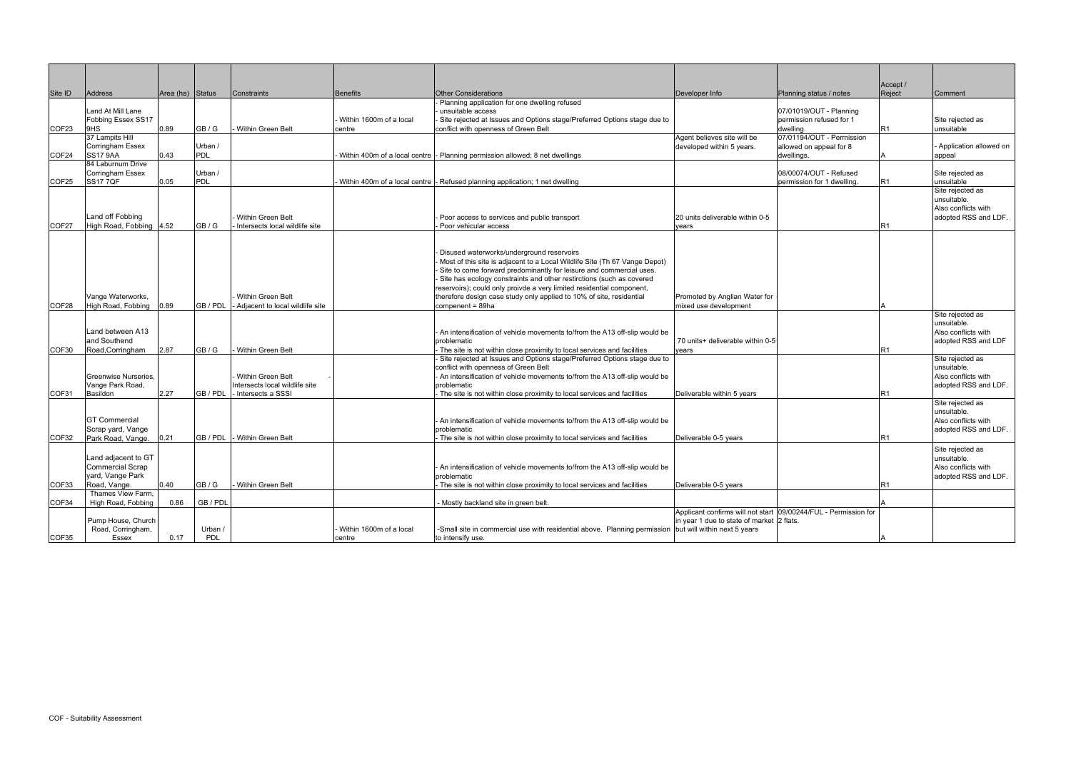|                |                                                                             |                  |                                   |                                                                                   |                                   |                                                                                                                                                                                                                                                                                                                                                                                                                                             |                                                                                                              |                                                                  | Accept /       |                                                                                |
|----------------|-----------------------------------------------------------------------------|------------------|-----------------------------------|-----------------------------------------------------------------------------------|-----------------------------------|---------------------------------------------------------------------------------------------------------------------------------------------------------------------------------------------------------------------------------------------------------------------------------------------------------------------------------------------------------------------------------------------------------------------------------------------|--------------------------------------------------------------------------------------------------------------|------------------------------------------------------------------|----------------|--------------------------------------------------------------------------------|
| Site ID        | Address                                                                     | Area (ha) Status |                                   | <b>Constraints</b>                                                                | <b>Benefits</b>                   | <b>Other Considerations</b>                                                                                                                                                                                                                                                                                                                                                                                                                 | Developer Info                                                                                               | Planning status / notes                                          | Reject         | Comment                                                                        |
| COF23          | Land At Mill Lane<br>Fobbing Essex SS17<br>9HS                              | 0.89             | GB/G                              | <b>Within Green Belt</b>                                                          | Within 1600m of a local<br>centre | Planning application for one dwelling refused<br>unsuitable access<br>Site rejected at Issues and Options stage/Preferred Options stage due to<br>conflict with openness of Green Belt                                                                                                                                                                                                                                                      |                                                                                                              | 07/01019/OUT - Planning<br>permission refused for 1<br>dwelling. | R1             | Site rejected as<br>unsuitable                                                 |
|                | 37 Lampits Hill                                                             |                  |                                   |                                                                                   |                                   |                                                                                                                                                                                                                                                                                                                                                                                                                                             | Agent believes site will be                                                                                  | 07/01194/OUT - Permission                                        |                |                                                                                |
|                | Corringham Essex                                                            |                  | Urban /                           |                                                                                   |                                   |                                                                                                                                                                                                                                                                                                                                                                                                                                             | developed within 5 years.                                                                                    | allowed on appeal for 8                                          |                | - Application allowed on                                                       |
| COF24          | <b>SS17 9AA</b><br>84 Laburnum Drive                                        | 0.43             | <b>PDL</b>                        |                                                                                   |                                   | Within 400m of a local centre  - Planning permission allowed; 8 net dwellings                                                                                                                                                                                                                                                                                                                                                               |                                                                                                              | dwellings.                                                       |                | appeal                                                                         |
| COF25          | Corringham Essex<br><b>SS177QF</b>                                          | 0.05             | Urban /<br>PDL                    |                                                                                   |                                   | Within 400m of a local centre  - Refused planning application; 1 net dwelling                                                                                                                                                                                                                                                                                                                                                               |                                                                                                              | 08/00074/OUT - Refused<br>permission for 1 dwelling.             | R1             | Site rejected as<br>unsuitable                                                 |
|                | Land off Fobbing                                                            |                  |                                   | <b>Within Green Belt</b>                                                          |                                   | Poor access to services and public transport                                                                                                                                                                                                                                                                                                                                                                                                | 20 units deliverable within 0-5                                                                              |                                                                  |                | Site rejected as<br>unsuitable.<br>Also conflicts with<br>adopted RSS and LDF. |
| COF27          | High Road, Fobbing                                                          | 4.52             | GB / G                            | Intersects local wildlife site                                                    |                                   | Poor vehicular access                                                                                                                                                                                                                                                                                                                                                                                                                       | vears                                                                                                        |                                                                  | R1             |                                                                                |
| COF28          | Vange Waterworks,<br>High Road, Fobbing                                     | 0.89             | GB / PDL                          | <b>Within Green Belt</b><br>Adiacent to local wildlife site                       |                                   | Disused waterworks/underground reservoirs<br>Most of this site is adjacent to a Local Wildlife Site (Th 67 Vange Depot)<br>Site to come forward predominantly for leisure and commercial uses.<br>Site has ecology constraints and other restirctions (such as covered<br>reservoirs); could only proivde a very limited residential component,<br>therefore design case study only applied to 10% of site, residential<br>compenent = 89ha | Promoted by Anglian Water for<br>mixed use development                                                       |                                                                  |                |                                                                                |
| COF30          | ILand between A13<br>land Southend<br>Road, Corringham                      | 2.87             | GB/G                              | <b>Within Green Belt</b>                                                          |                                   | An intensification of vehicle movements to/from the A13 off-slip would be<br>problematic<br>The site is not within close proximity to local services and facilities                                                                                                                                                                                                                                                                         | 70 units+ deliverable within 0-5<br>vears                                                                    |                                                                  | R1             | Site rejected as<br>unsuitable.<br>Also conflicts with<br>adopted RSS and LDF  |
| COF31          | Greenwise Nurseries,<br>Vange Park Road,<br>Basildon                        | 2.27             | GB / PDL                          | <b>Within Green Belt</b><br>Intersects local wildlife site<br>- Intersects a SSSI |                                   | Site rejected at Issues and Options stage/Preferred Options stage due to<br>conflict with openness of Green Belt<br>An intensification of vehicle movements to/from the A13 off-slip would be<br>problematic<br>The site is not within close proximity to local services and facilities                                                                                                                                                     | Deliverable within 5 years                                                                                   |                                                                  | R1             | Site rejected as<br>unsuitable.<br>Also conflicts with<br>adopted RSS and LDF. |
| COF32          | <b>GT Commercial</b><br>Scrap yard, Vange<br>Park Road, Vange.              | 0.21             | GB / PDL                          | - Within Green Belt                                                               |                                   | An intensification of vehicle movements to/from the A13 off-slip would be<br>problematic<br>The site is not within close proximity to local services and facilities                                                                                                                                                                                                                                                                         | Deliverable 0-5 years                                                                                        |                                                                  | R1             | Site rejected as<br>unsuitable.<br>Also conflicts with<br>adopted RSS and LDF. |
| COF33          | Land adjacent to GT<br>Commercial Scrap<br>yard, Vange Park<br>Road, Vange. | 0.40             | GB / G                            | Within Green Belt                                                                 |                                   | An intensification of vehicle movements to/from the A13 off-slip would be<br>problematic<br>The site is not within close proximity to local services and facilities                                                                                                                                                                                                                                                                         | Deliverable 0-5 years                                                                                        |                                                                  | R <sub>1</sub> | Site rejected as<br>unsuitable.<br>Also conflicts with<br>adopted RSS and LDF. |
|                | Thames View Farm,                                                           |                  |                                   |                                                                                   |                                   |                                                                                                                                                                                                                                                                                                                                                                                                                                             |                                                                                                              |                                                                  |                |                                                                                |
| COF34<br>COF35 | High Road, Fobbing<br>Pump House, Church<br>Road, Corringham,<br>Essex      | 0.86<br>0.17     | GB / PDL<br>Urban /<br><b>PDL</b> |                                                                                   | Within 1600m of a local<br>centre | - Mostly backland site in green belt.<br>-Small site in commercial use with residential above. Planning permission but will within next 5 years<br>to intensify use.                                                                                                                                                                                                                                                                        | Applicant confirms will not start 09/00244/FUL - Permission for<br>in year 1 due to state of market 2 flats. |                                                                  |                |                                                                                |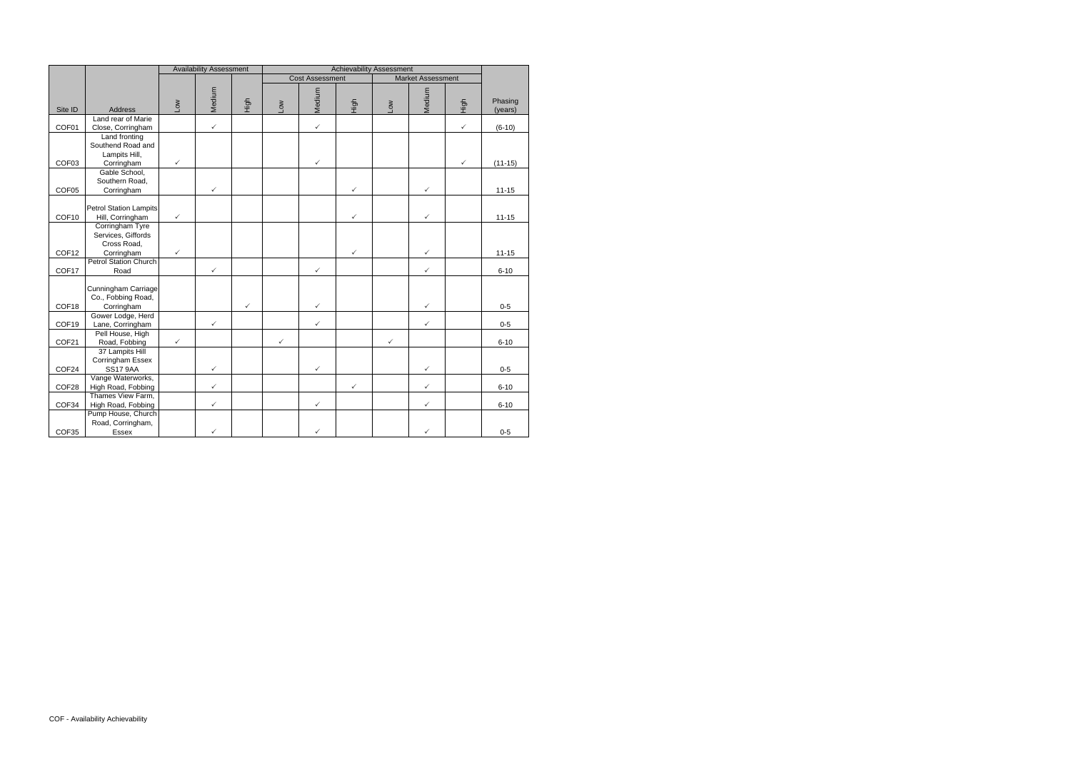|                   |                                                                    | <b>Availability Assessment</b><br><b>Achievability Assessment</b> |              |              |                                                    |              |              |           |              |              |                    |  |
|-------------------|--------------------------------------------------------------------|-------------------------------------------------------------------|--------------|--------------|----------------------------------------------------|--------------|--------------|-----------|--------------|--------------|--------------------|--|
|                   |                                                                    |                                                                   |              |              | <b>Cost Assessment</b><br><b>Market Assessment</b> |              |              |           |              |              |                    |  |
| Site ID           | Address                                                            | <b>WOT</b>                                                        | Medium       | High         | <b>WOT</b>                                         | Medium       | High         | <b>No</b> | Medium       | High         | Phasing<br>(years) |  |
|                   | Land rear of Marie                                                 |                                                                   |              |              |                                                    |              |              |           |              |              |                    |  |
| COF01             | Close, Corringham                                                  |                                                                   | $\checkmark$ |              |                                                    | $\checkmark$ |              |           |              | $\checkmark$ | $(6-10)$           |  |
| COF03             | Land fronting<br>Southend Road and<br>Lampits Hill,<br>Corringham  | $\checkmark$                                                      |              |              |                                                    | ✓            |              |           |              | $\checkmark$ | $(11-15)$          |  |
|                   | Gable School,                                                      |                                                                   |              |              |                                                    |              |              |           |              |              |                    |  |
| COF <sub>05</sub> | Southern Road,<br>Corringham                                       |                                                                   | $\checkmark$ |              |                                                    |              | $\checkmark$ |           | $\checkmark$ |              | $11 - 15$          |  |
| COF10             | <b>Petrol Station Lampits</b><br>Hill, Corringham                  | $\checkmark$                                                      |              |              |                                                    |              | ✓            |           | $\checkmark$ |              | $11 - 15$          |  |
| COF12             | Corringham Tyre<br>Services, Giffords<br>Cross Road,<br>Corringham | ✓                                                                 |              |              |                                                    |              | $\checkmark$ |           | $\checkmark$ |              | $11 - 15$          |  |
|                   | <b>Petrol Station Church</b>                                       |                                                                   |              |              |                                                    |              |              |           |              |              |                    |  |
| COF17             | Road                                                               |                                                                   | $\checkmark$ |              |                                                    | ✓            |              |           | $\checkmark$ |              | $6 - 10$           |  |
|                   | Cunningham Carriage<br>Co., Fobbing Road,                          |                                                                   |              |              |                                                    |              |              |           |              |              |                    |  |
| COF18             | Corringham                                                         |                                                                   |              | $\checkmark$ |                                                    | $\checkmark$ |              |           | $\checkmark$ |              | $0 - 5$            |  |
| COF19             | Gower Lodge, Herd<br>Lane, Corringham                              |                                                                   | $\checkmark$ |              |                                                    | $\checkmark$ |              |           | $\checkmark$ |              | $0 - 5$            |  |
| COF21             | Pell House, High<br>Road, Fobbing                                  | $\checkmark$                                                      |              |              | ✓                                                  |              |              | ✓         |              |              | $6 - 10$           |  |
| COF24             | 37 Lampits Hill<br>Corringham Essex<br><b>SS17 9AA</b>             |                                                                   | $\checkmark$ |              |                                                    | $\checkmark$ |              |           | $\checkmark$ |              | $0 - 5$            |  |
| COF28             | Vange Waterworks,<br>High Road, Fobbing                            |                                                                   | $\checkmark$ |              |                                                    |              | ✓            |           | $\checkmark$ |              | $6 - 10$           |  |
| COF34             | Thames View Farm,<br>High Road, Fobbing                            |                                                                   | $\checkmark$ |              |                                                    | ✓            |              |           | $\checkmark$ |              | $6 - 10$           |  |
| COF35             | Pump House, Church<br>Road, Corringham,<br>Essex                   |                                                                   | $\checkmark$ |              |                                                    | ✓            |              |           | $\checkmark$ |              | $0 - 5$            |  |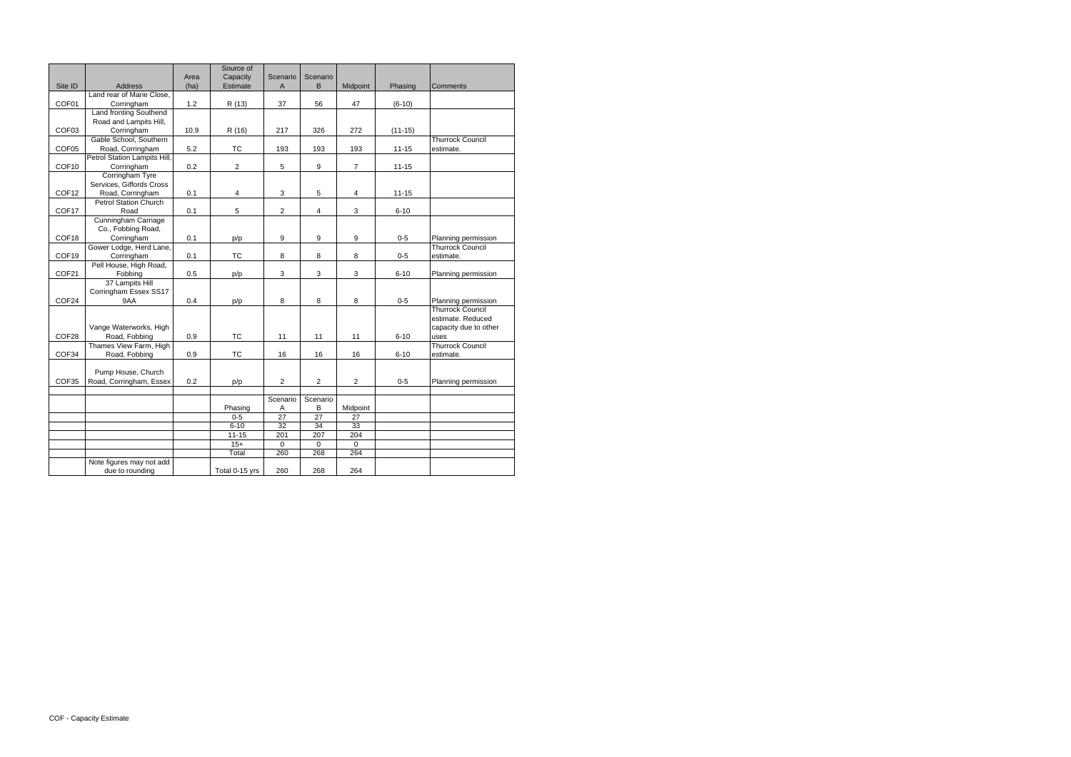|                   |                               |      | Source of      |                  |                  |                |           |                         |
|-------------------|-------------------------------|------|----------------|------------------|------------------|----------------|-----------|-------------------------|
|                   |                               | Area | Capacity       | Scenario         | Scenario         |                |           |                         |
| Site ID           | <b>Address</b>                | (ha) | Estimate       | Α                | B                | Midpoint       | Phasing   | Comments                |
|                   | Land rear of Marie Close,     |      |                |                  |                  |                |           |                         |
| COF01             | Corringham                    | 1.2  | R (13)         | 37               | 56               | 47             | $(6-10)$  |                         |
|                   | <b>Land fronting Southend</b> |      |                |                  |                  |                |           |                         |
|                   | Road and Lampits Hill,        |      |                |                  |                  |                |           |                         |
| COF <sub>03</sub> | Corringham                    | 10.9 | R (16)         | 217              | 326              | 272            | $(11-15)$ |                         |
|                   | Gable School, Southern        |      |                |                  |                  |                |           | <b>Thurrock Council</b> |
| COF05             | Road, Corringham              | 5.2  | <b>TC</b>      | 193              | 193              | 193            | $11 - 15$ | estimate.               |
|                   | Petrol Station Lampits Hill,  |      |                |                  |                  |                |           |                         |
| COF10             | Corringham                    | 0.2  | $\overline{2}$ | 5                | $\boldsymbol{9}$ | $\overline{7}$ | $11 - 15$ |                         |
|                   | Corringham Tyre               |      |                |                  |                  |                |           |                         |
|                   | Services, Giffords Cross      |      |                |                  |                  |                |           |                         |
| COF12             | Road, Corringham              | 0.1  | 4              | $\mathbf{3}$     | 5                | $\overline{4}$ | $11 - 15$ |                         |
|                   | <b>Petrol Station Church</b>  |      |                |                  |                  |                |           |                         |
| COF17             | Road                          | 0.1  | 5              | 2                | 4                | 3              | $6 - 10$  |                         |
|                   | Cunningham Carriage           |      |                |                  |                  |                |           |                         |
|                   | Co., Fobbing Road,            |      |                |                  |                  |                |           |                         |
| COF <sub>18</sub> | Corringham                    | 0.1  | p/p            | 9                | 9                | 9              | $0 - 5$   | Planning permission     |
|                   | Gower Lodge, Herd Lane,       |      |                |                  |                  |                |           | <b>Thurrock Council</b> |
| COF19             | Corringham                    | 0.1  | <b>TC</b>      | 8                | 8                | 8              | $0 - 5$   | estimate.               |
|                   | Pell House, High Road,        |      |                |                  |                  |                |           |                         |
| COF21             | Fobbing                       | 0.5  | p/p            | 3                | 3                | 3              | $6 - 10$  | Planning permission     |
|                   | 37 Lampits Hill               |      |                |                  |                  |                |           |                         |
|                   | Corringham Essex SS17         |      |                |                  |                  |                |           |                         |
| COF24             | 9AA                           | 0.4  | p/p            | 8                | 8                | 8              | $0 - 5$   | Planning permission     |
|                   |                               |      |                |                  |                  |                |           | <b>Thurrock Council</b> |
|                   |                               |      |                |                  |                  |                |           | estimate. Reduced       |
|                   | Vange Waterworks, High        |      |                |                  |                  |                |           | capacity due to other   |
| COF28             | Road, Fobbing                 | 0.9  | <b>TC</b>      | 11               | 11               | 11             | $6 - 10$  | uses                    |
|                   | Thames View Farm, High        |      |                |                  |                  |                |           | <b>Thurrock Council</b> |
| COF34             | Road, Fobbing                 | 0.9  | <b>TC</b>      | 16               | 16               | 16             | $6 - 10$  | estimate.               |
|                   |                               |      |                |                  |                  |                |           |                         |
|                   | Pump House, Church            |      |                |                  |                  |                |           |                         |
| COF35             | Road, Corringham, Essex       | 0.2  | p/p            | $\sqrt{2}$       | $\overline{2}$   | $\overline{2}$ | $0-5$     | Planning permission     |
|                   |                               |      |                |                  |                  |                |           |                         |
|                   |                               |      |                | Scenario         | Scenario         |                |           |                         |
|                   |                               |      | Phasing        | Α                | B                | Midpoint       |           |                         |
|                   |                               |      | $0 - 5$        | $\overline{27}$  | $\overline{27}$  | 27             |           |                         |
|                   |                               |      | $6 - 10$       | 32               | 34               | 33             |           |                         |
|                   |                               |      | $11 - 15$      | $\overline{201}$ | 207              | 204            |           |                         |
|                   |                               |      | $15+$          | $\Omega$         | $\mathbf 0$      | $\mathbf 0$    |           |                         |
|                   |                               |      | Total          | 260              | 268              | 264            |           |                         |
|                   | Note figures may not add      |      |                |                  |                  |                |           |                         |
|                   | due to rounding               |      | Total 0-15 yrs | 260              | 268              | 264            |           |                         |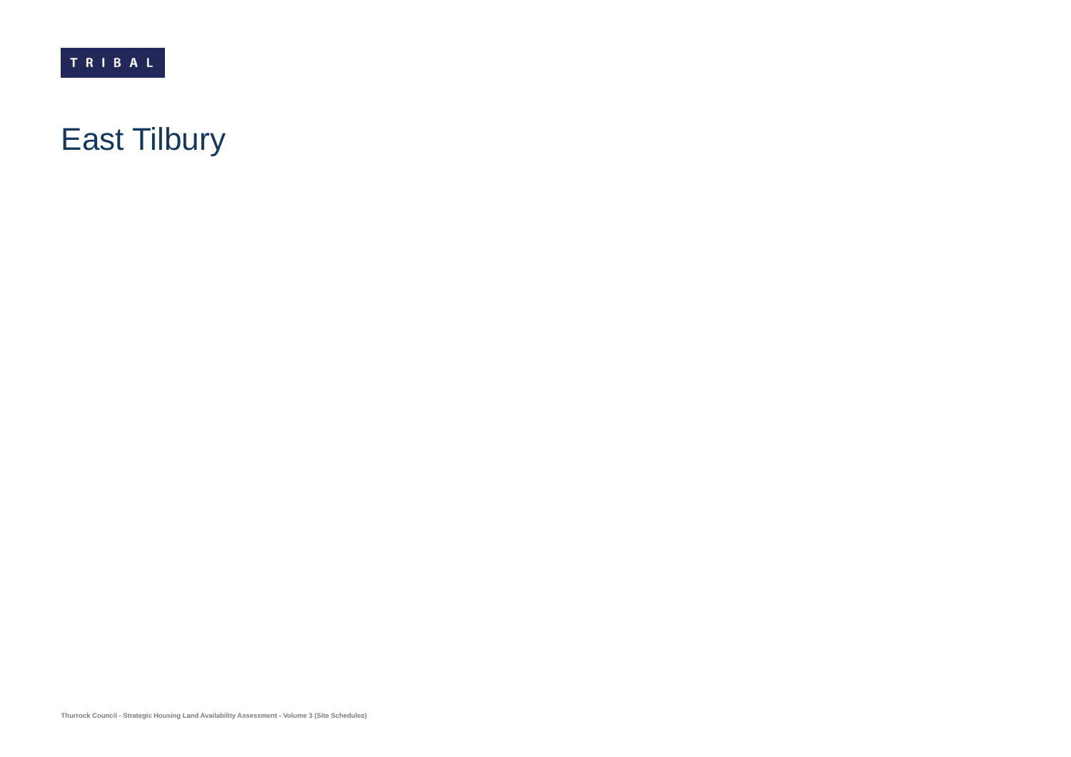### East Tilbury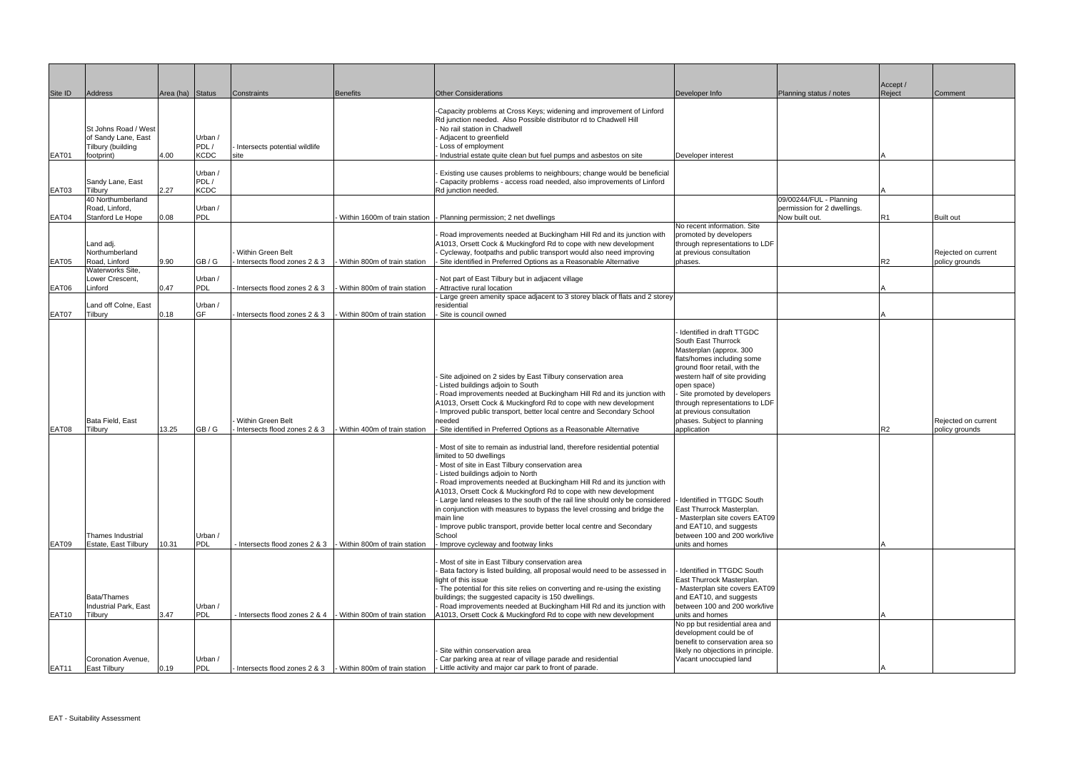| Site ID        | Address                                                                                        | Area (ha) Status |                                | Constraints                                                                       | <b>Benefits</b>                                                 | <b>Other Considerations</b>                                                                                                                                                                                                                                                                                                                                                                                                                                                                                                                                                                                                              | Developer Info                                                                                                                                                                                                                                                                                                                           | Planning status / notes                                                  | Accept /<br>Reject | Comment                               |
|----------------|------------------------------------------------------------------------------------------------|------------------|--------------------------------|-----------------------------------------------------------------------------------|-----------------------------------------------------------------|------------------------------------------------------------------------------------------------------------------------------------------------------------------------------------------------------------------------------------------------------------------------------------------------------------------------------------------------------------------------------------------------------------------------------------------------------------------------------------------------------------------------------------------------------------------------------------------------------------------------------------------|------------------------------------------------------------------------------------------------------------------------------------------------------------------------------------------------------------------------------------------------------------------------------------------------------------------------------------------|--------------------------------------------------------------------------|--------------------|---------------------------------------|
| EAT01          | <b>St Johns Road / West</b><br>of Sandy Lane, East<br>Tilbury (building<br>footprint)          | 4.00             | Urban /<br>PDL/<br><b>KCDC</b> | Intersects potential wildlife<br>site                                             |                                                                 | -Capacity problems at Cross Keys; widening and improvement of Linford<br>Rd junction needed. Also Possible distributor rd to Chadwell Hill<br>No rail station in Chadwell<br>Adjacent to greenfield<br>Loss of employment<br>Industrial estate quite clean but fuel pumps and asbestos on site                                                                                                                                                                                                                                                                                                                                           | Developer interest                                                                                                                                                                                                                                                                                                                       |                                                                          |                    |                                       |
| EAT03          | Sandy Lane, East<br>Tilbury                                                                    | 2.27             | Urban /<br>PDL/<br><b>KCDC</b> |                                                                                   |                                                                 | Existing use causes problems to neighbours; change would be beneficial<br>Capacity problems - access road needed, also improvements of Linford<br>Rd junction needed.                                                                                                                                                                                                                                                                                                                                                                                                                                                                    |                                                                                                                                                                                                                                                                                                                                          |                                                                          |                    |                                       |
| EAT04          | 40 Northumberland<br>Road, Linford,<br>Stanford Le Hope                                        | 0.08             | Urban /<br>PDL                 |                                                                                   |                                                                 | Within 1600m of train station   Planning permission; 2 net dwellings                                                                                                                                                                                                                                                                                                                                                                                                                                                                                                                                                                     |                                                                                                                                                                                                                                                                                                                                          | 09/00244/FUL - Planning<br>permission for 2 dwellings.<br>Now built out. | R1                 | <b>Built out</b>                      |
| EAT05<br>EAT06 | Land adj.<br>Northumberland<br>Road, Linford<br>Waterworks Site,<br>Lower Crescent,<br>Linford | 9.90<br>0.47     | GB/G<br>Urban /<br>PDL         | Within Green Belt<br>Intersects flood zones 2 & 3<br>Intersects flood zones 2 & 3 | Within 800m of train station<br>Within 800m of train station    | Road improvements needed at Buckingham Hill Rd and its junction with<br>A1013, Orsett Cock & Muckingford Rd to cope with new development<br>Cycleway, footpaths and public transport would also need improving<br>Site identified in Preferred Options as a Reasonable Alternative<br>Not part of East Tilbury but in adjacent village<br>Attractive rural location                                                                                                                                                                                                                                                                      | No recent information. Site<br>promoted by developers<br>through representations to LDF<br>at previous consultation<br>phases.                                                                                                                                                                                                           |                                                                          | R2                 | Rejected on current<br>policy grounds |
| EAT07          | Land off Colne, East<br>Tilbury                                                                | 0.18             | Urban /<br><b>GF</b>           | Intersects flood zones 2 & 3                                                      | Within 800m of train station                                    | Large green amenity space adjacent to 3 storey black of flats and 2 storey<br>residential<br>Site is council owned                                                                                                                                                                                                                                                                                                                                                                                                                                                                                                                       |                                                                                                                                                                                                                                                                                                                                          |                                                                          |                    |                                       |
| EAT08          | Bata Field, East<br><b>Tilbury</b>                                                             | 13.25            | GB/G                           | Within Green Belt<br>Intersects flood zones 2 & 3                                 | Within 400m of train station                                    | Site adjoined on 2 sides by East Tilbury conservation area<br>Listed buildings adjoin to South<br>Road improvements needed at Buckingham Hill Rd and its junction with<br>11013, Orsett Cock & Muckingford Rd to cope with new development<br>Improved public transport, better local centre and Secondary School<br>needed<br>Site identified in Preferred Options as a Reasonable Alternative                                                                                                                                                                                                                                          | Identified in draft TTGDC<br>South East Thurrock<br>Masterplan (approx. 300<br>flats/homes including some<br>ground floor retail, with the<br>western half of site providing<br>open space)<br>- Site promoted by developers<br>through representations to LDF<br>at previous consultation<br>phases. Subject to planning<br>application |                                                                          | R2                 | Rejected on current<br>policy grounds |
| EAT09          | Thames Industrial<br>Estate, East Tilbury                                                      | 10.31            | Urban /<br>PDL                 | Intersects flood zones 2 & 3                                                      | Within 800m of train station                                    | Most of site to remain as industrial land, therefore residential potential<br>limited to 50 dwellings<br>Most of site in East Tilbury conservation area<br>Listed buildings adjoin to North<br>Road improvements needed at Buckingham Hill Rd and its junction with<br>A1013, Orsett Cock & Muckingford Rd to cope with new development<br>- Large land releases to the south of the rail line should only be considered<br>in conjunction with measures to bypass the level crossing and bridge the<br>main line<br>Improve public transport, provide better local centre and Secondary<br>School<br>Improve cycleway and footway links | - Identified in TTGDC South<br>East Thurrock Masterplan.<br>- Masterplan site covers EAT09<br>and EAT10, and suggests<br>between 100 and 200 work/live<br>units and homes                                                                                                                                                                |                                                                          |                    |                                       |
| EAT10          | <b>Bata/Thames</b><br>Industrial Park, East<br>Tilbury                                         | 3.47             | Urban /<br>PDL                 | Intersects flood zones 2 & 4                                                      | Within 800m of train station                                    | Most of site in East Tilbury conservation area<br>Bata factory is listed building, all proposal would need to be assessed in<br>light of this issue<br>The potential for this site relies on converting and re-using the existing<br>buildings; the suggested capacity is 150 dwellings.<br>Road improvements needed at Buckingham Hill Rd and its junction with<br>A1013, Orsett Cock & Muckingford Rd to cope with new development                                                                                                                                                                                                     | Identified in TTGDC South<br>East Thurrock Masterplan.<br>- Masterplan site covers EAT09<br>and EAT10, and suggests<br>between 100 and 200 work/live<br>units and homes                                                                                                                                                                  |                                                                          |                    |                                       |
| EAT11          | Coronation Avenue,<br><b>East Tilbury</b>                                                      | 0.19             | Urban /<br>PDL                 |                                                                                   | Intersects flood zones $2 \& 3$  - Within 800m of train station | Site within conservation area<br>Car parking area at rear of village parade and residential<br>Little activity and major car park to front of parade.                                                                                                                                                                                                                                                                                                                                                                                                                                                                                    | No pp but residential area and<br>development could be of<br>benefit to conservation area so<br>likely no objections in principle.<br>Vacant unoccupied land                                                                                                                                                                             |                                                                          |                    |                                       |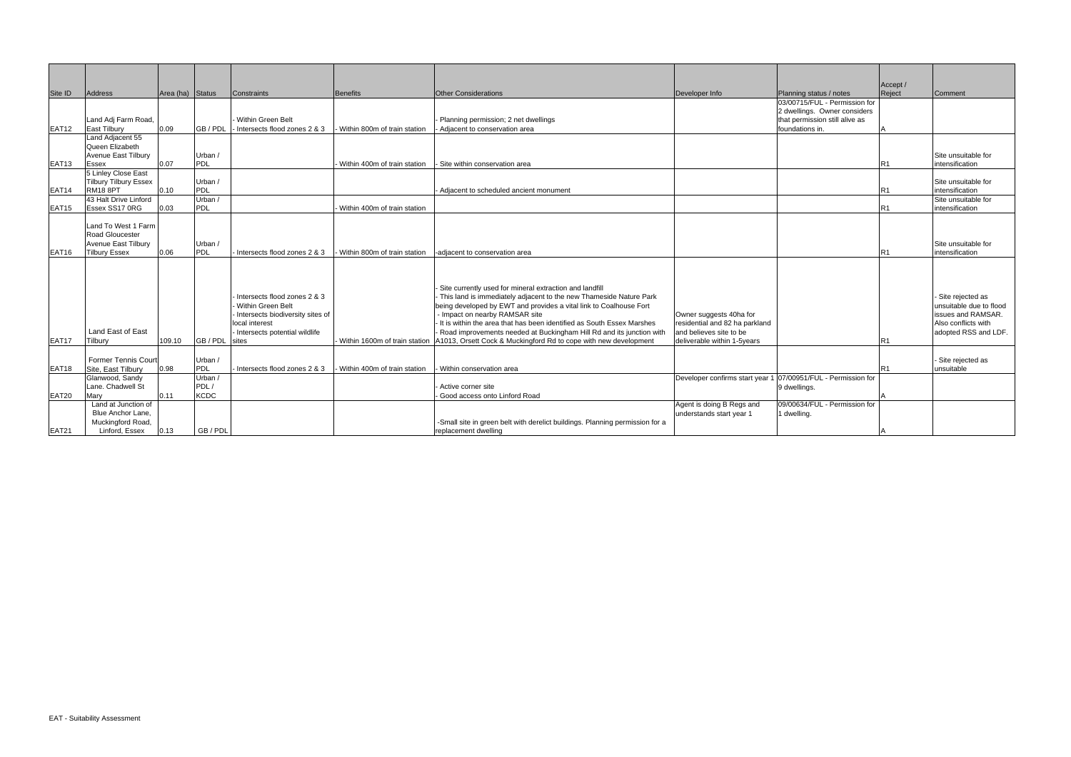|                   |                                     |                  |             |                                                   |                               |                                                                                                                                          |                                 |                                | Accept /       |                                               |
|-------------------|-------------------------------------|------------------|-------------|---------------------------------------------------|-------------------------------|------------------------------------------------------------------------------------------------------------------------------------------|---------------------------------|--------------------------------|----------------|-----------------------------------------------|
| Site ID           | Address                             | Area (ha) Status |             | Constraints                                       | Benefits                      | <b>Other Considerations</b>                                                                                                              | Developer Info                  | Planning status / notes        | Reject         | Comment                                       |
|                   |                                     |                  |             |                                                   |                               |                                                                                                                                          |                                 | 03/00715/FUL - Permission for  |                |                                               |
|                   |                                     |                  |             |                                                   |                               |                                                                                                                                          |                                 | 2 dwellings. Owner considers   |                |                                               |
|                   | Land Adj Farm Road,                 |                  |             | Within Green Belt                                 |                               | Planning permission; 2 net dwellings                                                                                                     |                                 | that permission still alive as |                |                                               |
| EAT <sub>12</sub> | <b>East Tilbury</b>                 | 0.09             | GB/PDL      | Intersects flood zones 2 & 3                      | Within 800m of train station  | Adiacent to conservation area                                                                                                            |                                 | foundations in.                |                |                                               |
|                   | Land Adjacent 55<br>Queen Elizabeth |                  |             |                                                   |                               |                                                                                                                                          |                                 |                                |                |                                               |
|                   | Avenue East Tilbury                 |                  | Urban /     |                                                   |                               |                                                                                                                                          |                                 |                                |                | Site unsuitable for                           |
| EAT <sub>13</sub> | Essex                               | 0.07             | PDL         |                                                   | Within 400m of train station  | Site within conservation area                                                                                                            |                                 |                                |                | intensification                               |
|                   | 5 Linley Close East                 |                  |             |                                                   |                               |                                                                                                                                          |                                 |                                |                |                                               |
|                   | <b>Tilbury Tilbury Essex</b>        |                  | Urban /     |                                                   |                               |                                                                                                                                          |                                 |                                |                | Site unsuitable for                           |
| EAT14             | RM18 8PT                            | 0.10             | PDL         |                                                   |                               | Adiacent to scheduled ancient monument                                                                                                   |                                 |                                | R1             | intensification                               |
|                   | 43 Halt Drive Linford               |                  | Urban /     |                                                   |                               |                                                                                                                                          |                                 |                                |                | Site unsuitable for                           |
| EAT <sub>15</sub> | Essex SS17 0RG                      | 0.03             | PDL         |                                                   | Within 400m of train station  |                                                                                                                                          |                                 |                                | R <sub>1</sub> | intensification                               |
|                   | Land To West 1 Farm                 |                  |             |                                                   |                               |                                                                                                                                          |                                 |                                |                |                                               |
|                   | Road Gloucester                     |                  |             |                                                   |                               |                                                                                                                                          |                                 |                                |                |                                               |
|                   | Avenue East Tilbury                 |                  | Urban /     |                                                   |                               |                                                                                                                                          |                                 |                                |                | Site unsuitable for                           |
| EAT <sub>16</sub> | <b>Tilbury Essex</b>                | 0.06             | PDL         | Intersects flood zones 2 & 3                      | Within 800m of train station  | -adjacent to conservation area                                                                                                           |                                 |                                | R <sub>1</sub> | intensification                               |
|                   |                                     |                  |             |                                                   |                               |                                                                                                                                          |                                 |                                |                |                                               |
|                   |                                     |                  |             |                                                   |                               |                                                                                                                                          |                                 |                                |                |                                               |
|                   |                                     |                  |             |                                                   |                               |                                                                                                                                          |                                 |                                |                |                                               |
|                   |                                     |                  |             |                                                   |                               | Site currently used for mineral extraction and landfill                                                                                  |                                 |                                |                |                                               |
|                   |                                     |                  |             | Intersects flood zones 2 & 3<br>Within Green Belt |                               | This land is immediately adjacent to the new Thameside Nature Park<br>being developed by EWT and provides a vital link to Coalhouse Fort |                                 |                                |                | - Site rejected as<br>unsuitable due to flood |
|                   |                                     |                  |             | Intersects biodiversity sites of                  |                               | - Impact on nearby RAMSAR site                                                                                                           | Owner suggests 40ha for         |                                |                | issues and RAMSAR.                            |
|                   |                                     |                  |             | local interest                                    |                               | It is within the area that has been identified as South Essex Marshes                                                                    | residential and 82 ha parkland  |                                |                | Also conflicts with                           |
|                   | Land East of East                   |                  |             | Intersects potential wildlife                     |                               | - Road improvements needed at Buckingham Hill Rd and its junction with                                                                   | and believes site to be         |                                |                | adopted RSS and LDF.                          |
| EAT <sub>17</sub> | Tilbury                             | 109.10           | GB / PDL    | sites                                             | Within 1600m of train station | A1013, Orsett Cock & Muckingford Rd to cope with new development                                                                         | deliverable within 1-5years     |                                | R <sub>1</sub> |                                               |
|                   |                                     |                  |             |                                                   |                               |                                                                                                                                          |                                 |                                |                |                                               |
|                   | Former Tennis Court                 |                  | Urban /     |                                                   |                               |                                                                                                                                          |                                 |                                |                | - Site rejected as                            |
| EAT <sub>18</sub> | Site, East Tilbury                  | 0.98             | PDL         | Intersects flood zones 2 & 3                      | Within 400m of train station  | Within conservation area                                                                                                                 |                                 |                                | IR1            | unsuitable                                    |
|                   | Glanwood, Sandy                     |                  | Urban /     |                                                   |                               |                                                                                                                                          | Developer confirms start year 1 | 07/00951/FUL - Permission for  |                |                                               |
|                   | Lane. Chadwell St                   |                  | PDL/        |                                                   |                               | Active corner site                                                                                                                       |                                 | 9 dwellings.                   |                |                                               |
| EAT20             | Mary                                | 0.11             | <b>KCDC</b> |                                                   |                               | Good access onto Linford Road                                                                                                            |                                 |                                |                |                                               |
|                   | Land at Junction of                 |                  |             |                                                   |                               |                                                                                                                                          | Agent is doing B Regs and       | 09/00634/FUL - Permission for  |                |                                               |
|                   | Blue Anchor Lane,                   |                  |             |                                                   |                               |                                                                                                                                          | understands start year 1        | 1 dwelling.                    |                |                                               |
| <b>EAT21</b>      | Muckingford Road,<br>Linford, Essex | 0.13             | GB / PDL    |                                                   |                               | -Small site in green belt with derelict buildings. Planning permission for a<br>replacement dwelling                                     |                                 |                                |                |                                               |
|                   |                                     |                  |             |                                                   |                               |                                                                                                                                          |                                 |                                |                |                                               |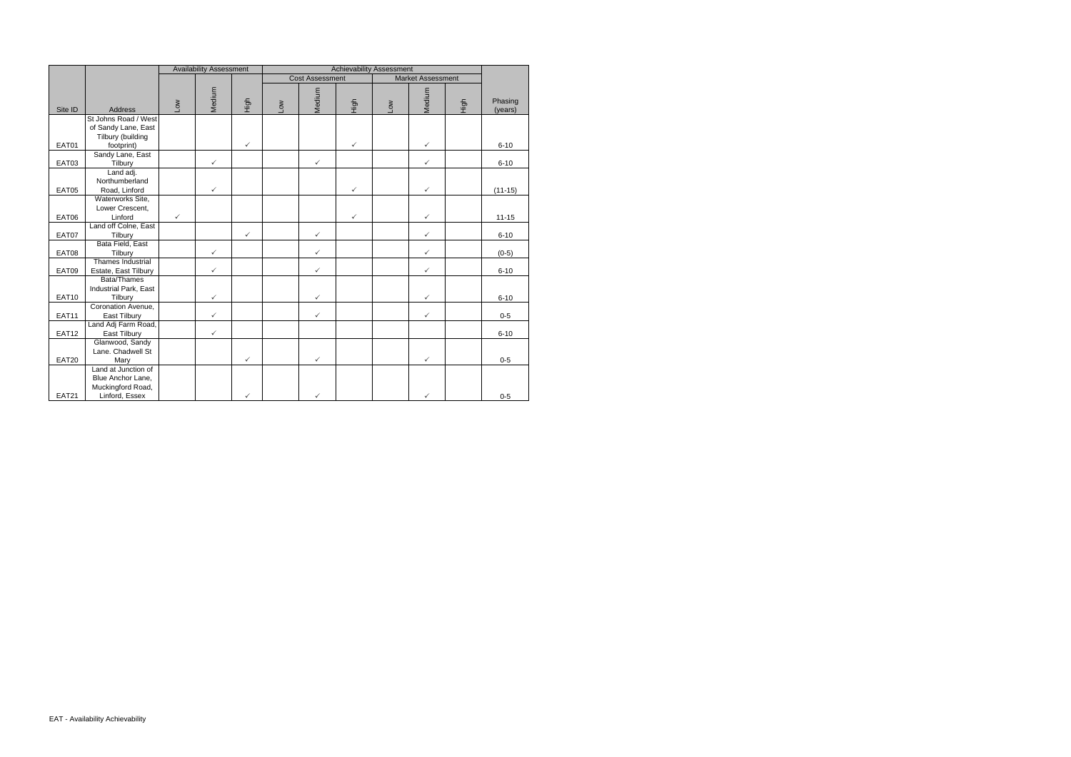| Phasing<br>(years)<br>$6 - 10$ |
|--------------------------------|
|                                |
|                                |
|                                |
|                                |
|                                |
|                                |
|                                |
| $6 - 10$                       |
|                                |
|                                |
| $(11 - 15)$                    |
|                                |
|                                |
| $11 - 15$                      |
|                                |
| $6 - 10$                       |
|                                |
| $(0-5)$                        |
|                                |
| $6 - 10$                       |
|                                |
|                                |
| $6 - 10$                       |
|                                |
| $0-5$                          |
|                                |
| $6 - 10$                       |
|                                |
|                                |
| $0-5$                          |
|                                |
|                                |
| $0 - 5$                        |
|                                |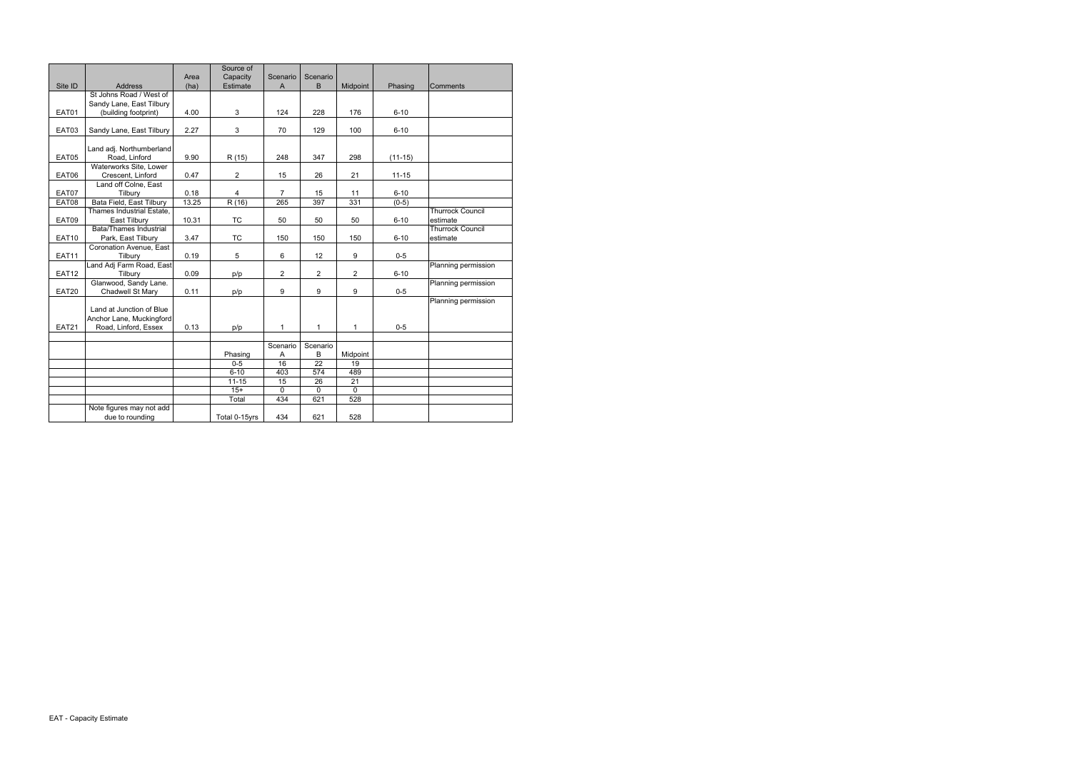|              |                               |       | Source of     |                 |                 |                 |           |                         |
|--------------|-------------------------------|-------|---------------|-----------------|-----------------|-----------------|-----------|-------------------------|
|              |                               | Area  | Capacity      | Scenario        | Scenario        |                 |           |                         |
| Site ID      | <b>Address</b>                | (ha)  | Estimate      | $\overline{A}$  | $\overline{B}$  | Midpoint        | Phasing   | <b>Comments</b>         |
|              | St Johns Road / West of       |       |               |                 |                 |                 |           |                         |
|              | Sandy Lane, East Tilbury      |       |               |                 |                 |                 |           |                         |
| EAT01        | (building footprint)          | 4.00  | 3             | 124             | 228             | 176             | $6 - 10$  |                         |
|              |                               |       |               |                 |                 |                 |           |                         |
| EAT03        | Sandy Lane, East Tilbury      | 2.27  | 3             | 70              | 129             | 100             | $6 - 10$  |                         |
|              |                               |       |               |                 |                 |                 |           |                         |
|              | Land adj. Northumberland      |       |               |                 |                 |                 |           |                         |
| EAT05        | Road, Linford                 | 9.90  | R (15)        | 248             | 347             | 298             | $(11-15)$ |                         |
|              | Waterworks Site, Lower        |       |               |                 |                 |                 |           |                         |
| EAT06        | Crescent, Linford             | 0.47  | 2             | 15              | 26              | 21              | $11 - 15$ |                         |
|              | Land off Colne, East          |       |               |                 |                 |                 |           |                         |
| EAT07        | Tilbury                       | 0.18  | 4             | $\overline{7}$  | 15              | 11              | $6 - 10$  |                         |
| EAT08        | Bata Field, East Tilbury      | 13.25 | R(16)         | 265             | 397             | 331             | $(0-5)$   |                         |
|              | Thames Industrial Estate,     |       |               |                 |                 |                 |           | <b>Thurrock Council</b> |
| EAT09        | East Tilbury                  | 10.31 | <b>TC</b>     | 50              | 50              | 50              | $6 - 10$  | estimate                |
|              | <b>Bata/Thames Industrial</b> |       |               |                 |                 |                 |           | <b>Thurrock Council</b> |
| <b>EAT10</b> | Park, East Tilbury            | 3.47  | <b>TC</b>     | 150             | 150             | 150             | $6 - 10$  | estimate                |
|              | Coronation Avenue, East       |       |               |                 |                 |                 |           |                         |
| <b>EAT11</b> | Tilbury                       | 0.19  | 5             | 6               | 12              | 9               | $0 - 5$   |                         |
|              | Land Adj Farm Road, East      |       |               |                 |                 |                 |           | Planning permission     |
| <b>EAT12</b> | Tilbury                       | 0.09  | p/p           | $\overline{2}$  | $\overline{c}$  | $\overline{2}$  | $6 - 10$  |                         |
|              | Glanwood, Sandy Lane.         |       |               |                 |                 |                 |           | Planning permission     |
| <b>EAT20</b> | Chadwell St Mary              | 0.11  | p/p           | 9               | 9               | 9               | $0-5$     |                         |
|              |                               |       |               |                 |                 |                 |           | Planning permission     |
|              | Land at Junction of Blue      |       |               |                 |                 |                 |           |                         |
|              | Anchor Lane, Muckingford      |       |               |                 |                 |                 |           |                         |
| <b>EAT21</b> | Road, Linford, Essex          | 0.13  | p/p           | $\mathbf{1}$    | $\mathbf{1}$    | $\mathbf{1}$    | $0 - 5$   |                         |
|              |                               |       |               |                 |                 |                 |           |                         |
|              |                               |       |               | Scenario        | Scenario        |                 |           |                         |
|              |                               |       | Phasing       | Α               | B               | Midpoint        |           |                         |
|              |                               |       | $0-5$         | $\overline{16}$ | 22              | 19              |           |                         |
|              |                               |       | $6 - 10$      | 403             | 574             | 489             |           |                         |
|              |                               |       | $11 - 15$     | 15              | $\overline{26}$ | $\overline{21}$ |           |                         |
|              |                               |       | $15+$         | $\overline{0}$  | $\overline{0}$  | $\overline{0}$  |           |                         |
|              |                               |       | Total         | 434             | 621             | 528             |           |                         |
|              | Note figures may not add      |       |               |                 |                 |                 |           |                         |
|              | due to rounding               |       | Total 0-15yrs | 434             | 621             | 528             |           |                         |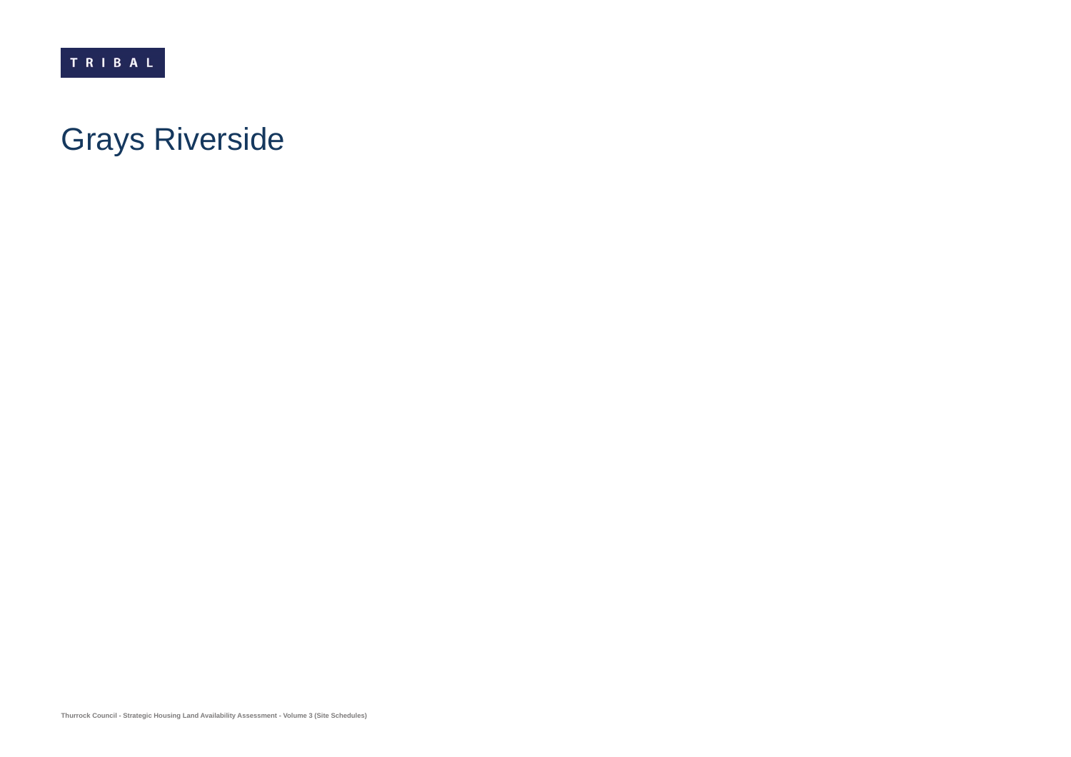# Grays Riverside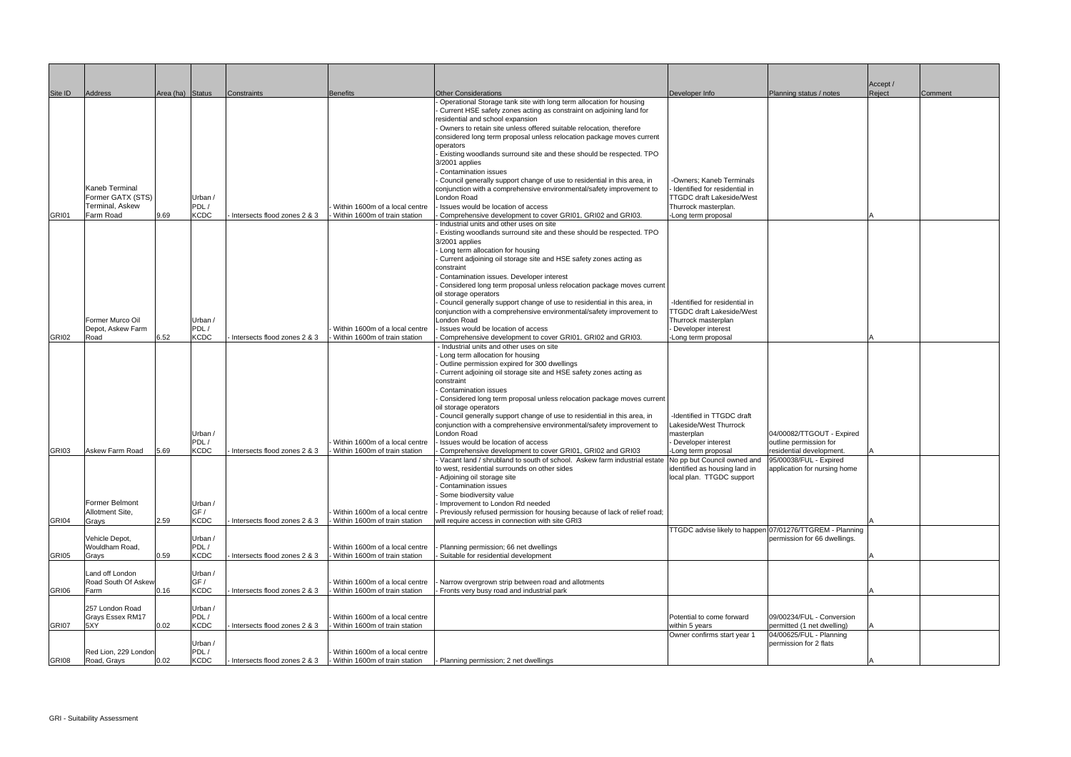|         |                                                |                  |                                |                              |                                                                 |                                                                                                                                                                                                                                                                                                                                                                                                                                                                                                                                                                                                                 |                                                                                                                 |                                                                                 | Accept / |         |
|---------|------------------------------------------------|------------------|--------------------------------|------------------------------|-----------------------------------------------------------------|-----------------------------------------------------------------------------------------------------------------------------------------------------------------------------------------------------------------------------------------------------------------------------------------------------------------------------------------------------------------------------------------------------------------------------------------------------------------------------------------------------------------------------------------------------------------------------------------------------------------|-----------------------------------------------------------------------------------------------------------------|---------------------------------------------------------------------------------|----------|---------|
| Site ID | Address                                        | Area (ha) Status |                                | Constraints                  | Benefits                                                        | <b>Other Considerations</b>                                                                                                                                                                                                                                                                                                                                                                                                                                                                                                                                                                                     | Developer Info                                                                                                  | Planning status / notes                                                         | Reject   | Comment |
|         |                                                |                  |                                |                              |                                                                 | Operational Storage tank site with long term allocation for housing<br>Current HSE safety zones acting as constraint on adjoining land for<br>residential and school expansion<br>Owners to retain site unless offered suitable relocation, therefore<br>considered long term proposal unless relocation package moves current<br>operators<br>Existing woodlands surround site and these should be respected. TPO<br>3/2001 applies<br><b>Contamination issues</b>                                                                                                                                             |                                                                                                                 |                                                                                 |          |         |
|         | Kaneb Terminal<br>Former GATX (STS)            |                  | Urban /                        |                              |                                                                 | Council generally support change of use to residential in this area, in<br>conjunction with a comprehensive environmental/safety improvement to<br>London Road                                                                                                                                                                                                                                                                                                                                                                                                                                                  | -Owners: Kaneb Terminals<br>- Identified for residential in<br><b>TTGDC draft Lakeside/West</b>                 |                                                                                 |          |         |
|         | Terminal, Askew                                |                  | PDL/                           |                              | Within 1600m of a local centre                                  | Issues would be location of access                                                                                                                                                                                                                                                                                                                                                                                                                                                                                                                                                                              | Thurrock masterplan.                                                                                            |                                                                                 |          |         |
| GRI01   | Farm Road                                      | 9.69             | <b>KCDC</b>                    | Intersects flood zones 2 & 3 | Within 1600m of train station                                   | Comprehensive development to cover GRI01, GRI02 and GRI03.                                                                                                                                                                                                                                                                                                                                                                                                                                                                                                                                                      | -Long term proposal                                                                                             |                                                                                 |          |         |
|         |                                                |                  |                                |                              |                                                                 | Industrial units and other uses on site<br>Existing woodlands surround site and these should be respected. TPO<br>3/2001 applies<br>Long term allocation for housing<br>Current adjoining oil storage site and HSE safety zones acting as<br>constraint<br>Contamination issues. Developer interest<br>Considered long term proposal unless relocation package moves current<br>oil storage operators<br>Council generally support change of use to residential in this area, in<br>conjunction with a comprehensive environmental/safety improvement to                                                        | -Identified for residential in<br><b>TTGDC draft Lakeside/West</b>                                              |                                                                                 |          |         |
|         | Former Murco Oil<br>Depot, Askew Farm          |                  | Urban /<br>PDL/                |                              | Within 1600m of a local centre                                  | London Road<br>Issues would be location of access                                                                                                                                                                                                                                                                                                                                                                                                                                                                                                                                                               | Thurrock masterplan<br>- Developer interest                                                                     |                                                                                 |          |         |
| GRI02   | Road                                           | 6.52             | <b>KCDC</b>                    | Intersects flood zones 2 & 3 | Within 1600m of train station                                   | Comprehensive development to cover GRI01, GRI02 and GRI03.                                                                                                                                                                                                                                                                                                                                                                                                                                                                                                                                                      | -Long term proposal                                                                                             |                                                                                 |          |         |
| GRI03   | Askew Farm Road                                | 5.69             | Urban /<br>PDL/<br><b>KCDC</b> | Intersects flood zones 2 & 3 | Within 1600m of a local centre<br>Within 1600m of train station | - Industrial units and other uses on site<br>Long term allocation for housing<br>Outline permission expired for 300 dwellings<br>Current adjoining oil storage site and HSE safety zones acting as<br>constraint<br>Contamination issues<br>Considered long term proposal unless relocation package moves current<br>oil storage operators<br>Council generally support change of use to residential in this area, in<br>conjunction with a comprehensive environmental/safety improvement to<br>London Road<br>Issues would be location of access<br>Comprehensive development to cover GRI01, GRI02 and GRI03 | -Identified in TTGDC draft<br>Lakeside/West Thurrock<br>masterplan<br>Developer interest<br>-Long term proposal | 04/00082/TTGOUT - Expired<br>outline permission for<br>residential development. |          |         |
|         | Former Belmont<br>Allotment Site,              |                  | Urban /<br>GF/                 |                              | Within 1600m of a local centre                                  | Vacant land / shrubland to south of school. Askew farm industrial estate<br>to west, residential surrounds on other sides<br>Adjoining oil storage site<br><b>Contamination issues</b><br>Some biodiversity value<br>Improvement to London Rd needed<br>Previously refused permission for housing because of lack of relief road;                                                                                                                                                                                                                                                                               | No pp but Council owned and<br>identified as housing land in<br>local plan. TTGDC support                       | 95/00038/FUL - Expired<br>application for nursing home                          |          |         |
| GRI04   | Grays                                          | 2.59             | <b>KCDC</b>                    | Intersects flood zones 2 & 3 | Within 1600m of train station                                   | will require access in connection with site GRI3                                                                                                                                                                                                                                                                                                                                                                                                                                                                                                                                                                | TTGDC advise likely to happen 07/01276/TTGREM - Planning                                                        |                                                                                 |          |         |
| GRI05   | Vehicle Depot,<br>Wouldham Road,<br>Grays      | 0.59             | Urban /<br>PDL/<br><b>KCDC</b> | Intersects flood zones 2 & 3 | Within 1600m of a local centre<br>Within 1600m of train station | Planning permission; 66 net dwellings<br>Suitable for residential development                                                                                                                                                                                                                                                                                                                                                                                                                                                                                                                                   |                                                                                                                 | permission for 66 dwellings.                                                    |          |         |
| GRI06   | Land off London<br>Road South Of Askew<br>Farm | 0.16             | Urban /<br>GF /<br><b>KCDC</b> | Intersects flood zones 2 & 3 | Within 1600m of a local centre<br>Within 1600m of train station | Narrow overgrown strip between road and allotments<br>Fronts very busy road and industrial park                                                                                                                                                                                                                                                                                                                                                                                                                                                                                                                 |                                                                                                                 |                                                                                 |          |         |
| GRI07   | 257 London Road<br>Grays Essex RM17<br>5XY     | 0.02             | Urban /<br>PDL/<br><b>KCDC</b> | Intersects flood zones 2 & 3 | Within 1600m of a local centre<br>Within 1600m of train station |                                                                                                                                                                                                                                                                                                                                                                                                                                                                                                                                                                                                                 | Potential to come forward<br>within 5 years                                                                     | 09/00234/FUL - Conversion<br>permitted (1 net dwelling)                         |          |         |
| GRI08   | Red Lion, 229 London<br>Road, Grays            | 0.02             | Urban /<br>PDL/<br><b>KCDC</b> | Intersects flood zones 2 & 3 | Within 1600m of a local centre<br>Within 1600m of train station | Planning permission; 2 net dwellings                                                                                                                                                                                                                                                                                                                                                                                                                                                                                                                                                                            | Owner confirms start year 1                                                                                     | 04/00625/FUL - Planning<br>permission for 2 flats                               |          |         |
|         |                                                |                  |                                |                              |                                                                 |                                                                                                                                                                                                                                                                                                                                                                                                                                                                                                                                                                                                                 |                                                                                                                 |                                                                                 |          |         |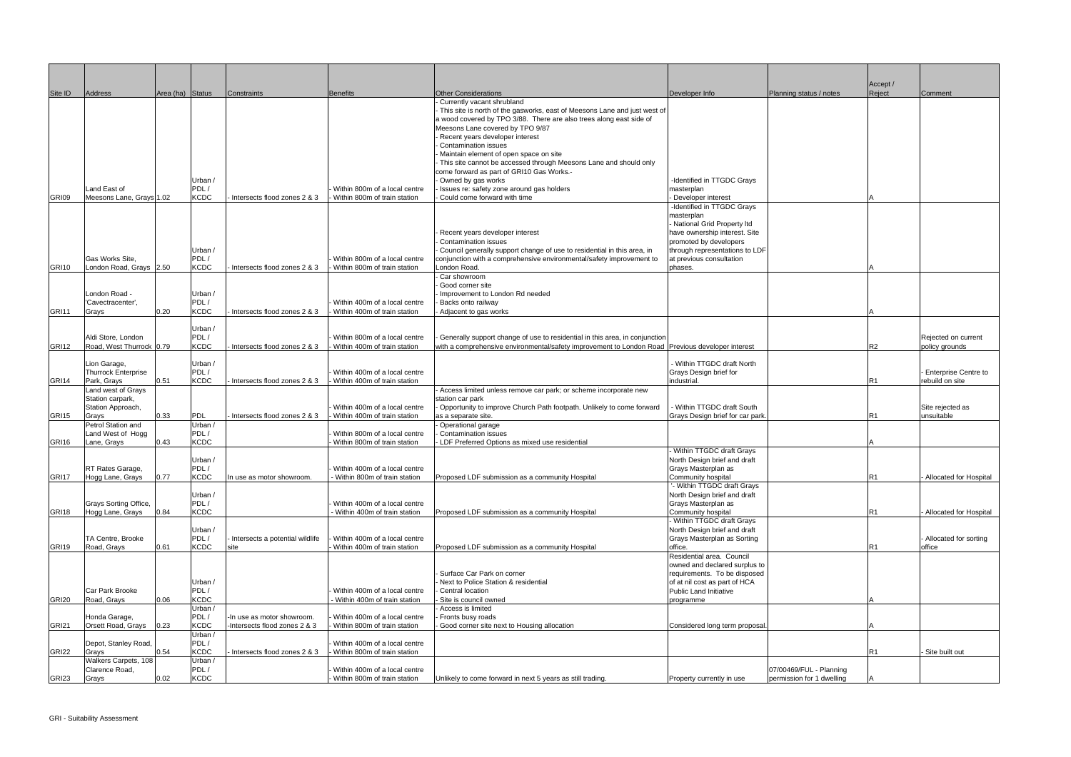| Site ID               | Address                                                                | Area (ha) Status |                                               | Constraints                                                  | Benefits                                                                                      | <b>Other Considerations</b>                                                                                                                                                                                                                                                                                                                                                                                                                                                                                  | Developer Info                                                                                                                                                                                                                     | Planning status / notes                              | Accept /<br>Reject | Comment                                   |
|-----------------------|------------------------------------------------------------------------|------------------|-----------------------------------------------|--------------------------------------------------------------|-----------------------------------------------------------------------------------------------|--------------------------------------------------------------------------------------------------------------------------------------------------------------------------------------------------------------------------------------------------------------------------------------------------------------------------------------------------------------------------------------------------------------------------------------------------------------------------------------------------------------|------------------------------------------------------------------------------------------------------------------------------------------------------------------------------------------------------------------------------------|------------------------------------------------------|--------------------|-------------------------------------------|
|                       | Land East of                                                           |                  | Urban /<br>PDL/                               |                                                              | Within 800m of a local centre                                                                 | Currently vacant shrubland<br>This site is north of the gasworks, east of Meesons Lane and just west of<br>a wood covered by TPO 3/88. There are also trees along east side of<br>Meesons Lane covered by TPO 9/87<br>Recent years developer interest<br>Contamination issues<br>Maintain element of open space on site<br>This site cannot be accessed through Meesons Lane and should only<br>come forward as part of GRI10 Gas Works.-<br>Owned by gas works<br>Issues re: safety zone around gas holders | -Identified in TTGDC Grays<br>masterplan                                                                                                                                                                                           |                                                      |                    |                                           |
| GRI09<br><b>GRI10</b> | Meesons Lane, Grays 1.02<br>Gas Works Site,<br>London Road, Grays 2.50 |                  | <b>KCDC</b><br>Urban /<br>PDL/<br><b>KCDC</b> | Intersects flood zones 2 & 3<br>Intersects flood zones 2 & 3 | Within 800m of train station<br>Within 800m of a local centre<br>Within 800m of train station | Could come forward with time<br>Recent years developer interest<br>Contamination issues<br>Council generally support change of use to residential in this area, in<br>conjunction with a comprehensive environmental/safety improvement to<br>London Road.                                                                                                                                                                                                                                                   | Developer interest<br>-Identified in TTGDC Grays<br>masterplan<br>- National Grid Property Itd<br>have ownership interest. Site<br>promoted by developers<br>through representations to LDF<br>at previous consultation<br>phases. |                                                      |                    |                                           |
| GRI11                 | London Road -<br>'Cavectracenter',<br>Grays                            | 0.20             | Urban /<br>PDL/<br><b>KCDC</b>                | Intersects flood zones 2 & 3                                 | Within 400m of a local centre<br>Within 400m of train station                                 | Car showroom<br>Good corner site<br>Improvement to London Rd needed<br>Backs onto railway<br>Adjacent to gas works                                                                                                                                                                                                                                                                                                                                                                                           |                                                                                                                                                                                                                                    |                                                      |                    |                                           |
| GRI12                 | Aldi Store, London<br>Road, West Thurrock 0.79                         |                  | Urban /<br>PDL/<br><b>KCDC</b>                | Intersects flood zones 2 & 3                                 | Within 800m of a local centre<br>Within 400m of train station                                 | Generally support change of use to residential in this area, in conjunction<br>with a comprehensive environmental/safety improvement to London Road Previous developer interest                                                                                                                                                                                                                                                                                                                              |                                                                                                                                                                                                                                    |                                                      | R <sub>2</sub>     | Rejected on current<br>policy grounds     |
| GRI14                 | Lion Garage,<br><b>Thurrock Enterprise</b><br>Park, Grays              | 0.51             | Urban /<br>PDL/<br><b>KCDC</b>                | Intersects flood zones 2 & 3                                 | Within 400m of a local centre<br>Within 400m of train station                                 |                                                                                                                                                                                                                                                                                                                                                                                                                                                                                                              | - Within TTGDC draft North<br>Grays Design brief for<br>industrial.                                                                                                                                                                |                                                      | R1                 | - Enterprise Centre to<br>rebuild on site |
| GRI15                 | Land west of Grays<br>Station carpark,<br>Station Approach,<br>Grays   | 0.33             | <b>PDL</b>                                    | Intersects flood zones 2 & 3                                 | Within 400m of a local centre<br>Within 400m of train station                                 | Access limited unless remove car park; or scheme incorporate new<br>station car park<br>Opportunity to improve Church Path footpath. Unlikely to come forward<br>as a separate site.                                                                                                                                                                                                                                                                                                                         | - Within TTGDC draft South<br>Grays Design brief for car park.                                                                                                                                                                     |                                                      | R1                 | Site rejected as<br>unsuitable            |
| GRI16                 | Petrol Station and<br>Land West of Hogg<br>Lane, Grays                 | 0.43             | Urban /<br>PDL/<br><b>KCDC</b>                |                                                              | Within 800m of a local centre<br>Within 800m of train station                                 | Operational garage<br>Contamination issues<br>LDF Preferred Options as mixed use residential                                                                                                                                                                                                                                                                                                                                                                                                                 |                                                                                                                                                                                                                                    |                                                      |                    |                                           |
| GRI17                 | RT Rates Garage,<br>Hogg Lane, Grays                                   | 0.77             | Urban /<br>PDL/<br><b>KCDC</b>                | In use as motor showroom.                                    | Within 400m of a local centre<br>Within 800m of train station                                 | Proposed LDF submission as a community Hospital                                                                                                                                                                                                                                                                                                                                                                                                                                                              | Within TTGDC draft Grays<br>North Design brief and draft<br>Grays Masterplan as<br>Community hospital<br>'- Within TTGDC draft Grays                                                                                               |                                                      | R <sub>1</sub>     | Allocated for Hospital                    |
| GRI18                 | Grays Sorting Office,<br>Hogg Lane, Grays                              | 0.84             | Urban /<br>PDL/<br><b>KCDC</b>                |                                                              | Within 400m of a local centre<br>Within 400m of train station                                 | Proposed LDF submission as a community Hospital                                                                                                                                                                                                                                                                                                                                                                                                                                                              | North Design brief and draft<br>Grays Masterplan as<br>Community hospital<br>- Within TTGDC draft Grays                                                                                                                            |                                                      | R1                 | Allocated for Hospital                    |
| GRI19                 | TA Centre, Brooke<br>Road, Grays                                       | 0.61             | Urban /<br>PDL/<br><b>KCDC</b>                | Intersects a potential wildlife<br>site                      | Within 400m of a local centre<br>Within 400m of train station                                 | Proposed LDF submission as a community Hospital                                                                                                                                                                                                                                                                                                                                                                                                                                                              | North Design brief and draft<br>Grays Masterplan as Sorting<br>office.                                                                                                                                                             |                                                      | R1                 | Allocated for sorting<br>office           |
| GRI <sub>20</sub>     | Car Park Brooke<br>Road, Grays                                         | 0.06             | Urban /<br>PDL/<br><b>KCDC</b>                |                                                              | Within 400m of a local centre<br>Within 400m of train station                                 | Surface Car Park on corner<br>Next to Police Station & residential<br>Central location<br>Site is council owned                                                                                                                                                                                                                                                                                                                                                                                              | Residential area. Council<br>owned and declared surplus to<br>requirements. To be disposed<br>of at nil cost as part of HCA<br>Public Land Initiative<br>programme                                                                 |                                                      |                    |                                           |
| GRI21                 | Honda Garage,<br>Orsett Road, Grays                                    | 0.23             | Urban /<br>PDL/<br><b>KCDC</b>                | -In use as motor showroom<br>-Intersects flood zones 2 & 3   | Within 400m of a local centre<br>Within 800m of train station                                 | Access is limited<br>Fronts busy roads<br>Good corner site next to Housing allocation                                                                                                                                                                                                                                                                                                                                                                                                                        | Considered long term proposal                                                                                                                                                                                                      |                                                      |                    |                                           |
| GRI22                 | Depot, Stanley Road,<br>Grays                                          | 0.54             | Urban /<br>PDL/<br><b>KCDC</b>                | Intersects flood zones 2 & 3                                 | Within 400m of a local centre<br>Within 800m of train station                                 |                                                                                                                                                                                                                                                                                                                                                                                                                                                                                                              |                                                                                                                                                                                                                                    |                                                      | R1                 | Site built out                            |
| GRI <sub>23</sub>     | Walkers Carpets, 108<br>Clarence Road,<br>Grays                        | 0.02             | Urban /<br>PDL/<br><b>KCDC</b>                |                                                              | Within 400m of a local centre<br>Within 800m of train station                                 | Unlikely to come forward in next 5 years as still trading.                                                                                                                                                                                                                                                                                                                                                                                                                                                   | Property currently in use                                                                                                                                                                                                          | 07/00469/FUL - Planning<br>permission for 1 dwelling |                    |                                           |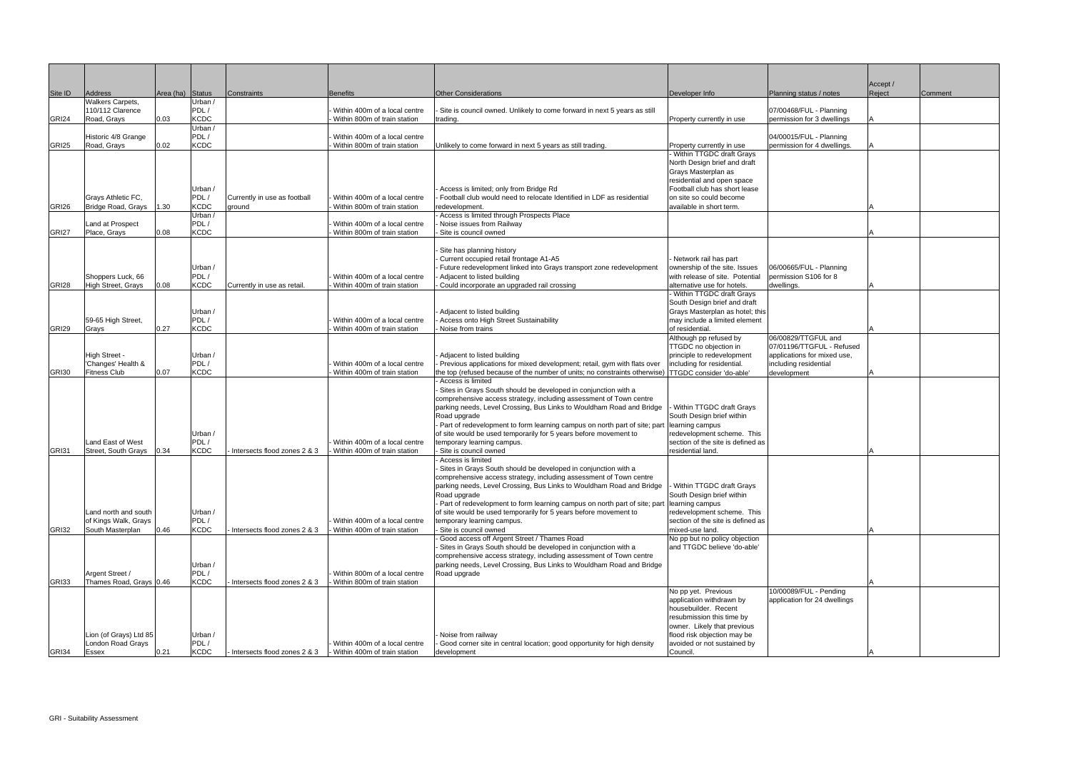|                   |                                            |                  |                     |                              |                                                               |                                                                                                                                            |                                                             |                                                       | Accept / |         |
|-------------------|--------------------------------------------|------------------|---------------------|------------------------------|---------------------------------------------------------------|--------------------------------------------------------------------------------------------------------------------------------------------|-------------------------------------------------------------|-------------------------------------------------------|----------|---------|
| Site ID           | <b>Address</b>                             | Area (ha) Status |                     | Constraints                  | <b>Benefits</b>                                               | <b>Other Considerations</b>                                                                                                                | Developer Info                                              | Planning status / notes                               | Reject   | Comment |
|                   | Walkers Carpets,                           |                  | Urban /<br>PDL/     |                              |                                                               |                                                                                                                                            |                                                             |                                                       |          |         |
| GRI24             | 110/112 Clarence<br>Road, Grays            | 0.03             | <b>KCDC</b>         |                              | Within 400m of a local centre<br>Within 800m of train station | Site is council owned. Unlikely to come forward in next 5 years as still<br>trading.                                                       | Property currently in use                                   | 07/00468/FUL - Planning<br>permission for 3 dwellings |          |         |
|                   |                                            |                  | Urban /             |                              |                                                               |                                                                                                                                            |                                                             |                                                       |          |         |
|                   | Historic 4/8 Grange                        |                  | PDL/                |                              | Within 400m of a local centre                                 |                                                                                                                                            |                                                             | 04/00015/FUL - Planning                               |          |         |
| GRI <sub>25</sub> | Road, Grays                                | 0.02             | <b>KCDC</b>         |                              | Within 800m of train station                                  | Unlikely to come forward in next 5 years as still trading.                                                                                 | Property currently in use                                   | permission for 4 dwellings.                           |          |         |
|                   |                                            |                  |                     |                              |                                                               |                                                                                                                                            | - Within TTGDC draft Grays                                  |                                                       |          |         |
|                   |                                            |                  |                     |                              |                                                               |                                                                                                                                            | North Design brief and draft                                |                                                       |          |         |
|                   |                                            |                  |                     |                              |                                                               |                                                                                                                                            | Grays Masterplan as                                         |                                                       |          |         |
|                   |                                            |                  |                     |                              |                                                               |                                                                                                                                            | residential and open space<br>Football club has short lease |                                                       |          |         |
|                   | Grays Athletic FC,                         |                  | Urban /<br>PDL/     | Currently in use as football | Within 400m of a local centre                                 | Access is limited; only from Bridge Rd<br>Football club would need to relocate Identified in LDF as residential                            | on site so could become                                     |                                                       |          |         |
| GRI26             | Bridge Road, Grays                         | 1.30             | <b>KCDC</b>         | ground                       | Within 800m of train station                                  | edevelopment.                                                                                                                              | available in short term.                                    |                                                       |          |         |
|                   |                                            |                  | Urban /             |                              |                                                               | Access is limited through Prospects Place                                                                                                  |                                                             |                                                       |          |         |
|                   | Land at Prospect                           |                  | PDL/                |                              | Within 400m of a local centre                                 | Noise issues from Railway                                                                                                                  |                                                             |                                                       |          |         |
| GRI27             | Place, Grays                               | 0.08             | <b>KCDC</b>         |                              | Within 800m of train station                                  | Site is council owned                                                                                                                      |                                                             |                                                       |          |         |
|                   |                                            |                  |                     |                              |                                                               |                                                                                                                                            |                                                             |                                                       |          |         |
|                   |                                            |                  |                     |                              |                                                               | Site has planning history                                                                                                                  |                                                             |                                                       |          |         |
|                   |                                            |                  |                     |                              |                                                               | Current occupied retail frontage A1-A5                                                                                                     | - Network rail has part                                     |                                                       |          |         |
|                   |                                            |                  | Urban /             |                              |                                                               | Future redevelopment linked into Grays transport zone redevelopment                                                                        | ownership of the site. Issues                               | 06/00665/FUL - Planning                               |          |         |
|                   | Shoppers Luck, 66                          |                  | PDL/                |                              | Within 400m of a local centre                                 | Adjacent to listed building                                                                                                                | with release of site. Potential                             | permission S106 for 8                                 |          |         |
| GRI <sub>28</sub> | High Street, Grays                         | 0.08             | <b>KCDC</b>         | Currently in use as retail.  | Within 400m of train station                                  | Could incorporate an upgraded rail crossing                                                                                                | alternative use for hotels.                                 | dwellings.                                            |          |         |
|                   |                                            |                  |                     |                              |                                                               |                                                                                                                                            | Within TTGDC draft Grays<br>South Design brief and draft    |                                                       |          |         |
|                   |                                            |                  | Urban /             |                              |                                                               | Adjacent to listed building                                                                                                                | Grays Masterplan as hotel; this                             |                                                       |          |         |
|                   | 59-65 High Street,                         |                  | PDL/                |                              | Within 400m of a local centre                                 | Access onto High Street Sustainability                                                                                                     | may include a limited element                               |                                                       |          |         |
| GRI29             | Grays                                      | 0.27             | <b>KCDC</b>         |                              | Within 400m of train station                                  | Noise from trains                                                                                                                          | of residential.                                             |                                                       |          |         |
|                   |                                            |                  |                     |                              |                                                               |                                                                                                                                            | Although pp refused by                                      | 06/00829/TTGFUL and                                   |          |         |
|                   |                                            |                  |                     |                              |                                                               |                                                                                                                                            | TTGDC no objection in                                       | 07/01196/TTGFUL - Refused                             |          |         |
|                   | High Street -                              |                  | Urban /             |                              |                                                               | Adjacent to listed building                                                                                                                | principle to redevelopment                                  | applications for mixed use,                           |          |         |
|                   | 'Changes' Health &                         |                  | PDL/                |                              | Within 400m of a local centre                                 | Previous applications for mixed development; retail, gym with flats over                                                                   | including for residential.                                  | including residential                                 |          |         |
| <b>GRI30</b>      | <b>Fitness Club</b>                        | 0.07             | <b>KCDC</b>         |                              | - Within 400m of train station                                | the top (refused because of the number of units; no constraints otherwise)                                                                 | TTGDC consider 'do-able'                                    | development                                           |          |         |
|                   |                                            |                  |                     |                              |                                                               | Access is limited                                                                                                                          |                                                             |                                                       |          |         |
|                   |                                            |                  |                     |                              |                                                               | Sites in Grays South should be developed in conjunction with a<br>comprehensive access strategy, including assessment of Town centre       |                                                             |                                                       |          |         |
|                   |                                            |                  |                     |                              |                                                               | parking needs, Level Crossing, Bus Links to Wouldham Road and Bridge                                                                       | Within TTGDC draft Grays                                    |                                                       |          |         |
|                   |                                            |                  |                     |                              |                                                               | Road upgrade                                                                                                                               | South Design brief within                                   |                                                       |          |         |
|                   |                                            |                  |                     |                              |                                                               | - Part of redevelopment to form learning campus on north part of site; part                                                                | learning campus                                             |                                                       |          |         |
|                   |                                            |                  | Urban /             |                              |                                                               | of site would be used temporarily for 5 years before movement to                                                                           | redevelopment scheme. This                                  |                                                       |          |         |
|                   | <b>Land East of West</b>                   |                  | PDL/                |                              | Within 400m of a local centre                                 | temporary learning campus.                                                                                                                 | section of the site is defined as                           |                                                       |          |         |
| GRI31             | Street, South Grays                        | .34              | <b>KCDC</b>         | Intersects flood zones 2 & 3 | Within 400m of train station                                  | Site is council owned                                                                                                                      | residential land.                                           |                                                       |          |         |
|                   |                                            |                  |                     |                              |                                                               | Access is limited                                                                                                                          |                                                             |                                                       |          |         |
|                   |                                            |                  |                     |                              |                                                               | Sites in Grays South should be developed in conjunction with a                                                                             |                                                             |                                                       |          |         |
|                   |                                            |                  |                     |                              |                                                               | comprehensive access strategy, including assessment of Town centre<br>parking needs, Level Crossing, Bus Links to Wouldham Road and Bridge |                                                             |                                                       |          |         |
|                   |                                            |                  |                     |                              |                                                               | Road upgrade                                                                                                                               | Within TTGDC draft Grays<br>South Design brief within       |                                                       |          |         |
|                   |                                            |                  |                     |                              |                                                               | Part of redevelopment to form learning campus on north part of site; part                                                                  | learning campus                                             |                                                       |          |         |
|                   | Land north and south                       |                  | Urban /             |                              |                                                               | of site would be used temporarily for 5 years before movement to                                                                           | redevelopment scheme. This                                  |                                                       |          |         |
|                   | of Kings Walk, Grays                       |                  | PDL/                |                              | Within 400m of a local centre                                 | temporary learning campus.                                                                                                                 | section of the site is defined as                           |                                                       |          |         |
| GRI32             | South Masterplan                           | 0.46             | <b>KCDC</b>         | Intersects flood zones 2 & 3 | Within 400m of train station                                  | - Site is council owned                                                                                                                    | mixed-use land.                                             |                                                       |          |         |
|                   |                                            |                  |                     |                              |                                                               | Good access off Argent Street / Thames Road                                                                                                | No pp but no policy objection                               |                                                       |          |         |
|                   |                                            |                  |                     |                              |                                                               | Sites in Grays South should be developed in conjunction with a                                                                             | and TTGDC believe 'do-able'                                 |                                                       |          |         |
|                   |                                            |                  |                     |                              |                                                               | comprehensive access strategy, including assessment of Town centre                                                                         |                                                             |                                                       |          |         |
|                   |                                            |                  | Urban /             |                              |                                                               | parking needs, Level Crossing, Bus Links to Wouldham Road and Bridge                                                                       |                                                             |                                                       |          |         |
| GRI33             | Argent Street /<br>Thames Road, Grays 0.46 |                  | PDL/<br><b>KCDC</b> | Intersects flood zones 2 & 3 | Within 800m of a local centre<br>Within 800m of train station | Road upgrade                                                                                                                               |                                                             |                                                       |          |         |
|                   |                                            |                  |                     |                              |                                                               |                                                                                                                                            | No pp yet. Previous                                         | 10/00089/FUL - Pending                                |          |         |
|                   |                                            |                  |                     |                              |                                                               |                                                                                                                                            | application withdrawn by                                    | application for 24 dwellings                          |          |         |
|                   |                                            |                  |                     |                              |                                                               |                                                                                                                                            | housebuilder. Recent                                        |                                                       |          |         |
|                   |                                            |                  |                     |                              |                                                               |                                                                                                                                            | resubmission this time by                                   |                                                       |          |         |
|                   |                                            |                  |                     |                              |                                                               |                                                                                                                                            | owner. Likely that previous                                 |                                                       |          |         |
|                   | Lion (of Grays) Ltd 85                     |                  | Urban /             |                              |                                                               | Noise from railway                                                                                                                         | flood risk objection may be                                 |                                                       |          |         |
|                   | London Road Grays                          |                  | PDL/                |                              | Within 400m of a local centre                                 | Good corner site in central location; good opportunity for high density                                                                    | avoided or not sustained by                                 |                                                       |          |         |
| GRI34             | Essex                                      | 0.21             | <b>KCDC</b>         | Intersects flood zones 2 & 3 | Within 400m of train station                                  | development                                                                                                                                | Council.                                                    |                                                       |          |         |

| Planning status / notes                                                                                                 | Accept /<br>Reject | Comment |
|-------------------------------------------------------------------------------------------------------------------------|--------------------|---------|
| 07/00468/FUL - Planning<br>permission for 3 dwellings                                                                   | Α                  |         |
| 04/00015/FUL - Planning<br>permission for 4 dwellings.                                                                  | Α                  |         |
|                                                                                                                         |                    |         |
|                                                                                                                         |                    |         |
|                                                                                                                         | Α                  |         |
|                                                                                                                         | Α                  |         |
| 06/00665/FUL - Planning<br>permission S106 for 8<br>dwellings.                                                          | Α                  |         |
|                                                                                                                         |                    |         |
| 06/00829/TTGFUL and<br>07/01196/TTGFUL - Refused<br>applications for mixed use,<br>including residential<br>development | Α<br>Α             |         |
|                                                                                                                         |                    |         |
|                                                                                                                         | Α                  |         |
|                                                                                                                         |                    |         |
|                                                                                                                         | Α                  |         |
|                                                                                                                         | Α                  |         |
| 10/00089/FUL - Pending<br>application for 24 dwellings                                                                  |                    |         |
|                                                                                                                         | Α                  |         |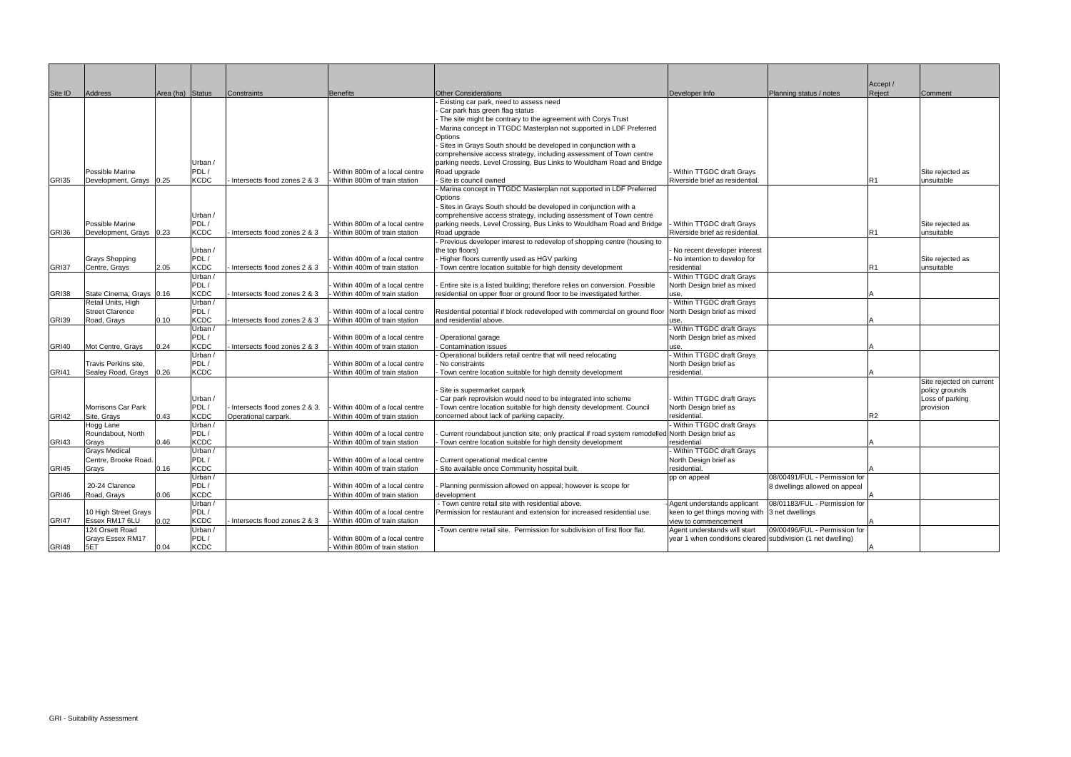| Site ID | Address                                      | Area (ha) Status |                     | Constraints                   | <b>Benefits</b>                                                 | <b>Other Considerations</b>                                                                          | Developer Info                                              | Planning status / notes       | Accept /<br>Reject | Comment                  |
|---------|----------------------------------------------|------------------|---------------------|-------------------------------|-----------------------------------------------------------------|------------------------------------------------------------------------------------------------------|-------------------------------------------------------------|-------------------------------|--------------------|--------------------------|
|         |                                              |                  |                     |                               |                                                                 | Existing car park, need to assess need                                                               |                                                             |                               |                    |                          |
|         |                                              |                  |                     |                               |                                                                 | Car park has green flag status                                                                       |                                                             |                               |                    |                          |
|         |                                              |                  |                     |                               |                                                                 | The site might be contrary to the agreement with Corys Trust                                         |                                                             |                               |                    |                          |
|         |                                              |                  |                     |                               |                                                                 | Marina concept in TTGDC Masterplan not supported in LDF Preferred                                    |                                                             |                               |                    |                          |
|         |                                              |                  |                     |                               |                                                                 | Options                                                                                              |                                                             |                               |                    |                          |
|         |                                              |                  |                     |                               |                                                                 | Sites in Grays South should be developed in conjunction with a                                       |                                                             |                               |                    |                          |
|         |                                              |                  |                     |                               |                                                                 | comprehensive access strategy, including assessment of Town centre                                   |                                                             |                               |                    |                          |
|         |                                              |                  | Urban /             |                               |                                                                 | parking needs, Level Crossing, Bus Links to Wouldham Road and Bridge                                 |                                                             |                               |                    |                          |
|         | Possible Marine                              |                  | PDL/                |                               | Within 800m of a local centre                                   | Road upgrade                                                                                         | - Within TTGDC draft Grays                                  |                               |                    | Site rejected as         |
| GRI35   | Development, Grays 0.25                      |                  | <b>KCDC</b>         | Intersects flood zones 2 & 3  | Within 800m of train station                                    | Site is council owned                                                                                | Riverside brief as residential.                             |                               | R1                 | unsuitable               |
|         |                                              |                  |                     |                               |                                                                 | Marina concept in TTGDC Masterplan not supported in LDF Preferred                                    |                                                             |                               |                    |                          |
|         |                                              |                  |                     |                               |                                                                 | Options                                                                                              |                                                             |                               |                    |                          |
|         |                                              |                  |                     |                               |                                                                 | Sites in Grays South should be developed in conjunction with a                                       |                                                             |                               |                    |                          |
|         |                                              |                  | Urban <sub>/</sub>  |                               |                                                                 | comprehensive access strategy, including assessment of Town centre                                   |                                                             |                               |                    |                          |
|         | Possible Marine                              |                  | PDL/                |                               | Within 800m of a local centre                                   | parking needs, Level Crossing, Bus Links to Wouldham Road and Bridge                                 | Within TTGDC draft Grays                                    |                               |                    | Site rejected as         |
| GRI36   | Development, Grays 0.23                      |                  | <b>KCDC</b>         | Intersects flood zones 2 & 3  | Within 800m of train station                                    | Road upgrade                                                                                         | Riverside brief as residential.                             |                               | R1                 | unsuitable               |
|         |                                              |                  |                     |                               |                                                                 | Previous developer interest to redevelop of shopping centre (housing to                              |                                                             |                               |                    |                          |
|         |                                              |                  | Urban /             |                               |                                                                 | the top floors)                                                                                      | No recent developer interest                                |                               |                    |                          |
|         | <b>Grays Shopping</b>                        |                  | PDL/                |                               | Within 400m of a local centre                                   | Higher floors currently used as HGV parking                                                          | - No intention to develop for                               |                               |                    | Site rejected as         |
| GRI37   | Centre, Grays                                | 2.05             | <b>KCDC</b>         | Intersects flood zones 2 & 3  | Within 400m of train station                                    | Town centre location suitable for high density development                                           | residential                                                 |                               | R1                 | unsuitable               |
|         |                                              |                  | Urban /             |                               |                                                                 |                                                                                                      | - Within TTGDC draft Grays                                  |                               |                    |                          |
|         |                                              |                  | PDL/<br><b>KCDC</b> |                               | Within 400m of a local centre                                   | Entire site is a listed building; therefore relies on conversion. Possible                           | North Design brief as mixed                                 |                               |                    |                          |
| GRI38   | State Cinema, Grays 0.16                     |                  |                     | Intersects flood zones 2 & 3  | Within 400m of train station                                    | residential on upper floor or ground floor to be investigated further.                               | use.                                                        |                               |                    |                          |
|         | Retail Units, High<br><b>Street Clarence</b> |                  | Urban /<br>PDL/     |                               |                                                                 |                                                                                                      | - Within TTGDC draft Grays                                  |                               |                    |                          |
| GRI39   |                                              | 0.10             | <b>KCDC</b>         | Intersects flood zones 2 & 3  | - Within 400m of a local centre<br>Within 400m of train station | Residential potential if block redeveloped with commercial on ground floor<br>and residential above. | North Design brief as mixed                                 |                               |                    |                          |
|         | Road, Grays                                  |                  | Urban /             |                               |                                                                 |                                                                                                      | use.<br>- Within TTGDC draft Grays                          |                               |                    |                          |
|         |                                              |                  | PDL/                |                               | Within 800m of a local centre                                   | Operational garage                                                                                   | North Design brief as mixed                                 |                               |                    |                          |
| GRI40   | Mot Centre, Grays                            | 0.24             | <b>KCDC</b>         | Intersects flood zones 2 & 3  | Within 400m of train station                                    | Contamination issues                                                                                 | use.                                                        |                               |                    |                          |
|         |                                              |                  | Urban /             |                               |                                                                 | Operational builders retail centre that will need relocating                                         | - Within TTGDC draft Grays                                  |                               |                    |                          |
|         | Travis Perkins site.                         |                  | PDL/                |                               | Within 800m of a local centre                                   | No constraints                                                                                       | North Design brief as                                       |                               |                    |                          |
| GRI41   | Sealey Road, Grays 0.26                      |                  | <b>KCDC</b>         |                               | Within 400m of train station                                    | Town centre location suitable for high density development                                           | residential.                                                |                               |                    |                          |
|         |                                              |                  |                     |                               |                                                                 |                                                                                                      |                                                             |                               |                    | Site rejected on current |
|         |                                              |                  |                     |                               |                                                                 | Site is supermarket carpark                                                                          |                                                             |                               |                    | policy grounds           |
|         |                                              |                  | Urban /             |                               |                                                                 | Car park reprovision would need to be integrated into scheme                                         | - Within TTGDC draft Grays                                  |                               |                    | Loss of parking          |
|         | <b>Morrisons Car Park</b>                    |                  | PDL/                | Intersects flood zones 2 & 3. | Within 400m of a local centre                                   | Town centre location suitable for high density development. Council                                  | North Design brief as                                       |                               |                    | provision                |
| GRI42   | Site, Grays                                  | 0.43             | <b>KCDC</b>         | Operational carpark.          | Within 400m of train station                                    | concerned about lack of parking capacity.                                                            | residential.                                                |                               | R <sub>2</sub>     |                          |
|         | Hogg Lane                                    |                  | Urban /             |                               |                                                                 |                                                                                                      | - Within TTGDC draft Grays                                  |                               |                    |                          |
|         | Roundabout, North                            |                  | PDL/                |                               | Within 400m of a local centre                                   | Current roundabout junction site; only practical if road system remodelled North Design brief as     |                                                             |                               |                    |                          |
| GRI43   | Grays                                        | 0.46             | <b>KCDC</b>         |                               | Within 400m of train station                                    | Town centre location suitable for high density development                                           | residential                                                 |                               |                    |                          |
|         | <b>Grays Medical</b>                         |                  | Urban /             |                               |                                                                 |                                                                                                      | - Within TTGDC draft Grays                                  |                               |                    |                          |
|         | Centre, Brooke Road.                         |                  | PDL/                |                               | Within 400m of a local centre                                   | Current operational medical centre                                                                   | North Design brief as                                       |                               |                    |                          |
| GRI45   | Grays                                        | 0.16             | KCDC                |                               | - Within 400m of train station                                  | - Site available once Community hospital built.                                                      | residential.                                                |                               |                    |                          |
|         |                                              |                  | Urban /             |                               |                                                                 |                                                                                                      | pp on appeal                                                | 08/00491/FUL - Permission for |                    |                          |
|         | 20-24 Clarence                               |                  | PDL/                |                               | Within 400m of a local centre                                   | Planning permission allowed on appeal; however is scope for                                          |                                                             | 8 dwellings allowed on appeal |                    |                          |
| GRI46   | Road, Grays                                  | 0.06             | <b>KCDC</b>         |                               | Within 400m of train station                                    | development                                                                                          |                                                             |                               |                    |                          |
|         |                                              |                  | Urban /             |                               |                                                                 | - Town centre retail site with residential above.                                                    | Agent understands applicant                                 | 08/01183/FUL - Permission for |                    |                          |
|         | 10 High Street Grays                         |                  | PDL/                |                               | Within 400m of a local centre                                   | Permission for restaurant and extension for increased residential use.                               | keen to get things moving with                              | 3 net dwellings               |                    |                          |
| GRI47   | Essex RM17 6LU                               | 0.02             | <b>KCDC</b>         | Intersects flood zones 2 & 3  | Within 400m of train station                                    |                                                                                                      | view to commencement                                        |                               |                    |                          |
|         | 124 Orsett Road                              |                  | Urban /             |                               |                                                                 | -Town centre retail site. Permission for subdivision of first floor flat.                            | Agent understands will start                                | 09/00496/FUL - Permission for |                    |                          |
|         | <b>Grays Essex RM17</b>                      |                  | PDL/                |                               | Within 800m of a local centre                                   |                                                                                                      | year 1 when conditions cleared subdivision (1 net dwelling) |                               |                    |                          |
| GRI48   | 5ET                                          | 0.04             | <b>KCDC</b>         |                               | Within 800m of train station                                    |                                                                                                      |                                                             |                               |                    |                          |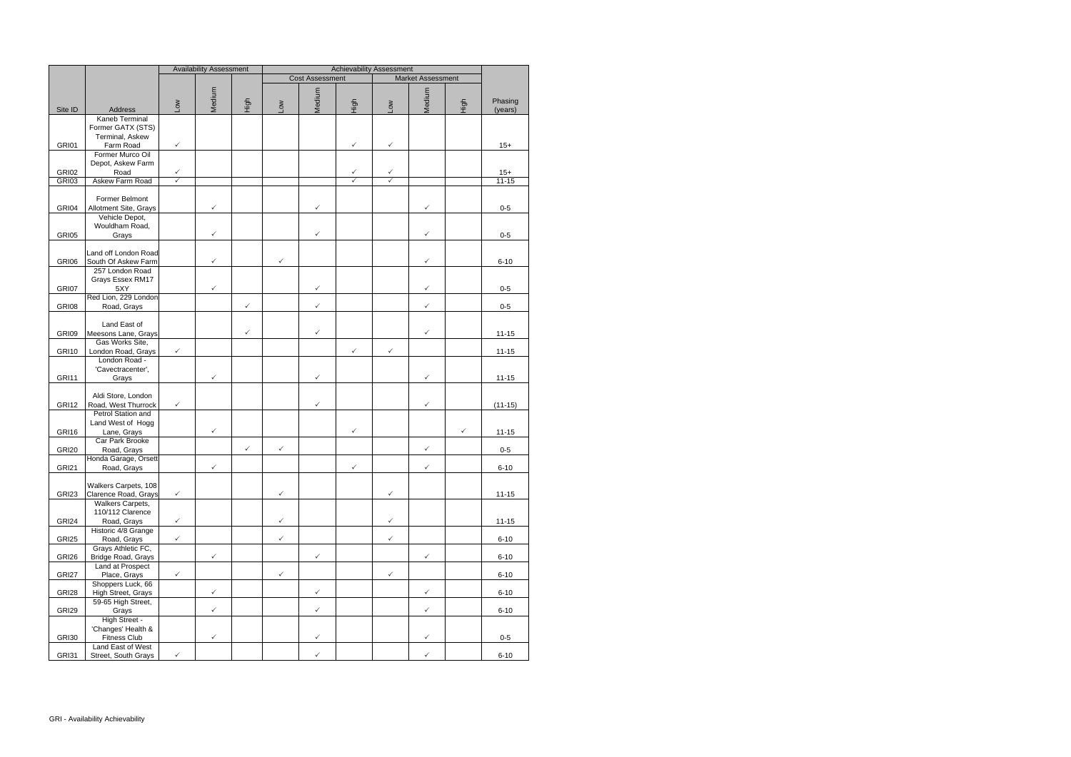|              |                                                 |              | <b>Availability Assessment</b> | <b>Achievability Assessment</b> |              |                        |              |              |                          |      |                    |
|--------------|-------------------------------------------------|--------------|--------------------------------|---------------------------------|--------------|------------------------|--------------|--------------|--------------------------|------|--------------------|
|              |                                                 |              |                                |                                 |              | <b>Cost Assessment</b> |              |              | <b>Market Assessment</b> |      |                    |
| Site ID      | Address                                         | Low          | Medium                         | High                            | <b>No7</b>   | Medium                 | High         | Mo7          | Medium                   | High | Phasing<br>(years) |
|              | <b>Kaneb Terminal</b><br>Former GATX (STS)      |              |                                |                                 |              |                        |              |              |                          |      |                    |
|              | Terminal, Askew                                 |              |                                |                                 |              |                        |              |              |                          |      |                    |
| GRI01        | Farm Road                                       | $\checkmark$ |                                |                                 |              |                        | $\checkmark$ | $\checkmark$ |                          |      | $15+$              |
|              | Former Murco Oil                                |              |                                |                                 |              |                        |              |              |                          |      |                    |
| <b>GRI02</b> | Depot, Askew Farm<br>Road                       | $\checkmark$ |                                |                                 |              |                        | ✓            | ✓            |                          |      | $15+$              |
| <b>GRI03</b> | Askew Farm Road                                 | ✓            |                                |                                 |              |                        |              |              |                          |      | $11 - 15$          |
|              |                                                 |              |                                |                                 |              |                        |              |              |                          |      |                    |
|              | Former Belmont                                  |              | $\checkmark$                   |                                 |              | $\checkmark$           |              |              | ✓                        |      | $0-5$              |
| GRI04        | Allotment Site, Grays<br>Vehicle Depot,         |              |                                |                                 |              |                        |              |              |                          |      |                    |
|              | Wouldham Road,                                  |              |                                |                                 |              |                        |              |              |                          |      |                    |
| GRI05        | Grays                                           |              | ✓                              |                                 |              | ✓                      |              |              | ✓                        |      | $0 - 5$            |
|              | Land off London Road                            |              |                                |                                 |              |                        |              |              |                          |      |                    |
| GRI06        | South Of Askew Farm                             |              | $\checkmark$                   |                                 | ✓            |                        |              |              | ✓                        |      | $6 - 10$           |
|              | 257 London Road                                 |              |                                |                                 |              |                        |              |              |                          |      |                    |
|              | Grays Essex RM17                                |              |                                |                                 |              |                        |              |              |                          |      |                    |
| GRI07        | 5XY<br>Red Lion, 229 London                     |              | $\checkmark$                   |                                 |              | $\checkmark$           |              |              | ✓                        |      | $0 - 5$            |
| <b>GRI08</b> | Road, Grays                                     |              |                                | ✓                               |              | $\checkmark$           |              |              | ✓                        |      | $0 - 5$            |
|              |                                                 |              |                                |                                 |              |                        |              |              |                          |      |                    |
|              | Land East of                                    |              |                                | ✓                               |              | $\checkmark$           |              |              | ✓                        |      |                    |
| GRI09        | Meesons Lane, Grays<br>Gas Works Site,          |              |                                |                                 |              |                        |              |              |                          |      | $11 - 15$          |
| <b>GRI10</b> | London Road, Grays                              | $\checkmark$ |                                |                                 |              |                        | $\checkmark$ | $\checkmark$ |                          |      | $11 - 15$          |
|              | London Road -                                   |              |                                |                                 |              |                        |              |              |                          |      |                    |
|              | 'Cavectracenter',                               |              | $\checkmark$                   |                                 |              | $\checkmark$           |              |              | $\checkmark$             |      |                    |
| GRI11        | Grays                                           |              |                                |                                 |              |                        |              |              |                          |      | $11 - 15$          |
|              | Aldi Store, London                              |              |                                |                                 |              |                        |              |              |                          |      |                    |
| GRI12        | Road, West Thurrock                             | $\checkmark$ |                                |                                 |              | $\checkmark$           |              |              | ✓                        |      | $(11-15)$          |
|              | Petrol Station and<br>Land West of Hogg         |              |                                |                                 |              |                        |              |              |                          |      |                    |
| GRI16        | Lane, Grays                                     |              | $\checkmark$                   |                                 |              |                        | $\checkmark$ |              |                          | ✓    | $11 - 15$          |
|              | Car Park Brooke                                 |              |                                |                                 |              |                        |              |              |                          |      |                    |
| <b>GRI20</b> | Road, Grays<br>Honda Garage, Orsett             |              |                                | ✓                               | ✓            |                        |              |              | ✓                        |      | $0 - 5$            |
| GRI21        | Road, Grays                                     |              | ✓                              |                                 |              |                        | ✓            |              | ✓                        |      | $6 - 10$           |
|              |                                                 |              |                                |                                 |              |                        |              |              |                          |      |                    |
|              | Walkers Carpets, 108                            |              |                                |                                 |              |                        |              |              |                          |      |                    |
| GRI23        | Clarence Road, Grays<br><b>Walkers Carpets,</b> | $\checkmark$ |                                |                                 | $\checkmark$ |                        |              | $\checkmark$ |                          |      | $11 - 15$          |
|              | 110/112 Clarence                                |              |                                |                                 |              |                        |              |              |                          |      |                    |
| GRI24        | Road, Grays                                     | $\checkmark$ |                                |                                 | $\checkmark$ |                        |              | $\checkmark$ |                          |      | $11 - 15$          |
|              | Historic 4/8 Grange                             | $\checkmark$ |                                |                                 | $\checkmark$ |                        |              | $\checkmark$ |                          |      |                    |
| GRI25        | Road, Grays<br>Grays Athletic FC,               |              |                                |                                 |              |                        |              |              |                          |      | $6 - 10$           |
| GRI26        | Bridge Road, Grays                              |              | $\checkmark$                   |                                 |              | $\checkmark$           |              |              | $\checkmark$             |      | $6 - 10$           |
|              | Land at Prospect                                |              |                                |                                 |              |                        |              |              |                          |      |                    |
| GRI27        | Place, Grays<br>Shoppers Luck, 66               | $\checkmark$ |                                |                                 | $\checkmark$ |                        |              | $\checkmark$ |                          |      | $6 - 10$           |
| GRI28        | High Street, Grays                              |              | $\checkmark$                   |                                 |              | $\checkmark$           |              |              | $\checkmark$             |      | $6 - 10$           |
|              | 59-65 High Street,                              |              |                                |                                 |              |                        |              |              |                          |      |                    |
| GRI29        | Grays                                           |              | $\checkmark$                   |                                 |              | $\checkmark$           |              |              | $\checkmark$             |      | $6 - 10$           |
|              | High Street -<br>'Changes' Health &             |              |                                |                                 |              |                        |              |              |                          |      |                    |
| <b>GRI30</b> | Fitness Club                                    |              | $\checkmark$                   |                                 |              | $\checkmark$           |              |              | $\checkmark$             |      | $0-5$              |
|              | Land East of West                               |              |                                |                                 |              |                        |              |              |                          |      |                    |
| GRI31        | Street, South Grays                             | $\checkmark$ |                                |                                 |              | $\checkmark$           |              |              | $\checkmark$             |      | $6 - 10$           |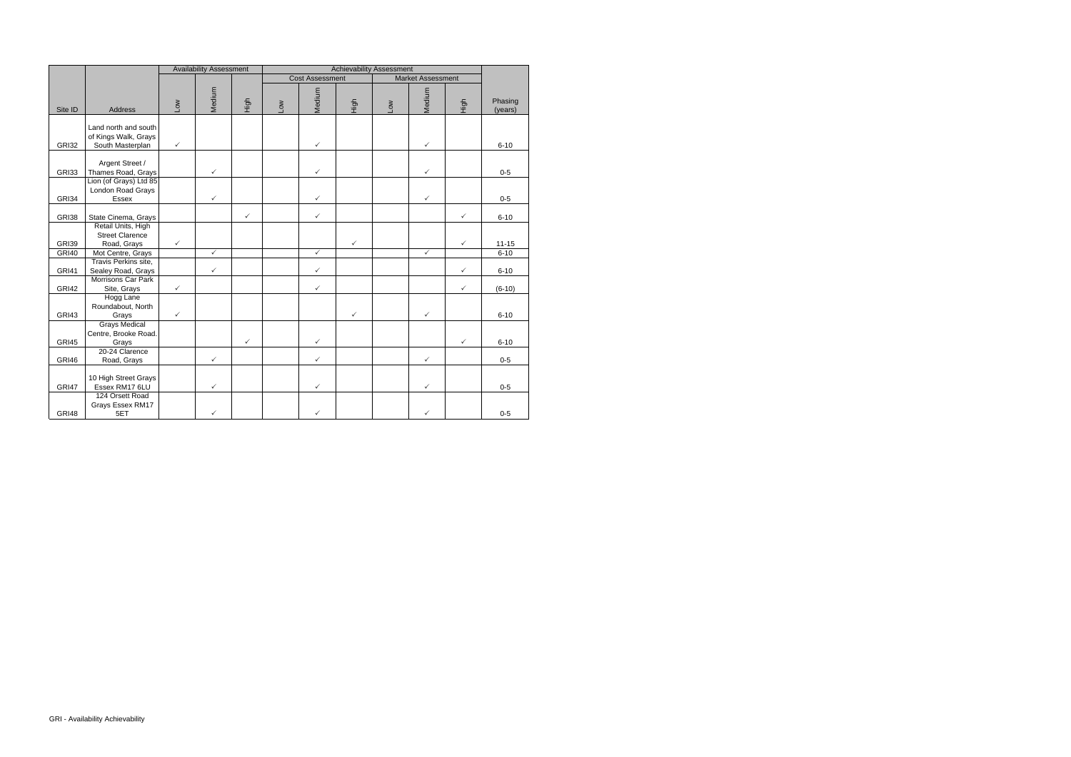|              |                                                                  |              | <b>Achievability Assessment</b><br><b>Availability Assessment</b> |              |            |                        |              |        |                          |              |                    |  |  |
|--------------|------------------------------------------------------------------|--------------|-------------------------------------------------------------------|--------------|------------|------------------------|--------------|--------|--------------------------|--------------|--------------------|--|--|
|              |                                                                  |              |                                                                   |              |            | <b>Cost Assessment</b> |              |        | <b>Market Assessment</b> |              |                    |  |  |
| Site ID      | Address                                                          | <b>NOT</b>   | Medium                                                            | High         | <b>MOT</b> | Medium                 | High         | $\geq$ | Medium                   | High         | Phasing<br>(years) |  |  |
| <b>GRI32</b> | Land north and south<br>of Kings Walk, Grays<br>South Masterplan | $\checkmark$ |                                                                   |              |            | $\checkmark$           |              |        | $\checkmark$             |              | $6 - 10$           |  |  |
| GRI33        | Argent Street /<br>Thames Road, Grays<br>Lion (of Grays) Ltd 85  |              | $\checkmark$                                                      |              |            | $\checkmark$           |              |        | $\checkmark$             |              | $0 - 5$            |  |  |
| GRI34        | London Road Grays<br>Essex                                       |              | $\checkmark$                                                      |              |            | $\checkmark$           |              |        | $\checkmark$             |              | $0 - 5$            |  |  |
| <b>GRI38</b> | State Cinema, Grays                                              |              |                                                                   | $\checkmark$ |            | $\checkmark$           |              |        |                          | $\checkmark$ | $6 - 10$           |  |  |
| <b>GRI39</b> | Retail Units, High<br><b>Street Clarence</b><br>Road, Grays      | $\checkmark$ |                                                                   |              |            |                        | $\checkmark$ |        |                          | $\checkmark$ | $11 - 15$          |  |  |
| <b>GRI40</b> | Mot Centre, Grays                                                |              | $\checkmark$                                                      |              |            | $\checkmark$           |              |        | $\checkmark$             |              | $6 - 10$           |  |  |
| <b>GRI41</b> | Travis Perkins site,<br>Sealey Road, Grays                       |              | $\checkmark$                                                      |              |            | $\checkmark$           |              |        |                          | $\checkmark$ | $6 - 10$           |  |  |
| <b>GRI42</b> | Morrisons Car Park<br>Site, Grays<br>Hogg Lane                   | $\checkmark$ |                                                                   |              |            | $\checkmark$           |              |        |                          | $\checkmark$ | $(6-10)$           |  |  |
| GRI43        | Roundabout, North<br>Grays                                       | $\checkmark$ |                                                                   |              |            |                        | ✓            |        | $\checkmark$             |              | $6 - 10$           |  |  |
| <b>GRI45</b> | <b>Grays Medical</b><br>Centre, Brooke Road.<br>Grays            |              |                                                                   | $\checkmark$ |            | ✓                      |              |        |                          | $\checkmark$ | $6 - 10$           |  |  |
| GRI46        | 20-24 Clarence<br>Road, Grays                                    |              | $\checkmark$                                                      |              |            | $\checkmark$           |              |        | $\checkmark$             |              | $0 - 5$            |  |  |
| GRI47        | 10 High Street Grays<br>Essex RM17 6LU                           |              | $\checkmark$                                                      |              |            | $\checkmark$           |              |        | $\checkmark$             |              | $0 - 5$            |  |  |
| GRI48        | 124 Orsett Road<br>Grays Essex RM17<br>5ET                       |              | ✓                                                                 |              |            | ✓                      |              |        | $\checkmark$             |              | $0 - 5$            |  |  |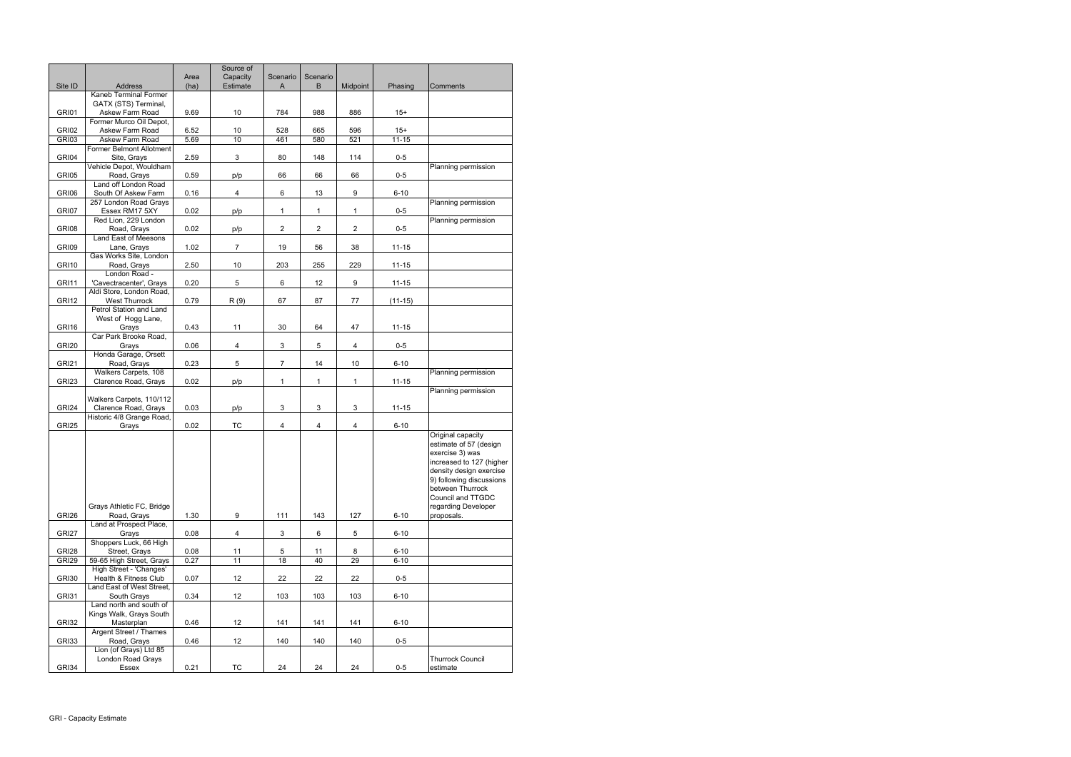| Site ID           | Address                             | Area<br>(ha) | Source of<br>Capacity<br>Estimate | Scenario       | Scenario<br>B | Midpoint        | Phasing   | Comments                                            |
|-------------------|-------------------------------------|--------------|-----------------------------------|----------------|---------------|-----------------|-----------|-----------------------------------------------------|
|                   | Kaneb Terminal Former               |              |                                   | A              |               |                 |           |                                                     |
|                   | GATX (STS) Terminal,                |              |                                   |                |               |                 |           |                                                     |
| GRI01             | Askew Farm Road                     | 9.69         | 10                                | 784            | 988           | 886             | $15+$     |                                                     |
|                   | Former Murco Oil Depot,             |              |                                   |                |               |                 |           |                                                     |
| GRI02             | Askew Farm Road                     | 6.52         | 10                                | 528            | 665           | 596             | $15+$     |                                                     |
| <b>GRI03</b>      | Askew Farm Road                     | 5.69         | 10                                | 461            | 580           | 521             | $11 - 15$ |                                                     |
|                   | Former Belmont Allotment            |              |                                   |                |               |                 |           |                                                     |
| GRI04             | Site, Grays                         | 2.59         | 3                                 | 80             | 148           | 114             | $0 - 5$   |                                                     |
|                   | Vehicle Depot, Wouldham             |              |                                   |                |               |                 |           | Planning permission                                 |
| <b>GRI05</b>      | Road, Grays                         | 0.59         | p/p                               | 66             | 66            | 66              | $0-5$     |                                                     |
|                   | Land off London Road                |              |                                   |                |               |                 |           |                                                     |
| <b>GRI06</b>      | South Of Askew Farm                 | 0.16         | 4                                 | 6              | 13            | 9               | $6 - 10$  |                                                     |
|                   | 257 London Road Grays               |              |                                   |                |               |                 |           | Planning permission                                 |
| GRI07             | Essex RM17 5XY                      | 0.02         | p/p                               | 1              | 1             | 1               | $0-5$     |                                                     |
|                   | Red Lion, 229 London                |              |                                   |                |               |                 |           | Planning permission                                 |
| <b>GRI08</b>      | Road, Grays<br>Land East of Meesons | 0.02         | p/p                               | $\mathbf{2}$   | 2             | $\overline{2}$  | $0-5$     |                                                     |
| <b>GRI09</b>      | Lane, Grays                         | 1.02         | $\overline{7}$                    | 19             | 56            | 38              | $11 - 15$ |                                                     |
|                   | Gas Works Site, London              |              |                                   |                |               |                 |           |                                                     |
| <b>GRI10</b>      | Road, Grays                         | 2.50         | 10                                | 203            | 255           | 229             | $11 - 15$ |                                                     |
|                   | London Road -                       |              |                                   |                |               |                 |           |                                                     |
| GRI11             | 'Cavectracenter', Grays             | 0.20         | 5                                 | 6              | 12            | 9               | $11 - 15$ |                                                     |
|                   | Aldi Store, London Road,            |              |                                   |                |               |                 |           |                                                     |
| GRI12             | <b>West Thurrock</b>                | 0.79         | R(9)                              | 67             | 87            | 77              | $(11-15)$ |                                                     |
|                   | Petrol Station and Land             |              |                                   |                |               |                 |           |                                                     |
|                   | West of Hogg Lane,                  |              |                                   |                |               |                 |           |                                                     |
| GRI16             | Grays                               | 0.43         | 11                                | 30             | 64            | 47              | $11 - 15$ |                                                     |
|                   | Car Park Brooke Road,               |              |                                   |                |               |                 |           |                                                     |
| <b>GRI20</b>      | Grays                               | 0.06         | $\overline{4}$                    | 3              | 5             | 4               | $0 - 5$   |                                                     |
|                   | Honda Garage, Orsett                |              |                                   |                |               |                 |           |                                                     |
| <b>GRI21</b>      | Road, Grays                         | 0.23         | 5                                 | $\overline{7}$ | 14            | 10              | $6 - 10$  |                                                     |
|                   | Walkers Carpets, 108                |              |                                   |                |               |                 |           | Planning permission                                 |
| GRI <sub>23</sub> | Clarence Road, Grays                | 0.02         | p/p                               | 1              | 1             | 1               | $11 - 15$ |                                                     |
|                   |                                     |              |                                   |                |               |                 |           | Planning permission                                 |
|                   | Walkers Carpets, 110/112            |              |                                   |                |               |                 |           |                                                     |
| GRI <sub>24</sub> | Clarence Road, Grays                | 0.03         | p/p                               | 3              | 3             | 3               | $11 - 15$ |                                                     |
|                   | Historic 4/8 Grange Road,           |              |                                   |                |               |                 |           |                                                     |
| <b>GRI25</b>      | Grays                               | 0.02         | ТC                                | $\overline{4}$ | 4             | 4               | $6 - 10$  |                                                     |
|                   |                                     |              |                                   |                |               |                 |           | Original capacity                                   |
|                   |                                     |              |                                   |                |               |                 |           | estimate of 57 (design                              |
|                   |                                     |              |                                   |                |               |                 |           | exercise 3) was                                     |
|                   |                                     |              |                                   |                |               |                 |           | increased to 127 (higher<br>density design exercise |
|                   |                                     |              |                                   |                |               |                 |           | 9) following discussions                            |
|                   |                                     |              |                                   |                |               |                 |           | between Thurrock                                    |
|                   |                                     |              |                                   |                |               |                 |           | Council and TTGDC                                   |
|                   | Grays Athletic FC, Bridge           |              |                                   |                |               |                 |           | regarding Developer                                 |
| GRI <sub>26</sub> | Road, Grays                         | 1.30         | 9                                 | 111            | 143           | 127             | $6 - 10$  | proposals.                                          |
|                   | Land at Prospect Place,             |              |                                   |                |               |                 |           |                                                     |
| GRI <sub>27</sub> | Gravs                               | 0.08         | $\overline{4}$                    | 3              | 6             | 5               | $6 - 10$  |                                                     |
|                   | Shoppers Luck, 66 High              |              |                                   |                |               |                 |           |                                                     |
| GRI28             | Street, Grays                       | 0.08         | 11                                | 5              | 11            | 8               | $6 - 10$  |                                                     |
| <b>GRI29</b>      | 59-65 High Street, Grays            | 0.27         | $\overline{11}$                   | 18             | 40            | $\overline{29}$ | $6 - 10$  |                                                     |
|                   | High Street - 'Changes'             |              |                                   |                |               |                 |           |                                                     |
| <b>GRI30</b>      | Health & Fitness Club               | 0.07         | 12                                | 22             | 22            | 22              | $0-5$     |                                                     |
|                   | Land East of West Street,           |              |                                   |                |               |                 |           |                                                     |
| GRI31             | South Grays                         | 0.34         | 12                                | 103            | 103           | 103             | $6 - 10$  |                                                     |
|                   | Land north and south of             |              |                                   |                |               |                 |           |                                                     |
|                   | Kings Walk, Grays South             |              |                                   |                |               |                 |           |                                                     |
| GRI32             | Masterplan                          | 0.46         | 12                                | 141            | 141           | 141             | $6 - 10$  |                                                     |
|                   | <b>Argent Street / Thames</b>       |              |                                   |                |               |                 |           |                                                     |
| GRI33             | Road, Grays                         | 0.46         | 12                                | 140            | 140           | 140             | $0-5$     |                                                     |
|                   | Lion (of Grays) Ltd 85              |              |                                   |                |               |                 |           |                                                     |
| GRI34             | London Road Grays<br>Essex          | 0.21         | TC                                | 24             |               | 24              | $0-5$     | <b>Thurrock Council</b><br>estimate                 |
|                   |                                     |              |                                   |                | 24            |                 |           |                                                     |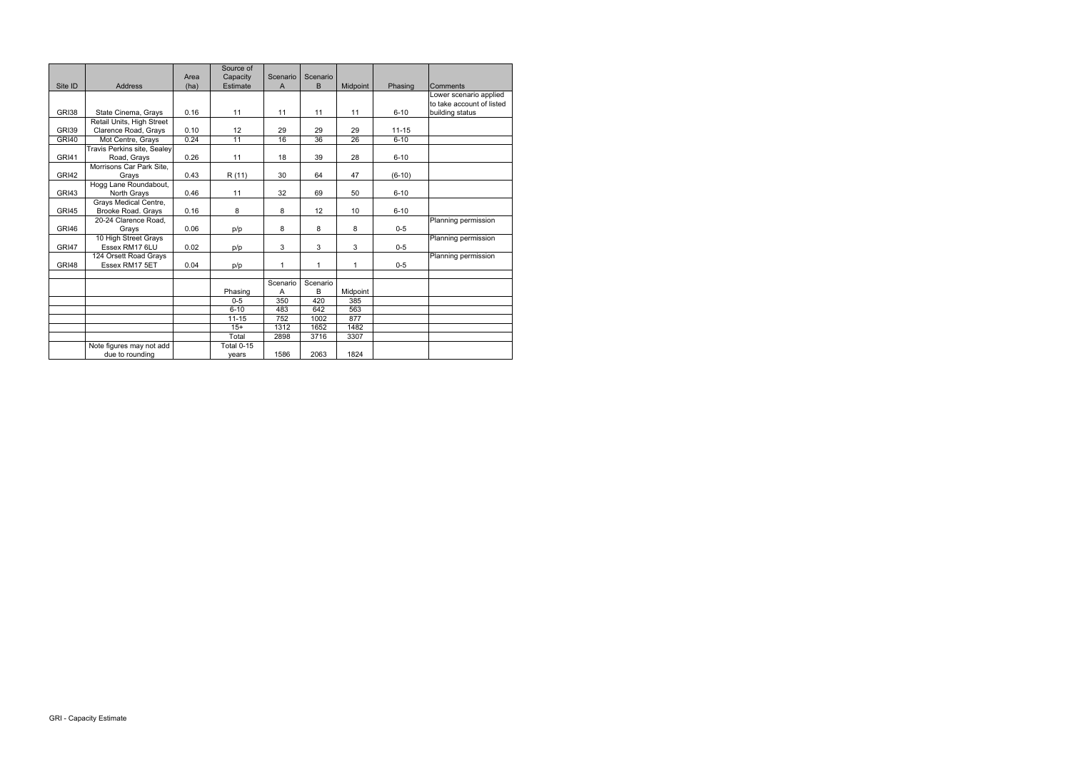|              |                                    |      | Source of         |          |                 |              |           |                           |
|--------------|------------------------------------|------|-------------------|----------|-----------------|--------------|-----------|---------------------------|
|              |                                    | Area | Capacity          | Scenario | Scenario        |              |           |                           |
| Site ID      | <b>Address</b>                     | (ha) | Estimate          | A        | B               | Midpoint     | Phasing   | Comments                  |
|              |                                    |      |                   |          |                 |              |           | Lower scenario applied    |
|              |                                    |      |                   |          |                 |              |           | to take account of listed |
| GRI38        | State Cinema, Grays                | 0.16 | 11                | 11       | 11              | 11           | $6 - 10$  | building status           |
|              | Retail Units, High Street          |      |                   |          |                 |              |           |                           |
| <b>GRI39</b> | Clarence Road, Grays               | 0.10 | 12                | 29       | 29              | 29           | $11 - 15$ |                           |
| <b>GRI40</b> | Mot Centre, Grays                  | 0.24 | 11                | 16       | $\overline{36}$ | 26           | $6 - 10$  |                           |
|              | <b>Travis Perkins site, Sealey</b> |      |                   |          |                 |              |           |                           |
| <b>GRI41</b> | Road, Grays                        | 0.26 | 11                | 18       | 39              | 28           | $6 - 10$  |                           |
|              | Morrisons Car Park Site.           |      |                   |          |                 |              |           |                           |
| <b>GRI42</b> | Grays                              | 0.43 | R(11)             | 30       | 64              | 47           | $(6-10)$  |                           |
|              | Hogg Lane Roundabout,              |      |                   |          |                 |              |           |                           |
| GRI43        | North Grays                        | 0.46 | 11                | 32       | 69              | 50           | $6 - 10$  |                           |
|              | Grays Medical Centre,              |      |                   |          |                 |              |           |                           |
| <b>GRI45</b> | Brooke Road. Grays                 | 0.16 | 8                 | 8        | 12              | 10           | $6 - 10$  |                           |
|              | 20-24 Clarence Road,               |      |                   |          |                 |              |           | Planning permission       |
| GRI46        | Grays                              | 0.06 | p/p               | 8        | 8               | 8            | $0-5$     |                           |
|              | 10 High Street Grays               |      |                   |          |                 |              |           | Planning permission       |
| GRI47        | Essex RM17 6LU                     | 0.02 | p/p               | 3        | 3               | 3            | $0-5$     |                           |
|              | 124 Orsett Road Grays              |      |                   |          |                 |              |           | Planning permission       |
| GRI48        | Essex RM17 5ET                     | 0.04 | p/p               | 1        | 1               | $\mathbf{1}$ | $0-5$     |                           |
|              |                                    |      |                   |          |                 |              |           |                           |
|              |                                    |      |                   | Scenario | Scenario        |              |           |                           |
|              |                                    |      | Phasing           | A        | B               | Midpoint     |           |                           |
|              |                                    |      | $0 - 5$           | 350      | 420             | 385          |           |                           |
|              |                                    |      | $6 - 10$          | 483      | 642             | 563          |           |                           |
|              |                                    |      | $11 - 15$         | 752      | 1002            | 877          |           |                           |
|              |                                    |      | $15+$             | 1312     | 1652            | 1482         |           |                           |
|              |                                    |      | Total             | 2898     | 3716            | 3307         |           |                           |
|              | Note figures may not add           |      | <b>Total 0-15</b> |          |                 |              |           |                           |
|              | due to rounding                    |      | years             | 1586     | 2063            | 1824         |           |                           |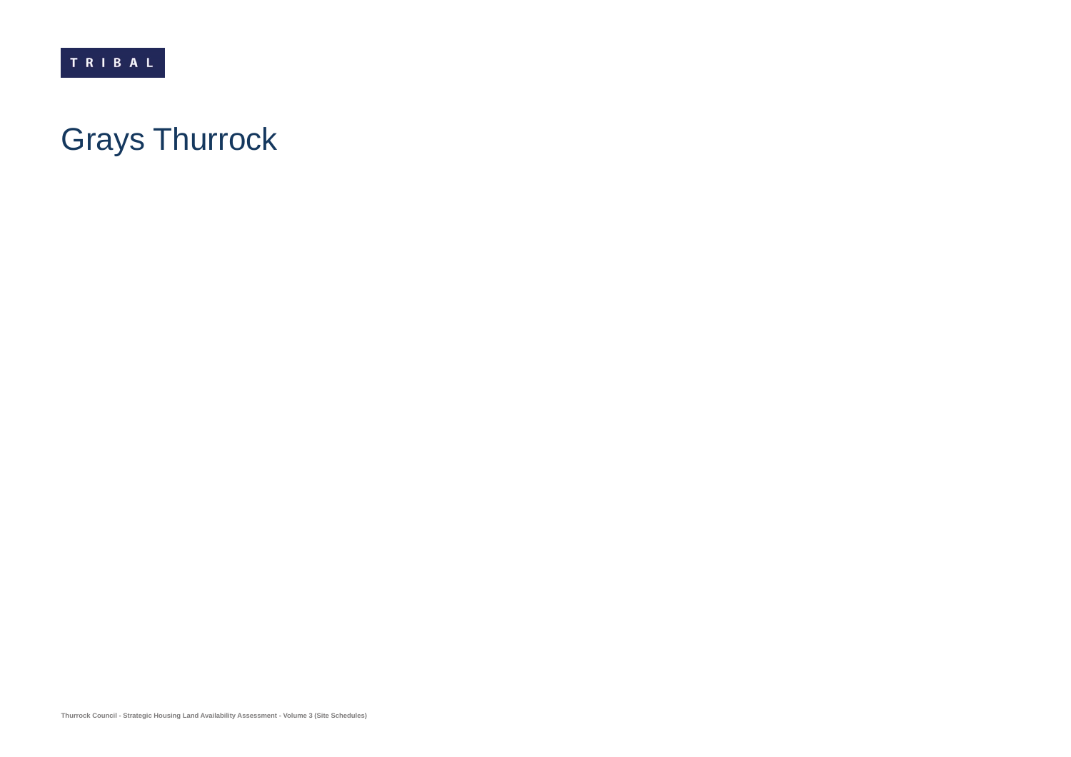## Grays Thurrock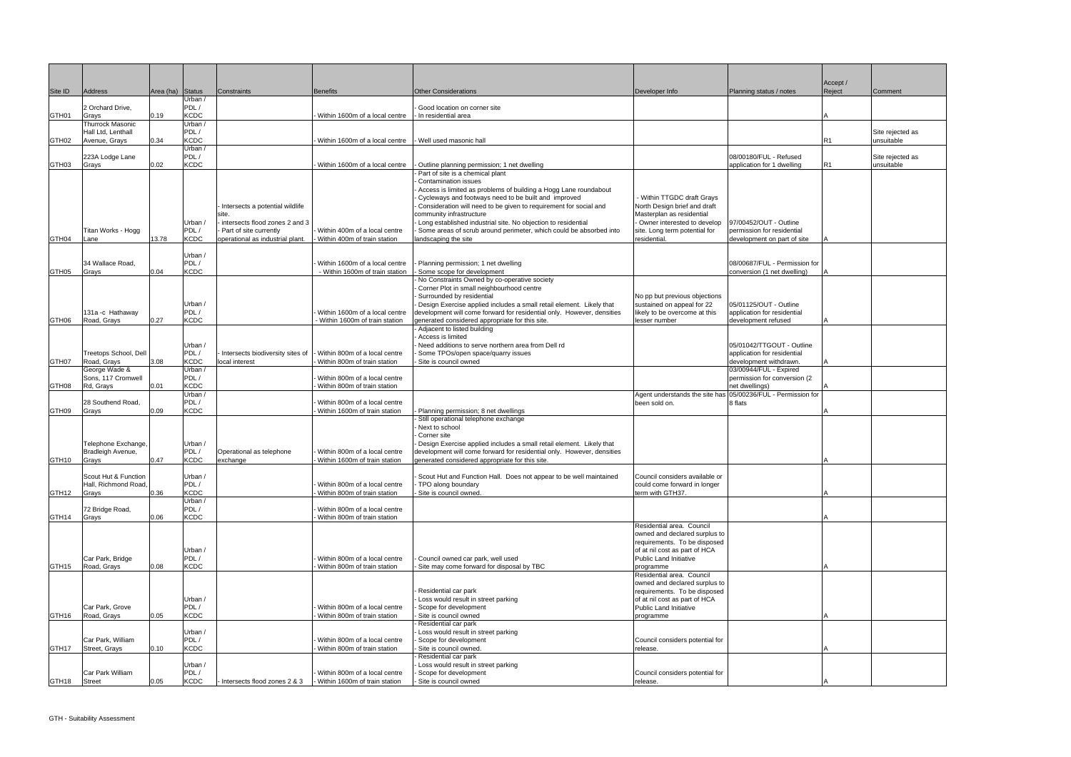|                   |                                                                |                  |                                |                                          |                                                                |                                                                                                                                                                                                                                                   |                                                                                            |                                                  | Accept / |                                |
|-------------------|----------------------------------------------------------------|------------------|--------------------------------|------------------------------------------|----------------------------------------------------------------|---------------------------------------------------------------------------------------------------------------------------------------------------------------------------------------------------------------------------------------------------|--------------------------------------------------------------------------------------------|--------------------------------------------------|----------|--------------------------------|
| Site ID           | Address                                                        | Area (ha) Status |                                | Constraints                              | <b>Benefits</b>                                                | <b>Other Considerations</b>                                                                                                                                                                                                                       | Developer Info                                                                             | Planning status / notes                          | Reject   | Comment                        |
| GTH01             | 2 Orchard Drive,<br>Grays                                      | 0.19             | Jrban /<br>PDL/<br><b>KCDC</b> |                                          | Within 1600m of a local centre                                 | Good location on corner site<br>In residential area                                                                                                                                                                                               |                                                                                            |                                                  |          |                                |
| GTH02             | <b>Thurrock Masonic</b><br>Hall Ltd, Lenthall<br>Avenue, Grays | 0.34             | Urban /<br>PDL/<br>KCDC        |                                          | Within 1600m of a local centre                                 | Well used masonic hall                                                                                                                                                                                                                            |                                                                                            |                                                  | R1       | Site rejected as<br>unsuitable |
|                   | 223A Lodge Lane                                                |                  | Urban /<br>PDL/                |                                          |                                                                |                                                                                                                                                                                                                                                   |                                                                                            | 08/00180/FUL - Refused                           |          | Site rejected as               |
| GTH <sub>03</sub> | Grays                                                          | 0.02             | <b>KCDC</b>                    |                                          | Within 1600m of a local centre                                 | - Outline planning permission; 1 net dwelling<br>Part of site is a chemical plant                                                                                                                                                                 |                                                                                            | application for 1 dwelling                       | R1       | unsuitable                     |
|                   |                                                                |                  |                                | Intersects a potential wildlife<br>site. |                                                                | Contamination issues<br>Access is limited as problems of building a Hogg Lane roundabout<br>Cycleways and footways need to be built and improved<br>Consideration will need to be given to requirement for social and<br>community infrastructure | - Within TTGDC draft Grays<br>North Design brief and draft<br>Masterplan as residential    |                                                  |          |                                |
|                   |                                                                |                  | Urban                          | intersects flood zones 2 and 3           |                                                                | Long established industrial site. No objection to residential                                                                                                                                                                                     | - Owner interested to develop                                                              | 97/00452/OUT - Outline                           |          |                                |
|                   | Titan Works - Hogg                                             |                  | PDL/                           | Part of site currently                   | Within 400m of a local centre                                  | Some areas of scrub around perimeter, which could be absorbed into                                                                                                                                                                                | site. Long term potential for                                                              | permission for residential                       |          |                                |
| GTH <sub>04</sub> | Lane                                                           | 13.78            | <b>KCDC</b>                    | operational as industrial plant.         | Within 400m of train station                                   | landscaping the site                                                                                                                                                                                                                              | residential                                                                                | development on part of site                      |          |                                |
|                   | 34 Wallace Road,                                               | 0.04             | Urban /<br>PDL/<br>KCDC        |                                          | Within 1600m of a local centre                                 | Planning permission; 1 net dwelling                                                                                                                                                                                                               |                                                                                            | 08/00687/FUL - Permission for                    |          |                                |
| GTH <sub>05</sub> | Grays                                                          |                  |                                |                                          | - Within 1600m of train station                                | Some scope for development<br>No Constraints Owned by co-operative society                                                                                                                                                                        |                                                                                            | conversion (1 net dwelling)                      |          |                                |
|                   |                                                                |                  |                                |                                          |                                                                | Corner Plot in small neighbourhood centre                                                                                                                                                                                                         |                                                                                            |                                                  |          |                                |
|                   |                                                                |                  | Urban /                        |                                          |                                                                | Surrounded by residential<br>Design Exercise applied includes a small retail element. Likely that                                                                                                                                                 | No pp but previous objections<br>sustained on appeal for 22                                | 05/01125/OUT - Outline                           |          |                                |
|                   | 131a - c Hathaway                                              |                  | PDL/                           |                                          | Within 1600m of a local centre                                 | development will come forward for residential only. However, densities                                                                                                                                                                            | likely to be overcome at this                                                              | application for residential                      |          |                                |
| GTH06             | Road, Grays                                                    | 0.27             | <b>KCDC</b>                    |                                          | Within 1600m of train station                                  | generated considered appropriate for this site.                                                                                                                                                                                                   | lesser number                                                                              | development refused                              |          |                                |
|                   |                                                                |                  | Urban /                        |                                          |                                                                | - Adjacent to listed building<br>Access is limited<br>Need additions to serve northern area from Dell rd                                                                                                                                          |                                                                                            | 05/01042/TTGOUT - Outline                        |          |                                |
|                   | Treetops School, Dell                                          |                  | PDL/<br><b>KCDC</b>            | Intersects biodiversity sites of         | Within 800m of a local centre                                  | Some TPOs/open space/quarry issues                                                                                                                                                                                                                |                                                                                            | application for residential                      |          |                                |
| GTH07             | Road, Grays<br>George Wade &                                   | 3.08             | Urban /                        | local interest                           | Within 800m of train station                                   | Site is council owned                                                                                                                                                                                                                             |                                                                                            | development withdrawn.<br>03/00944/FUL - Expired |          |                                |
|                   | Sons, 117 Cromwell                                             |                  | PDL/                           |                                          | Within 800m of a local centre                                  |                                                                                                                                                                                                                                                   |                                                                                            | permission for conversion (2                     |          |                                |
| GTH08             | Rd, Grays                                                      | 0.01             | <b>KCDC</b><br>Jrban /         |                                          | Within 800m of train station                                   |                                                                                                                                                                                                                                                   |                                                                                            | net dwellings)<br>05/00236/FUL - Permission for  |          |                                |
|                   | 28 Southend Road,                                              |                  | PDL/                           |                                          | Within 800m of a local centre                                  |                                                                                                                                                                                                                                                   | Agent understands the site has<br>been sold on.                                            | 8 flats                                          |          |                                |
| GTH09             | Grays                                                          | 0.09             | KCDC                           |                                          | Within 1600m of train station                                  | Planning permission; 8 net dwellings                                                                                                                                                                                                              |                                                                                            |                                                  |          |                                |
|                   |                                                                |                  |                                |                                          |                                                                | Still operational telephone exchange<br>Next to school                                                                                                                                                                                            |                                                                                            |                                                  |          |                                |
|                   |                                                                |                  |                                |                                          |                                                                | Corner site                                                                                                                                                                                                                                       |                                                                                            |                                                  |          |                                |
|                   | Telephone Exchange,                                            |                  | Urban /                        |                                          |                                                                | Design Exercise applied includes a small retail element. Likely that                                                                                                                                                                              |                                                                                            |                                                  |          |                                |
| GTH10             | Bradleigh Avenue,<br>Grays                                     | 0.47             | PDL/<br><b>KCDC</b>            | Operational as telephone<br>exchange     | Within 800m of a local centre<br>Within 1600m of train station | development will come forward for residential only. However, densities<br>generated considered appropriate for this site.                                                                                                                         |                                                                                            |                                                  |          |                                |
|                   | Scout Hut & Function<br>Hall, Richmond Road,                   |                  | Urban /<br>PDL/                |                                          | Within 800m of a local centre                                  | Scout Hut and Function Hall. Does not appear to be well maintained<br>TPO along boundary                                                                                                                                                          | Council considers available or<br>could come forward in longer                             |                                                  |          |                                |
| GTH <sub>12</sub> | Grays                                                          | 0.36             | <b>KCDC</b>                    |                                          | Within 800m of train station                                   | Site is council owned.                                                                                                                                                                                                                            | term with GTH37.                                                                           |                                                  |          |                                |
|                   | 72 Bridge Road,                                                |                  | Urban /<br>PDL/                |                                          | Within 800m of a local centre                                  |                                                                                                                                                                                                                                                   |                                                                                            |                                                  |          |                                |
| GTH14             | Grays                                                          | 0.06             | KCDC                           |                                          | Within 800m of train station                                   |                                                                                                                                                                                                                                                   |                                                                                            |                                                  |          |                                |
|                   |                                                                |                  |                                |                                          |                                                                |                                                                                                                                                                                                                                                   | Residential area. Council<br>owned and declared surplus to<br>requirements. To be disposed |                                                  |          |                                |
|                   |                                                                |                  | Urban /<br>PDL/                |                                          |                                                                |                                                                                                                                                                                                                                                   | of at nil cost as part of HCA                                                              |                                                  |          |                                |
| GTH15             | Car Park, Bridge<br>Road, Grays                                | 0.08             | <b>KCDC</b>                    |                                          | Within 800m of a local centre<br>Within 800m of train station  | Council owned car park, well used<br>Site may come forward for disposal by TBC                                                                                                                                                                    | <b>Public Land Initiative</b><br>programme                                                 |                                                  |          |                                |
|                   |                                                                |                  |                                |                                          |                                                                |                                                                                                                                                                                                                                                   | Residential area. Council<br>owned and declared surplus to                                 |                                                  |          |                                |
|                   |                                                                |                  | Urban /                        |                                          |                                                                | Residential car park<br>Loss would result in street parking                                                                                                                                                                                       | requirements. To be disposed<br>of at nil cost as part of HCA                              |                                                  |          |                                |
|                   | Car Park, Grove                                                |                  | PDL/                           |                                          | Within 800m of a local centre                                  | Scope for development                                                                                                                                                                                                                             | Public Land Initiative                                                                     |                                                  |          |                                |
| GTH16             | Road, Grays                                                    | 0.05             | <b>KCDC</b>                    |                                          | Within 800m of train station                                   | Site is council owned                                                                                                                                                                                                                             | programme                                                                                  |                                                  |          |                                |
|                   |                                                                |                  | Urban /                        |                                          |                                                                | Residential car park<br>Loss would result in street parking                                                                                                                                                                                       |                                                                                            |                                                  |          |                                |
|                   | Car Park, William                                              |                  | PDL/                           |                                          | Within 800m of a local centre                                  | Scope for development                                                                                                                                                                                                                             | Council considers potential for                                                            |                                                  |          |                                |
| GTH17             | Street, Grays                                                  | 0.10             | <b>KCDC</b>                    |                                          | Within 800m of train station                                   | Site is council owned.                                                                                                                                                                                                                            | release.                                                                                   |                                                  |          |                                |
|                   |                                                                |                  | Urban /                        |                                          |                                                                | Residential car park<br>Loss would result in street parking                                                                                                                                                                                       |                                                                                            |                                                  |          |                                |
|                   | Car Park William                                               |                  | PDL/                           |                                          | Within 800m of a local centre                                  | Scope for development                                                                                                                                                                                                                             | Council considers potential for                                                            |                                                  |          |                                |
| GTH18             | <b>Street</b>                                                  | 0.05             | <b>KCDC</b>                    | Intersects flood zones 2 & 3             | - Within 1600m of train station                                | Site is council owned                                                                                                                                                                                                                             | release.                                                                                   |                                                  |          |                                |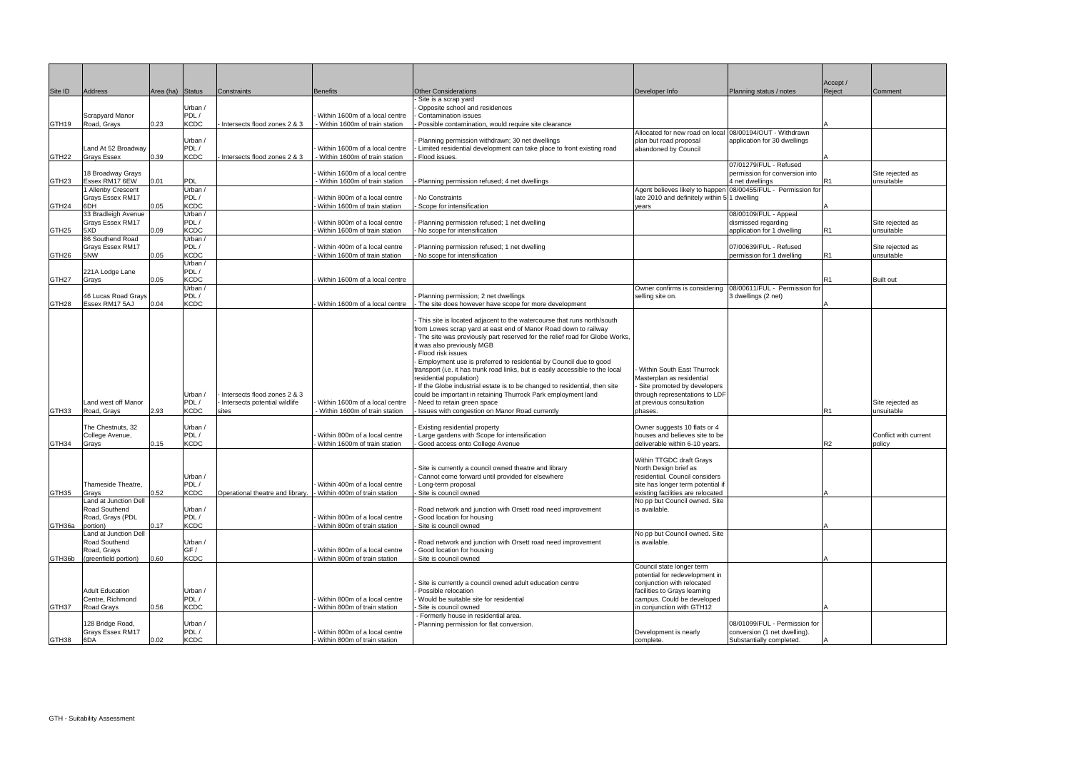|                   |                                       |                  |                     |                                                               |                                                                |                                                                                                                                                     |                                                                        |                                                               | Accept / |                       |
|-------------------|---------------------------------------|------------------|---------------------|---------------------------------------------------------------|----------------------------------------------------------------|-----------------------------------------------------------------------------------------------------------------------------------------------------|------------------------------------------------------------------------|---------------------------------------------------------------|----------|-----------------------|
| Site ID           | Address                               | Area (ha) Status |                     | Constraints                                                   | <b>Benefits</b>                                                | <b>Other Considerations</b>                                                                                                                         | Developer Info                                                         | Planning status / notes                                       | Reject   | Comment               |
|                   |                                       |                  | Urban /             |                                                               |                                                                | Site is a scrap yard<br>Opposite school and residences                                                                                              |                                                                        |                                                               |          |                       |
|                   | <b>Scrapyard Manor</b>                |                  | PDL/                |                                                               | Within 1600m of a local centre                                 | <b>Contamination issues</b>                                                                                                                         |                                                                        |                                                               |          |                       |
| GTH19             | Road, Grays                           | 0.23             | <b>KCDC</b>         | Intersects flood zones 2 & 3                                  | Within 1600m of train station                                  | Possible contamination, would require site clearance                                                                                                |                                                                        |                                                               |          |                       |
|                   |                                       |                  | Urban /             |                                                               |                                                                | Planning permission withdrawn; 30 net dwellings                                                                                                     | Allocated for new road on local<br>plan but road proposal              | 08/00194/OUT - Withdrawn<br>application for 30 dwellings      |          |                       |
|                   | Land At 52 Broadway                   |                  | PDL/                |                                                               | Within 1600m of a local centre                                 | Limited residential development can take place to front existing road                                                                               | abandoned by Council                                                   |                                                               |          |                       |
| GTH22             | <b>Grays Essex</b>                    | 0.39             | <b>KCDC</b>         | Intersects flood zones 2 & 3                                  | Within 1600m of train station                                  | Flood issues.                                                                                                                                       |                                                                        |                                                               |          |                       |
|                   | 18 Broadway Grays                     |                  |                     |                                                               | Within 1600m of a local centre                                 |                                                                                                                                                     |                                                                        | 07/01279/FUL - Refused<br>permission for conversion into      |          | Site rejected as      |
| GTH23             | Essex RM17 6EW                        | 0.01             | <b>PDL</b>          |                                                               | Within 1600m of train station                                  | Planning permission refused; 4 net dwellings                                                                                                        |                                                                        | 4 net dwellings                                               | R1       | unsuitable            |
|                   | 1 Allenby Crescent                    |                  | Urban /<br>PDL/     |                                                               |                                                                |                                                                                                                                                     | Agent believes likely to happen                                        | 08/00455/FUL - Permission for                                 |          |                       |
| GTH24             | Grays Essex RM17<br>6DH               | 0.05             | <b>KCDC</b>         |                                                               | Within 800m of a local centre<br>Within 1600m of train station | No Constraints<br>Scope for intensification                                                                                                         | late 2010 and definitely within 5 1 dwelling<br>years                  |                                                               |          |                       |
|                   | 33 Bradleigh Avenue                   |                  | Urban /             |                                                               |                                                                |                                                                                                                                                     |                                                                        | 08/00109/FUL - Appeal                                         |          |                       |
|                   | Grays Essex RM17<br>5XD               | 0.09             | PDL/<br><b>KCDC</b> |                                                               | Within 800m of a local centre                                  | Planning permission refused; 1 net dwelling                                                                                                         |                                                                        | dismissed regarding                                           |          | Site rejected as      |
| GTH25             | 86 Southend Road                      |                  | Urban /             |                                                               | Within 1600m of train station                                  | No scope for intensification                                                                                                                        |                                                                        | application for 1 dwelling                                    | R1       | unsuitable            |
|                   | Grays Essex RM17                      |                  | PDL/                |                                                               | Within 400m of a local centre                                  | Planning permission refused; 1 net dwelling                                                                                                         |                                                                        | 07/00639/FUL - Refused                                        |          | Site rejected as      |
| GTH <sub>26</sub> | 5NW                                   | 0.05             | <b>KCDC</b>         |                                                               | Within 1600m of train station                                  | No scope for intensification                                                                                                                        |                                                                        | permission for 1 dwelling                                     | R1       | unsuitable            |
|                   | 221A Lodge Lane                       |                  | Urban /<br>PDL/     |                                                               |                                                                |                                                                                                                                                     |                                                                        |                                                               |          |                       |
| GTH27             | Grays                                 | 0.05             | <b>KCDC</b>         |                                                               | Within 1600m of a local centre                                 |                                                                                                                                                     |                                                                        |                                                               | R1       | <b>Built out</b>      |
|                   |                                       |                  | Urban /<br>PDL/     |                                                               |                                                                | Planning permission; 2 net dwellings                                                                                                                | Owner confirms is considering                                          | 08/00611/FUL - Permission for                                 |          |                       |
| GTH28             | 46 Lucas Road Grays<br>Essex RM17 5AJ | 0.04             | <b>KCDC</b>         |                                                               | Within 1600m of a local centre                                 | The site does however have scope for more development                                                                                               | selling site on.                                                       | 3 dwellings (2 net)                                           |          |                       |
|                   |                                       |                  |                     |                                                               |                                                                |                                                                                                                                                     |                                                                        |                                                               |          |                       |
|                   |                                       |                  |                     |                                                               |                                                                | This site is located adjacent to the watercourse that runs north/south<br>from Lowes scrap yard at east end of Manor Road down to railway           |                                                                        |                                                               |          |                       |
|                   |                                       |                  |                     |                                                               |                                                                | The site was previously part reserved for the relief road for Globe Works,                                                                          |                                                                        |                                                               |          |                       |
|                   |                                       |                  |                     |                                                               |                                                                | it was also previously MGB                                                                                                                          |                                                                        |                                                               |          |                       |
|                   |                                       |                  |                     |                                                               |                                                                | Flood risk issues                                                                                                                                   |                                                                        |                                                               |          |                       |
|                   |                                       |                  |                     |                                                               |                                                                | Employment use is preferred to residential by Council due to good<br>transport (i.e. it has trunk road links, but is easily accessible to the local | <b>Within South East Thurrock</b>                                      |                                                               |          |                       |
|                   |                                       |                  |                     |                                                               |                                                                | residential population)                                                                                                                             | Masterplan as residential                                              |                                                               |          |                       |
|                   |                                       |                  |                     |                                                               |                                                                | If the Globe industrial estate is to be changed to residential, then site                                                                           | Site promoted by developers                                            |                                                               |          |                       |
|                   | Land west off Manor                   |                  | Urban<br>PDL/       | Intersects flood zones 2 & 3<br>Intersects potential wildlife | Within 1600m of a local centre                                 | could be important in retaining Thurrock Park employment land<br>Need to retain green space                                                         | through representations to LDF<br>at previous consultation             |                                                               |          | Site rejected as      |
| GTH33             | Road, Grays                           | 2.93             | <b>KCDC</b>         | sites                                                         | Within 1600m of train station                                  | Issues with congestion on Manor Road currently                                                                                                      | phases.                                                                |                                                               | R1       | unsuitable            |
|                   | The Chestnuts, 32                     |                  | Urban /             |                                                               |                                                                | <b>Existing residential property</b>                                                                                                                |                                                                        |                                                               |          |                       |
|                   | College Avenue,                       |                  | PDL/                |                                                               | Within 800m of a local centre                                  | Large gardens with Scope for intensification                                                                                                        | Owner suggests 10 flats or 4<br>houses and believes site to be         |                                                               |          | Conflict with current |
| GTH34             | Grays                                 | 0.15             | <b>KCDC</b>         |                                                               | Within 1600m of train station                                  | Good access onto College Avenue                                                                                                                     | deliverable within 6-10 years.                                         |                                                               | R2       | policy                |
|                   |                                       |                  |                     |                                                               |                                                                |                                                                                                                                                     | Within TTGDC draft Grays                                               |                                                               |          |                       |
|                   |                                       |                  |                     |                                                               |                                                                | Site is currently a council owned theatre and library                                                                                               | North Design brief as                                                  |                                                               |          |                       |
|                   |                                       |                  | Urban /             |                                                               |                                                                | Cannot come forward until provided for elsewhere                                                                                                    | residential. Council considers                                         |                                                               |          |                       |
| GTH35             | Thameside Theatre,<br>Grays           | 0.52             | PDL/<br><b>KCDC</b> | Operational theatre and library.                              | Within 400m of a local centre<br>Within 400m of train station  | Long-term proposal<br>Site is council owned                                                                                                         | site has longer term potential if<br>existing facilities are relocated |                                                               |          |                       |
|                   | Land at Junction Dell                 |                  |                     |                                                               |                                                                |                                                                                                                                                     | No pp but Council owned. Site                                          |                                                               |          |                       |
|                   | Road Southend                         |                  | Urban /             |                                                               |                                                                | Road network and junction with Orsett road need improvement                                                                                         | is available.                                                          |                                                               |          |                       |
| GTH36a            | Road, Grays (PDL<br>portion)          | 0.17             | PDL/<br><b>KCDC</b> |                                                               | Within 800m of a local centre<br>Within 800m of train station  | Good location for housing<br>Site is council owned                                                                                                  |                                                                        |                                                               |          |                       |
|                   | Land at Junction Dell                 |                  |                     |                                                               |                                                                |                                                                                                                                                     | No pp but Council owned. Site                                          |                                                               |          |                       |
|                   | Road Southend                         |                  | Urban /             |                                                               |                                                                | Road network and junction with Orsett road need improvement                                                                                         | is available.                                                          |                                                               |          |                       |
| GTH36b            | Road, Grays<br>greenfield portion)    | 0.60             | GF/<br><b>KCDC</b>  |                                                               | Within 800m of a local centre<br>Within 800m of train station  | Good location for housing<br>Site is council owned                                                                                                  |                                                                        |                                                               |          |                       |
|                   |                                       |                  |                     |                                                               |                                                                |                                                                                                                                                     | Council state longer term                                              |                                                               |          |                       |
|                   |                                       |                  |                     |                                                               |                                                                |                                                                                                                                                     | potential for redevelopment in                                         |                                                               |          |                       |
|                   | <b>Adult Education</b>                |                  | Urban /             |                                                               |                                                                | Site is currently a council owned adult education centre<br>Possible relocation                                                                     | conjunction with relocated<br>facilities to Grays learning             |                                                               |          |                       |
|                   | Centre, Richmond                      |                  | PDL/                |                                                               | Within 800m of a local centre                                  | Would be suitable site for residential                                                                                                              | campus. Could be developed                                             |                                                               |          |                       |
| GTH37             | Road Grays                            | 0.56             | <b>KCDC</b>         |                                                               | Within 800m of train station                                   | Site is council owned                                                                                                                               | in conjunction with GTH12                                              |                                                               |          |                       |
|                   |                                       |                  |                     |                                                               |                                                                | - Formerly house in residential area.                                                                                                               |                                                                        |                                                               |          |                       |
|                   | 128 Bridge Road,<br>Grays Essex RM17  |                  | Urban /<br>PDL/     |                                                               | Within 800m of a local centre                                  | Planning permission for flat conversion.                                                                                                            | Development is nearly                                                  | 08/01099/FUL - Permission for<br>conversion (1 net dwelling). |          |                       |
| GTH38             | 6DA                                   | 0.02             | <b>KCDC</b>         |                                                               | Within 800m of train station                                   |                                                                                                                                                     | complete.                                                              | Substantially completed.                                      |          |                       |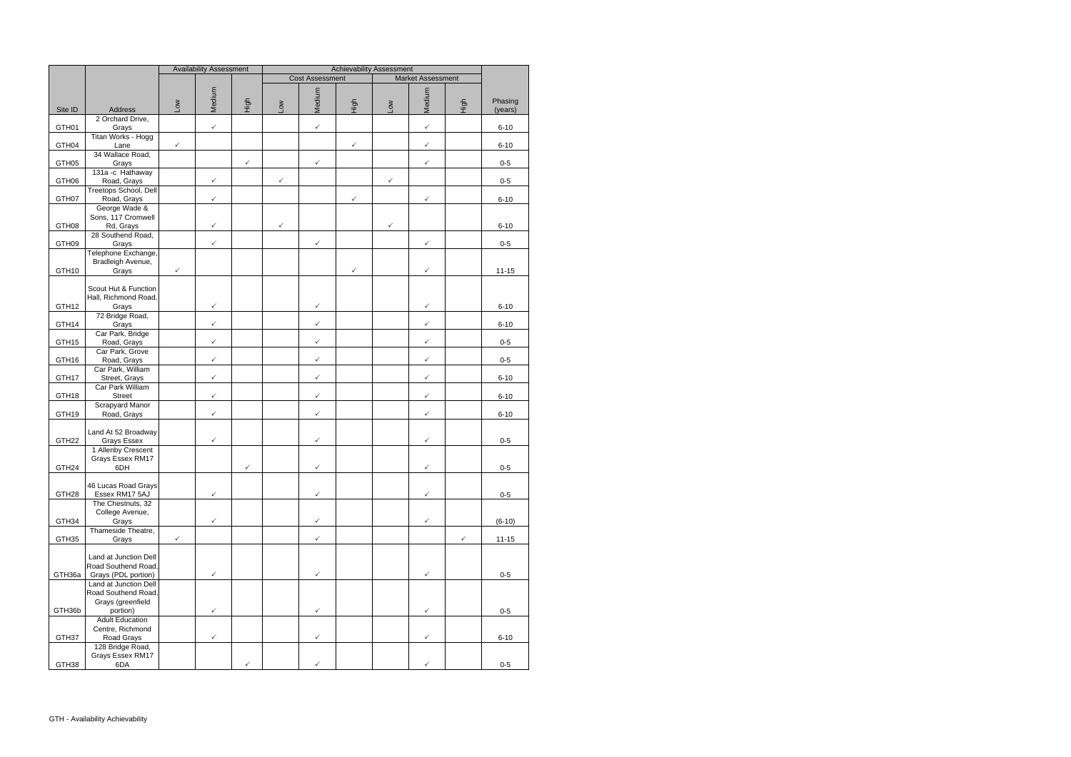|                   |                                                                   |              | <b>Availability Assessment</b> |      | <b>Achievability Assessment</b><br><b>Market Assessment</b> |              |              |              |              |      |                    |
|-------------------|-------------------------------------------------------------------|--------------|--------------------------------|------|-------------------------------------------------------------|--------------|--------------|--------------|--------------|------|--------------------|
|                   |                                                                   |              |                                |      | <b>Cost Assessment</b>                                      |              |              |              |              |      |                    |
| Site ID           | Address                                                           | <b>No7</b>   | Medium                         | High | <b>Mo7</b>                                                  | Medium       | High         | <b>Nor</b>   | Medium       | High | Phasing<br>(years) |
| GTH01             | 2 Orchard Drive,<br>Grays                                         |              | $\checkmark$                   |      |                                                             | $\checkmark$ |              |              | $\checkmark$ |      | $6 - 10$           |
| GTH <sub>04</sub> | Titan Works - Hogg<br>Lane                                        | $\checkmark$ |                                |      |                                                             |              | $\checkmark$ |              | $\checkmark$ |      | $6 - 10$           |
| GTH <sub>05</sub> | 34 Wallace Road,<br>Grays                                         |              |                                | ✓    |                                                             | ✓            |              |              | $\checkmark$ |      | $0-5$              |
| GTH06             | 131a -c Hathaway<br>Road, Grays                                   |              | $\checkmark$                   |      | ✓                                                           |              |              | $\checkmark$ |              |      | $0-5$              |
| GTH07             | Treetops School, Dell<br>Road, Grays                              |              | $\checkmark$                   |      |                                                             |              | $\checkmark$ |              | $\checkmark$ |      | $6 - 10$           |
|                   | George Wade &<br>Sons, 117 Cromwell                               |              |                                |      |                                                             |              |              |              |              |      |                    |
| GTH08             | Rd, Grays<br>28 Southend Road,                                    |              | $\checkmark$                   |      | $\checkmark$                                                |              |              | $\checkmark$ |              |      | $6 - 10$           |
| GTH09             | Grays<br>Telephone Exchange,                                      |              | $\checkmark$                   |      |                                                             | $\checkmark$ |              |              | $\checkmark$ |      | $0-5$              |
| GTH10             | Bradleigh Avenue,<br>Grays                                        | $\checkmark$ |                                |      |                                                             |              | $\checkmark$ |              | $\checkmark$ |      | $11 - 15$          |
|                   | Scout Hut & Function<br>Hall, Richmond Road,                      |              |                                |      |                                                             |              |              |              |              |      |                    |
| GTH12             | Grays<br>72 Bridge Road,                                          |              | $\checkmark$                   |      |                                                             | $\checkmark$ |              |              | $\checkmark$ |      | $6 - 10$           |
| GTH14             | Grays<br>Car Park, Bridge                                         |              | $\checkmark$                   |      |                                                             | $\checkmark$ |              |              | $\checkmark$ |      | $6 - 10$           |
| GTH15             | Road, Grays<br>Car Park, Grove                                    |              | $\checkmark$                   |      |                                                             | $\checkmark$ |              |              | $\checkmark$ |      | $0-5$              |
| GTH16             | Road, Grays<br>Car Park, William                                  |              | $\checkmark$                   |      |                                                             | $\checkmark$ |              |              | $\checkmark$ |      | $0 - 5$            |
| GTH17             | Street, Grays<br>Car Park William                                 |              | $\checkmark$                   |      |                                                             | $\checkmark$ |              |              | $\checkmark$ |      | $6 - 10$           |
| GTH18             | Street<br><b>Scrapyard Manor</b>                                  |              | $\checkmark$                   |      |                                                             | $\checkmark$ |              |              | $\checkmark$ |      | $6 - 10$           |
| GTH19             | Road, Grays                                                       |              | $\checkmark$                   |      |                                                             | $\checkmark$ |              |              | $\checkmark$ |      | $6 - 10$           |
| GTH <sub>22</sub> | Land At 52 Broadway<br>Grays Essex<br>1 Allenby Crescent          |              | $\checkmark$                   |      |                                                             | ✓            |              |              | $\checkmark$ |      | $0-5$              |
| GTH <sub>24</sub> | Grays Essex RM17<br>6DH                                           |              |                                | ✓    |                                                             | ✓            |              |              | ✓            |      | $0 - 5$            |
| GTH <sub>28</sub> | 46 Lucas Road Grays<br>Essex RM17 5AJ                             |              | $\checkmark$                   |      |                                                             | $\checkmark$ |              |              | $\checkmark$ |      | $0-5$              |
| GTH34             | The Chestnuts, 32<br>College Avenue,<br>Grays                     |              | $\checkmark$                   |      |                                                             | $\checkmark$ |              |              | $\checkmark$ |      | $(6-10)$           |
| GTH35             | Thameside Theatre,<br>Grays                                       | $\checkmark$ |                                |      |                                                             | $\checkmark$ |              |              |              | ✓    | $11 - 15$          |
|                   | Land at Junction Dell                                             |              |                                |      |                                                             |              |              |              |              |      |                    |
| GTH36a            | Road Southend Road,<br>Grays (PDL portion)                        |              | $\checkmark$                   |      |                                                             | $\checkmark$ |              |              | $\checkmark$ |      | $0-5$              |
|                   | Land at Junction Dell<br>Road Southend Road,<br>Grays (greenfield |              |                                |      |                                                             |              |              |              |              |      |                    |
| GTH36b            | portion)<br><b>Adult Education</b>                                |              | $\checkmark$                   |      |                                                             | $\checkmark$ |              |              | $\checkmark$ |      | $0-5$              |
| GTH37             | Centre, Richmond<br>Road Grays                                    |              | $\checkmark$                   |      |                                                             | $\checkmark$ |              |              | $\checkmark$ |      | $6 - 10$           |
| GTH38             | 128 Bridge Road,<br>Grays Essex RM17<br>6DA                       |              |                                |      |                                                             | ✓            |              |              |              |      | $0-5$              |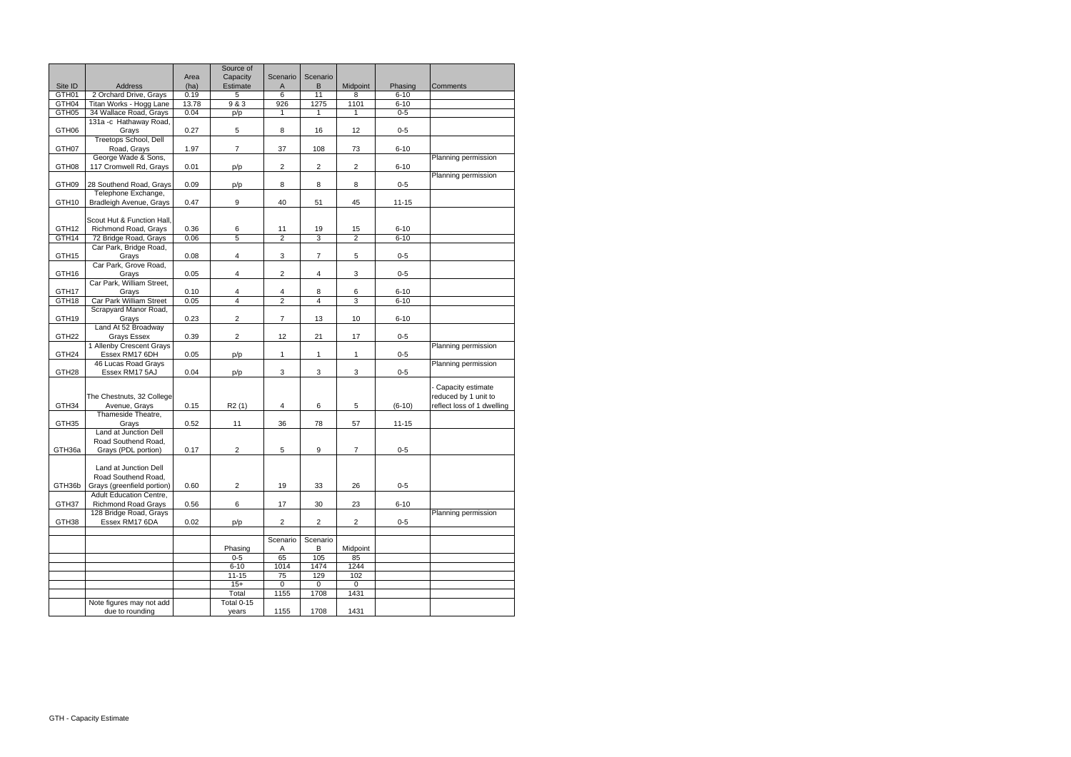|                   |                                |       | Source of      |                |                |                |           |                            |
|-------------------|--------------------------------|-------|----------------|----------------|----------------|----------------|-----------|----------------------------|
|                   |                                | Area  | Capacity       | Scenario       | Scenario       |                |           |                            |
| Site ID           | <b>Address</b>                 | (ha)  | Estimate       | A              | В              | Midpoint       | Phasing   | Comments                   |
| GTH01             | 2 Orchard Drive, Grays         | 0.19  | 5              | 6              | 11             | 8              | $6 - 10$  |                            |
| GTH <sub>04</sub> | Titan Works - Hogg Lane        | 13.78 | 9 & 3          | 926            | 1275           | 1101           | $6 - 10$  |                            |
| GTH <sub>05</sub> | 34 Wallace Road, Grays         | 0.04  | p/p            | $\mathbf{1}$   | $\mathbf{1}$   | $\mathbf{1}$   | $0-5$     |                            |
|                   | 131a -c Hathaway Road,         |       |                |                |                |                |           |                            |
| GTH <sub>06</sub> | Grays                          | 0.27  | 5              | 8              | 16             | 12             | $0-5$     |                            |
|                   | Treetops School, Dell          |       |                |                |                |                |           |                            |
| GTH07             |                                | 1.97  | $\overline{7}$ | 37             | 108            | 73             | $6 - 10$  |                            |
|                   | Road, Grays                    |       |                |                |                |                |           |                            |
|                   | George Wade & Sons,            |       |                |                |                |                |           | Planning permission        |
| GTH08             | 117 Cromwell Rd, Grays         | 0.01  | p/p            | 2              | $\overline{2}$ | $\overline{2}$ | $6 - 10$  |                            |
|                   |                                |       |                |                |                |                |           | Planning permission        |
| GTH <sub>09</sub> | 28 Southend Road, Grays        | 0.09  | p/p            | 8              | 8              | 8              | $0 - 5$   |                            |
|                   | Telephone Exchange,            |       |                |                |                |                |           |                            |
| GTH <sub>10</sub> | Bradleigh Avenue, Grays        | 0.47  | 9              | 40             | 51             | 45             | $11 - 15$ |                            |
|                   |                                |       |                |                |                |                |           |                            |
|                   | Scout Hut & Function Hall,     |       |                |                |                |                |           |                            |
| GTH <sub>12</sub> | Richmond Road, Grays           | 0.36  | 6              | 11             | 19             | 15             | $6 - 10$  |                            |
| GTH14             | 72 Bridge Road, Grays          | 0.06  | 5              | $\overline{2}$ | $\overline{3}$ | $\overline{2}$ | $6 - 10$  |                            |
|                   | Car Park, Bridge Road,         |       |                |                |                |                |           |                            |
| GTH <sub>15</sub> | Grays                          | 0.08  | 4              | 3              | $\overline{7}$ | 5              | $0 - 5$   |                            |
|                   | Car Park, Grove Road,          |       |                |                |                |                |           |                            |
| GTH16             | Grays                          | 0.05  | 4              | 2              | 4              | 3              | $0-5$     |                            |
|                   | Car Park, William Street,      |       |                |                |                |                |           |                            |
| GTH17             | Grays                          | 0.10  | $\overline{4}$ | 4              | 8              | 6              | $6 - 10$  |                            |
| GTH <sub>18</sub> | <b>Car Park William Street</b> | 0.05  | 4              | $\overline{2}$ | 4              | 3              | $6 - 10$  |                            |
|                   | Scrapyard Manor Road,          |       |                |                |                |                |           |                            |
| GTH19             | Grays                          | 0.23  | $\overline{2}$ | $\overline{7}$ | 13             | 10             | $6 - 10$  |                            |
|                   | Land At 52 Broadway            |       |                |                |                |                |           |                            |
| GTH <sub>22</sub> | Grays Essex                    | 0.39  | $\overline{2}$ | 12             | 21             | 17             | $0 - 5$   |                            |
|                   | 1 Allenby Crescent Grays       |       |                |                |                |                |           | Planning permission        |
| GTH <sub>24</sub> | Essex RM17 6DH                 | 0.05  | p/p            | $\mathbf{1}$   | $\mathbf{1}$   | $\mathbf{1}$   | $0 - 5$   |                            |
|                   | 46 Lucas Road Grays            |       |                |                |                |                |           | Planning permission        |
| GTH <sub>28</sub> | Essex RM17 5AJ                 | 0.04  | p/p            | 3              | 3              | $\mathbf{3}$   | $0-5$     |                            |
|                   |                                |       |                |                |                |                |           |                            |
|                   |                                |       |                |                |                |                |           | Capacity estimate          |
|                   | The Chestnuts, 32 College      |       |                |                |                |                |           | reduced by 1 unit to       |
| GTH34             | Avenue, Grays                  | 0.15  | R2(1)          | 4              | 6              | 5              | $(6-10)$  | reflect loss of 1 dwelling |
|                   | Thameside Theatre,             |       |                |                |                |                |           |                            |
| GTH35             | Grays                          | 0.52  | 11             | 36             | 78             | 57             | $11 - 15$ |                            |
|                   | Land at Junction Dell          |       |                |                |                |                |           |                            |
|                   | Road Southend Road,            |       |                |                |                |                |           |                            |
| GTH36a            | Grays (PDL portion)            | 0.17  | $\overline{c}$ | 5              | 9              | $\overline{7}$ | $0-5$     |                            |
|                   |                                |       |                |                |                |                |           |                            |
|                   | Land at Junction Dell          |       |                |                |                |                |           |                            |
|                   | Road Southend Road.            |       |                |                |                |                |           |                            |
| GTH36b            | Grays (greenfield portion)     | 0.60  | $\sqrt{2}$     | 19             | 33             | 26             | $0-5$     |                            |
|                   | Adult Education Centre,        |       |                |                |                |                |           |                            |
| GTH37             | <b>Richmond Road Grays</b>     | 0.56  | 6              | 17             | 30             | 23             | $6 - 10$  |                            |
|                   | 128 Bridge Road, Grays         |       |                |                |                |                |           | Planning permission        |
| GTH38             | Essex RM17 6DA                 | 0.02  | p/p            | $\overline{c}$ | $\overline{2}$ | $\overline{a}$ | $0-5$     |                            |
|                   |                                |       |                |                |                |                |           |                            |
|                   |                                |       |                | Scenario       | Scenario       |                |           |                            |
|                   |                                |       |                |                |                |                |           |                            |
|                   |                                |       | Phasing        | $\overline{A}$ | В              | Midpoint       |           |                            |
|                   |                                |       | $0 - 5$        | 65             | 105            | 85             |           |                            |
|                   |                                |       | $6 - 10$       | 1014           | 1474           | 1244           |           |                            |
|                   |                                |       | $11 - 15$      | 75             | 129            | 102            |           |                            |
|                   |                                |       | $15+$          | 0              | 0              | 0              |           |                            |
|                   |                                |       | Total          | 1155           | 1708           | 1431           |           |                            |
|                   | Note figures may not add       |       | Total 0-15     |                |                |                |           |                            |
|                   | due to rounding                |       | years          | 1155           | 1708           | 1431           |           |                            |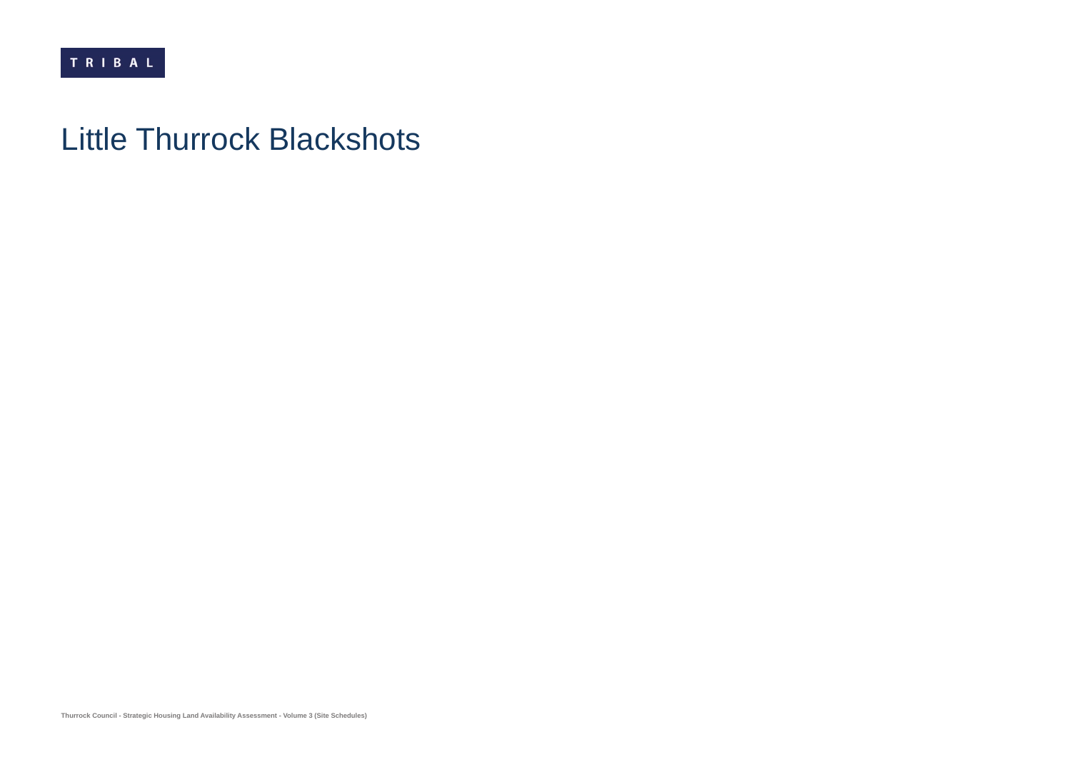### Little Thurrock Blackshots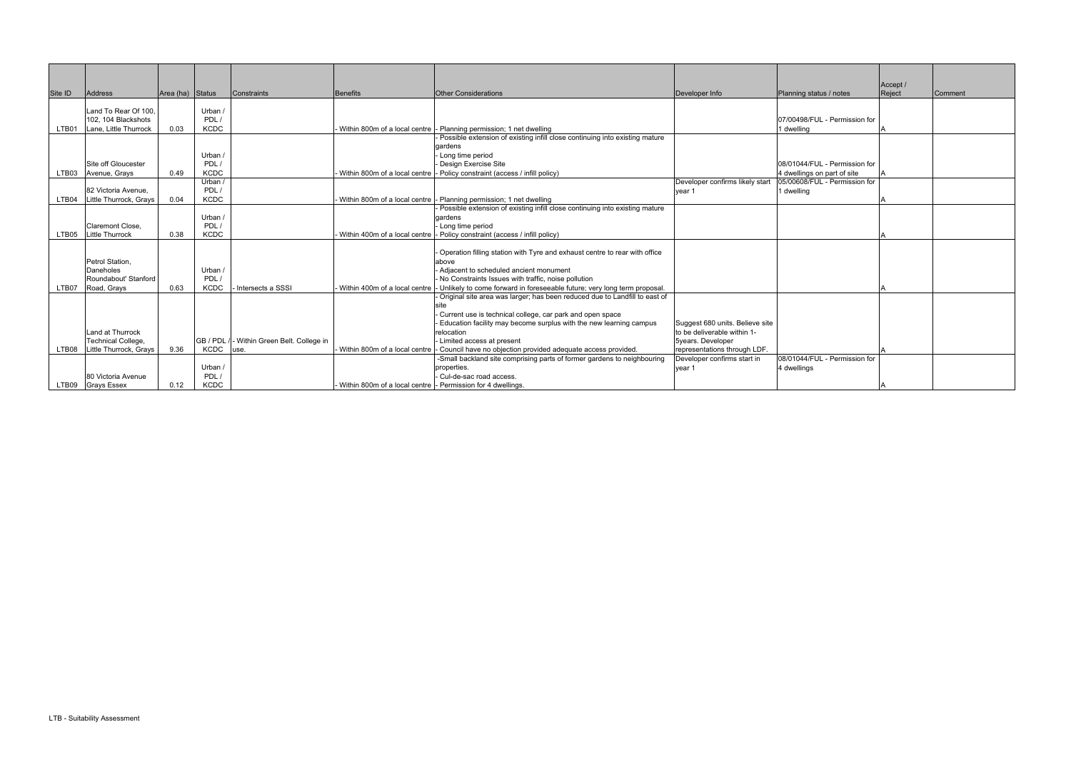|         |                           |                  |                 |                                            |                                                                |                                                                                              |                                 |                               | Accept / |                |
|---------|---------------------------|------------------|-----------------|--------------------------------------------|----------------------------------------------------------------|----------------------------------------------------------------------------------------------|---------------------------------|-------------------------------|----------|----------------|
| Site ID | <b>Address</b>            | Area (ha) Status |                 | Constraints                                | <b>Benefits</b>                                                | <b>Other Considerations</b>                                                                  | Developer Info                  | Planning status / notes       | Reject   | <b>Comment</b> |
|         |                           |                  |                 |                                            |                                                                |                                                                                              |                                 |                               |          |                |
|         | Land To Rear Of 100.      |                  | Urban /         |                                            |                                                                |                                                                                              |                                 |                               |          |                |
|         | 102, 104 Blackshots       |                  | PDL/            |                                            |                                                                |                                                                                              |                                 | 07/00498/FUL - Permission for |          |                |
| LTB01   | Lane, Little Thurrock     | 0.03             | <b>KCDC</b>     |                                            |                                                                | Within 800m of a local centre  - Planning permission; 1 net dwelling                         |                                 | 1 dwelling                    |          |                |
|         |                           |                  |                 |                                            |                                                                | Possible extension of existing infill close continuing into existing mature                  |                                 |                               |          |                |
|         |                           |                  |                 |                                            |                                                                | gardens                                                                                      |                                 |                               |          |                |
|         | Site off Gloucester       |                  | Urban /<br>PDL/ |                                            |                                                                | Long time period<br>- Design Exercise Site                                                   |                                 | 08/01044/FUL - Permission for |          |                |
| LTB03   | Avenue, Grays             | 0.49             | <b>KCDC</b>     |                                            |                                                                | Within 800m of a local centre  - Policy constraint (access / infill policy)                  |                                 | 4 dwellings on part of site   |          |                |
|         |                           |                  | Urban /         |                                            |                                                                |                                                                                              | Developer confirms likely start | 05/00608/FUL - Permission for |          |                |
|         | 82 Victoria Avenue.       |                  | PDL/            |                                            |                                                                |                                                                                              | vear 1                          | 1 dwelling                    |          |                |
| LTB04   | Little Thurrock, Grays    | 0.04             | <b>KCDC</b>     |                                            |                                                                | Within 800m of a local centre - Planning permission; 1 net dwelling                          |                                 |                               |          |                |
|         |                           |                  |                 |                                            |                                                                | Possible extension of existing infill close continuing into existing mature                  |                                 |                               |          |                |
|         |                           |                  | Urban /         |                                            |                                                                | gardens                                                                                      |                                 |                               |          |                |
|         | <b>Claremont Close.</b>   |                  | PDL/            |                                            |                                                                | - Long time period                                                                           |                                 |                               |          |                |
| LTB05   | <b>Little Thurrock</b>    | 0.38             | <b>KCDC</b>     |                                            |                                                                | Within 400m of a local centre  - Policy constraint (access / infill policy)                  |                                 |                               |          |                |
|         |                           |                  |                 |                                            |                                                                |                                                                                              |                                 |                               |          |                |
|         |                           |                  |                 |                                            |                                                                | - Operation filling station with Tyre and exhaust centre to rear with office                 |                                 |                               |          |                |
|         | Petrol Station,           |                  |                 |                                            |                                                                | above                                                                                        |                                 |                               |          |                |
|         | <b>Daneholes</b>          |                  | Urban /         |                                            |                                                                | - Adjacent to scheduled ancient monument                                                     |                                 |                               |          |                |
|         | Roundabout' Stanford      |                  | PDL/            |                                            |                                                                | - No Constraints Issues with traffic, noise pollution                                        |                                 |                               |          |                |
| LTB07   | Road, Grays               | 0.63             | <b>KCDC</b>     | - Intersects a SSSI                        | Within 400m of a local centre                                  | Unlikely to come forward in foreseeable future; very long term proposal.                     |                                 |                               |          |                |
|         |                           |                  |                 |                                            |                                                                | - Original site area was larger; has been reduced due to Landfill to east of                 |                                 |                               |          |                |
|         |                           |                  |                 |                                            |                                                                | site                                                                                         |                                 |                               |          |                |
|         |                           |                  |                 |                                            |                                                                | - Current use is technical college, car park and open space                                  |                                 |                               |          |                |
|         |                           |                  |                 |                                            |                                                                | - Education facility may become surplus with the new learning campus                         | Suggest 680 units. Believe site |                               |          |                |
|         | Land at Thurrock          |                  |                 |                                            |                                                                | relocation                                                                                   | to be deliverable within 1-     |                               |          |                |
|         | <b>Technical College,</b> |                  |                 | GB / PDL / - Within Green Belt. College in |                                                                | - Limited access at present                                                                  | 5years. Developer               |                               |          |                |
| LTB08   | Little Thurrock, Grays    | 9.36             | <b>KCDC</b>     | use.                                       |                                                                | Within 800m of a local centre - Council have no objection provided adequate access provided. | representations through LDF.    |                               |          |                |
|         |                           |                  |                 |                                            |                                                                | -Small backland site comprising parts of former gardens to neighbouring                      | Developer confirms start in     | 08/01044/FUL - Permission for |          |                |
|         |                           |                  | Urban /         |                                            |                                                                | properties.                                                                                  | vear 1                          | 4 dwellings                   |          |                |
|         | 80 Victoria Avenue        |                  | PDL/            |                                            |                                                                | Cul-de-sac road access                                                                       |                                 |                               |          |                |
|         | LTB09 Gravs Essex         | 0.12             | <b>KCDC</b>     |                                            | - Within 800m of a local centre I- Permission for 4 dwellings. |                                                                                              |                                 |                               |          |                |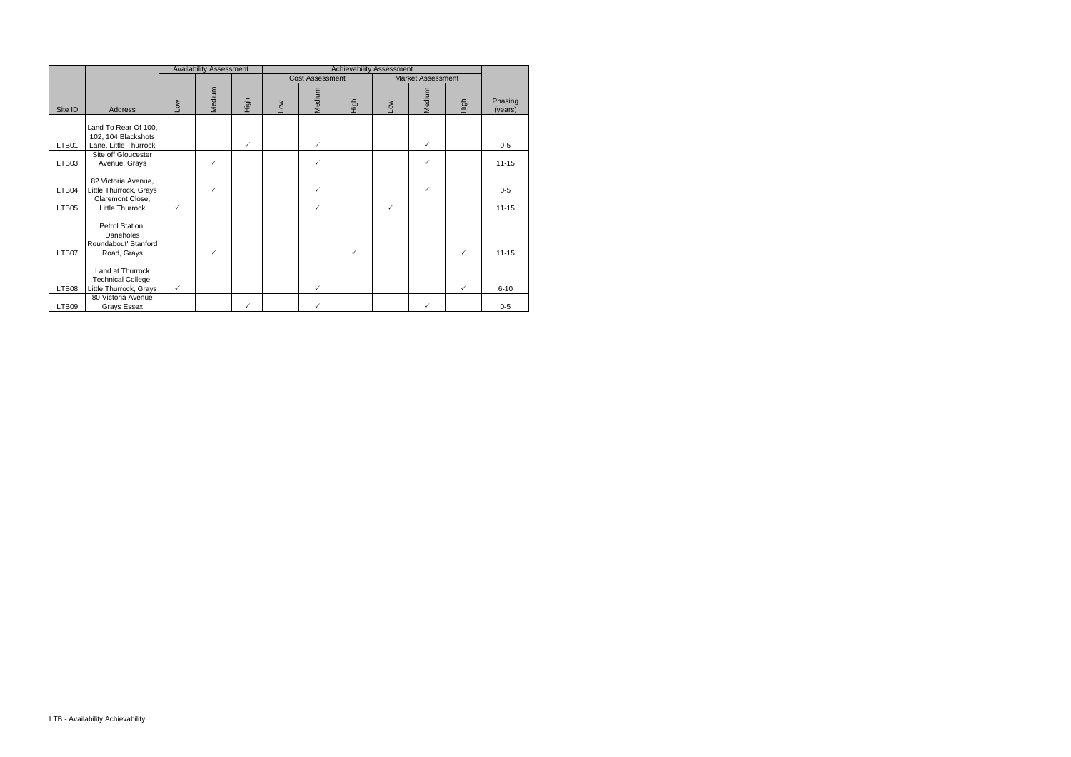|         |                                                                      |              | <b>Availability Assessment</b> |              | <b>Achievability Assessment</b><br><b>Cost Assessment</b><br><b>Market Assessment</b> |              |              |                  |              |              |                    |
|---------|----------------------------------------------------------------------|--------------|--------------------------------|--------------|---------------------------------------------------------------------------------------|--------------|--------------|------------------|--------------|--------------|--------------------|
|         |                                                                      |              |                                |              |                                                                                       |              |              |                  |              |              |                    |
| Site ID | Address                                                              | <b>NOT</b>   | Medium                         | High         | Mo7                                                                                   | Medium       | High         | $\sum_{i=1}^{n}$ | Medium       | High         | Phasing<br>(years) |
| LTB01   | Land To Rear Of 100,<br>102, 104 Blackshots<br>Lane, Little Thurrock |              |                                | $\checkmark$ |                                                                                       | $\checkmark$ |              |                  | $\checkmark$ |              | $0 - 5$            |
| LTB03   | Site off Gloucester<br>Avenue, Grays                                 |              | $\checkmark$                   |              |                                                                                       | $\checkmark$ |              |                  | $\checkmark$ |              | $11 - 15$          |
| LTB04   | 82 Victoria Avenue,<br>Little Thurrock, Grays                        |              | $\checkmark$                   |              |                                                                                       | $\checkmark$ |              |                  | $\checkmark$ |              | $0-5$              |
| LTB05   | Claremont Close,<br>Little Thurrock                                  | ✓            |                                |              |                                                                                       | $\checkmark$ |              | $\checkmark$     |              |              | $11 - 15$          |
| LTB07   | Petrol Station,<br>Daneholes<br>Roundabout' Stanford<br>Road, Grays  |              | $\checkmark$                   |              |                                                                                       |              | $\checkmark$ |                  |              | $\checkmark$ | $11 - 15$          |
| LTB08   | Land at Thurrock<br>Technical College,<br>Little Thurrock, Grays     | $\checkmark$ |                                |              |                                                                                       | $\checkmark$ |              |                  |              | $\checkmark$ | $6 - 10$           |
| LTB09   | 80 Victoria Avenue<br>Grays Essex                                    |              |                                | $\checkmark$ |                                                                                       | $\checkmark$ |              |                  | $\checkmark$ |              | $0-5$              |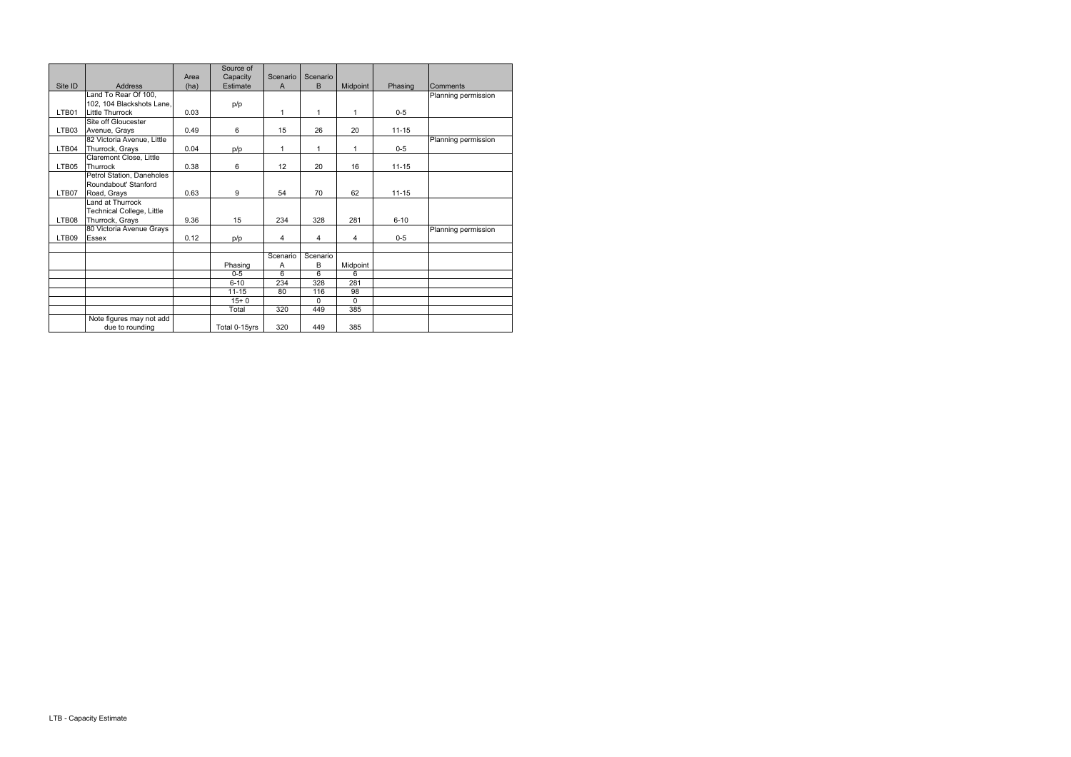|         |                                  |      | Source of     |                |          |                |           |                     |
|---------|----------------------------------|------|---------------|----------------|----------|----------------|-----------|---------------------|
|         |                                  | Area | Capacity      | Scenario       | Scenario |                |           |                     |
| Site ID | Address                          | (ha) | Estimate      | $\overline{A}$ | B        | Midpoint       | Phasing   | <b>Comments</b>     |
|         | Land To Rear Of 100,             |      |               |                |          |                |           | Planning permission |
|         | 102, 104 Blackshots Lane,        |      | p/p           |                |          |                |           |                     |
| LTB01   | Little Thurrock                  | 0.03 |               | 1              | 1        | 1              | $0-5$     |                     |
|         | Site off Gloucester              |      |               |                |          |                |           |                     |
| LTB03   | Avenue, Grays                    | 0.49 | 6             | 15             | 26       | 20             | $11 - 15$ |                     |
|         | 82 Victoria Avenue, Little       |      |               |                |          |                |           | Planning permission |
| LTB04   | Thurrock, Grays                  | 0.04 | p/p           | 1              | 1        | 1              | $0-5$     |                     |
|         | Claremont Close, Little          |      |               |                |          |                |           |                     |
| LTB05   | Thurrock                         | 0.38 | 6             | 12             | 20       | 16             | $11 - 15$ |                     |
|         | Petrol Station, Daneholes        |      |               |                |          |                |           |                     |
|         | Roundabout' Stanford             |      |               |                |          |                |           |                     |
| LTB07   | Road, Grays                      | 0.63 | 9             | 54             | 70       | 62             | $11 - 15$ |                     |
|         | Land at Thurrock                 |      |               |                |          |                |           |                     |
|         | <b>Technical College, Little</b> |      |               |                |          |                |           |                     |
| LTB08   | Thurrock, Grays                  | 9.36 | 15            | 234            | 328      | 281            | $6 - 10$  |                     |
|         | 80 Victoria Avenue Grays         |      |               |                |          |                |           | Planning permission |
| LTB09   | <b>Essex</b>                     | 0.12 | p/p           | 4              | 4        | 4              | $0-5$     |                     |
|         |                                  |      |               |                |          |                |           |                     |
|         |                                  |      |               | Scenario       | Scenario |                |           |                     |
|         |                                  |      | Phasing       | A              | B        | Midpoint       |           |                     |
|         |                                  |      | $0 - 5$       | 6              | 6        | 6              |           |                     |
|         |                                  |      | $6 - 10$      | 234            | 328      | 281            |           |                     |
|         |                                  |      | $11 - 15$     | 80             | 116      | 98             |           |                     |
|         |                                  |      | $15 + 0$      |                | $\Omega$ | $\overline{0}$ |           |                     |
|         |                                  |      | Total         | 320            | 449      | 385            |           |                     |
|         | Note figures may not add         |      |               |                |          |                |           |                     |
|         | due to rounding                  |      | Total 0-15yrs | 320            | 449      | 385            |           |                     |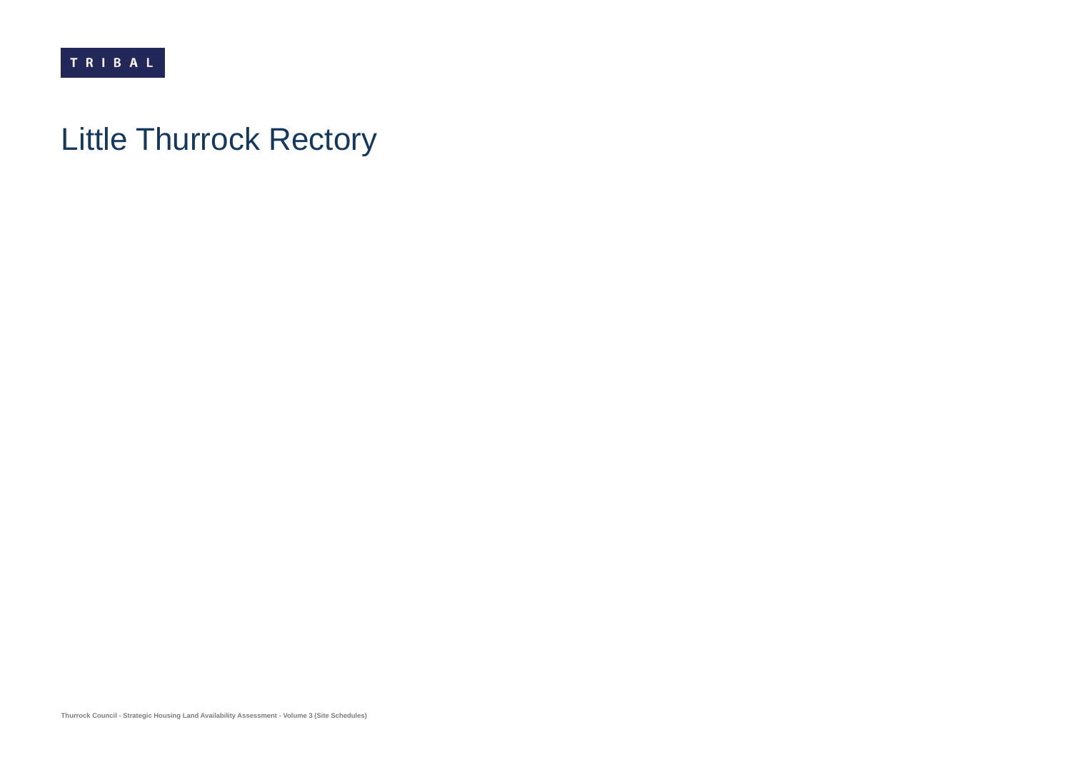## Little Thurrock Rectory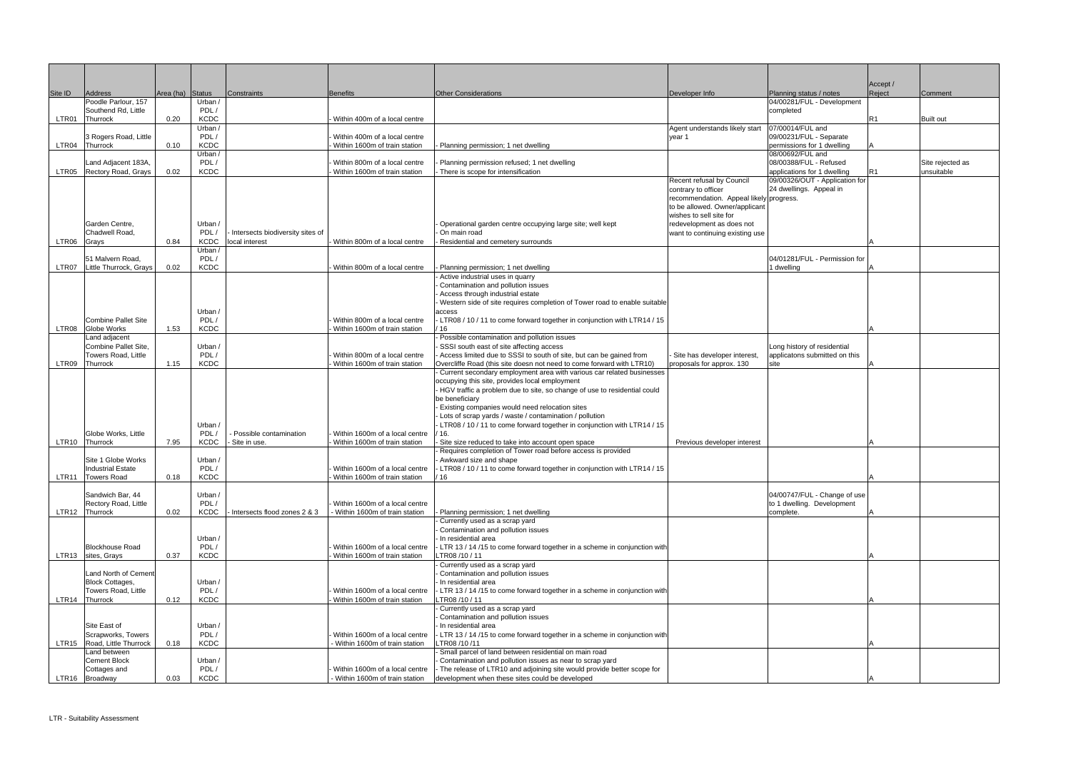|         |                                                 |                  |                        |                                    |                                                                 |                                                                                                                                              |                                                                |                                                       | Accept /       |                  |
|---------|-------------------------------------------------|------------------|------------------------|------------------------------------|-----------------------------------------------------------------|----------------------------------------------------------------------------------------------------------------------------------------------|----------------------------------------------------------------|-------------------------------------------------------|----------------|------------------|
| Site ID | Address<br>Poodle Parlour, 157                  | Area (ha) Status | Urban                  | Constraints                        | <b>Benefits</b>                                                 | <b>Other Considerations</b>                                                                                                                  | Developer Info                                                 | Planning status / notes<br>04/00281/FUL - Development | Reject         | Comment          |
|         | Southend Rd, Little                             |                  | PDL/                   |                                    |                                                                 |                                                                                                                                              |                                                                | completed                                             |                |                  |
| LTR01   | Thurrock                                        | 0.20             | <b>KCDC</b><br>Urban / |                                    | Within 400m of a local centre                                   |                                                                                                                                              | Agent understands likely start                                 | 07/00014/FUL and                                      | R <sub>1</sub> | <b>Built out</b> |
|         | 3 Rogers Road, Little                           |                  | PDL/                   |                                    | Within 400m of a local centre                                   |                                                                                                                                              | year 1                                                         | 09/00231/FUL - Separate                               |                |                  |
| LTR04   | Thurrock                                        | 0.10             | <b>KCDC</b>            |                                    | Within 1600m of train station                                   | Planning permission; 1 net dwelling                                                                                                          |                                                                | permissions for 1 dwelling                            |                |                  |
|         | Land Adjacent 183A,                             |                  | Urban /<br>PDL/        |                                    | Within 800m of a local centre                                   | Planning permission refused; 1 net dwelling                                                                                                  |                                                                | 08/00692/FUL and<br>08/00388/FUL - Refused            |                | Site rejected as |
| LTR05   | Rectory Road, Grays                             | 0.02             | <b>KCDC</b>            |                                    | Within 1600m of train station                                   | There is scope for intensification                                                                                                           |                                                                | applications for 1 dwelling                           | R1             | unsuitable       |
|         |                                                 |                  |                        |                                    |                                                                 |                                                                                                                                              | Recent refusal by Council                                      | 09/00326/OUT - Application for                        |                |                  |
|         |                                                 |                  |                        |                                    |                                                                 |                                                                                                                                              | contrary to officer<br>recommendation. Appeal likely progress. | 24 dwellings. Appeal in                               |                |                  |
|         |                                                 |                  |                        |                                    |                                                                 |                                                                                                                                              | to be allowed. Owner/applicant                                 |                                                       |                |                  |
|         |                                                 |                  |                        |                                    |                                                                 |                                                                                                                                              | wishes to sell site for                                        |                                                       |                |                  |
|         | Garden Centre,<br>Chadwell Road,                |                  | Urban /<br>PDL/        | - Intersects biodiversity sites of |                                                                 | Operational garden centre occupying large site; well kept<br>On main road                                                                    | redevelopment as does not<br>want to continuing existing use   |                                                       |                |                  |
| LTR06   | Grays                                           | 0.84             | <b>KCDC</b>            | local interest                     | Within 800m of a local centre                                   | Residential and cemetery surrounds                                                                                                           |                                                                |                                                       |                |                  |
|         |                                                 |                  | Urban /                |                                    |                                                                 |                                                                                                                                              |                                                                |                                                       |                |                  |
| LTR07   | 51 Malvern Road,<br>Little Thurrock, Grays      | 0.02             | PDL/<br><b>KCDC</b>    |                                    | Within 800m of a local centre                                   | Planning permission; 1 net dwelling                                                                                                          |                                                                | 04/01281/FUL - Permission for<br>1 dwelling           |                |                  |
|         |                                                 |                  |                        |                                    |                                                                 | Active industrial uses in quarry                                                                                                             |                                                                |                                                       |                |                  |
|         |                                                 |                  |                        |                                    |                                                                 | Contamination and pollution issues                                                                                                           |                                                                |                                                       |                |                  |
|         |                                                 |                  |                        |                                    |                                                                 | Access through industrial estate<br>Western side of site requires completion of Tower road to enable suitable                                |                                                                |                                                       |                |                  |
|         |                                                 |                  | Urban /                |                                    |                                                                 | access                                                                                                                                       |                                                                |                                                       |                |                  |
|         | <b>Combine Pallet Site</b><br>LTR08 Globe Works | 1.53             | PDL/<br><b>KCDC</b>    |                                    | Within 800m of a local centre<br>Within 1600m of train station  | - LTR08 / 10 / 11 to come forward together in conjunction with LTR14 / 15<br>16                                                              |                                                                |                                                       |                |                  |
|         | Land adjacent                                   |                  |                        |                                    |                                                                 | Possible contamination and pollution issues                                                                                                  |                                                                |                                                       |                |                  |
|         | Combine Pallet Site,                            |                  | Urban /                |                                    |                                                                 | SSSI south east of site affecting access                                                                                                     |                                                                | Long history of residential                           |                |                  |
| LTR09   | Towers Road, Little<br>Thurrock                 | 1.15             | PDL/<br><b>KCDC</b>    |                                    | Within 800m of a local centre<br>Within 1600m of train station  | Access limited due to SSSI to south of site, but can be gained from<br>Overcliffe Road (this site doesn not need to come forward with LTR10) | Site has developer interest,<br>proposals for approx. 130      | applicatons submitted on this<br>site                 |                |                  |
|         |                                                 |                  |                        |                                    |                                                                 | - Current secondary employment area with various car related businesses                                                                      |                                                                |                                                       |                |                  |
|         |                                                 |                  |                        |                                    |                                                                 | occupying this site, provides local employment                                                                                               |                                                                |                                                       |                |                  |
|         |                                                 |                  |                        |                                    |                                                                 | HGV traffic a problem due to site, so change of use to residential could<br>be beneficiary                                                   |                                                                |                                                       |                |                  |
|         |                                                 |                  |                        |                                    |                                                                 | Existing companies would need relocation sites                                                                                               |                                                                |                                                       |                |                  |
|         |                                                 |                  |                        |                                    |                                                                 | - Lots of scrap yards / waste / contamination / pollution                                                                                    |                                                                |                                                       |                |                  |
|         | Globe Works, Little                             |                  | Urban /<br>PDL/        | - Possible contamination           | Within 1600m of a local centre                                  | - LTR08 / 10 / 11 to come forward together in conjunction with LTR14 / 15<br>16.                                                             |                                                                |                                                       |                |                  |
|         | LTR10 Thurrock                                  | 7.95             | <b>KCDC</b>            | Site in use.                       | Within 1600m of train station                                   | Site size reduced to take into account open space                                                                                            | Previous developer interest                                    |                                                       |                |                  |
|         | Site 1 Globe Works                              |                  | Urban /                |                                    |                                                                 | Requires completion of Tower road before access is provided<br>- Awkward size and shape                                                      |                                                                |                                                       |                |                  |
|         | <b>Industrial Estate</b>                        |                  | PDL/                   |                                    | Within 1600m of a local centre                                  | - LTR08 / 10 / 11 to come forward together in conjunction with LTR14 / 15                                                                    |                                                                |                                                       |                |                  |
| LTR11   | Towers Road                                     | 0.18             | <b>KCDC</b>            |                                    | Within 1600m of train station                                   | 16                                                                                                                                           |                                                                |                                                       |                |                  |
|         | Sandwich Bar, 44                                |                  | Urban /                |                                    |                                                                 |                                                                                                                                              |                                                                | 04/00747/FUL - Change of use                          |                |                  |
|         | Rectory Road, Little                            |                  | PDL/                   |                                    | Within 1600m of a local centre                                  |                                                                                                                                              |                                                                | to 1 dwelling. Development                            |                |                  |
|         | LTR12 Thurrock                                  | 0.02             | <b>KCDC</b>            | Intersects flood zones 2 & 3       | - Within 1600m of train station                                 | Planning permission; 1 net dwelling                                                                                                          |                                                                | complete.                                             |                |                  |
|         |                                                 |                  |                        |                                    |                                                                 | Currently used as a scrap yard<br>Contamination and pollution issues                                                                         |                                                                |                                                       |                |                  |
|         |                                                 |                  | Urban /                |                                    |                                                                 | - In residential area                                                                                                                        |                                                                |                                                       |                |                  |
|         | <b>Blockhouse Road</b><br>LTR13 sites, Grays    | 0.37             | PDL/<br><b>KCDC</b>    |                                    | Within 1600m of a local centre<br>Within 1600m of train station | LTR 13 / 14 /15 to come forward together in a scheme in conjunction with<br>LTR08/10/11                                                      |                                                                |                                                       |                |                  |
|         |                                                 |                  |                        |                                    |                                                                 | Currently used as a scrap yard                                                                                                               |                                                                |                                                       |                |                  |
|         | Land North of Cement                            |                  |                        |                                    |                                                                 | Contamination and pollution issues                                                                                                           |                                                                |                                                       |                |                  |
|         | <b>Block Cottages,</b><br>Towers Road, Little   |                  | Urban /<br>PDL/        |                                    | Within 1600m of a local centre                                  | - In residential area<br>- LTR 13 / 14 /15 to come forward together in a scheme in conjunction with                                          |                                                                |                                                       |                |                  |
| LTR14   | Thurrock                                        | 0.12             | <b>KCDC</b>            |                                    | Within 1600m of train station                                   | LTR08/10/11                                                                                                                                  |                                                                |                                                       |                |                  |
|         |                                                 |                  |                        |                                    |                                                                 | Currently used as a scrap yard                                                                                                               |                                                                |                                                       |                |                  |
|         | Site East of                                    |                  | Urban /                |                                    |                                                                 | Contamination and pollution issues<br>In residential area                                                                                    |                                                                |                                                       |                |                  |
|         | Scrapworks, Towers                              |                  | PDL/                   |                                    | Within 1600m of a local centre                                  | LTR 13 / 14 /15 to come forward together in a scheme in conjunction with                                                                     |                                                                |                                                       |                |                  |
|         | LTR15 Road, Little Thurrock<br>Land between     | 0.18             | <b>KCDC</b>            |                                    | Within 1600m of train station                                   | LTR08 /10 /11<br>Small parcel of land between residential on main road                                                                       |                                                                |                                                       |                |                  |
|         | <b>Cement Block</b>                             |                  | Urban /                |                                    |                                                                 | Contamination and pollution issues as near to scrap yard                                                                                     |                                                                |                                                       |                |                  |
|         | Cottages and                                    |                  | PDL/                   |                                    | Within 1600m of a local centre                                  | - The release of LTR10 and adjoining site would provide better scope for                                                                     |                                                                |                                                       |                |                  |
|         | LTR16 Broadway                                  | 0.03             | <b>KCDC</b>            |                                    | Within 1600m of train station                                   | development when these sites could be developed                                                                                              |                                                                |                                                       |                |                  |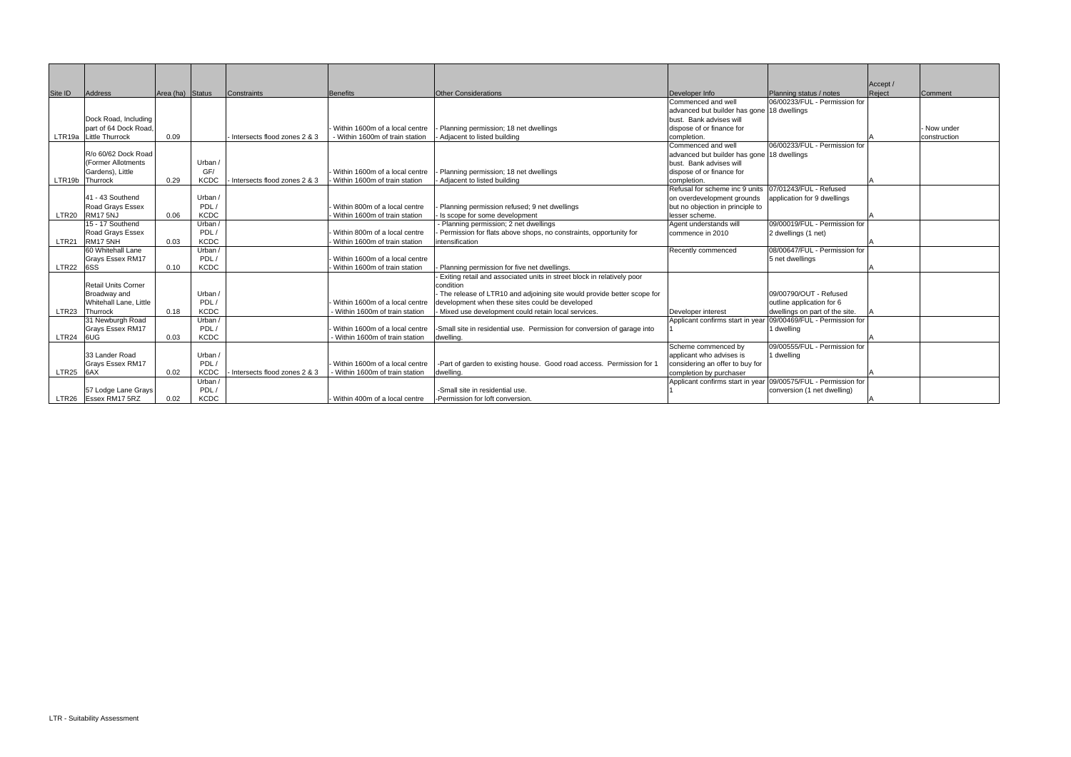|                   |                               |                  |             |                              |                                  |                                                                          |                                            |                                | Accept / |              |
|-------------------|-------------------------------|------------------|-------------|------------------------------|----------------------------------|--------------------------------------------------------------------------|--------------------------------------------|--------------------------------|----------|--------------|
| Site ID           | Address                       | Area (ha) Status |             | <b>Constraints</b>           | Benefits                         | <b>Other Considerations</b>                                              | Developer Info                             | Planning status / notes        | Reject   | Comment      |
|                   |                               |                  |             |                              |                                  |                                                                          | Commenced and well                         | 06/00233/FUL - Permission for  |          |              |
|                   |                               |                  |             |                              |                                  |                                                                          | advanced but builder has gone 18 dwellings |                                |          |              |
|                   | Dock Road, Including          |                  |             |                              |                                  |                                                                          | bust. Bank advises will                    |                                |          |              |
|                   | part of 64 Dock Road.         |                  |             |                              | Within 1600m of a local centre   | Planning permission; 18 net dwellings                                    | dispose of or finance for                  |                                |          | - Now under  |
|                   | LTR19a Little Thurrock        | 0.09             |             | Intersects flood zones 2 & 3 | - Within 1600m of train station  | Adjacent to listed building                                              | completion.                                |                                |          | construction |
|                   |                               |                  |             |                              |                                  |                                                                          | Commenced and well                         | 06/00233/FUL - Permission for  |          |              |
|                   | R/o 60/62 Dock Road           |                  |             |                              |                                  |                                                                          | advanced but builder has gone 18 dwellings |                                |          |              |
|                   | (Former Allotments)           |                  | Urban /     |                              |                                  |                                                                          | bust. Bank advises will                    |                                |          |              |
|                   | Gardens), Little              |                  | GF/         |                              | Within 1600m of a local centre   | Planning permission; 18 net dwellings                                    | dispose of or finance for                  |                                |          |              |
|                   | LTR19b Thurrock               | 0.29             | <b>KCDC</b> | Intersects flood zones 2 & 3 | Within 1600m of train station    | Adjacent to listed building                                              | completion.                                |                                |          |              |
|                   |                               |                  |             |                              |                                  |                                                                          | Refusal for scheme inc 9 units             | 07/01243/FUL - Refused         |          |              |
|                   | 41 - 43 Southend              |                  | Urban /     |                              |                                  |                                                                          | on overdevelopment grounds                 | application for 9 dwellings    |          |              |
|                   | Road Grays Essex              |                  | PDL/        |                              | - Within 800m of a local centre  | Planning permission refused; 9 net dwellings                             | but no objection in principle to           |                                |          |              |
| LTR20             | <b>RM17 5NJ</b>               | 0.06             | <b>KCDC</b> |                              | Within 1600m of train station    | Is scope for some development                                            | lesser scheme.                             |                                |          |              |
|                   | 15 - 17 Southend              |                  | Urban /     |                              |                                  | Planning permission; 2 net dwellings                                     | Agent understands will                     | 09/00019/FUL - Permission for  |          |              |
|                   | <b>Road Grays Essex</b>       |                  | PDL/        |                              | Within 800m of a local centre    | Permission for flats above shops, no constraints, opportunity for        | commence in 2010                           | 2 dwellings (1 net)            |          |              |
| LTR <sub>21</sub> | RM17 5NH                      | 0.03             | <b>KCDC</b> |                              | Within 1600m of train station    | intensification                                                          |                                            |                                |          |              |
|                   | 60 Whitehall Lane             |                  | Urban /     |                              |                                  |                                                                          | Recently commenced                         | 08/00647/FUL - Permission for  |          |              |
|                   | Grays Essex RM17              |                  | PDL/        |                              | - Within 1600m of a local centre |                                                                          |                                            | 5 net dwellings                |          |              |
| LTR22             | 6SS                           | 0.10             | <b>KCDC</b> |                              | - Within 1600m of train station  | Planning permission for five net dwellings.                              |                                            |                                |          |              |
|                   |                               |                  |             |                              |                                  | Exiting retail and associated units in street block in relatively poor   |                                            |                                |          |              |
|                   | <b>Retail Units Corner</b>    |                  |             |                              |                                  | condition                                                                |                                            |                                |          |              |
|                   | Broadway and                  |                  | Urban /     |                              |                                  | The release of LTR10 and adjoining site would provide better scope for   |                                            | 09/00790/OUT - Refused         |          |              |
|                   | <b>Whitehall Lane, Little</b> |                  | PDL/        |                              | Within 1600m of a local centre   | development when these sites could be developed                          |                                            | outline application for 6      |          |              |
| LTR <sub>23</sub> | Thurrock                      | 0.18             | <b>KCDC</b> |                              | Within 1600m of train station    | Mixed use development could retain local services.                       | Developer interest                         | dwellings on part of the site. |          |              |
|                   | 31 Newburgh Road              |                  | Urban /     |                              |                                  |                                                                          | Applicant confirms start in year           | 09/00469/FUL - Permission for  |          |              |
|                   | Grays Essex RM17              |                  | PDL/        |                              | Within 1600m of a local centre   | -Small site in residential use. Permission for conversion of garage into |                                            | 1 dwelling                     |          |              |
| LTR24             | 6UG                           | 0.03             | <b>KCDC</b> |                              | Within 1600m of train station    | dwelling.                                                                |                                            |                                |          |              |
|                   |                               |                  |             |                              |                                  |                                                                          | Scheme commenced by                        | 09/00555/FUL - Permission for  |          |              |
|                   | 33 Lander Road                |                  | Urban /     |                              |                                  |                                                                          | applicant who advises is                   | 1 dwelling                     |          |              |
|                   | Grays Essex RM17              |                  | PDL/        |                              | - Within 1600m of a local centre | -Part of garden to existing house. Good road access. Permission for 1    | considering an offer to buy for            |                                |          |              |
| LTR <sub>25</sub> | 6AX                           | 0.02             | <b>KCDC</b> | Intersects flood zones 2 & 3 | Within 1600m of train station    | dwelling.                                                                | completion by purchaser                    |                                |          |              |
|                   |                               |                  | Urban /     |                              |                                  |                                                                          | Applicant confirms start in year           | 09/00575/FUL - Permission for  |          |              |
|                   | 57 Lodge Lane Grays           |                  | PDL/        |                              |                                  | -Small site in residential use.                                          |                                            | conversion (1 net dwelling)    |          |              |
|                   | LTR26 Essex RM17 5RZ          | 0.02             | <b>KCDC</b> |                              | - Within 400m of a local centre  | -Permission for loft conversion                                          |                                            |                                |          |              |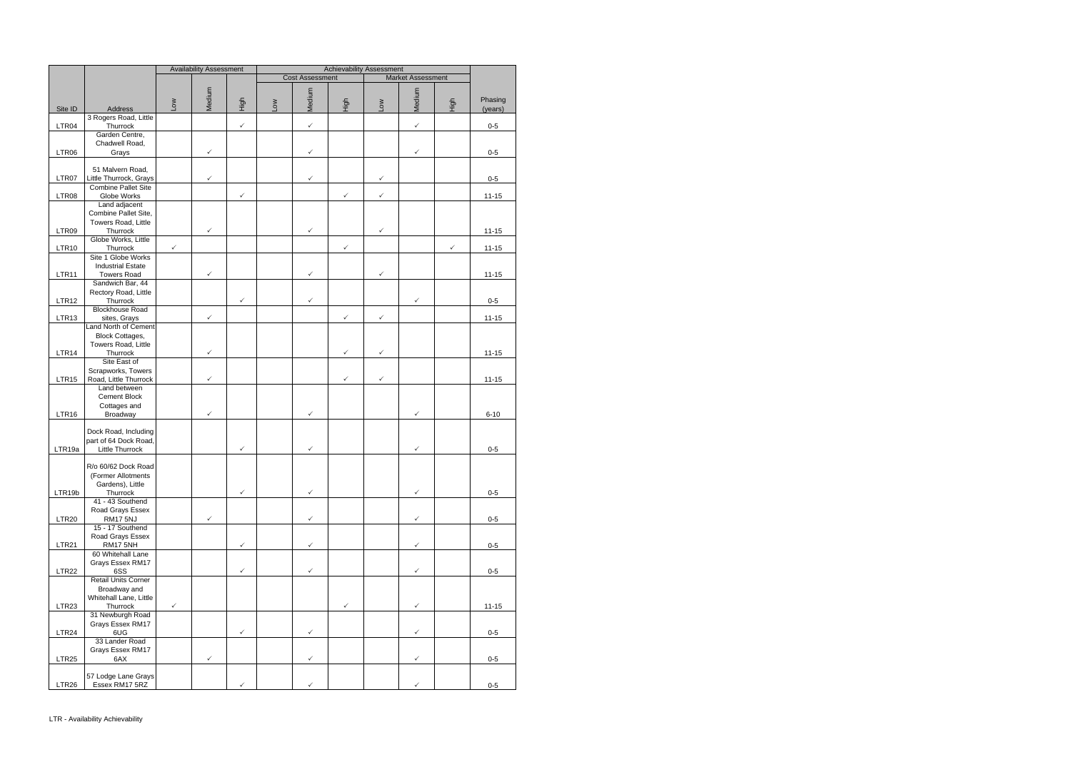|                    |                                                                       | <b>Availability Assessment</b><br><b>Achievability Assessment</b> |              |              |                        |              |              |              |                          |              |           |
|--------------------|-----------------------------------------------------------------------|-------------------------------------------------------------------|--------------|--------------|------------------------|--------------|--------------|--------------|--------------------------|--------------|-----------|
|                    |                                                                       |                                                                   |              |              | <b>Cost Assessment</b> |              |              |              | <b>Market Assessment</b> |              |           |
|                    | Address                                                               | <b>Mo7</b>                                                        | Medium       | High         | Mo7                    | Medium       | High         | Low          | Medium                   | High         | Phasing   |
| Site ID            | 3 Rogers Road, Little                                                 |                                                                   |              |              |                        |              |              |              |                          |              | (years)   |
| LTR04              | Thurrock<br>Garden Centre,                                            |                                                                   |              | $\checkmark$ |                        | $\checkmark$ |              |              | $\checkmark$             |              | $0-5$     |
| LTR06              | Chadwell Road,<br>Grays                                               |                                                                   | $\checkmark$ |              |                        | $\checkmark$ |              |              | $\checkmark$             |              | $0-5$     |
| LTR07              | 51 Malvern Road,<br>Little Thurrock, Grays                            |                                                                   | $\checkmark$ |              |                        | $\checkmark$ |              | $\checkmark$ |                          |              | $0 - 5$   |
| LTR08              | <b>Combine Pallet Site</b><br>Globe Works                             |                                                                   |              | $\checkmark$ |                        |              | $\checkmark$ | $\checkmark$ |                          |              | $11 - 15$ |
|                    | Land adjacent<br>Combine Pallet Site,                                 |                                                                   |              |              |                        |              |              |              |                          |              |           |
| LTR09              | Towers Road, Little<br>Thurrock                                       |                                                                   | $\checkmark$ |              |                        | $\checkmark$ |              | ✓            |                          |              | $11 - 15$ |
| LTR <sub>10</sub>  | Globe Works, Little<br>Thurrock                                       | $\checkmark$                                                      |              |              |                        |              | $\checkmark$ |              |                          | $\checkmark$ | $11 - 15$ |
|                    | Site 1 Globe Works<br><b>Industrial Estate</b>                        |                                                                   |              |              |                        |              |              |              |                          |              |           |
| LTR11              | <b>Towers Road</b><br>Sandwich Bar, 44                                |                                                                   | $\checkmark$ |              |                        | $\checkmark$ |              | ✓            |                          |              | $11 - 15$ |
| LTR12              | Rectory Road, Little<br>Thurrock<br><b>Blockhouse Road</b>            |                                                                   |              | $\checkmark$ |                        | $\checkmark$ |              |              | ✓                        |              | $0 - 5$   |
| LTR <sub>13</sub>  | sites, Grays                                                          |                                                                   | $\checkmark$ |              |                        |              | $\checkmark$ | $\checkmark$ |                          |              | $11 - 15$ |
|                    | Land North of Cement<br><b>Block Cottages,</b><br>Towers Road, Little |                                                                   |              |              |                        |              |              |              |                          |              |           |
| LTR <sub>14</sub>  | Thurrock<br>Site East of                                              |                                                                   | ✓            |              |                        |              | $\checkmark$ | $\checkmark$ |                          |              | $11 - 15$ |
| LTR15              | Scrapworks, Towers<br>Road, Little Thurrock                           |                                                                   | $\checkmark$ |              |                        |              | $\checkmark$ | $\checkmark$ |                          |              | $11 - 15$ |
|                    | Land between<br><b>Cement Block</b>                                   |                                                                   |              |              |                        |              |              |              |                          |              |           |
| LTR <sub>16</sub>  | Cottages and<br>Broadway                                              |                                                                   | $\checkmark$ |              |                        | $\checkmark$ |              |              | ✓                        |              | $6 - 10$  |
|                    | Dock Road, Including<br>part of 64 Dock Road,                         |                                                                   |              |              |                        |              |              |              |                          |              |           |
| LTR <sub>19a</sub> | Little Thurrock                                                       |                                                                   |              | $\checkmark$ |                        | ✓            |              |              | ✓                        |              | $0 - 5$   |
|                    | R/o 60/62 Dock Road<br>(Former Allotments<br>Gardens), Little         |                                                                   |              |              |                        |              |              |              |                          |              |           |
| LTR19b             | Thurrock<br>41 - 43 Southend                                          |                                                                   |              | $\checkmark$ |                        | $\checkmark$ |              |              | $\checkmark$             |              | $0-5$     |
| LTR <sub>20</sub>  | Road Grays Essex<br><b>RM17 5NJ</b>                                   |                                                                   | $\checkmark$ |              |                        | $\checkmark$ |              |              | $\checkmark$             |              | $0 - 5$   |
| LTR <sub>21</sub>  | 15 - 17 Southend<br>Road Grays Essex<br>RM17 5NH                      |                                                                   |              | $\checkmark$ |                        | $\checkmark$ |              |              | ✓                        |              | $0-5$     |
| LTR <sub>22</sub>  | 60 Whitehall Lane<br>Grays Essex RM17                                 |                                                                   |              | $\checkmark$ |                        | $\checkmark$ |              |              | $\checkmark$             |              |           |
|                    | 6SS<br><b>Retail Units Corner</b><br>Broadway and                     |                                                                   |              |              |                        |              |              |              |                          |              | $0 - 5$   |
| LTR23              | Whitehall Lane, Little<br>Thurrock                                    | ✓                                                                 |              |              |                        |              | $\checkmark$ |              | $\checkmark$             |              | $11 - 15$ |
|                    | 31 Newburgh Road<br>Grays Essex RM17                                  |                                                                   |              | $\checkmark$ |                        | $\checkmark$ |              |              | $\checkmark$             |              |           |
| LTR24              | 6UG<br>33 Lander Road<br>Grays Essex RM17                             |                                                                   |              |              |                        |              |              |              |                          |              | $0-5$     |
| LTR <sub>25</sub>  | 6AX                                                                   |                                                                   | $\checkmark$ |              |                        | $\checkmark$ |              |              | $\checkmark$             |              | $0-5$     |
| LTR <sub>26</sub>  | 57 Lodge Lane Grays<br>Essex RM17 5RZ                                 |                                                                   |              | $\checkmark$ |                        | $\checkmark$ |              |              | $\checkmark$             |              | $0-5$     |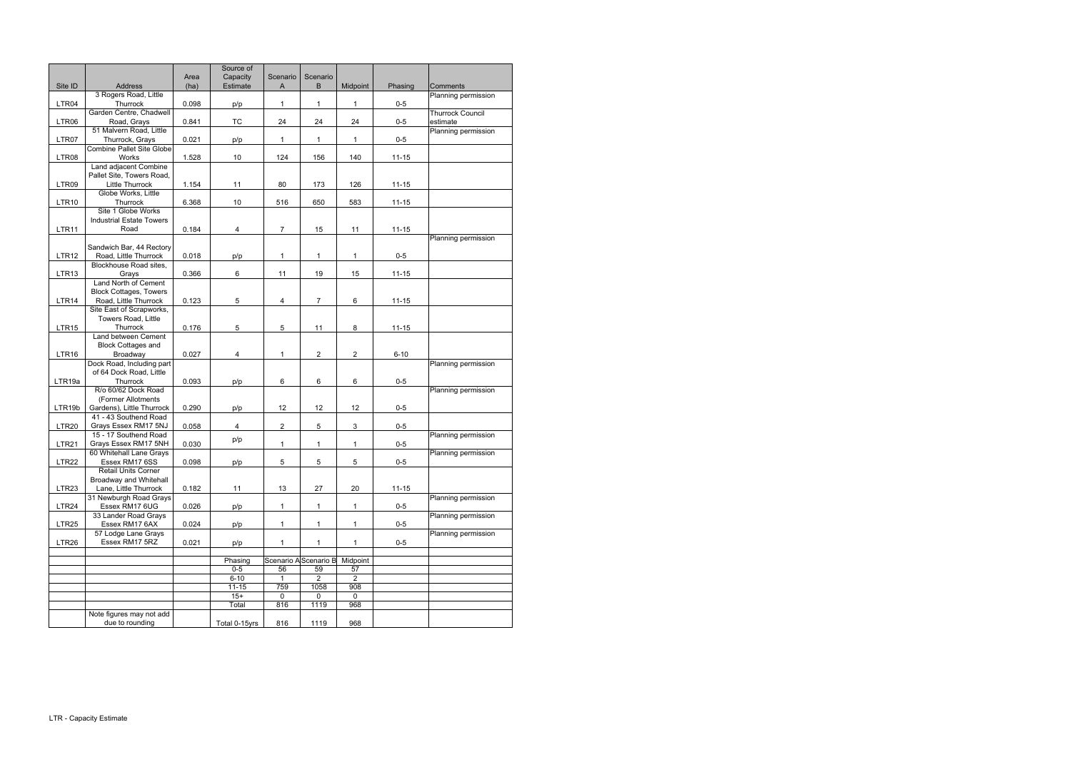|                    |                                                       | Area  | Source of<br>Capacity | Scenario       | Scenario                    |                |           |                                     |
|--------------------|-------------------------------------------------------|-------|-----------------------|----------------|-----------------------------|----------------|-----------|-------------------------------------|
| Site ID            | Address                                               | (ha)  | Estimate              | A              | B                           | Midpoint       | Phasing   | Comments                            |
| LTR04              | 3 Rogers Road, Little<br>Thurrock                     | 0.098 | p/p                   | $\mathbf{1}$   | 1                           | 1              | $0 - 5$   | Planning permission                 |
| LTR06              | Garden Centre, Chadwell<br>Road, Grays                | 0.841 | TC                    | 24             | 24                          | 24             | $0 - 5$   | <b>Thurrock Council</b><br>estimate |
|                    | 51 Malvern Road, Little                               |       |                       |                |                             |                |           | Planning permission                 |
| LTR07              | Thurrock, Grays<br><b>Combine Pallet Site Globe</b>   | 0.021 | p/p                   | 1              | $\mathbf{1}$                | $\mathbf{1}$   | $0 - 5$   |                                     |
| LTR08              | Works<br>Land adjacent Combine                        | 1.528 | 10                    | 124            | 156                         | 140            | $11 - 15$ |                                     |
|                    | Pallet Site, Towers Road,                             |       |                       |                |                             |                |           |                                     |
| LTR09              | <b>Little Thurrock</b>                                | 1.154 | 11                    | 80             | 173                         | 126            | $11 - 15$ |                                     |
| LTR <sub>10</sub>  | Globe Works, Little<br>Thurrock                       | 6.368 | 10                    | 516            | 650                         | 583            | $11 - 15$ |                                     |
|                    | Site 1 Globe Works<br><b>Industrial Estate Towers</b> |       |                       |                |                             |                |           |                                     |
| LTR11              | Road                                                  | 0.184 | 4                     | $\overline{7}$ | 15                          | 11             | $11 - 15$ |                                     |
|                    |                                                       |       |                       |                |                             |                |           | Planning permission                 |
| LTR <sub>12</sub>  | Sandwich Bar, 44 Rectory<br>Road, Little Thurrock     | 0.018 | p/p                   | 1              | $\mathbf{1}$                | 1              | $0-5$     |                                     |
|                    | Blockhouse Road sites,                                |       |                       |                |                             |                |           |                                     |
| LTR13              | Grays<br>Land North of Cement                         | 0.366 | 6                     | 11             | 19                          | 15             | $11 - 15$ |                                     |
|                    | <b>Block Cottages, Towers</b>                         |       |                       |                |                             |                |           |                                     |
| LTR <sub>14</sub>  | Road, Little Thurrock                                 | 0.123 | 5                     | 4              | $\overline{7}$              | 6              | $11 - 15$ |                                     |
|                    | Site East of Scrapworks,<br>Towers Road, Little       |       |                       |                |                             |                |           |                                     |
| LTR <sub>15</sub>  | Thurrock                                              | 0.176 | 5                     | 5              | 11                          | 8              | $11 - 15$ |                                     |
|                    | Land between Cement                                   |       |                       |                |                             |                |           |                                     |
| LTR <sub>16</sub>  | <b>Block Cottages and</b><br>Broadway                 | 0.027 | 4                     | $\mathbf{1}$   | $\overline{c}$              | $\overline{c}$ | $6 - 10$  |                                     |
|                    | Dock Road, Including part                             |       |                       |                |                             |                |           | Planning permission                 |
|                    | of 64 Dock Road, Little                               |       |                       |                |                             |                |           |                                     |
| LTR <sub>19a</sub> | Thurrock<br>R/o 60/62 Dock Road                       | 0.093 | p/p                   | 6              | 6                           | 6              | $0 - 5$   | Planning permission                 |
|                    | (Former Allotments                                    |       |                       |                |                             |                |           |                                     |
| LTR19b             | Gardens), Little Thurrock<br>41 - 43 Southend Road    | 0.290 | p/p                   | 12             | 12                          | 12             | $0-5$     |                                     |
| LTR <sub>20</sub>  | Grays Essex RM17 5NJ                                  | 0.058 | 4                     | 2              | 5                           | 3              | $0 - 5$   |                                     |
|                    | 15 - 17 Southend Road                                 |       | p/p                   |                |                             |                |           | Planning permission                 |
| LTR <sub>21</sub>  | Grays Essex RM17 5NH<br>60 Whitehall Lane Grays       | 0.030 |                       | 1              | 1                           | 1              | $0-5$     | Planning permission                 |
| LTR <sub>22</sub>  | Essex RM17 6SS                                        | 0.098 | p/p                   | 5              | 5                           | 5              | $0-5$     |                                     |
|                    | Retail Units Corner<br>Broadway and Whitehall         |       |                       |                |                             |                |           |                                     |
| LTR <sub>23</sub>  | Lane, Little Thurrock                                 | 0.182 | 11                    | 13             | 27                          | 20             | $11 - 15$ |                                     |
|                    | 31 Newburgh Road Grays                                |       |                       |                |                             |                |           | Planning permission                 |
| LTR <sub>24</sub>  | Essex RM17 6UG<br>33 Lander Road Grays                | 0.026 | p/p                   | $\mathbf{1}$   | $\mathbf{1}$                | $\mathbf{1}$   | $0-5$     | Planning permission                 |
| LTR <sub>25</sub>  | Essex RM17 6AX                                        | 0.024 | p/p                   | $\mathbf{1}$   | 1                           | 1              | $0-5$     |                                     |
| LTR <sub>26</sub>  | 57 Lodge Lane Grays<br>Essex RM17 5RZ                 | 0.021 | p/p                   | $\mathbf{1}$   | $\mathbf{1}$                | $\mathbf{1}$   | $0-5$     | Planning permission                 |
|                    |                                                       |       | Phasing               |                |                             | Midpoint       |           |                                     |
|                    |                                                       |       | $0-5$                 | 56             | Scenario A Scenario B<br>59 | 57             |           |                                     |
|                    |                                                       |       | $6 - 10$              | 1              | $\overline{2}$              | $\overline{2}$ |           |                                     |
|                    |                                                       |       | $11 - 15$<br>$15+$    | 759<br>0       | 1058<br>0                   | 908<br>0       |           |                                     |
|                    |                                                       |       | Total                 | 816            | 1119                        | 968            |           |                                     |
|                    | Note figures may not add                              |       |                       |                |                             |                |           |                                     |
|                    | due to rounding                                       |       | Total 0-15yrs         | 816            | 1119                        | 968            |           |                                     |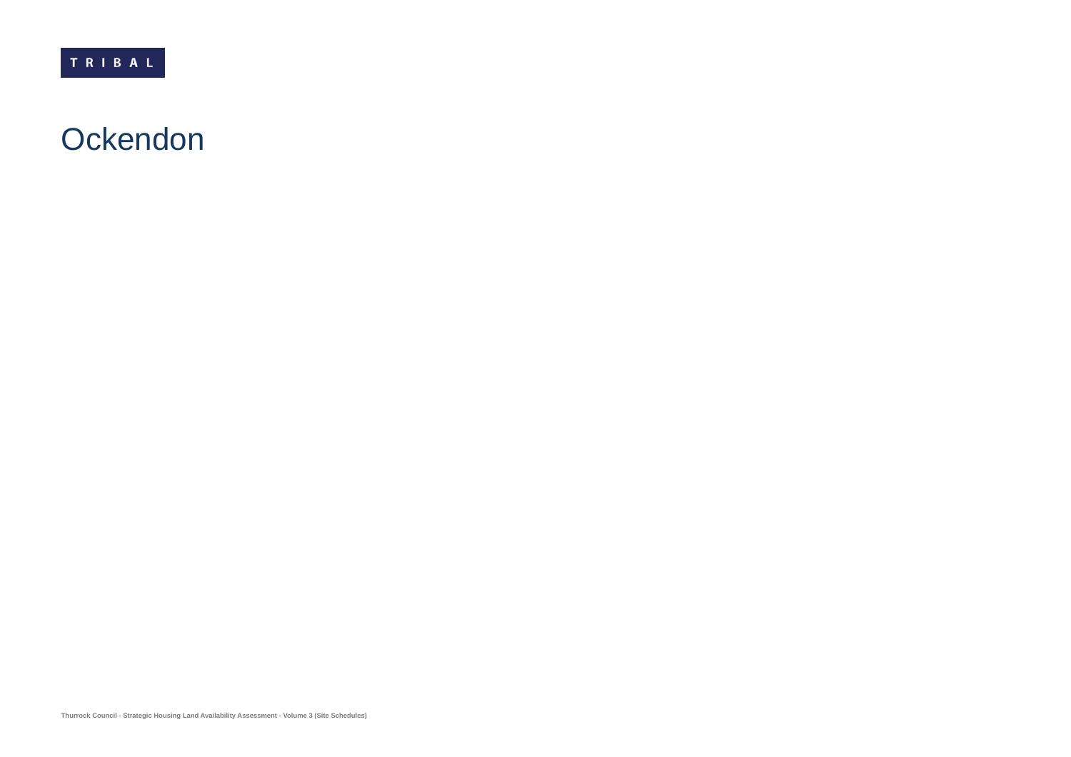### **Ockendon**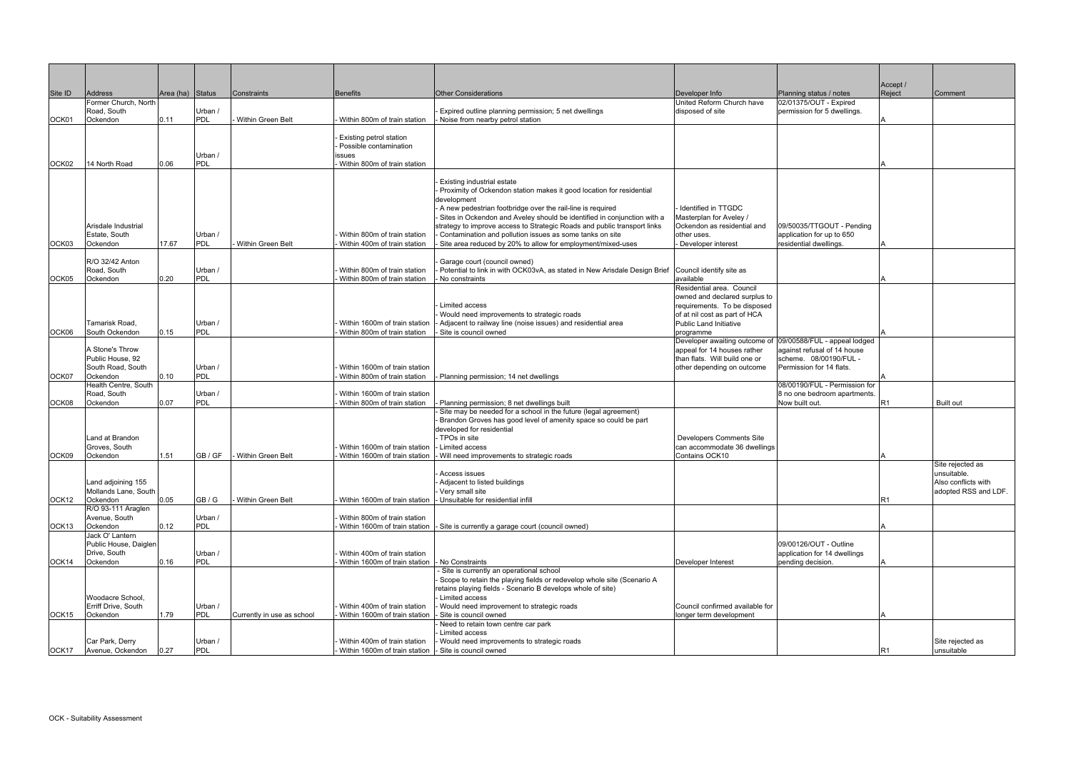| Site ID           | Address               | Area (ha) Status |            | Constraints                | <b>Benefits</b>               | <b>Other Considerations</b>                                                   | Developer Info                                               | Planning status / notes                               | Accept /<br>Reject | Comment                         |
|-------------------|-----------------------|------------------|------------|----------------------------|-------------------------------|-------------------------------------------------------------------------------|--------------------------------------------------------------|-------------------------------------------------------|--------------------|---------------------------------|
|                   | Former Church, North  |                  |            |                            |                               |                                                                               | United Reform Church have                                    | 02/01375/OUT - Expired                                |                    |                                 |
|                   | Road, South           |                  | Urban /    |                            |                               | Expired outline planning permission; 5 net dwellings                          | disposed of site                                             | permission for 5 dwellings.                           |                    |                                 |
| OCK01             | Ockendon              | 0.11             | <b>PDL</b> | Within Green Belt          | Within 800m of train station  | Noise from nearby petrol station                                              |                                                              |                                                       |                    |                                 |
|                   |                       |                  |            |                            |                               |                                                                               |                                                              |                                                       |                    |                                 |
|                   |                       |                  |            |                            | Existing petrol station       |                                                                               |                                                              |                                                       |                    |                                 |
|                   |                       |                  |            |                            | Possible contamination        |                                                                               |                                                              |                                                       |                    |                                 |
|                   |                       |                  | Urban /    |                            | issues                        |                                                                               |                                                              |                                                       |                    |                                 |
| OCK <sub>02</sub> | 14 North Road         | 0.06             | <b>PDL</b> |                            | Within 800m of train station  |                                                                               |                                                              |                                                       |                    |                                 |
|                   |                       |                  |            |                            |                               |                                                                               |                                                              |                                                       |                    |                                 |
|                   |                       |                  |            |                            |                               | Existing industrial estate                                                    |                                                              |                                                       |                    |                                 |
|                   |                       |                  |            |                            |                               | Proximity of Ockendon station makes it good location for residential          |                                                              |                                                       |                    |                                 |
|                   |                       |                  |            |                            |                               | development<br>A new pedestrian footbridge over the rail-line is required     | Identified in TTGDC                                          |                                                       |                    |                                 |
|                   |                       |                  |            |                            |                               | Sites in Ockendon and Aveley should be identified in conjunction with a       | Masterplan for Aveley /                                      |                                                       |                    |                                 |
|                   | Arisdale Industrial   |                  |            |                            |                               | strategy to improve access to Strategic Roads and public transport links      | Ockendon as residential and                                  | 09/50035/TTGOUT - Pending                             |                    |                                 |
|                   | Estate, South         |                  | Urban /    |                            | Within 800m of train station  | Contamination and pollution issues as some tanks on site                      | other uses.                                                  | application for up to 650                             |                    |                                 |
| OCK03             | Ockendon              | 17.67            | <b>PDL</b> | Within Green Belt          | Within 400m of train station  | Site area reduced by 20% to allow for employment/mixed-uses                   | - Developer interest                                         | residential dwellings.                                |                    |                                 |
|                   |                       |                  |            |                            |                               |                                                                               |                                                              |                                                       |                    |                                 |
|                   | R/O 32/42 Anton       |                  |            |                            |                               | Garage court (council owned)                                                  |                                                              |                                                       |                    |                                 |
|                   | Road, South           |                  | Urban /    |                            | Within 800m of train station  | Potential to link in with OCK03vA, as stated in New Arisdale Design Brief     | Council identify site as                                     |                                                       |                    |                                 |
| OCK05             | Ockendon              | 0.20             | <b>PDL</b> |                            | Within 800m of train station  | No constraints                                                                | available                                                    |                                                       |                    |                                 |
|                   |                       |                  |            |                            |                               |                                                                               | Residential area. Council                                    |                                                       |                    |                                 |
|                   |                       |                  |            |                            |                               |                                                                               | owned and declared surplus to                                |                                                       |                    |                                 |
|                   |                       |                  |            |                            |                               | Limited access                                                                | requirements. To be disposed                                 |                                                       |                    |                                 |
|                   |                       |                  |            |                            |                               | Would need improvements to strategic roads                                    | of at nil cost as part of HCA                                |                                                       |                    |                                 |
|                   | Tamarisk Road,        |                  | Urban /    |                            | Within 1600m of train station | Adjacent to railway line (noise issues) and residential area                  | <b>Public Land Initiative</b>                                |                                                       |                    |                                 |
| OCK06             | South Ockendon        | 0.15             | <b>PDL</b> |                            | Within 800m of train station  | Site is council owned                                                         | programme                                                    |                                                       |                    |                                 |
|                   | A Stone's Throw       |                  |            |                            |                               |                                                                               | Developer awaiting outcome of                                | 09/00588/FUL - appeal lodged                          |                    |                                 |
|                   | Public House, 92      |                  |            |                            |                               |                                                                               | appeal for 14 houses rather<br>than flats. Will build one or | against refusal of 14 house<br>scheme. 08/00190/FUL - |                    |                                 |
|                   | South Road, South     |                  | Urban /    |                            | Within 1600m of train station |                                                                               | other depending on outcome                                   | Permission for 14 flats.                              |                    |                                 |
| OCK07             | Ockendon              | 0.10             | <b>PDL</b> |                            | Within 800m of train station  | Planning permission; 14 net dwellings                                         |                                                              |                                                       |                    |                                 |
|                   | Health Centre, South  |                  |            |                            |                               |                                                                               |                                                              | 08/00190/FUL - Permission for                         |                    |                                 |
|                   | Road, South           |                  | Urban /    |                            | Within 1600m of train station |                                                                               |                                                              | 8 no one bedroom apartments.                          |                    |                                 |
| OCK08             | Ockendon              | 0.07             | <b>PDL</b> |                            | Within 800m of train station  | Planning permission; 8 net dwellings built                                    |                                                              | Now built out.                                        | IR1                | <b>Built out</b>                |
|                   |                       |                  |            |                            |                               | Site may be needed for a school in the future (legal agreement)               |                                                              |                                                       |                    |                                 |
|                   |                       |                  |            |                            |                               | Brandon Groves has good level of amenity space so could be part               |                                                              |                                                       |                    |                                 |
|                   |                       |                  |            |                            |                               | developed for residential                                                     |                                                              |                                                       |                    |                                 |
|                   | Land at Brandon       |                  |            |                            |                               | TPOs in site                                                                  | Developers Comments Site                                     |                                                       |                    |                                 |
|                   | Groves, South         |                  |            |                            | Within 1600m of train station | Limited access                                                                | can accommodate 36 dwellings                                 |                                                       |                    |                                 |
| OCK09             | Ockendon              | 1.51             | GB / GF    | - Within Green Belt        | Within 1600m of train station | Will need improvements to strategic roads                                     | Contains OCK10                                               |                                                       |                    |                                 |
|                   |                       |                  |            |                            |                               |                                                                               |                                                              |                                                       |                    | Site rejected as<br>unsuitable. |
|                   | Land adjoining 155    |                  |            |                            |                               | Access issues<br>Adjacent to listed buildings                                 |                                                              |                                                       |                    | Also conflicts with             |
|                   | Mollands Lane, South  |                  |            |                            |                               | Very small site                                                               |                                                              |                                                       |                    | adopted RSS and LDF.            |
| OCK <sub>12</sub> | Ockendon              | 0.05             | GB / G     | Within Green Belt          | Within 1600m of train station | Unsuitable for residential infill                                             |                                                              |                                                       | IR1                |                                 |
|                   | R/O 93-111 Araglen    |                  |            |                            |                               |                                                                               |                                                              |                                                       |                    |                                 |
|                   | Avenue, South         |                  | Urban /    |                            | Within 800m of train station  |                                                                               |                                                              |                                                       |                    |                                 |
| OCK <sub>13</sub> | Ockendon              | 0.12             | <b>PDL</b> |                            | Within 1600m of train station | Site is currently a garage court (council owned)                              |                                                              |                                                       |                    |                                 |
|                   | Jack O' Lantern       |                  |            |                            |                               |                                                                               |                                                              |                                                       |                    |                                 |
|                   | Public House, Daiglen |                  |            |                            |                               |                                                                               |                                                              | 09/00126/OUT - Outline                                |                    |                                 |
|                   | Drive, South          |                  | Urban /    |                            | Within 400m of train station  |                                                                               |                                                              | application for 14 dwellings                          |                    |                                 |
| OCK14             | Ockendon              | 0.16             | <b>PDL</b> |                            | Within 1600m of train station | - No Constraints                                                              | Developer Interest                                           | pending decision.                                     |                    |                                 |
|                   |                       |                  |            |                            |                               | - Site is currently an operational school                                     |                                                              |                                                       |                    |                                 |
|                   |                       |                  |            |                            |                               | Scope to retain the playing fields or redevelop whole site (Scenario A        |                                                              |                                                       |                    |                                 |
|                   | Woodacre School,      |                  |            |                            |                               | retains playing fields - Scenario B develops whole of site)<br>Limited access |                                                              |                                                       |                    |                                 |
|                   | Erriff Drive, South   |                  | Urban /    |                            | Within 400m of train station  | Would need improvement to strategic roads                                     | Council confirmed available for                              |                                                       |                    |                                 |
| OCK <sub>15</sub> | Ockendon              | 1.79             | <b>PDL</b> | Currently in use as school | Within 1600m of train station | Site is council owned                                                         | longer term development                                      |                                                       |                    |                                 |
|                   |                       |                  |            |                            |                               | Need to retain town centre car park                                           |                                                              |                                                       |                    |                                 |
|                   |                       |                  |            |                            |                               | Limited access                                                                |                                                              |                                                       |                    |                                 |
|                   | Car Park, Derry       |                  | Urban /    |                            | Within 400m of train station  | Would need improvements to strategic roads                                    |                                                              |                                                       |                    | Site rejected as                |
| OCK <sub>17</sub> | Avenue, Ockendon      | 0.27             | <b>PDL</b> |                            | Within 1600m of train station | Site is council owned                                                         |                                                              |                                                       | R1                 | unsuitable                      |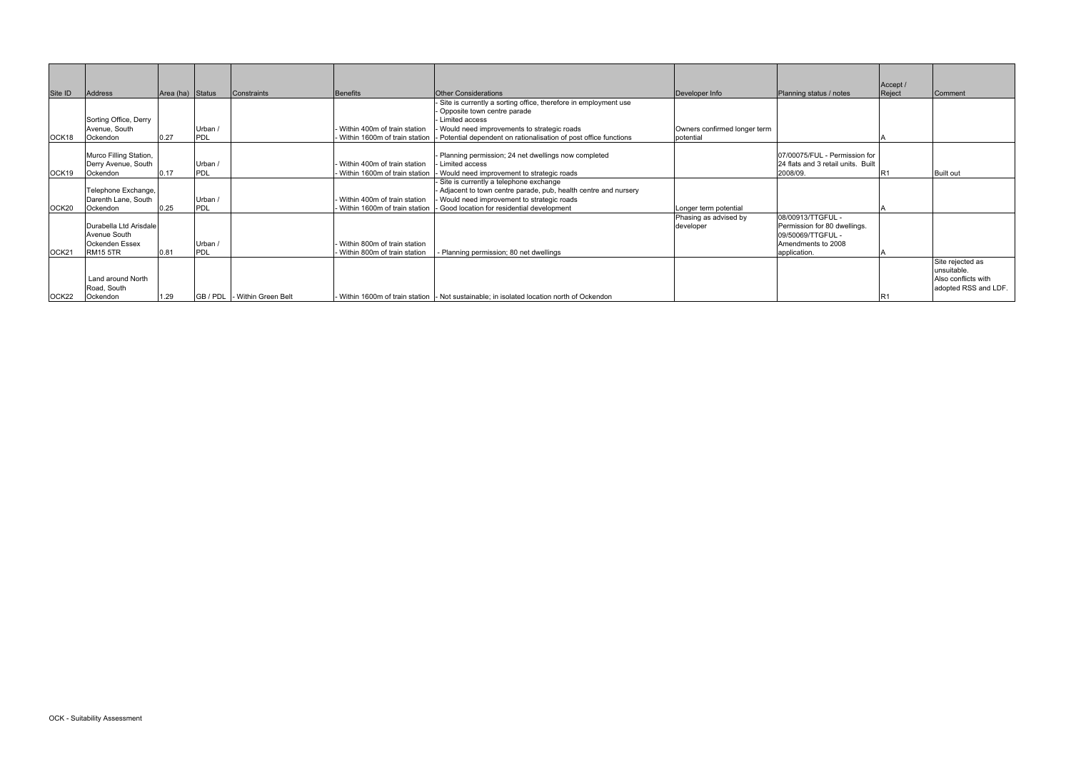|                   |                        |                  |            |                                     |                               |                                                                                          |                              |                                    | Accept /        |                      |
|-------------------|------------------------|------------------|------------|-------------------------------------|-------------------------------|------------------------------------------------------------------------------------------|------------------------------|------------------------------------|-----------------|----------------------|
| Site ID           | Address                | Area (ha) Status |            | Constraints                         | Benefits                      | <b>Other Considerations</b>                                                              | Developer Info               | Planning status / notes            | Reject          | Comment              |
|                   |                        |                  |            |                                     |                               | Site is currently a sorting office, therefore in employment use                          |                              |                                    |                 |                      |
|                   |                        |                  |            |                                     |                               | Opposite town centre parade                                                              |                              |                                    |                 |                      |
|                   | Sorting Office, Derry  |                  |            |                                     |                               | Limited access                                                                           |                              |                                    |                 |                      |
|                   | Avenue, South          |                  | Urban /    |                                     | Within 400m of train station  | Would need improvements to strategic roads                                               | Owners confirmed longer term |                                    |                 |                      |
| OCK18             | Ockendon               | 0.27             | <b>PDL</b> |                                     | Within 1600m of train station | Potential dependent on rationalisation of post office functions                          | potential                    |                                    |                 |                      |
|                   |                        |                  |            |                                     |                               |                                                                                          |                              |                                    |                 |                      |
|                   | Murco Filling Station, |                  |            |                                     |                               | Planning permission; 24 net dwellings now completed                                      |                              | 07/00075/FUL - Permission for      |                 |                      |
|                   | Derry Avenue, South    |                  | Urban /    |                                     | Within 400m of train station  | - Limited access                                                                         |                              | 24 flats and 3 retail units. Built |                 |                      |
| OCK19             | Ockendon               | 0.17             | <b>PDL</b> |                                     | Within 1600m of train station | Would need improvement to strategic roads                                                |                              | 2008/09.                           | IR1             | <b>Built out</b>     |
|                   |                        |                  |            |                                     |                               | Site is currently a telephone exchange                                                   |                              |                                    |                 |                      |
|                   | Telephone Exchange,    |                  |            |                                     |                               | Adjacent to town centre parade, pub, health centre and nursery                           |                              |                                    |                 |                      |
|                   | Darenth Lane, South    |                  | Urban /    |                                     | Within 400m of train station  | Would need improvement to strategic roads                                                |                              |                                    |                 |                      |
| OCK20             | Ockendon               | 0.25             | <b>PDL</b> |                                     | Within 1600m of train station | Good location for residential development                                                | Longer term potential        |                                    |                 |                      |
|                   |                        |                  |            |                                     |                               |                                                                                          | Phasing as advised by        | 08/00913/TTGFUL -                  |                 |                      |
|                   | Durabella Ltd Arisdale |                  |            |                                     |                               |                                                                                          | developer                    | Permission for 80 dwellings.       |                 |                      |
|                   | Avenue South           |                  |            |                                     |                               |                                                                                          |                              | 09/50069/TTGFUL -                  |                 |                      |
|                   | Ockenden Essex         |                  | Urban /    |                                     | Within 800m of train station  |                                                                                          |                              | Amendments to 2008                 |                 |                      |
| OCK <sub>21</sub> | <b>RM15 5TR</b>        | 0.81             | PDL        |                                     | Within 800m of train station  | - Planning permission; 80 net dwellings                                                  |                              | application.                       |                 |                      |
|                   |                        |                  |            |                                     |                               |                                                                                          |                              |                                    |                 | Site rejected as     |
|                   |                        |                  |            |                                     |                               |                                                                                          |                              |                                    |                 | unsuitable.          |
|                   | Land around North      |                  |            |                                     |                               |                                                                                          |                              |                                    |                 | Also conflicts with  |
|                   | Road, South            |                  |            |                                     |                               |                                                                                          |                              |                                    |                 | adopted RSS and LDF. |
| OCK22             | Ockendon               | 1.29             |            | <b>GB / PDL</b> - Within Green Belt |                               | Within 1600m of train station  - Not sustainable; in isolated location north of Ockendon |                              |                                    | IR <sub>1</sub> |                      |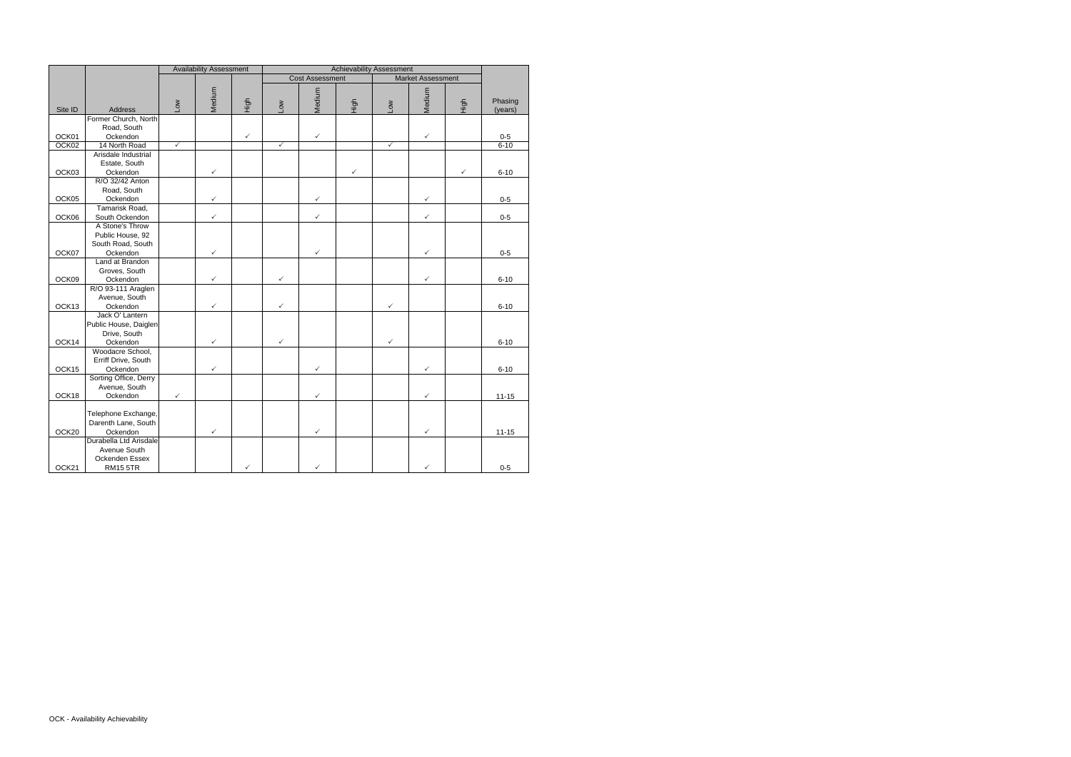|                   |                        |              | <b>Availability Assessment</b> |              |              |                        |              | <b>Achievability Assessment</b> |                          |      |           |
|-------------------|------------------------|--------------|--------------------------------|--------------|--------------|------------------------|--------------|---------------------------------|--------------------------|------|-----------|
|                   |                        |              |                                |              |              | <b>Cost Assessment</b> |              |                                 | <b>Market Assessment</b> |      |           |
|                   | Address                | <b>NOT</b>   | Medium                         | High         | <b>WOT</b>   | Medium                 | High         | <b>NOT</b>                      | Medium                   | High | Phasing   |
| Site ID           | Former Church, North   |              |                                |              |              |                        |              |                                 |                          |      | (years)   |
|                   | Road, South            |              |                                |              |              |                        |              |                                 |                          |      |           |
| OCK01             | Ockendon               |              |                                | $\checkmark$ |              | $\checkmark$           |              |                                 | $\checkmark$             |      | $0-5$     |
| OCK <sub>02</sub> | 14 North Road          | $\checkmark$ |                                |              | ✓            |                        |              | $\checkmark$                    |                          |      | $6 - 10$  |
|                   | Arisdale Industrial    |              |                                |              |              |                        |              |                                 |                          |      |           |
|                   | Estate, South          |              |                                |              |              |                        |              |                                 |                          |      |           |
| OCK03             | Ockendon               |              | $\checkmark$                   |              |              |                        | $\checkmark$ |                                 |                          | ✓    | $6 - 10$  |
|                   | R/O 32/42 Anton        |              |                                |              |              |                        |              |                                 |                          |      |           |
|                   | Road, South            |              |                                |              |              |                        |              |                                 |                          |      |           |
| OCK05             | Ockendon               |              | $\checkmark$                   |              |              | $\checkmark$           |              |                                 | $\checkmark$             |      | $0-5$     |
|                   | Tamarisk Road,         |              |                                |              |              |                        |              |                                 |                          |      |           |
| OCK06             | South Ockendon         |              | $\checkmark$                   |              |              | $\checkmark$           |              |                                 | $\checkmark$             |      | $0 - 5$   |
|                   | A Stone's Throw        |              |                                |              |              |                        |              |                                 |                          |      |           |
|                   | Public House, 92       |              |                                |              |              |                        |              |                                 |                          |      |           |
|                   | South Road, South      |              |                                |              |              |                        |              |                                 |                          |      |           |
| OCK07             | Ockendon               |              | $\checkmark$                   |              |              | $\checkmark$           |              |                                 | $\checkmark$             |      | $0 - 5$   |
|                   | Land at Brandon        |              |                                |              |              |                        |              |                                 |                          |      |           |
|                   | Groves, South          |              |                                |              |              |                        |              |                                 |                          |      |           |
| OCK09             | Ockendon               |              | $\checkmark$                   |              | $\checkmark$ |                        |              |                                 | $\checkmark$             |      | $6 - 10$  |
|                   | R/O 93-111 Araglen     |              |                                |              |              |                        |              |                                 |                          |      |           |
|                   | Avenue, South          |              |                                |              |              |                        |              |                                 |                          |      |           |
| OCK13             | Ockendon               |              | $\checkmark$                   |              | $\checkmark$ |                        |              | $\checkmark$                    |                          |      | $6 - 10$  |
|                   | Jack O' Lantern        |              |                                |              |              |                        |              |                                 |                          |      |           |
|                   | Public House, Daiglen  |              |                                |              |              |                        |              |                                 |                          |      |           |
|                   | Drive, South           |              |                                |              |              |                        |              |                                 |                          |      |           |
| OCK14             | Ockendon               |              | $\checkmark$                   |              | $\checkmark$ |                        |              | $\checkmark$                    |                          |      | $6 - 10$  |
|                   | Woodacre School,       |              |                                |              |              |                        |              |                                 |                          |      |           |
|                   | Erriff Drive, South    |              |                                |              |              |                        |              |                                 |                          |      |           |
| OCK15             | Ockendon               |              | ✓                              |              |              | $\checkmark$           |              |                                 | $\checkmark$             |      | $6 - 10$  |
|                   | Sorting Office, Derry  |              |                                |              |              |                        |              |                                 |                          |      |           |
|                   | Avenue, South          |              |                                |              |              |                        |              |                                 |                          |      |           |
| OCK18             | Ockendon               | $\checkmark$ |                                |              |              | $\checkmark$           |              |                                 | $\checkmark$             |      | $11 - 15$ |
|                   |                        |              |                                |              |              |                        |              |                                 |                          |      |           |
|                   | Telephone Exchange,    |              |                                |              |              |                        |              |                                 |                          |      |           |
|                   | Darenth Lane, South    |              |                                |              |              |                        |              |                                 |                          |      |           |
| OCK20             | Ockendon               |              | ✓                              |              |              | $\checkmark$           |              |                                 | $\checkmark$             |      | $11 - 15$ |
|                   | Durabella Ltd Arisdale |              |                                |              |              |                        |              |                                 |                          |      |           |
|                   | Avenue South           |              |                                |              |              |                        |              |                                 |                          |      |           |
|                   | Ockenden Essex         |              |                                |              |              |                        |              |                                 |                          |      |           |
| OCK21             | <b>RM15 5TR</b>        |              |                                | $\checkmark$ |              | ✓                      |              |                                 | $\checkmark$             |      | $0 - 5$   |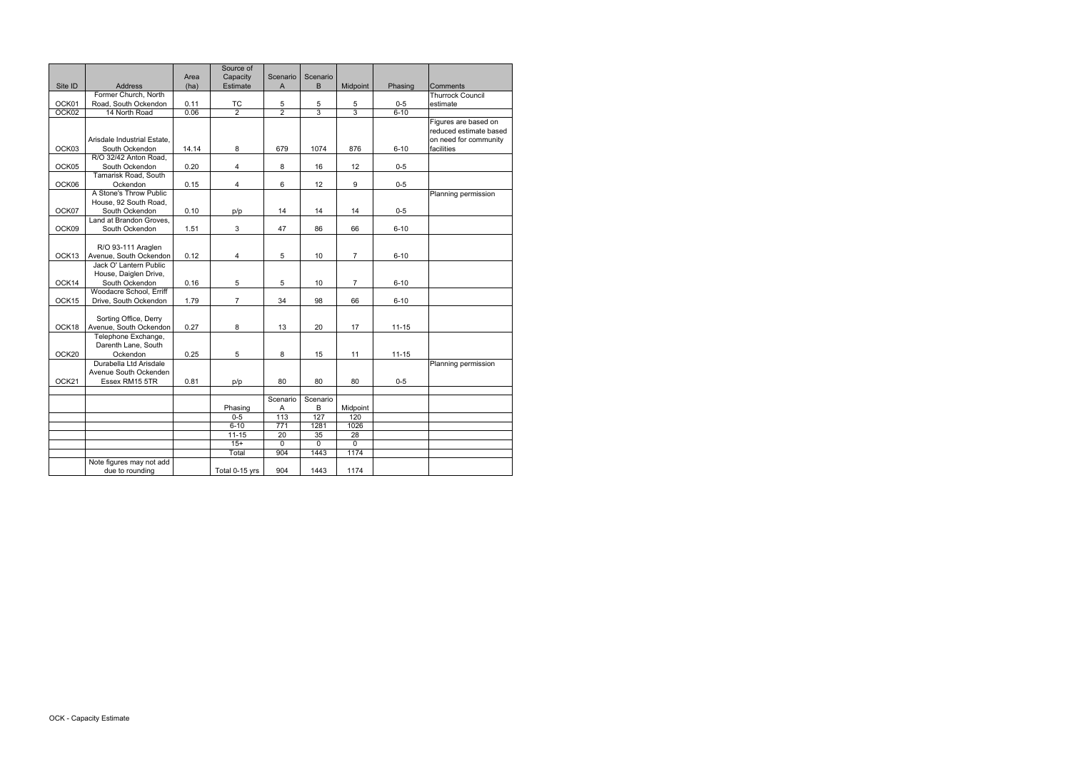|                   |                                              |       | Source of      |                     |                |                 |           |                                     |
|-------------------|----------------------------------------------|-------|----------------|---------------------|----------------|-----------------|-----------|-------------------------------------|
|                   |                                              | Area  | Capacity       | Scenario            | Scenario       |                 |           |                                     |
| Site ID           | <b>Address</b>                               | (ha)  | Estimate       | A                   | B              | Midpoint        | Phasing   | Comments                            |
| OCK01             | Former Church, North<br>Road, South Ockendon | 0.11  | ТC             |                     | 5              | 5               | $0-5$     | <b>Thurrock Council</b><br>estimate |
| OCK <sub>02</sub> | 14 North Road                                | 0.06  | $\overline{2}$ | 5<br>$\overline{2}$ | 3              | 3               | $6 - 10$  |                                     |
|                   |                                              |       |                |                     |                |                 |           | Figures are based on                |
|                   |                                              |       |                |                     |                |                 |           | reduced estimate based              |
|                   | Arisdale Industrial Estate,                  |       |                |                     |                |                 |           | on need for community               |
| OCK03             | South Ockendon                               | 14.14 | 8              | 679                 | 1074           | 876             | $6 - 10$  | facilities                          |
|                   | R/O 32/42 Anton Road,                        |       |                |                     |                |                 |           |                                     |
| OCK05             | South Ockendon                               | 0.20  | 4              | 8                   | 16             | 12              | $0-5$     |                                     |
|                   | Tamarisk Road, South                         |       |                |                     |                |                 |           |                                     |
| OCK06             | Ockendon                                     | 0.15  | 4              | 6                   | 12             | 9               | $0-5$     |                                     |
|                   | A Stone's Throw Public                       |       |                |                     |                |                 |           | Planning permission                 |
|                   | House, 92 South Road,                        |       |                |                     |                |                 |           |                                     |
| OCK07             | South Ockendon                               | 0.10  | p/p            | 14                  | 14             | 14              | $0 - 5$   |                                     |
|                   | Land at Brandon Groves,                      |       |                |                     |                |                 |           |                                     |
| OCK09             | South Ockendon                               | 1.51  | 3              | 47                  | 86             | 66              | $6 - 10$  |                                     |
|                   |                                              |       |                |                     |                |                 |           |                                     |
| OCK13             | R/O 93-111 Araglen<br>Avenue, South Ockendon | 0.12  | 4              | 5                   | 10             | $\overline{7}$  | $6 - 10$  |                                     |
|                   | Jack O' Lantern Public                       |       |                |                     |                |                 |           |                                     |
|                   | House, Daiglen Drive,                        |       |                |                     |                |                 |           |                                     |
| OCK14             | South Ockendon                               | 0.16  | 5              | 5                   | 10             | $\overline{7}$  | $6 - 10$  |                                     |
|                   | Woodacre School, Erriff                      |       |                |                     |                |                 |           |                                     |
| OCK15             | Drive, South Ockendon                        | 1.79  | $\overline{7}$ | 34                  | 98             | 66              | $6 - 10$  |                                     |
|                   |                                              |       |                |                     |                |                 |           |                                     |
|                   | Sorting Office, Derry                        |       |                |                     |                |                 |           |                                     |
| OCK18             | Avenue, South Ockendon                       | 0.27  | 8              | 13                  | 20             | 17              | $11 - 15$ |                                     |
|                   | Telephone Exchange,                          |       |                |                     |                |                 |           |                                     |
|                   | Darenth Lane, South                          |       |                |                     |                |                 |           |                                     |
| OCK20             | Ockendon                                     | 0.25  | 5              | 8                   | 15             | 11              | $11 - 15$ |                                     |
|                   | Durabella Ltd Arisdale                       |       |                |                     |                |                 |           | Planning permission                 |
|                   | Avenue South Ockenden                        |       |                |                     |                |                 |           |                                     |
| OCK21             | Essex RM15 5TR                               | 0.81  | p/p            | 80                  | 80             | 80              | $0-5$     |                                     |
|                   |                                              |       |                | Scenario            | Scenario       |                 |           |                                     |
|                   |                                              |       | Phasing        | Α                   | B              | Midpoint        |           |                                     |
|                   |                                              |       | $0 - 5$        | 113                 | 127            | 120             |           |                                     |
|                   |                                              |       | $6 - 10$       | 771                 | 1281           | 1026            |           |                                     |
|                   |                                              |       | $11 - 15$      | 20                  | 35             | $\overline{28}$ |           |                                     |
|                   |                                              |       | $15+$          | $\overline{0}$      | $\overline{0}$ | $\overline{0}$  |           |                                     |
|                   |                                              |       | Total          | 904                 | 1443           | 1174            |           |                                     |
|                   | Note figures may not add                     |       |                |                     |                |                 |           |                                     |
|                   | due to rounding                              |       | Total 0-15 yrs | 904                 | 1443           | 1174            |           |                                     |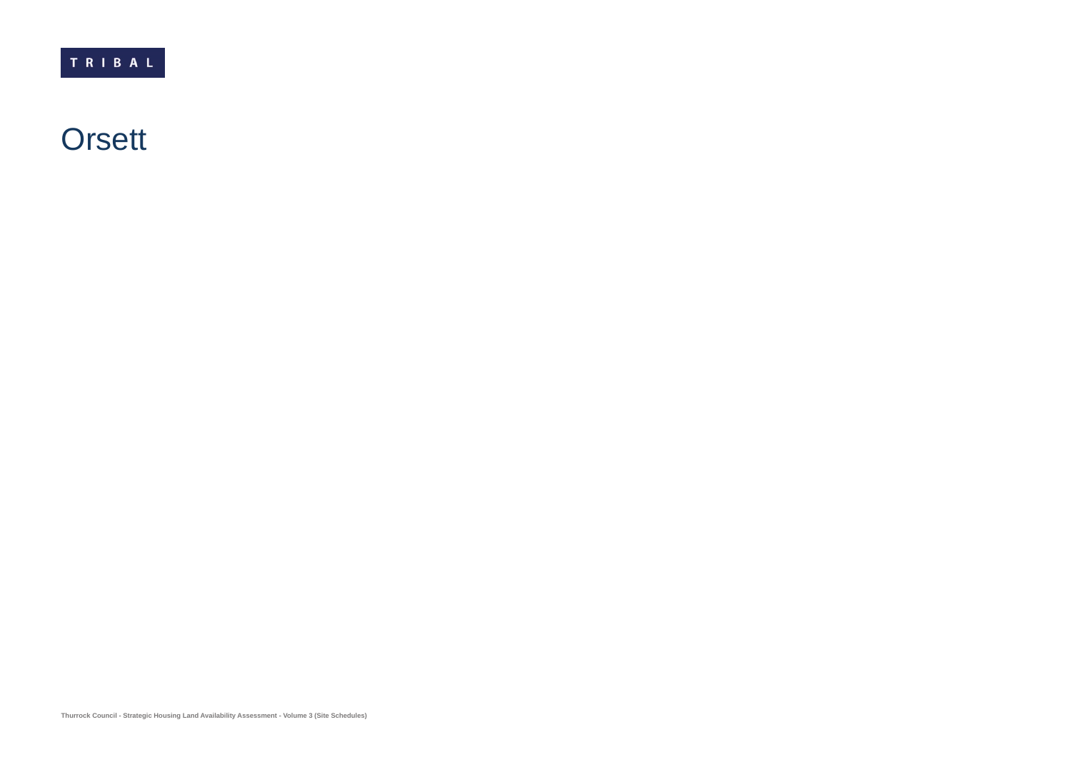TRIBAL

#### **Orsett**

**Thurrock Council - Strategic Housing Land Availability Assessment - Volume 3 (Site Schedules)**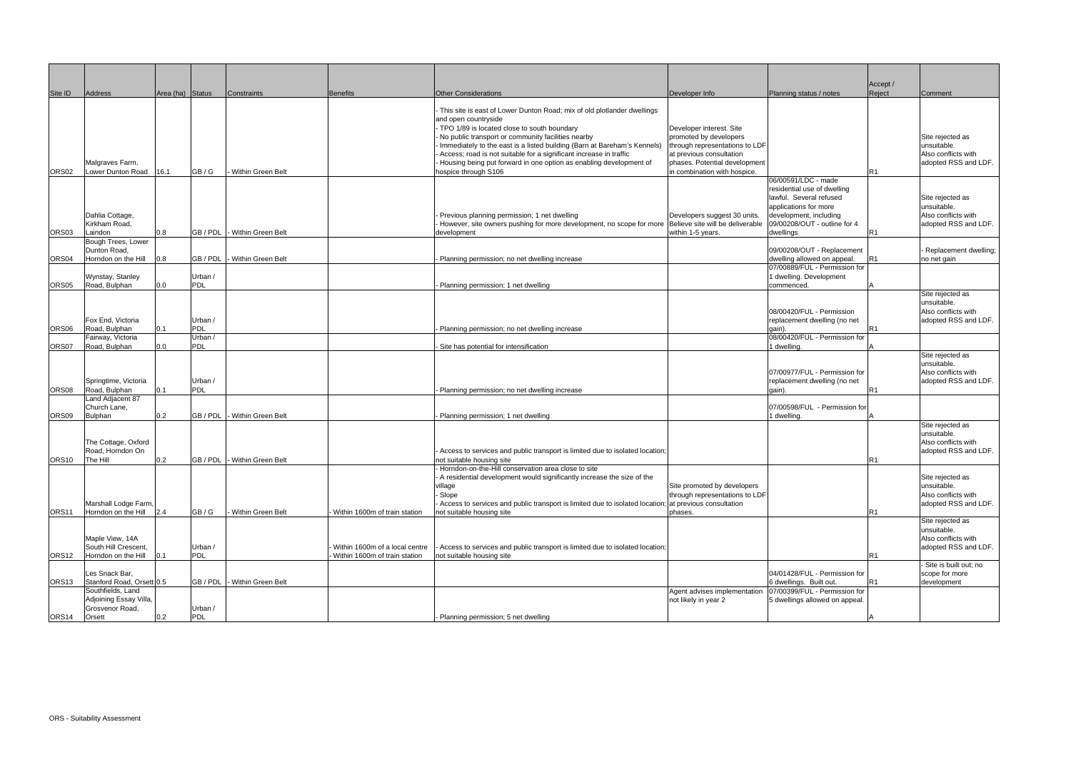|                   |                                                                  |                  |                           |                              |                                |                                                                                                                                                                                                                                                                                                                                                                                                                                                      |                                                                                                                                                                                   |                                                                                                                                                                               | Accept /       |                                                                                |
|-------------------|------------------------------------------------------------------|------------------|---------------------------|------------------------------|--------------------------------|------------------------------------------------------------------------------------------------------------------------------------------------------------------------------------------------------------------------------------------------------------------------------------------------------------------------------------------------------------------------------------------------------------------------------------------------------|-----------------------------------------------------------------------------------------------------------------------------------------------------------------------------------|-------------------------------------------------------------------------------------------------------------------------------------------------------------------------------|----------------|--------------------------------------------------------------------------------|
| Site ID           | Address                                                          | Area (ha) Status |                           | Constraints                  | <b>Benefits</b>                | <b>Other Considerations</b>                                                                                                                                                                                                                                                                                                                                                                                                                          | Developer Info                                                                                                                                                                    | Planning status / notes                                                                                                                                                       | Reject         | Comment                                                                        |
| ORS <sub>02</sub> | Malgraves Farm,<br>Lower Dunton Road                             | 16.1             | GB/G                      | - Within Green Belt          |                                | This site is east of Lower Dunton Road; mix of old plotlander dwellings<br>and open countryside<br>TPO 1/89 is located close to south boundary<br>No public transport or community facilities nearby<br>Immediately to the east is a listed building (Barn at Bareham's Kennels)<br>Access; road is not suitable for a significant increase in traffic<br>Housing being put forward in one option as enabling development of<br>hospice through S106 | Developer interest. Site<br>promoted by developers<br>through representations to LDF<br>at previous consultation<br>phases. Potential development<br>in combination with hospice. |                                                                                                                                                                               | R1             | Site rejected as<br>unsuitable.<br>Also conflicts with<br>adopted RSS and LDF. |
| ORS03             | Dahlia Cottage,<br>Kirkham Road,<br>Laindon                      | 0.8              |                           | GB / PDL - Within Green Belt |                                | Previous planning permission; 1 net dwelling<br>However, site owners pushing for more development, no scope for more Believe site will be deliverable<br>development                                                                                                                                                                                                                                                                                 | Developers suggest 30 units.<br>within 1-5 years.                                                                                                                                 | 06/00591/LDC - made<br>residential use of dwelling<br>lawful. Several refused<br>applications for more<br>development, including<br>09/00208/OUT - outline for 4<br>dwellings | R <sub>1</sub> | Site rejected as<br>unsuitable.<br>Also conflicts with<br>adopted RSS and LDF. |
|                   | Bough Trees, Lower                                               |                  |                           |                              |                                |                                                                                                                                                                                                                                                                                                                                                                                                                                                      |                                                                                                                                                                                   |                                                                                                                                                                               |                |                                                                                |
| ORS04             | Dunton Road,<br>Horndon on the Hill                              | 0.8              | GB / PDL                  | - Within Green Belt          |                                | Planning permission; no net dwelling increase                                                                                                                                                                                                                                                                                                                                                                                                        |                                                                                                                                                                                   | 09/00208/OUT - Replacement<br>dwelling allowed on appeal.<br>07/00889/FUL - Permission for                                                                                    | R1             | - Replacement dwelling;<br>no net gain                                         |
| ORS <sub>05</sub> | Wynstay, Stanley<br>Road, Bulphan                                | 0.0              | Urban /<br>PDL            |                              |                                | Planning permission; 1 net dwelling                                                                                                                                                                                                                                                                                                                                                                                                                  |                                                                                                                                                                                   | 1 dwelling. Development<br>commenced.                                                                                                                                         |                |                                                                                |
| ORS <sub>06</sub> | Fox End. Victoria<br>Road, Bulphan<br>Fairway, Victoria          | 0.1              | Urban /<br>PDL<br>Urban / |                              |                                | Planning permission; no net dwelling increase                                                                                                                                                                                                                                                                                                                                                                                                        |                                                                                                                                                                                   | 08/00420/FUL - Permission<br>replacement dwelling (no net<br>qain).<br>08/00420/FUL - Permission for                                                                          | R1             | Site rejected as<br>unsuitable.<br>Also conflicts with<br>adopted RSS and LDF. |
| ORS07             | Road, Bulphan                                                    | 0.0              | PDL                       |                              |                                | Site has potential for intensification                                                                                                                                                                                                                                                                                                                                                                                                               |                                                                                                                                                                                   | 1 dwelling.                                                                                                                                                                   |                | Site rejected as                                                               |
| ORS08             | Springtime, Victoria<br>Road, Bulphan<br>Land Adjacent 87        | 0.1              | Urban /<br>PDL            |                              |                                | Planning permission; no net dwelling increase                                                                                                                                                                                                                                                                                                                                                                                                        |                                                                                                                                                                                   | 07/00977/FUL - Permission for<br>replacement dwelling (no net<br>qain).                                                                                                       | R1             | unsuitable.<br>Also conflicts with<br>adopted RSS and LDF.                     |
|                   | Church Lane,                                                     |                  |                           | GB / PDL - Within Green Belt |                                |                                                                                                                                                                                                                                                                                                                                                                                                                                                      |                                                                                                                                                                                   | 07/00598/FUL - Permission for                                                                                                                                                 |                |                                                                                |
| ORS09<br>ORS10    | Bulphan<br>The Cottage, Oxford<br>Road, Horndon On<br>The Hill   | 0.2<br>0.2       |                           | GB / PDL - Within Green Belt |                                | Planning permission; 1 net dwelling<br>Access to services and public transport is limited due to isolated location;<br>not suitable housing site                                                                                                                                                                                                                                                                                                     |                                                                                                                                                                                   | 1 dwelling.                                                                                                                                                                   | IR1            | Site rejected as<br>unsuitable.<br>Also conflicts with<br>adopted RSS and LDF. |
| ORS11             | Marshall Lodge Farm,<br>Horndon on the Hill                      | 2.4              | GB/G                      | Within Green Belt            | Within 1600m of train station  | Horndon-on-the-Hill conservation area close to site<br>A residential development would significantly increase the size of the<br>village<br>Slope<br>Access to services and public transport is limited due to isolated location; at previous consultation<br>not suitable housing site                                                                                                                                                              | Site promoted by developers<br>through representations to LDF<br>phases.                                                                                                          |                                                                                                                                                                               | IR1            | Site rejected as<br>unsuitable.<br>Also conflicts with<br>adopted RSS and LDF. |
|                   | Maple View, 14A<br>South Hill Crescent,                          |                  | Urban /                   |                              | Within 1600m of a local centre | - Access to services and public transport is limited due to isolated location;                                                                                                                                                                                                                                                                                                                                                                       |                                                                                                                                                                                   |                                                                                                                                                                               |                | Site rejected as<br>unsuitable.<br>Also conflicts with<br>adopted RSS and LDF. |
| ORS <sub>12</sub> | Horndon on the Hill                                              | 0.1              | PDL                       |                              | Within 1600m of train station  | not suitable housing site                                                                                                                                                                                                                                                                                                                                                                                                                            |                                                                                                                                                                                   |                                                                                                                                                                               | R1             | - Site is built out; no                                                        |
| ORS13             | Les Snack Bar,<br>Stanford Road, Orsett 0.5<br>Southfields, Land |                  |                           | GB / PDL - Within Green Belt |                                |                                                                                                                                                                                                                                                                                                                                                                                                                                                      | Agent advises implementation                                                                                                                                                      | 04/01428/FUL - Permission for<br>6 dwellings. Built out.<br>07/00399/FUL - Permission for                                                                                     | R1             | scope for more<br>development                                                  |
|                   | Adjoining Essay Villa,<br>Grosvenor Road,                        |                  | Urban /                   |                              |                                |                                                                                                                                                                                                                                                                                                                                                                                                                                                      | not likely in year 2                                                                                                                                                              | 5 dwellings allowed on appeal.                                                                                                                                                |                |                                                                                |
| ORS14             | Orsett                                                           | 0.2              | PDL                       |                              |                                | Planning permission; 5 net dwelling                                                                                                                                                                                                                                                                                                                                                                                                                  |                                                                                                                                                                                   |                                                                                                                                                                               |                |                                                                                |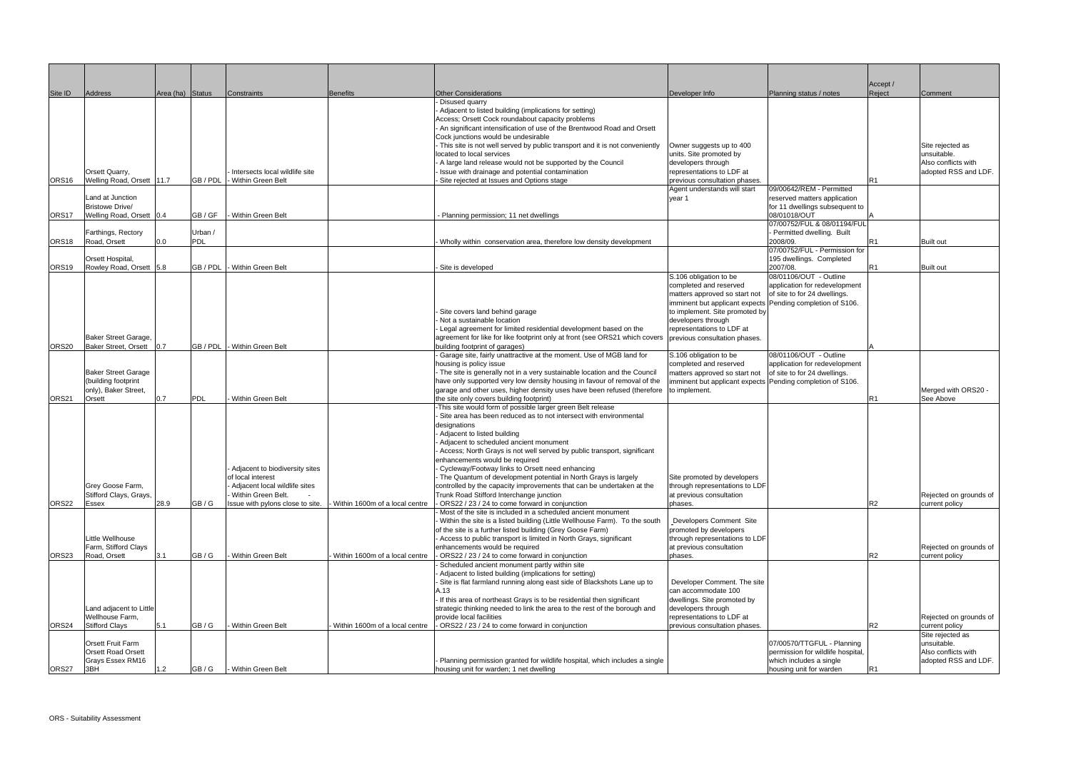| Site ID           | Address                                               | Area (ha) Status |          | Constraints                      | <b>Benefits</b>                  | <b>Other Considerations</b>                                                                                                                          | Developer Info                                                                               | Planning status / notes                                      | Accept /<br>Reject | Comment                            |
|-------------------|-------------------------------------------------------|------------------|----------|----------------------------------|----------------------------------|------------------------------------------------------------------------------------------------------------------------------------------------------|----------------------------------------------------------------------------------------------|--------------------------------------------------------------|--------------------|------------------------------------|
|                   |                                                       |                  |          |                                  |                                  | Disused quarry                                                                                                                                       |                                                                                              |                                                              |                    |                                    |
|                   |                                                       |                  |          |                                  |                                  | Adjacent to listed building (implications for setting)                                                                                               |                                                                                              |                                                              |                    |                                    |
|                   |                                                       |                  |          |                                  |                                  | Access; Orsett Cock roundabout capacity problems                                                                                                     |                                                                                              |                                                              |                    |                                    |
|                   |                                                       |                  |          |                                  |                                  | An significant intensification of use of the Brentwood Road and Orsett                                                                               |                                                                                              |                                                              |                    |                                    |
|                   |                                                       |                  |          |                                  |                                  | Cock junctions would be undesirable                                                                                                                  |                                                                                              |                                                              |                    |                                    |
|                   |                                                       |                  |          |                                  |                                  | This site is not well served by public transport and it is not conveniently<br>located to local services                                             | Owner suggests up to 400<br>units. Site promoted by                                          |                                                              |                    | Site rejected as<br>unsuitable.    |
|                   |                                                       |                  |          |                                  |                                  | A large land release would not be supported by the Council                                                                                           | developers through                                                                           |                                                              |                    | Also conflicts with                |
|                   | Orsett Quarry,                                        |                  |          | Intersects local wildlife site   |                                  | Issue with drainage and potential contamination                                                                                                      | representations to LDF at                                                                    |                                                              |                    | adopted RSS and LDF.               |
| ORS <sub>16</sub> | Welling Road, Orsett 11.7                             |                  | GB / PDL | - Within Green Belt              |                                  | Site rejected at Issues and Options stage                                                                                                            | previous consultation phases.                                                                |                                                              | R <sub>1</sub>     |                                    |
|                   |                                                       |                  |          |                                  |                                  |                                                                                                                                                      | Agent understands will start                                                                 | 09/00642/REM - Permitted                                     |                    |                                    |
|                   | Land at Junction                                      |                  |          |                                  |                                  |                                                                                                                                                      | year 1                                                                                       | reserved matters application                                 |                    |                                    |
|                   | <b>Bristowe Drive/</b>                                |                  |          |                                  |                                  |                                                                                                                                                      |                                                                                              | for 11 dwellings subsequent to                               |                    |                                    |
| ORS17             | Welling Road, Orsett 0.4                              |                  | GB / GF  | - Within Green Belt              |                                  | - Planning permission; 11 net dwellings                                                                                                              |                                                                                              | 08/01018/OUT                                                 |                    |                                    |
|                   | Farthings, Rectory                                    |                  | Urban /  |                                  |                                  |                                                                                                                                                      |                                                                                              | 07/00752/FUL & 08/01194/FUL<br>- Permitted dwelling. Built   |                    |                                    |
| ORS18             | Road, Orsett                                          | 0.0              | PDL      |                                  |                                  | Wholly within conservation area, therefore low density development                                                                                   |                                                                                              | 2008/09.                                                     | R <sub>1</sub>     | <b>Built out</b>                   |
|                   |                                                       |                  |          |                                  |                                  |                                                                                                                                                      |                                                                                              | 07/00752/FUL - Permission for                                |                    |                                    |
|                   | Orsett Hospital,                                      |                  |          |                                  |                                  |                                                                                                                                                      |                                                                                              | 195 dwellings. Completed                                     |                    |                                    |
| ORS <sub>19</sub> | Rowley Road, Orsett 5.8                               |                  | GB / PDL | - Within Green Belt              |                                  | Site is developed                                                                                                                                    |                                                                                              | 2007/08.                                                     | R <sub>1</sub>     | <b>Built out</b>                   |
|                   |                                                       |                  |          |                                  |                                  |                                                                                                                                                      | S.106 obligation to be                                                                       | 08/01106/OUT - Outline                                       |                    |                                    |
|                   |                                                       |                  |          |                                  |                                  |                                                                                                                                                      | completed and reserved                                                                       | application for redevelopment                                |                    |                                    |
|                   |                                                       |                  |          |                                  |                                  |                                                                                                                                                      | matters approved so start not                                                                | of site to for 24 dwellings.                                 |                    |                                    |
|                   |                                                       |                  |          |                                  |                                  | Site covers land behind garage                                                                                                                       | imminent but applicant expects Pending completion of S106.<br>to implement. Site promoted by |                                                              |                    |                                    |
|                   |                                                       |                  |          |                                  |                                  | Not a sustainable location                                                                                                                           | developers through                                                                           |                                                              |                    |                                    |
|                   |                                                       |                  |          |                                  |                                  | Legal agreement for limited residential development based on the                                                                                     | representations to LDF at                                                                    |                                                              |                    |                                    |
|                   | <b>Baker Street Garage,</b>                           |                  |          |                                  |                                  | agreement for like for like footprint only at front (see ORS21 which covers                                                                          | previous consultation phases.                                                                |                                                              |                    |                                    |
| ORS20             | <b>Baker Street, Orsett</b>                           | 0.7              |          | GB / PDL - Within Green Belt     |                                  | building footprint of garages)                                                                                                                       |                                                                                              |                                                              |                    |                                    |
|                   |                                                       |                  |          |                                  |                                  | Garage site, fairly unattractive at the moment. Use of MGB land for                                                                                  | S.106 obligation to be                                                                       | 08/01106/OUT - Outline                                       |                    |                                    |
|                   |                                                       |                  |          |                                  |                                  | housing is policy issue                                                                                                                              | completed and reserved                                                                       | application for redevelopment                                |                    |                                    |
|                   | <b>Baker Street Garage</b><br>(building footprint     |                  |          |                                  |                                  | The site is generally not in a very sustainable location and the Council<br>have only supported very low density housing in favour of removal of the | matters approved so start not<br>imminent but applicant expects Pending completion of S106.  | of site to for 24 dwellings.                                 |                    |                                    |
|                   | only), Baker Street,                                  |                  |          |                                  |                                  | garage and other uses, higher density uses have been refused (therefore                                                                              | to implement.                                                                                |                                                              |                    | Merged with ORS20 -                |
| ORS21             | <b>Orsett</b>                                         | 0.7              | PDL      | Within Green Belt                |                                  | the site only covers building footprint)                                                                                                             |                                                                                              |                                                              | R <sub>1</sub>     | See Above                          |
|                   |                                                       |                  |          |                                  |                                  | -This site would form of possible larger green Belt release                                                                                          |                                                                                              |                                                              |                    |                                    |
|                   |                                                       |                  |          |                                  |                                  | Site area has been reduced as to not intersect with environmental                                                                                    |                                                                                              |                                                              |                    |                                    |
|                   |                                                       |                  |          |                                  |                                  | designations                                                                                                                                         |                                                                                              |                                                              |                    |                                    |
|                   |                                                       |                  |          |                                  |                                  | Adjacent to listed building<br>Adjacent to scheduled ancient monument                                                                                |                                                                                              |                                                              |                    |                                    |
|                   |                                                       |                  |          |                                  |                                  | Access; North Grays is not well served by public transport, significant                                                                              |                                                                                              |                                                              |                    |                                    |
|                   |                                                       |                  |          |                                  |                                  | enhancements would be required                                                                                                                       |                                                                                              |                                                              |                    |                                    |
|                   |                                                       |                  |          | - Adjacent to biodiversity sites |                                  | Cycleway/Footway links to Orsett need enhancing                                                                                                      |                                                                                              |                                                              |                    |                                    |
|                   |                                                       |                  |          | of local interest                |                                  | The Quantum of development potential in North Grays is largely                                                                                       | Site promoted by developers                                                                  |                                                              |                    |                                    |
|                   | Grey Goose Farm,                                      |                  |          | Adiacent local wildlife sites    |                                  | controlled by the capacity improvements that can be undertaken at the                                                                                | through representations to LDF                                                               |                                                              |                    |                                    |
|                   | Stifford Clays, Grays,                                |                  |          | Within Green Belt.               |                                  | Trunk Road Stifford Interchange junction                                                                                                             | at previous consultation                                                                     |                                                              |                    | Rejected on grounds of             |
| ORS22             | <b>Essex</b>                                          | 28.9             | GB/G     | Issue with pylons close to site. | - Within 1600m of a local centre | ORS22 / 23 / 24 to come forward in conjunction<br>Most of the site is included in a scheduled ancient monument                                       | phases.                                                                                      |                                                              | R <sub>2</sub>     | current policy                     |
|                   |                                                       |                  |          |                                  |                                  | Within the site is a listed building (Little Wellhouse Farm). To the south                                                                           | Developers Comment Site                                                                      |                                                              |                    |                                    |
|                   |                                                       |                  |          |                                  |                                  | of the site is a further listed building (Grey Goose Farm)                                                                                           | promoted by developers                                                                       |                                                              |                    |                                    |
|                   | Little Wellhouse                                      |                  |          |                                  |                                  | Access to public transport is limited in North Grays, significant                                                                                    | through representations to LDF                                                               |                                                              |                    |                                    |
|                   | Farm, Stifford Clays                                  |                  |          |                                  |                                  | enhancements would be required                                                                                                                       | at previous consultation                                                                     |                                                              |                    | Rejected on grounds of             |
| ORS <sub>23</sub> | Road, Orsett                                          | 3.1              | GB/G     | <b>Within Green Belt</b>         | Within 1600m of a local centre   | - ORS22 / 23 / 24 to come forward in conjunction                                                                                                     | phases.                                                                                      |                                                              | R <sub>2</sub>     | current policy                     |
|                   |                                                       |                  |          |                                  |                                  | Scheduled ancient monument partly within site                                                                                                        |                                                                                              |                                                              |                    |                                    |
|                   |                                                       |                  |          |                                  |                                  | Adjacent to listed building (implications for setting)<br>Site is flat farmland running along east side of Blackshots Lane up to                     | Developer Comment. The site                                                                  |                                                              |                    |                                    |
|                   |                                                       |                  |          |                                  |                                  | A.13                                                                                                                                                 | can accommodate 100                                                                          |                                                              |                    |                                    |
|                   |                                                       |                  |          |                                  |                                  | If this area of northeast Grays is to be residential then significant                                                                                | dwellings. Site promoted by                                                                  |                                                              |                    |                                    |
|                   | Land adjacent to Little                               |                  |          |                                  |                                  | strategic thinking needed to link the area to the rest of the borough and                                                                            | developers through                                                                           |                                                              |                    |                                    |
|                   | Wellhouse Farm,                                       |                  |          |                                  |                                  | provide local facilities                                                                                                                             | representations to LDF at                                                                    |                                                              |                    | Rejected on grounds of             |
| ORS24             | <b>Stifford Clays</b>                                 | 5.1              | GB/G     | <b>Within Green Belt</b>         | Within 1600m of a local centre   | - ORS22 / 23 / 24 to come forward in conjunction                                                                                                     | previous consultation phases.                                                                |                                                              | R2                 | current policy                     |
|                   |                                                       |                  |          |                                  |                                  |                                                                                                                                                      |                                                                                              |                                                              |                    | Site rejected as                   |
|                   | <b>Orsett Fruit Farm</b><br><b>Orsett Road Orsett</b> |                  |          |                                  |                                  |                                                                                                                                                      |                                                                                              | 07/00570/TTGFUL - Planning                                   |                    | unsuitable.<br>Also conflicts with |
|                   | Grays Essex RM16                                      |                  |          |                                  |                                  | Planning permission granted for wildlife hospital, which includes a single                                                                           |                                                                                              | permission for wildlife hospital,<br>which includes a single |                    | adopted RSS and LDF.               |
| ORS27             | 3BH                                                   | 1.2              | GB/G     | - Within Green Belt              |                                  | housing unit for warden; 1 net dwelling                                                                                                              |                                                                                              | housing unit for warden                                      | R1                 |                                    |
|                   |                                                       |                  |          |                                  |                                  |                                                                                                                                                      |                                                                                              |                                                              |                    |                                    |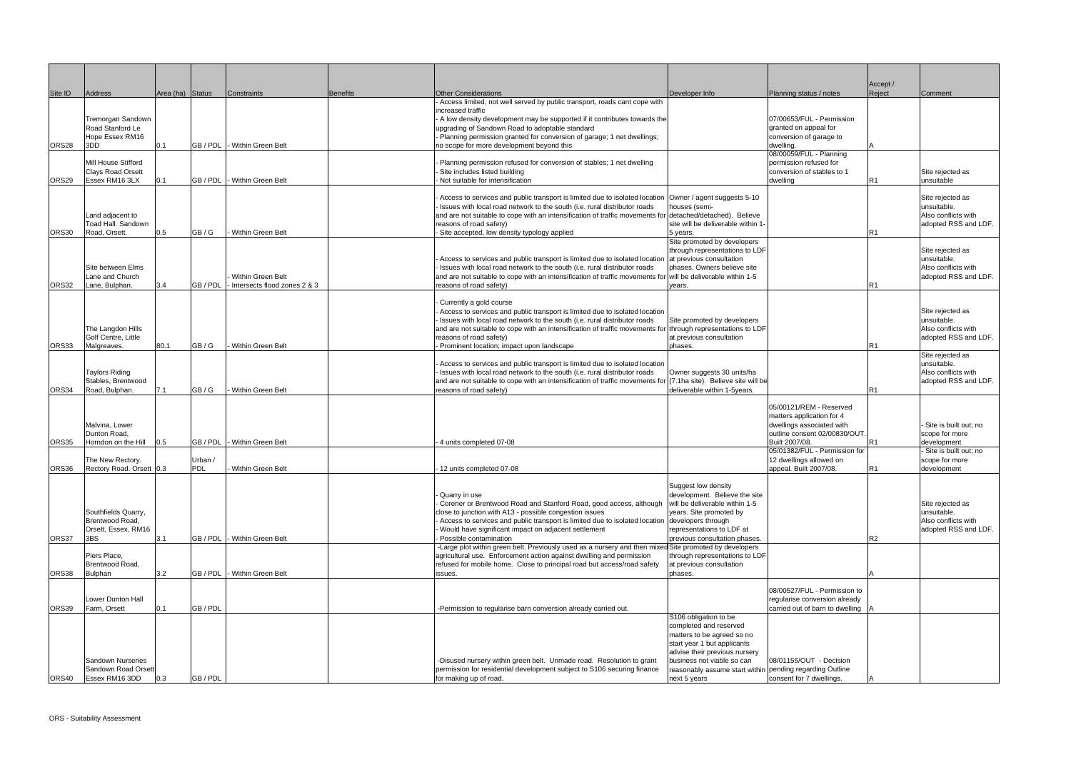| Site ID | <b>Address</b>                              | Area (ha) Status |          | Constraints                   | <b>Benefits</b> | <b>Other Considerations</b>                                                                                                                                                                   | Developer Info                                                           | Planning status / notes                                       | Accept /<br>Reject | Comment                                     |
|---------|---------------------------------------------|------------------|----------|-------------------------------|-----------------|-----------------------------------------------------------------------------------------------------------------------------------------------------------------------------------------------|--------------------------------------------------------------------------|---------------------------------------------------------------|--------------------|---------------------------------------------|
|         |                                             |                  |          |                               |                 | Access limited, not well served by public transport, roads cant cope with                                                                                                                     |                                                                          |                                                               |                    |                                             |
|         | Tremorgan Sandown                           |                  |          |                               |                 | increased traffic<br>A low density development may be supported if it contributes towards the                                                                                                 |                                                                          | 07/00653/FUL - Permission                                     |                    |                                             |
|         | Road Stanford Le                            |                  |          |                               |                 | upgrading of Sandown Road to adoptable standard                                                                                                                                               |                                                                          | granted on appeal for                                         |                    |                                             |
|         | Hope Essex RM16                             |                  |          |                               |                 | Planning permission granted for conversion of garage; 1 net dwellings;                                                                                                                        |                                                                          | conversion of garage to                                       |                    |                                             |
| ORS28   | 3DD                                         | 0.1              |          | GB / PDL  - Within Green Belt |                 | no scope for more development beyond this                                                                                                                                                     |                                                                          | dwelling.<br>08/00059/FUL - Planning                          |                    |                                             |
|         | Mill House Stifford                         |                  |          |                               |                 | Planning permission refused for conversion of stables; 1 net dwelling                                                                                                                         |                                                                          | permission refused for                                        |                    |                                             |
|         | <b>Clays Road Orsett</b>                    |                  |          |                               |                 | Site includes listed building                                                                                                                                                                 |                                                                          | conversion of stables to 1                                    |                    | Site rejected as                            |
| ORS29   | Essex RM16 3LX                              | 0.1              | GB / PDL | - Within Green Belt           |                 | Not suitable for intensification                                                                                                                                                              |                                                                          | dwelling                                                      | R <sub>1</sub>     | unsuitable                                  |
|         |                                             |                  |          |                               |                 | Access to services and public transport is limited due to isolated location   Owner / agent suggests 5-10                                                                                     |                                                                          |                                                               |                    | Site rejected as                            |
|         |                                             |                  |          |                               |                 | Issues with local road network to the south (i.e. rural distributor roads                                                                                                                     | houses (semi-                                                            |                                                               |                    | unsuitable.                                 |
|         | Land adjacent to<br>Toad Hall. Sandown      |                  |          |                               |                 | and are not suitable to cope with an intensification of traffic movements for detached/detached). Believe                                                                                     |                                                                          |                                                               |                    | Also conflicts with                         |
| ORS30   | Road, Orsett.                               | 0.5              | GB/G     | Within Green Belt             |                 | reasons of road safety)<br>Site accepted, low density typology applied                                                                                                                        | site will be deliverable within 1<br>5 years.                            |                                                               | R1                 | adopted RSS and LDF.                        |
|         |                                             |                  |          |                               |                 |                                                                                                                                                                                               | Site promoted by developers                                              |                                                               |                    |                                             |
|         |                                             |                  |          |                               |                 |                                                                                                                                                                                               | through representations to LDF                                           |                                                               |                    | Site rejected as                            |
|         | Site between Elms                           |                  |          |                               |                 | Access to services and public transport is limited due to isolated location at previous consultation<br>Issues with local road network to the south (i.e. rural distributor roads             | phases. Owners believe site                                              |                                                               |                    | unsuitable.<br>Also conflicts with          |
|         | Lane and Church                             |                  |          | Within Green Belt             |                 | and are not suitable to cope with an intensification of traffic movements for will be deliverable within 1-5                                                                                  |                                                                          |                                                               |                    | adopted RSS and LDF.                        |
| ORS32   | Lane, Bulphan.                              | 3.4              | GB / PDL | Intersects flood zones 2 & 3  |                 | reasons of road safety)                                                                                                                                                                       | years.                                                                   |                                                               | R1                 |                                             |
|         |                                             |                  |          |                               |                 | Currently a gold course                                                                                                                                                                       |                                                                          |                                                               |                    |                                             |
|         |                                             |                  |          |                               |                 | Access to services and public transport is limited due to isolated location                                                                                                                   |                                                                          |                                                               |                    | Site rejected as                            |
|         |                                             |                  |          |                               |                 | Issues with local road network to the south (i.e. rural distributor roads                                                                                                                     | Site promoted by developers                                              |                                                               |                    | unsuitable.                                 |
|         | The Langdon Hills                           |                  |          |                               |                 | and are not suitable to cope with an intensification of traffic movements for through representations to LDF                                                                                  |                                                                          |                                                               |                    | Also conflicts with                         |
| ORS33   | Golf Centre, Little<br>Malgreaves.          | 80.1             | GB/G     | - Within Green Belt           |                 | reasons of road safety)<br>Prominent location; impact upon landscape                                                                                                                          | at previous consultation<br>phases.                                      |                                                               | R <sub>1</sub>     | adopted RSS and LDF.                        |
|         |                                             |                  |          |                               |                 |                                                                                                                                                                                               |                                                                          |                                                               |                    | Site rejected as                            |
|         |                                             |                  |          |                               |                 | Access to services and public transport is limited due to isolated location                                                                                                                   |                                                                          |                                                               |                    | unsuitable.                                 |
|         | <b>Taylors Riding</b><br>Stables, Brentwood |                  |          |                               |                 | Issues with local road network to the south (i.e. rural distributor roads<br>and are not suitable to cope with an intensification of traffic movements for (7.1ha site). Believe site will be | Owner suggests 30 units/ha                                               |                                                               |                    | Also conflicts with<br>adopted RSS and LDF. |
| ORS34   | Road, Bulphan.                              | 7.1              | GB/G     | Within Green Belt             |                 | reasons of road safety)                                                                                                                                                                       | deliverable within 1-5years.                                             |                                                               | R <sub>1</sub>     |                                             |
|         |                                             |                  |          |                               |                 |                                                                                                                                                                                               |                                                                          |                                                               |                    |                                             |
|         |                                             |                  |          |                               |                 |                                                                                                                                                                                               |                                                                          | 05/00121/REM - Reserved<br>matters application for 4          |                    |                                             |
|         | Malvina, Lower                              |                  |          |                               |                 |                                                                                                                                                                                               |                                                                          | dwellings associated with                                     |                    | Site is built out; no                       |
|         | Dunton Road                                 |                  |          |                               |                 |                                                                                                                                                                                               |                                                                          | outline consent 02/00830/OUT                                  |                    | scope for more                              |
| ORS35   | Horndon on the Hill                         | 0.5              | GB / PDL | - Within Green Belt           |                 | 4 units completed 07-08                                                                                                                                                                       |                                                                          | Built 2007/08.<br>05/01382/FUL - Permission for               | R <sub>1</sub>     | development<br>Site is built out; no        |
|         | The New Rectory.                            |                  | Urban /  |                               |                 |                                                                                                                                                                                               |                                                                          | 12 dwellings allowed on                                       |                    | scope for more                              |
| ORS36   | Rectory Road. Orsett 0.3                    |                  | PDL      | Within Green Belt             |                 | 12 units completed 07-08                                                                                                                                                                      |                                                                          | appeal. Built 2007/08.                                        | R <sub>1</sub>     | development                                 |
|         |                                             |                  |          |                               |                 |                                                                                                                                                                                               | Suggest low density                                                      |                                                               |                    |                                             |
|         |                                             |                  |          |                               |                 | Quarry in use                                                                                                                                                                                 | development. Believe the site                                            |                                                               |                    |                                             |
|         |                                             |                  |          |                               |                 | Corener or Brentwood Road and Stanford Road, good access, although                                                                                                                            | will be deliverable within 1-5                                           |                                                               |                    | Site rejected as                            |
|         | Southfields Quarry,                         |                  |          |                               |                 | close to junction with A13 - possible congestion issues                                                                                                                                       | years. Site promoted by                                                  |                                                               |                    | unsuitable.                                 |
|         | Brentwood Road,<br>Orsett, Essex, RM16      |                  |          |                               |                 | Access to services and public transport is limited due to isolated location developers through<br>Would have significant impact on adjacent settlement                                        | representations to LDF at                                                |                                                               |                    | Also conflicts with<br>adopted RSS and LDF. |
| ORS37   | 3BS                                         | 3.1              | GB / PDL | - Within Green Belt           |                 | Possible contamination                                                                                                                                                                        | previous consultation phases.                                            |                                                               | R2                 |                                             |
|         |                                             |                  |          |                               |                 | -Large plot within green belt. Previously used as a nursery and then mixed Site promoted by developers                                                                                        |                                                                          |                                                               |                    |                                             |
|         | Piers Place,<br>Brentwood Road,             |                  |          |                               |                 | agricultural use. Enforcement action against dwelling and permission<br>refused for mobile home. Close to principal road but access/road safety                                               | through representations to LDF<br>at previous consultation               |                                                               |                    |                                             |
| ORS38   | <b>Bulphan</b>                              | 3.2              |          | GB / PDL - Within Green Belt  |                 | issues.                                                                                                                                                                                       | phases.                                                                  |                                                               |                    |                                             |
|         |                                             |                  |          |                               |                 |                                                                                                                                                                                               |                                                                          |                                                               |                    |                                             |
|         | Lower Dunton Hall                           |                  |          |                               |                 |                                                                                                                                                                                               |                                                                          | 08/00527/FUL - Permission to<br>regularise conversion already |                    |                                             |
| ORS39   | Farm, Orsett                                | 0.1              | GB / PDL |                               |                 | -Permission to regularise barn conversion already carried out.                                                                                                                                |                                                                          | carried out of barn to dwelling A                             |                    |                                             |
|         |                                             |                  |          |                               |                 |                                                                                                                                                                                               | S106 obligation to be                                                    |                                                               |                    |                                             |
|         |                                             |                  |          |                               |                 |                                                                                                                                                                                               | completed and reserved                                                   |                                                               |                    |                                             |
|         |                                             |                  |          |                               |                 |                                                                                                                                                                                               | matters to be agreed so no<br>start year 1 but applicants                |                                                               |                    |                                             |
|         |                                             |                  |          |                               |                 |                                                                                                                                                                                               | advise their previous nursery                                            |                                                               |                    |                                             |
|         | Sandown Nurseries                           |                  |          |                               |                 | -Disused nursery within green belt. Unmade road. Resolution to grant                                                                                                                          | business not viable so can                                               | 08/01155/OUT - Decision                                       |                    |                                             |
| ORS40   | Sandown Road Orsett<br>Essex RM16 3DD       | 0.3              | GB / PDL |                               |                 | permission for residential development subject to S106 securing finance<br>for making up of road.                                                                                             | reasonably assume start within pending regarding Outline<br>next 5 years | consent for 7 dwellings.                                      |                    |                                             |
|         |                                             |                  |          |                               |                 |                                                                                                                                                                                               |                                                                          |                                                               |                    |                                             |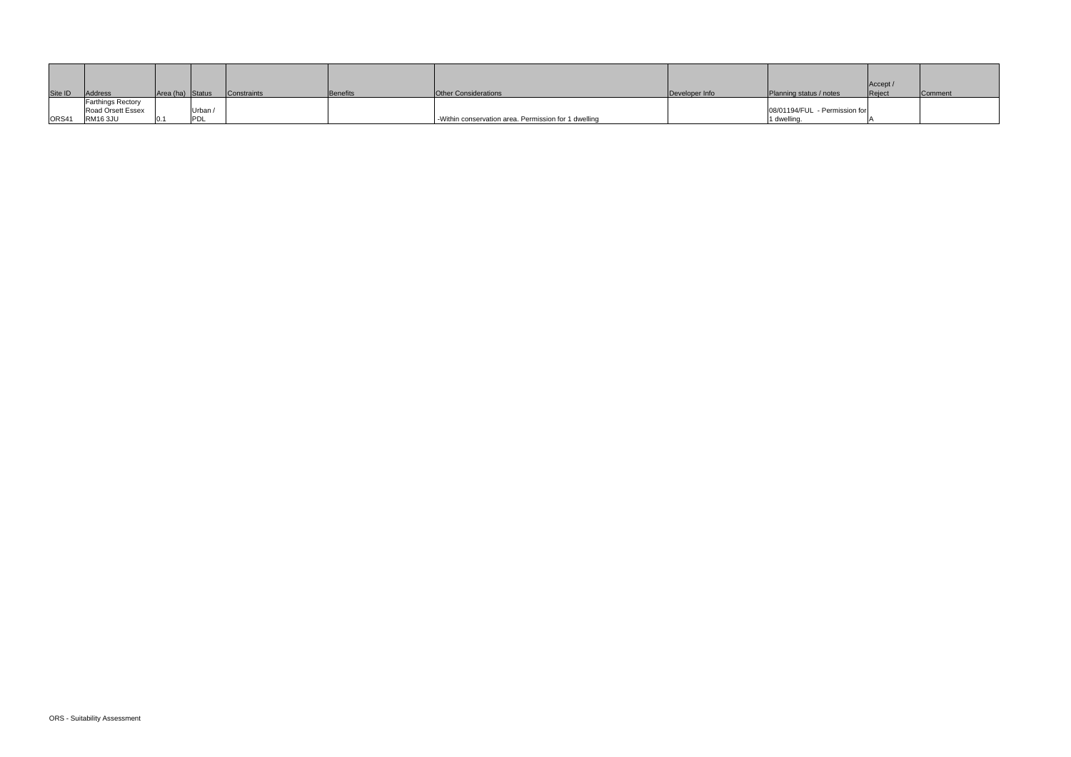|         |                          |                  |         |             |          |                                                      |                |                               | Accept / |                |
|---------|--------------------------|------------------|---------|-------------|----------|------------------------------------------------------|----------------|-------------------------------|----------|----------------|
| Site ID | Address                  | Area (ha) Status |         | Constraints | Benefits | <b>Other Considerations</b>                          | Developer Info | Planning status / notes       | Reject   | <b>Comment</b> |
|         | <b>Farthings Rectory</b> |                  |         |             |          |                                                      |                |                               |          |                |
|         | <b>Road Orsett Essex</b> |                  | Urban / |             |          |                                                      |                | 08/01194/FUL - Permission for |          |                |
| ORS41   | <b>RM16 3JU</b>          |                  | ◡       |             |          | -Within conservation area. Permission for 1 dwelling |                | 1 dwelling.                   |          |                |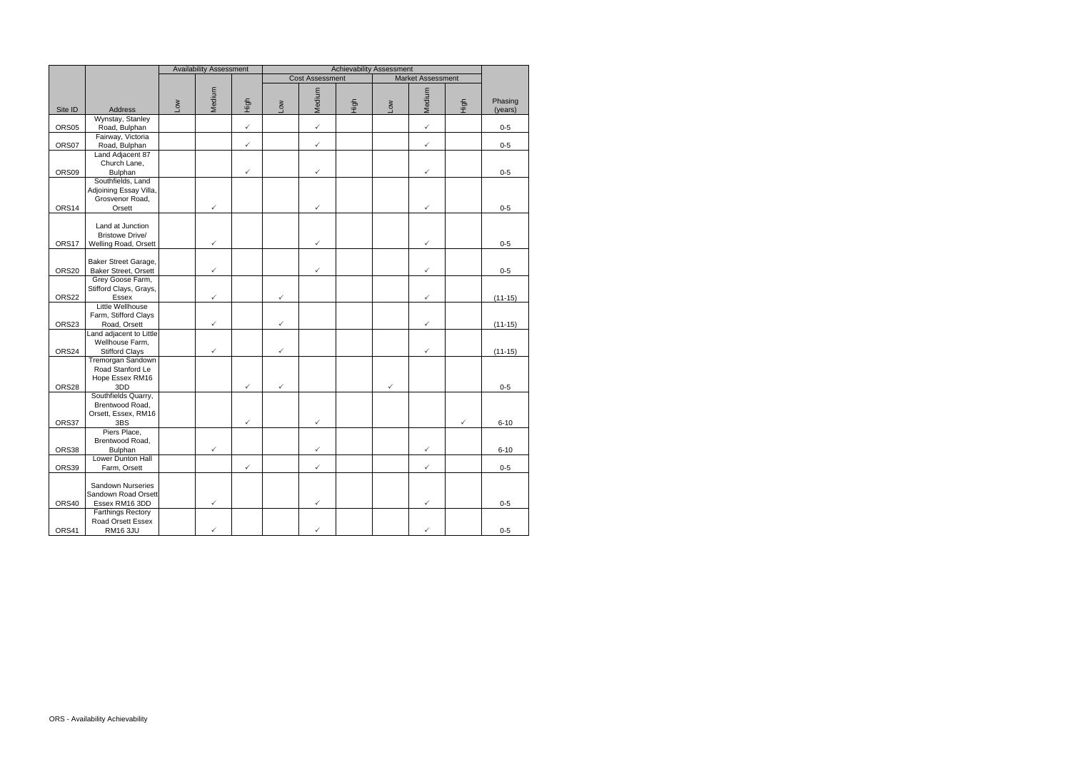|         |                                          |            | <b>Availability Assessment</b> |              | <b>Achievability Assessment</b> |                        |      |              |                          |      |                    |
|---------|------------------------------------------|------------|--------------------------------|--------------|---------------------------------|------------------------|------|--------------|--------------------------|------|--------------------|
|         |                                          |            |                                |              |                                 | <b>Cost Assessment</b> |      |              | <b>Market Assessment</b> |      |                    |
| Site ID | Address                                  | <b>Nor</b> | Medium                         | High         | <b>NOT</b>                      | Medium                 | High | ΜΟΤ          | Medium                   | High | Phasing<br>(years) |
|         | Wynstay, Stanley                         |            |                                | $\checkmark$ |                                 | $\checkmark$           |      |              | $\checkmark$             |      |                    |
| ORS05   | Road, Bulphan<br>Fairway, Victoria       |            |                                |              |                                 |                        |      |              |                          |      | $0 - 5$            |
| ORS07   | Road, Bulphan                            |            |                                | $\checkmark$ |                                 | $\checkmark$           |      |              | $\checkmark$             |      | $0 - 5$            |
|         | Land Adjacent 87                         |            |                                |              |                                 |                        |      |              |                          |      |                    |
|         | Church Lane,                             |            |                                |              |                                 |                        |      |              |                          |      |                    |
| ORS09   | <b>Bulphan</b>                           |            |                                | $\checkmark$ |                                 | ✓                      |      |              | $\checkmark$             |      | $0 - 5$            |
|         | Southfields, Land                        |            |                                |              |                                 |                        |      |              |                          |      |                    |
|         | Adjoining Essay Villa,                   |            |                                |              |                                 |                        |      |              |                          |      |                    |
| ORS14   | Grosvenor Road,<br>Orsett                |            | ✓                              |              |                                 | $\checkmark$           |      |              | $\checkmark$             |      | $0-5$              |
|         |                                          |            |                                |              |                                 |                        |      |              |                          |      |                    |
|         | Land at Junction                         |            |                                |              |                                 |                        |      |              |                          |      |                    |
|         | <b>Bristowe Drive/</b>                   |            |                                |              |                                 |                        |      |              |                          |      |                    |
| ORS17   | Welling Road, Orsett                     |            | $\checkmark$                   |              |                                 | $\checkmark$           |      |              | $\checkmark$             |      | $0 - 5$            |
|         |                                          |            |                                |              |                                 |                        |      |              |                          |      |                    |
|         | Baker Street Garage,                     |            |                                |              |                                 |                        |      |              |                          |      |                    |
| ORS20   | Baker Street, Orsett<br>Grey Goose Farm, |            | ✓                              |              |                                 |                        |      |              | ✓                        |      | $0 - 5$            |
|         | Stifford Clays, Grays,                   |            |                                |              |                                 |                        |      |              |                          |      |                    |
| ORS22   | Essex                                    |            | $\checkmark$                   |              | ✓                               |                        |      |              | $\checkmark$             |      | $(11-15)$          |
|         | Little Wellhouse                         |            |                                |              |                                 |                        |      |              |                          |      |                    |
|         | Farm, Stifford Clays                     |            |                                |              |                                 |                        |      |              |                          |      |                    |
| ORS23   | Road, Orsett                             |            | ✓                              |              | ✓                               |                        |      |              | $\checkmark$             |      | $(11 - 15)$        |
|         | Land adjacent to Little                  |            |                                |              |                                 |                        |      |              |                          |      |                    |
|         | Wellhouse Farm,                          |            |                                |              |                                 |                        |      |              |                          |      |                    |
| ORS24   | <b>Stifford Clays</b>                    |            | $\checkmark$                   |              | ✓                               |                        |      |              | $\checkmark$             |      | $(11-15)$          |
|         | Tremorgan Sandown                        |            |                                |              |                                 |                        |      |              |                          |      |                    |
|         | Road Stanford Le<br>Hope Essex RM16      |            |                                |              |                                 |                        |      |              |                          |      |                    |
| ORS28   | 3DD                                      |            |                                | $\checkmark$ | ✓                               |                        |      | $\checkmark$ |                          |      | $0-5$              |
|         | Southfields Quarry,                      |            |                                |              |                                 |                        |      |              |                          |      |                    |
|         | Brentwood Road,                          |            |                                |              |                                 |                        |      |              |                          |      |                    |
|         | Orsett, Essex, RM16                      |            |                                |              |                                 |                        |      |              |                          |      |                    |
| ORS37   | 3BS                                      |            |                                | $\checkmark$ |                                 | ✓                      |      |              |                          | ✓    | $6 - 10$           |
|         | Piers Place,                             |            |                                |              |                                 |                        |      |              |                          |      |                    |
|         | Brentwood Road,                          |            |                                |              |                                 |                        |      |              |                          |      |                    |
| ORS38   | Bulphan<br>Lower Dunton Hall             |            | $\checkmark$                   |              |                                 | ✓                      |      |              | $\checkmark$             |      | $6 - 10$           |
| ORS39   | Farm, Orsett                             |            |                                | $\checkmark$ |                                 | $\checkmark$           |      |              | $\checkmark$             |      | $0-5$              |
|         |                                          |            |                                |              |                                 |                        |      |              |                          |      |                    |
|         | <b>Sandown Nurseries</b>                 |            |                                |              |                                 |                        |      |              |                          |      |                    |
|         | Sandown Road Orsett                      |            |                                |              |                                 |                        |      |              |                          |      |                    |
| ORS40   | Essex RM16 3DD                           |            | ✓                              |              |                                 | ✓                      |      |              | $\checkmark$             |      | $0 - 5$            |
|         | <b>Farthings Rectory</b>                 |            |                                |              |                                 |                        |      |              |                          |      |                    |
|         | Road Orsett Essex                        |            |                                |              |                                 |                        |      |              |                          |      |                    |
| ORS41   | <b>RM16 3JU</b>                          |            | ✓                              |              |                                 | ✓                      |      |              | ✓                        |      | $0 - 5$            |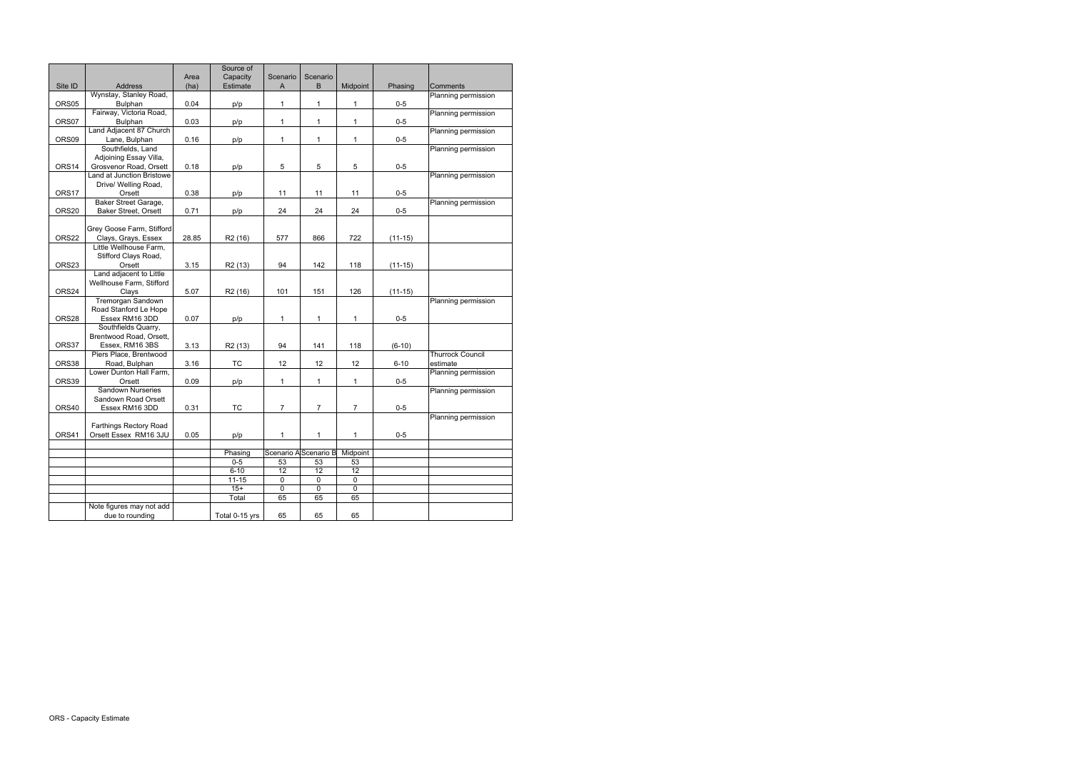|         |                                   |       | Source of           |                |                             |                |           |                                 |
|---------|-----------------------------------|-------|---------------------|----------------|-----------------------------|----------------|-----------|---------------------------------|
|         |                                   | Area  | Capacity            | Scenario       | Scenario                    |                |           |                                 |
| Site ID | Address<br>Wynstay, Stanley Road, | (ha)  | Estimate            | A              | B                           | Midpoint       | Phasing   | Comments<br>Planning permission |
| ORS05   | Bulphan                           | 0.04  |                     | $\mathbf{1}$   | $\mathbf{1}$                | $\mathbf{1}$   | $0 - 5$   |                                 |
|         | Fairway, Victoria Road,           |       | p/p                 |                |                             |                |           | Planning permission             |
| ORS07   | Bulphan                           | 0.03  | p/p                 | $\mathbf{1}$   | $\mathbf{1}$                | $\mathbf{1}$   | $0-5$     |                                 |
|         | Land Adjacent 87 Church           |       |                     |                |                             |                |           | Planning permission             |
| ORS09   | Lane, Bulphan                     | 0.16  | p/p                 | $\mathbf{1}$   | $\mathbf{1}$                | $\mathbf{1}$   | $0-5$     |                                 |
|         | Southfields, Land                 |       |                     |                |                             |                |           | Planning permission             |
|         | Adjoining Essay Villa,            |       |                     |                |                             |                |           |                                 |
| ORS14   | Grosvenor Road, Orsett            | 0.18  | p/p                 | 5              | 5                           | 5              | $0-5$     |                                 |
|         | Land at Junction Bristowe         |       |                     |                |                             |                |           | Planning permission             |
|         | Drive/ Welling Road,              |       |                     |                |                             |                |           |                                 |
| ORS17   | Orsett                            | 0.38  | p/p                 | 11             | 11                          | 11             | $0-5$     |                                 |
|         | Baker Street Garage,              |       |                     |                |                             |                |           | Planning permission             |
| ORS20   | <b>Baker Street, Orsett</b>       | 0.71  | p/p                 | 24             | 24                          | 24             | $0-5$     |                                 |
|         |                                   |       |                     |                |                             |                |           |                                 |
|         | Grey Goose Farm, Stifford         |       |                     |                |                             |                |           |                                 |
| ORS22   | Clays, Grays, Essex               | 28.85 | R <sub>2</sub> (16) | 577            | 866                         | 722            | $(11-15)$ |                                 |
|         | Little Wellhouse Farm,            |       |                     |                |                             |                |           |                                 |
|         | Stifford Clays Road,              |       |                     |                |                             |                |           |                                 |
| ORS23   | Orsett                            | 3.15  | R <sub>2</sub> (13) | 94             | 142                         | 118            | $(11-15)$ |                                 |
|         | Land adjacent to Little           |       |                     |                |                             |                |           |                                 |
| ORS24   | Wellhouse Farm, Stifford<br>Clays | 5.07  | R <sub>2</sub> (16) | 101            | 151                         | 126            | $(11-15)$ |                                 |
|         | Tremorgan Sandown                 |       |                     |                |                             |                |           | Planning permission             |
|         | Road Stanford Le Hope             |       |                     |                |                             |                |           |                                 |
| ORS28   | Essex RM16 3DD                    | 0.07  | p/p                 | $\mathbf{1}$   | 1                           | $\mathbf{1}$   | $0-5$     |                                 |
|         | Southfields Quarry,               |       |                     |                |                             |                |           |                                 |
|         | Brentwood Road, Orsett,           |       |                     |                |                             |                |           |                                 |
| ORS37   | Essex, RM16 3BS                   | 3.13  | R <sub>2</sub> (13) | 94             | 141                         | 118            | $(6-10)$  |                                 |
|         | Piers Place, Brentwood            |       |                     |                |                             |                |           | <b>Thurrock Council</b>         |
| ORS38   | Road, Bulphan                     | 3.16  | ТC                  | 12             | 12                          | 12             | $6 - 10$  | estimate                        |
|         | Lower Dunton Hall Farm,           |       |                     |                |                             |                |           | Planning permission             |
| ORS39   | Orsett                            | 0.09  | p/p                 | $\mathbf{1}$   | $\mathbf{1}$                | $\mathbf{1}$   | $0-5$     |                                 |
|         | Sandown Nurseries                 |       |                     |                |                             |                |           | Planning permission             |
|         | Sandown Road Orsett               |       |                     |                |                             |                |           |                                 |
| ORS40   | Essex RM16 3DD                    | 0.31  | <b>TC</b>           | $\overline{7}$ | $\overline{7}$              | $\overline{7}$ | $0 - 5$   |                                 |
|         |                                   |       |                     |                |                             |                |           | Planning permission             |
|         | Farthings Rectory Road            |       |                     |                |                             |                |           |                                 |
| ORS41   | Orsett Essex RM16 3JU             | 0.05  | p/p                 | 1              | $\mathbf{1}$                | 1              | $0-5$     |                                 |
|         |                                   |       |                     |                |                             |                |           |                                 |
|         |                                   |       | Phasing<br>$0-5$    | 53             | Scenario A Scenario B<br>53 | Midpoint<br>53 |           |                                 |
|         |                                   |       | $6 - 10$            | 12             | 12                          | 12             |           |                                 |
|         |                                   |       | $11 - 15$           | 0              | $\mathbf 0$                 | 0              |           |                                 |
|         |                                   |       | $15+$               | $\overline{0}$ | $\overline{0}$              | $\overline{0}$ |           |                                 |
|         |                                   |       | Total               | 65             | 65                          | 65             |           |                                 |
|         | Note figures may not add          |       |                     |                |                             |                |           |                                 |
|         | due to rounding                   |       | Total 0-15 yrs      | 65             | 65                          | 65             |           |                                 |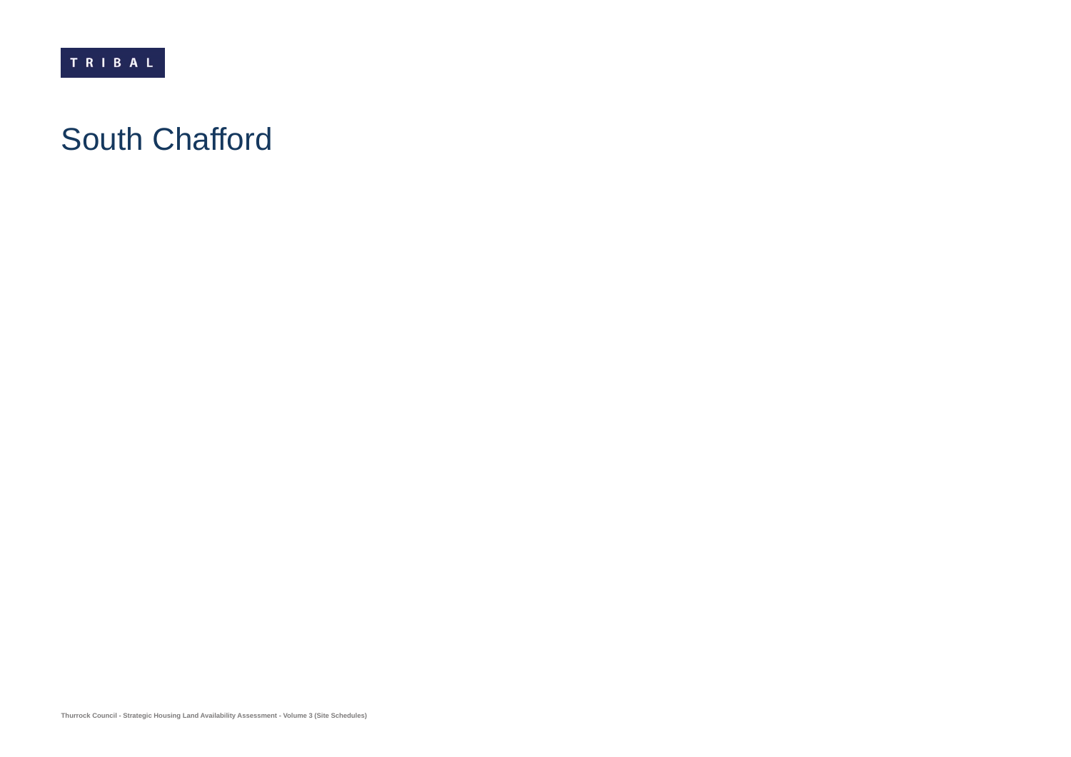## South Chafford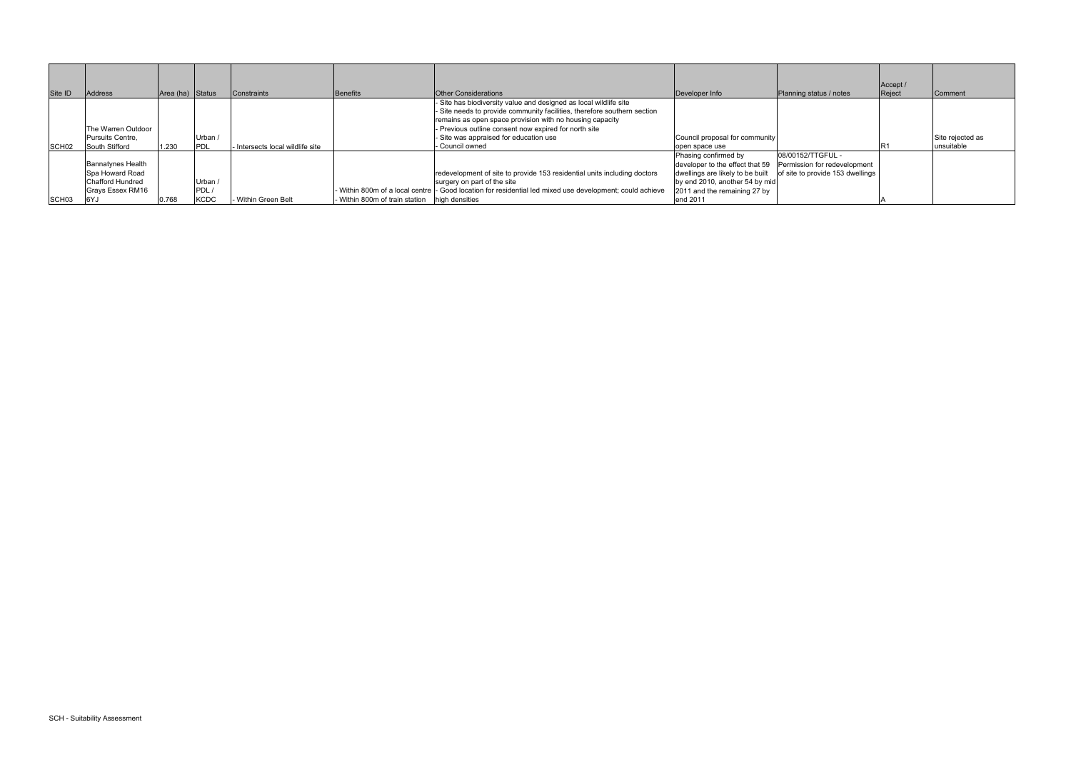|                   |                          |                  |             |                                |                                              |                                                                                                           |                                  |                                  | Accept / |                  |
|-------------------|--------------------------|------------------|-------------|--------------------------------|----------------------------------------------|-----------------------------------------------------------------------------------------------------------|----------------------------------|----------------------------------|----------|------------------|
| Site ID           | <b>Address</b>           | Area (ha) Status |             | Constraints                    | Benefits                                     | <b>Other Considerations</b>                                                                               | Developer Info                   | Planning status / notes          | Reject   | Comment          |
|                   |                          |                  |             |                                |                                              | - Site has biodiversity value and designed as local wildlife site                                         |                                  |                                  |          |                  |
|                   |                          |                  |             |                                |                                              | - Site needs to provide community facilities, therefore southern section                                  |                                  |                                  |          |                  |
|                   |                          |                  |             |                                |                                              | remains as open space provision with no housing capacity                                                  |                                  |                                  |          |                  |
|                   | The Warren Outdoor       |                  |             |                                |                                              | - Previous outline consent now expired for north site                                                     |                                  |                                  |          |                  |
|                   | Pursuits Centre.         |                  | Urban /     |                                |                                              | - Site was appraised for education use                                                                    | Council proposal for community   |                                  |          | Site rejected as |
| SCH <sub>02</sub> | South Stifford           | 1.230            | <b>PDL</b>  | Intersects local wildlife site |                                              | Council owned                                                                                             | open space use                   |                                  |          | lunsuitable      |
|                   |                          |                  |             |                                |                                              |                                                                                                           | Phasing confirmed by             | 08/00152/TTGFUL -                |          |                  |
|                   | <b>Bannatynes Health</b> |                  |             |                                |                                              |                                                                                                           | developer to the effect that 59  | Permission for redevelopment     |          |                  |
|                   | Spa Howard Road          |                  |             |                                |                                              | redevelopment of site to provide 153 residential units including doctors                                  | dwellings are likely to be built | of site to provide 153 dwellings |          |                  |
|                   | Chafford Hundred         |                  | Urban /     |                                |                                              | surgery on part of the site                                                                               | by end 2010, another 54 by mid   |                                  |          |                  |
|                   | Grays Essex RM16         |                  | PDL/        |                                |                                              | - Within 800m of a local centre  - Good location for residential led mixed use development; could achieve | 2011 and the remaining 27 by     |                                  |          |                  |
| SCH <sub>03</sub> | - 6YJ                    | 0.768            | <b>KCDC</b> | <b>Within Green Belt</b>       | Within 800m of train station Ihigh densities |                                                                                                           | end 2011                         |                                  |          |                  |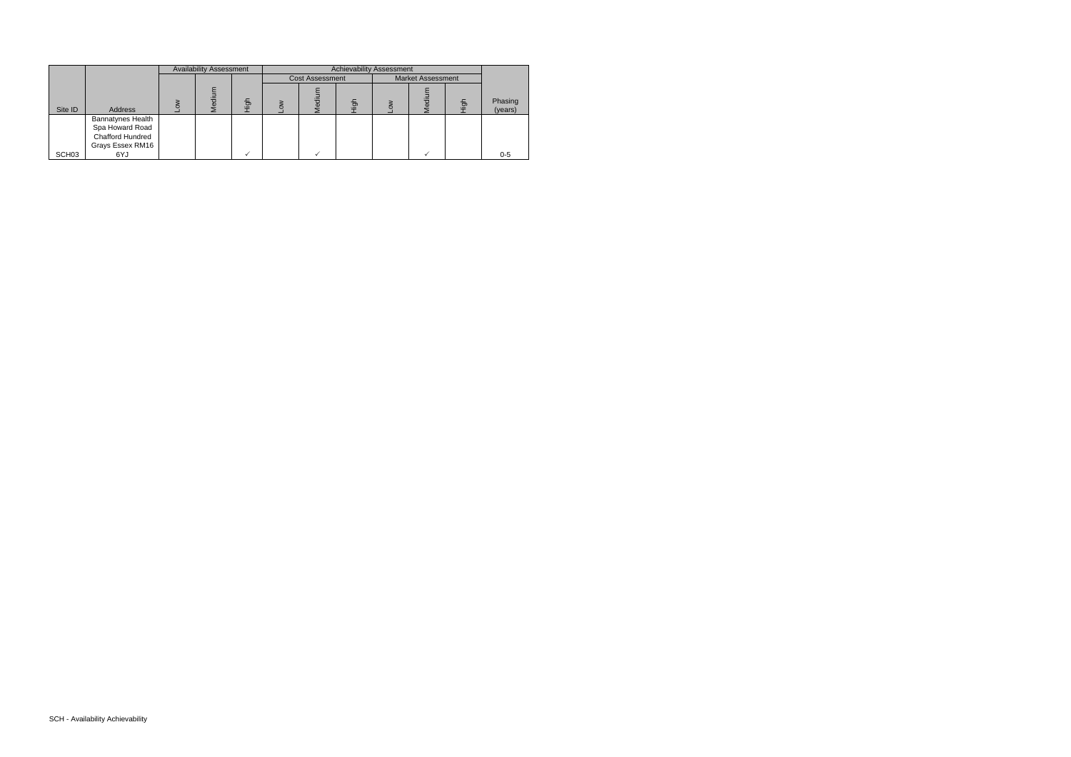|                   |                         | <b>Availability Assessment</b> |   |              |                        | <b>Achievability Assessment</b> |                          |   |                    |
|-------------------|-------------------------|--------------------------------|---|--------------|------------------------|---------------------------------|--------------------------|---|--------------------|
|                   |                         |                                |   |              | <b>Cost Assessment</b> |                                 | <b>Market Assessment</b> |   |                    |
| Site ID           | Address                 |                                | ā | <b>doi</b> t | Ō                      | 鸟                               | Vledir                   | 등 | Phasing<br>(years) |
|                   | Bannatynes Health       |                                |   |              |                        |                                 |                          |   |                    |
|                   | Spa Howard Road         |                                |   |              |                        |                                 |                          |   |                    |
|                   | <b>Chafford Hundred</b> |                                |   |              |                        |                                 |                          |   |                    |
|                   | Grays Essex RM16        |                                |   |              |                        |                                 |                          |   |                    |
| SCH <sub>03</sub> | 6YJ                     |                                |   |              |                        |                                 |                          |   | $0-5$              |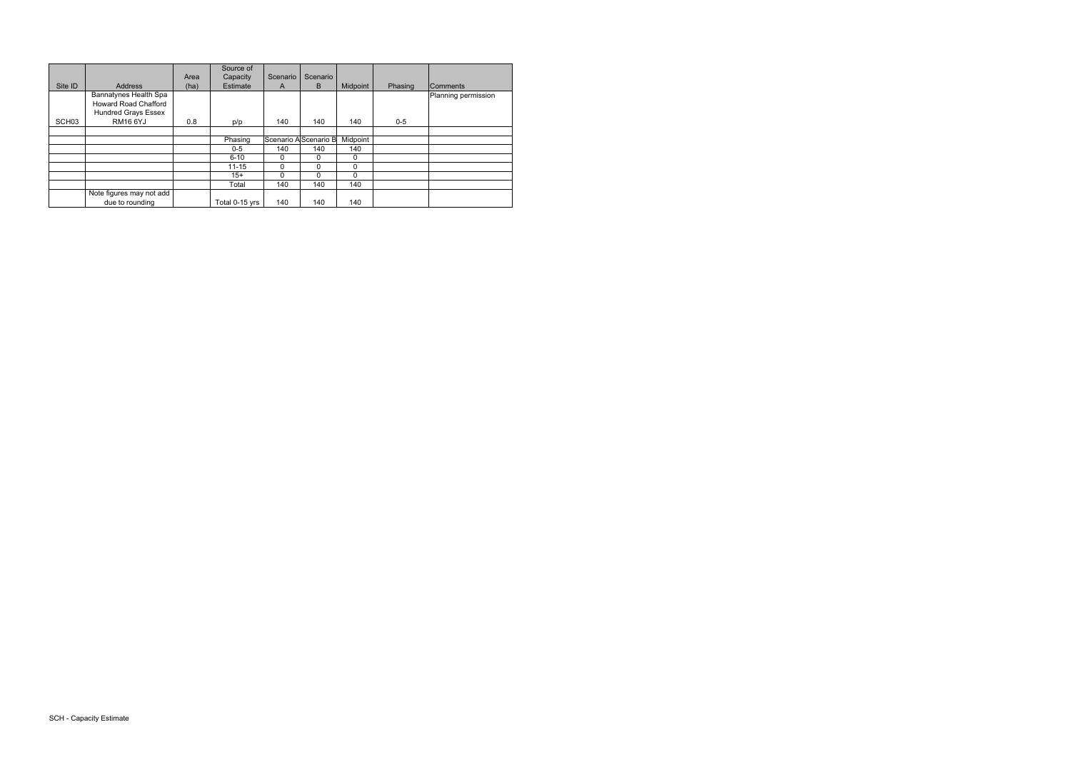|                   |                          |      | Source of      |          |                      |          |         |                     |
|-------------------|--------------------------|------|----------------|----------|----------------------|----------|---------|---------------------|
|                   |                          | Area | Capacity       | Scenario | Scenario             |          |         |                     |
| Site ID           | <b>Address</b>           | (ha) | Estimate       | A        | B                    | Midpoint | Phasing | <b>Comments</b>     |
|                   | Bannatynes Health Spa    |      |                |          |                      |          |         | Planning permission |
|                   | Howard Road Chafford     |      |                |          |                      |          |         |                     |
|                   | Hundred Grays Essex      |      |                |          |                      |          |         |                     |
| SCH <sub>03</sub> | <b>RM16 6YJ</b>          | 0.8  | p/p            | 140      | 140                  | 140      | $0-5$   |                     |
|                   |                          |      |                |          |                      |          |         |                     |
|                   |                          |      | Phasing        |          | Scenario AScenario B | Midpoint |         |                     |
|                   |                          |      | $0 - 5$        | 140      | 140                  | 140      |         |                     |
|                   |                          |      | $6 - 10$       | 0        | 0                    | 0        |         |                     |
|                   |                          |      | $11 - 15$      | $\Omega$ | $\Omega$             | $\Omega$ |         |                     |
|                   |                          |      | $15+$          | $\Omega$ | 0                    | $\Omega$ |         |                     |
|                   |                          |      | Total          | 140      | 140                  | 140      |         |                     |
|                   | Note figures may not add |      |                |          |                      |          |         |                     |
|                   | due to rounding          |      | Total 0-15 yrs | 140      | 140                  | 140      |         |                     |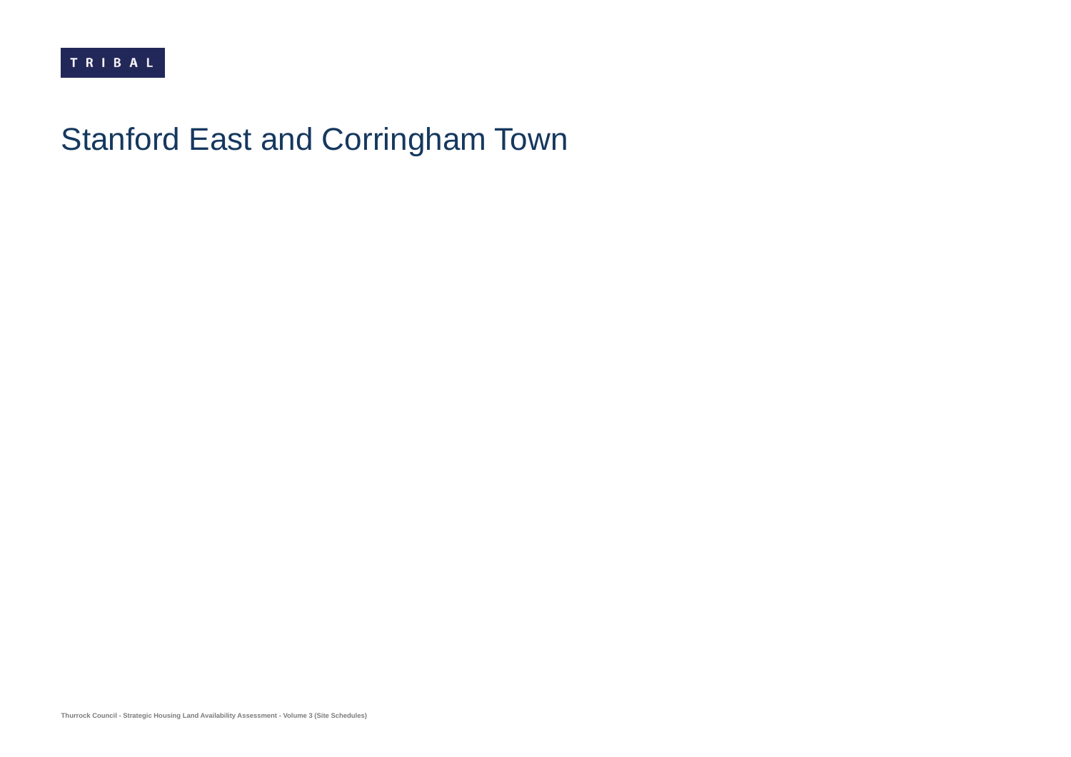## Stanford East and Corringham Town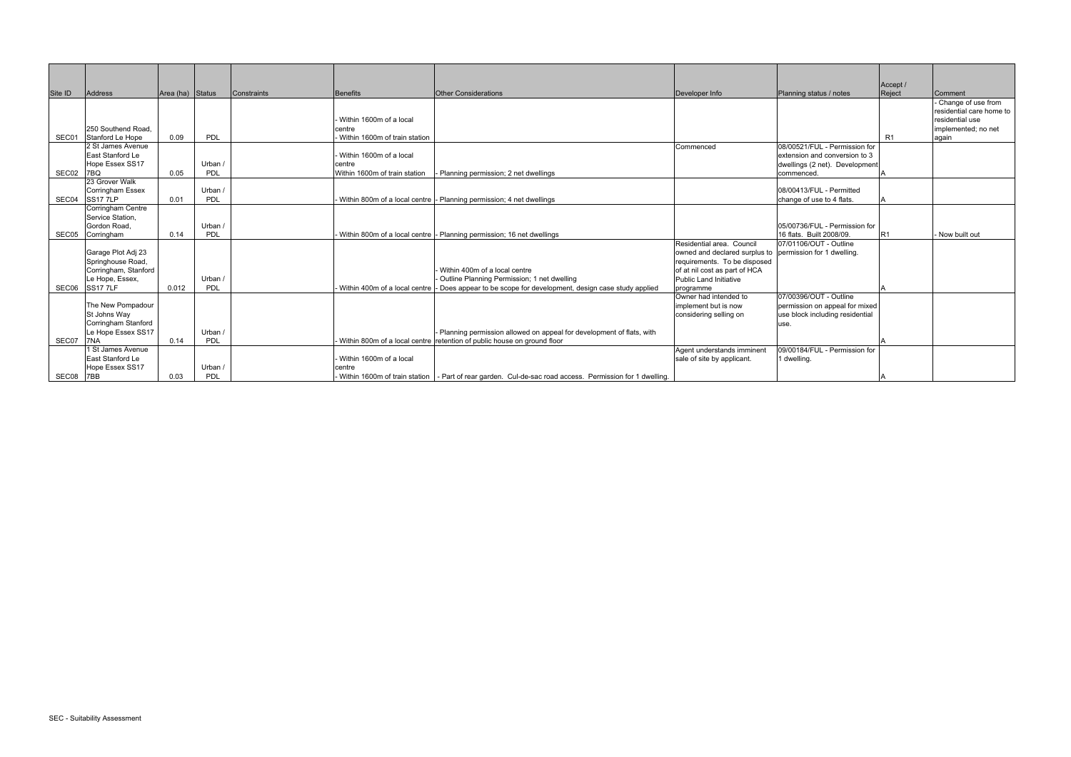|         |                                         |                  |         |             |                                         |                                                                                                             |                                                               |                                 | Accept /       |                          |
|---------|-----------------------------------------|------------------|---------|-------------|-----------------------------------------|-------------------------------------------------------------------------------------------------------------|---------------------------------------------------------------|---------------------------------|----------------|--------------------------|
| Site ID | Address                                 | Area (ha) Status |         | Constraints | <b>Benefits</b>                         | <b>Other Considerations</b>                                                                                 | Developer Info                                                | Planning status / notes         | Reject         | Comment                  |
|         |                                         |                  |         |             |                                         |                                                                                                             |                                                               |                                 |                | Change of use from       |
|         |                                         |                  |         |             |                                         |                                                                                                             |                                                               |                                 |                | residential care home to |
|         |                                         |                  |         |             | Within 1600m of a local                 |                                                                                                             |                                                               |                                 |                | residential use          |
| SEC01   | 250 Southend Road.<br>Stanford Le Hope  | 0.09             | PDL     |             | centre<br>Within 1600m of train station |                                                                                                             |                                                               |                                 | R1             | implemented; no net      |
|         | 2 St James Avenue                       |                  |         |             |                                         |                                                                                                             | Commenced                                                     | 08/00521/FUL - Permission for   |                | again                    |
|         | East Stanford Le                        |                  |         |             | Within 1600m of a local                 |                                                                                                             |                                                               | extension and conversion to 3   |                |                          |
|         | Hope Essex SS17                         |                  | Urban / |             | centre                                  |                                                                                                             |                                                               | dwellings (2 net). Development  |                |                          |
| SEC02   | 7BQ                                     | 0.05             | PDL     |             | Within 1600m of train station           | - Planning permission; 2 net dwellings                                                                      |                                                               | commenced.                      |                |                          |
|         | 23 Grover Walk                          |                  |         |             |                                         |                                                                                                             |                                                               |                                 |                |                          |
|         | Corringham Essex                        |                  | Urban   |             |                                         |                                                                                                             |                                                               | 08/00413/FUL - Permitted        |                |                          |
|         | SEC04 SS17 7LP                          | 0.01             | PDL     |             |                                         | Within 800m of a local centre  - Planning permission; 4 net dwellings                                       |                                                               | change of use to 4 flats.       |                |                          |
|         | Corringham Centre                       |                  |         |             |                                         |                                                                                                             |                                                               |                                 |                |                          |
|         | Service Station.                        |                  |         |             |                                         |                                                                                                             |                                                               |                                 |                |                          |
|         | Gordon Road,                            |                  | Urban   |             |                                         |                                                                                                             |                                                               | 05/00736/FUL - Permission for   |                |                          |
|         | SEC05 Corringham                        | 0.14             | PDL     |             |                                         | Within 800m of a local centre  - Planning permission; 16 net dwellings                                      |                                                               | 16 flats. Built 2008/09.        | R <sub>1</sub> | - Now built out          |
|         |                                         |                  |         |             |                                         |                                                                                                             | Residential area. Council                                     | 07/01106/OUT - Outline          |                |                          |
|         | Garage Plot Adj 23<br>Springhouse Road, |                  |         |             |                                         |                                                                                                             | owned and declared surplus to<br>requirements. To be disposed | permission for 1 dwelling.      |                |                          |
|         | Corringham, Stanford                    |                  |         |             |                                         | Within 400m of a local centre                                                                               | of at nil cost as part of HCA                                 |                                 |                |                          |
|         | Le Hope, Essex,                         |                  | Urban   |             |                                         | - Outline Planning Permission; 1 net dwelling                                                               | Public Land Initiative                                        |                                 |                |                          |
| SEC06   | <b>SS177LF</b>                          | 0.012            | PDL     |             |                                         | Within 400m of a local centre  - Does appear to be scope for development, design case study applied         | programme                                                     |                                 |                |                          |
|         |                                         |                  |         |             |                                         |                                                                                                             | Owner had intended to                                         | 07/00396/OUT - Outline          |                |                          |
|         | The New Pompadour                       |                  |         |             |                                         |                                                                                                             | implement but is now                                          | permission on appeal for mixed  |                |                          |
|         | St Johns Way                            |                  |         |             |                                         |                                                                                                             | considering selling on                                        | use block including residential |                |                          |
|         | Corringham Stanford                     |                  |         |             |                                         |                                                                                                             |                                                               | use.                            |                |                          |
|         | Le Hope Essex SS17                      |                  | Urban   |             |                                         | - Planning permission allowed on appeal for development of flats, with                                      |                                                               |                                 |                |                          |
| SEC07   | <b>7NA</b>                              | 0.14             | PDL     |             |                                         | Within 800m of a local centre retention of public house on ground floor                                     |                                                               |                                 |                |                          |
|         | 1 St James Avenue                       |                  |         |             |                                         |                                                                                                             | Agent understands imminent                                    | 09/00184/FUL - Permission for   |                |                          |
|         | East Stanford Le                        |                  |         |             | Within 1600m of a local                 |                                                                                                             | sale of site by applicant.                                    | 1 dwelling.                     |                |                          |
|         | Hope Essex SS17                         |                  | Urban   |             | centre                                  |                                                                                                             |                                                               |                                 |                |                          |
| SEC08   | <b>7BB</b>                              | 0.03             | PDL     |             |                                         | - Within 1600m of train station   - Part of rear garden. Cul-de-sac road access. Permission for 1 dwelling. |                                                               |                                 |                |                          |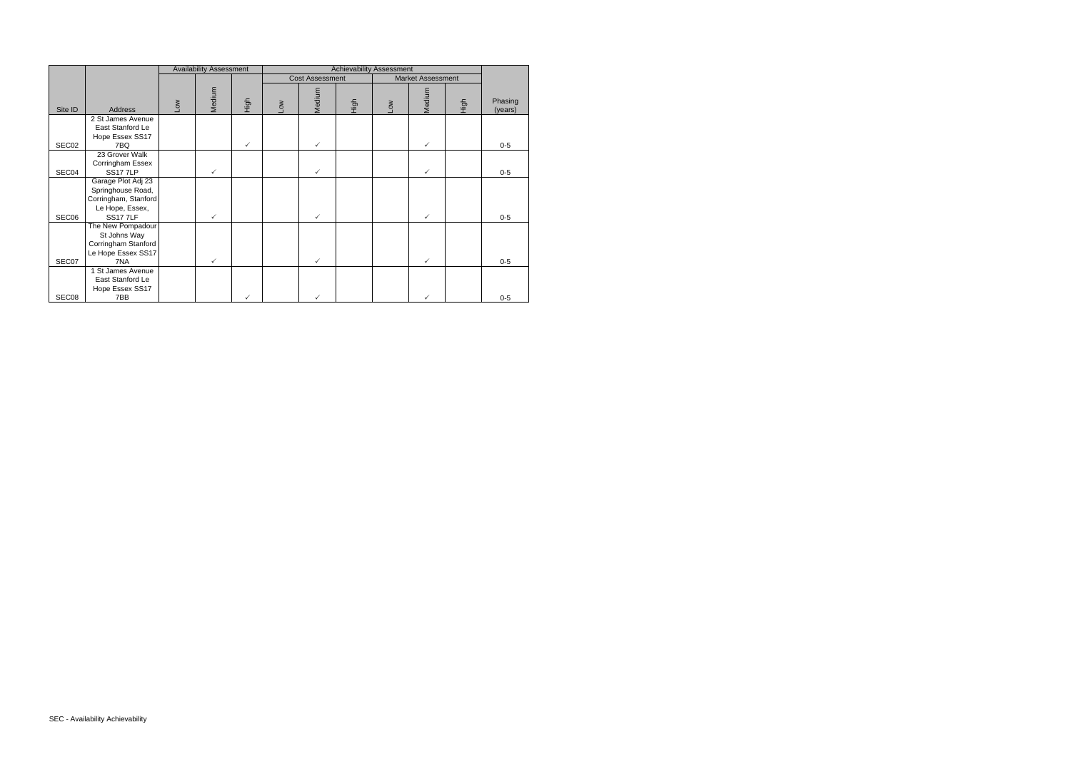|         |                                                                                                      |            | <b>Availability Assessment</b> |      | <b>Achievability Assessment</b> |                        |      |                  |                          |      |                    |
|---------|------------------------------------------------------------------------------------------------------|------------|--------------------------------|------|---------------------------------|------------------------|------|------------------|--------------------------|------|--------------------|
|         |                                                                                                      |            |                                |      |                                 | <b>Cost Assessment</b> |      |                  | <b>Market Assessment</b> |      |                    |
| Site ID | <b>Address</b>                                                                                       | <b>NOT</b> | Medium                         | High | Mo7                             | Medium                 | ngir | $\sum_{i=1}^{n}$ | Medium                   | High | Phasing<br>(years) |
| SEC02   | 2 St James Avenue<br>East Stanford Le<br>Hope Essex SS17<br>7BQ                                      |            |                                | ✓    |                                 | $\checkmark$           |      |                  | $\checkmark$             |      | $0-5$              |
| SEC04   | 23 Grover Walk<br>Corringham Essex<br><b>SS177LP</b>                                                 |            | $\checkmark$                   |      |                                 | $\checkmark$           |      |                  | $\checkmark$             |      | $0-5$              |
| SEC06   | Garage Plot Adj 23<br>Springhouse Road,<br>Corringham, Stanford<br>Le Hope, Essex,<br><b>SS177LF</b> |            | $\checkmark$                   |      |                                 | $\checkmark$           |      |                  | $\checkmark$             |      | $0-5$              |
| SEC07   | The New Pompadour<br>St Johns Way<br>Corringham Stanford<br>Le Hope Essex SS17<br>7NA                |            | $\checkmark$                   |      |                                 | $\checkmark$           |      |                  | $\checkmark$             |      | $0-5$              |
| SEC08   | 1 St James Avenue<br>East Stanford Le<br>Hope Essex SS17<br>7BB                                      |            |                                |      |                                 |                        |      |                  | ✓                        |      | $0 - 5$            |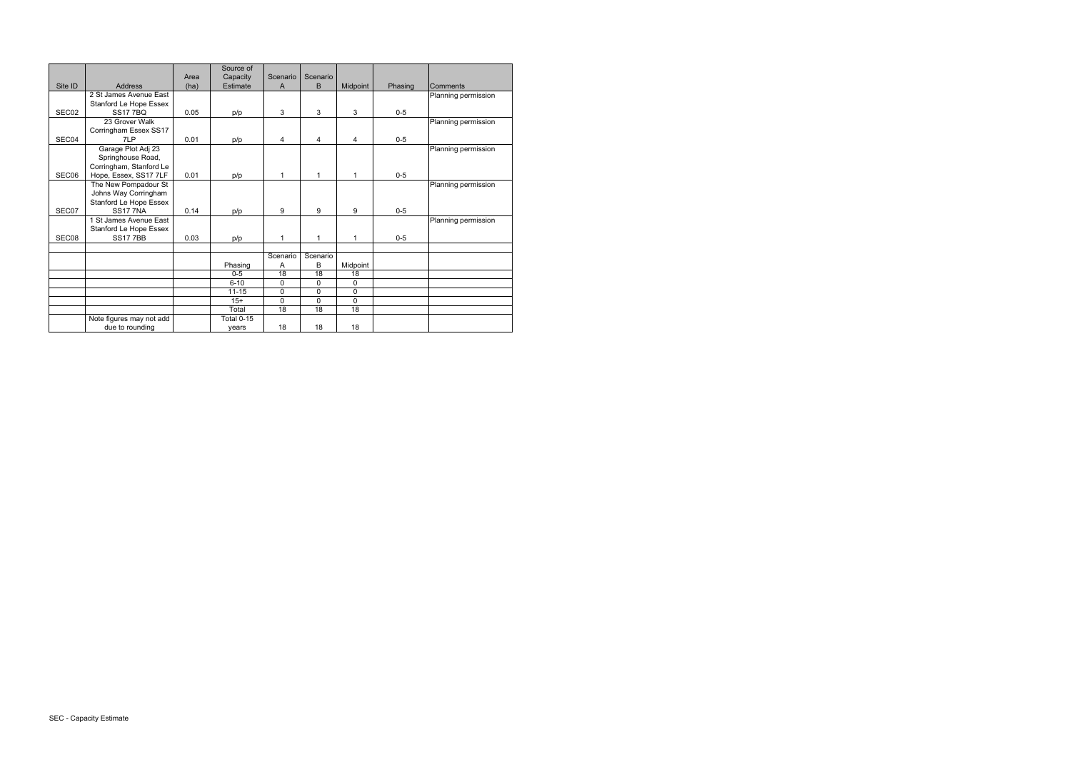|                   |                          |      | Source of         |              |          |          |         |                     |
|-------------------|--------------------------|------|-------------------|--------------|----------|----------|---------|---------------------|
|                   |                          | Area | Capacity          | Scenario     | Scenario |          |         |                     |
| Site ID           | <b>Address</b>           | (ha) | Estimate          | A            | B        | Midpoint | Phasing | Comments            |
|                   | 2 St James Avenue East   |      |                   |              |          |          |         | Planning permission |
|                   | Stanford Le Hope Essex   |      |                   |              |          |          |         |                     |
| SEC <sub>02</sub> | <b>SS177BQ</b>           | 0.05 | p/p               | 3            | 3        | 3        | $0-5$   |                     |
|                   | 23 Grover Walk           |      |                   |              |          |          |         | Planning permission |
|                   | Corringham Essex SS17    |      |                   |              |          |          |         |                     |
| SEC04             | 71 P                     | 0.01 | p/p               | 4            | 4        | 4        | $0 - 5$ |                     |
|                   | Garage Plot Adj 23       |      |                   |              |          |          |         | Planning permission |
|                   | Springhouse Road,        |      |                   |              |          |          |         |                     |
|                   | Corringham, Stanford Le  |      |                   |              |          |          |         |                     |
| SEC06             | Hope, Essex, SS17 7LF    | 0.01 | p/p               | 1            | 1        | 1        | $0-5$   |                     |
|                   | The New Pompadour St     |      |                   |              |          |          |         | Planning permission |
|                   | Johns Way Corringham     |      |                   |              |          |          |         |                     |
|                   | Stanford Le Hope Essex   |      |                   |              |          |          |         |                     |
| SEC07             | <b>SS17 7NA</b>          | 0.14 | p/p               | 9            | 9        | 9        | $0-5$   |                     |
|                   | 1 St James Avenue East   |      |                   |              |          |          |         | Planning permission |
|                   | Stanford Le Hope Essex   |      |                   |              |          |          |         |                     |
| SEC <sub>08</sub> | <b>SS177BB</b>           | 0.03 | p/p               | 1            | 1        | 1        | $0 - 5$ |                     |
|                   |                          |      |                   |              |          |          |         |                     |
|                   |                          |      |                   | Scenario     | Scenario |          |         |                     |
|                   |                          |      | Phasing           | A            | B        | Midpoint |         |                     |
|                   |                          |      | $0 - 5$           | 18           | 18       | 18       |         |                     |
|                   |                          |      | $6 - 10$          | $\mathbf{0}$ | $\Omega$ | 0        |         |                     |
|                   |                          |      | $11 - 15$         | $\mathbf 0$  | 0        | 0        |         |                     |
|                   |                          |      | $15+$             | $\Omega$     | $\Omega$ | 0        |         |                     |
|                   |                          |      | Total             | 18           | 18       | 18       |         |                     |
|                   | Note figures may not add |      | <b>Total 0-15</b> |              |          |          |         |                     |
|                   | due to rounding          |      | years             | 18           | 18       | 18       |         |                     |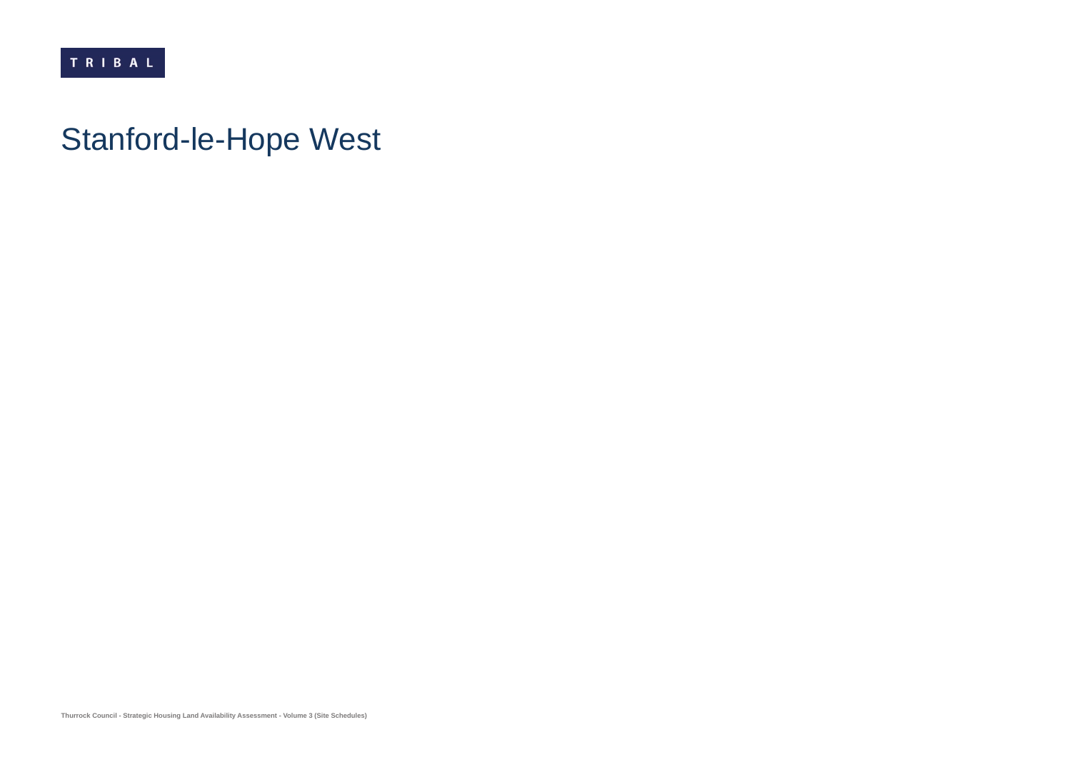## Stanford-le-Hope West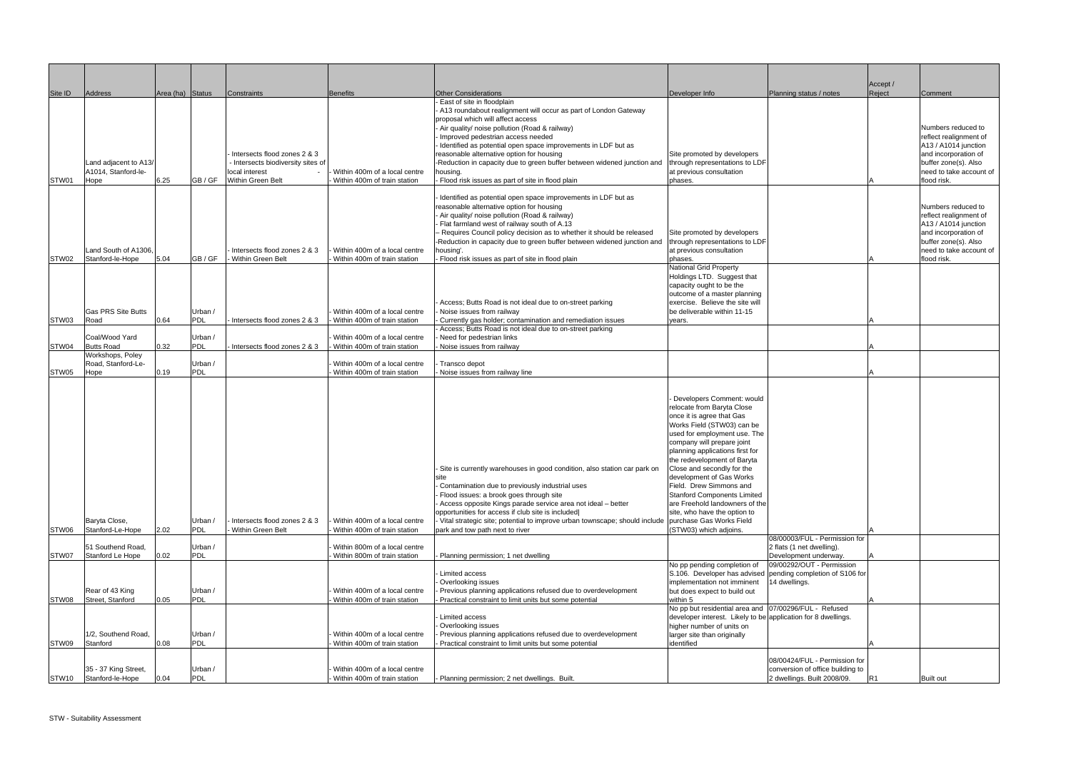|         |                                                      |                  |                       |                                                                                                           |                                                                 |                                                                                                                                                                                                                                                                                                                                                                                                                                                                                     |                                                                                                                                                                                                                                                                                                                                                                                                                                                                                                |                                                                                                  | Accept /       |                                                                                                                                                                |
|---------|------------------------------------------------------|------------------|-----------------------|-----------------------------------------------------------------------------------------------------------|-----------------------------------------------------------------|-------------------------------------------------------------------------------------------------------------------------------------------------------------------------------------------------------------------------------------------------------------------------------------------------------------------------------------------------------------------------------------------------------------------------------------------------------------------------------------|------------------------------------------------------------------------------------------------------------------------------------------------------------------------------------------------------------------------------------------------------------------------------------------------------------------------------------------------------------------------------------------------------------------------------------------------------------------------------------------------|--------------------------------------------------------------------------------------------------|----------------|----------------------------------------------------------------------------------------------------------------------------------------------------------------|
| Site ID | Address                                              | Area (ha) Status |                       | Constraints                                                                                               | <b>Benefits</b>                                                 | <b>Other Considerations</b>                                                                                                                                                                                                                                                                                                                                                                                                                                                         | Developer Info                                                                                                                                                                                                                                                                                                                                                                                                                                                                                 | Planning status / notes                                                                          | Reject         | Comment                                                                                                                                                        |
| STW01   | Land adjacent to A13/<br>A1014, Stanford-le-<br>Hope | 6.25             | GB/GF                 | Intersects flood zones 2 & 3<br>- Intersects biodiversity sites of<br>local interest<br>Within Green Belt | Within 400m of a local centre<br>Within 400m of train station   | East of site in floodplain<br>A13 roundabout realignment will occur as part of London Gateway<br>proposal which will affect access<br>Air quality/ noise pollution (Road & railway)<br>Improved pedestrian access needed<br>Identified as potential open space improvements in LDF but as<br>reasonable alternative option for housing<br>-Reduction in capacity due to green buffer between widened junction and<br>housing.<br>- Flood risk issues as part of site in flood plain | Site promoted by developers<br>through representations to LDF<br>at previous consultation<br>phases.                                                                                                                                                                                                                                                                                                                                                                                           |                                                                                                  |                | Numbers reduced to<br>reflect realignment of<br>A13 / A1014 junction<br>and incorporation of<br>buffer zone(s). Also<br>need to take account of<br>flood risk. |
| STW02   | Land South of A1306,<br>Stanford-le-Hope             | 5.04             | GB/GF                 | Intersects flood zones 2 & 3<br>Within Green Belt                                                         | Within 400m of a local centre<br>Within 400m of train station   | Identified as potential open space improvements in LDF but as<br>reasonable alternative option for housing<br>Air quality/ noise pollution (Road & railway)<br>Flat farmland west of railway south of A.13<br>- Requires Council policy decision as to whether it should be released<br>Reduction in capacity due to green buffer between widened junction and<br>housing'.<br>Flood risk issues as part of site in flood plain                                                     | Site promoted by developers<br>through representations to LDF<br>at previous consultation<br>phases.                                                                                                                                                                                                                                                                                                                                                                                           |                                                                                                  |                | Numbers reduced to<br>reflect realignment of<br>A13 / A1014 junction<br>and incorporation of<br>buffer zone(s). Also<br>need to take account of<br>flood risk. |
| STW03   | <b>Gas PRS Site Butts</b><br>Road                    | 0.64             | Urban /<br>PDL        | Intersects flood zones 2 & 3                                                                              | Within 400m of a local centre<br>Within 400m of train station   | Access; Butts Road is not ideal due to on-street parking<br>Noise issues from railway<br>Currently gas holder; contamination and remediation issues                                                                                                                                                                                                                                                                                                                                 | National Grid Property<br>Holdings LTD. Suggest that<br>capacity ought to be the<br>outcome of a master planning<br>exercise. Believe the site will<br>be deliverable within 11-15<br>years.                                                                                                                                                                                                                                                                                                   |                                                                                                  |                |                                                                                                                                                                |
| STW04   | Coal/Wood Yard<br><b>Butts Road</b>                  | 0.32             | Urban /<br>PDL        | Intersects flood zones 2 & 3                                                                              | Within 400m of a local centre<br>- Within 400m of train station | Access; Butts Road is not ideal due to on-street parking<br>Need for pedestrian links<br>Noise issues from railway                                                                                                                                                                                                                                                                                                                                                                  |                                                                                                                                                                                                                                                                                                                                                                                                                                                                                                |                                                                                                  |                |                                                                                                                                                                |
| STW05   | Workshops, Poley<br>Road, Stanford-Le-<br>Hope       | 0.19             | Urban /<br><b>PDL</b> |                                                                                                           | Within 400m of a local centre<br>Within 400m of train station   | Transco depot<br>Noise issues from railway line                                                                                                                                                                                                                                                                                                                                                                                                                                     |                                                                                                                                                                                                                                                                                                                                                                                                                                                                                                |                                                                                                  |                |                                                                                                                                                                |
| STW06   | Baryta Close,<br>Stanford-Le-Hope                    | 2.02             | Urban<br><b>PDL</b>   | Intersects flood zones 2 & 3<br>· Within Green Belt                                                       | Within 400m of a local centre<br>Within 400m of train station   | Site is currently warehouses in good condition, also station car park on<br>Contamination due to previously industrial uses<br>Flood issues: a brook goes through site<br>Access opposite Kings parade service area not ideal - better<br>opportunities for access if club site is included<br>Vital strategic site; potential to improve urban townscape; should include<br>park and tow path next to river                                                                        | Developers Comment: would<br>relocate from Baryta Close<br>once it is agree that Gas<br>Works Field (STW03) can be<br>used for employment use. The<br>company will prepare joint<br>planning applications first for<br>the redevelopment of Baryta<br>Close and secondly for the<br>development of Gas Works<br>Field. Drew Simmons and<br>Stanford Components Limited<br>are Freehold landowners of the<br>site, who have the option to<br>purchase Gas Works Field<br>(STW03) which adjoins. |                                                                                                  |                |                                                                                                                                                                |
| STW07   | 51 Southend Road,<br>Stanford Le Hope                | 0.02             | Urban /<br>PDL        |                                                                                                           | Within 800m of a local centre<br>Within 800m of train station   | Planning permission; 1 net dwelling                                                                                                                                                                                                                                                                                                                                                                                                                                                 |                                                                                                                                                                                                                                                                                                                                                                                                                                                                                                | 08/00003/FUL - Permission for<br>2 flats (1 net dwelling).<br>Development underway.              |                |                                                                                                                                                                |
| STW08   | Rear of 43 King<br>Street, Stanford                  | 0.05             | Urban /<br>PDL        |                                                                                                           | Within 400m of a local centre<br>- Within 400m of train station | Limited access<br>Overlooking issues<br>Previous planning applications refused due to overdevelopment<br>Practical constraint to limit units but some potential                                                                                                                                                                                                                                                                                                                     | No pp pending completion of<br>S.106. Developer has advised<br>implementation not imminent<br>but does expect to build out<br>within 5                                                                                                                                                                                                                                                                                                                                                         | 09/00292/OUT - Permission<br>pending completion of S106 for<br>14 dwellings.                     |                |                                                                                                                                                                |
| STW09   | 1/2, Southend Road,<br>Stanford                      | 0.08             | Urban /<br>PDL        |                                                                                                           | Within 400m of a local centre<br>Within 400m of train station   | Limited access<br>Overlooking issues<br>Previous planning applications refused due to overdevelopment<br>Practical constraint to limit units but some potential                                                                                                                                                                                                                                                                                                                     | No pp but residential area and 07/00296/FUL - Refused<br>developer interest. Likely to be application for 8 dwellings.<br>higher number of units on<br>larger site than originally<br>identified                                                                                                                                                                                                                                                                                               |                                                                                                  |                |                                                                                                                                                                |
| STW10   | 35 - 37 King Street,<br>Stanford-le-Hope             | 0.04             | Urban /<br>PDL        |                                                                                                           | Within 400m of a local centre<br>Within 400m of train station   | Planning permission; 2 net dwellings. Built.                                                                                                                                                                                                                                                                                                                                                                                                                                        |                                                                                                                                                                                                                                                                                                                                                                                                                                                                                                | 08/00424/FUL - Permission for<br>conversion of office building to<br>2 dwellings. Built 2008/09. | R <sub>1</sub> | Built out                                                                                                                                                      |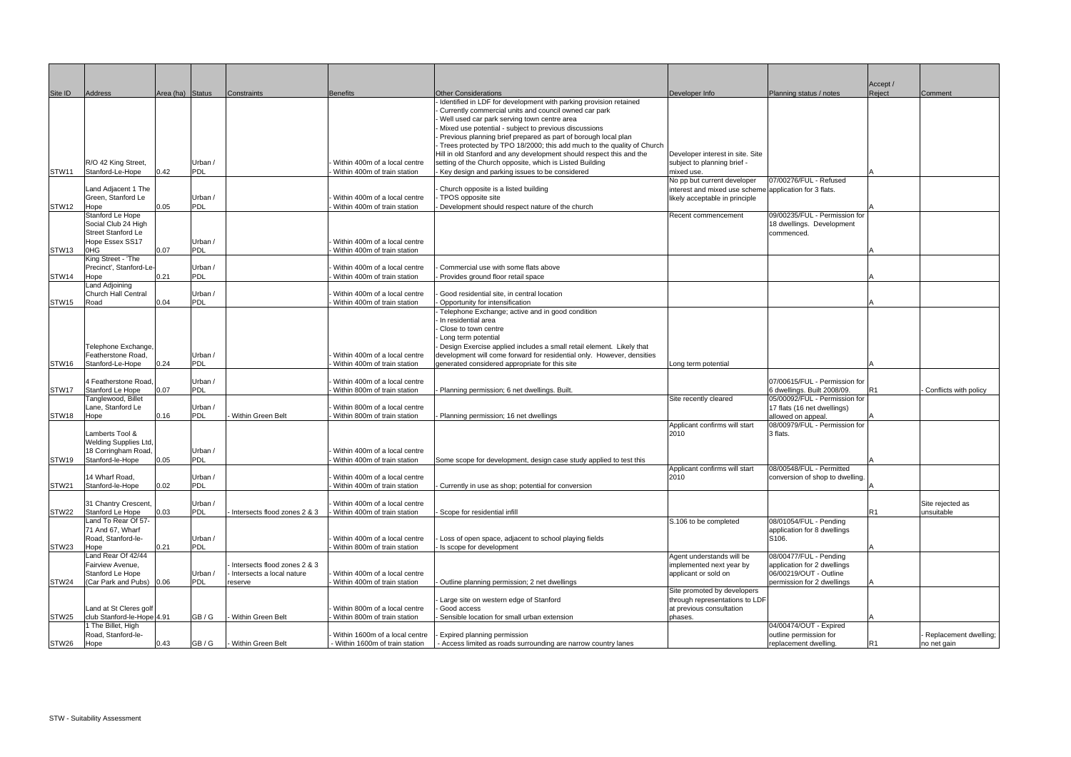|                   |                                                  |                  |                       |                              |                                                               |                                                                                                      |                                                        |                                 | A   |
|-------------------|--------------------------------------------------|------------------|-----------------------|------------------------------|---------------------------------------------------------------|------------------------------------------------------------------------------------------------------|--------------------------------------------------------|---------------------------------|-----|
| Site ID           | <b>Address</b>                                   | Area (ha) Status |                       | Constraints                  | <b>Benefits</b>                                               | <b>Other Considerations</b>                                                                          | Developer Info                                         | Planning status / notes         | Re  |
|                   |                                                  |                  |                       |                              |                                                               | Identified in LDF for development with parking provision retained                                    |                                                        |                                 |     |
|                   |                                                  |                  |                       |                              |                                                               | Currently commercial units and council owned car park<br>Well used car park serving town centre area |                                                        |                                 |     |
|                   |                                                  |                  |                       |                              |                                                               | Mixed use potential - subject to previous discussions                                                |                                                        |                                 |     |
|                   |                                                  |                  |                       |                              |                                                               | Previous planning brief prepared as part of borough local plan                                       |                                                        |                                 |     |
|                   |                                                  |                  |                       |                              |                                                               | Trees protected by TPO 18/2000; this add much to the quality of Church                               |                                                        |                                 |     |
|                   |                                                  |                  |                       |                              |                                                               | Hill in old Stanford and any development should respect this and the                                 | Developer interest in site. Site                       |                                 |     |
|                   | R/O 42 King Street,                              |                  | Urban /               |                              | Within 400m of a local centre                                 | setting of the Church opposite, which is Listed Building                                             | subject to planning brief -                            |                                 |     |
| STW11             | Stanford-Le-Hope                                 | 0.42             | <b>PDL</b>            |                              | Within 400m of train station                                  | Key design and parking issues to be considered                                                       | mixed use.                                             |                                 |     |
|                   |                                                  |                  |                       |                              |                                                               |                                                                                                      | No pp but current developer                            | 07/00276/FUL - Refused          |     |
|                   | Land Adjacent 1 The                              |                  |                       |                              |                                                               | Church opposite is a listed building                                                                 | interest and mixed use scheme application for 3 flats. |                                 |     |
|                   | Green, Stanford Le                               |                  | Urban /<br>PDL        |                              | Within 400m of a local centre                                 | TPOS opposite site                                                                                   | likely acceptable in principle                         |                                 |     |
| STW12             | Hope<br>Stanford Le Hope                         | 0.05             |                       |                              | Within 400m of train station                                  | Development should respect nature of the church                                                      | Recent commencement                                    | 09/00235/FUL - Permission for   |     |
|                   | Social Club 24 High                              |                  |                       |                              |                                                               |                                                                                                      |                                                        | 18 dwellings. Development       |     |
|                   | <b>Street Stanford Le</b>                        |                  |                       |                              |                                                               |                                                                                                      |                                                        | commenced.                      |     |
|                   | Hope Essex SS17                                  |                  | Urban /               |                              | Within 400m of a local centre                                 |                                                                                                      |                                                        |                                 |     |
| STW13             | 0HG                                              | 0.07             | PDL                   |                              | Within 400m of train station                                  |                                                                                                      |                                                        |                                 |     |
|                   | King Street - 'The                               |                  |                       |                              |                                                               |                                                                                                      |                                                        |                                 |     |
|                   | Precinct', Stanford-Le-                          |                  | Urban /               |                              | Within 400m of a local centre                                 | Commercial use with some flats above                                                                 |                                                        |                                 |     |
| STW14             | Hope                                             | 0.21             | PDL                   |                              | Within 400m of train station                                  | Provides ground floor retail space                                                                   |                                                        |                                 |     |
|                   | Land Adjoining                                   |                  |                       |                              |                                                               |                                                                                                      |                                                        |                                 |     |
| STW <sub>15</sub> | Church Hall Central<br>Road                      | 0.04             | Urban /<br>PDL        |                              | Within 400m of a local centre<br>Within 400m of train station | Good residential site, in central location<br>Opportunity for intensification                        |                                                        |                                 |     |
|                   |                                                  |                  |                       |                              |                                                               | Telephone Exchange; active and in good condition                                                     |                                                        |                                 |     |
|                   |                                                  |                  |                       |                              |                                                               | In residential area                                                                                  |                                                        |                                 |     |
|                   |                                                  |                  |                       |                              |                                                               | Close to town centre                                                                                 |                                                        |                                 |     |
|                   |                                                  |                  |                       |                              |                                                               | Long term potential                                                                                  |                                                        |                                 |     |
|                   | Telephone Exchange,                              |                  |                       |                              |                                                               | Design Exercise applied includes a small retail element. Likely that                                 |                                                        |                                 |     |
|                   | Featherstone Road,                               |                  | Urban /               |                              | Within 400m of a local centre                                 | development will come forward for residential only. However, densities                               |                                                        |                                 |     |
| STW16             | Stanford-Le-Hope                                 | 0.24             | PDL                   |                              | Within 400m of train station                                  | generated considered appropriate for this site                                                       | Long term potential                                    |                                 |     |
|                   | 4 Featherstone Road,                             |                  | Urban /               |                              | Within 400m of a local centre                                 |                                                                                                      |                                                        | 07/00615/FUL - Permission for   |     |
| STW17             | Stanford Le Hope                                 | 0.07             | PDL                   |                              | Within 800m of train station                                  | Planning permission; 6 net dwellings. Built.                                                         |                                                        | 6 dwellings. Built 2008/09.     | IR1 |
|                   | Tanglewood, Billet                               |                  |                       |                              |                                                               |                                                                                                      | Site recently cleared                                  | 05/00092/FUL - Permission for   |     |
|                   | Lane, Stanford Le                                |                  | Urban /               |                              | Within 800m of a local centre                                 |                                                                                                      |                                                        | 17 flats (16 net dwellings)     |     |
| STW18             | Hope                                             | 0.16             | PDL                   | Within Green Belt            | Within 800m of train station                                  | Planning permission; 16 net dwellings                                                                |                                                        | allowed on appeal.              |     |
|                   |                                                  |                  |                       |                              |                                                               |                                                                                                      | Applicant confirms will start                          | 08/00979/FUL - Permission for   |     |
|                   | Lamberts Tool &                                  |                  |                       |                              |                                                               |                                                                                                      | 2010                                                   | 3 flats.                        |     |
|                   | Welding Supplies Ltd,                            |                  |                       |                              |                                                               |                                                                                                      |                                                        |                                 |     |
|                   | 18 Corringham Road,<br>Stanford-le-Hope          |                  | Urban /<br><b>PDL</b> |                              | Within 400m of a local centre                                 |                                                                                                      |                                                        |                                 |     |
| STW19             |                                                  | 0.05             |                       |                              | Within 400m of train station                                  | Some scope for development, design case study applied to test this                                   | Applicant confirms will start                          | 08/00548/FUL - Permitted        |     |
|                   | 14 Wharf Road,                                   |                  | Urban /               |                              | Within 400m of a local centre                                 |                                                                                                      | 2010                                                   | conversion of shop to dwelling. |     |
| STW21             | Stanford-le-Hope                                 | 0.02             | PDL                   |                              | Within 400m of train station                                  | Currently in use as shop; potential for conversion                                                   |                                                        |                                 |     |
|                   |                                                  |                  |                       |                              |                                                               |                                                                                                      |                                                        |                                 |     |
|                   | 31 Chantry Crescent,                             |                  | Urban /               |                              | Within 400m of a local centre                                 |                                                                                                      |                                                        |                                 |     |
| STW22             | Stanford Le Hope                                 | 0.03             | PDL                   | Intersects flood zones 2 & 3 | Within 400m of train station                                  | Scope for residential infill                                                                         |                                                        |                                 | R   |
|                   | Land To Rear Of 57-                              |                  |                       |                              |                                                               |                                                                                                      | S.106 to be completed                                  | 08/01054/FUL - Pending          |     |
|                   | 71 And 67, Wharf                                 |                  |                       |                              |                                                               |                                                                                                      |                                                        | application for 8 dwellings     |     |
| STW23             | Road, Stanford-le-<br>Hope                       | 0.21             | Urban /<br>PDL        |                              | Within 400m of a local centre<br>Within 800m of train station | Loss of open space, adjacent to school playing fields<br>Is scope for development                    |                                                        | S106.                           |     |
|                   | Land Rear Of 42/44                               |                  |                       |                              |                                                               |                                                                                                      | Agent understands will be                              | 08/00477/FUL - Pending          | A   |
|                   | Fairview Avenue,                                 |                  |                       | Intersects flood zones 2 & 3 |                                                               |                                                                                                      | implemented next year by                               | application for 2 dwellings     |     |
|                   | Stanford Le Hope                                 |                  | Urban /               | Intersects a local nature    | Within 400m of a local centre                                 |                                                                                                      | applicant or sold on                                   | 06/00219/OUT - Outline          |     |
| STW24             | (Car Park and Pubs) 0.06                         |                  | PDL                   | reserve                      | Within 400m of train station                                  | Outline planning permission; 2 net dwellings                                                         |                                                        | permission for 2 dwellings      |     |
|                   |                                                  |                  |                       |                              |                                                               |                                                                                                      | Site promoted by developers                            |                                 |     |
|                   |                                                  |                  |                       |                              |                                                               | Large site on western edge of Stanford                                                               | through representations to LDF                         |                                 |     |
|                   | Land at St Cleres golf                           |                  |                       |                              | Within 800m of a local centre                                 | Good access                                                                                          | at previous consultation                               |                                 |     |
| STW25             | club Stanford-le-Hope 4.91<br>1 The Billet, High |                  | GB/G                  | Within Green Belt            | Within 800m of train station                                  | Sensible location for small urban extension                                                          | phases.                                                | 04/00474/OUT - Expired          |     |
|                   | Road, Stanford-le-                               |                  |                       |                              | Within 1600m of a local centre                                | Expired planning permission                                                                          |                                                        | outline permission for          |     |
| STW26             | Hope                                             | 0.43             | GB / G                | - Within Green Belt          | - Within 1600m of train station                               | - Access limited as roads surrounding are narrow country lanes                                       |                                                        | replacement dwelling.           | R'  |
|                   |                                                  |                  |                       |                              |                                                               |                                                                                                      |                                                        |                                 |     |

|                                                     | Accept /       |                         |
|-----------------------------------------------------|----------------|-------------------------|
| Planning status / notes                             | Reject         | Comment                 |
|                                                     |                |                         |
|                                                     |                |                         |
|                                                     |                |                         |
|                                                     |                |                         |
|                                                     |                |                         |
|                                                     |                |                         |
|                                                     |                |                         |
|                                                     |                |                         |
|                                                     | Α              |                         |
| 07/00276/FUL - Refused                              |                |                         |
| application for 3 flats.                            |                |                         |
|                                                     |                |                         |
|                                                     | Α              |                         |
| 09/00235/FUL - Permission for                       |                |                         |
| 18 dwellings. Development                           |                |                         |
| commenced.                                          |                |                         |
|                                                     |                |                         |
|                                                     | Α              |                         |
|                                                     |                |                         |
|                                                     | Α              |                         |
|                                                     |                |                         |
|                                                     |                |                         |
|                                                     | Α              |                         |
|                                                     |                |                         |
|                                                     |                |                         |
|                                                     |                |                         |
|                                                     |                |                         |
|                                                     |                |                         |
|                                                     |                |                         |
|                                                     | Α              |                         |
|                                                     |                |                         |
| 07/00615/FUL - Permission for                       |                |                         |
| 6 dwellings. Built 2008/09.                         | R <sub>1</sub> | - Conflicts with policy |
| 05/00092/FUL - Permission for                       |                |                         |
| 17 flats (16 net dwellings)                         |                |                         |
| allowed on appeal.<br>08/00979/FUL - Permission for | A              |                         |
| 3 flats.                                            |                |                         |
|                                                     |                |                         |
|                                                     |                |                         |
|                                                     | Α              |                         |
| 08/00548/FUL - Permitted                            |                |                         |
| conversion of shop to dwelling.                     |                |                         |
|                                                     | Α              |                         |
|                                                     |                |                         |
|                                                     |                | Site rejected as        |
|                                                     | R1             | unsuitable              |
| 08/01054/FUL - Pending                              |                |                         |
| application for 8 dwellings                         |                |                         |
| S106.                                               |                |                         |
|                                                     | Α              |                         |
| 08/00477/FUL - Pending                              |                |                         |
| application for 2 dwellings                         |                |                         |
| 06/00219/OUT - Outline                              |                |                         |
| permission for 2 dwellings                          | Α              |                         |
|                                                     |                |                         |
|                                                     |                |                         |
|                                                     | Α              |                         |
| 04/00474/OUT - Expired                              |                |                         |
| outline permission for                              |                | - Replacement dwelling; |
| replacement dwelling.                               | R <sub>1</sub> | no net gain             |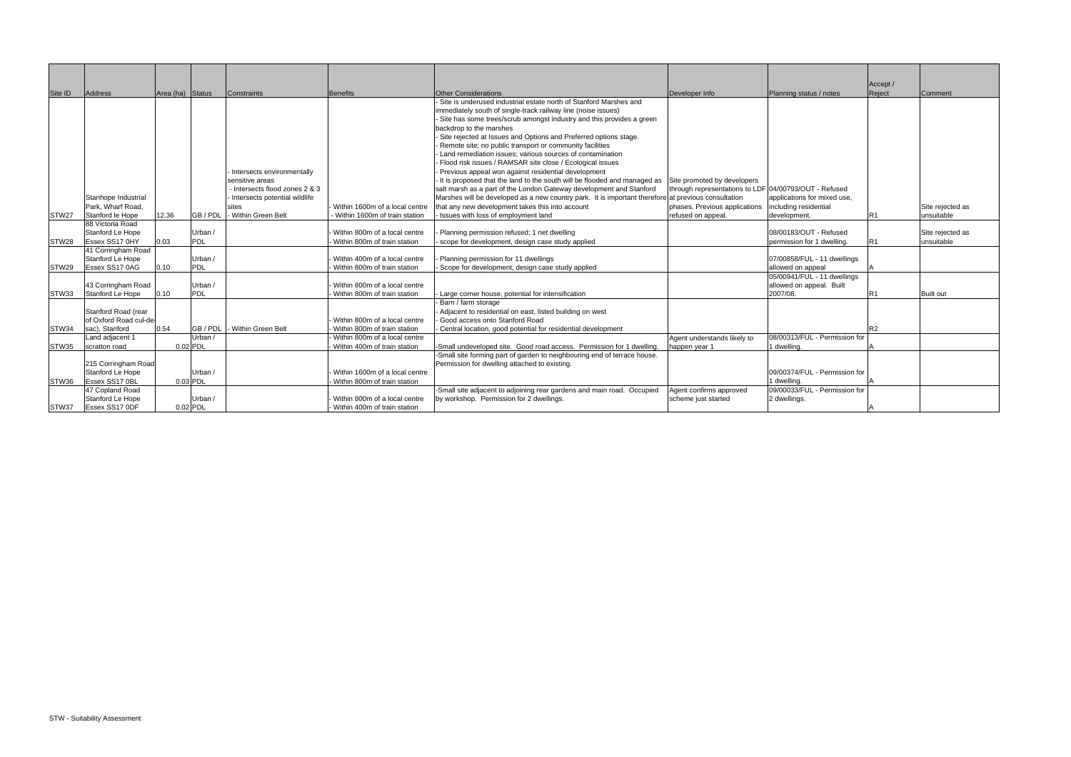|         |                                      |                  |                       |                                |                                 |                                                                                                     |                                                       |                               | Accept / |                                |
|---------|--------------------------------------|------------------|-----------------------|--------------------------------|---------------------------------|-----------------------------------------------------------------------------------------------------|-------------------------------------------------------|-------------------------------|----------|--------------------------------|
| Site ID | <b>Address</b>                       | Area (ha) Status |                       | <b>Constraints</b>             | Benefits                        | <b>Other Considerations</b>                                                                         | Developer Info                                        | Planning status / notes       | Reject   | <b>Comment</b>                 |
|         |                                      |                  |                       |                                |                                 | Site is underused industrial estate north of Stanford Marshes and                                   |                                                       |                               |          |                                |
|         |                                      |                  |                       |                                |                                 | immediately south of single-track railway line (noise issues)                                       |                                                       |                               |          |                                |
|         |                                      |                  |                       |                                |                                 | Site has some trees/scrub amongst industry and this provides a green                                |                                                       |                               |          |                                |
|         |                                      |                  |                       |                                |                                 | backdrop to the marshes                                                                             |                                                       |                               |          |                                |
|         |                                      |                  |                       |                                |                                 | Site rejected at Issues and Options and Preferred options stage.                                    |                                                       |                               |          |                                |
|         |                                      |                  |                       |                                |                                 | Remote site; no public transport or community facilities                                            |                                                       |                               |          |                                |
|         |                                      |                  |                       |                                |                                 | Land remediation issues; various sources of contamination                                           |                                                       |                               |          |                                |
|         |                                      |                  |                       |                                |                                 | Flood risk issues / RAMSAR site close / Ecological issues                                           |                                                       |                               |          |                                |
|         |                                      |                  |                       | Intersects environmentally     |                                 | Previous appeal won against residential development                                                 |                                                       |                               |          |                                |
|         |                                      |                  |                       | sensitive areas                |                                 | It is proposed that the land to the south will be flooded and managed as                            | Site promoted by developers                           |                               |          |                                |
|         |                                      |                  |                       | - Intersects flood zones 2 & 3 |                                 | salt marsh as a part of the London Gateway development and Stanford                                 | through representations to LDF 04/00793/OUT - Refused |                               |          |                                |
|         | Stanhope Industrial                  |                  |                       | Intersects potential wildlife  |                                 | Marshes will be developed as a new country park. It is important therefore at previous consultation |                                                       | applications for mixed use,   |          |                                |
|         | Park. Wharf Road.                    |                  |                       | sites                          | Within 1600m of a local centre  | that any new development takes this into account                                                    | phases. Previous applications                         | including residential         |          | Site rejected as               |
| STW27   | Stanford le Hope<br>88 Victoria Road | 12.36            | GB / PDL              | - Within Green Belt            | Within 1600m of train station   | Issues with loss of employment land                                                                 | refused on appeal.                                    | development.                  | IR1      | unsuitable                     |
|         | Stanford Le Hope                     |                  |                       |                                | Within 800m of a local centre   |                                                                                                     |                                                       | 08/00183/OUT - Refused        |          |                                |
| STW28   | Essex SS17 0HY                       | 0.03             | Urban /<br><b>PDL</b> |                                | Within 800m of train station    | Planning permission refused; 1 net dwelling<br>scope for development, design case study applied     |                                                       | permission for 1 dwelling.    | IR1      | Site rejected as<br>unsuitable |
|         | 41 Corringham Road                   |                  |                       |                                |                                 |                                                                                                     |                                                       |                               |          |                                |
|         | Stanford Le Hope                     |                  | Urban /               |                                | - Within 400m of a local centre | Planning permission for 11 dwellings                                                                |                                                       | 07/00858/FUL - 11 dwellings   |          |                                |
| STW29   | Essex SS17 0AG                       | 0.10             | <b>PDL</b>            |                                | Within 800m of train station    | Scope for development, design case study applied                                                    |                                                       | allowed on appeal             |          |                                |
|         |                                      |                  |                       |                                |                                 |                                                                                                     |                                                       | 05/00941/FUL - 11 dwellings   |          |                                |
|         | 43 Corringham Road                   |                  | Urban /               |                                | Within 800m of a local centre   |                                                                                                     |                                                       | allowed on appeal. Built      |          |                                |
| STW33   | Stanford Le Hope                     | 0.10             | <b>PDL</b>            |                                | Within 800m of train station    | Large corner house, potential for intensification                                                   |                                                       | 2007/08.                      | IR1      | <b>Built</b> out               |
|         |                                      |                  |                       |                                |                                 | Barn / farm storage                                                                                 |                                                       |                               |          |                                |
|         | Stanford Road (rear                  |                  |                       |                                |                                 | Adjacent to residential on east, listed building on west                                            |                                                       |                               |          |                                |
|         | of Oxford Road cul-de-               |                  |                       |                                | Within 800m of a local centre   | Good access onto Stanford Road                                                                      |                                                       |                               |          |                                |
| STW34   | sac). Stanford                       | 0.54             |                       | GB / PDL - Within Green Belt   | Within 800m of train station    | Central location, good potential for residential development                                        |                                                       |                               | R2       |                                |
|         | Land adjacent 1                      |                  | Urban /               |                                | Within 800m of a local centre   |                                                                                                     | Agent understands likely to                           | 08/00313/FUL - Permission for |          |                                |
| STW35   | scratton road                        |                  | $0.02$ PDL            |                                | - Within 400m of train station  | -Small undeveloped site. Good road access. Permission for 1 dwelling.                               | happen year 1                                         | 1 dwelling.                   |          |                                |
|         |                                      |                  |                       |                                |                                 | -Small site forming part of garden to neighbouring end of terrace house.                            |                                                       |                               |          |                                |
|         | 215 Corringham Road                  |                  |                       |                                |                                 | Permission for dwelling attached to existing.                                                       |                                                       |                               |          |                                |
|         | Stanford Le Hope                     |                  | Urban /               |                                | Within 1600m of a local centre  |                                                                                                     |                                                       | 09/00374/FUL - Permission for |          |                                |
| STW36   | Essex SS17 0BL                       |                  | 0.03 PDL              |                                | Within 800m of train station    |                                                                                                     |                                                       | 1 dwelling.                   |          |                                |
|         | 47 Copland Road                      |                  |                       |                                |                                 | -Small site adjacent to adjoining rear gardens and main road. Occupied                              | Agent confirms approved                               | 09/00033/FUL - Permission for |          |                                |
|         | Stanford Le Hope                     |                  | Urban /               |                                | Within 800m of a local centre   | by workshop. Permission for 2 dwellings.                                                            | scheme just started                                   | 2 dwellings.                  |          |                                |
| STW37   | Essex SS17 0DF                       |                  | 0.02 PDL              |                                | - Within 400m of train station  |                                                                                                     |                                                       |                               |          |                                |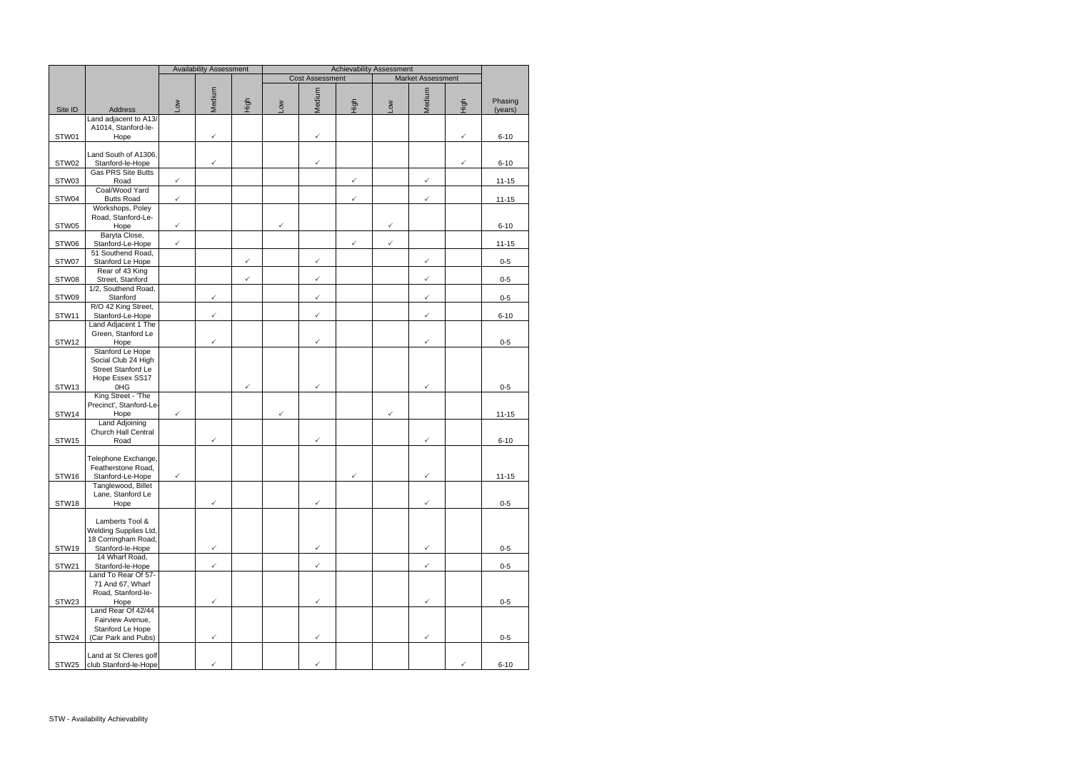|         |                                               |              | <b>Availability Assessment</b> |              |              |                        | <b>Achievability Assessment</b> |              |                          |              |                    |
|---------|-----------------------------------------------|--------------|--------------------------------|--------------|--------------|------------------------|---------------------------------|--------------|--------------------------|--------------|--------------------|
|         |                                               |              |                                |              |              | <b>Cost Assessment</b> |                                 |              | <b>Market Assessment</b> |              |                    |
| Site ID | Address                                       | <b>No7</b>   | Medium                         | High         | Low          | Medium                 | High                            | <b>NOT</b>   | Medium                   | High         | Phasing<br>(years) |
|         | Land adjacent to A13/                         |              |                                |              |              |                        |                                 |              |                          |              |                    |
| STW01   | A1014, Stanford-le-<br>Hope                   |              | $\checkmark$                   |              |              | $\checkmark$           |                                 |              |                          | ✓            | $6 - 10$           |
| STW02   | Land South of A1306,<br>Stanford-le-Hope      |              | $\checkmark$                   |              |              | $\checkmark$           |                                 |              |                          | $\checkmark$ | $6 - 10$           |
| STW03   | Gas PRS Site Butts<br>Road                    | $\checkmark$ |                                |              |              |                        | $\checkmark$                    |              | $\checkmark$             |              | $11 - 15$          |
| STW04   | Coal/Wood Yard<br><b>Butts Road</b>           | $\checkmark$ |                                |              |              |                        | $\checkmark$                    |              | $\checkmark$             |              | $11 - 15$          |
|         | Workshops, Poley<br>Road, Stanford-Le-        |              |                                |              |              |                        |                                 |              |                          |              |                    |
| STW05   | Hope<br>Baryta Close,                         | $\checkmark$ |                                |              | $\checkmark$ |                        |                                 | ✓            |                          |              | $6 - 10$           |
| STW06   | Stanford-Le-Hope                              | $\checkmark$ |                                |              |              |                        | ✓                               | $\checkmark$ |                          |              | $11 - 15$          |
| STW07   | 51 Southend Road,<br>Stanford Le Hope         |              |                                | $\checkmark$ |              | ✓                      |                                 |              | $\checkmark$             |              | $0 - 5$            |
| STW08   | Rear of 43 King<br>Street, Stanford           |              |                                | $\checkmark$ |              | $\checkmark$           |                                 |              | $\checkmark$             |              | $0-5$              |
| STW09   | 1/2, Southend Road,<br>Stanford               |              | $\checkmark$                   |              |              | $\checkmark$           |                                 |              | $\checkmark$             |              | $0 - 5$            |
| STW11   | R/O 42 King Street,<br>Stanford-Le-Hope       |              | $\checkmark$                   |              |              | $\checkmark$           |                                 |              | $\checkmark$             |              | $6 - 10$           |
|         | Land Adjacent 1 The<br>Green, Stanford Le     |              |                                |              |              |                        |                                 |              |                          |              |                    |
| STW12   | Hope<br>Stanford Le Hope                      |              | $\checkmark$                   |              |              | $\checkmark$           |                                 |              | $\checkmark$             |              | $0 - 5$            |
|         | Social Club 24 High<br>Street Stanford Le     |              |                                |              |              |                        |                                 |              |                          |              |                    |
| STW13   | Hope Essex SS17<br>0HG                        |              |                                | $\checkmark$ |              | $\checkmark$           |                                 |              | $\checkmark$             |              | $0-5$              |
|         | King Street - 'The<br>Precinct', Stanford-Le- |              |                                |              |              |                        |                                 |              |                          |              |                    |
| STW14   | Hope<br><b>Land Adjoining</b>                 | $\checkmark$ |                                |              | ✓            |                        |                                 | $\checkmark$ |                          |              | $11 - 15$          |
| STW15   | Church Hall Central<br>Road                   |              | $\checkmark$                   |              |              | $\checkmark$           |                                 |              | $\checkmark$             |              | $6 - 10$           |
|         | Telephone Exchange,                           |              |                                |              |              |                        |                                 |              |                          |              |                    |
| STW16   | Featherstone Road,<br>Stanford-Le-Hope        | $\checkmark$ |                                |              |              |                        | $\checkmark$                    |              | $\checkmark$             |              | $11 - 15$          |
|         | Tanglewood, Billet<br>Lane, Stanford Le       |              |                                |              |              |                        |                                 |              |                          |              |                    |
| STW18   | Hope                                          |              | $\checkmark$                   |              |              | $\checkmark$           |                                 |              | $\checkmark$             |              | $0-5$              |
|         | Lamberts Tool &<br>Welding Supplies Ltd,      |              |                                |              |              |                        |                                 |              |                          |              |                    |
|         | 18 Corringham Road,                           |              |                                |              |              |                        |                                 |              |                          |              |                    |
| STW19   | Stanford-le-Hope<br>14 Wharf Road,            |              | $\checkmark$                   |              |              | $\checkmark$           |                                 |              | $\checkmark$             |              | $0 - 5$            |
| STW21   | Stanford-le-Hope<br>Land To Rear Of 57-       |              | $\checkmark$                   |              |              | $\checkmark$           |                                 |              | $\checkmark$             |              | $0-5$              |
|         | 71 And 67, Wharf<br>Road, Stanford-le-        |              |                                |              |              |                        |                                 |              |                          |              |                    |
| STW23   | Hope<br>Land Rear Of 42/44                    |              | $\checkmark$                   |              |              | $\checkmark$           |                                 |              | $\checkmark$             |              | $0 - 5$            |
|         | Fairview Avenue,                              |              |                                |              |              |                        |                                 |              |                          |              |                    |
| STW24   | Stanford Le Hope<br>(Car Park and Pubs)       |              | $\checkmark$                   |              |              | $\checkmark$           |                                 |              | $\checkmark$             |              | $0-5$              |
|         | Land at St Cleres golf                        |              |                                |              |              |                        |                                 |              |                          |              |                    |
| STW25   | club Stanford-le-Hope                         |              | ✓                              |              |              | ✓                      |                                 |              |                          | $\checkmark$ | $6 - 10$           |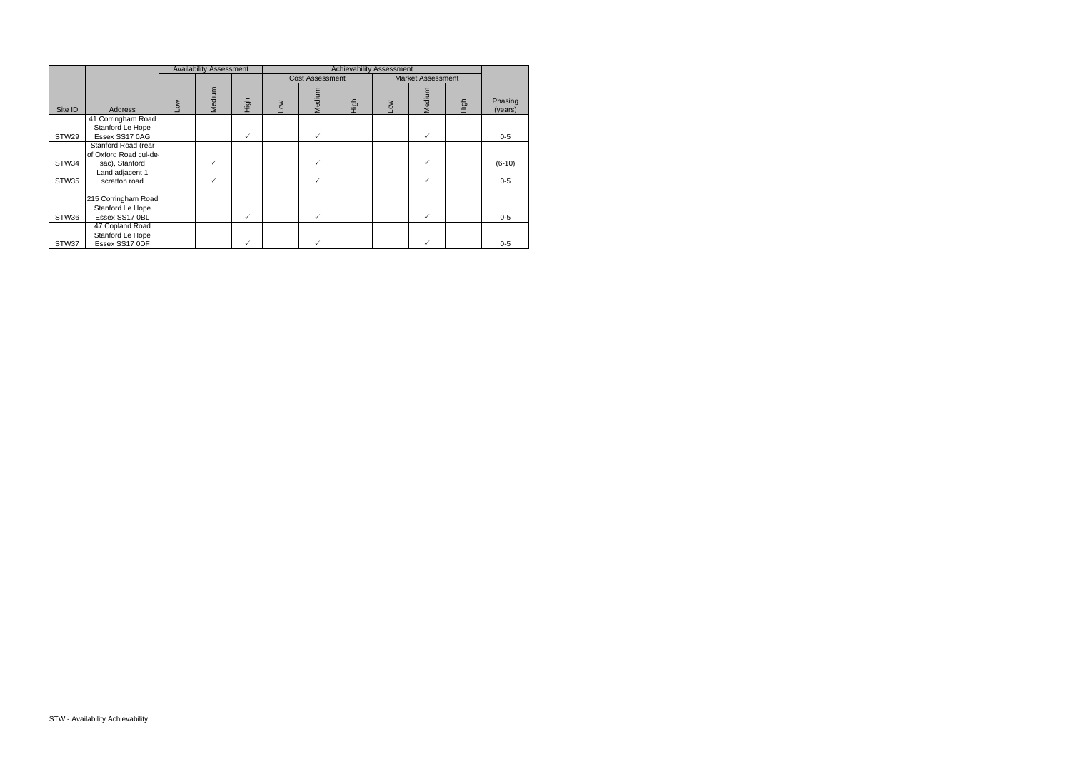|         |                                                           |     | <b>Availability Assessment</b> |              | <b>Achievability Assessment</b> |                        |      |    |                          |      |                    |
|---------|-----------------------------------------------------------|-----|--------------------------------|--------------|---------------------------------|------------------------|------|----|--------------------------|------|--------------------|
|         |                                                           |     |                                |              |                                 | <b>Cost Assessment</b> |      |    | <b>Market Assessment</b> |      |                    |
| Site ID | <b>Address</b>                                            | ΜΟΤ | Medium                         | High         | NOT                             | Medium                 | High | ŠΡ | Medium                   | High | Phasing<br>(years) |
|         | 41 Corringham Road                                        |     |                                |              |                                 |                        |      |    |                          |      |                    |
| STW29   | Stanford Le Hope<br>Essex SS17 0AG                        |     |                                | ✓            |                                 | $\checkmark$           |      |    | ✓                        |      | $0-5$              |
|         | Stanford Road (rear                                       |     |                                |              |                                 |                        |      |    |                          |      |                    |
|         | of Oxford Road cul-de-                                    |     |                                |              |                                 |                        |      |    |                          |      |                    |
| STW34   | sac), Stanford                                            |     | $\checkmark$                   |              |                                 | $\checkmark$           |      |    | $\checkmark$             |      | $(6-10)$           |
| STW35   | Land adjacent 1<br>scratton road                          |     |                                |              |                                 | ✓                      |      |    |                          |      | $0-5$              |
| STW36   | 215 Corringham Road<br>Stanford Le Hope<br>Essex SS17 0BL |     |                                | $\checkmark$ |                                 |                        |      |    | ✓                        |      | $0-5$              |
|         | 47 Copland Road                                           |     |                                |              |                                 |                        |      |    |                          |      |                    |
|         | Stanford Le Hope                                          |     |                                |              |                                 |                        |      |    |                          |      |                    |
| STW37   | Essex SS17 0DF                                            |     |                                |              |                                 |                        |      |    |                          |      | $0-5$              |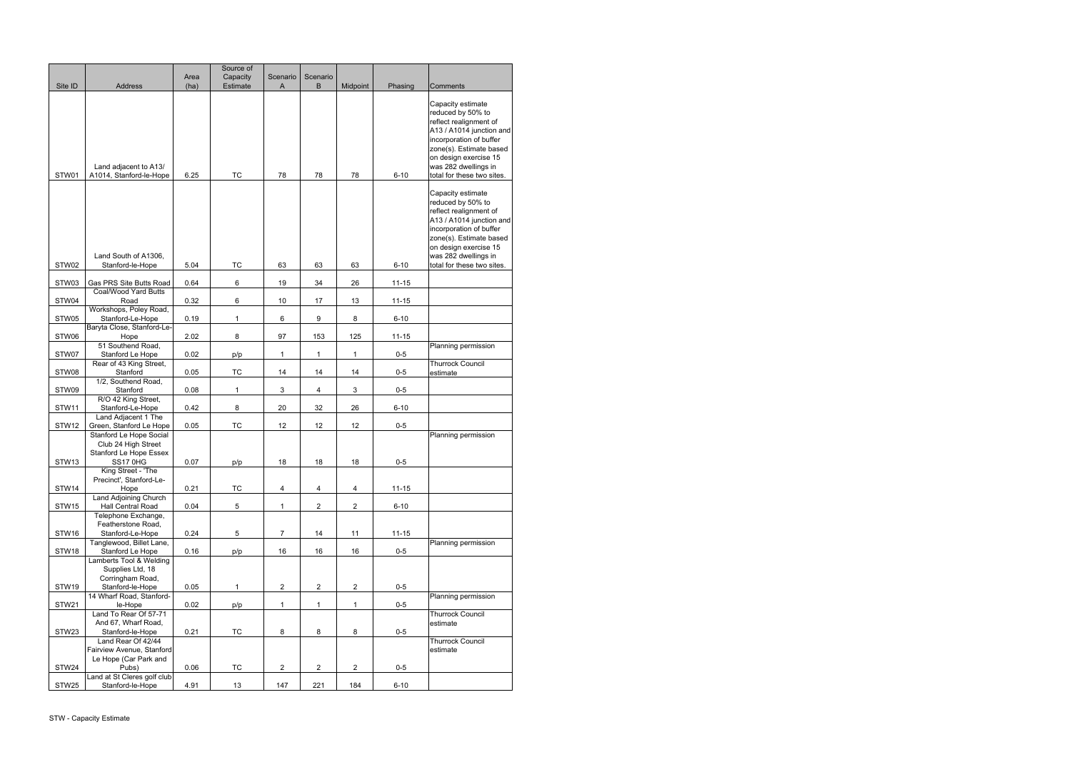|         |                                                                                                     |              | Source of            |                |                |                         |           |                                                                                                                                                                                                                                   |
|---------|-----------------------------------------------------------------------------------------------------|--------------|----------------------|----------------|----------------|-------------------------|-----------|-----------------------------------------------------------------------------------------------------------------------------------------------------------------------------------------------------------------------------------|
| Site ID | <b>Address</b>                                                                                      | Area<br>(ha) | Capacity<br>Estimate | Scenario<br>A  | Scenario<br>B  | Midpoint                | Phasing   | Comments                                                                                                                                                                                                                          |
| STW01   | Land adjacent to A13/<br>A1014, Stanford-le-Hope                                                    | 6.25         | <b>TC</b>            | 78             | 78             | 78                      | $6 - 10$  | Capacity estimate<br>reduced by 50% to<br>reflect realignment of<br>A13 / A1014 junction and<br>incorporation of buffer<br>zone(s). Estimate based<br>on design exercise 15<br>was 282 dwellings in<br>total for these two sites. |
|         | Land South of A1306,                                                                                |              |                      |                |                |                         |           | Capacity estimate<br>reduced by 50% to<br>reflect realignment of<br>A13 / A1014 junction and<br>incorporation of buffer<br>zone(s). Estimate based<br>on design exercise 15<br>was 282 dwellings in                               |
| STW02   | Stanford-le-Hope                                                                                    | 5.04         | TC                   | 63             | 63             | 63                      | $6 - 10$  | total for these two sites.                                                                                                                                                                                                        |
| STW03   | Gas PRS Site Butts Road                                                                             | 0.64         | 6                    | 19             | 34             | 26                      | $11 - 15$ |                                                                                                                                                                                                                                   |
| STW04   | Coal/Wood Yard Butts<br>Road                                                                        | 0.32         | 6                    | 10             | 17             | 13                      | $11 - 15$ |                                                                                                                                                                                                                                   |
| STW05   | Workshops, Poley Road,<br>Stanford-Le-Hope                                                          | 0.19         | 1                    | 6              | 9              | 8                       | $6 - 10$  |                                                                                                                                                                                                                                   |
| STW06   | Baryta Close, Stanford-Le-<br>Hope                                                                  | 2.02         | 8                    | 97             | 153            | 125                     | $11 - 15$ |                                                                                                                                                                                                                                   |
| STW07   | 51 Southend Road,<br>Stanford Le Hope                                                               | 0.02         | p/p                  | 1              | 1              | 1                       | $0-5$     | Planning permission                                                                                                                                                                                                               |
| STW08   | Rear of 43 King Street,<br>Stanford                                                                 | 0.05         | TC                   | 14             | 14             | 14                      | $0-5$     | <b>Thurrock Council</b><br>estimate                                                                                                                                                                                               |
| STW09   | 1/2, Southend Road,<br>Stanford                                                                     | 0.08         | 1                    | 3              | 4              | 3                       | $0 - 5$   |                                                                                                                                                                                                                                   |
|         | R/O 42 King Street,                                                                                 |              |                      | 20             | 32             |                         |           |                                                                                                                                                                                                                                   |
| STW11   | Stanford-Le-Hope<br>Land Adjacent 1 The                                                             | 0.42         | 8                    |                |                | 26                      | $6 - 10$  |                                                                                                                                                                                                                                   |
| STW12   | Green, Stanford Le Hope<br>Stanford Le Hope Social<br>Club 24 High Street<br>Stanford Le Hope Essex | 0.05         | TC                   | 12             | 12             | 12                      | $0 - 5$   | Planning permission                                                                                                                                                                                                               |
| STW13   | <b>SS17 0HG</b>                                                                                     | 0.07         | p/p                  | 18             | 18             | 18                      | $0-5$     |                                                                                                                                                                                                                                   |
|         | King Street - 'The<br>Precinct', Stanford-Le-                                                       |              |                      |                |                |                         |           |                                                                                                                                                                                                                                   |
| STW14   | Hope<br><b>Land Adjoining Church</b>                                                                | 0.21         | <b>TC</b>            | 4              | 4              | 4                       | $11 - 15$ |                                                                                                                                                                                                                                   |
| STW15   | Hall Central Road<br>Telephone Exchange,                                                            | 0.04         | 5                    | 1              | 2              | $\overline{\mathbf{c}}$ | $6 - 10$  |                                                                                                                                                                                                                                   |
| STW16   | Featherstone Road,<br>Stanford-Le-Hope                                                              | 0.24         | 5                    | $\overline{7}$ | 14             | 11                      | $11 - 15$ |                                                                                                                                                                                                                                   |
| STW18   | Tanglewood, Billet Lane,<br>Stanford Le Hope                                                        | 0.16         | p/p                  | 16             | 16             | 16                      | $0-5$     | Planning permission                                                                                                                                                                                                               |
| STW19   | Lamberts Tool & Welding<br>Supplies Ltd, 18<br>Corringham Road,<br>Stanford-le-Hope                 | 0.05         | 1                    | $\overline{2}$ | $\overline{c}$ | $\overline{c}$          | $0 - 5$   |                                                                                                                                                                                                                                   |
| STW21   | 14 Wharf Road, Stanford-<br>le-Hope                                                                 | 0.02         |                      | 1              | $\mathbf{1}$   | $\mathbf{1}$            | $0 - 5$   | Planning permission                                                                                                                                                                                                               |
|         | Land To Rear Of 57-71<br>And 67, Wharf Road,                                                        |              | p/p                  |                |                |                         |           | <b>Thurrock Council</b><br>estimate                                                                                                                                                                                               |
| STW23   | Stanford-le-Hope                                                                                    | 0.21         | TC                   | 8              | 8              | 8                       | $0-5$     |                                                                                                                                                                                                                                   |
|         | Land Rear Of 42/44<br>Fairview Avenue, Stanford                                                     |              |                      |                |                |                         |           | <b>Thurrock Council</b><br>estimate                                                                                                                                                                                               |
| STW24   | Le Hope (Car Park and<br>Pubs)                                                                      | 0.06         | <b>TC</b>            | $\overline{2}$ | $\overline{c}$ | $\overline{c}$          | $0-5$     |                                                                                                                                                                                                                                   |
| STW25   | Land at St Cleres golf club<br>Stanford-le-Hope                                                     | 4.91         | 13                   | 147            | 221            | 184                     | $6 - 10$  |                                                                                                                                                                                                                                   |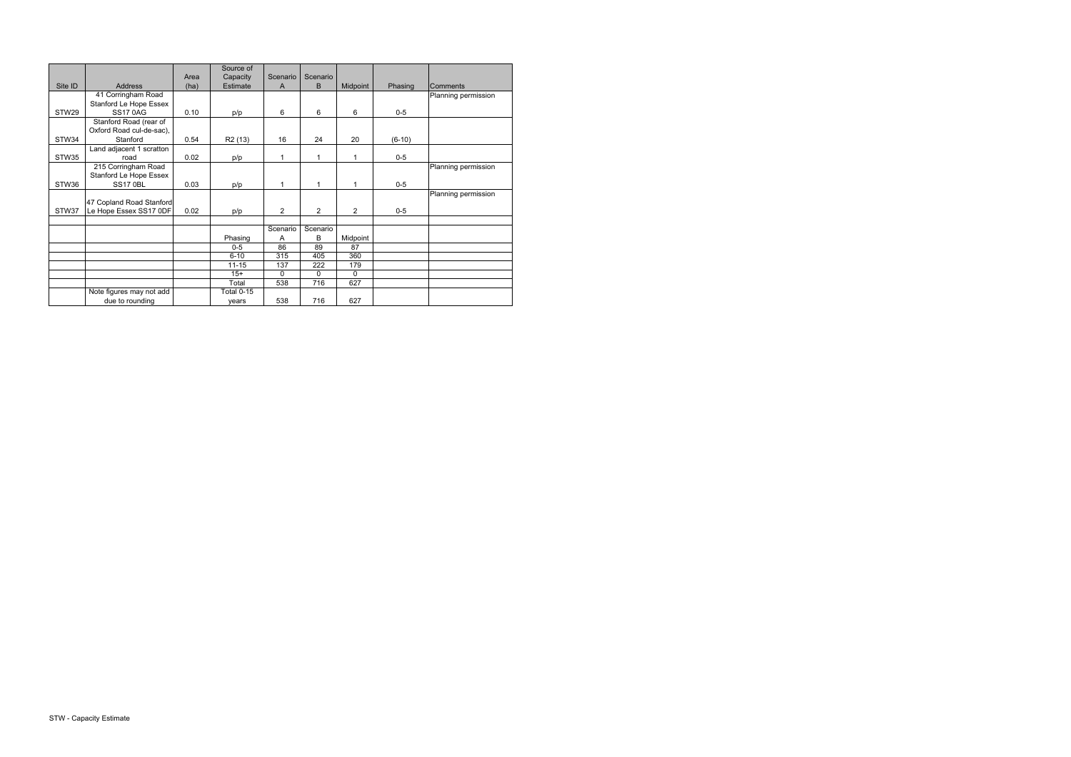|         |                          | Area | Source of<br>Capacity | Scenario     | Scenario |                |          |                     |
|---------|--------------------------|------|-----------------------|--------------|----------|----------------|----------|---------------------|
| Site ID | <b>Address</b>           | (ha) | Estimate              | A            | B        | Midpoint       | Phasing  | Comments            |
|         | 41 Corringham Road       |      |                       |              |          |                |          | Planning permission |
|         | Stanford Le Hope Essex   |      |                       |              |          |                |          |                     |
| STW29   | <b>SS17 0AG</b>          | 0.10 | p/p                   | 6            | 6        | 6              | $0-5$    |                     |
|         | Stanford Road (rear of   |      |                       |              |          |                |          |                     |
|         | Oxford Road cul-de-sac), |      |                       |              |          |                |          |                     |
| STW34   | Stanford                 | 0.54 | R <sub>2</sub> (13)   | 16           | 24       | 20             | $(6-10)$ |                     |
|         | Land adjacent 1 scratton |      |                       |              |          |                |          |                     |
| STW35   | road                     | 0.02 | p/p                   | 1            | 1        | 1              | $0-5$    |                     |
|         | 215 Corringham Road      |      |                       |              |          |                |          | Planning permission |
|         | Stanford Le Hope Essex   |      |                       |              |          |                |          |                     |
| STW36   | <b>SS17 0BL</b>          | 0.03 | p/p                   | 1            | 1        | 1              | $0-5$    |                     |
|         |                          |      |                       |              |          |                |          | Planning permission |
|         | 47 Copland Road Stanford |      |                       |              |          |                |          |                     |
| STW37   | Le Hope Essex SS17 0DF   | 0.02 | p/p                   | 2            | 2        | $\overline{c}$ | $0-5$    |                     |
|         |                          |      |                       |              |          |                |          |                     |
|         |                          |      |                       | Scenario     | Scenario |                |          |                     |
|         |                          |      | Phasing               | A            | B        | Midpoint       |          |                     |
|         |                          |      | $0 - 5$               | 86           | 89       | 87             |          |                     |
|         |                          |      | $6 - 10$              | 315          | 405      | 360            |          |                     |
|         |                          |      | $11 - 15$             | 137          | 222      | 179            |          |                     |
|         |                          |      | $15+$                 | $\mathbf{0}$ | $\Omega$ | 0              |          |                     |
|         |                          |      | Total                 | 538          | 716      | 627            |          |                     |
|         | Note figures may not add |      | <b>Total 0-15</b>     |              |          |                |          |                     |
|         | due to rounding          |      | vears                 | 538          | 716      | 627            |          |                     |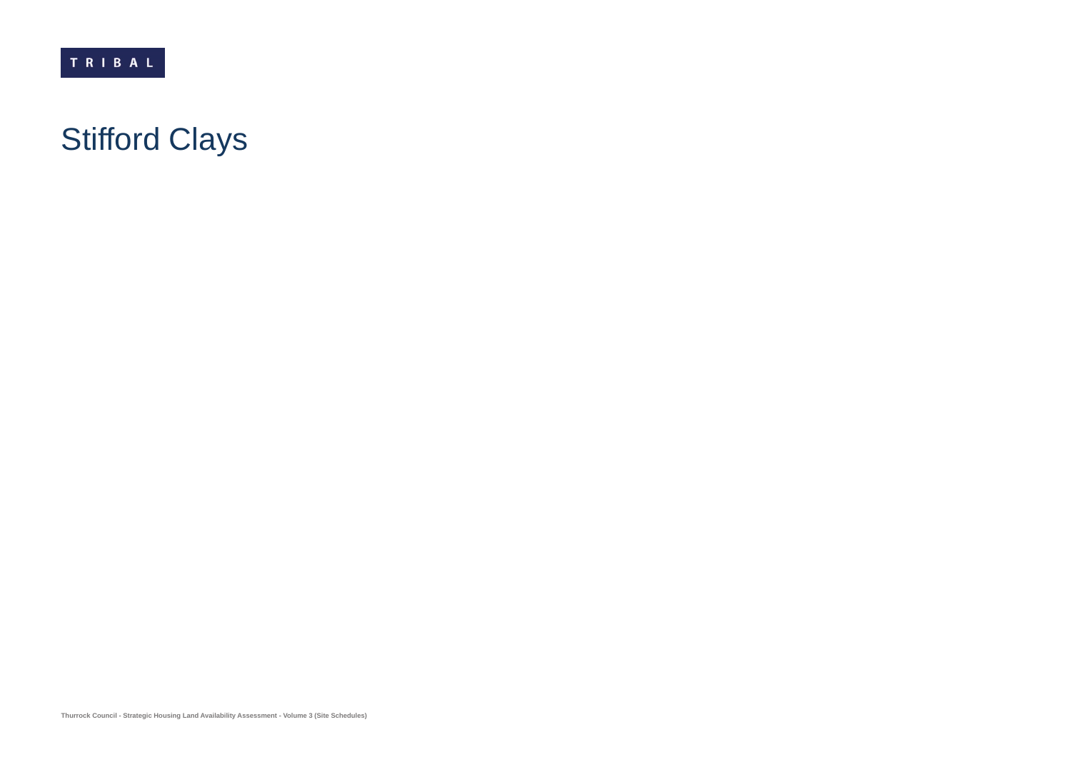# Stifford Clays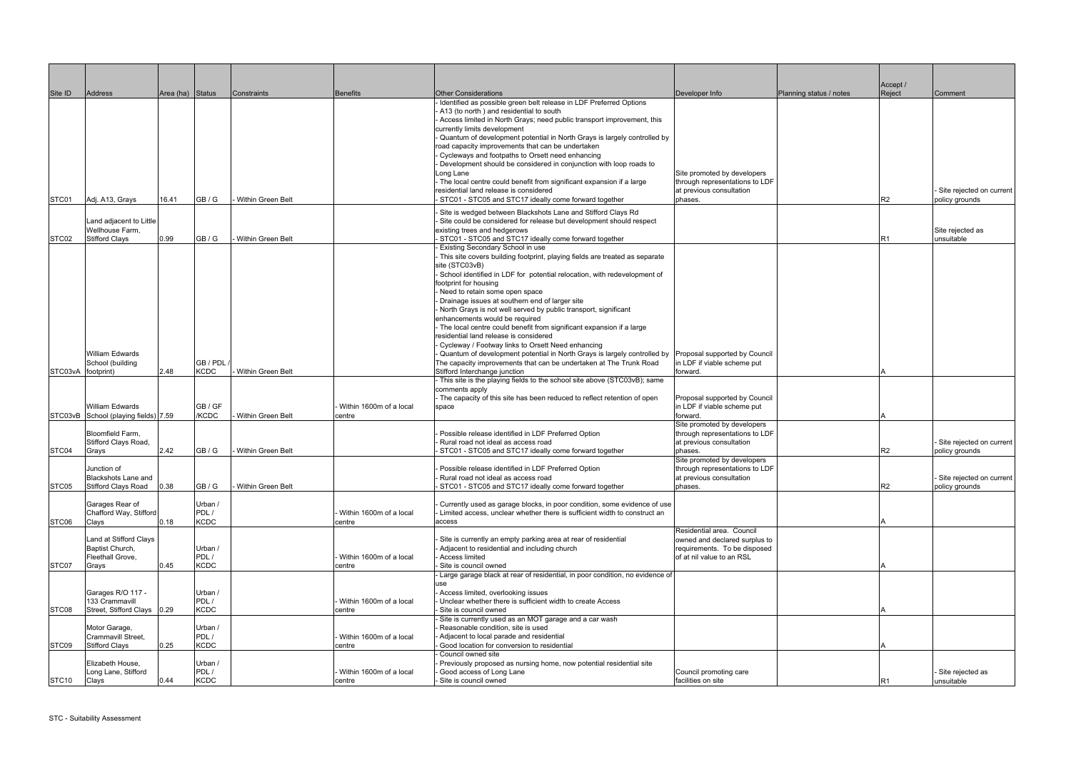|                    |                                               |                  |                         |                     |                                   |                                                                                                                                     |                                                               |                         | Accept / |                                |
|--------------------|-----------------------------------------------|------------------|-------------------------|---------------------|-----------------------------------|-------------------------------------------------------------------------------------------------------------------------------------|---------------------------------------------------------------|-------------------------|----------|--------------------------------|
| Site ID            | <b>Address</b>                                | Area (ha) Status |                         | Constraints         | <b>Benefits</b>                   | <b>Other Considerations</b><br>- Identified as possible green belt release in LDF Preferred Options                                 | Developer Info                                                | Planning status / notes | Reject   | Comment                        |
|                    |                                               |                  |                         |                     |                                   | - A13 (to north) and residential to south                                                                                           |                                                               |                         |          |                                |
|                    |                                               |                  |                         |                     |                                   | Access limited in North Grays; need public transport improvement, this                                                              |                                                               |                         |          |                                |
|                    |                                               |                  |                         |                     |                                   | currently limits development<br>Quantum of development potential in North Grays is largely controlled by                            |                                                               |                         |          |                                |
|                    |                                               |                  |                         |                     |                                   | road capacity improvements that can be undertaken                                                                                   |                                                               |                         |          |                                |
|                    |                                               |                  |                         |                     |                                   | - Cycleways and footpaths to Orsett need enhancing                                                                                  |                                                               |                         |          |                                |
|                    |                                               |                  |                         |                     |                                   | - Development should be considered in conjunction with loop roads to<br>Long Lane                                                   | Site promoted by developers                                   |                         |          |                                |
|                    |                                               |                  |                         |                     |                                   | - The local centre could benefit from significant expansion if a large                                                              | through representations to LDF                                |                         |          |                                |
|                    |                                               |                  |                         |                     |                                   | residential land release is considered                                                                                              | at previous consultation                                      |                         |          | Site rejected on current       |
| STC01              | Adj. A13, Grays                               | 16.41            | GB / G                  | - Within Green Belt |                                   | STC01 - STC05 and STC17 ideally come forward together                                                                               | phases.                                                       |                         | R2       | policy grounds                 |
|                    | Land adjacent to Little                       |                  |                         |                     |                                   | Site is wedged between Blackshots Lane and Stifford Clays Rd<br>Site could be considered for release but development should respect |                                                               |                         |          |                                |
|                    | Wellhouse Farm,                               |                  |                         |                     |                                   | existing trees and hedgerows                                                                                                        |                                                               |                         |          | Site rejected as               |
| STC02              | Stifford Clays                                | 0.99             | GB/G                    | - Within Green Belt |                                   | STC01 - STC05 and STC17 ideally come forward together                                                                               |                                                               |                         | IR1      | unsuitable                     |
|                    |                                               |                  |                         |                     |                                   | Existing Secondary School in use<br>- This site covers building footprint, playing fields are treated as separate                   |                                                               |                         |          |                                |
|                    |                                               |                  |                         |                     |                                   | site (STC03vB)                                                                                                                      |                                                               |                         |          |                                |
|                    |                                               |                  |                         |                     |                                   | - School identified in LDF for potential relocation, with redevelopment of                                                          |                                                               |                         |          |                                |
|                    |                                               |                  |                         |                     |                                   | footprint for housing<br>- Need to retain some open space                                                                           |                                                               |                         |          |                                |
|                    |                                               |                  |                         |                     |                                   | - Drainage issues at southern end of larger site                                                                                    |                                                               |                         |          |                                |
|                    |                                               |                  |                         |                     |                                   | North Grays is not well served by public transport, significant                                                                     |                                                               |                         |          |                                |
|                    |                                               |                  |                         |                     |                                   | enhancements would be required                                                                                                      |                                                               |                         |          |                                |
|                    |                                               |                  |                         |                     |                                   | - The local centre could benefit from significant expansion if a large<br>residential land release is considered                    |                                                               |                         |          |                                |
|                    |                                               |                  |                         |                     |                                   | - Cycleway / Footway links to Orsett Need enhancing                                                                                 |                                                               |                         |          |                                |
|                    | <b>William Edwards</b>                        |                  |                         |                     |                                   | Quantum of development potential in North Grays is largely controlled by Proposal supported by Council                              |                                                               |                         |          |                                |
| STC03vA footprint) | School (building                              | 2.48             | GB / PDL<br><b>KCDC</b> | - Within Green Belt |                                   | The capacity improvements that can be undertaken at The Trunk Road<br>Stifford Interchange junction                                 | in LDF if viable scheme put<br>forward.                       |                         |          |                                |
|                    |                                               |                  |                         |                     |                                   | - This site is the playing fields to the school site above (STC03vB); same                                                          |                                                               |                         |          |                                |
|                    |                                               |                  |                         |                     |                                   | comments apply                                                                                                                      |                                                               |                         |          |                                |
|                    | <b>William Edwards</b>                        |                  | GB / GF                 |                     | Within 1600m of a local           | - The capacity of this site has been reduced to reflect retention of open<br>space                                                  | Proposal supported by Council<br>in LDF if viable scheme put  |                         |          |                                |
|                    | STC03vB School (playing fields) 7.59          |                  | /KCDC                   | Within Green Belt   | centre                            |                                                                                                                                     | forward.                                                      |                         |          |                                |
|                    | Bloomfield Farm,                              |                  |                         |                     |                                   | Possible release identified in LDF Preferred Option                                                                                 | Site promoted by developers<br>through representations to LDF |                         |          |                                |
|                    | Stifford Clays Road,                          |                  |                         |                     |                                   | Rural road not ideal as access road                                                                                                 | at previous consultation                                      |                         |          | Site rejected on current       |
| STC04              | Grays                                         | 2.42             | GB / G                  | Within Green Belt   |                                   | STC01 - STC05 and STC17 ideally come forward together                                                                               | phases.                                                       |                         | R2       | policy grounds                 |
|                    | Junction of                                   |                  |                         |                     |                                   | Possible release identified in LDF Preferred Option                                                                                 | Site promoted by developers<br>through representations to LDF |                         |          |                                |
|                    | <b>Blackshots Lane and</b>                    |                  |                         |                     |                                   | Rural road not ideal as access road                                                                                                 | at previous consultation                                      |                         |          | Site rejected on current       |
| STC05              | <b>Stifford Clays Road</b>                    | 0.38             | GB / G                  | Within Green Belt   |                                   | STC01 - STC05 and STC17 ideally come forward together                                                                               | phases.                                                       |                         | R2       | policy grounds                 |
|                    | Garages Rear of                               |                  | Urban /                 |                     |                                   | Currently used as garage blocks, in poor condition, some evidence of use                                                            |                                                               |                         |          |                                |
|                    | Chafford Way, Stifford                        |                  | PDL/                    |                     | Within 1600m of a local           | Limited access, unclear whether there is sufficient width to construct an                                                           |                                                               |                         |          |                                |
| STC06              | Clays                                         | 0.18             | <b>KCDC</b>             |                     | centre                            | access                                                                                                                              |                                                               |                         |          |                                |
|                    | Land at Stifford Clays                        |                  |                         |                     |                                   | Site is currently an empty parking area at rear of residential                                                                      | Residential area. Council<br>owned and declared surplus to    |                         |          |                                |
|                    | Baptist Church,                               |                  | Urban /                 |                     |                                   | Adjacent to residential and including church                                                                                        | requirements. To be disposed                                  |                         |          |                                |
|                    | Fleethall Grove,                              |                  | PDL/                    |                     | Within 1600m of a local           | Access limited                                                                                                                      | of at nil value to an RSL                                     |                         |          |                                |
| STC07              | Grays                                         | 0.45             | <b>KCDC</b>             |                     | centre                            | Site is council owned<br>- Large garage black at rear of residential, in poor condition, no evidence of                             |                                                               |                         |          |                                |
|                    |                                               |                  |                         |                     |                                   | use                                                                                                                                 |                                                               |                         |          |                                |
|                    | Garages R/O 117 -                             |                  | Urban /                 |                     |                                   | - Access limited, overlooking issues                                                                                                |                                                               |                         |          |                                |
| STC08              | 133 Crammavill<br>Street, Stifford Clays 0.29 |                  | PDL/<br><b>KCDC</b>     |                     | Within 1600m of a local<br>centre | Unclear whether there is sufficient width to create Access<br>Site is council owned                                                 |                                                               |                         |          |                                |
|                    |                                               |                  |                         |                     |                                   | Site is currently used as an MOT garage and a car wash                                                                              |                                                               |                         |          |                                |
|                    | Motor Garage,                                 |                  | Urban /                 |                     |                                   | Reasonable condition, site is used                                                                                                  |                                                               |                         |          |                                |
| STC09              | Crammavill Street.<br><b>Stifford Clays</b>   | 0.25             | PDL/<br><b>KCDC</b>     |                     | Within 1600m of a local<br>centre | Adjacent to local parade and residential<br>Good location for conversion to residential                                             |                                                               |                         |          |                                |
|                    |                                               |                  |                         |                     |                                   | Council owned site                                                                                                                  |                                                               |                         |          |                                |
|                    | Elizabeth House,                              |                  | Urban /                 |                     |                                   | Previously proposed as nursing home, now potential residential site                                                                 |                                                               |                         |          |                                |
| STC <sub>10</sub>  | Long Lane, Stifford<br>Clays                  | 0.44             | PDL/<br><b>KCDC</b>     |                     | Within 1600m of a local<br>centre | Good access of Long Lane<br>Site is council owned                                                                                   | Council promoting care<br>facilities on site                  |                         | R1       | Site rejected as<br>unsuitable |
|                    |                                               |                  |                         |                     |                                   |                                                                                                                                     |                                                               |                         |          |                                |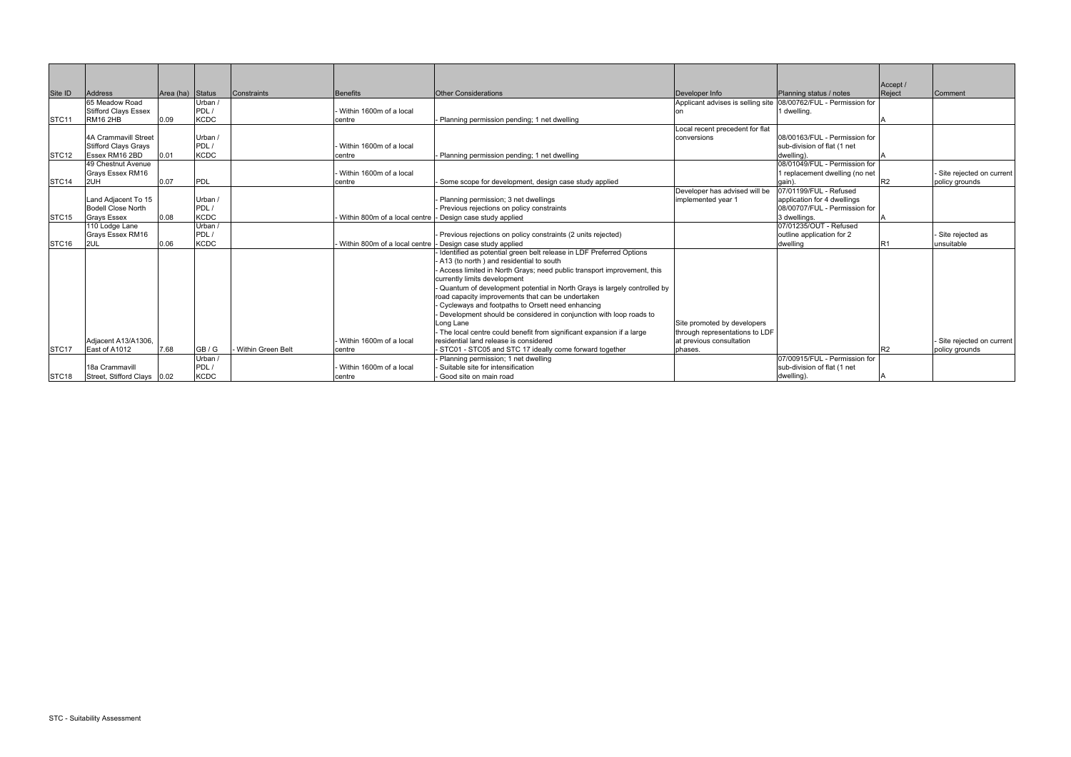|                   |                             |                  |             |                    |                                  |                                                                            |                                   |                                | Accept / |                          |
|-------------------|-----------------------------|------------------|-------------|--------------------|----------------------------------|----------------------------------------------------------------------------|-----------------------------------|--------------------------------|----------|--------------------------|
| Site ID           | <b>Address</b>              | Area (ha) Status |             | <b>Constraints</b> | <b>Benefits</b>                  | <b>Other Considerations</b>                                                | Developer Info                    | Planning status / notes        | Reject   | <b>Comment</b>           |
|                   | 65 Meadow Road              |                  | Urban /     |                    |                                  |                                                                            | Applicant advises is selling site | 08/00762/FUL - Permission for  |          |                          |
|                   | <b>Stifford Clays Essex</b> |                  | PDL/        |                    | Within 1600m of a local          |                                                                            |                                   | 1 dwellina.                    |          |                          |
| STC <sub>11</sub> | RM <sub>16</sub> 2HB        | 0.09             | <b>KCDC</b> |                    | centre                           | - Planning permission pending; 1 net dwelling                              |                                   |                                |          |                          |
|                   |                             |                  |             |                    |                                  |                                                                            | Local recent precedent for flat   |                                |          |                          |
|                   | 4A Crammavill Street        |                  | Urban /     |                    |                                  |                                                                            | conversions                       | 08/00163/FUL - Permission for  |          |                          |
|                   | <b>Stifford Clays Grays</b> |                  | PDL/        |                    | Within 1600m of a local          |                                                                            |                                   | sub-division of flat (1 net    |          |                          |
| STC <sub>12</sub> | Essex RM16 2BD              | 0.01             | <b>KCDC</b> |                    | centre                           | Planning permission pending; 1 net dwelling                                |                                   | dwelling).                     |          |                          |
|                   | 49 Chestnut Avenue          |                  |             |                    |                                  |                                                                            |                                   | 08/01049/FUL - Permission for  |          |                          |
|                   | Grays Essex RM16            |                  |             |                    | Within 1600m of a local          |                                                                            |                                   | I replacement dwelling (no net |          | Site rejected on current |
| STC <sub>14</sub> | 2UH                         | 0.07             | PDL         |                    | centre                           | Some scope for development, design case study applied                      |                                   | qain).                         | R2       | policy grounds           |
|                   |                             |                  |             |                    |                                  |                                                                            | Developer has advised will be     | 07/01199/FUL - Refused         |          |                          |
|                   | Land Adjacent To 15         |                  | Urban /     |                    |                                  | Planning permission; 3 net dwellings                                       | implemented year 1                | application for 4 dwellings    |          |                          |
|                   | <b>Bodell Close North</b>   |                  | PDL/        |                    |                                  | Previous rejections on policy constraints                                  |                                   | 08/00707/FUL - Permission for  |          |                          |
| STC <sub>15</sub> | <b>Grays Essex</b>          | 0.08             | <b>KCDC</b> |                    | Within 800m of a local centre  - | - Design case study applied                                                |                                   | 3 dwellings.                   |          |                          |
|                   | 110 Lodge Lane              |                  | Urban /     |                    |                                  |                                                                            |                                   | 07/01235/OUT - Refused         |          |                          |
|                   | Grays Essex RM16            |                  | PDL/        |                    |                                  | Previous rejections on policy constraints (2 units rejected)               |                                   | outline application for 2      |          | Site reiected as         |
| STC <sub>16</sub> | 2UL                         | 0.06             | <b>KCDC</b> |                    | Within 800m of a local centre    | - Design case study applied                                                |                                   | dwelling                       | R1       | unsuitable               |
|                   |                             |                  |             |                    |                                  | Identified as potential green belt release in LDF Preferred Options        |                                   |                                |          |                          |
|                   |                             |                  |             |                    |                                  | - A13 (to north) and residential to south                                  |                                   |                                |          |                          |
|                   |                             |                  |             |                    |                                  | - Access limited in North Grays; need public transport improvement, this   |                                   |                                |          |                          |
|                   |                             |                  |             |                    |                                  | currently limits development                                               |                                   |                                |          |                          |
|                   |                             |                  |             |                    |                                  | - Quantum of development potential in North Grays is largely controlled by |                                   |                                |          |                          |
|                   |                             |                  |             |                    |                                  | road capacity improvements that can be undertaken                          |                                   |                                |          |                          |
|                   |                             |                  |             |                    |                                  | - Cycleways and footpaths to Orsett need enhancing                         |                                   |                                |          |                          |
|                   |                             |                  |             |                    |                                  | Development should be considered in conjunction with loop roads to         |                                   |                                |          |                          |
|                   |                             |                  |             |                    |                                  | Long Lane                                                                  | Site promoted by developers       |                                |          |                          |
|                   |                             |                  |             |                    |                                  | - The local centre could benefit from significant expansion if a large     | through representations to LDF    |                                |          |                          |
|                   | Adjacent A13/A1306,         |                  |             |                    | Within 1600m of a local          | residential land release is considered                                     | at previous consultation          |                                |          | Site rejected on current |
| STC <sub>17</sub> | East of A1012               | 7.68             | GB / G      | Within Green Belt  | centre                           | - STC01 - STC05 and STC 17 ideally come forward together                   | phases.                           |                                | R2       | policy grounds           |
|                   |                             |                  | Urban /     |                    |                                  | Planning permission; 1 net dwelling                                        |                                   | 07/00915/FUL - Permission for  |          |                          |
|                   | 18a Crammavill              |                  | PDL/        |                    | Within 1600m of a local          | Suitable site for intensification                                          |                                   | sub-division of flat (1 net    |          |                          |
| STC <sub>18</sub> | Street, Stifford Clays 0.02 |                  | <b>KCDC</b> |                    | centre                           | - Good site on main road                                                   |                                   | dwelling).                     |          |                          |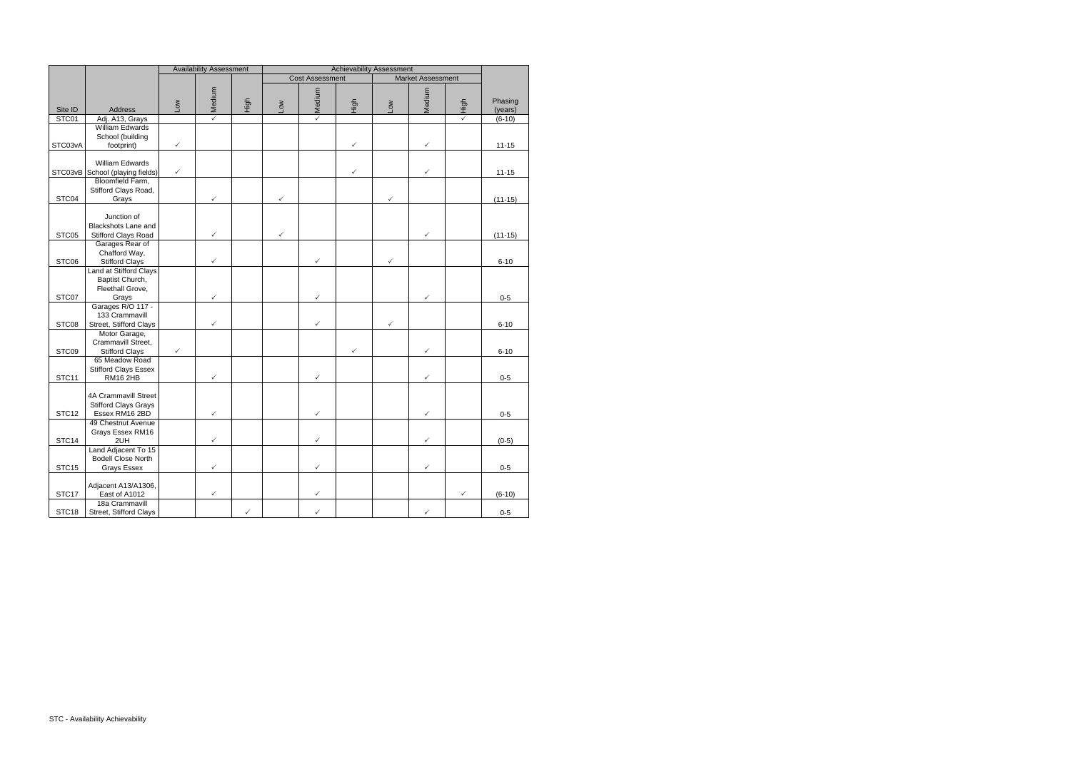|                   |                                                                              | <b>Availability Assessment</b><br><b>Achievability Assessment</b> |              |              |              |                        |      |              |                   |              |                    |
|-------------------|------------------------------------------------------------------------------|-------------------------------------------------------------------|--------------|--------------|--------------|------------------------|------|--------------|-------------------|--------------|--------------------|
|                   |                                                                              |                                                                   |              |              |              | <b>Cost Assessment</b> |      |              | Market Assessment |              |                    |
| Site ID           | Address                                                                      | <b>No7</b>                                                        | Medium       | High         | <b>NOT</b>   | Medium                 | High | <b>NOT</b>   | Medium            | High         | Phasing<br>(years) |
| STC01             | Adj. A13, Grays                                                              |                                                                   | $\checkmark$ |              |              | ✓                      |      |              |                   | $\checkmark$ | $(6-10)$           |
| STC03vA           | William Edwards<br>School (building<br>footprint)                            | $\checkmark$                                                      |              |              |              |                        | ✓    |              | $\checkmark$      |              | $11 - 15$          |
|                   | William Edwards<br>STC03vB School (playing fields)<br>Bloomfield Farm,       | ✓                                                                 |              |              |              |                        |      |              | ✓                 |              | $11 - 15$          |
| STC04             | Stifford Clays Road,<br>Grays                                                |                                                                   | $\checkmark$ |              | $\checkmark$ |                        |      | $\checkmark$ |                   |              | $(11 - 15)$        |
| STC05             | Junction of<br><b>Blackshots Lane and</b><br>Stifford Clays Road             |                                                                   | $\checkmark$ |              | $\checkmark$ |                        |      |              | $\checkmark$      |              | $(11-15)$          |
| STC06             | Garages Rear of<br>Chafford Way,<br><b>Stifford Clays</b>                    |                                                                   | $\checkmark$ |              |              | ✓                      |      | $\checkmark$ |                   |              | $6 - 10$           |
| STC07             | Land at Stifford Clays<br>Baptist Church,<br>Fleethall Grove,<br>Grays       |                                                                   | ✓            |              |              | ✓                      |      |              |                   |              | $0 - 5$            |
| STC08             | Garages R/O 117 -<br>133 Crammavill<br>Street, Stifford Clays                |                                                                   | $\checkmark$ |              |              | $\checkmark$           |      | ✓            |                   |              | $6 - 10$           |
| STC09             | Motor Garage,<br>Crammavill Street,<br><b>Stifford Clays</b>                 | $\checkmark$                                                      |              |              |              |                        | ✓    |              | ✓                 |              | $6 - 10$           |
| STC11             | 65 Meadow Road<br><b>Stifford Clays Essex</b><br>RM162HB                     |                                                                   | $\checkmark$ |              |              | ✓                      |      |              | $\checkmark$      |              | $0-5$              |
| STC <sub>12</sub> | <b>4A Crammavill Street</b><br><b>Stifford Clays Grays</b><br>Essex RM16 2BD |                                                                   | ✓            |              |              | ✓                      |      |              | ✓                 |              | $0 - 5$            |
| STC <sub>14</sub> | 49 Chestnut Avenue<br>Grays Essex RM16<br>2UH                                |                                                                   | $\checkmark$ |              |              | $\checkmark$           |      |              | $\checkmark$      |              | $(0-5)$            |
| STC <sub>15</sub> | Land Adjacent To 15<br><b>Bodell Close North</b><br><b>Grays Essex</b>       |                                                                   | $\checkmark$ |              |              | ✓                      |      |              | $\checkmark$      |              | $0 - 5$            |
| STC17             | Adjacent A13/A1306,<br>East of A1012                                         |                                                                   | $\checkmark$ |              |              | ✓                      |      |              |                   | ✓            | $(6-10)$           |
| STC <sub>18</sub> | 18a Crammavill<br>Street, Stifford Clays                                     |                                                                   |              | $\checkmark$ |              | $\checkmark$           |      |              | $\checkmark$      |              | $0 - 5$            |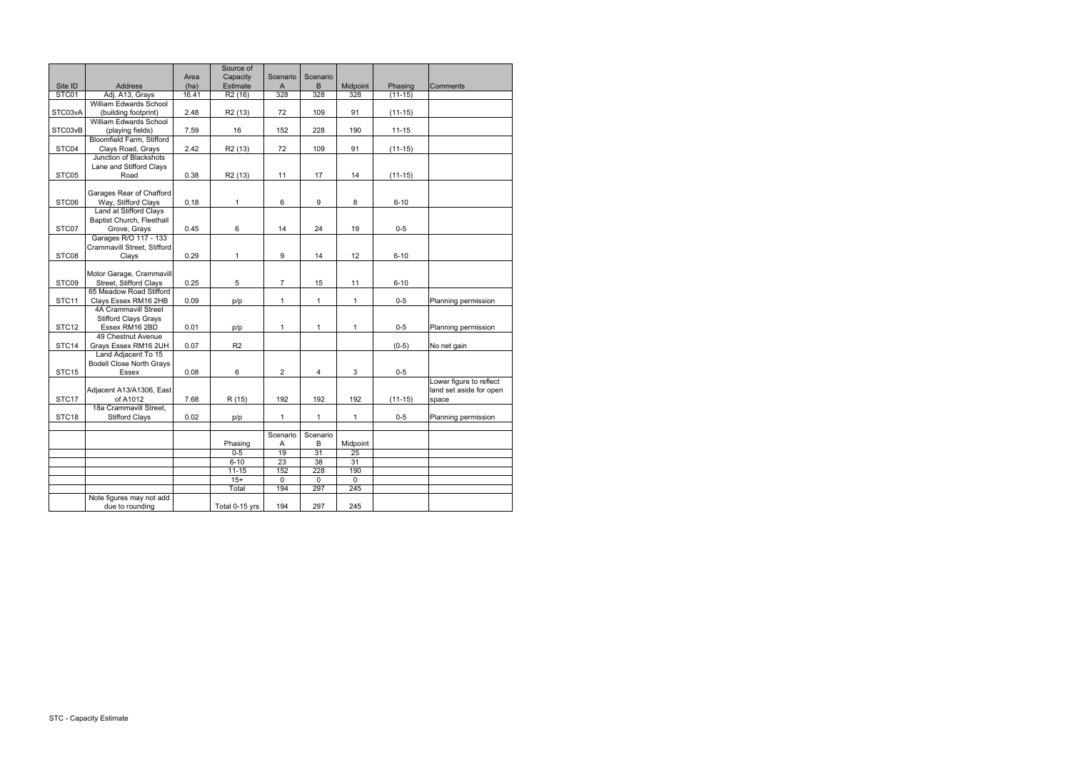|                   |                                 |       | Source of           |                |                  |                |           |                         |
|-------------------|---------------------------------|-------|---------------------|----------------|------------------|----------------|-----------|-------------------------|
|                   |                                 | Area  | Capacity            | Scenario       | Scenario         |                |           |                         |
| Site ID           | <b>Address</b>                  | (ha)  | Estimate            | A              | B                | Midpoint       | Phasing   | <b>Comments</b>         |
| STC01             | Adj. A13, Grays                 | 16.41 | R2(16)              | 328            | 328              | 328            | $(11-15)$ |                         |
|                   | William Edwards School          |       |                     |                |                  |                |           |                         |
| STC03vA           | (building footprint)            | 2.48  | R <sub>2</sub> (13) | 72             | 109              | 91             | $(11-15)$ |                         |
|                   | William Edwards School          |       |                     |                |                  |                |           |                         |
| STC03vB           | (playing fields)                | 7.59  | $16\,$              | 152            | 228              | 190            | $11 - 15$ |                         |
|                   | Bloomfield Farm, Stifford       |       |                     |                |                  |                |           |                         |
| STC04             | Clays Road, Grays               | 2.42  | R <sub>2</sub> (13) | $72\,$         | 109              | 91             | $(11-15)$ |                         |
|                   | Junction of Blackshots          |       |                     |                |                  |                |           |                         |
|                   | Lane and Stifford Clays         |       |                     |                |                  |                |           |                         |
| STC05             | Road                            | 0.38  | R <sub>2</sub> (13) | 11             | 17               | 14             | $(11-15)$ |                         |
|                   |                                 |       |                     |                |                  |                |           |                         |
|                   | Garages Rear of Chafford        |       |                     |                |                  |                |           |                         |
| STC06             | Way, Stifford Clays             | 0.18  | $\mathbf{1}$        | 6              | $\boldsymbol{9}$ | 8              | $6 - 10$  |                         |
|                   | Land at Stifford Clays          |       |                     |                |                  |                |           |                         |
|                   | Baptist Church, Fleethall       |       |                     |                |                  |                |           |                         |
| STC07             | Grove, Grays                    | 0.45  | 6                   | 14             | 24               | 19             | $0 - 5$   |                         |
|                   | Garages R/O 117 - 133           |       |                     |                |                  |                |           |                         |
|                   | Crammavill Street, Stifford     |       |                     |                |                  |                |           |                         |
| STC08             | Clays                           | 0.29  | $\mathbf{1}$        | 9              | 14               | 12             | $6 - 10$  |                         |
|                   |                                 |       |                     |                |                  |                |           |                         |
|                   | Motor Garage, Crammavill        |       |                     |                |                  |                |           |                         |
| STC09             | Street, Stifford Clays          | 0.25  | 5                   | $\overline{7}$ | 15               | 11             | $6 - 10$  |                         |
|                   | 65 Meadow Road Stifford         |       |                     |                |                  |                |           |                         |
| STC11             | Clays Essex RM16 2HB            | 0.09  | p/p                 | $\mathbf{1}$   | $\mathbf{1}$     | $\mathbf{1}$   | $0 - 5$   | Planning permission     |
|                   | 4A Crammavill Street            |       |                     |                |                  |                |           |                         |
|                   | <b>Stifford Clays Grays</b>     |       |                     |                |                  |                |           |                         |
| STC <sub>12</sub> | Essex RM16 2BD                  | 0.01  | p/p                 | $\mathbf{1}$   | $\mathbf{1}$     | $\mathbf{1}$   | $0 - 5$   | Planning permission     |
|                   | 49 Chestnut Avenue              |       |                     |                |                  |                |           |                         |
| STC <sub>14</sub> | Grays Essex RM16 2UH            | 0.07  | R <sub>2</sub>      |                |                  |                | $(0-5)$   | No net gain             |
|                   | Land Adjacent To 15             |       |                     |                |                  |                |           |                         |
|                   | <b>Bodell Close North Grays</b> |       |                     |                |                  |                |           |                         |
| STC <sub>15</sub> | Essex                           | 0.08  | 6                   | $\overline{c}$ | 4                | 3              | $0 - 5$   |                         |
|                   |                                 |       |                     |                |                  |                |           | Lower figure to reflect |
|                   | Adjacent A13/A1306, East        |       |                     |                |                  |                |           | land set aside for open |
| STC <sub>17</sub> | of A1012                        | 7.68  | R (15)              | 192            | 192              | 192            | $(11-15)$ | space                   |
|                   | 18a Crammavill Street.          |       |                     |                |                  |                |           |                         |
| STC <sub>18</sub> | <b>Stifford Clays</b>           | 0.02  | p/p                 | $\mathbf 1$    | $\mathbf{1}$     | $\mathbf{1}$   | $0 - 5$   | Planning permission     |
|                   |                                 |       |                     |                |                  |                |           |                         |
|                   |                                 |       |                     | Scenario       | Scenario         |                |           |                         |
|                   |                                 |       | Phasing             | $\overline{A}$ | $\sf B$          | Midpoint       |           |                         |
|                   |                                 |       | $0-5$               | 19             | 31               | 25             |           |                         |
|                   |                                 |       | $6 - 10$            | 23             | 38               | 31             |           |                         |
|                   |                                 |       | $11 - 15$           | 152            | 228              | 190            |           |                         |
|                   |                                 |       | $15+$               | $\overline{0}$ | $\overline{0}$   | $\overline{0}$ |           |                         |
|                   |                                 |       | Total               | 194            | 297              | 245            |           |                         |
|                   | Note figures may not add        |       |                     |                |                  |                |           |                         |
|                   | due to rounding                 |       | Total 0-15 yrs      | 194            | 297              | 245            |           |                         |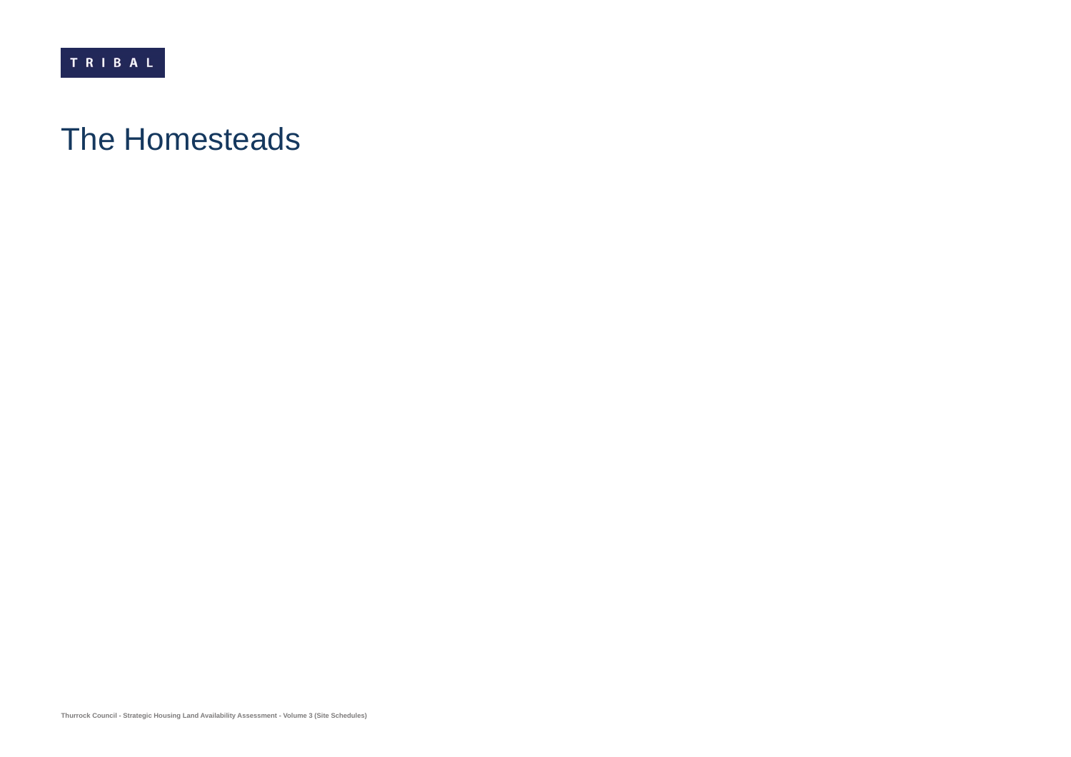#### The Homesteads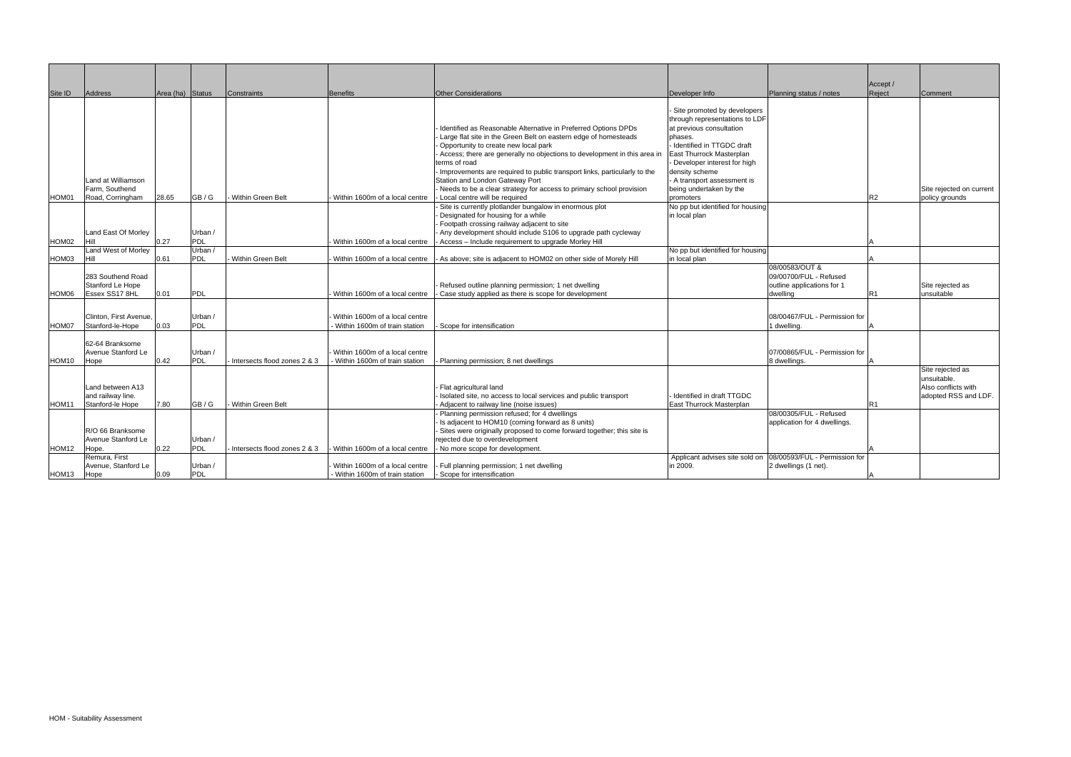|                   |                                            |                  |                       |                              |                                                                 |                                                                                                             |                                                                                             |                                               | Accept /       |                                                            |
|-------------------|--------------------------------------------|------------------|-----------------------|------------------------------|-----------------------------------------------------------------|-------------------------------------------------------------------------------------------------------------|---------------------------------------------------------------------------------------------|-----------------------------------------------|----------------|------------------------------------------------------------|
| Site ID           | Address                                    | Area (ha) Status |                       | Constraints                  | <b>Benefits</b>                                                 | <b>Other Considerations</b>                                                                                 | Developer Info                                                                              | Planning status / notes                       | Reject         | Comment                                                    |
|                   |                                            |                  |                       |                              |                                                                 | Identified as Reasonable Alternative in Preferred Options DPDs                                              | - Site promoted by developers<br>through representations to LDF<br>at previous consultation |                                               |                |                                                            |
|                   |                                            |                  |                       |                              |                                                                 | Large flat site in the Green Belt on eastern edge of homesteads<br>Opportunity to create new local park     | phases.<br>- Identified in TTGDC draft                                                      |                                               |                |                                                            |
|                   |                                            |                  |                       |                              |                                                                 | Access; there are generally no objections to development in this area in<br>terms of road                   | East Thurrock Masterplan<br>- Developer interest for high                                   |                                               |                |                                                            |
|                   | Land at Williamson                         |                  |                       |                              |                                                                 | Improvements are required to public transport links, particularly to the<br>Station and London Gateway Port | density scheme<br>- A transport assessment is                                               |                                               |                |                                                            |
| HOM01             | Farm, Southend<br>Road, Corringham         | 28.65            | GB/G                  | Within Green Belt            | Within 1600m of a local centre                                  | Needs to be a clear strategy for access to primary school provision<br>Local centre will be required        | being undertaken by the<br>promoters                                                        |                                               | R <sub>2</sub> | Site rejected on current<br>policy grounds                 |
|                   |                                            |                  |                       |                              |                                                                 | Site is currently plotlander bungalow in enormous plot<br>Designated for housing for a while                | No pp but identified for housing<br>in local plan                                           |                                               |                |                                                            |
|                   | Land East Of Morley                        |                  | Urban /               |                              |                                                                 | Footpath crossing railway adjacent to site<br>Any development should include S106 to upgrade path cycleway  |                                                                                             |                                               |                |                                                            |
| HOM02             | <b>Hill</b>                                | 0.27             | <b>PDL</b>            |                              | Within 1600m of a local centre                                  | Access - Include requirement to upgrade Morley Hill                                                         |                                                                                             |                                               |                |                                                            |
| HOM03             | Land West of Morley<br><b>Hill</b>         | 0.61             | Urban /<br><b>PDL</b> | Within Green Belt            | Within 1600m of a local centre                                  | As above; site is adjacent to HOM02 on other side of Morely Hill                                            | No pp but identified for housing<br>in local plan                                           |                                               |                |                                                            |
|                   | 283 Southend Road                          |                  |                       |                              |                                                                 |                                                                                                             |                                                                                             | 08/00583/OUT &<br>09/00700/FUL - Refused      |                |                                                            |
| HOM06             | Stanford Le Hope<br><b>Essex SS17 8HL</b>  | 0.01             | <b>PDL</b>            |                              | Within 1600m of a local centre                                  | Refused outline planning permission; 1 net dwelling<br>Case study applied as there is scope for development |                                                                                             | outline applications for 1<br>dwelling        | R <sub>1</sub> | Site rejected as<br>unsuitable                             |
|                   |                                            |                  |                       |                              |                                                                 |                                                                                                             |                                                                                             |                                               |                |                                                            |
| HOM07             | Clinton, First Avenue,<br>Stanford-le-Hope | 0.03             | Urban /<br><b>PDL</b> |                              | Within 1600m of a local centre<br>Within 1600m of train station | Scope for intensification                                                                                   |                                                                                             | 08/00467/FUL - Permission for<br>1 dwelling.  |                |                                                            |
|                   | 62-64 Branksome                            |                  |                       |                              |                                                                 |                                                                                                             |                                                                                             |                                               |                |                                                            |
| HOM10             | Avenue Stanford Le<br>Hope                 | 0.42             | Urban /<br><b>PDL</b> | Intersects flood zones 2 & 3 | Within 1600m of a local centre<br>Within 1600m of train station | Planning permission; 8 net dwellings                                                                        |                                                                                             | 07/00865/FUL - Permission for<br>8 dwellings. |                |                                                            |
|                   |                                            |                  |                       |                              |                                                                 |                                                                                                             |                                                                                             |                                               |                | Site rejected as                                           |
|                   | Land between A13                           |                  |                       |                              |                                                                 | Flat agricultural land                                                                                      | Identified in draft TTGDC                                                                   |                                               |                | unsuitable.<br>Also conflicts with<br>adopted RSS and LDF. |
| HOM11             | and railway line.<br>Stanford-le Hope      | 7.80             | GB/G                  | Within Green Belt            |                                                                 | Isolated site, no access to local services and public transport<br>Adjacent to railway line (noise issues)  | <b>East Thurrock Masterplan</b>                                                             |                                               | R1             |                                                            |
|                   |                                            |                  |                       |                              |                                                                 | Planning permission refused; for 4 dwellings                                                                |                                                                                             | 08/00305/FUL - Refused                        |                |                                                            |
|                   |                                            |                  |                       |                              |                                                                 | Is adjacent to HOM10 (coming forward as 8 units)                                                            |                                                                                             | application for 4 dwellings.                  |                |                                                            |
|                   | R/O 66 Branksome                           |                  |                       |                              |                                                                 | Sites were originally proposed to come forward together; this site is                                       |                                                                                             |                                               |                |                                                            |
|                   | Avenue Stanford Le                         |                  | Urban /               |                              |                                                                 | rejected due to overdevelopment                                                                             |                                                                                             |                                               |                |                                                            |
| HOM12             | Hope.                                      | 0.22             | <b>PDL</b>            | Intersects flood zones 2 & 3 | Within 1600m of a local centre                                  | - No more scope for development.                                                                            |                                                                                             |                                               |                |                                                            |
|                   | Remura, First                              |                  |                       |                              |                                                                 |                                                                                                             | Applicant advises site sold on                                                              | 08/00593/FUL - Permission for                 |                |                                                            |
| HOM <sub>13</sub> | Avenue, Stanford Le                        | 0.09             | Urban /<br><b>PDL</b> |                              | Within 1600m of a local centre<br>Within 1600m of train station | Full planning permission; 1 net dwelling                                                                    | in 2009.                                                                                    | 2 dwellings (1 net).                          |                |                                                            |
|                   | Hope                                       |                  |                       |                              |                                                                 | Scope for intensification                                                                                   |                                                                                             |                                               |                |                                                            |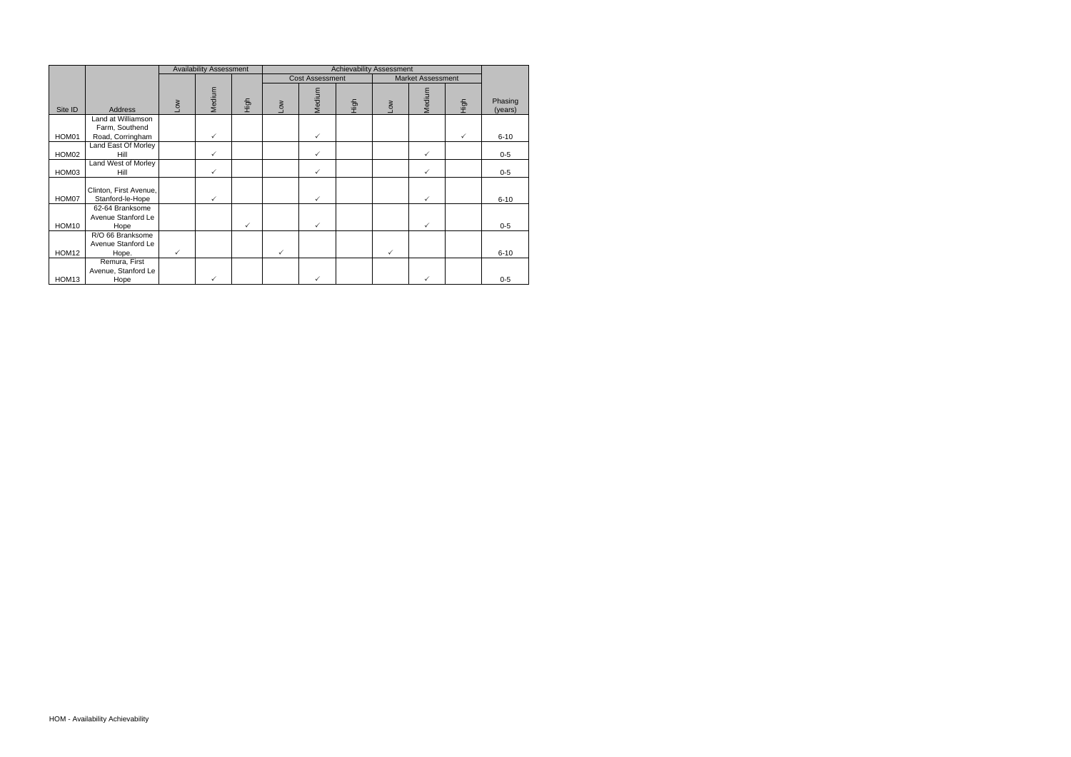|                   |                                            |                       | <b>Availability Assessment</b> |              |              |                        |      |                       |                          |      |                    |
|-------------------|--------------------------------------------|-----------------------|--------------------------------|--------------|--------------|------------------------|------|-----------------------|--------------------------|------|--------------------|
|                   |                                            |                       |                                |              |              | <b>Cost Assessment</b> |      |                       | <b>Market Assessment</b> |      |                    |
| Site ID           | Address                                    | $\sum_{i=1}^{\infty}$ | Medium                         | High         | ΜOΠ          | Medium                 | High | $\sum_{i=1}^{\infty}$ | Medium                   | High | Phasing<br>(years) |
|                   | Land at Williamson                         |                       |                                |              |              |                        |      |                       |                          |      |                    |
| HOM01             | Farm, Southend<br>Road, Corringham         |                       | $\checkmark$                   |              |              | ✓                      |      |                       |                          | ✓    | $6 - 10$           |
| HOM02             | Land East Of Morley<br>Hill                |                       | $\checkmark$                   |              |              | ✓                      |      |                       | $\checkmark$             |      | $0 - 5$            |
| HOM03             | Land West of Morley<br>Hill                |                       | $\checkmark$                   |              |              | ✓                      |      |                       | ✓                        |      | $0-5$              |
| HOM07             | Clinton, First Avenue,<br>Stanford-le-Hope |                       | $\checkmark$                   |              |              | $\checkmark$           |      |                       | $\checkmark$             |      | $6 - 10$           |
|                   | 62-64 Branksome<br>Avenue Stanford Le      |                       |                                |              |              |                        |      |                       |                          |      |                    |
| HOM10             | Hope                                       |                       |                                | $\checkmark$ |              | $\checkmark$           |      |                       | $\checkmark$             |      | $0-5$              |
|                   | R/O 66 Branksome<br>Avenue Stanford Le     |                       |                                |              |              |                        |      |                       |                          |      |                    |
| HOM <sub>12</sub> | Hope.                                      | $\checkmark$          |                                |              | $\checkmark$ |                        |      | $\checkmark$          |                          |      | $6 - 10$           |
|                   | Remura, First<br>Avenue, Stanford Le       |                       |                                |              |              |                        |      |                       |                          |      |                    |
| HOM <sub>13</sub> | Hope                                       |                       |                                |              |              |                        |      |                       |                          |      | $0 - 5$            |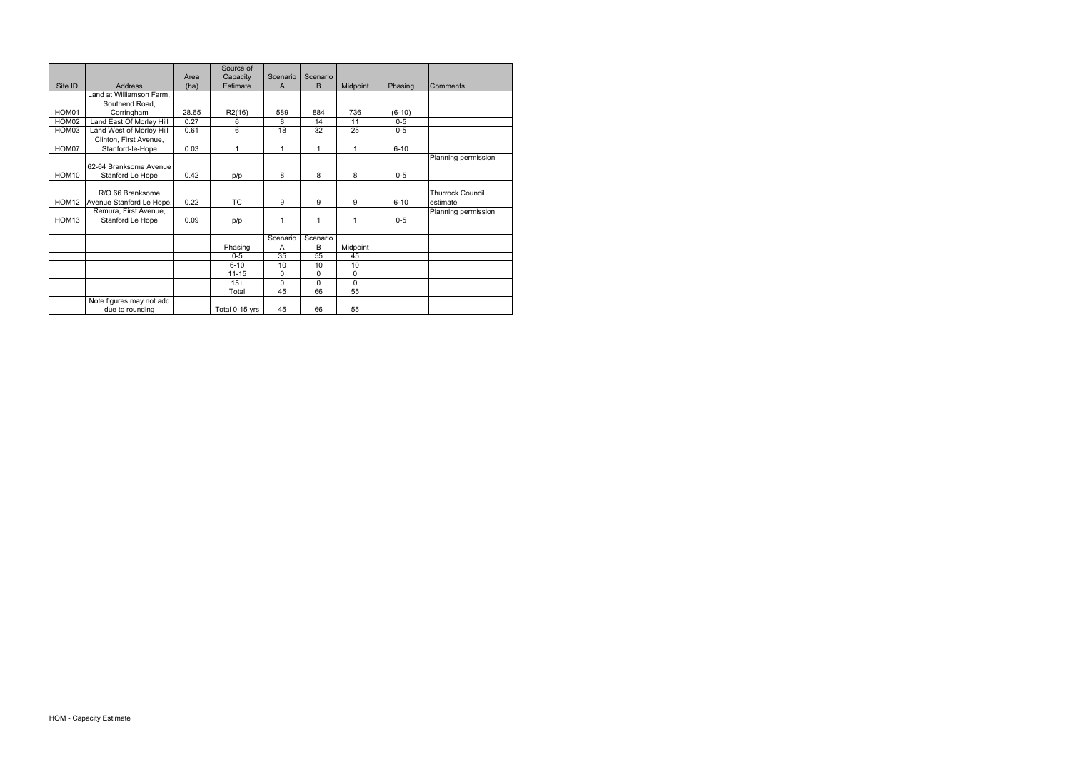|                   |                          |       | Source of           |                 |          |          |          |                         |
|-------------------|--------------------------|-------|---------------------|-----------------|----------|----------|----------|-------------------------|
|                   |                          | Area  | Capacity            | Scenario        | Scenario |          |          |                         |
| Site ID           | <b>Address</b>           | (ha)  | Estimate            | A               | B        | Midpoint | Phasing  | Comments                |
|                   | Land at Williamson Farm, |       |                     |                 |          |          |          |                         |
|                   | Southend Road.           |       |                     |                 |          |          |          |                         |
| HOM01             | Corringham               | 28.65 | R <sub>2</sub> (16) | 589             | 884      | 736      | $(6-10)$ |                         |
| HOM02             | Land East Of Morley Hill | 0.27  | 6                   | 8               | 14       | 11       | $0 - 5$  |                         |
| HOM03             | Land West of Morley Hill | 0.61  | 6                   | $\overline{18}$ | 32       | 25       | $0-5$    |                         |
|                   | Clinton, First Avenue,   |       |                     |                 |          |          |          |                         |
| HOM07             | Stanford-le-Hope         | 0.03  | 1                   | 1               | 1        | 1        | $6 - 10$ |                         |
|                   |                          |       |                     |                 |          |          |          | Planning permission     |
|                   | 62-64 Branksome Avenue   |       |                     |                 |          |          |          |                         |
| HOM <sub>10</sub> | Stanford Le Hope         | 0.42  | p/p                 | 8               | 8        | 8        | $0-5$    |                         |
|                   |                          |       |                     |                 |          |          |          |                         |
|                   | R/O 66 Branksome         |       |                     |                 |          |          |          | <b>Thurrock Council</b> |
| HOM12             | Avenue Stanford Le Hope. | 0.22  | <b>TC</b>           | 9               | 9        | 9        | $6 - 10$ | estimate                |
|                   | Remura, First Avenue,    |       |                     |                 |          |          |          | Planning permission     |
| HOM <sub>13</sub> | Stanford Le Hope         | 0.09  | p/p                 | 1               | 1        | 1        | $0-5$    |                         |
|                   |                          |       |                     |                 |          |          |          |                         |
|                   |                          |       |                     | Scenario        | Scenario |          |          |                         |
|                   |                          |       | Phasing             | A               | B        | Midpoint |          |                         |
|                   |                          |       | $0-5$               | 35              | 55       | 45       |          |                         |
|                   |                          |       | $6 - 10$            | 10              | 10       | 10       |          |                         |
|                   |                          |       | $11 - 15$           | $\Omega$        | $\Omega$ | $\Omega$ |          |                         |
|                   |                          |       | $15+$               | $\Omega$        | $\Omega$ | $\Omega$ |          |                         |
|                   |                          |       | Total               | 45              | 66       | 55       |          |                         |
|                   | Note figures may not add |       |                     |                 |          |          |          |                         |
|                   | due to rounding          |       | Total 0-15 yrs      | 45              | 66       | 55       |          |                         |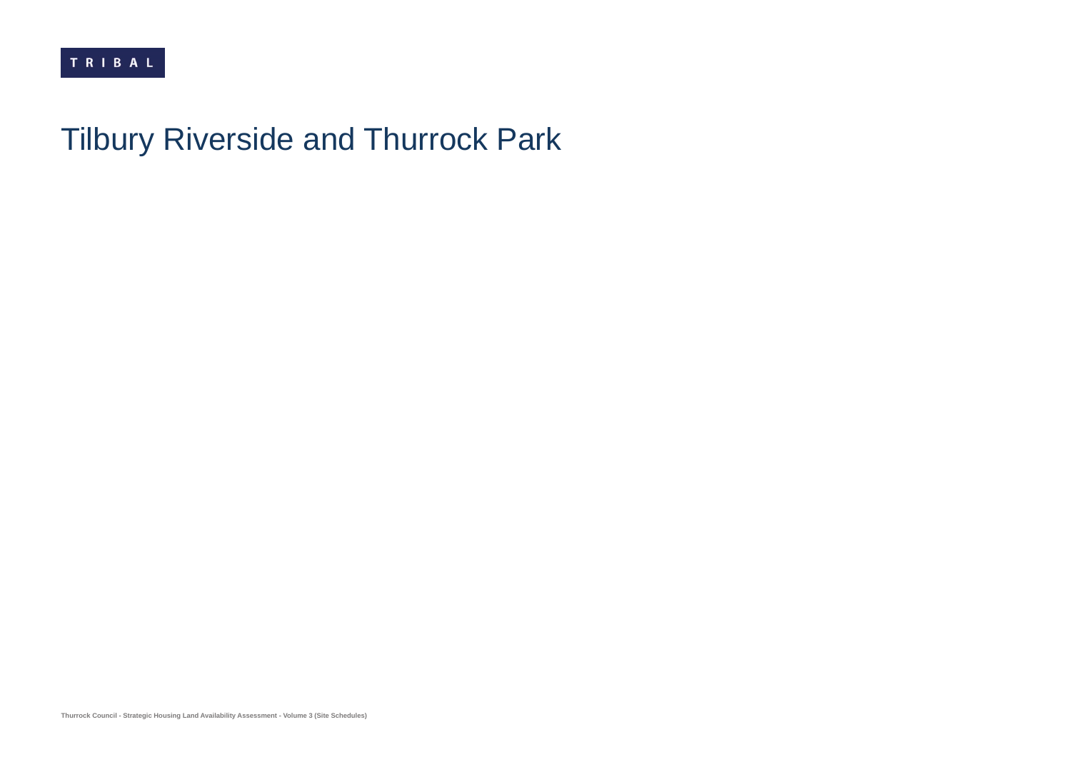# Tilbury Riverside and Thurrock Park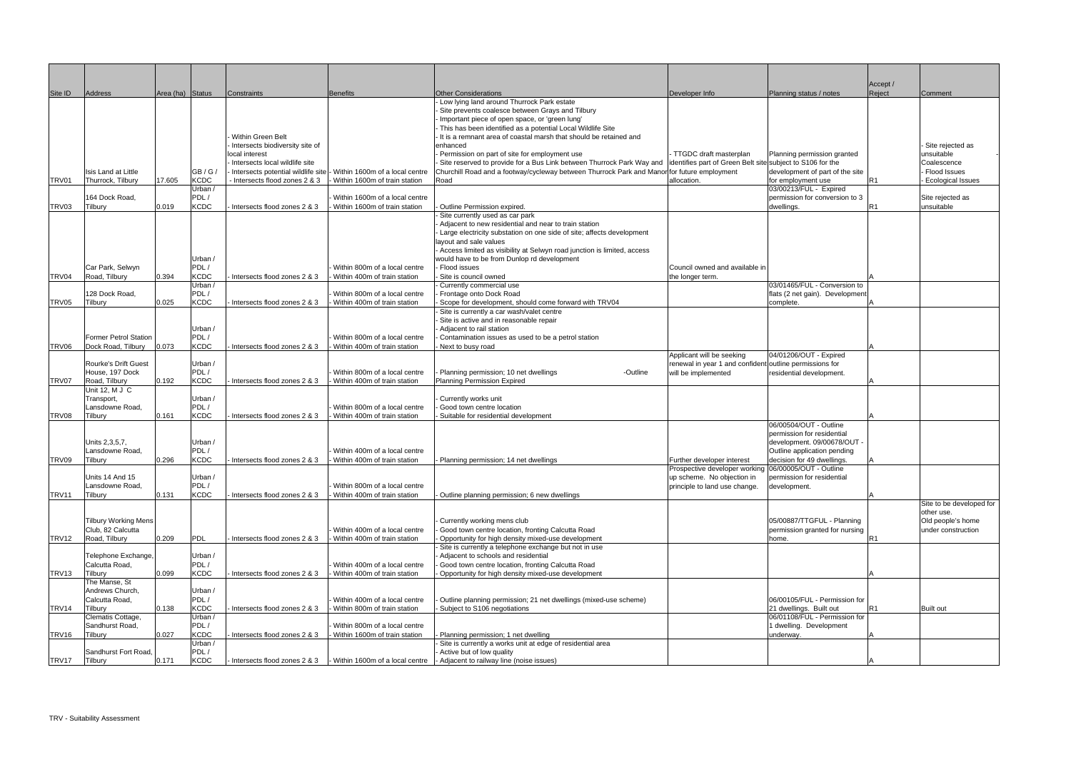|                   |                               |                  |                     |                                   |                                                                     |                                                                                                                                  |                                                         |                                 | Accept /       |                          |
|-------------------|-------------------------------|------------------|---------------------|-----------------------------------|---------------------------------------------------------------------|----------------------------------------------------------------------------------------------------------------------------------|---------------------------------------------------------|---------------------------------|----------------|--------------------------|
| Site ID           | <b>Address</b>                | Area (ha) Status |                     | Constraints                       | <b>Benefits</b>                                                     | <b>Other Considerations</b>                                                                                                      | Developer Info                                          | Planning status / notes         | Reject         | Comment                  |
|                   |                               |                  |                     |                                   |                                                                     | Low lying land around Thurrock Park estate                                                                                       |                                                         |                                 |                |                          |
|                   |                               |                  |                     |                                   |                                                                     | Site prevents coalesce between Grays and Tilbury                                                                                 |                                                         |                                 |                |                          |
|                   |                               |                  |                     |                                   |                                                                     | Important piece of open space, or 'green lung'<br>This has been identified as a potential Local Wildlife Site                    |                                                         |                                 |                |                          |
|                   |                               |                  |                     | <b>Within Green Belt</b>          |                                                                     | It is a remnant area of coastal marsh that should be retained and                                                                |                                                         |                                 |                |                          |
|                   |                               |                  |                     | - Intersects biodiversity site of |                                                                     | enhanced                                                                                                                         |                                                         |                                 |                | Site rejected as         |
|                   |                               |                  |                     | local interest                    |                                                                     | Permission on part of site for employment use                                                                                    | - TTGDC draft masterplan                                | Planning permission granted     |                | unsuitable               |
|                   |                               |                  |                     | Intersects local wildlife site    |                                                                     | Site reserved to provide for a Bus Link between Thurrock Park Way and identifies part of Green Belt site subject to S106 for the |                                                         |                                 |                | Coalescence              |
|                   | Isis Land at Little           |                  | GB/G/               |                                   | Intersects potential wildlife site - Within 1600m of a local centre | Churchill Road and a footway/cycleway between Thurrock Park and Manor for future employment                                      |                                                         | development of part of the site |                | <b>Flood Issues</b>      |
| TRV01             | Thurrock, Tilbury             | 17.605           | <b>KCDC</b>         | - Intersects flood zones 2 & 3    | Within 1600m of train station                                       | Road                                                                                                                             | allocation.                                             | for employment use              | R <sub>1</sub> | <b>Ecological Issues</b> |
|                   |                               |                  | Urban /             |                                   |                                                                     |                                                                                                                                  |                                                         | 03/00213/FUL - Expired          |                |                          |
|                   | 164 Dock Road,                |                  | PDL/                |                                   | Within 1600m of a local centre                                      |                                                                                                                                  |                                                         | permission for conversion to 3  |                | Site rejected as         |
| TRV03             | Tilbury                       | 0.019            | <b>KCDC</b>         | Intersects flood zones 2 & 3      | Within 1600m of train station                                       | Outline Permission expired.<br>Site currently used as car park                                                                   |                                                         | dwellings.                      | R <sub>1</sub> | unsuitable               |
|                   |                               |                  |                     |                                   |                                                                     | Adjacent to new residential and near to train station                                                                            |                                                         |                                 |                |                          |
|                   |                               |                  |                     |                                   |                                                                     | Large electricity substation on one side of site; affects development                                                            |                                                         |                                 |                |                          |
|                   |                               |                  |                     |                                   |                                                                     | ayout and sale values                                                                                                            |                                                         |                                 |                |                          |
|                   |                               |                  |                     |                                   |                                                                     | Access limited as visibility at Selwyn road junction is limited, access                                                          |                                                         |                                 |                |                          |
|                   |                               |                  | Urban /             |                                   |                                                                     | would have to be from Dunlop rd development                                                                                      |                                                         |                                 |                |                          |
|                   | Car Park, Selwyn              |                  | PDL/                |                                   | Within 800m of a local centre                                       | Flood issues                                                                                                                     | Council owned and available in                          |                                 |                |                          |
| TRV04             | Road, Tilbury                 | 0.394            | <b>KCDC</b>         | Intersects flood zones 2 & 3      | Within 400m of train station                                        | Site is council owned                                                                                                            | the longer term.                                        |                                 |                |                          |
|                   |                               |                  | Urban /             |                                   |                                                                     | Currently commercial use                                                                                                         |                                                         | 03/01465/FUL - Conversion to    |                |                          |
|                   | 128 Dock Road,                |                  | PDL/                |                                   | Within 800m of a local centre                                       | Frontage onto Dock Road                                                                                                          |                                                         | flats (2 net gain). Development |                |                          |
| TRV05             | Tilbury                       | 0.025            | <b>KCDC</b>         | Intersects flood zones 2 & 3      | Within 400m of train station                                        | Scope for development, should come forward with TRV04                                                                            |                                                         | complete.                       |                |                          |
|                   |                               |                  |                     |                                   |                                                                     | Site is currently a car wash/valet centre<br>Site is active and in reasonable repair                                             |                                                         |                                 |                |                          |
|                   |                               |                  | Urban /             |                                   |                                                                     | Adjacent to rail station                                                                                                         |                                                         |                                 |                |                          |
|                   | <b>Former Petrol Station</b>  |                  | PDL/                |                                   | Within 800m of a local centre                                       | Contamination issues as used to be a petrol station                                                                              |                                                         |                                 |                |                          |
| TRV06             | Dock Road, Tilbury            | 0.073            | <b>KCDC</b>         | Intersects flood zones 2 & 3      | Within 400m of train station                                        | Next to busy road                                                                                                                |                                                         |                                 |                |                          |
|                   |                               |                  |                     |                                   |                                                                     |                                                                                                                                  | Applicant will be seeking                               | 04/01206/OUT - Expired          |                |                          |
|                   | <b>Rourke's Drift Guest</b>   |                  | Urban /             |                                   |                                                                     |                                                                                                                                  | renewal in year 1 and confident outline permissions for |                                 |                |                          |
|                   | House, 197 Dock               |                  | PDL/                |                                   | Within 800m of a local centre                                       | Planning permission; 10 net dwellings<br>-Outline                                                                                | will be implemented                                     | residential development.        |                |                          |
| TRV07             | Road, Tilbury                 | 0.192            | <b>KCDC</b>         | Intersects flood zones 2 & 3      | Within 400m of train station                                        | <b>Planning Permission Expired</b>                                                                                               |                                                         |                                 |                |                          |
|                   | Unit 12, M J C                |                  |                     |                                   |                                                                     |                                                                                                                                  |                                                         |                                 |                |                          |
|                   | Transport,<br>Lansdowne Road, |                  | Urban /<br>PDL/     |                                   | Within 800m of a local centre                                       | Currently works unit<br>Good town centre location                                                                                |                                                         |                                 |                |                          |
| TRV08             | Tilbury                       | 0.161            | <b>KCDC</b>         | Intersects flood zones 2 & 3      | Within 400m of train station                                        | Suitable for residential development                                                                                             |                                                         |                                 |                |                          |
|                   |                               |                  |                     |                                   |                                                                     |                                                                                                                                  |                                                         | 06/00504/OUT - Outline          |                |                          |
|                   |                               |                  |                     |                                   |                                                                     |                                                                                                                                  |                                                         | permission for residential      |                |                          |
|                   | Units 2,3,5,7,                |                  | Urban /             |                                   |                                                                     |                                                                                                                                  |                                                         | development. 09/00678/OUT -     |                |                          |
|                   | Lansdowne Road,               |                  | PDL/                |                                   | Within 400m of a local centre                                       |                                                                                                                                  |                                                         | Outline application pending     |                |                          |
| TRV09             | Tilbury                       | 0.296            | <b>KCDC</b>         | Intersects flood zones 2 & 3      | Within 400m of train station                                        | Planning permission; 14 net dwellings                                                                                            | Further developer interest                              | decision for 49 dwellings.      |                |                          |
|                   |                               |                  |                     |                                   |                                                                     |                                                                                                                                  | Prospective developer working 06/00005/OUT - Outline    |                                 |                |                          |
|                   | Units 14 And 15               |                  | Urban /             |                                   |                                                                     |                                                                                                                                  | up scheme. No objection in                              | permission for residential      |                |                          |
| TRV11             | Lansdowne Road.<br>Tilbury    | 0.131            | PDL/<br><b>KCDC</b> | Intersects flood zones 2 & 3      | Within 800m of a local centre<br>Within 400m of train station       | Outline planning permission; 6 new dwellings                                                                                     | principle to land use change.                           | development.                    |                |                          |
|                   |                               |                  |                     |                                   |                                                                     |                                                                                                                                  |                                                         |                                 |                | Site to be developed for |
|                   |                               |                  |                     |                                   |                                                                     |                                                                                                                                  |                                                         |                                 |                | other use.               |
|                   | <b>Tilbury Working Mens</b>   |                  |                     |                                   |                                                                     | Currently working mens club                                                                                                      |                                                         | 05/00887/TTGFUL - Planning      |                | Old people's home        |
|                   | Club, 82 Calcutta             |                  |                     |                                   | Within 400m of a local centre                                       | Good town centre location, fronting Calcutta Road                                                                                |                                                         | permission granted for nursing  |                | under construction       |
| TRV12             | Road, Tilbury                 | 0.209            | PDL                 | Intersects flood zones 2 & 3      | Within 400m of train station                                        | Opportunity for high density mixed-use development                                                                               |                                                         | home.                           | R <sub>1</sub> |                          |
|                   |                               |                  |                     |                                   |                                                                     | Site is currently a telephone exchange but not in use                                                                            |                                                         |                                 |                |                          |
|                   | Telephone Exchange,           |                  | Urban /             |                                   |                                                                     | Adjacent to schools and residential                                                                                              |                                                         |                                 |                |                          |
|                   | Calcutta Road,                |                  | PDL/<br><b>KCDC</b> |                                   | Within 400m of a local centre                                       | Good town centre location, fronting Calcutta Road                                                                                |                                                         |                                 |                |                          |
| TRV <sub>13</sub> | Tilbury<br>The Manse, St      | 0.099            |                     | Intersects flood zones 2 & 3      | Within 400m of train station                                        | Opportunity for high density mixed-use development                                                                               |                                                         |                                 |                |                          |
|                   | Andrews Church,               |                  | Urban /             |                                   |                                                                     |                                                                                                                                  |                                                         |                                 |                |                          |
|                   | Calcutta Road,                |                  | PDL/                |                                   | Within 400m of a local centre                                       | Outline planning permission; 21 net dwellings (mixed-use scheme)                                                                 |                                                         | 06/00105/FUL - Permission for   |                |                          |
| TRV14             | Tilbury                       | 0.138            | <b>KCDC</b>         | Intersects flood zones 2 & 3      | Within 800m of train station                                        | Subject to S106 negotiations                                                                                                     |                                                         | 21 dwellings. Built out         | R1             | <b>Built out</b>         |
|                   | Clematis Cottage,             |                  | Urban /             |                                   |                                                                     |                                                                                                                                  |                                                         | 06/01108/FUL - Permission for   |                |                          |
|                   | Sandhurst Road,               |                  | PDL/                |                                   | Within 800m of a local centre                                       |                                                                                                                                  |                                                         | 1 dwelling. Development         |                |                          |
| TRV <sub>16</sub> | Tilbury                       | 0.027            | <b>KCDC</b>         | Intersects flood zones 2 & 3      | Within 1600m of train station                                       | Planning permission; 1 net dwelling                                                                                              |                                                         | underway.                       |                |                          |
|                   |                               |                  | Urban /             |                                   |                                                                     | Site is currently a works unit at edge of residential area                                                                       |                                                         |                                 |                |                          |
|                   | Sandhurst Fort Road,          |                  | PDL/                |                                   |                                                                     | Active but of low quality                                                                                                        |                                                         |                                 |                |                          |
| TRV17             | Tilbury                       | 0.171            | <b>KCDC</b>         | - Intersects flood zones 2 & 3    | - Within 1600m of a local centre                                    | - Adjacent to railway line (noise issues)                                                                                        |                                                         |                                 |                |                          |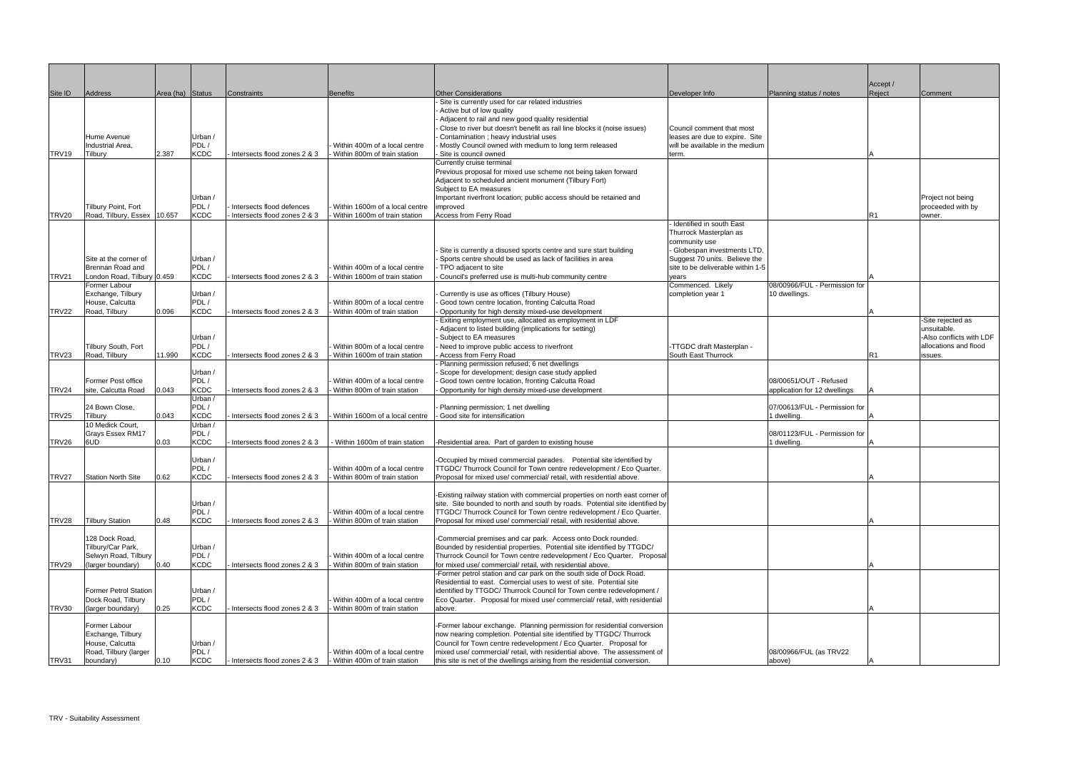| Site ID |                                                 | Area (ha) Status |                     |                              | <b>Benefits</b>                                                | <b>Other Considerations</b>                                                                                                                            |                                                             |                               | Accept /<br>Reject |                          |
|---------|-------------------------------------------------|------------------|---------------------|------------------------------|----------------------------------------------------------------|--------------------------------------------------------------------------------------------------------------------------------------------------------|-------------------------------------------------------------|-------------------------------|--------------------|--------------------------|
|         | Address                                         |                  |                     | Constraints                  |                                                                | Site is currently used for car related industries                                                                                                      | Developer Info                                              | Planning status / notes       |                    | Comment                  |
|         |                                                 |                  |                     |                              |                                                                | Active but of low quality                                                                                                                              |                                                             |                               |                    |                          |
|         |                                                 |                  |                     |                              |                                                                | Adjacent to rail and new good quality residential                                                                                                      |                                                             |                               |                    |                          |
|         | Hume Avenue                                     |                  | Urban /             |                              |                                                                | Close to river but doesn't benefit as rail line blocks it (noise issues)<br>Contamination ; heavy industrial uses                                      | Council comment that most<br>leases are due to expire. Site |                               |                    |                          |
|         | Industrial Area.                                |                  | PDL/                |                              | Within 400m of a local centre                                  | Mostly Council owned with medium to long term released                                                                                                 | will be available in the medium                             |                               |                    |                          |
| TRV19   | Tilbury                                         | 2.387            | <b>KCDC</b>         | Intersects flood zones 2 & 3 | Within 800m of train station                                   | Site is council owned                                                                                                                                  | term.                                                       |                               |                    |                          |
|         |                                                 |                  |                     |                              |                                                                | Currently cruise terminal                                                                                                                              |                                                             |                               |                    |                          |
|         |                                                 |                  |                     |                              |                                                                | Previous proposal for mixed use scheme not being taken forward<br>Adjacent to scheduled ancient monument (Tilbury Fort)                                |                                                             |                               |                    |                          |
|         |                                                 |                  |                     |                              |                                                                | Subject to EA measures                                                                                                                                 |                                                             |                               |                    |                          |
|         |                                                 |                  | Urban /             |                              |                                                                | Important riverfront location; public access should be retained and                                                                                    |                                                             |                               |                    | Project not being        |
|         | Tilbury Point, Fort                             |                  | PDL/                | Intersects flood defences    | Within 1600m of a local centre                                 | improved                                                                                                                                               |                                                             |                               |                    | proceeded with by        |
| TRV20   | Road, Tilbury, Essex 10.657                     |                  | <b>KCDC</b>         | Intersects flood zones 2 & 3 | Within 1600m of train station                                  | Access from Ferry Road                                                                                                                                 | - Identified in south East                                  |                               | IR1                | owner.                   |
|         |                                                 |                  |                     |                              |                                                                |                                                                                                                                                        | Thurrock Masterplan as                                      |                               |                    |                          |
|         |                                                 |                  |                     |                              |                                                                |                                                                                                                                                        | community use                                               |                               |                    |                          |
|         |                                                 |                  |                     |                              |                                                                | Site is currently a disused sports centre and sure start building                                                                                      | Globespan investments LTD.                                  |                               |                    |                          |
|         | Site at the corner of                           |                  | Urban /             |                              |                                                                | Sports centre should be used as lack of facilities in area                                                                                             | Suggest 70 units. Believe the                               |                               |                    |                          |
| TRV21   | Brennan Road and<br>London Road. Tilbury 10.459 |                  | PDL/<br><b>KCDC</b> | Intersects flood zones 2 & 3 | Within 400m of a local centre<br>Within 1600m of train station | TPO adjacent to site<br>Council's preferred use is multi-hub community centre                                                                          | site to be deliverable within 1-5<br>years                  |                               |                    |                          |
|         | Former Labour                                   |                  |                     |                              |                                                                |                                                                                                                                                        | Commenced. Likely                                           | 08/00966/FUL - Permission for |                    |                          |
|         | Exchange, Tilbury                               |                  | Urban /             |                              |                                                                | Currently is use as offices (Tilbury House)                                                                                                            | completion year 1                                           | 10 dwellings.                 |                    |                          |
|         | House, Calcutta                                 |                  | PDL/                |                              | Within 800m of a local centre                                  | Good town centre location, fronting Calcutta Road                                                                                                      |                                                             |                               |                    |                          |
| TRV22   | Road, Tilbury                                   | 0.096            | <b>KCDC</b>         | Intersects flood zones 2 & 3 | Within 400m of train station                                   | Opportunity for high density mixed-use development<br>Exiting employment use, allocated as employment in LDF                                           |                                                             |                               |                    | -Site rejected as        |
|         |                                                 |                  |                     |                              |                                                                | Adjacent to listed building (implications for setting)                                                                                                 |                                                             |                               |                    | unsuitable.              |
|         |                                                 |                  | Urban /             |                              |                                                                | Subject to EA measures                                                                                                                                 |                                                             |                               |                    | -Also conflicts with LDF |
|         | Tilbury South, Fort                             |                  | PDL/                |                              | Within 800m of a local centre                                  | Need to improve public access to riverfront                                                                                                            | -TTGDC draft Masterplan -                                   |                               |                    | allocations and flood    |
| TRV23   | Road, Tilbury                                   | 11.990           | <b>KCDC</b>         | Intersects flood zones 2 & 3 | Within 1600m of train station                                  | Access from Ferry Road<br>Planning permission refused; 6 net dwellings                                                                                 | South East Thurrock                                         |                               | IR1                | issues.                  |
|         |                                                 |                  | Urban /             |                              |                                                                | Scope for development; design case study applied                                                                                                       |                                                             |                               |                    |                          |
|         | Former Post office                              |                  | PDL/                |                              | Within 400m of a local centre                                  | Good town centre location, fronting Calcutta Road                                                                                                      |                                                             | 08/00651/OUT - Refused        |                    |                          |
| TRV24   | site, Calcutta Road                             | 0.043            | <b>KCDC</b>         | Intersects flood zones 2 & 3 | Within 800m of train station                                   | Opportunity for high density mixed-use development                                                                                                     |                                                             | application for 12 dwellings  |                    |                          |
|         | 24 Bown Close,                                  |                  | Urban /<br>PDL/     |                              |                                                                | Planning permission; 1 net dwelling                                                                                                                    |                                                             | 07/00613/FUL - Permission for |                    |                          |
| TRV25   | Tilbury                                         | 0.043            | <b>KCDC</b>         | Intersects flood zones 2 & 3 | Within 1600m of a local centre                                 | Good site for intensification                                                                                                                          |                                                             | 1 dwelling.                   |                    |                          |
|         | 10 Medick Court,                                |                  | Urban /             |                              |                                                                |                                                                                                                                                        |                                                             |                               |                    |                          |
|         | Grays Essex RM17                                | 0.03             | PDL/<br><b>KCDC</b> |                              | Within 1600m of train station                                  |                                                                                                                                                        |                                                             | 08/01123/FUL - Permission for |                    |                          |
| TRV26   | 6UD                                             |                  |                     | Intersects flood zones 2 & 3 |                                                                | -Residential area. Part of garden to existing house                                                                                                    |                                                             | 1 dwelling.                   |                    |                          |
|         |                                                 |                  | Urban /             |                              |                                                                | -Occupied by mixed commercial parades. Potential site identified by                                                                                    |                                                             |                               |                    |                          |
|         |                                                 |                  | PDL/                |                              | Within 400m of a local centre                                  | TTGDC/Thurrock Council for Town centre redevelopment / Eco Quarter.                                                                                    |                                                             |                               |                    |                          |
| TRV27   | Station North Site                              | 0.62             | <b>KCDC</b>         | Intersects flood zones 2 & 3 | Within 800m of train station                                   | Proposal for mixed use/ commercial/ retail, with residential above.                                                                                    |                                                             |                               |                    |                          |
|         |                                                 |                  |                     |                              |                                                                | Existing railway station with commercial properties on north east corner of                                                                            |                                                             |                               |                    |                          |
|         |                                                 |                  | Urban /             |                              |                                                                | site. Site bounded to north and south by roads. Potential site identified by                                                                           |                                                             |                               |                    |                          |
|         |                                                 |                  | PDL/                |                              | Within 400m of a local centre                                  | TTGDC/Thurrock Council for Town centre redevelopment / Eco Quarter.                                                                                    |                                                             |                               |                    |                          |
| TRV28   | <b>Tilbury Station</b>                          | 0.48             | <b>KCDC</b>         | Intersects flood zones 2 & 3 | Within 800m of train station                                   | Proposal for mixed use/commercial/ retail, with residential above.                                                                                     |                                                             |                               |                    |                          |
|         | 128 Dock Road,                                  |                  |                     |                              |                                                                | -Commercial premises and car park. Access onto Dock rounded.                                                                                           |                                                             |                               |                    |                          |
|         | Tilbury/Car Park,                               |                  | Urban /             |                              |                                                                | Bounded by residential properties. Potential site identified by TTGDC/                                                                                 |                                                             |                               |                    |                          |
|         | Selwyn Road, Tilbury                            |                  | PDL/                |                              | Within 400m of a local centre                                  | Thurrock Council for Town centre redevelopment / Eco Quarter. Proposal                                                                                 |                                                             |                               |                    |                          |
| TRV29   | (larger boundary)                               | 0.40             | <b>KCDC</b>         | Intersects flood zones 2 & 3 | Within 800m of train station                                   | for mixed use/ commercial/ retail, with residential above.                                                                                             |                                                             |                               |                    |                          |
|         |                                                 |                  |                     |                              |                                                                | -Former petrol station and car park on the south side of Dock Road.<br>Residential to east. Comercial uses to west of site. Potential site             |                                                             |                               |                    |                          |
|         | <b>Former Petrol Station</b>                    |                  | Urban /             |                              |                                                                | identified by TTGDC/ Thurrock Council for Town centre redevelopment /                                                                                  |                                                             |                               |                    |                          |
|         | Dock Road, Tilbury                              |                  | PDL/                |                              | Within 400m of a local centre                                  | Eco Quarter. Proposal for mixed use/commercial/ retail, with residential                                                                               |                                                             |                               |                    |                          |
| TRV30   | (larger boundary)                               | 0.25             | <b>KCDC</b>         | Intersects flood zones 2 & 3 | Within 800m of train station                                   | above.                                                                                                                                                 |                                                             |                               |                    |                          |
|         | Former Labour                                   |                  |                     |                              |                                                                | -Former labour exchange. Planning permission for residential conversion                                                                                |                                                             |                               |                    |                          |
|         | Exchange, Tilbury                               |                  |                     |                              |                                                                | now nearing completion. Potential site identified by TTGDC/ Thurrock                                                                                   |                                                             |                               |                    |                          |
|         | House, Calcutta                                 |                  | Urban /             |                              |                                                                | Council for Town centre redevelopment / Eco Quarter. Proposal for                                                                                      |                                                             |                               |                    |                          |
|         | Road, Tilbury (larger                           | 0.10             | PDL/<br><b>KCDC</b> | Intersects flood zones 2 & 3 | Within 400m of a local centre<br>Within 400m of train station  | mixed use/ commercial/ retail, with residential above. The assessment of<br>this site is net of the dwellings arising from the residential conversion. |                                                             | 08/00966/FUL (as TRV22        |                    |                          |
| TRV31   | boundary)                                       |                  |                     |                              |                                                                |                                                                                                                                                        |                                                             | above)                        |                    |                          |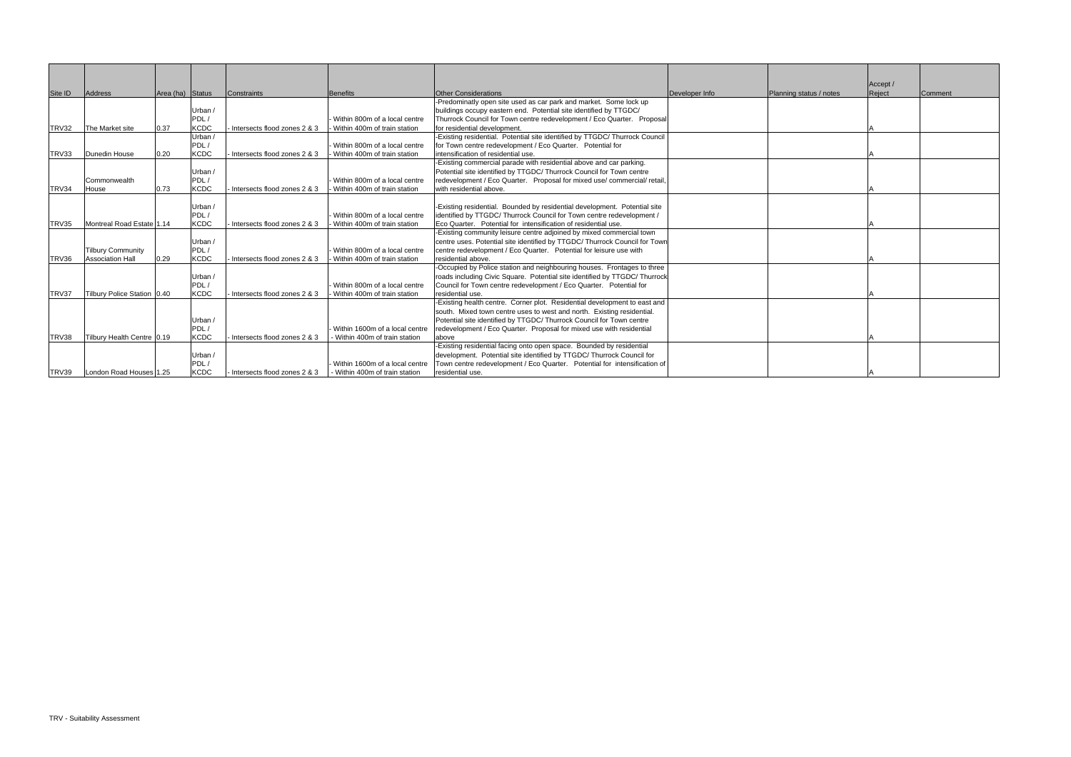| Site ID | Address                     | Area (ha) Status |                 | Constraints                    | Benefits                       | <b>Other Considerations</b>                                                                                                                        | Developer Info | Planning status / notes | Accept /<br>Reject | Comment |
|---------|-----------------------------|------------------|-----------------|--------------------------------|--------------------------------|----------------------------------------------------------------------------------------------------------------------------------------------------|----------------|-------------------------|--------------------|---------|
|         |                             |                  |                 |                                |                                | -Predominatly open site used as car park and market. Some lock up                                                                                  |                |                         |                    |         |
|         |                             |                  | Urban /         |                                |                                | buildings occupy eastern end. Potential site identified by TTGDC/                                                                                  |                |                         |                    |         |
|         |                             |                  | PDL/            |                                | Within 800m of a local centre  | Thurrock Council for Town centre redevelopment / Eco Quarter. Proposal                                                                             |                |                         |                    |         |
| TRV32   | The Market site             | 0.37             | <b>KCDC</b>     | Intersects flood zones 2 & 3   | Within 400m of train station   | for residential development.                                                                                                                       |                |                         |                    |         |
|         |                             |                  | Urban /         |                                |                                | -Existing residential. Potential site identified by TTGDC/ Thurrock Council                                                                        |                |                         |                    |         |
|         |                             |                  | PDL/            |                                | Within 800m of a local centre  | for Town centre redevelopment / Eco Quarter. Potential for                                                                                         |                |                         |                    |         |
| TRV33   | Dunedin House               | 0.20             | <b>KCDC</b>     | - Intersects flood zones 2 & 3 | Within 400m of train station   | intensification of residential use.                                                                                                                |                |                         |                    |         |
|         |                             |                  |                 |                                |                                | Existing commercial parade with residential above and car parking.                                                                                 |                |                         |                    |         |
|         |                             |                  | Urban /         |                                |                                | Potential site identified by TTGDC/ Thurrock Council for Town centre                                                                               |                |                         |                    |         |
|         | Commonwealth                |                  | PDL/            |                                | Within 800m of a local centre  | redevelopment / Eco Quarter. Proposal for mixed use/ commercial/ retail,                                                                           |                |                         |                    |         |
| TRV34   | House                       | 0.73             | <b>KCDC</b>     | Intersects flood zones 2 & 3   | Within 400m of train station   | with residential above.                                                                                                                            |                |                         |                    |         |
|         |                             |                  |                 |                                |                                |                                                                                                                                                    |                |                         |                    |         |
|         |                             |                  | Urban /         |                                |                                | -Existing residential. Bounded by residential development. Potential site                                                                          |                |                         |                    |         |
|         |                             |                  | PDL/            |                                | Within 800m of a local centre  | identified by TTGDC/ Thurrock Council for Town centre redevelopment /                                                                              |                |                         |                    |         |
| TRV35   | Montreal Road Estate 1.14   |                  | <b>KCDC</b>     | Intersects flood zones 2 & 3   | Within 400m of train station   | Eco Quarter. Potential for intensification of residential use.                                                                                     |                |                         |                    |         |
|         |                             |                  |                 |                                |                                | Existing community leisure centre adjoined by mixed commercial town                                                                                |                |                         |                    |         |
|         |                             |                  | Urban /         |                                |                                | centre uses. Potential site identified by TTGDC/ Thurrock Council for Town                                                                         |                |                         |                    |         |
|         | <b>Tilbury Community</b>    |                  | PDL/            |                                | Within 800m of a local centre  | centre redevelopment / Eco Quarter. Potential for leisure use with                                                                                 |                |                         |                    |         |
| TRV36   | <b>Association Hall</b>     | 0.29             | KCDC            | Intersects flood zones 2 & 3   | Within 400m of train station   | residential above.                                                                                                                                 |                |                         |                    |         |
|         |                             |                  |                 |                                |                                | -Occupied by Police station and neighbouring houses. Frontages to three                                                                            |                |                         |                    |         |
|         |                             |                  | Urban /         |                                |                                | roads including Civic Square. Potential site identified by TTGDC/ Thurrock                                                                         |                |                         |                    |         |
|         |                             |                  | PDL/            |                                | Within 800m of a local centre  | Council for Town centre redevelopment / Eco Quarter. Potential for                                                                                 |                |                         |                    |         |
| TRV37   | Tilbury Police Station 0.40 |                  | <b>KCDC</b>     | - Intersects flood zones 2 & 3 | Within 400m of train station   | residential use.                                                                                                                                   |                |                         |                    |         |
|         |                             |                  |                 |                                |                                | Existing health centre. Corner plot. Residential development to east and                                                                           |                |                         |                    |         |
|         |                             |                  |                 |                                |                                | south. Mixed town centre uses to west and north. Existing residential.                                                                             |                |                         |                    |         |
|         |                             |                  | Urban /         |                                |                                | Potential site identified by TTGDC/ Thurrock Council for Town centre                                                                               |                |                         |                    |         |
|         |                             |                  | PDL/            |                                | Within 1600m of a local centre | redevelopment / Eco Quarter. Proposal for mixed use with residential                                                                               |                |                         |                    |         |
| TRV38   | Tilbury Health Centre 0.19  |                  | <b>KCDC</b>     | Intersects flood zones 2 & 3   | Within 400m of train station   | above                                                                                                                                              |                |                         |                    |         |
|         |                             |                  |                 |                                |                                | Existing residential facing onto open space. Bounded by residential                                                                                |                |                         |                    |         |
|         |                             |                  | Urban /<br>PDL/ |                                | Within 1600m of a local centre | development. Potential site identified by TTGDC/ Thurrock Council for<br>Town centre redevelopment / Eco Quarter. Potential for intensification of |                |                         |                    |         |
|         |                             |                  | <b>KCDC</b>     |                                |                                |                                                                                                                                                    |                |                         |                    |         |
| TRV39   | London Road Houses 1.25     |                  |                 | - Intersects flood zones 2 & 3 | - Within 400m of train station | residential use.                                                                                                                                   |                |                         |                    |         |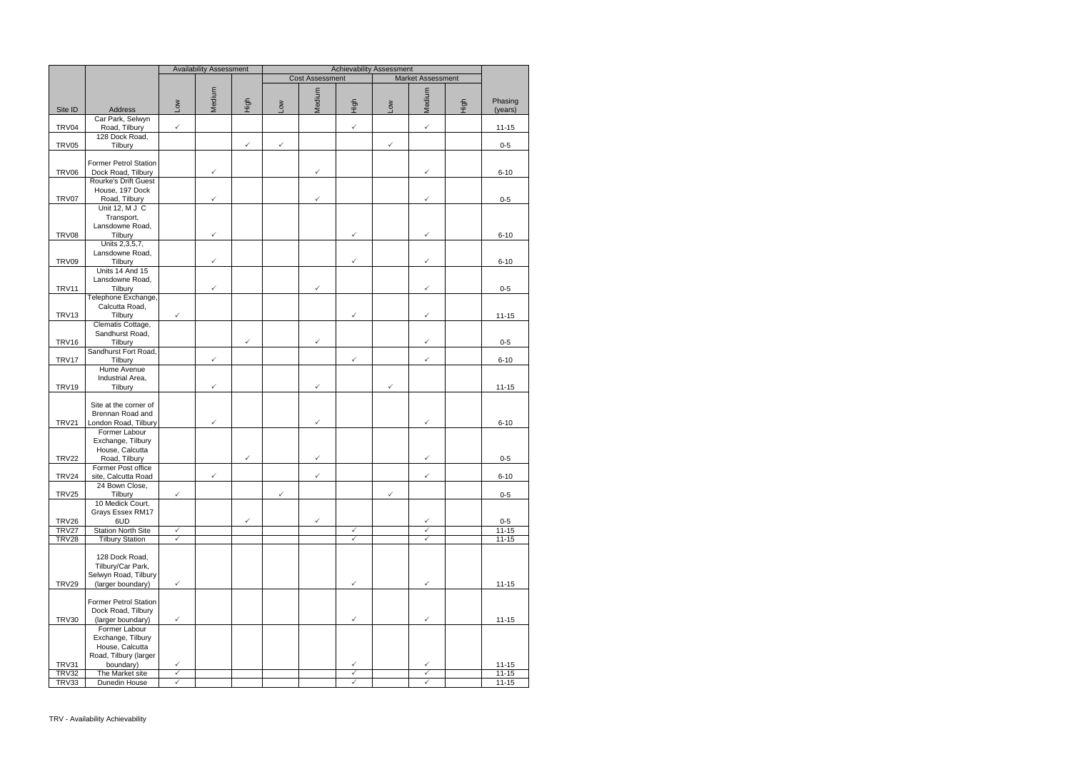|                              |                                            |                              | <b>Availability Assessment</b> |              | <b>Achievability Assessment</b> |                        |                              |              |                              |      |                        |
|------------------------------|--------------------------------------------|------------------------------|--------------------------------|--------------|---------------------------------|------------------------|------------------------------|--------------|------------------------------|------|------------------------|
|                              |                                            |                              |                                |              |                                 | <b>Cost Assessment</b> |                              |              | <b>Market Assessment</b>     |      |                        |
|                              |                                            |                              |                                |              |                                 |                        |                              |              |                              |      |                        |
|                              |                                            | Low                          | Medium                         | High         |                                 | Medium                 | High                         | <b>NOT</b>   | Medium                       | High | Phasing                |
| Site ID                      | Address                                    |                              |                                |              | <b>Non</b>                      |                        |                              |              |                              |      | (years)                |
| TRV04                        | Car Park, Selwyn<br>Road, Tilbury          | $\checkmark$                 |                                |              |                                 |                        | $\checkmark$                 |              | $\checkmark$                 |      | $11 - 15$              |
|                              | 128 Dock Road,                             |                              |                                |              |                                 |                        |                              |              |                              |      |                        |
| TRV05                        | Tilbury                                    |                              |                                | $\checkmark$ | $\checkmark$                    |                        |                              | $\checkmark$ |                              |      | $0-5$                  |
|                              |                                            |                              |                                |              |                                 |                        |                              |              |                              |      |                        |
|                              | <b>Former Petrol Station</b>               |                              |                                |              |                                 |                        |                              |              |                              |      |                        |
| TRV06                        | Dock Road, Tilbury<br>Rourke's Drift Guest |                              | $\checkmark$                   |              |                                 | ✓                      |                              |              | $\checkmark$                 |      | $6 - 10$               |
|                              | House, 197 Dock                            |                              |                                |              |                                 |                        |                              |              |                              |      |                        |
| TRV07                        | Road, Tilbury                              |                              | $\checkmark$                   |              |                                 | $\checkmark$           |                              |              | $\checkmark$                 |      | $0 - 5$                |
|                              | Unit 12, M J C                             |                              |                                |              |                                 |                        |                              |              |                              |      |                        |
|                              | Transport,                                 |                              |                                |              |                                 |                        |                              |              |                              |      |                        |
|                              | Lansdowne Road,                            |                              |                                |              |                                 |                        |                              |              |                              |      |                        |
| TRV08                        | Tilbury<br>Units 2,3,5,7,                  |                              | ✓                              |              |                                 |                        |                              |              | ✓                            |      | $6 - 10$               |
|                              | Lansdowne Road,                            |                              |                                |              |                                 |                        |                              |              |                              |      |                        |
| TRV09                        | Tilbury                                    |                              | ✓                              |              |                                 |                        |                              |              | $\checkmark$                 |      | $6 - 10$               |
|                              | Units 14 And 15                            |                              |                                |              |                                 |                        |                              |              |                              |      |                        |
|                              | Lansdowne Road,                            |                              |                                |              |                                 |                        |                              |              |                              |      |                        |
| TRV11                        | Tilbury<br>Telephone Exchange,             |                              | $\checkmark$                   |              |                                 | ✓                      |                              |              | $\checkmark$                 |      | $0-5$                  |
|                              | Calcutta Road,                             |                              |                                |              |                                 |                        |                              |              |                              |      |                        |
| TRV13                        | Tilbury                                    | $\checkmark$                 |                                |              |                                 |                        | ✓                            |              | $\checkmark$                 |      | $11 - 15$              |
|                              | Clematis Cottage,                          |                              |                                |              |                                 |                        |                              |              |                              |      |                        |
|                              | Sandhurst Road,                            |                              |                                |              |                                 |                        |                              |              |                              |      |                        |
| <b>TRV16</b>                 | Tilbury<br>Sandhurst Fort Road,            |                              |                                | $\checkmark$ |                                 | ✓                      |                              |              | $\checkmark$                 |      | $0 - 5$                |
| TRV17                        | Tilbury                                    |                              | ✓                              |              |                                 |                        | ✓                            |              | $\checkmark$                 |      | $6 - 10$               |
|                              | Hume Avenue                                |                              |                                |              |                                 |                        |                              |              |                              |      |                        |
|                              | Industrial Area,                           |                              |                                |              |                                 |                        |                              |              |                              |      |                        |
| TRV19                        | Tilbury                                    |                              | $\checkmark$                   |              |                                 | ✓                      |                              | $\checkmark$ |                              |      | $11 - 15$              |
|                              | Site at the corner of                      |                              |                                |              |                                 |                        |                              |              |                              |      |                        |
|                              | Brennan Road and                           |                              |                                |              |                                 |                        |                              |              |                              |      |                        |
| <b>TRV21</b>                 | London Road, Tilbury                       |                              | $\checkmark$                   |              |                                 | ✓                      |                              |              | $\checkmark$                 |      | $6 - 10$               |
|                              | Former Labour                              |                              |                                |              |                                 |                        |                              |              |                              |      |                        |
|                              | Exchange, Tilbury                          |                              |                                |              |                                 |                        |                              |              |                              |      |                        |
|                              | House, Calcutta                            |                              |                                | ✓            |                                 | ✓                      |                              |              | $\checkmark$                 |      |                        |
| <b>TRV22</b>                 | Road, Tilbury<br>Former Post office        |                              |                                |              |                                 |                        |                              |              |                              |      | $0 - 5$                |
| TRV24                        | site, Calcutta Road                        |                              | $\checkmark$                   |              |                                 | $\checkmark$           |                              |              | $\checkmark$                 |      | $6 - 10$               |
|                              | 24 Bown Close,                             |                              |                                |              |                                 |                        |                              |              |                              |      |                        |
| TRV25                        | Tilbury                                    | $\checkmark$                 |                                |              | $\checkmark$                    |                        |                              | $\checkmark$ |                              |      | $0 - 5$                |
|                              | 10 Medick Court,<br>Grays Essex RM17       |                              |                                |              |                                 |                        |                              |              |                              |      |                        |
| TRV26                        | 6UD                                        |                              |                                | $\checkmark$ |                                 | $\checkmark$           |                              |              | $\checkmark$                 |      | $0-5$                  |
| TRV27                        | <b>Station North Site</b>                  | $\checkmark$                 |                                |              |                                 |                        | $\checkmark$                 |              | $\checkmark$                 |      | $11 - 15$              |
| TRV28                        | <b>Tilbury Station</b>                     | $\checkmark$                 |                                |              |                                 |                        | ✓                            |              | $\checkmark$                 |      | $11 - 15$              |
|                              |                                            |                              |                                |              |                                 |                        |                              |              |                              |      |                        |
|                              | 128 Dock Road,                             |                              |                                |              |                                 |                        |                              |              |                              |      |                        |
|                              | Tilbury/Car Park,<br>Selwyn Road, Tilbury  |                              |                                |              |                                 |                        |                              |              |                              |      |                        |
| <b>TRV29</b>                 | (larger boundary)                          | $\checkmark$                 |                                |              |                                 |                        | $\checkmark$                 |              | $\checkmark$                 |      | $11 - 15$              |
|                              |                                            |                              |                                |              |                                 |                        |                              |              |                              |      |                        |
|                              | Former Petrol Station                      |                              |                                |              |                                 |                        |                              |              |                              |      |                        |
|                              | Dock Road, Tilbury                         |                              |                                |              |                                 |                        |                              |              |                              |      |                        |
| <b>TRV30</b>                 | (larger boundary)<br>Former Labour         | $\checkmark$                 |                                |              |                                 |                        | $\checkmark$                 |              | $\checkmark$                 |      | $11 - 15$              |
|                              | Exchange, Tilbury                          |                              |                                |              |                                 |                        |                              |              |                              |      |                        |
|                              | House, Calcutta                            |                              |                                |              |                                 |                        |                              |              |                              |      |                        |
|                              | Road, Tilbury (larger                      |                              |                                |              |                                 |                        |                              |              |                              |      |                        |
| <b>TRV31</b>                 | boundary)                                  | $\checkmark$                 |                                |              |                                 |                        | $\checkmark$                 |              | ✓                            |      | $11 - 15$              |
| <b>TRV32</b><br><b>TRV33</b> | The Market site<br>Dunedin House           | $\checkmark$<br>$\checkmark$ |                                |              |                                 |                        | $\checkmark$<br>$\checkmark$ |              | $\checkmark$<br>$\checkmark$ |      | $11 - 15$<br>$11 - 15$ |
|                              |                                            |                              |                                |              |                                 |                        |                              |              |                              |      |                        |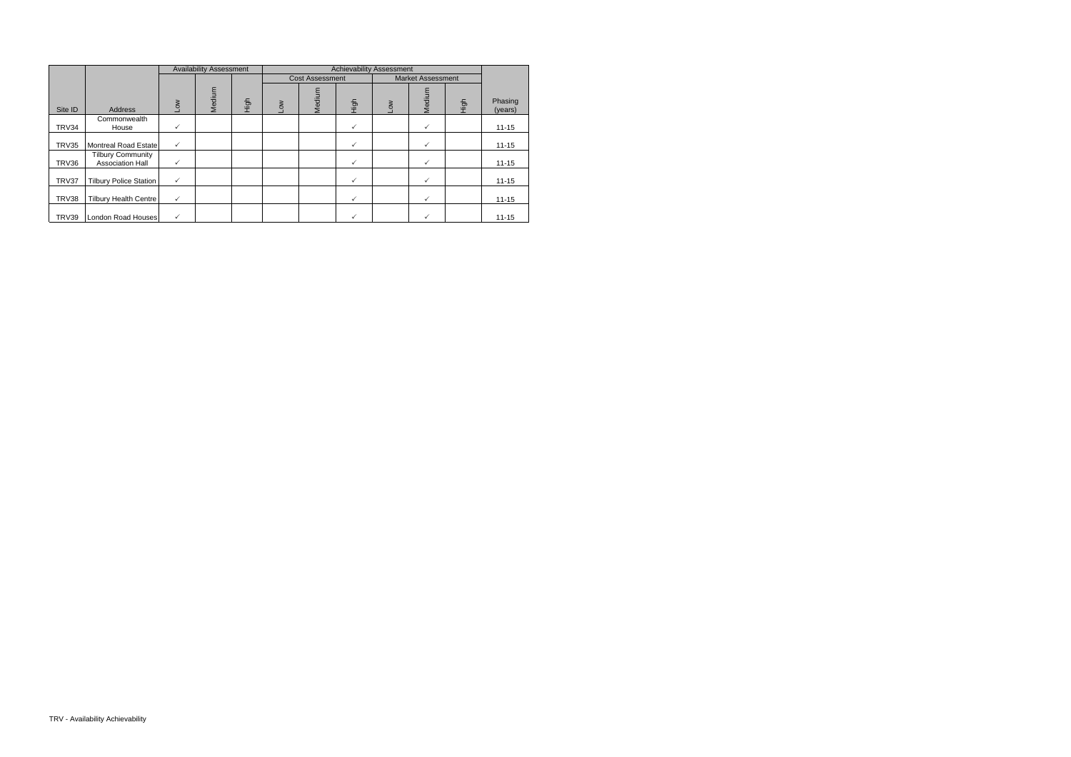|              |                                                     |                  | <b>Availability Assessment</b> |      |                  |                        |              |                          |              |      |                    |
|--------------|-----------------------------------------------------|------------------|--------------------------------|------|------------------|------------------------|--------------|--------------------------|--------------|------|--------------------|
|              |                                                     |                  |                                |      |                  | <b>Cost Assessment</b> |              | <b>Market Assessment</b> |              |      |                    |
| Site ID      | Address                                             | $\sum_{i=1}^{n}$ | Medium                         | High | $\sum_{i=1}^{n}$ | Medium                 | <b>Aigh</b>  | $\geq$                   | Medium       | High | Phasing<br>(years) |
|              | Commonwealth                                        |                  |                                |      |                  |                        |              |                          |              |      |                    |
| TRV34        | House                                               |                  |                                |      |                  |                        | ✓            |                          | $\checkmark$ |      | $11 - 15$          |
| TRV35        | Montreal Road Estate                                | ✓                |                                |      |                  |                        | ✓            |                          | ✓            |      | $11 - 15$          |
| TRV36        | <b>Tilbury Community</b><br><b>Association Hall</b> | ✓                |                                |      |                  |                        | $\checkmark$ |                          | $\checkmark$ |      | $11 - 15$          |
| TRV37        | <b>Tilbury Police Station</b>                       | $\checkmark$     |                                |      |                  |                        | ✓            |                          | $\checkmark$ |      | $11 - 15$          |
| TRV38        | <b>Tilbury Health Centre</b>                        | $\checkmark$     |                                |      |                  |                        | $\checkmark$ |                          | $\checkmark$ |      | $11 - 15$          |
| <b>TRV39</b> | London Road Houses                                  | ✓                |                                |      |                  |                        | ✓            |                          | $\checkmark$ |      | $11 - 15$          |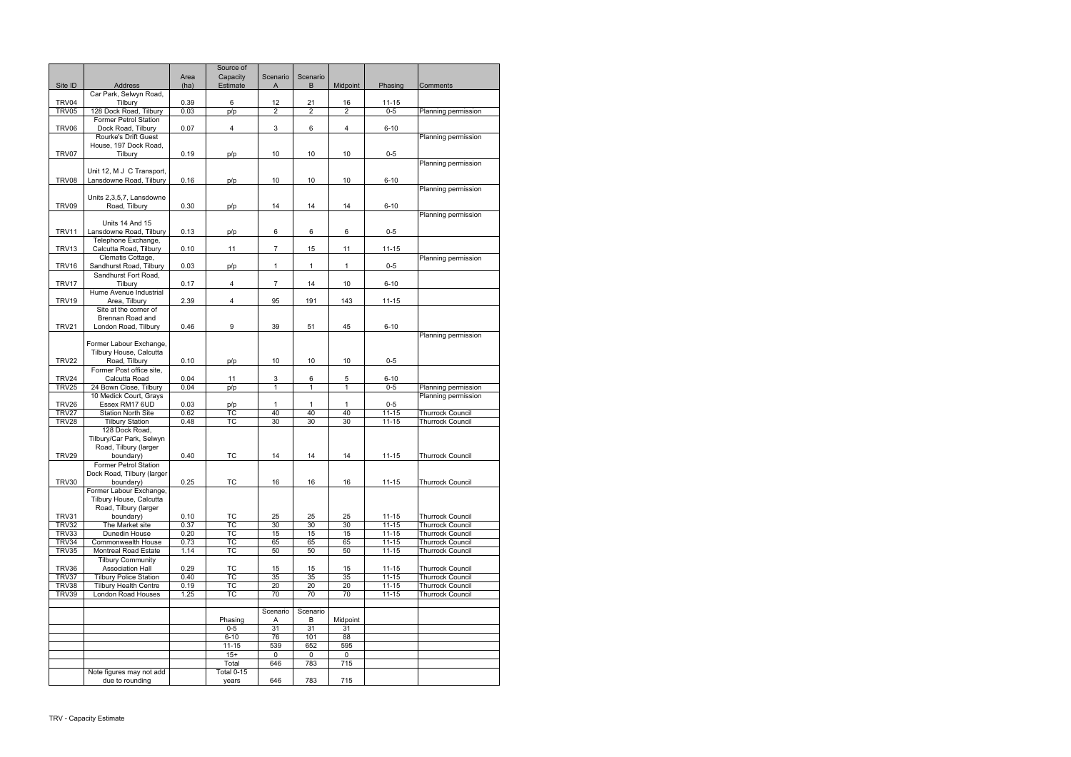|                              |                                                     | Area         | Source of<br>Capacity | Scenario              | Scenario        |                |                        |                                                    |
|------------------------------|-----------------------------------------------------|--------------|-----------------------|-----------------------|-----------------|----------------|------------------------|----------------------------------------------------|
| Site ID                      | Address                                             | (ha)         | Estimate              | A                     | B               | Midpoint       | Phasing                | Comments                                           |
| TRV04                        | Car Park, Selwyn Road,<br>Tilbury                   | 0.39         | 6                     | 12                    | 21              | 16             | $11 - 15$              |                                                    |
| TRV05                        | 128 Dock Road, Tilbury                              | 0.03         | p/p                   | $\overline{2}$        | $\overline{2}$  | $\overline{2}$ | $0 - 5$                | Planning permission                                |
|                              | <b>Former Petrol Station</b>                        |              |                       |                       |                 |                |                        |                                                    |
| TRV06                        | Dock Road, Tilbury<br><b>Rourke's Drift Guest</b>   | 0.07         | 4                     | 3                     | 6               | 4              | $6 - 10$               | Planning permission                                |
|                              | House, 197 Dock Road,                               |              |                       |                       |                 |                |                        |                                                    |
| TRV07                        | Tilbury                                             | 0.19         | p/p                   | 10                    | 10              | 10             | $0-5$                  |                                                    |
|                              | Unit 12, M J C Transport,                           |              |                       |                       |                 |                |                        | Planning permission                                |
| TRV08                        | Lansdowne Road, Tilbury                             | 0.16         | p/p                   | 10                    | 10              | 10             | $6 - 10$               |                                                    |
|                              |                                                     |              |                       |                       |                 |                |                        | Planning permission                                |
| TRV09                        | Units 2,3,5,7, Lansdowne<br>Road, Tilbury           | 0.30         |                       | 14                    | 14              | 14             | $6 - 10$               |                                                    |
|                              |                                                     |              | p/p                   |                       |                 |                |                        | Planning permission                                |
|                              | Units 14 And 15                                     |              |                       |                       |                 |                |                        |                                                    |
| TRV11                        | Lansdowne Road, Tilbury                             | 0.13         | p/p                   | 6                     | 6               | 6              | $0 - 5$                |                                                    |
| <b>TRV13</b>                 | Telephone Exchange,<br>Calcutta Road, Tilbury       | 0.10         | 11                    | 7                     | 15              | 11             | $11 - 15$              |                                                    |
|                              | Clematis Cottage,                                   |              |                       |                       |                 |                |                        | Planning permission                                |
| TRV16                        | Sandhurst Road, Tilbury                             | 0.03         | p/p                   | 1                     | $\mathbf{1}$    | 1              | $0 - 5$                |                                                    |
| TRV17                        | Sandhurst Fort Road,<br>Tilbury                     | 0.17         | 4                     | 7                     | 14              | 10             | $6 - 10$               |                                                    |
|                              | Hume Avenue Industrial                              |              |                       |                       |                 |                |                        |                                                    |
| <b>TRV19</b>                 | Area, Tilbury                                       | 2.39         | 4                     | 95                    | 191             | 143            | $11 - 15$              |                                                    |
|                              | Site at the corner of<br>Brennan Road and           |              |                       |                       |                 |                |                        |                                                    |
| <b>TRV21</b>                 | London Road, Tilbury                                | 0.46         | 9                     | 39                    | 51              | 45             | $6 - 10$               |                                                    |
|                              |                                                     |              |                       |                       |                 |                |                        | Planning permission                                |
|                              | Former Labour Exchange,<br>Tilbury House, Calcutta  |              |                       |                       |                 |                |                        |                                                    |
| <b>TRV22</b>                 | Road, Tilbury                                       | 0.10         | p/p                   | 10                    | 10              | 10             | $0 - 5$                |                                                    |
|                              | Former Post office site.                            |              |                       |                       |                 |                |                        |                                                    |
| TRV24                        | Calcutta Road                                       | 0.04         | 11                    | 3                     | 6               | 5              | $6 - 10$               |                                                    |
| TRV25                        | 24 Bown Close, Tilbury<br>10 Medick Court, Grays    | 0.04         | p/p                   | $\mathbf{1}$          | 1               | $\mathbf{1}$   | $0 - 5$                | Planning permission<br>Planning permission         |
| TRV26                        | Essex RM17 6UD                                      | 0.03         | p/p                   | 1                     | 1               | 1              | $0-5$                  |                                                    |
| TRV27                        | Station North Site                                  | 0.62         | TC                    | 40                    | 40              | 40             | $11 - 15$              | <b>Thurrock Council</b>                            |
| TRV28                        | <b>Tilbury Station</b><br>128 Dock Road.            | 0.48         | <b>TC</b>             | 30                    | 30              | 30             | $11 - 15$              | <b>Thurrock Council</b>                            |
|                              | Tilbury/Car Park, Selwyn                            |              |                       |                       |                 |                |                        |                                                    |
|                              | Road, Tilbury (larger                               |              |                       |                       |                 |                |                        |                                                    |
| TRV29                        | boundary)<br><b>Former Petrol Station</b>           | 0.40         | TC                    | 14                    | 14              | 14             | $11 - 15$              | <b>Thurrock Council</b>                            |
|                              | Dock Road, Tilbury (larger                          |              |                       |                       |                 |                |                        |                                                    |
| <b>TRV30</b>                 | boundary)                                           | 0.25         | ТC                    | 16                    | 16              | 16             | $11 - 15$              | <b>Thurrock Council</b>                            |
|                              | Former Labour Exchange,<br>Tilbury House, Calcutta  |              |                       |                       |                 |                |                        |                                                    |
|                              | Road, Tilbury (larger                               |              |                       |                       |                 |                |                        |                                                    |
| TRV31                        | boundary)                                           | 0.10         | TC                    | 25                    | 25              | 25             | $11 - 15$              | <b>Thurrock Council</b>                            |
| <b>TRV32</b><br><b>TRV33</b> | The Market site<br>Dunedin House                    | 0.37<br>0.20 | $\overline{TC}$       | 30<br>15              | 30<br>15        | 30<br>15       | $11 - 15$<br>$11 - 15$ | <b>Thurrock Council</b><br><b>Thurrock Council</b> |
| TRV34                        | Commonwealth House                                  | 0.73         | TC<br><b>TC</b>       | 65                    | 65              | 65             | $11 - 15$              | <b>Thurrock Council</b>                            |
| TRV35                        | <b>Montreal Road Estate</b>                         | 1.14         | TC                    | 50                    | 50              | 50             | $11 - 15$              | <b>Thurrock Council</b>                            |
| TRV36                        | <b>Tilbury Community</b><br><b>Association Hall</b> | 0.29         | TC                    |                       |                 |                | $11 - 15$              | <b>Thurrock Council</b>                            |
| TRV37                        | <b>Tilbury Police Station</b>                       | 0.40         | TC                    | 15<br>$\overline{35}$ | 15<br>35        | 15<br>35       | $11 - 15$              | <b>Thurrock Council</b>                            |
| TRV38                        | <b>Tilbury Health Centre</b>                        | 0.19         | ТC                    | 20                    | 20              | 20             | $11 - 15$              | <b>Thurrock Council</b>                            |
| <b>TRV39</b>                 | London Road Houses                                  | 1.25         | TC                    | 70                    | $\overline{70}$ | 70             | $11 - 15$              | <b>Thurrock Council</b>                            |
|                              |                                                     |              |                       | Scenario              | Scenario        |                |                        |                                                    |
|                              |                                                     |              | Phasing               | A                     | В               | Midpoint       |                        |                                                    |
|                              |                                                     |              | $0-5$                 | 31                    | 31              | 31             |                        |                                                    |
|                              |                                                     |              | $6 - 10$<br>$11 - 15$ | 76<br>539             | 101<br>652      | 88<br>595      |                        |                                                    |
|                              |                                                     |              | $15+$                 | $\Omega$              | $\mathbf 0$     | $\Omega$       |                        |                                                    |
|                              |                                                     |              | Total                 | 646                   | 783             | 715            |                        |                                                    |
|                              | Note figures may not add<br>due to rounding         |              | Total 0-15<br>years   | 646                   | 783             | 715            |                        |                                                    |
|                              |                                                     |              |                       |                       |                 |                |                        |                                                    |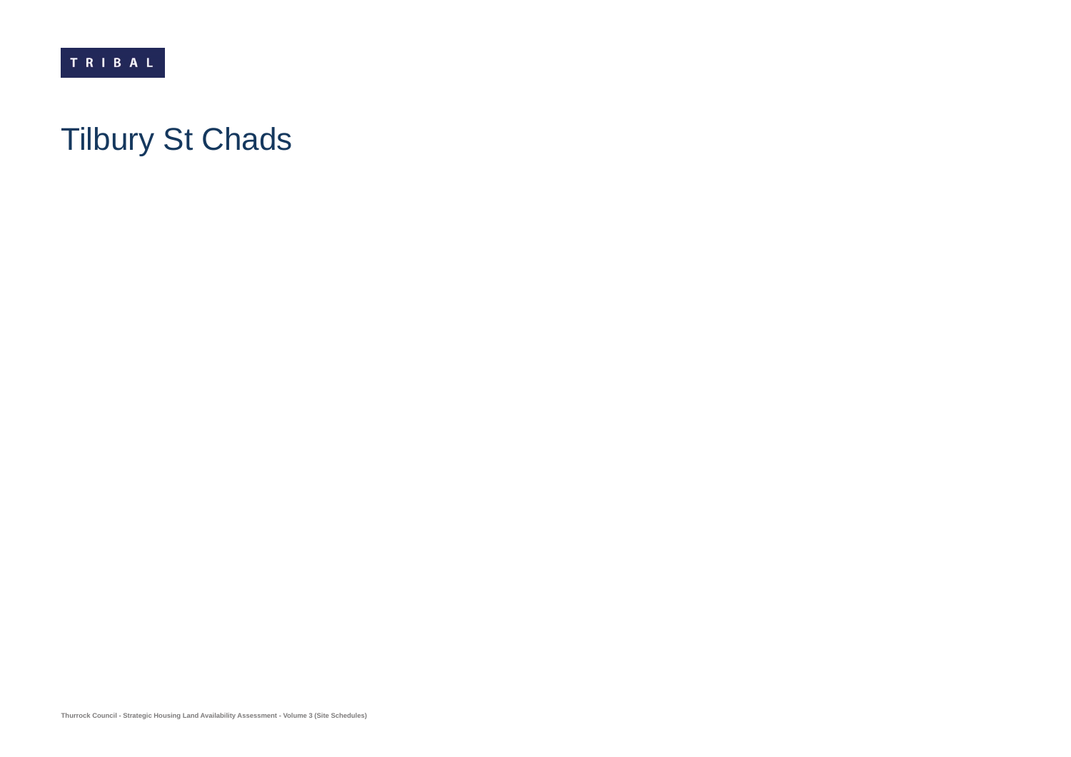# Tilbury St Chads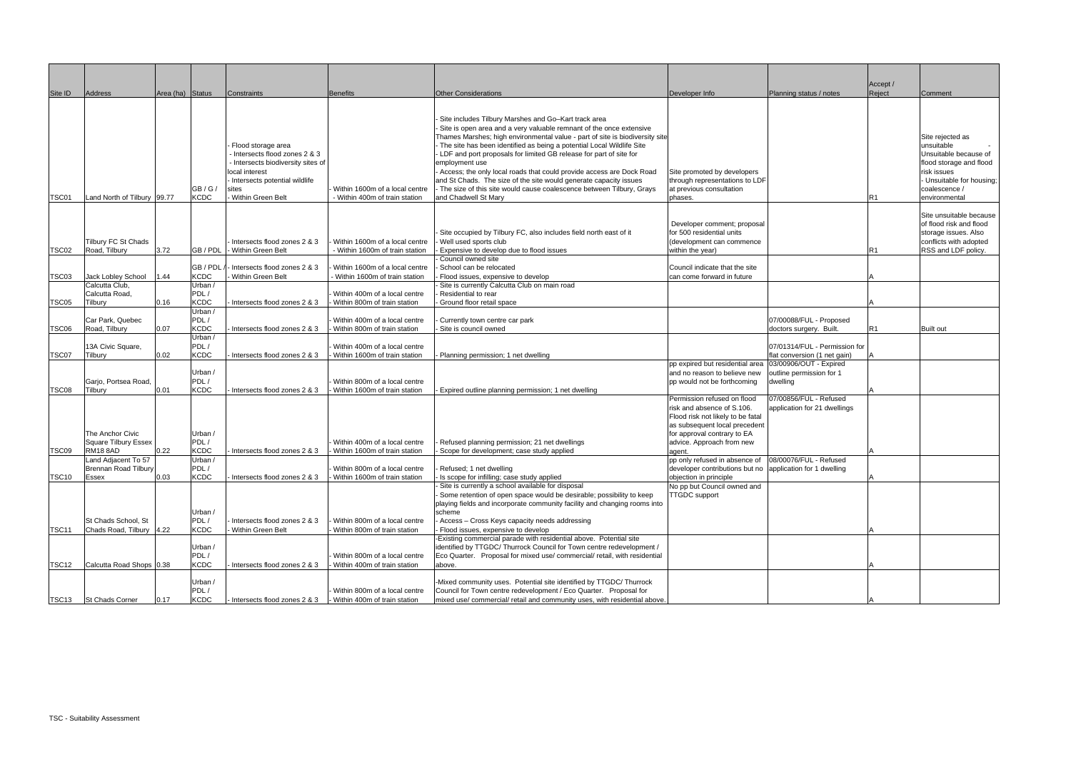| Site ID           | Address                                  | Area (ha) Status |                                | Constraints                                                                                                                                                               | <b>Benefits</b>                                                                                     | <b>Other Considerations</b>                                                                                                                                                                                                                                                                                                                                                                                                                                                                                                                                                                                               | Developer Info                                                                                                                                                                              | Planning status / notes                                        | Accept /<br>Reject | Comment                                                                                                                                                          |
|-------------------|------------------------------------------|------------------|--------------------------------|---------------------------------------------------------------------------------------------------------------------------------------------------------------------------|-----------------------------------------------------------------------------------------------------|---------------------------------------------------------------------------------------------------------------------------------------------------------------------------------------------------------------------------------------------------------------------------------------------------------------------------------------------------------------------------------------------------------------------------------------------------------------------------------------------------------------------------------------------------------------------------------------------------------------------------|---------------------------------------------------------------------------------------------------------------------------------------------------------------------------------------------|----------------------------------------------------------------|--------------------|------------------------------------------------------------------------------------------------------------------------------------------------------------------|
| TSC01             | Land North of Tilbury 99.77              |                  | GB/G/<br><b>KCDC</b>           | Flood storage area<br>Intersects flood zones 2 & 3<br>Intersects biodiversity sites of<br>local interest<br>Intersects potential wildlife<br>sites<br>- Within Green Belt | Within 1600m of a local centre<br>- Within 400m of train station                                    | Site includes Tilbury Marshes and Go-Kart track area<br>Site is open area and a very valuable remnant of the once extensive<br>Thames Marshes; high environmental value - part of site is biodiversity site<br>The site has been identified as being a potential Local Wildlife Site<br>LDF and port proposals for limited GB release for part of site for<br>employment use<br>Access; the only local roads that could provide access are Dock Road<br>and St Chads. The size of the site would generate capacity issues<br>The size of this site would cause coalescence between Tilbury, Grays<br>and Chadwell St Mary | Site promoted by developers<br>through representations to LDF<br>at previous consultation<br>phases.                                                                                        |                                                                | R1                 | Site rejected as<br>unsuitable<br>Unsuitable because of<br>flood storage and flood<br>risk issues<br>- Unsuitable for housing;<br>coalescence /<br>environmental |
| TSC02             | Tilbury FC St Chads<br>Road, Tilbury     | 3.72             | GB / PDL                       | Intersects flood zones 2 & 3<br>- Within Green Belt<br>GB / PDL / - Intersects flood zones 2 & 3                                                                          | Within 1600m of a local centre<br>- Within 1600m of train station<br>Within 1600m of a local centre | Site occupied by Tilbury FC, also includes field north east of it<br>Well used sports club<br>Expensive to develop due to flood issues<br>Council owned site<br>School can be relocated                                                                                                                                                                                                                                                                                                                                                                                                                                   | Developer comment; proposal<br>for 500 residential units<br>development can commence<br>within the year)<br>Council indicate that the site                                                  |                                                                | R1                 | Site unsuitable because<br>of flood risk and flood<br>storage issues. Also<br>conflicts with adopted<br>RSS and LDF policy.                                      |
| TSC03             | Jack Lobley School<br>Calcutta Club,     | 1.44             | <b>KCDC</b><br>Urban /         | - Within Green Belt                                                                                                                                                       | Within 1600m of train station                                                                       | Flood issues, expensive to develop<br>Site is currently Calcutta Club on main road                                                                                                                                                                                                                                                                                                                                                                                                                                                                                                                                        | can come forward in future                                                                                                                                                                  |                                                                |                    |                                                                                                                                                                  |
| TSC05             | Calcutta Road,<br><b>Tilbury</b>         | 0.16             | PDL/<br><b>KCDC</b>            | Intersects flood zones 2 & 3                                                                                                                                              | Within 400m of a local centre<br>Within 800m of train station                                       | Residential to rear<br>Ground floor retail space                                                                                                                                                                                                                                                                                                                                                                                                                                                                                                                                                                          |                                                                                                                                                                                             |                                                                |                    |                                                                                                                                                                  |
| TSC06             | Car Park, Quebec<br>Road, Tilbury        | 0.07             | Urban /<br>PDL/<br><b>KCDC</b> | Intersects flood zones 2 & 3                                                                                                                                              | Within 400m of a local centre<br>Within 800m of train station                                       | Currently town centre car park<br>Site is council owned                                                                                                                                                                                                                                                                                                                                                                                                                                                                                                                                                                   |                                                                                                                                                                                             | 07/00088/FUL - Proposed<br>doctors surgery. Built.             | R <sub>1</sub>     | Built out                                                                                                                                                        |
| TSC07             | 13A Civic Square,<br>Tilbury             | 0.02             | Urban /<br>PDL/<br><b>KCDC</b> | Intersects flood zones 2 & 3                                                                                                                                              | Within 400m of a local centre<br>Within 1600m of train station                                      | Planning permission; 1 net dwelling                                                                                                                                                                                                                                                                                                                                                                                                                                                                                                                                                                                       |                                                                                                                                                                                             | 07/01314/FUL - Permission for<br>flat conversion (1 net gain)  |                    |                                                                                                                                                                  |
| TSC08             | Garjo, Portsea Road,<br>Tilbury          | 0.01             | Urban /<br>PDL/<br><b>KCDC</b> | Intersects flood zones 2 & 3                                                                                                                                              | Within 800m of a local centre<br>Within 1600m of train station                                      | Expired outline planning permission; 1 net dwelling                                                                                                                                                                                                                                                                                                                                                                                                                                                                                                                                                                       | pp expired but residential area<br>and no reason to believe new<br>pp would not be forthcoming                                                                                              | 03/00906/OUT - Expired<br>outline permission for 1<br>dwelling |                    |                                                                                                                                                                  |
|                   | The Anchor Civic<br>Square Tilbury Essex |                  | Urban /<br>PDL/                |                                                                                                                                                                           | Within 400m of a local centre                                                                       | Refused planning permission; 21 net dwellings                                                                                                                                                                                                                                                                                                                                                                                                                                                                                                                                                                             | Permission refused on flood<br>risk and absence of S.106.<br>Flood risk not likely to be fatal<br>as subsequent local precedent<br>for approval contrary to EA<br>advice. Approach from new | 07/00856/FUL - Refused<br>application for 21 dwellings         |                    |                                                                                                                                                                  |
| TSC09             | <b>RM18 8AD</b><br>Land Adjacent To 57   | 0.22             | <b>KCDC</b><br>Urban /         | Intersects flood zones 2 & 3                                                                                                                                              | Within 1600m of train station                                                                       | Scope for development; case study applied                                                                                                                                                                                                                                                                                                                                                                                                                                                                                                                                                                                 | agent.<br>pp only refused in absence of                                                                                                                                                     | 08/00076/FUL - Refused                                         |                    |                                                                                                                                                                  |
| TSC <sub>10</sub> | Brennan Road Tilbury<br>Essex            | 0.03             | PDL/<br><b>KCDC</b>            | - Intersects flood zones 2 & 3                                                                                                                                            | - Within 800m of a local centre<br>Within 1600m of train station                                    | Refused; 1 net dwelling<br>Is scope for infilling; case study applied                                                                                                                                                                                                                                                                                                                                                                                                                                                                                                                                                     | developer contributions but no   application for 1 dwelling<br>objection in principle                                                                                                       |                                                                |                    |                                                                                                                                                                  |
|                   | St Chads School, St                      |                  | Urban /<br>PDL/                | Intersects flood zones 2 & 3                                                                                                                                              | Within 800m of a local centre                                                                       | Site is currently a school available for disposal<br>Some retention of open space would be desirable; possibility to keep<br>playing fields and incorporate community facility and changing rooms into<br>scheme<br>Access - Cross Keys capacity needs addressing                                                                                                                                                                                                                                                                                                                                                         | No pp but Council owned and<br><b>TTGDC</b> support                                                                                                                                         |                                                                |                    |                                                                                                                                                                  |
| TSC <sub>11</sub> | Chads Road, Tilbury 4.22                 |                  | <b>KCDC</b><br>Urban /         | Within Green Belt                                                                                                                                                         | Within 800m of train station                                                                        | Flood issues, expensive to develop<br>-Existing commercial parade with residential above. Potential site<br>identified by TTGDC/ Thurrock Council for Town centre redevelopment /                                                                                                                                                                                                                                                                                                                                                                                                                                         |                                                                                                                                                                                             |                                                                |                    |                                                                                                                                                                  |
| TSC <sub>12</sub> | Calcutta Road Shops 0.38                 |                  | PDL/<br><b>KCDC</b>            | Intersects flood zones 2 & 3                                                                                                                                              | Within 800m of a local centre<br>Within 400m of train station                                       | Eco Quarter. Proposal for mixed use/commercial/ retail, with residential<br>above.                                                                                                                                                                                                                                                                                                                                                                                                                                                                                                                                        |                                                                                                                                                                                             |                                                                |                    |                                                                                                                                                                  |
|                   | TSC13 St Chads Corner                    | 0.17             | Urban /<br>PDL/<br><b>KCDC</b> | - Intersects flood zones 2 & 3                                                                                                                                            | Within 800m of a local centre<br>- Within 400m of train station                                     | -Mixed community uses. Potential site identified by TTGDC/ Thurrock<br>Council for Town centre redevelopment / Eco Quarter. Proposal for<br>mixed use/ commercial/ retail and community uses, with residential above.                                                                                                                                                                                                                                                                                                                                                                                                     |                                                                                                                                                                                             |                                                                |                    |                                                                                                                                                                  |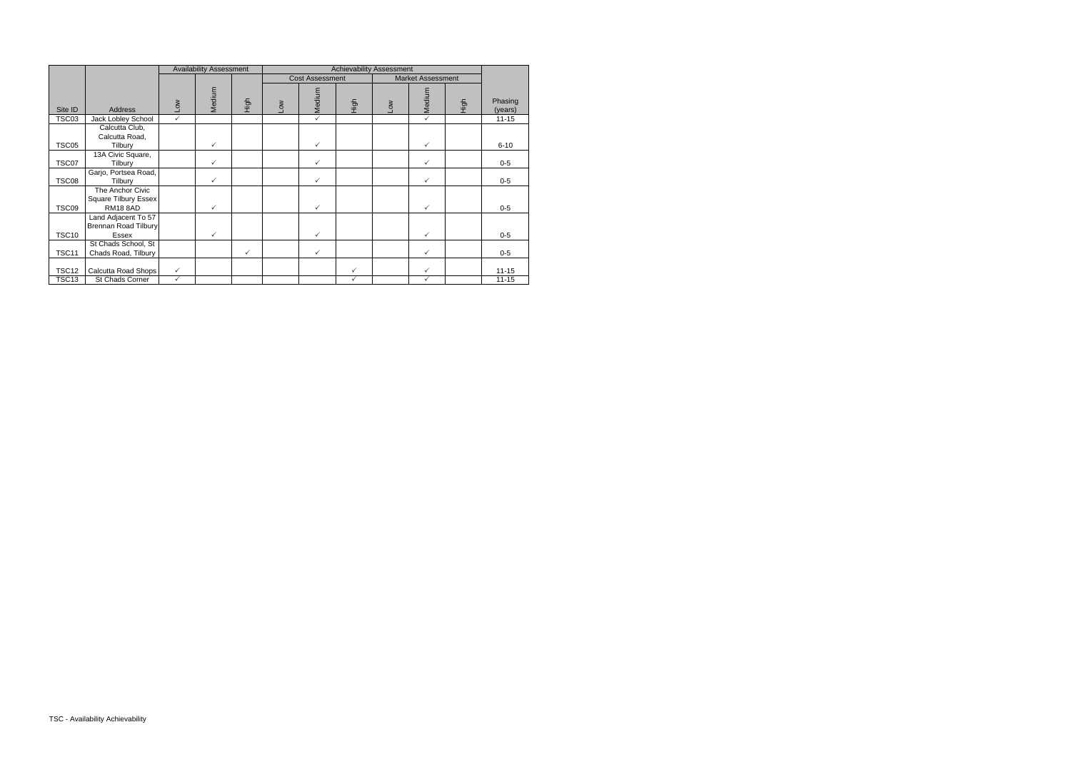|                   |                                                                    |              | <b>Availability Assessment</b>                     |              | <b>Achievability Assessment</b> |              |              |                  |              |      |                    |
|-------------------|--------------------------------------------------------------------|--------------|----------------------------------------------------|--------------|---------------------------------|--------------|--------------|------------------|--------------|------|--------------------|
|                   |                                                                    |              | <b>Cost Assessment</b><br><b>Market Assessment</b> |              |                                 |              |              |                  |              |      |                    |
| Site ID           | <b>Address</b>                                                     | Mo⊓          | Medium                                             | High         | ΜΟT                             | Medium       | High         | $\sum_{i=1}^{n}$ | Medium       | High | Phasing<br>(years) |
| TSC03             | Jack Lobley School                                                 | $\checkmark$ |                                                    |              |                                 | $\checkmark$ |              |                  | $\checkmark$ |      | $11 - 15$          |
| <b>TSC05</b>      | Calcutta Club,<br>Calcutta Road,<br>Tilbury                        |              | $\checkmark$                                       |              |                                 | $\checkmark$ |              |                  | $\checkmark$ |      | $6 - 10$           |
| TSC07             | 13A Civic Square,<br>Tilbury                                       |              | $\checkmark$                                       |              |                                 | $\checkmark$ |              |                  | ✓            |      | $0 - 5$            |
| <b>TSC08</b>      | Garjo, Portsea Road,<br>Tilbury                                    |              | ✓                                                  |              |                                 | $\checkmark$ |              |                  | $\checkmark$ |      | $0-5$              |
| TSC09             | The Anchor Civic<br><b>Square Tilbury Essex</b><br><b>RM18 8AD</b> |              | $\checkmark$                                       |              |                                 | $\checkmark$ |              |                  | $\checkmark$ |      | $0 - 5$            |
|                   | Land Adjacent To 57<br><b>Brennan Road Tilbury</b>                 |              |                                                    |              |                                 |              |              |                  |              |      |                    |
| <b>TSC10</b>      | Essex                                                              |              | $\checkmark$                                       |              |                                 | $\checkmark$ |              |                  | $\checkmark$ |      | $0-5$              |
| <b>TSC11</b>      | St Chads School, St<br>Chads Road, Tilbury                         |              |                                                    | $\checkmark$ |                                 | $\checkmark$ |              |                  | $\checkmark$ |      | $0 - 5$            |
| TSC <sub>12</sub> | Calcutta Road Shops                                                | $\checkmark$ |                                                    |              |                                 |              | $\checkmark$ |                  | $\checkmark$ |      | $11 - 15$          |
| <b>TSC13</b>      | St Chads Corner                                                    | $\checkmark$ |                                                    |              |                                 |              | $\checkmark$ |                  | ✓            |      | $11 - 15$          |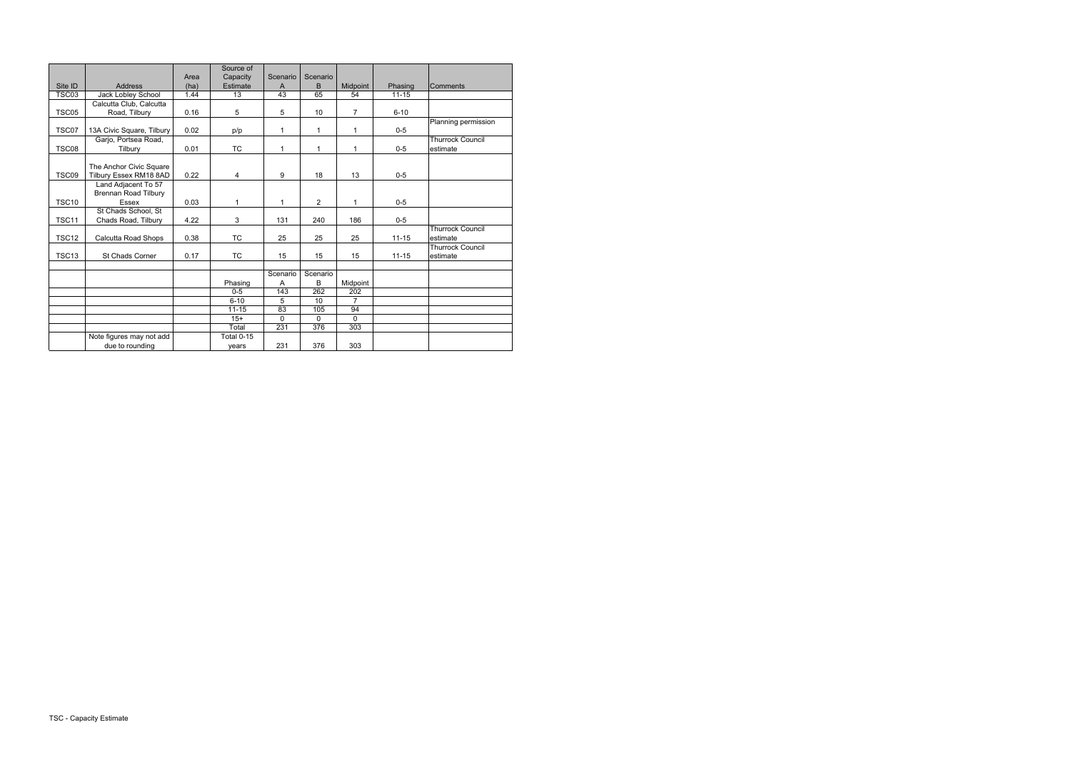|              |                           |      | Source of         |                 |                |                 |           |                         |
|--------------|---------------------------|------|-------------------|-----------------|----------------|-----------------|-----------|-------------------------|
|              |                           | Area | Capacity          | Scenario        | Scenario       |                 |           |                         |
| Site ID      | <b>Address</b>            | (ha) | Estimate          | A               | B              | Midpoint        | Phasing   | Comments                |
| <b>TSC03</b> | Jack Lobley School        | 1.44 | 13                | 43              | 65             | 54              | $11 - 15$ |                         |
|              | Calcutta Club, Calcutta   |      |                   |                 |                |                 |           |                         |
| <b>TSC05</b> | Road, Tilbury             | 0.16 | 5                 | 5               | 10             | $\overline{7}$  | $6 - 10$  |                         |
|              |                           |      |                   |                 |                |                 |           | Planning permission     |
| TSC07        | 13A Civic Square, Tilbury | 0.02 | p/p               | $\mathbf{1}$    | $\mathbf{1}$   | 1               | $0 - 5$   |                         |
|              | Gario, Portsea Road,      |      |                   |                 |                |                 |           | <b>Thurrock Council</b> |
| TSC08        | Tilbury                   | 0.01 | <b>TC</b>         | 1               | 1              | 1               | $0 - 5$   | estimate                |
|              |                           |      |                   |                 |                |                 |           |                         |
|              | The Anchor Civic Square   |      |                   |                 |                |                 |           |                         |
| TSC09        | Tilbury Essex RM18 8AD    | 0.22 | 4                 | 9               | 18             | 13              | $0 - 5$   |                         |
|              | Land Adjacent To 57       |      |                   |                 |                |                 |           |                         |
|              | Brennan Road Tilbury      |      |                   |                 |                |                 |           |                         |
| <b>TSC10</b> | <b>Essex</b>              | 0.03 | $\mathbf{1}$      | $\mathbf{1}$    | $\overline{2}$ | 1               | $0 - 5$   |                         |
|              | St Chads School, St       |      |                   |                 |                |                 |           |                         |
| <b>TSC11</b> | Chads Road, Tilbury       | 4.22 | 3                 | 131             | 240            | 186             | $0-5$     |                         |
|              |                           |      |                   |                 |                |                 |           | <b>Thurrock Council</b> |
| <b>TSC12</b> | Calcutta Road Shops       | 0.38 | <b>TC</b>         | 25              | 25             | 25              | $11 - 15$ | lestimate               |
|              |                           |      |                   |                 |                |                 |           | <b>Thurrock Council</b> |
| <b>TSC13</b> | St Chads Corner           | 0.17 | ТC                | 15              | 15             | 15              | $11 - 15$ | estimate                |
|              |                           |      |                   |                 |                |                 |           |                         |
|              |                           |      |                   | Scenario        | Scenario       |                 |           |                         |
|              |                           |      | Phasing           | A               | B              | Midpoint        |           |                         |
|              |                           |      | $0 - 5$           | 143             | 262            | 202             |           |                         |
|              |                           |      | $6 - 10$          | 5               | 10             | $\overline{7}$  |           |                         |
|              |                           |      | $11 - 15$         | $\overline{83}$ | 105            | $\overline{94}$ |           |                         |
|              |                           |      | $15+$             | $\Omega$        | $\Omega$       | $\Omega$        |           |                         |
|              |                           |      | Total             | 231             | 376            | 303             |           |                         |
|              | Note figures may not add  |      | <b>Total 0-15</b> |                 |                |                 |           |                         |
|              | due to rounding           |      | years             | 231             | 376            | 303             |           |                         |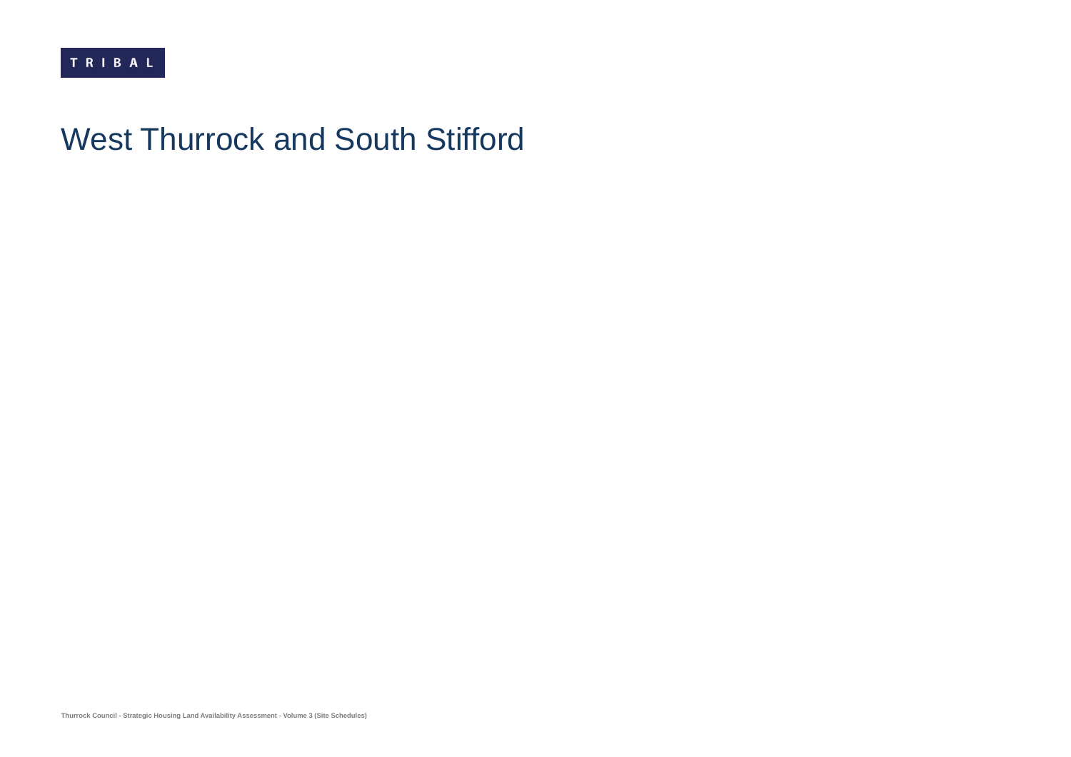## West Thurrock and South Stifford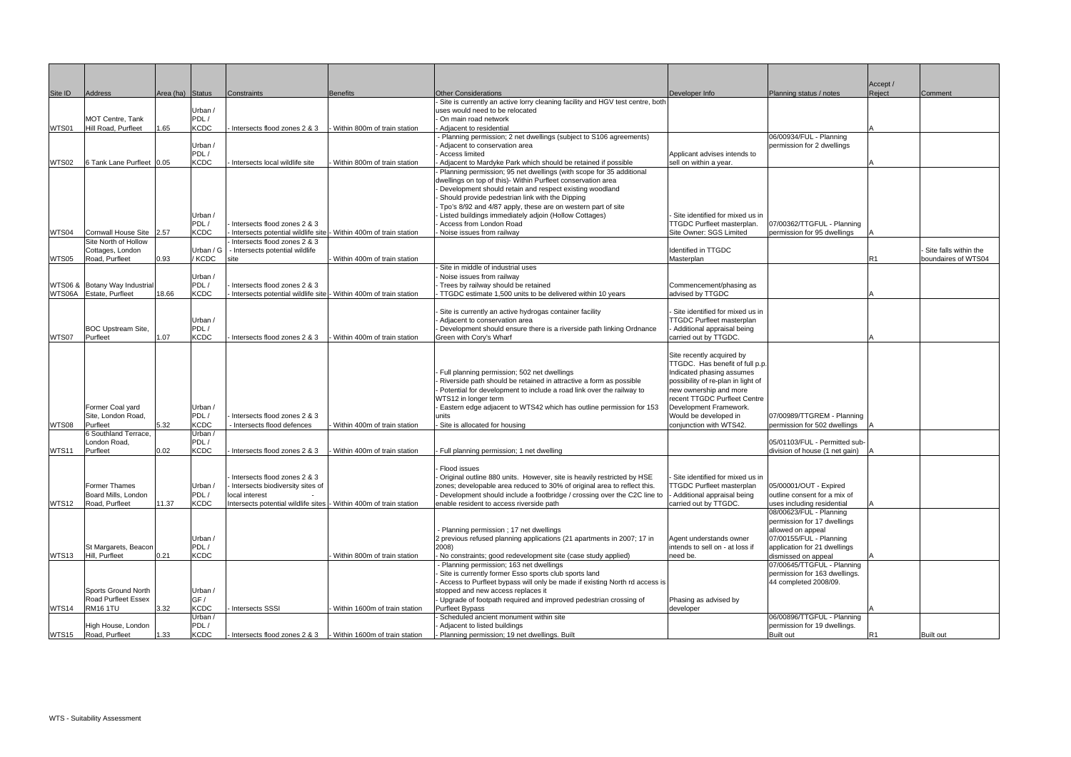| Site ID | Address                                        | Area (ha) Status |                     | Constraints                                                                                       | <b>Benefits</b>                 | <b>Other Considerations</b>                                                                                                                        | Developer Info                                                        | Planning status / notes                                         | Accept /<br>Reject | Comment               |
|---------|------------------------------------------------|------------------|---------------------|---------------------------------------------------------------------------------------------------|---------------------------------|----------------------------------------------------------------------------------------------------------------------------------------------------|-----------------------------------------------------------------------|-----------------------------------------------------------------|--------------------|-----------------------|
|         |                                                |                  |                     |                                                                                                   |                                 | Site is currently an active lorry cleaning facility and HGV test centre, both                                                                      |                                                                       |                                                                 |                    |                       |
|         |                                                |                  | Urban /             |                                                                                                   |                                 | uses would need to be relocated                                                                                                                    |                                                                       |                                                                 |                    |                       |
| WTS01   | <b>MOT Centre, Tank</b><br>Hill Road, Purfleet | 1.65             | PDL/<br><b>KCDC</b> | Intersects flood zones 2 & 3                                                                      | Within 800m of train station    | On main road network<br>Adiacent to residential                                                                                                    |                                                                       |                                                                 |                    |                       |
|         |                                                |                  |                     |                                                                                                   |                                 | Planning permission; 2 net dwellings (subject to S106 agreements)                                                                                  |                                                                       | 06/00934/FUL - Planning                                         |                    |                       |
|         |                                                |                  | Urban /             |                                                                                                   |                                 | Adjacent to conservation area                                                                                                                      |                                                                       | permission for 2 dwellings                                      |                    |                       |
| WTS02   | 6 Tank Lane Purfleet 0.05                      |                  | PDL/<br><b>KCDC</b> | Intersects local wildlife site                                                                    | Within 800m of train station    | Access limited<br>Adjacent to Mardyke Park which should be retained if possible                                                                    | Applicant advises intends to<br>sell on within a year.                |                                                                 |                    |                       |
|         |                                                |                  |                     |                                                                                                   |                                 | Planning permission; 95 net dwellings (with scope for 35 additional                                                                                |                                                                       |                                                                 |                    |                       |
|         |                                                |                  |                     |                                                                                                   |                                 | dwellings on top of this)- Within Purfleet conservation area                                                                                       |                                                                       |                                                                 |                    |                       |
|         |                                                |                  |                     |                                                                                                   |                                 | Development should retain and respect existing woodland<br>Should provide pedestrian link with the Dipping                                         |                                                                       |                                                                 |                    |                       |
|         |                                                |                  |                     |                                                                                                   |                                 | Tpo's 8/92 and 4/87 apply, these are on western part of site                                                                                       |                                                                       |                                                                 |                    |                       |
|         |                                                |                  | Urban /             |                                                                                                   |                                 | Listed buildings immediately adjoin (Hollow Cottages)                                                                                              | Site identified for mixed us in                                       |                                                                 |                    |                       |
| WTS04   | Cornwall House Site 2.57                       |                  | PDL/<br><b>KCDC</b> | Intersects flood zones 2 & 3<br>Intersects potential wildlife site - Within 400m of train station |                                 | Access from London Road<br>Noise issues from railway                                                                                               | TTGDC Purfleet masterplan.<br>Site Owner: SGS Limited                 | 07/00362/TTGFUL - Planning<br>permission for 95 dwellings       |                    |                       |
|         | Site North of Hollow                           |                  |                     | Intersects flood zones 2 & 3                                                                      |                                 |                                                                                                                                                    |                                                                       |                                                                 |                    |                       |
|         | Cottages, London                               |                  | Urban / G           | - Intersects potential wildlife                                                                   |                                 |                                                                                                                                                    | <b>Identified in TTGDC</b>                                            |                                                                 |                    | Site falls within the |
| WTS05   | Road, Purfleet                                 | 0.93             | / KCDC              | site                                                                                              | Within 400m of train station    | Site in middle of industrial uses                                                                                                                  | Masterplan                                                            |                                                                 | R1                 | boundaires of WTS04   |
|         |                                                |                  | Urban /             |                                                                                                   |                                 | Noise issues from railway                                                                                                                          |                                                                       |                                                                 |                    |                       |
|         | WTS06 & Botany Way Industrial                  |                  | PDL/                | Intersects flood zones 2 & 3                                                                      |                                 | Trees by railway should be retained                                                                                                                | Commencement/phasing as                                               |                                                                 |                    |                       |
|         | WTS06A Estate, Purfleet                        | 18.66            | <b>KCDC</b>         | Intersects potential wildlife site - Within 400m of train station                                 |                                 | TTGDC estimate 1,500 units to be delivered within 10 years                                                                                         | advised by TTGDC                                                      |                                                                 |                    |                       |
|         |                                                |                  |                     |                                                                                                   |                                 | Site is currently an active hydrogas container facility                                                                                            | Site identified for mixed us in                                       |                                                                 |                    |                       |
|         |                                                |                  | Urban /             |                                                                                                   |                                 | Adjacent to conservation area                                                                                                                      | <b>TTGDC Purfleet masterplan</b>                                      |                                                                 |                    |                       |
|         | <b>BOC Upstream Site,</b>                      | 1.07             | PDL/<br><b>KCDC</b> |                                                                                                   |                                 | Development should ensure there is a riverside path linking Ordnance                                                                               | - Additional appraisal being                                          |                                                                 |                    |                       |
| WTS07   | Purfleet                                       |                  |                     | Intersects flood zones 2 & 3                                                                      | Within 400m of train station    | Green with Cory's Wharf                                                                                                                            | carried out by TTGDC.                                                 |                                                                 |                    |                       |
|         |                                                |                  |                     |                                                                                                   |                                 |                                                                                                                                                    | Site recently acquired by                                             |                                                                 |                    |                       |
|         |                                                |                  |                     |                                                                                                   |                                 |                                                                                                                                                    | TTGDC. Has benefit of full p.p.                                       |                                                                 |                    |                       |
|         |                                                |                  |                     |                                                                                                   |                                 | Full planning permission; 502 net dwellings<br>Riverside path should be retained in attractive a form as possible                                  | Indicated phasing assumes<br>possibility of re-plan in light of       |                                                                 |                    |                       |
|         |                                                |                  |                     |                                                                                                   |                                 | Potential for development to include a road link over the railway to                                                                               | new ownership and more                                                |                                                                 |                    |                       |
|         |                                                |                  |                     |                                                                                                   |                                 | WTS12 in longer term                                                                                                                               | recent TTGDC Purfleet Centre                                          |                                                                 |                    |                       |
|         | Former Coal yard<br>Site. London Road.         |                  | Urban /<br>PDL/     | Intersects flood zones 2 & 3                                                                      |                                 | Eastern edge adjacent to WTS42 which has outline permission for 153<br>units                                                                       | Development Framework.<br>Would be developed in                       | 07/00989/TTGREM - Planning                                      |                    |                       |
| WTS08   | Purfleet                                       | 5.32             | <b>KCDC</b>         | Intersects flood defences                                                                         | Within 400m of train station    | Site is allocated for housing                                                                                                                      | conjunction with WTS42.                                               | permission for 502 dwellings                                    |                    |                       |
|         | 6 Southland Terrace,                           |                  | Urban /             |                                                                                                   |                                 |                                                                                                                                                    |                                                                       |                                                                 |                    |                       |
| WTS11   | London Road,<br>Purfleet                       | 0.02             | PDL/<br><b>KCDC</b> | Intersects flood zones 2 & 3                                                                      | Within 400m of train station    | Full planning permission; 1 net dwelling                                                                                                           |                                                                       | 05/01103/FUL - Permitted sub-<br>division of house (1 net gain) |                    |                       |
|         |                                                |                  |                     |                                                                                                   |                                 |                                                                                                                                                    |                                                                       |                                                                 |                    |                       |
|         |                                                |                  |                     |                                                                                                   |                                 | <b>Flood issues</b>                                                                                                                                |                                                                       |                                                                 |                    |                       |
|         | <b>Former Thames</b>                           |                  | Urban /             | Intersects flood zones 2 & 3<br>Intersects biodiversity sites of                                  |                                 | Original outline 880 units. However, site is heavily restricted by HSE<br>zones; developable area reduced to 30% of original area to reflect this. | - Site identified for mixed us in<br><b>TTGDC Purfleet masterplan</b> | 05/00001/OUT - Expired                                          |                    |                       |
|         | Board Mills, London                            |                  | PDL/                | local interest                                                                                    |                                 | Development should include a footbridge / crossing over the C2C line to                                                                            | Additional appraisal being                                            | outline consent for a mix of                                    |                    |                       |
| WTS12   | Road, Purfleet                                 | 11.37            | <b>KCDC</b>         | Intersects potential wildlife sites  - Within 400m of train station                               |                                 | enable resident to access riverside path                                                                                                           | carried out by TTGDC.                                                 | uses including residential                                      |                    |                       |
|         |                                                |                  |                     |                                                                                                   |                                 |                                                                                                                                                    |                                                                       | 08/00623/FUL - Planning<br>permission for 17 dwellings          |                    |                       |
|         |                                                |                  |                     |                                                                                                   |                                 | Planning permission; 17 net dwellings                                                                                                              |                                                                       | allowed on appeal                                               |                    |                       |
|         |                                                |                  | Urban               |                                                                                                   |                                 | 2 previous refused planning applications (21 apartments in 2007; 17 in                                                                             | Agent understands owner                                               | 07/00155/FUL - Planning                                         |                    |                       |
| WTS13   | St Margarets, Beacon<br>Hill, Purfleet         | 0.21             | PDL/<br><b>KCDC</b> |                                                                                                   | Within 800m of train station    | 2008)<br>No constraints; good redevelopment site (case study applied)                                                                              | lintends to sell on - at loss if<br>need be.                          | application for 21 dwellings<br>dismissed on appeal             |                    |                       |
|         |                                                |                  |                     |                                                                                                   |                                 | - Planning permission; 163 net dwellings                                                                                                           |                                                                       | 07/00645/TTGFUL - Planning                                      |                    |                       |
|         |                                                |                  |                     |                                                                                                   |                                 | Site is currently former Esso sports club sports land                                                                                              |                                                                       | permission for 163 dwellings.                                   |                    |                       |
|         | Sports Ground North                            |                  | Urban /             |                                                                                                   |                                 | Access to Purfleet bypass will only be made if existing North rd access is<br>stopped and new access replaces it                                   |                                                                       | 44 completed 2008/09.                                           |                    |                       |
|         | <b>Road Purfleet Essex</b>                     |                  | GF /                |                                                                                                   |                                 | Upgrade of footpath required and improved pedestrian crossing of                                                                                   | Phasing as advised by                                                 |                                                                 |                    |                       |
| WTS14   | <b>RM16 1TU</b>                                | 3.32             | <b>KCDC</b>         | <b>Intersects SSSI</b>                                                                            | Within 1600m of train station   | <b>Purfleet Bypass</b>                                                                                                                             | developer                                                             |                                                                 |                    |                       |
|         | High House, London                             |                  | Urban /<br>PDL/     |                                                                                                   |                                 | Scheduled ancient monument within site<br>Adjacent to listed buildings                                                                             |                                                                       | 06/00896/TTGFUL - Planning<br>permission for 19 dwellings.      |                    |                       |
| WTS15   | Road, Purfleet                                 | 1.33             | <b>KCDC</b>         | Intersects flood zones 2 & 3                                                                      | - Within 1600m of train station | Planning permission; 19 net dwellings. Built                                                                                                       |                                                                       | <b>Built out</b>                                                | R <sub>1</sub>     | <b>Built out</b>      |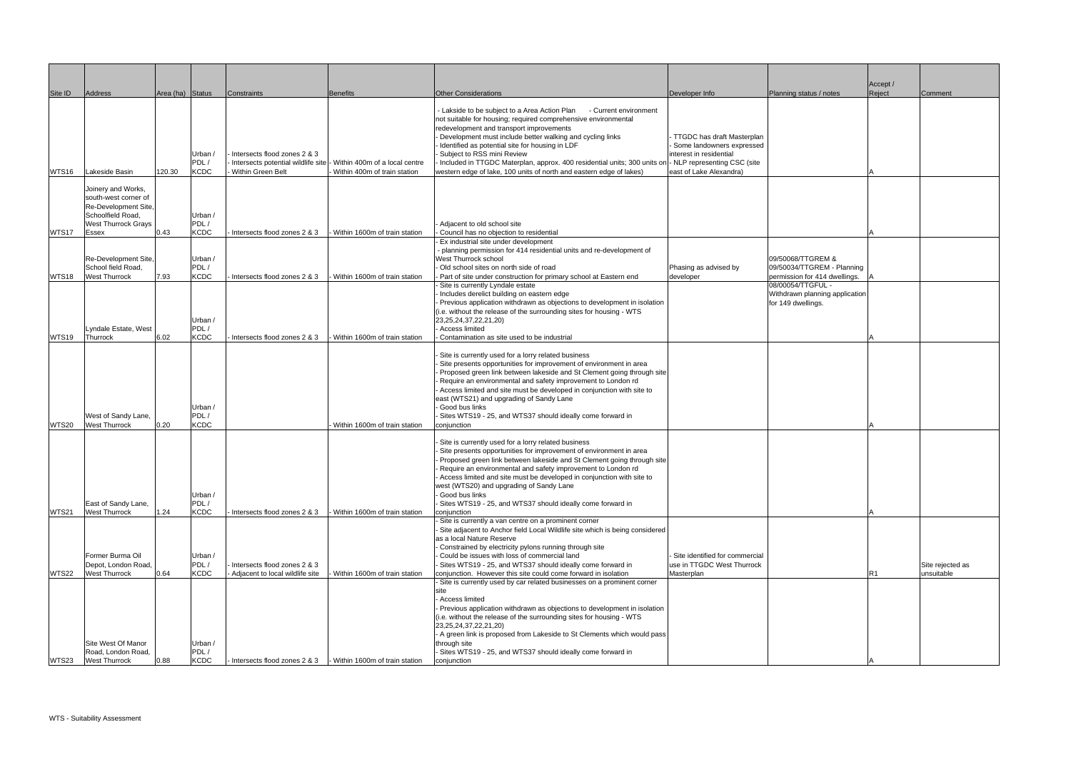| Site ID      | Address                                                                                                               | Area (ha) Status |                                | Constraints                                                     | Benefits                                                           | <b>Other Considerations</b>                                                                                                                                                                                                                                                                                                                                                                                                                                                             | Developer Info                                                                     | Planning status / notes                                                          | Accept /<br>Reject | Comment                        |
|--------------|-----------------------------------------------------------------------------------------------------------------------|------------------|--------------------------------|-----------------------------------------------------------------|--------------------------------------------------------------------|-----------------------------------------------------------------------------------------------------------------------------------------------------------------------------------------------------------------------------------------------------------------------------------------------------------------------------------------------------------------------------------------------------------------------------------------------------------------------------------------|------------------------------------------------------------------------------------|----------------------------------------------------------------------------------|--------------------|--------------------------------|
|              |                                                                                                                       |                  | Urban<br>PDL/                  | Intersects flood zones 2 & 3                                    | Intersects potential wildlife site - Within 400m of a local centre | - Lakside to be subject to a Area Action Plan<br>- Current environment<br>not suitable for housing; required comprehensive environmental<br>redevelopment and transport improvements<br>Development must include better walking and cycling links<br>Identified as potential site for housing in LDF<br>Subject to RSS mini Review<br>Included in TTGDC Materplan, approx. 400 residential units; 300 units on - NLP representing CSC (site                                             | TTGDC has draft Masterplan<br>Some landowners expressed<br>interest in residential |                                                                                  |                    |                                |
| WTS16        | Lakeside Basin                                                                                                        | 120.30           | <b>KCDC</b>                    | Within Green Belt                                               | Within 400m of train station                                       | western edge of lake, 100 units of north and eastern edge of lakes)                                                                                                                                                                                                                                                                                                                                                                                                                     | east of Lake Alexandra)                                                            |                                                                                  |                    |                                |
|              | Joinery and Works,<br>south-west corner of<br>Re-Development Site,<br>Schoolfield Road,<br><b>West Thurrock Grays</b> |                  | Urban /<br>PDL/<br><b>KCDC</b> |                                                                 |                                                                    | Adjacent to old school site                                                                                                                                                                                                                                                                                                                                                                                                                                                             |                                                                                    |                                                                                  |                    |                                |
| WTS17        | Essex                                                                                                                 | 0.43             |                                | Intersects flood zones 2 & 3                                    | Within 1600m of train station                                      | Council has no objection to residential<br>Ex industrial site under development                                                                                                                                                                                                                                                                                                                                                                                                         |                                                                                    |                                                                                  |                    |                                |
| WTS18        | Re-Development Site,<br>School field Road,<br><b>West Thurrock</b>                                                    | 7.93             | Urban /<br>PDL/<br><b>KCDC</b> | Intersects flood zones 2 & 3                                    | Within 1600m of train station                                      | - planning permission for 414 residential units and re-development of<br>West Thurrock school<br>Old school sites on north side of road<br>Part of site under construction for primary school at Eastern end                                                                                                                                                                                                                                                                            | Phasing as advised by<br>developer                                                 | 09/50068/TTGREM &<br>09/50034/TTGREM - Planning<br>permission for 414 dwellings. |                    |                                |
| WTS19        | Lyndale Estate, West<br>Thurrock                                                                                      | 6.02             | Urban /<br>PDL/<br><b>KCDC</b> | - Intersects flood zones 2 & 3                                  | Within 1600m of train station                                      | Site is currently Lyndale estate<br>Includes derelict building on eastern edge<br>Previous application withdrawn as objections to development in isolation<br>(i.e. without the release of the surrounding sites for housing - WTS<br>23, 25, 24, 37, 22, 21, 20)<br>Access limited<br>Contamination as site used to be industrial                                                                                                                                                      |                                                                                    | 08/00054/TTGFUL -<br>Withdrawn planning application<br>for 149 dwellings.        |                    |                                |
| <b>WTS20</b> | West of Sandy Lane,<br><b>West Thurrock</b>                                                                           | 0.20             | Urban<br>PDL/<br><b>KCDC</b>   |                                                                 | Within 1600m of train station                                      | Site is currently used for a lorry related business<br>Site presents opportunities for improvement of environment in area<br>Proposed green link between lakeside and St Clement going through site<br>Require an environmental and safety improvement to London rd<br>Access limited and site must be developed in conjunction with site to<br>east (WTS21) and upgrading of Sandy Lane<br>Good bus links<br>Sites WTS19 - 25, and WTS37 should ideally come forward in<br>conjunction |                                                                                    |                                                                                  |                    |                                |
| WTS21        | East of Sandy Lane,<br><b>West Thurrock</b>                                                                           | 1.24             | Urban /<br>PDL/<br><b>KCDC</b> | Intersects flood zones 2 & 3                                    | Within 1600m of train station                                      | Site is currently used for a lorry related business<br>Site presents opportunities for improvement of environment in area<br>Proposed green link between lakeside and St Clement going through site<br>Require an environmental and safety improvement to London rd<br>Access limited and site must be developed in conjunction with site to<br>west (WTS20) and upgrading of Sandy Lane<br>Good bus links<br>Sites WTS19 - 25, and WTS37 should ideally come forward in<br>conjunction |                                                                                    |                                                                                  |                    |                                |
| <b>WTS22</b> | Former Burma Oil<br>Depot, London Road,<br><b>West Thurrock</b>                                                       | 0.64             | Urban /<br>PDL/<br>KCDC        | Intersects flood zones 2 & 3<br>Adjacent to local wildlife site | Within 1600m of train station                                      | Site is currently a van centre on a prominent corner<br>Site adjacent to Anchor field Local Wildlife site which is being considered<br>as a local Nature Reserve<br>Constrained by electricity pylons running through site<br>Could be issues with loss of commercial land<br>Sites WTS19 - 25, and WTS37 should ideally come forward in<br>conjunction. However this site could come forward in isolation                                                                              | Site identified for commercial<br>use in TTGDC West Thurrock<br>Masterplan         |                                                                                  | R1                 | Site rejected as<br>unsuitable |
| WTS23        | Site West Of Manor<br>Road, London Road,<br><b>West Thurrock</b>                                                      | 0.88             | Urban /<br>PDL/<br><b>KCDC</b> |                                                                 | Intersects flood zones 2 & 3   Within 1600m of train station       | Site is currently used by car related businesses on a prominent corner<br>site<br>Access limited<br>Previous application withdrawn as objections to development in isolation<br>(i.e. without the release of the surrounding sites for housing - WTS<br>23, 25, 24, 37, 22, 21, 20)<br>A green link is proposed from Lakeside to St Clements which would pass<br>through site<br>Sites WTS19 - 25, and WTS37 should ideally come forward in<br>conjunction                              |                                                                                    |                                                                                  |                    |                                |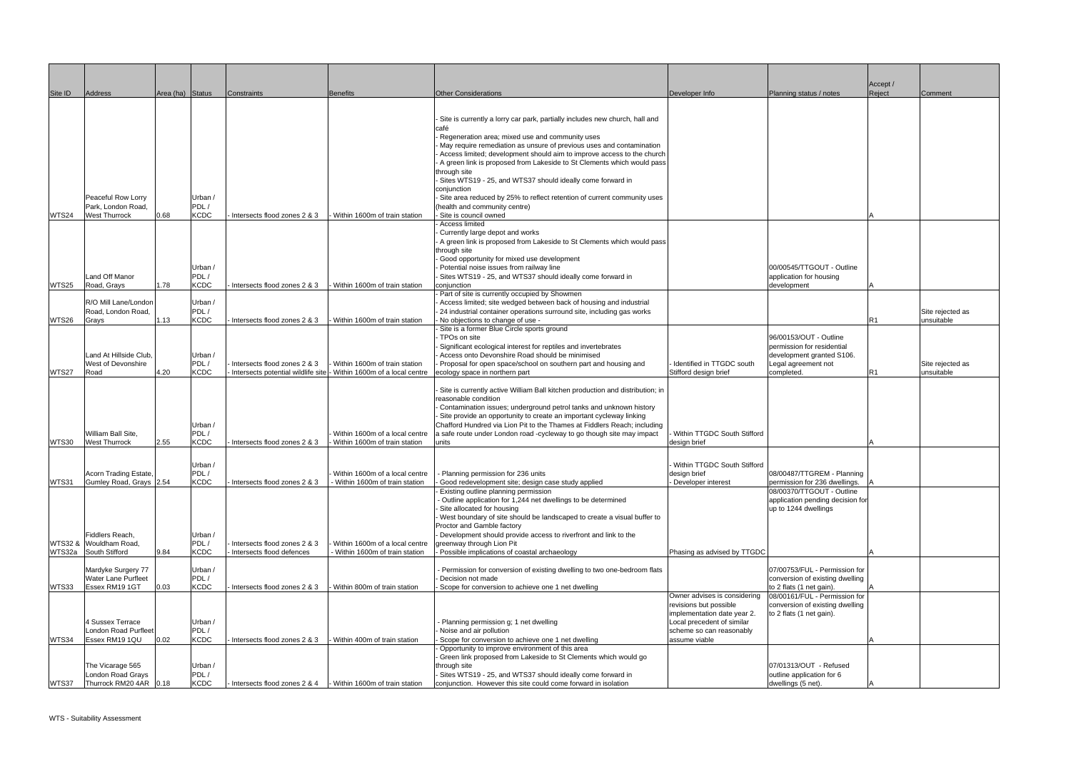|         |                                                                    |                  |                                |                                |                                                                                                        |                                                                                                                                                                                                                                  |                                                                                       |                                                                                              | Accept /       |                                |
|---------|--------------------------------------------------------------------|------------------|--------------------------------|--------------------------------|--------------------------------------------------------------------------------------------------------|----------------------------------------------------------------------------------------------------------------------------------------------------------------------------------------------------------------------------------|---------------------------------------------------------------------------------------|----------------------------------------------------------------------------------------------|----------------|--------------------------------|
| Site ID | Address                                                            | Area (ha) Status |                                | Constraints                    | <b>Benefits</b>                                                                                        | <b>Other Considerations</b>                                                                                                                                                                                                      | Developer Info                                                                        | Planning status / notes                                                                      | Reject         | Comment                        |
|         |                                                                    |                  |                                |                                |                                                                                                        | Site is currently a lorry car park, partially includes new church, hall and<br>café                                                                                                                                              |                                                                                       |                                                                                              |                |                                |
|         |                                                                    |                  |                                |                                |                                                                                                        | Regeneration area; mixed use and community uses<br>May require remediation as unsure of previous uses and contamination<br>Access limited; development should aim to improve access to the church                                |                                                                                       |                                                                                              |                |                                |
|         |                                                                    |                  |                                |                                |                                                                                                        | A green link is proposed from Lakeside to St Clements which would pass<br>through site<br>Sites WTS19 - 25, and WTS37 should ideally come forward in                                                                             |                                                                                       |                                                                                              |                |                                |
|         | Peaceful Row Lorry<br>Park, London Road,                           |                  | Urban<br>PDL/                  |                                |                                                                                                        | conjunction<br>Site area reduced by 25% to reflect retention of current community uses<br>(health and community centre)                                                                                                          |                                                                                       |                                                                                              |                |                                |
| WTS24   | <b>West Thurrock</b>                                               | 0.68             | <b>KCDC</b>                    | Intersects flood zones 2 & 3   | Within 1600m of train station                                                                          | Site is council owned<br>Access limited<br>Currently large depot and works                                                                                                                                                       |                                                                                       |                                                                                              |                |                                |
|         |                                                                    |                  |                                |                                |                                                                                                        | A green link is proposed from Lakeside to St Clements which would pass<br>through site<br>Good opportunity for mixed use development                                                                                             |                                                                                       | 00/00545/TTGOUT - Outline                                                                    |                |                                |
| WTS25   | Land Off Manor<br>Road, Grays                                      | 1.78             | Urban /<br>PDL/<br><b>KCDC</b> | Intersects flood zones 2 & 3   | Within 1600m of train station                                                                          | Potential noise issues from railway line<br>Sites WTS19 - 25, and WTS37 should ideally come forward in<br>conjunction                                                                                                            |                                                                                       | application for housing<br>development                                                       |                |                                |
| WTS26   | R/O Mill Lane/London<br>Road, London Road,<br>Grays                | 1.13             | Urban /<br>PDL/<br><b>KCDC</b> | Intersects flood zones 2 & 3   | - Within 1600m of train station                                                                        | Part of site is currently occupied by Showmen<br>Access limited; site wedged between back of housing and industrial<br>24 industrial container operations surround site, including gas works<br>No objections to change of use - |                                                                                       |                                                                                              | R1             | Site rejected as<br>unsuitable |
|         | Land At Hillside Club,                                             |                  | Urban /                        |                                |                                                                                                        | Site is a former Blue Circle sports ground<br>TPOs on site<br>Significant ecological interest for reptiles and invertebrates<br>Access onto Devonshire Road should be minimised                                                  |                                                                                       | 96/00153/OUT - Outline<br>permission for residential<br>development granted S106.            |                |                                |
| WTS27   | <b>West of Devonshire</b><br>Road                                  | 4.20             | PDL/<br>KCDC                   | Intersects flood zones 2 & 3   | Within 1600m of train station<br>- Intersects potential wildlife site - Within 1600m of a local centre | Proposal for open space/school on southern part and housing and<br>ecology space in northern part                                                                                                                                | Identified in TTGDC south<br>Stifford design brief                                    | Legal agreement not<br>completed.                                                            | R <sub>1</sub> | Site rejected as<br>unsuitable |
|         |                                                                    |                  |                                |                                |                                                                                                        | Site is currently active William Ball kitchen production and distribution; in<br>reasonable condition<br>Contamination issues; underground petrol tanks and unknown history                                                      |                                                                                       |                                                                                              |                |                                |
|         | William Ball Site.                                                 |                  | Urban /<br>PDL/                |                                | Within 1600m of a local centre                                                                         | Site provide an opportunity to create an important cycleway linking<br>Chafford Hundred via Lion Pit to the Thames at Fiddlers Reach; including<br>a safe route under London road -cycleway to go though site may impact         | - Within TTGDC South Stifford                                                         |                                                                                              |                |                                |
| WTS30   | <b>West Thurrock</b>                                               | 2.55             | <b>KCDC</b>                    | Intersects flood zones 2 & 3   | Within 1600m of train station                                                                          | units                                                                                                                                                                                                                            | design brief                                                                          |                                                                                              |                |                                |
| WTS31   | Acorn Trading Estate,<br>Gumley Road, Grays 2.54                   |                  | Urban /<br>PDL/<br><b>KCDC</b> | Intersects flood zones 2 & 3   | Within 1600m of a local centre<br>- Within 1600m of train station                                      | Planning permission for 236 units<br>Good redevelopment site; design case study applied                                                                                                                                          | Within TTGDC South Stifford<br>design brief<br>Developer interest                     | 08/00487/TTGREM - Planning<br>permission for 236 dwellings.                                  |                |                                |
|         |                                                                    |                  |                                |                                |                                                                                                        | Existing outline planning permission<br>- Outline application for 1,244 net dwellings to be determined<br>Site allocated for housing<br>West boundary of site should be landscaped to create a visual buffer to                  |                                                                                       | 08/00370/TTGOUT - Outline<br>application pending decision for<br>up to 1244 dwellings        |                |                                |
|         | Fiddlers Reach.<br>WTS32 & Wouldham Road,                          |                  | Urban /<br>PDL/                | Intersects flood zones 2 & 3   | Within 1600m of a local centre                                                                         | Proctor and Gamble factory<br>Development should provide access to riverfront and link to the<br>greenway through Lion Pit                                                                                                       |                                                                                       |                                                                                              |                |                                |
|         | WTS32a South Stifford                                              | 9.84             | <b>KCDC</b>                    | Intersects flood defences      | Within 1600m of train station                                                                          | Possible implications of coastal archaeology                                                                                                                                                                                     | Phasing as advised by TTGDC                                                           |                                                                                              |                |                                |
| WTS33   | Mardyke Surgery 77<br><b>Water Lane Purfleet</b><br>Essex RM19 1GT | 0.03             | Urban /<br>PDL/<br><b>KCDC</b> | Intersects flood zones 2 & 3   | Within 800m of train station                                                                           | - Permission for conversion of existing dwelling to two one-bedroom flats<br>Decision not made<br>Scope for conversion to achieve one 1 net dwelling                                                                             |                                                                                       | 07/00753/FUL - Permission for<br>conversion of existing dwelling<br>to 2 flats (1 net gain). |                |                                |
|         |                                                                    |                  |                                |                                |                                                                                                        |                                                                                                                                                                                                                                  | Owner advises is considering<br>revisions but possible<br>implementation date year 2. | 08/00161/FUL - Permission for<br>conversion of existing dwelling<br>to 2 flats (1 net gain). |                |                                |
|         | 4 Sussex Terrace<br>London Road Purfleet                           |                  | Urban /<br>PDL/                |                                |                                                                                                        | Planning permission g; 1 net dwelling<br>Noise and air pollution                                                                                                                                                                 | Local precedent of similar<br>scheme so can reasonably                                |                                                                                              |                |                                |
| WTS34   | Essex RM19 1QU                                                     | 0.02             | <b>KCDC</b>                    | Intersects flood zones 2 & 3   | Within 400m of train station                                                                           | Scope for conversion to achieve one 1 net dwelling                                                                                                                                                                               | assume viable                                                                         |                                                                                              |                |                                |
|         | The Vicarage 565                                                   |                  | Urban /                        |                                |                                                                                                        | Opportunity to improve environment of this area<br>Green link proposed from Lakeside to St Clements which would go<br>through site                                                                                               |                                                                                       | 07/01313/OUT - Refused                                                                       |                |                                |
| WTS37   | London Road Grays<br>Thurrock RM20 4AR 0.18                        |                  | PDL/<br><b>KCDC</b>            | - Intersects flood zones 2 & 4 | - Within 1600m of train station                                                                        | Sites WTS19 - 25, and WTS37 should ideally come forward in<br>conjunction. However this site could come forward in isolation                                                                                                     |                                                                                       | outline application for 6<br>dwellings (5 net).                                              |                |                                |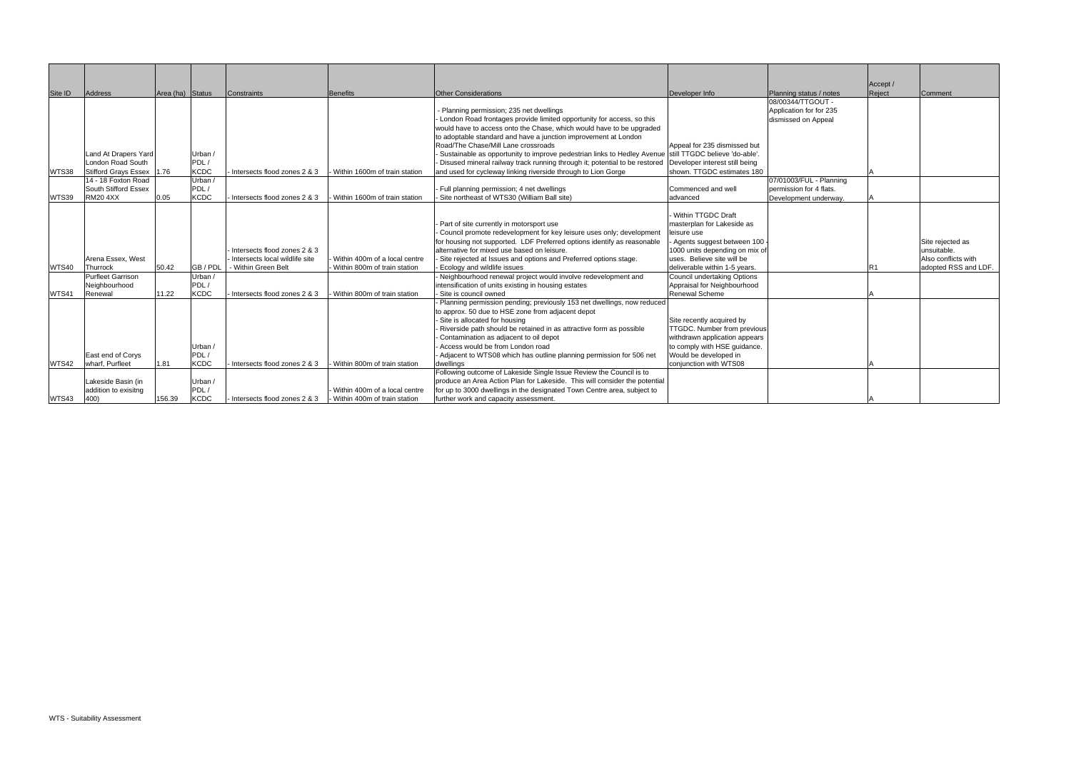|              |                             |                  |             |                                |                                |                                                                                                           |                                    |                         | Accept / |                      |
|--------------|-----------------------------|------------------|-------------|--------------------------------|--------------------------------|-----------------------------------------------------------------------------------------------------------|------------------------------------|-------------------------|----------|----------------------|
| Site ID      | <b>Address</b>              | Area (ha) Status |             | Constraints                    | Benefits                       | <b>Other Considerations</b>                                                                               | Developer Info                     | Planning status / notes | Reject   | Comment              |
|              |                             |                  |             |                                |                                |                                                                                                           |                                    | 08/00344/TTGOUT -       |          |                      |
|              |                             |                  |             |                                |                                | Planning permission; 235 net dwellings                                                                    |                                    | Application for for 235 |          |                      |
|              |                             |                  |             |                                |                                | London Road frontages provide limited opportunity for access, so this                                     |                                    | dismissed on Appeal     |          |                      |
|              |                             |                  |             |                                |                                | would have to access onto the Chase, which would have to be upgraded                                      |                                    |                         |          |                      |
|              |                             |                  |             |                                |                                | to adoptable standard and have a junction improvement at London                                           |                                    |                         |          |                      |
|              |                             |                  |             |                                |                                | Road/The Chase/Mill Lane crossroads                                                                       | Appeal for 235 dismissed but       |                         |          |                      |
|              | Land At Drapers Yard        |                  | Urban /     |                                |                                | Sustainable as opportunity to improve pedestrian links to Hedley Avenue still TTGDC believe 'do-able'.    |                                    |                         |          |                      |
|              | London Road South           |                  | PDL/        |                                |                                | Disused mineral railway track running through it; potential to be restored Developer interest still being |                                    |                         |          |                      |
| WTS38        | <b>Stifford Grays Essex</b> | 1.76             | <b>KCDC</b> | Intersects flood zones 2 & 3   | Within 1600m of train station  | and used for cycleway linking riverside through to Lion Gorge                                             | shown. TTGDC estimates 180         |                         |          |                      |
|              | 14 - 18 Foxton Road         |                  | Urban /     |                                |                                |                                                                                                           |                                    | 07/01003/FUL - Planning |          |                      |
|              | South Stifford Essex        |                  | PDL/        |                                |                                | Full planning permission; 4 net dwellings                                                                 | Commenced and well                 | permission for 4 flats. |          |                      |
| WTS39        | <b>RM20 4XX</b>             | 0.05             | <b>KCDC</b> | - Intersects flood zones 2 & 3 | Within 1600m of train station  | Site northeast of WTS30 (William Ball site)                                                               | advanced                           | Development underway.   |          |                      |
|              |                             |                  |             |                                |                                |                                                                                                           |                                    |                         |          |                      |
|              |                             |                  |             |                                |                                |                                                                                                           | - Within TTGDC Draft               |                         |          |                      |
|              |                             |                  |             |                                |                                | Part of site currently in motorsport use                                                                  | masterplan for Lakeside as         |                         |          |                      |
|              |                             |                  |             |                                |                                | Council promote redevelopment for key leisure uses only; development                                      | leisure use                        |                         |          |                      |
|              |                             |                  |             |                                |                                | for housing not supported. LDF Preferred options identify as reasonable                                   | - Agents suggest between 100       |                         |          | Site rejected as     |
|              |                             |                  |             | Intersects flood zones 2 & 3   |                                | alternative for mixed use based on leisure.                                                               | 1000 units depending on mix of     |                         |          | unsuitable.          |
|              | Arena Essex, West           |                  |             | Intersects local wildlife site | Within 400m of a local centre  | Site rejected at Issues and options and Preferred options stage.                                          | uses. Believe site will be         |                         |          | Also conflicts with  |
| WTS40        | Thurrock                    | 50.42            | GB / PDL    | Within Green Belt              | Within 800m of train station   | - Ecology and wildlife issues                                                                             | deliverable within 1-5 years.      |                         |          | adopted RSS and LDF. |
|              | <b>Purfleet Garrison</b>    |                  | Urban /     |                                |                                | Neighbourhood renewal project would involve redevelopment and                                             | Council undertaking Options        |                         |          |                      |
|              | Neighbourhood               |                  | PDL/        |                                |                                | intensification of units existing in housing estates                                                      | Appraisal for Neighbourhood        |                         |          |                      |
| <b>WTS41</b> | Renewal                     | 11.22            | <b>KCDC</b> | Intersects flood zones 2 & 3   | Within 800m of train station   | Site is council owned                                                                                     | Renewal Scheme                     |                         |          |                      |
|              |                             |                  |             |                                |                                | Planning permission pending; previously 153 net dwellings, now reduced                                    |                                    |                         |          |                      |
|              |                             |                  |             |                                |                                | to approx. 50 due to HSE zone from adjacent depot<br>Site is allocated for housing                        | Site recently acquired by          |                         |          |                      |
|              |                             |                  |             |                                |                                | Riverside path should be retained in as attractive form as possible                                       | <b>TTGDC.</b> Number from previous |                         |          |                      |
|              |                             |                  |             |                                |                                | Contamination as adjacent to oil depot                                                                    | withdrawn application appears      |                         |          |                      |
|              |                             |                  | Urban /     |                                |                                | Access would be from London road                                                                          | to comply with HSE guidance.       |                         |          |                      |
|              | East end of Corys           |                  | PDL/        |                                |                                | Adjacent to WTS08 which has outline planning permission for 506 net                                       | Would be developed in              |                         |          |                      |
| WTS42        | wharf. Purfleet             | 1.81             | <b>KCDC</b> | Intersects flood zones 2 & 3   | Within 800m of train station   | dwellings                                                                                                 | conjunction with WTS08             |                         |          |                      |
|              |                             |                  |             |                                |                                | Following outcome of Lakeside Single Issue Review the Council is to                                       |                                    |                         |          |                      |
|              | Lakeside Basin (in          |                  | Urban /     |                                |                                | produce an Area Action Plan for Lakeside. This will consider the potential                                |                                    |                         |          |                      |
|              | addition to exisitng        |                  | PDL/        |                                | Within 400m of a local centre  | for up to 3000 dwellings in the designated Town Centre area, subject to                                   |                                    |                         |          |                      |
| WTS43        | 400)                        | 156.39           | <b>KCDC</b> | Intersects flood zones 2 & 3   | - Within 400m of train station | further work and capacity assessment.                                                                     |                                    |                         |          |                      |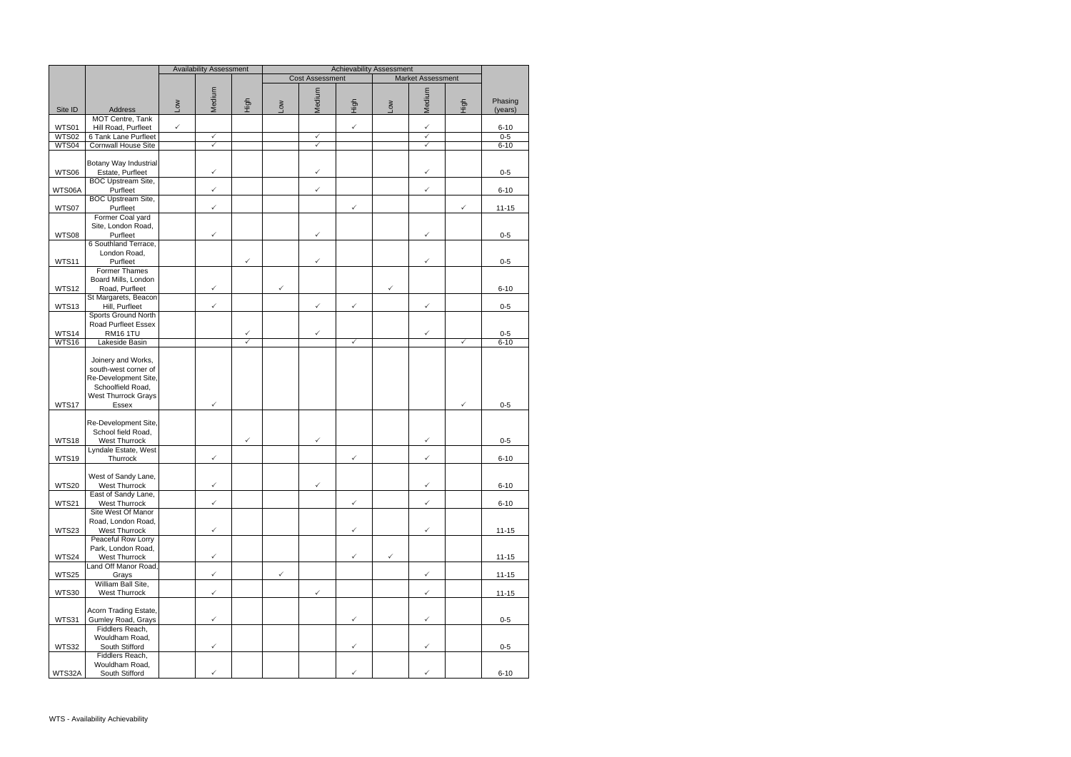|              |                                            |              | <b>Availability Assessment</b> |                   | <b>Achievability Assessment</b> |                                                    |              |              |              |              |           |  |
|--------------|--------------------------------------------|--------------|--------------------------------|-------------------|---------------------------------|----------------------------------------------------|--------------|--------------|--------------|--------------|-----------|--|
|              |                                            |              |                                |                   |                                 | <b>Cost Assessment</b><br><b>Market Assessment</b> |              |              |              |              |           |  |
|              |                                            |              | Medium                         | High              |                                 | Medium                                             | High         |              | Medium       | High         | Phasing   |  |
| Site ID      | Address<br>MOT Centre, Tank                | Low          |                                |                   | Low                             |                                                    |              | <b>No7</b>   |              |              | (years)   |  |
| WTS01        | Hill Road, Purfleet                        | $\checkmark$ |                                |                   |                                 |                                                    | $\checkmark$ |              | $\checkmark$ |              | $6 - 10$  |  |
| <b>WTS02</b> | 6 Tank Lane Purfleet                       |              | $\checkmark$<br>$\checkmark$   |                   |                                 | $\checkmark$                                       |              |              | $\checkmark$ |              | $0-5$     |  |
| WTS04        | <b>Cornwall House Site</b>                 |              |                                |                   |                                 | $\checkmark$                                       |              |              | $\checkmark$ |              | $6 - 10$  |  |
|              | Botany Way Industrial                      |              |                                |                   |                                 |                                                    |              |              |              |              |           |  |
| WTS06        | Estate, Purfleet                           |              | $\checkmark$                   |                   |                                 | $\checkmark$                                       |              |              | ✓            |              | $0-5$     |  |
| WTS06A       | <b>BOC Upstream Site,</b><br>Purfleet      |              | $\checkmark$                   |                   |                                 | $\checkmark$                                       |              |              | $\checkmark$ |              | $6 - 10$  |  |
| WTS07        | <b>BOC Upstream Site,</b><br>Purfleet      |              | $\checkmark$                   |                   |                                 |                                                    | $\checkmark$ |              |              | $\checkmark$ | $11 - 15$ |  |
|              | Former Coal yard                           |              |                                |                   |                                 |                                                    |              |              |              |              |           |  |
|              | Site, London Road,                         |              |                                |                   |                                 |                                                    |              |              |              |              |           |  |
| WTS08        | Purfleet                                   |              | $\checkmark$                   |                   |                                 | $\checkmark$                                       |              |              | ✓            |              | $0-5$     |  |
|              | 6 Southland Terrace,                       |              |                                |                   |                                 |                                                    |              |              |              |              |           |  |
| <b>WTS11</b> | London Road,<br>Purfleet                   |              |                                | ✓                 |                                 | $\checkmark$                                       |              |              | ✓            |              | $0 - 5$   |  |
|              | <b>Former Thames</b>                       |              |                                |                   |                                 |                                                    |              |              |              |              |           |  |
|              | Board Mills, London                        |              |                                |                   |                                 |                                                    |              |              |              |              |           |  |
| <b>WTS12</b> | Road, Purfleet                             |              | $\checkmark$                   |                   | ✓                               |                                                    |              | $\checkmark$ |              |              | $6 - 10$  |  |
| WTS13        | St Margarets, Beacon<br>Hill, Purfleet     |              | $\checkmark$                   |                   |                                 | $\checkmark$                                       | $\checkmark$ |              | $\checkmark$ |              | $0 - 5$   |  |
|              | Sports Ground North                        |              |                                |                   |                                 |                                                    |              |              |              |              |           |  |
|              | Road Purfleet Essex                        |              |                                |                   |                                 |                                                    |              |              |              |              |           |  |
| WTS14        | <b>RM16 1TU</b>                            |              |                                | ✓<br>$\checkmark$ |                                 | $\checkmark$                                       |              |              | ✓            |              | $0-5$     |  |
| WTS16        | Lakeside Basin                             |              |                                |                   |                                 |                                                    | $\checkmark$ |              |              | $\checkmark$ | $6 - 10$  |  |
|              | Joinery and Works,                         |              |                                |                   |                                 |                                                    |              |              |              |              |           |  |
|              | south-west corner of                       |              |                                |                   |                                 |                                                    |              |              |              |              |           |  |
|              | Re-Development Site,                       |              |                                |                   |                                 |                                                    |              |              |              |              |           |  |
|              | Schoolfield Road,                          |              |                                |                   |                                 |                                                    |              |              |              |              |           |  |
|              | West Thurrock Grays                        |              |                                |                   |                                 |                                                    |              |              |              |              |           |  |
| WTS17        | Essex                                      |              | $\checkmark$                   |                   |                                 |                                                    |              |              |              | $\checkmark$ | $0-5$     |  |
|              | Re-Development Site,                       |              |                                |                   |                                 |                                                    |              |              |              |              |           |  |
|              | School field Road,                         |              |                                |                   |                                 |                                                    |              |              |              |              |           |  |
| WTS18        | <b>West Thurrock</b>                       |              |                                | ✓                 |                                 | $\checkmark$                                       |              |              | ✓            |              | $0-5$     |  |
|              | Lyndale Estate, West                       |              |                                |                   |                                 |                                                    |              |              |              |              |           |  |
| WTS19        | Thurrock                                   |              | $\checkmark$                   |                   |                                 |                                                    | ✓            |              | ✓            |              | $6 - 10$  |  |
|              | West of Sandy Lane,                        |              |                                |                   |                                 |                                                    |              |              |              |              |           |  |
| <b>WTS20</b> | <b>West Thurrock</b>                       |              | $\checkmark$                   |                   |                                 | $\checkmark$                                       |              |              | $\checkmark$ |              | $6 - 10$  |  |
|              | East of Sandy Lane,                        |              |                                |                   |                                 |                                                    |              |              |              |              |           |  |
| WTS21        | <b>West Thurrock</b><br>Site West Of Manor |              | $\checkmark$                   |                   |                                 |                                                    | $\checkmark$ |              | $\checkmark$ |              | $6 - 10$  |  |
|              | Road, London Road,                         |              |                                |                   |                                 |                                                    |              |              |              |              |           |  |
| WTS23        | <b>West Thurrock</b>                       |              | $\checkmark$                   |                   |                                 |                                                    | $\checkmark$ |              | $\checkmark$ |              | $11 - 15$ |  |
|              | Peaceful Row Lorry                         |              |                                |                   |                                 |                                                    |              |              |              |              |           |  |
|              | Park, London Road,                         |              |                                |                   |                                 |                                                    |              |              |              |              |           |  |
| WTS24        | <b>West Thurrock</b>                       |              | $\checkmark$                   |                   |                                 |                                                    | $\checkmark$ | $\checkmark$ |              |              | $11 - 15$ |  |
| <b>WTS25</b> | Land Off Manor Road,<br>Grays              |              | $\checkmark$                   |                   | $\checkmark$                    |                                                    |              |              | $\checkmark$ |              | $11 - 15$ |  |
|              | William Ball Site,                         |              |                                |                   |                                 |                                                    |              |              |              |              |           |  |
| <b>WTS30</b> | <b>West Thurrock</b>                       |              | $\checkmark$                   |                   |                                 | $\checkmark$                                       |              |              | $\checkmark$ |              | $11 - 15$ |  |
|              |                                            |              |                                |                   |                                 |                                                    |              |              |              |              |           |  |
|              | Acorn Trading Estate,                      |              |                                |                   |                                 |                                                    |              |              |              |              |           |  |
| WTS31        | Gumley Road, Grays                         |              | $\checkmark$                   |                   |                                 |                                                    | $\checkmark$ |              | $\checkmark$ |              | $0 - 5$   |  |
|              | Fiddlers Reach,<br>Wouldham Road,          |              |                                |                   |                                 |                                                    |              |              |              |              |           |  |
| <b>WTS32</b> | South Stifford                             |              | $\checkmark$                   |                   |                                 |                                                    | $\checkmark$ |              | $\checkmark$ |              | $0 - 5$   |  |
|              | Fiddlers Reach,                            |              |                                |                   |                                 |                                                    |              |              |              |              |           |  |
|              | Wouldham Road,                             |              |                                |                   |                                 |                                                    |              |              |              |              |           |  |
| WTS32A       | South Stifford                             |              | $\checkmark$                   |                   |                                 |                                                    | $\checkmark$ |              | $\checkmark$ |              | $6 - 10$  |  |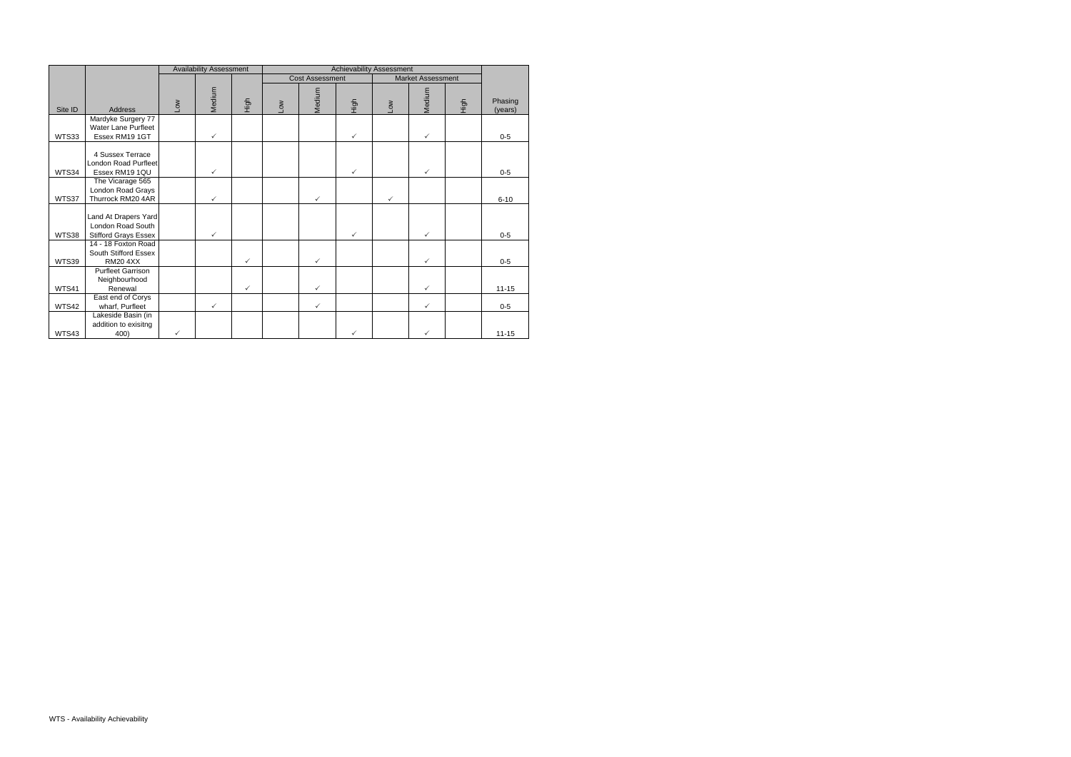|         |                                                                                 | <b>Availability Assessment</b><br><b>Achievability Assessment</b> |              |      |            |                        |              |              |                          |      |                    |
|---------|---------------------------------------------------------------------------------|-------------------------------------------------------------------|--------------|------|------------|------------------------|--------------|--------------|--------------------------|------|--------------------|
|         |                                                                                 |                                                                   |              |      |            | <b>Cost Assessment</b> |              |              | <b>Market Assessment</b> |      |                    |
| Site ID | <b>Address</b>                                                                  | Mo7                                                               | Medium       | High | <b>NOT</b> | Medium                 | High         | ΜΟΠ          | Medium                   | High | Phasing<br>(years) |
| WTS33   | Mardyke Surgery 77<br><b>Water Lane Purfleet</b><br>Essex RM19 1GT              |                                                                   | $\checkmark$ |      |            |                        | $\checkmark$ |              | $\checkmark$             |      | $0-5$              |
| WTS34   | 4 Sussex Terrace<br>London Road Purfleet<br>Essex RM19 1QU                      |                                                                   | $\checkmark$ |      |            |                        | $\checkmark$ |              | $\checkmark$             |      | $0 - 5$            |
| WTS37   | The Vicarage 565<br>London Road Grays<br>Thurrock RM20 4AR                      |                                                                   | $\checkmark$ |      |            | $\checkmark$           |              | $\checkmark$ |                          |      | $6 - 10$           |
| WTS38   | Land At Drapers Yard<br><b>London Road South</b><br><b>Stifford Grays Essex</b> |                                                                   | $\checkmark$ |      |            |                        | $\checkmark$ |              | $\checkmark$             |      | $0 - 5$            |
| WTS39   | 14 - 18 Foxton Road<br>South Stifford Essex<br><b>RM20 4XX</b>                  |                                                                   |              | ✓    |            | $\checkmark$           |              |              | $\checkmark$             |      | $0-5$              |
| WTS41   | <b>Purfleet Garrison</b><br>Neighbourhood<br>Renewal                            |                                                                   |              | ✓    |            | $\checkmark$           |              |              | $\checkmark$             |      | $11 - 15$          |
| WTS42   | East end of Corys<br>wharf, Purfleet                                            |                                                                   | $\checkmark$ |      |            | $\checkmark$           |              |              | $\checkmark$             |      | $0 - 5$            |
| WTS43   | Lakeside Basin (in<br>addition to exisitng<br>400)                              | ✓                                                                 |              |      |            |                        | ✓            |              | ✓                        |      | $11 - 15$          |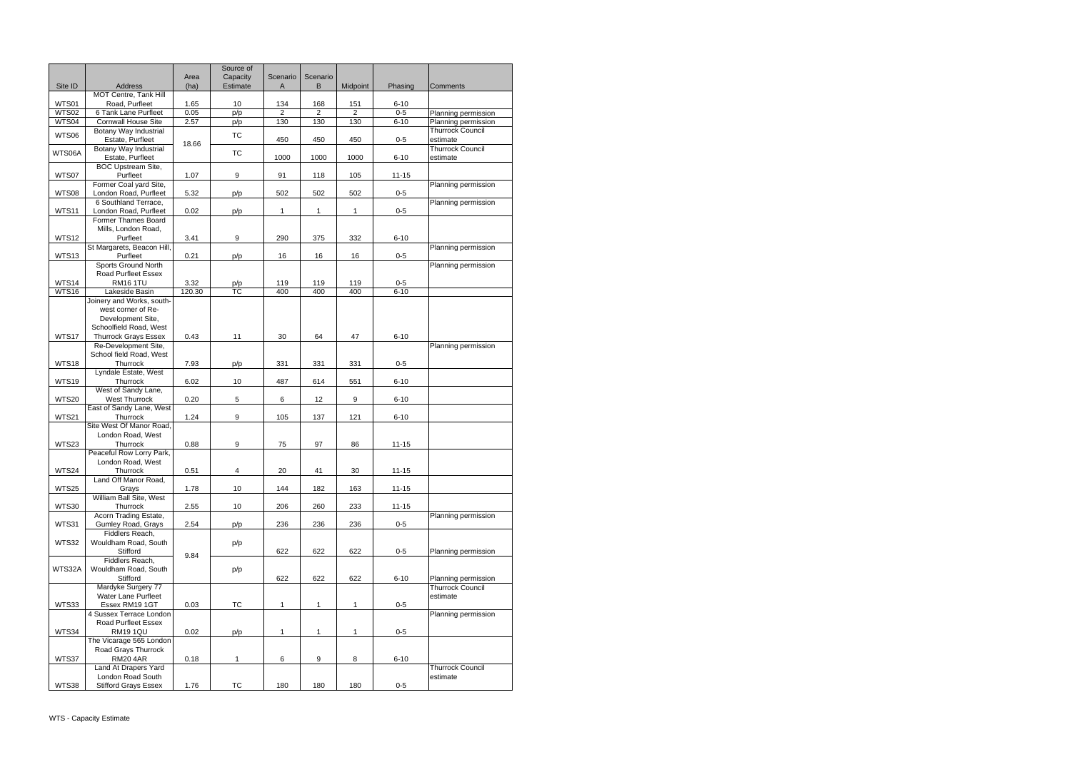| Site ID               | <b>Address</b>                                                              | Area<br>(ha)   | Source of<br>Capacity<br>Estimate | Scenario<br>A | Scenario<br>B | Midpoint     | Phasing             | Comments                            |
|-----------------------|-----------------------------------------------------------------------------|----------------|-----------------------------------|---------------|---------------|--------------|---------------------|-------------------------------------|
|                       | MOT Centre, Tank Hill                                                       |                |                                   |               |               |              |                     |                                     |
| WTS01<br><b>WTS02</b> | Road, Purfleet<br>6 Tank Lane Purfleet                                      | 1.65<br>0.05   | 10<br>p/p                         | 134<br>2      | 168<br>2      | 151<br>2     | $6 - 10$<br>$0 - 5$ | Planning permission                 |
| WTS04                 | <b>Cornwall House Site</b>                                                  | 2.57           | p/p                               | 130           | 130           | 130          | $6 - 10$            | Planning permission                 |
| <b>WTS06</b>          | Botany Way Industrial<br>Estate, Purfleet                                   | 18.66          | <b>TC</b>                         | 450           | 450           | 450          | $0 - 5$             | <b>Thurrock Council</b><br>estimate |
| WTS06A                | Botany Way Industrial<br>Estate, Purfleet                                   |                | <b>TC</b>                         | 1000          | 1000          | 1000         | $6 - 10$            | <b>Thurrock Council</b><br>estimate |
| WTS07                 | <b>BOC Upstream Site,</b><br>Purfleet                                       | 1.07           | 9                                 | 91            | 118           | 105          | $11 - 15$           |                                     |
| <b>WTS08</b>          | Former Coal yard Site,<br>London Road, Purfleet                             | 5.32           | p/p                               | 502           | 502           | 502          | $0 - 5$             | Planning permission                 |
| WTS11                 | 6 Southland Terrace,<br>London Road, Purfleet<br><b>Former Thames Board</b> | 0.02           | p/p                               | 1             | $\mathbf{1}$  | 1            | $0-5$               | Planning permission                 |
| <b>WTS12</b>          | Mills, London Road,<br>Purfleet                                             | 3.41           | $\boldsymbol{9}$                  | 290           | 375           | 332          | $6 - 10$            |                                     |
|                       | St Margarets, Beacon Hill,                                                  |                |                                   |               |               |              |                     | Planning permission                 |
| WTS13                 | Purfleet                                                                    | 0.21           | p/p                               | 16            | 16            | 16           | $0-5$               |                                     |
|                       | Sports Ground North<br>Road Purfleet Essex                                  |                |                                   |               |               |              |                     | Planning permission                 |
| WTS14<br>WTS16        | <b>RM16 1TU</b><br>Lakeside Basin                                           | 3.32<br>120.30 | p/p<br>ΤĊ                         | 119<br>400    | 119<br>400    | 119<br>400   | $0 - 5$<br>$6 - 10$ |                                     |
|                       | Joinery and Works, south-                                                   |                |                                   |               |               |              |                     |                                     |
|                       | west corner of Re-<br>Development Site,<br>Schoolfield Road, West           |                |                                   |               |               |              |                     |                                     |
| WTS17                 | Thurrock Grays Essex<br>Re-Development Site,                                | 0.43           | 11                                | 30            | 64            | 47           | $6 - 10$            | Planning permission                 |
| WTS18                 | School field Road, West<br>Thurrock                                         | 7.93           | p/p                               | 331           | 331           | 331          | $0 - 5$             |                                     |
| WTS19                 | Lyndale Estate, West<br>Thurrock                                            | 6.02           | 10                                | 487           | 614           | 551          | $6 - 10$            |                                     |
| <b>WTS20</b>          | West of Sandy Lane,<br><b>West Thurrock</b>                                 | 0.20           | 5                                 | 6             | 12            | 9            | $6 - 10$            |                                     |
| WTS21                 | East of Sandy Lane, West<br>Thurrock                                        | 1.24           | 9                                 | 105           | 137           | 121          | $6 - 10$            |                                     |
|                       | Site West Of Manor Road,                                                    |                |                                   |               |               |              |                     |                                     |
| WTS23                 | London Road, West<br>Thurrock                                               | 0.88           | 9                                 | 75            | 97            | 86           | $11 - 15$           |                                     |
|                       | Peaceful Row Lorry Park,<br>London Road, West                               |                |                                   |               |               |              |                     |                                     |
| WTS24                 | Thurrock<br>Land Off Manor Road,                                            | 0.51           | 4                                 | 20            | 41            | 30           | $11 - 15$           |                                     |
| <b>WTS25</b>          | Grays                                                                       | 1.78           | 10                                | 144           | 182           | 163          | $11 - 15$           |                                     |
| <b>WTS30</b>          | William Ball Site, West<br>Thurrock                                         | 2.55           | 10                                | 206           | 260           | 233          | $11 - 15$           |                                     |
|                       | Acorn Trading Estate,                                                       |                |                                   |               |               |              |                     | Planning permission                 |
| WTS31                 | Gumley Road, Grays<br>Fiddlers Reach,                                       | 2.54           | p/p                               | 236           | 236           | 236          | $0-5$               |                                     |
| <b>WTS32</b>          | Wouldham Road, South<br>Stifford                                            | 9.84           | p/p                               | 622           | 622           | 622          | $0 - 5$             | Planning permission                 |
| WTS32A                | Fiddlers Reach,<br>Wouldham Road, South<br>Stifford                         |                | p/p                               | 622           | 622           | 622          | $6 - 10$            | Planning permission                 |
|                       | Mardyke Surgery 77                                                          |                |                                   |               |               |              |                     | <b>Thurrock Council</b>             |
| WTS33                 | Water Lane Purfleet<br>Essex RM19 1GT                                       | 0.03           | TC                                | 1             | $\mathbf{1}$  | 1            | $0 - 5$             | estimate                            |
|                       | 4 Sussex Terrace London<br>Road Purfleet Essex                              |                |                                   |               |               |              |                     | Planning permission                 |
| WTS34                 | <b>RM191QU</b>                                                              | 0.02           | p/p                               | $\mathbf{1}$  | $\mathbf{1}$  | $\mathbf{1}$ | $0-5$               |                                     |
|                       | The Vicarage 565 London<br>Road Grays Thurrock                              |                |                                   |               |               |              |                     |                                     |
| WTS37                 | <b>RM20 4AR</b>                                                             | 0.18           | 1                                 | 6             | 9             | $\bf 8$      | $6 - 10$            |                                     |
|                       | Land At Drapers Yard<br>London Road South                                   |                |                                   |               |               |              |                     | <b>Thurrock Council</b><br>estimate |
| WTS38                 | <b>Stifford Grays Essex</b>                                                 | 1.76           | TC                                | 180           | 180           | 180          | $0-5$               |                                     |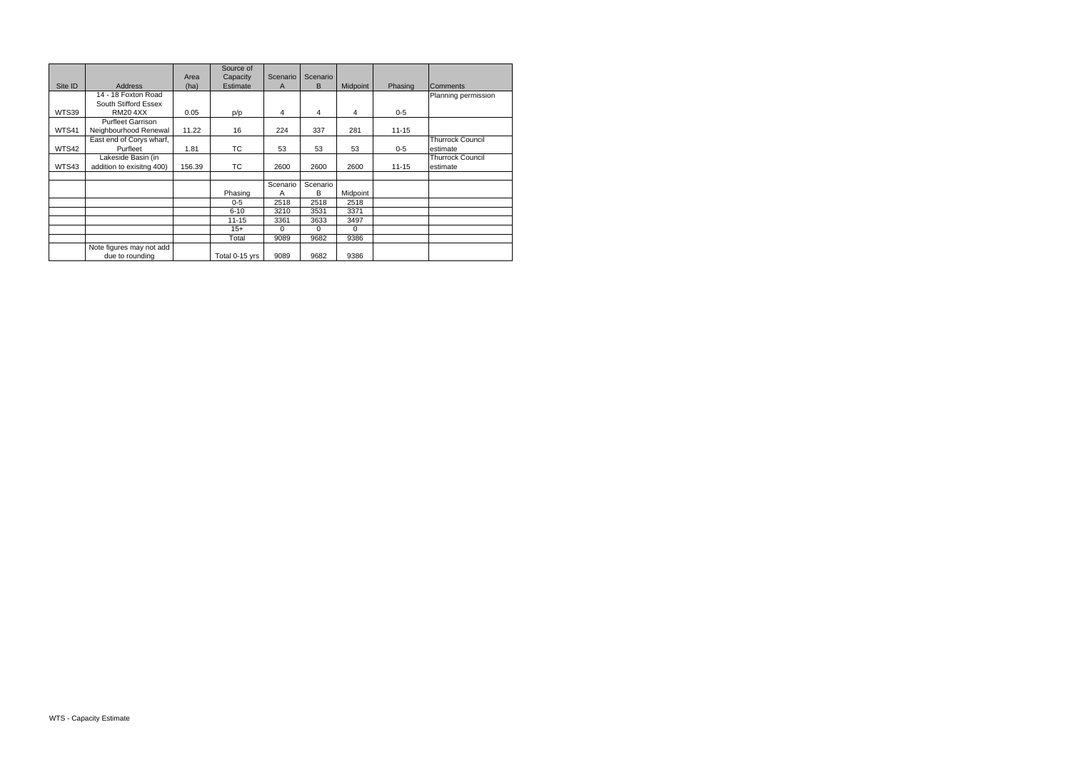|         |                           |        | Source of      |          |          |          |           |                         |
|---------|---------------------------|--------|----------------|----------|----------|----------|-----------|-------------------------|
|         |                           | Area   | Capacity       | Scenario | Scenario |          |           |                         |
| Site ID | <b>Address</b>            | (ha)   | Estimate       | A        | B        | Midpoint | Phasing   | <b>Comments</b>         |
|         | 14 - 18 Foxton Road       |        |                |          |          |          |           | Planning permission     |
|         | South Stifford Essex      |        |                |          |          |          |           |                         |
| WTS39   | <b>RM20 4XX</b>           | 0.05   | p/p            | 4        | 4        | 4        | $0-5$     |                         |
|         | <b>Purfleet Garrison</b>  |        |                |          |          |          |           |                         |
| WTS41   | Neighbourhood Renewal     | 11.22  | 16             | 224      | 337      | 281      | $11 - 15$ |                         |
|         | East end of Corys wharf,  |        |                |          |          |          |           | <b>Thurrock Council</b> |
| WTS42   | Purfleet                  | 1.81   | TC             | 53       | 53       | 53       | $0 - 5$   | estimate                |
|         | Lakeside Basin (in        |        |                |          |          |          |           | <b>Thurrock Council</b> |
| WTS43   | addition to exisitng 400) | 156.39 | <b>TC</b>      | 2600     | 2600     | 2600     | $11 - 15$ | estimate                |
|         |                           |        |                |          |          |          |           |                         |
|         |                           |        |                | Scenario | Scenario |          |           |                         |
|         |                           |        | Phasing        | A        | B        | Midpoint |           |                         |
|         |                           |        | $0 - 5$        | 2518     | 2518     | 2518     |           |                         |
|         |                           |        | $6 - 10$       | 3210     | 3531     | 3371     |           |                         |
|         |                           |        | $11 - 15$      | 3361     | 3633     | 3497     |           |                         |
|         |                           |        | $15+$          | $\Omega$ | $\Omega$ | $\Omega$ |           |                         |
|         |                           |        | Total          | 9089     | 9682     | 9386     |           |                         |
|         | Note figures may not add  |        |                |          |          |          |           |                         |
|         | due to rounding           |        | Total 0-15 yrs | 9089     | 9682     | 9386     |           |                         |